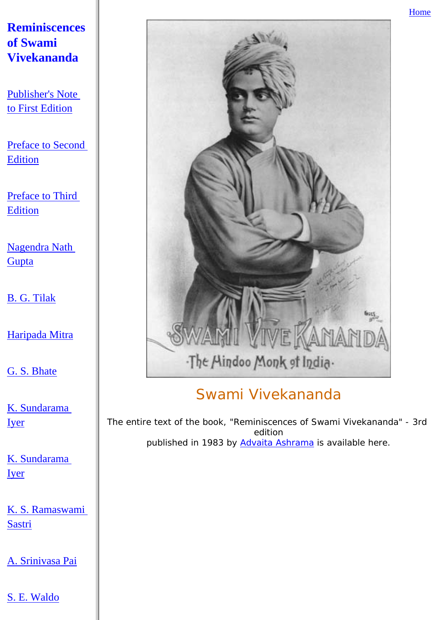### <span id="page-0-0"></span>**Reminiscences of Swami Vivekananda**

[Publisher's Note](#page-4-0) [to First Edition](#page-4-0)

[Preface to Second](#page-5-0) [Edition](#page-5-0)

[Preface to Third](#page-6-0)  **[Edition](#page-6-0)** 

[Nagendra Nath](#page-7-0)  **[Gupta](#page-7-0)** 

[B. G. Tilak](#page-18-0)

[Haripada Mitra](#page-20-0)

[G. S. Bhate](#page-39-0)

[K. Sundarama](#page-42-0) [Iyer](#page-42-0)

[K. Sundarama](#page-51-0) [Iyer](#page-51-0)

[K. S. Ramaswami](#page-67-0) [Sastri](#page-67-0)

[A. Srinivasa Pai](#page-72-0)

[S. E. Waldo](#page-77-0)



# Swami Vivekananda

The entire text of the book, "Reminiscences of Swami Vivekananda" - 3rd edition published in 1983 by [Advaita Ashrama](http://www.advaitaashrama.org/) is available here.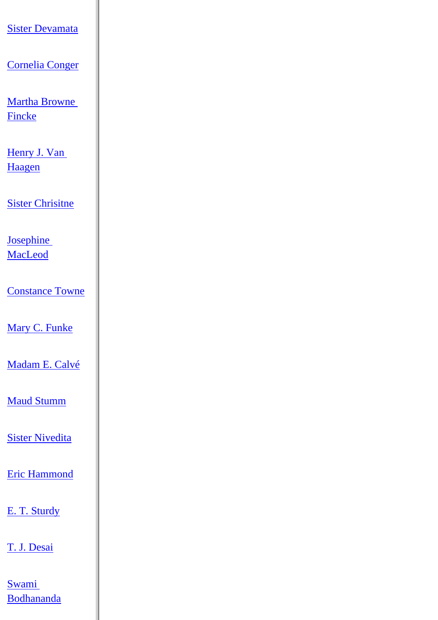[Sister Devamata](#page-83-0)

[Cornelia Conger](#page-89-0)

[Martha Browne](#page-94-0)  [Fincke](#page-94-0)

[Henry J. Van](#page-99-0) [Haagen](#page-99-0)

**[Sister Chrisitne](#page-101-0)** 

**[Josephine](#page-153-0)** [MacLeod](#page-153-0)

[Constance Towne](#page-165-0)

[Mary C. Funke](#page-169-0)

[Madam E. Calvé](#page-174-0)

[Maud Stumm](#page-178-0)

[Sister Nivedita](#page-182-0)

[Eric Hammond](#page-197-0)

[E. T. Sturdy](#page-199-0)

[T. J. Desai](#page-201-0)

[Swami](#page-205-0) **[Bodhananda](#page-205-0)**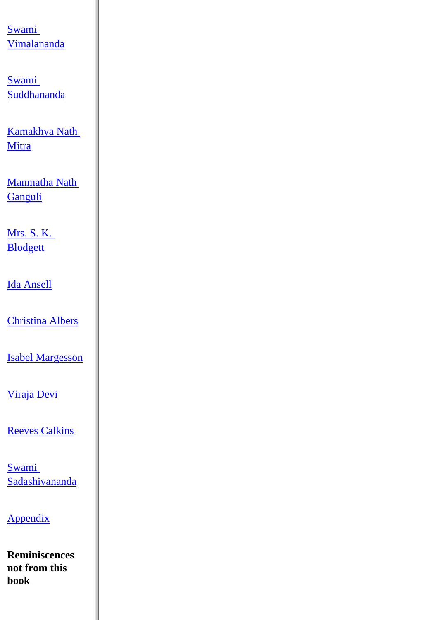**[Swami](#page-208-0)** [Vimalananda](#page-208-0)

[Swami](#page-214-0) **[Suddhananda](#page-214-0)** 

[Kamakhya Nath](#page-225-0) **[Mitra](#page-225-0)** 

[Manmatha Nath](#page-229-0) **[Ganguli](#page-229-0)** 

[Mrs. S. K.](#page-242-0) **[Blodgett](#page-242-0)** 

[Ida Ansell](#page-245-0)

[Christina Albers](#page-256-0)

[Isabel Margesson](#page-258-0)

[Viraja Devi](#page-260-0)

[Reeves Calkins](#page-263-0)

**[Swami](#page-267-0) [Sadashivananda](#page-267-0)** 

[Appendix](#page-282-0)

**Reminiscences not from this book**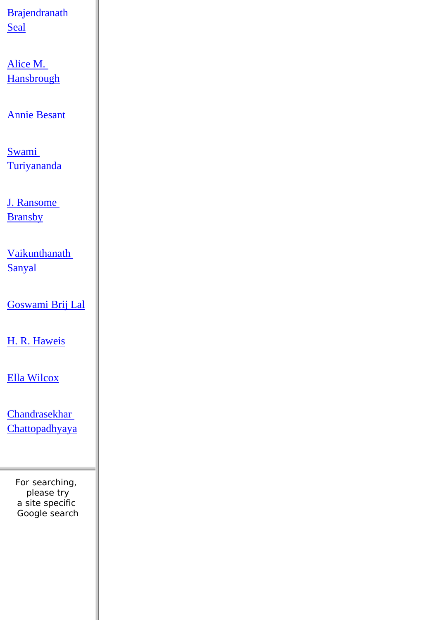**Brajendranath** [Seal](#page-293-0)

[Alice M.](#page-297-0)  **[Hansbrough](#page-297-0)** 

[Annie Besant](#page-338-0)

**[Swami](#page-339-0) [Turiyananda](#page-339-0)** 

[J. Ransome](#page-343-0) **[Bransby](#page-343-0)** 

[Vaikunthanath](#page-346-0)  **[Sanyal](#page-346-0)** 

[Goswami Brij Lal](#page-348-0)

[H. R. Haweis](#page-350-0)

[Ella Wilcox](#page-353-0)

**[Chandrasekhar](#page-354-0) [Chattopadhyaya](#page-354-0)** 

> For searching, please try a site specific Google search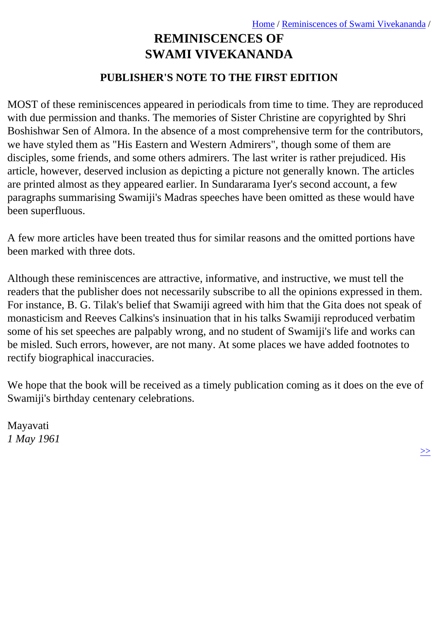# **REMINISCENCES OF SWAMI VIVEKANANDA**

#### **PUBLISHER'S NOTE TO THE FIRST EDITION**

<span id="page-4-0"></span>MOST of these reminiscences appeared in periodicals from time to time. They are reproduced with due permission and thanks. The memories of Sister Christine are copyrighted by Shri Boshishwar Sen of Almora. In the absence of a most comprehensive term for the contributors, we have styled them as "His Eastern and Western Admirers", though some of them are disciples, some friends, and some others admirers. The last writer is rather prejudiced. His article, however, deserved inclusion as depicting a picture not generally known. The articles are printed almost as they appeared earlier. In Sundararama Iyer's second account, a few paragraphs summarising Swamiji's Madras speeches have been omitted as these would have been superfluous.

A few more articles have been treated thus for similar reasons and the omitted portions have been marked with three dots.

Although these reminiscences are attractive, informative, and instructive, we must tell the readers that the publisher does not necessarily subscribe to all the opinions expressed in them. For instance, B. G. Tilak's belief that Swamiji agreed with him that the Gita does not speak of monasticism and Reeves Calkins's insinuation that in his talks Swamiji reproduced verbatim some of his set speeches are palpably wrong, and no student of Swamiji's life and works can be misled. Such errors, however, are not many. At some places we have added footnotes to rectify biographical inaccuracies.

We hope that the book will be received as a timely publication coming as it does on the eve of Swamiji's birthday centenary celebrations.

Mayavati *1 May 1961*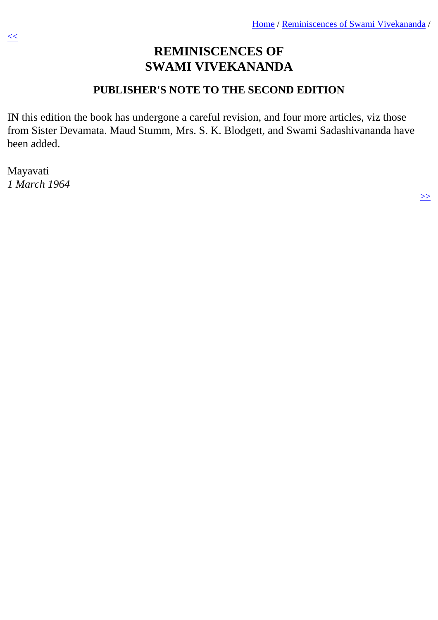$\geq$ 

### **REMINISCENCES OF SWAMI VIVEKANANDA**

### **PUBLISHER'S NOTE TO THE SECOND EDITION**

<span id="page-5-0"></span>IN this edition the book has undergone a careful revision, and four more articles, viz those from Sister Devamata. Maud Stumm, Mrs. S. K. Blodgett, and Swami Sadashivananda have been added.

Mayavati *1 March 1964*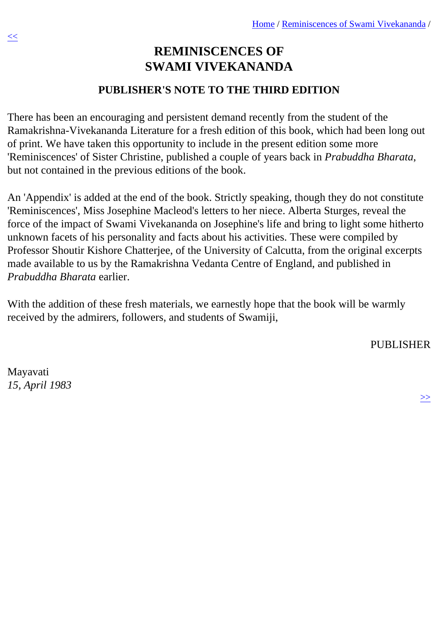## **REMINISCENCES OF SWAMI VIVEKANANDA**

### **PUBLISHER'S NOTE TO THE THIRD EDITION**

<span id="page-6-0"></span>There has been an encouraging and persistent demand recently from the student of the Ramakrishna-Vivekananda Literature for a fresh edition of this book, which had been long out of print. We have taken this opportunity to include in the present edition some more 'Reminiscences' of Sister Christine, published a couple of years back in *Prabuddha Bharata*, but not contained in the previous editions of the book.

An 'Appendix' is added at the end of the book. Strictly speaking, though they do not constitute 'Reminiscences', Miss Josephine Macleod's letters to her niece. Alberta Sturges, reveal the force of the impact of Swami Vivekananda on Josephine's life and bring to light some hitherto unknown facets of his personality and facts about his activities. These were compiled by Professor Shoutir Kishore Chatterjee, of the University of Calcutta, from the original excerpts made available to us by the Ramakrishna Vedanta Centre of England, and published in *Prabuddha Bharata* earlier.

With the addition of these fresh materials, we earnestly hope that the book will be warmly received by the admirers, followers, and students of Swamiji,

PUBLISHER

 $\gg$ 

Mayavati *15, April 1983*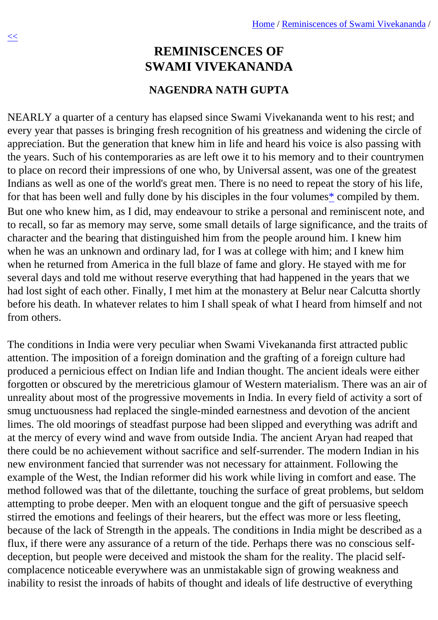### **REMINISCENCES OF SWAMI VIVEKANANDA**

#### **NAGENDRA NATH GUPTA**

<span id="page-7-0"></span>NEARLY a quarter of a century has elapsed since Swami Vivekananda went to his rest; and every year that passes is bringing fresh recognition of his greatness and widening the circle of appreciation. But the generation that knew him in life and heard his voice is also passing with the years. Such of his contemporaries as are left owe it to his memory and to their countrymen to place on record their impressions of one who, by Universal assent, was one of the greatest Indians as well as one of the world's great men. There is no need to repeat the story of his life, for that has been well and fully done by his disciples in the four volumes[\\*](#page-7-0) compiled by them. But one who knew him, as I did, may endeavour to strike a personal and reminiscent note, and to recall, so far as memory may serve, some small details of large significance, and the traits of character and the bearing that distinguished him from the people around him. I knew him when he was an unknown and ordinary lad, for I was at college with him; and I knew him when he returned from America in the full blaze of fame and glory. He stayed with me for several days and told me without reserve everything that had happened in the years that we had lost sight of each other. Finally, I met him at the monastery at Belur near Calcutta shortly before his death. In whatever relates to him I shall speak of what I heard from himself and not from others.

The conditions in India were very peculiar when Swami Vivekananda first attracted public attention. The imposition of a foreign domination and the grafting of a foreign culture had produced a pernicious effect on Indian life and Indian thought. The ancient ideals were either forgotten or obscured by the meretricious glamour of Western materialism. There was an air of unreality about most of the progressive movements in India. In every field of activity a sort of smug unctuousness had replaced the single-minded earnestness and devotion of the ancient limes. The old moorings of steadfast purpose had been slipped and everything was adrift and at the mercy of every wind and wave from outside India. The ancient Aryan had reaped that there could be no achievement without sacrifice and self-surrender. The modern Indian in his new environment fancied that surrender was not necessary for attainment. Following the example of the West, the Indian reformer did his work while living in comfort and ease. The method followed was that of the dilettante, touching the surface of great problems, but seldom attempting to probe deeper. Men with an eloquent tongue and the gift of persuasive speech stirred the emotions and feelings of their hearers, but the effect was more or less fleeting, because of the lack of Strength in the appeals. The conditions in India might be described as a flux, if there were any assurance of a return of the tide. Perhaps there was no conscious selfdeception, but people were deceived and mistook the sham for the reality. The placid selfcomplacence noticeable everywhere was an unmistakable sign of growing weakness and inability to resist the inroads of habits of thought and ideals of life destructive of everything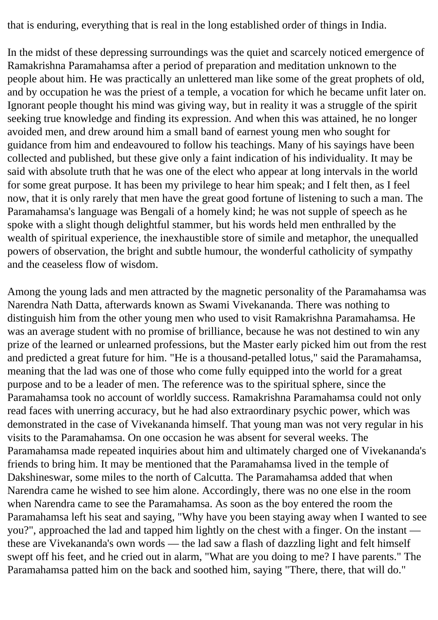that is enduring, everything that is real in the long established order of things in India.

In the midst of these depressing surroundings was the quiet and scarcely noticed emergence of Ramakrishna Paramahamsa after a period of preparation and meditation unknown to the people about him. He was practically an unlettered man like some of the great prophets of old, and by occupation he was the priest of a temple, a vocation for which he became unfit later on. Ignorant people thought his mind was giving way, but in reality it was a struggle of the spirit seeking true knowledge and finding its expression. And when this was attained, he no longer avoided men, and drew around him a small band of earnest young men who sought for guidance from him and endeavoured to follow his teachings. Many of his sayings have been collected and published, but these give only a faint indication of his individuality. It may be said with absolute truth that he was one of the elect who appear at long intervals in the world for some great purpose. It has been my privilege to hear him speak; and I felt then, as I feel now, that it is only rarely that men have the great good fortune of listening to such a man. The Paramahamsa's language was Bengali of a homely kind; he was not supple of speech as he spoke with a slight though delightful stammer, but his words held men enthralled by the wealth of spiritual experience, the inexhaustible store of simile and metaphor, the unequalled powers of observation, the bright and subtle humour, the wonderful catholicity of sympathy and the ceaseless flow of wisdom.

Among the young lads and men attracted by the magnetic personality of the Paramahamsa was Narendra Nath Datta, afterwards known as Swami Vivekananda. There was nothing to distinguish him from the other young men who used to visit Ramakrishna Paramahamsa. He was an average student with no promise of brilliance, because he was not destined to win any prize of the learned or unlearned professions, but the Master early picked him out from the rest and predicted a great future for him. "He is a thousand-petalled lotus," said the Paramahamsa, meaning that the lad was one of those who come fully equipped into the world for a great purpose and to be a leader of men. The reference was to the spiritual sphere, since the Paramahamsa took no account of worldly success. Ramakrishna Paramahamsa could not only read faces with unerring accuracy, but he had also extraordinary psychic power, which was demonstrated in the case of Vivekananda himself. That young man was not very regular in his visits to the Paramahamsa. On one occasion he was absent for several weeks. The Paramahamsa made repeated inquiries about him and ultimately charged one of Vivekananda's friends to bring him. It may be mentioned that the Paramahamsa lived in the temple of Dakshineswar, some miles to the north of Calcutta. The Paramahamsa added that when Narendra came he wished to see him alone. Accordingly, there was no one else in the room when Narendra came to see the Paramahamsa. As soon as the boy entered the room the Paramahamsa left his seat and saying, "Why have you been staying away when I wanted to see you?", approached the lad and tapped him lightly on the chest with a finger. On the instant these are Vivekananda's own words — the lad saw a flash of dazzling light and felt himself swept off his feet, and he cried out in alarm, "What are you doing to me? I have parents." The Paramahamsa patted him on the back and soothed him, saying "There, there, that will do."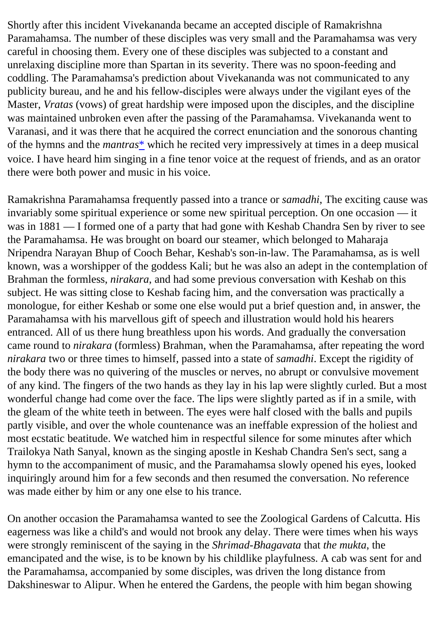Shortly after this incident Vivekananda became an accepted disciple of Ramakrishna Paramahamsa. The number of these disciples was very small and the Paramahamsa was very careful in choosing them. Every one of these disciples was subjected to a constant and unrelaxing discipline more than Spartan in its severity. There was no spoon-feeding and coddling. The Paramahamsa's prediction about Vivekananda was not communicated to any publicity bureau, and he and his fellow-disciples were always under the vigilant eyes of the Master, *Vratas* (vows) of great hardship were imposed upon the disciples, and the discipline was maintained unbroken even after the passing of the Paramahamsa. Vivekananda went to Varanasi, and it was there that he acquired the correct enunciation and the sonorous chanting of the hymns and the *mantras*[\\*](#page-7-0) which he recited very impressively at times in a deep musical voice. I have heard him singing in a fine tenor voice at the request of friends, and as an orator there were both power and music in his voice.

Ramakrishna Paramahamsa frequently passed into a trance or *samadhi*, The exciting cause was invariably some spiritual experience or some new spiritual perception. On one occasion — it was in 1881 — I formed one of a party that had gone with Keshab Chandra Sen by river to see the Paramahamsa. He was brought on board our steamer, which belonged to Maharaja Nripendra Narayan Bhup of Cooch Behar, Keshab's son-in-law. The Paramahamsa, as is well known, was a worshipper of the goddess Kali; but he was also an adept in the contemplation of Brahman the formless, *nirakara*, and had some previous conversation with Keshab on this subject. He was sitting close to Keshab facing him, and the conversation was practically a monologue, for either Keshab or some one else would put a brief question and, in answer, the Paramahamsa with his marvellous gift of speech and illustration would hold his hearers entranced. All of us there hung breathless upon his words. And gradually the conversation came round to *nirakara* (formless) Brahman, when the Paramahamsa, after repeating the word *nirakara* two or three times to himself, passed into a state of *samadhi*. Except the rigidity of the body there was no quivering of the muscles or nerves, no abrupt or convulsive movement of any kind. The fingers of the two hands as they lay in his lap were slightly curled. But a most wonderful change had come over the face. The lips were slightly parted as if in a smile, with the gleam of the white teeth in between. The eyes were half closed with the balls and pupils partly visible, and over the whole countenance was an ineffable expression of the holiest and most ecstatic beatitude. We watched him in respectful silence for some minutes after which Trailokya Nath Sanyal, known as the singing apostle in Keshab Chandra Sen's sect, sang a hymn to the accompaniment of music, and the Paramahamsa slowly opened his eyes, looked inquiringly around him for a few seconds and then resumed the conversation. No reference was made either by him or any one else to his trance.

On another occasion the Paramahamsa wanted to see the Zoological Gardens of Calcutta. His eagerness was like a child's and would not brook any delay. There were times when his ways were strongly reminiscent of the saying in the *Shrimad-Bhagavata* that *the mukta*, the emancipated and the wise, is to be known by his childlike playfulness. A cab was sent for and the Paramahamsa, accompanied by some disciples, was driven the long distance from Dakshineswar to Alipur. When he entered the Gardens, the people with him began showing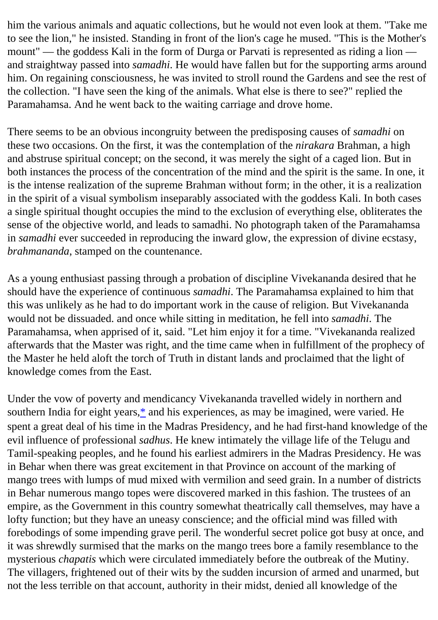him the various animals and aquatic collections, but he would not even look at them. "Take me to see the lion," he insisted. Standing in front of the lion's cage he mused. "This is the Mother's mount" — the goddess Kali in the form of Durga or Parvati is represented as riding a lion and straightway passed into *samadhi*. He would have fallen but for the supporting arms around him. On regaining consciousness, he was invited to stroll round the Gardens and see the rest of the collection. "I have seen the king of the animals. What else is there to see?" replied the Paramahamsa. And he went back to the waiting carriage and drove home.

There seems to be an obvious incongruity between the predisposing causes of *samadhi* on these two occasions. On the first, it was the contemplation of the *nirakara* Brahman, a high and abstruse spiritual concept; on the second, it was merely the sight of a caged lion. But in both instances the process of the concentration of the mind and the spirit is the same. In one, it is the intense realization of the supreme Brahman without form; in the other, it is a realization in the spirit of a visual symbolism inseparably associated with the goddess Kali. In both cases a single spiritual thought occupies the mind to the exclusion of everything else, obliterates the sense of the objective world, and leads to samadhi. No photograph taken of the Paramahamsa in *samadhi* ever succeeded in reproducing the inward glow, the expression of divine ecstasy, *brahmananda*, stamped on the countenance.

As a young enthusiast passing through a probation of discipline Vivekananda desired that he should have the experience of continuous *samadhi*. The Paramahamsa explained to him that this was unlikely as he had to do important work in the cause of religion. But Vivekananda would not be dissuaded. and once while sitting in meditation, he fell into *samadhi*. The Paramahamsa, when apprised of it, said. "Let him enjoy it for a time. "Vivekananda realized afterwards that the Master was right, and the time came when in fulfillment of the prophecy of the Master he held aloft the torch of Truth in distant lands and proclaimed that the light of knowledge comes from the East.

Under the vow of poverty and mendicancy Vivekananda travelled widely in northern and southern India for eight years[,\\*](#page-7-0) and his experiences, as may be imagined, were varied. He spent a great deal of his time in the Madras Presidency, and he had first-hand knowledge of the evil influence of professional *sadhus*. He knew intimately the village life of the Telugu and Tamil-speaking peoples, and he found his earliest admirers in the Madras Presidency. He was in Behar when there was great excitement in that Province on account of the marking of mango trees with lumps of mud mixed with vermilion and seed grain. In a number of districts in Behar numerous mango topes were discovered marked in this fashion. The trustees of an empire, as the Government in this country somewhat theatrically call themselves, may have a lofty function; but they have an uneasy conscience; and the official mind was filled with forebodings of some impending grave peril. The wonderful secret police got busy at once, and it was shrewdly surmised that the marks on the mango trees bore a family resemblance to the mysterious *chapatis* which were circulated immediately before the outbreak of the Mutiny. The villagers, frightened out of their wits by the sudden incursion of armed and unarmed, but not the less terrible on that account, authority in their midst, denied all knowledge of the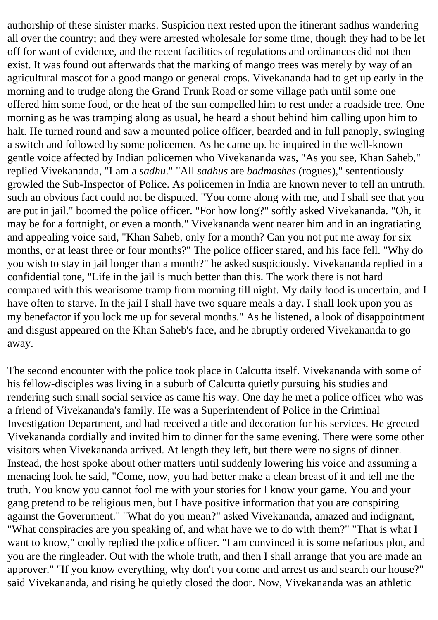authorship of these sinister marks. Suspicion next rested upon the itinerant sadhus wandering all over the country; and they were arrested wholesale for some time, though they had to be let off for want of evidence, and the recent facilities of regulations and ordinances did not then exist. It was found out afterwards that the marking of mango trees was merely by way of an agricultural mascot for a good mango or general crops. Vivekananda had to get up early in the morning and to trudge along the Grand Trunk Road or some village path until some one offered him some food, or the heat of the sun compelled him to rest under a roadside tree. One morning as he was tramping along as usual, he heard a shout behind him calling upon him to halt. He turned round and saw a mounted police officer, bearded and in full panoply, swinging a switch and followed by some policemen. As he came up. he inquired in the well-known gentle voice affected by Indian policemen who Vivekananda was, "As you see, Khan Saheb," replied Vivekananda, "I am a *sadhu*." "All *sadhus* are *badmashes* (rogues)," sententiously growled the Sub-Inspector of Police. As policemen in India are known never to tell an untruth. such an obvious fact could not be disputed. "You come along with me, and I shall see that you are put in jail." boomed the police officer. "For how long?" softly asked Vivekananda. "Oh, it may be for a fortnight, or even a month." Vivekananda went nearer him and in an ingratiating and appealing voice said, "Khan Saheb, only for a month? Can you not put me away for six months, or at least three or four months?" The police officer stared, and his face fell. "Why do you wish to stay in jail longer than a month?" he asked suspiciously. Vivekananda replied in a confidential tone, "Life in the jail is much better than this. The work there is not hard compared with this wearisome tramp from morning till night. My daily food is uncertain, and I have often to starve. In the jail I shall have two square meals a day. I shall look upon you as my benefactor if you lock me up for several months." As he listened, a look of disappointment and disgust appeared on the Khan Saheb's face, and he abruptly ordered Vivekananda to go away.

The second encounter with the police took place in Calcutta itself. Vivekananda with some of his fellow-disciples was living in a suburb of Calcutta quietly pursuing his studies and rendering such small social service as came his way. One day he met a police officer who was a friend of Vivekananda's family. He was a Superintendent of Police in the Criminal Investigation Department, and had received a title and decoration for his services. He greeted Vivekananda cordially and invited him to dinner for the same evening. There were some other visitors when Vivekananda arrived. At length they left, but there were no signs of dinner. Instead, the host spoke about other matters until suddenly lowering his voice and assuming a menacing look he said, "Come, now, you had better make a clean breast of it and tell me the truth. You know you cannot fool me with your stories for I know your game. You and your gang pretend to be religious men, but I have positive information that you are conspiring against the Government." "What do you mean?" asked Vivekananda, amazed and indignant, "What conspiracies are you speaking of, and what have we to do with them?" "That is what I want to know," coolly replied the police officer. "I am convinced it is some nefarious plot, and you are the ringleader. Out with the whole truth, and then I shall arrange that you are made an approver." "If you know everything, why don't you come and arrest us and search our house?" said Vivekananda, and rising he quietly closed the door. Now, Vivekananda was an athletic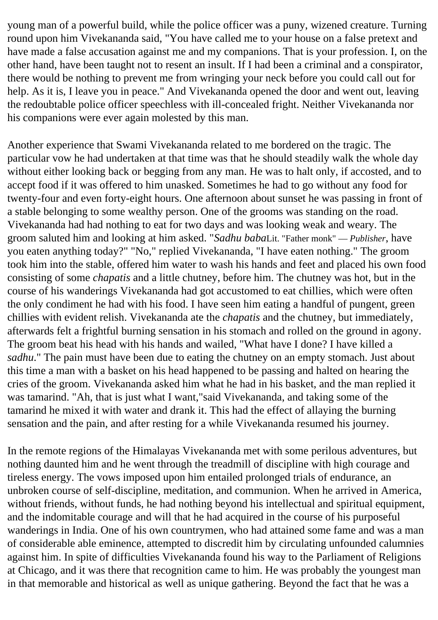young man of a powerful build, while the police officer was a puny, wizened creature. Turning round upon him Vivekananda said, "You have called me to your house on a false pretext and have made a false accusation against me and my companions. That is your profession. I, on the other hand, have been taught not to resent an insult. If I had been a criminal and a conspirator, there would be nothing to prevent me from wringing your neck before you could call out for help. As it is, I leave you in peace." And Vivekananda opened the door and went out, leaving the redoubtable police officer speechless with ill-concealed fright. Neither Vivekananda nor his companions were ever again molested by this man.

Another experience that Swami Vivekananda related to me bordered on the tragic. The particular vow he had undertaken at that time was that he should steadily walk the whole day without either looking back or begging from any man. He was to halt only, if accosted, and to accept food if it was offered to him unasked. Sometimes he had to go without any food for twenty-four and even forty-eight hours. One afternoon about sunset he was passing in front of a stable belonging to some wealthy person. One of the grooms was standing on the road. Vivekananda had had nothing to eat for two days and was looking weak and weary. The groom saluted him and looking at him asked. "*Sadhu baba*Lit. "Father monk" — *Publisher*, have you eaten anything today?" "No," replied Vivekananda, "I have eaten nothing." The groom took him into the stable, offered him water to wash his hands and feet and placed his own food consisting of some *chapatis* and a little chutney, before him. The chutney was hot, but in the course of his wanderings Vivekananda had got accustomed to eat chillies, which were often the only condiment he had with his food. I have seen him eating a handful of pungent, green chillies with evident relish. Vivekananda ate the *chapatis* and the chutney, but immediately, afterwards felt a frightful burning sensation in his stomach and rolled on the ground in agony. The groom beat his head with his hands and wailed, "What have I done? I have killed a *sadhu*." The pain must have been due to eating the chutney on an empty stomach. Just about this time a man with a basket on his head happened to be passing and halted on hearing the cries of the groom. Vivekananda asked him what he had in his basket, and the man replied it was tamarind. "Ah, that is just what I want,"said Vivekananda, and taking some of the tamarind he mixed it with water and drank it. This had the effect of allaying the burning sensation and the pain, and after resting for a while Vivekananda resumed his journey.

In the remote regions of the Himalayas Vivekananda met with some perilous adventures, but nothing daunted him and he went through the treadmill of discipline with high courage and tireless energy. The vows imposed upon him entailed prolonged trials of endurance, an unbroken course of self-discipline, meditation, and communion. When he arrived in America, without friends, without funds, he had nothing beyond his intellectual and spiritual equipment, and the indomitable courage and will that he had acquired in the course of his purposeful wanderings in India. One of his own countrymen, who had attained some fame and was a man of considerable able eminence, attempted to discredit him by circulating unfounded calumnies against him. In spite of difficulties Vivekananda found his way to the Parliament of Religions at Chicago, and it was there that recognition came to him. He was probably the youngest man in that memorable and historical as well as unique gathering. Beyond the fact that he was a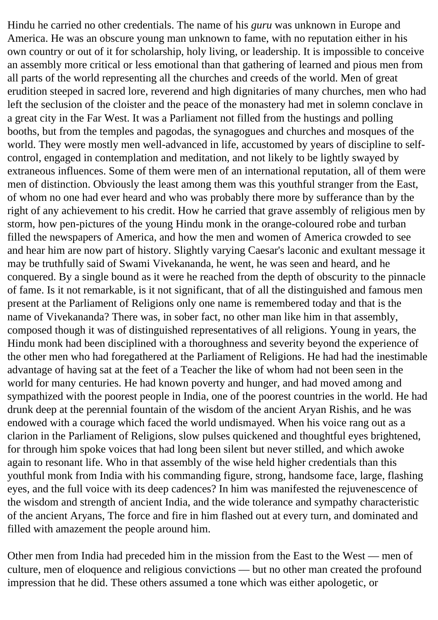Hindu he carried no other credentials. The name of his *guru* was unknown in Europe and America. He was an obscure young man unknown to fame, with no reputation either in his own country or out of it for scholarship, holy living, or leadership. It is impossible to conceive an assembly more critical or less emotional than that gathering of learned and pious men from all parts of the world representing all the churches and creeds of the world. Men of great erudition steeped in sacred lore, reverend and high dignitaries of many churches, men who had left the seclusion of the cloister and the peace of the monastery had met in solemn conclave in a great city in the Far West. It was a Parliament not filled from the hustings and polling booths, but from the temples and pagodas, the synagogues and churches and mosques of the world. They were mostly men well-advanced in life, accustomed by years of discipline to selfcontrol, engaged in contemplation and meditation, and not likely to be lightly swayed by extraneous influences. Some of them were men of an international reputation, all of them were men of distinction. Obviously the least among them was this youthful stranger from the East, of whom no one had ever heard and who was probably there more by sufferance than by the right of any achievement to his credit. How he carried that grave assembly of religious men by storm, how pen-pictures of the young Hindu monk in the orange-coloured robe and turban filled the newspapers of America, and how the men and women of America crowded to see and hear him are now part of history. Slightly varying Caesar's laconic and exultant message it may be truthfully said of Swami Vivekananda, he went, he was seen and heard, and he conquered. By a single bound as it were he reached from the depth of obscurity to the pinnacle of fame. Is it not remarkable, is it not significant, that of all the distinguished and famous men present at the Parliament of Religions only one name is remembered today and that is the name of Vivekananda? There was, in sober fact, no other man like him in that assembly, composed though it was of distinguished representatives of all religions. Young in years, the Hindu monk had been disciplined with a thoroughness and severity beyond the experience of the other men who had foregathered at the Parliament of Religions. He had had the inestimable advantage of having sat at the feet of a Teacher the like of whom had not been seen in the world for many centuries. He had known poverty and hunger, and had moved among and sympathized with the poorest people in India, one of the poorest countries in the world. He had drunk deep at the perennial fountain of the wisdom of the ancient Aryan Rishis, and he was endowed with a courage which faced the world undismayed. When his voice rang out as a clarion in the Parliament of Religions, slow pulses quickened and thoughtful eyes brightened, for through him spoke voices that had long been silent but never stilled, and which awoke again to resonant life. Who in that assembly of the wise held higher credentials than this youthful monk from India with his commanding figure, strong, handsome face, large, flashing eyes, and the full voice with its deep cadences? In him was manifested the rejuvenescence of the wisdom and strength of ancient India, and the wide tolerance and sympathy characteristic of the ancient Aryans, The force and fire in him flashed out at every turn, and dominated and filled with amazement the people around him.

Other men from India had preceded him in the mission from the East to the West — men of culture, men of eloquence and religious convictions — but no other man created the profound impression that he did. These others assumed a tone which was either apologetic, or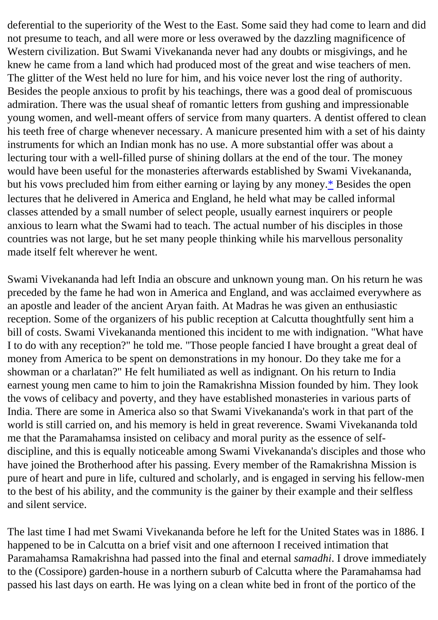deferential to the superiority of the West to the East. Some said they had come to learn and did not presume to teach, and all were more or less overawed by the dazzling magnificence of Western civilization. But Swami Vivekananda never had any doubts or misgivings, and he knew he came from a land which had produced most of the great and wise teachers of men. The glitter of the West held no lure for him, and his voice never lost the ring of authority. Besides the people anxious to profit by his teachings, there was a good deal of promiscuous admiration. There was the usual sheaf of romantic letters from gushing and impressionable young women, and well-meant offers of service from many quarters. A dentist offered to clean his teeth free of charge whenever necessary. A manicure presented him with a set of his dainty instruments for which an Indian monk has no use. A more substantial offer was about a lecturing tour with a well-filled purse of shining dollars at the end of the tour. The money would have been useful for the monasteries afterwards established by Swami Vivekananda, but his vows precluded him from either earning or laying by any money[.\\*](#page-7-0) Besides the open lectures that he delivered in America and England, he held what may be called informal classes attended by a small number of select people, usually earnest inquirers or people anxious to learn what the Swami had to teach. The actual number of his disciples in those countries was not large, but he set many people thinking while his marvellous personality made itself felt wherever he went.

Swami Vivekananda had left India an obscure and unknown young man. On his return he was preceded by the fame he had won in America and England, and was acclaimed everywhere as an apostle and leader of the ancient Aryan faith. At Madras he was given an enthusiastic reception. Some of the organizers of his public reception at Calcutta thoughtfully sent him a bill of costs. Swami Vivekananda mentioned this incident to me with indignation. "What have I to do with any reception?" he told me. "Those people fancied I have brought a great deal of money from America to be spent on demonstrations in my honour. Do they take me for a showman or a charlatan?" He felt humiliated as well as indignant. On his return to India earnest young men came to him to join the Ramakrishna Mission founded by him. They look the vows of celibacy and poverty, and they have established monasteries in various parts of India. There are some in America also so that Swami Vivekananda's work in that part of the world is still carried on, and his memory is held in great reverence. Swami Vivekananda told me that the Paramahamsa insisted on celibacy and moral purity as the essence of selfdiscipline, and this is equally noticeable among Swami Vivekananda's disciples and those who have joined the Brotherhood after his passing. Every member of the Ramakrishna Mission is pure of heart and pure in life, cultured and scholarly, and is engaged in serving his fellow-men to the best of his ability, and the community is the gainer by their example and their selfless and silent service.

The last time I had met Swami Vivekananda before he left for the United States was in 1886. I happened to be in Calcutta on a brief visit and one afternoon I received intimation that Paramahamsa Ramakrishna had passed into the final and eternal *samadhi*. I drove immediately to the (Cossipore) garden-house in a northern suburb of Calcutta where the Paramahamsa had passed his last days on earth. He was lying on a clean white bed in front of the portico of the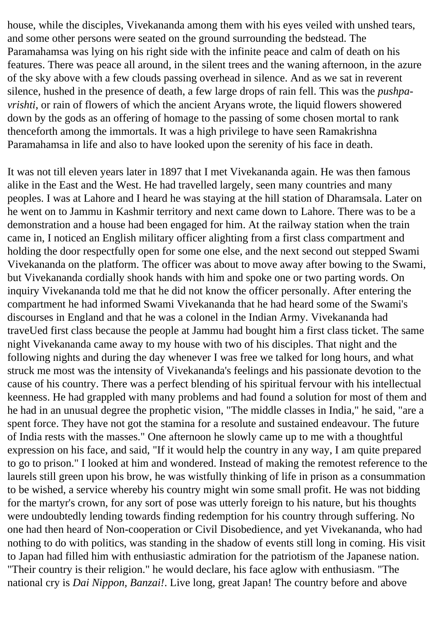house, while the disciples, Vivekananda among them with his eyes veiled with unshed tears, and some other persons were seated on the ground surrounding the bedstead. The Paramahamsa was lying on his right side with the infinite peace and calm of death on his features. There was peace all around, in the silent trees and the waning afternoon, in the azure of the sky above with a few clouds passing overhead in silence. And as we sat in reverent silence, hushed in the presence of death, a few large drops of rain fell. This was the *pushpavrishti*, or rain of flowers of which the ancient Aryans wrote, the liquid flowers showered down by the gods as an offering of homage to the passing of some chosen mortal to rank thenceforth among the immortals. It was a high privilege to have seen Ramakrishna Paramahamsa in life and also to have looked upon the serenity of his face in death.

It was not till eleven years later in 1897 that I met Vivekananda again. He was then famous alike in the East and the West. He had travelled largely, seen many countries and many peoples. I was at Lahore and I heard he was staying at the hill station of Dharamsala. Later on he went on to Jammu in Kashmir territory and next came down to Lahore. There was to be a demonstration and a house had been engaged for him. At the railway station when the train came in, I noticed an English military officer alighting from a first class compartment and holding the door respectfully open for some one else, and the next second out stepped Swami Vivekananda on the platform. The officer was about to move away after bowing to the Swami, but Vivekananda cordially shook hands with him and spoke one or two parting words. On inquiry Vivekananda told me that he did not know the officer personally. After entering the compartment he had informed Swami Vivekananda that he had heard some of the Swami's discourses in England and that he was a colonel in the Indian Army. Vivekananda had traveUed first class because the people at Jammu had bought him a first class ticket. The same night Vivekananda came away to my house with two of his disciples. That night and the following nights and during the day whenever I was free we talked for long hours, and what struck me most was the intensity of Vivekananda's feelings and his passionate devotion to the cause of his country. There was a perfect blending of his spiritual fervour with his intellectual keenness. He had grappled with many problems and had found a solution for most of them and he had in an unusual degree the prophetic vision, "The middle classes in India," he said, "are a spent force. They have not got the stamina for a resolute and sustained endeavour. The future of India rests with the masses." One afternoon he slowly came up to me with a thoughtful expression on his face, and said, "If it would help the country in any way, I am quite prepared to go to prison." I looked at him and wondered. Instead of making the remotest reference to the laurels still green upon his brow, he was wistfully thinking of life in prison as a consummation to be wished, a service whereby his country might win some small profit. He was not bidding for the martyr's crown, for any sort of pose was utterly foreign to his nature, but his thoughts were undoubtedly lending towards finding redemption for his country through suffering. No one had then heard of Non-cooperation or Civil Disobedience, and yet Vivekananda, who had nothing to do with politics, was standing in the shadow of events still long in coming. His visit to Japan had filled him with enthusiastic admiration for the patriotism of the Japanese nation. "Their country is their religion." he would declare, his face aglow with enthusiasm. "The national cry is *Dai Nippon, Banzai!*. Live long, great Japan! The country before and above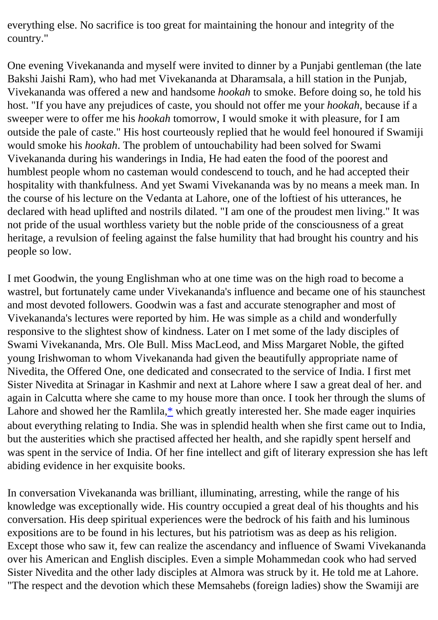everything else. No sacrifice is too great for maintaining the honour and integrity of the country."

One evening Vivekananda and myself were invited to dinner by a Punjabi gentleman (the late Bakshi Jaishi Ram), who had met Vivekananda at Dharamsala, a hill station in the Punjab, Vivekananda was offered a new and handsome *hookah* to smoke. Before doing so, he told his host. "If you have any prejudices of caste, you should not offer me your *hookah*, because if a sweeper were to offer me his *hookah* tomorrow, I would smoke it with pleasure, for I am outside the pale of caste." His host courteously replied that he would feel honoured if Swamiji would smoke his *hookah*. The problem of untouchability had been solved for Swami Vivekananda during his wanderings in India, He had eaten the food of the poorest and humblest people whom no casteman would condescend to touch, and he had accepted their hospitality with thankfulness. And yet Swami Vivekananda was by no means a meek man. In the course of his lecture on the Vedanta at Lahore, one of the loftiest of his utterances, he declared with head uplifted and nostrils dilated. "I am one of the proudest men living." It was not pride of the usual worthless variety but the noble pride of the consciousness of a great heritage, a revulsion of feeling against the false humility that had brought his country and his people so low.

I met Goodwin, the young Englishman who at one time was on the high road to become a wastrel, but fortunately came under Vivekananda's influence and became one of his staunchest and most devoted followers. Goodwin was a fast and accurate stenographer and most of Vivekananda's lectures were reported by him. He was simple as a child and wonderfully responsive to the slightest show of kindness. Later on I met some of the lady disciples of Swami Vivekananda, Mrs. Ole Bull. Miss MacLeod, and Miss Margaret Noble, the gifted young Irishwoman to whom Vivekananda had given the beautifully appropriate name of Nivedita, the Offered One, one dedicated and consecrated to the service of India. I first met Sister Nivedita at Srinagar in Kashmir and next at Lahore where I saw a great deal of her. and again in Calcutta where she came to my house more than once. I took her through the slums of Lahore and showed her the Ramlila[,\\*](#page-7-0) which greatly interested her. She made eager inquiries about everything relating to India. She was in splendid health when she first came out to India, but the austerities which she practised affected her health, and she rapidly spent herself and was spent in the service of India. Of her fine intellect and gift of literary expression she has left abiding evidence in her exquisite books.

In conversation Vivekananda was brilliant, illuminating, arresting, while the range of his knowledge was exceptionally wide. His country occupied a great deal of his thoughts and his conversation. His deep spiritual experiences were the bedrock of his faith and his luminous expositions are to be found in his lectures, but his patriotism was as deep as his religion. Except those who saw it, few can realize the ascendancy and influence of Swami Vivekananda over his American and English disciples. Even a simple Mohammedan cook who had served Sister Nivedita and the other lady disciples at Almora was struck by it. He told me at Lahore. "The respect and the devotion which these Memsahebs (foreign ladies) show the Swamiji are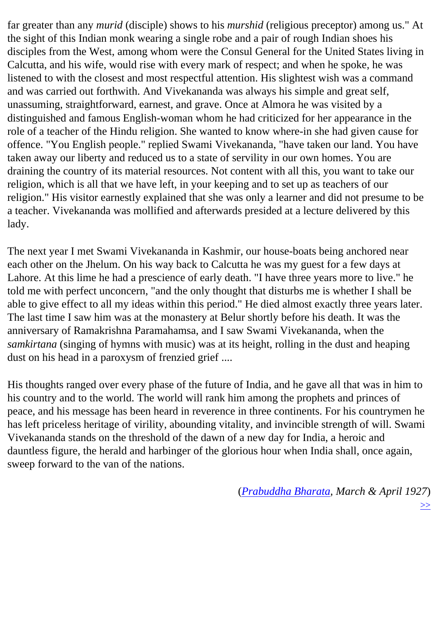far greater than any *murid* (disciple) shows to his *murshid* (religious preceptor) among us." At the sight of this Indian monk wearing a single robe and a pair of rough Indian shoes his disciples from the West, among whom were the Consul General for the United States living in Calcutta, and his wife, would rise with every mark of respect; and when he spoke, he was listened to with the closest and most respectful attention. His slightest wish was a command and was carried out forthwith. And Vivekananda was always his simple and great self, unassuming, straightforward, earnest, and grave. Once at Almora he was visited by a distinguished and famous English-woman whom he had criticized for her appearance in the role of a teacher of the Hindu religion. She wanted to know where-in she had given cause for offence. "You English people." replied Swami Vivekananda, "have taken our land. You have taken away our liberty and reduced us to a state of servility in our own homes. You are draining the country of its material resources. Not content with all this, you want to take our religion, which is all that we have left, in your keeping and to set up as teachers of our religion." His visitor earnestly explained that she was only a learner and did not presume to be a teacher. Vivekananda was mollified and afterwards presided at a lecture delivered by this lady.

The next year I met Swami Vivekananda in Kashmir, our house-boats being anchored near each other on the Jhelum. On his way back to Calcutta he was my guest for a few days at Lahore. At this lime he had a prescience of early death. "I have three years more to live." he told me with perfect unconcern, "and the only thought that disturbs me is whether I shall be able to give effect to all my ideas within this period." He died almost exactly three years later. The last time I saw him was at the monastery at Belur shortly before his death. It was the anniversary of Ramakrishna Paramahamsa, and I saw Swami Vivekananda, when the *samkirtana* (singing of hymns with music) was at its height, rolling in the dust and heaping dust on his head in a paroxysm of frenzied grief ....

His thoughts ranged over every phase of the future of India, and he gave all that was in him to his country and to the world. The world will rank him among the prophets and princes of peace, and his message has been heard in reverence in three continents. For his countrymen he has left priceless heritage of virility, abounding vitality, and invincible strength of will. Swami Vivekananda stands on the threshold of the dawn of a new day for India, a heroic and dauntless figure, the herald and harbinger of the glorious hour when India shall, once again, sweep forward to the van of the nations.

> (*[Prabuddha Bharata,](http://www.advaitaashrama.org/prabuddha_bharata.html) March & April 1927*)  $\geq$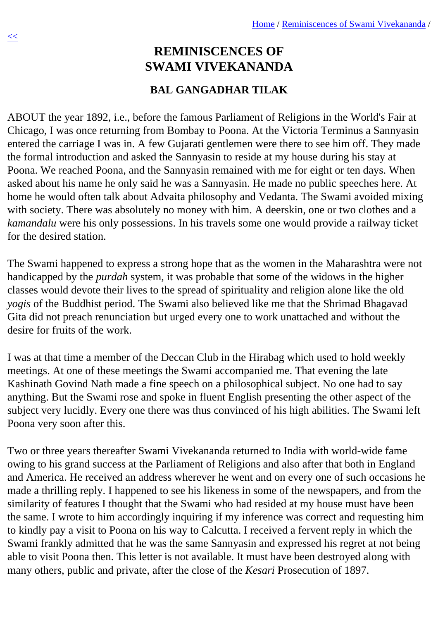## **REMINISCENCES OF SWAMI VIVEKANANDA**

### **BAL GANGADHAR TILAK**

<span id="page-18-0"></span>ABOUT the year 1892, i.e., before the famous Parliament of Religions in the World's Fair at Chicago, I was once returning from Bombay to Poona. At the Victoria Terminus a Sannyasin entered the carriage I was in. A few Gujarati gentlemen were there to see him off. They made the formal introduction and asked the Sannyasin to reside at my house during his stay at Poona. We reached Poona, and the Sannyasin remained with me for eight or ten days. When asked about his name he only said he was a Sannyasin. He made no public speeches here. At home he would often talk about Advaita philosophy and Vedanta. The Swami avoided mixing with society. There was absolutely no money with him. A deerskin, one or two clothes and a *kamandalu* were his only possessions. In his travels some one would provide a railway ticket for the desired station.

The Swami happened to express a strong hope that as the women in the Maharashtra were not handicapped by the *purdah* system, it was probable that some of the widows in the higher classes would devote their lives to the spread of spirituality and religion alone like the old *yogis* of the Buddhist period. The Swami also believed like me that the Shrimad Bhagavad Gita did not preach renunciation but urged every one to work unattached and without the desire for fruits of the work.

I was at that time a member of the Deccan Club in the Hirabag which used to hold weekly meetings. At one of these meetings the Swami accompanied me. That evening the late Kashinath Govind Nath made a fine speech on a philosophical subject. No one had to say anything. But the Swami rose and spoke in fluent English presenting the other aspect of the subject very lucidly. Every one there was thus convinced of his high abilities. The Swami left Poona very soon after this.

Two or three years thereafter Swami Vivekananda returned to India with world-wide fame owing to his grand success at the Parliament of Religions and also after that both in England and America. He received an address wherever he went and on every one of such occasions he made a thrilling reply. I happened to see his likeness in some of the newspapers, and from the similarity of features I thought that the Swami who had resided at my house must have been the same. I wrote to him accordingly inquiring if my inference was correct and requesting him to kindly pay a visit to Poona on his way to Calcutta. I received a fervent reply in which the Swami frankly admitted that he was the same Sannyasin and expressed his regret at not being able to visit Poona then. This letter is not available. It must have been destroyed along with many others, public and private, after the close of the *Kesari* Prosecution of 1897.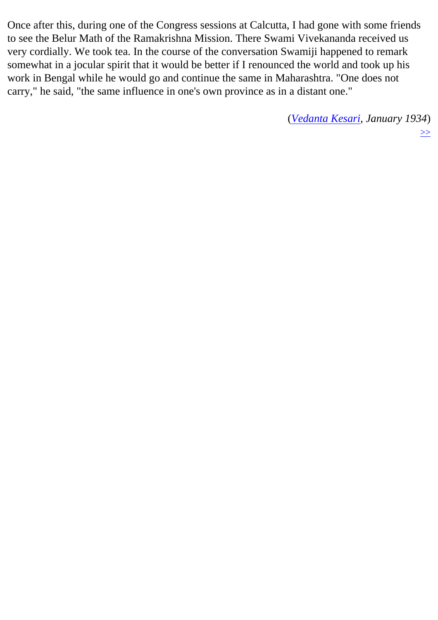Once after this, during one of the Congress sessions at Calcutta, I had gone with some friends to see the Belur Math of the Ramakrishna Mission. There Swami Vivekananda received us very cordially. We took tea. In the course of the conversation Swamiji happened to remark somewhat in a jocular spirit that it would be better if I renounced the world and took up his work in Bengal while he would go and continue the same in Maharashtra. "One does not carry," he said, "the same influence in one's own province as in a distant one."

> (*[Vedanta Kesari,](http://www.sriramakrishnamath.org/Magazine/magazineenglish.aspx?id=Eng) January 1934*)  $\geq$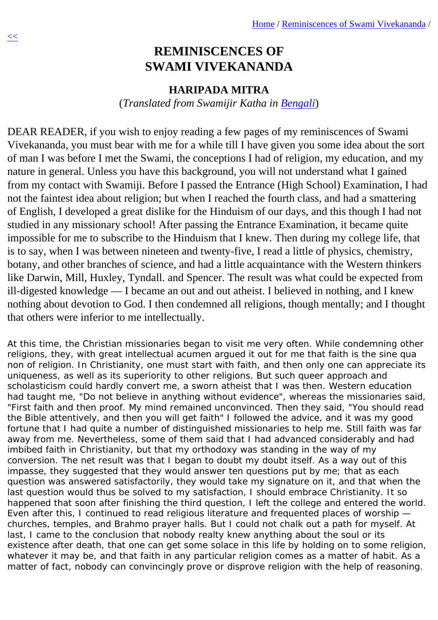### **REMINISCENCES OF SWAMI VIVEKANANDA**

#### **HARIPADA MITRA**

(*Translated from Swamijir Katha in [Bengali](http://www.ramakrishnavivekananda.info/reminiscences/hm_b6_232.pdf)*)

DEAR READER, if you wish to enjoy reading a few pages of my reminiscences of Swami Vivekananda, you must bear with me for a while till I have given you some idea about the sort of man I was before I met the Swami, the conceptions I had of religion, my education, and my nature in general. Unless you have this background, you will not understand what I gained from my contact with Swamiji. Before I passed the Entrance (High School) Examination, I had not the faintest idea about religion; but when I reached the fourth class, and had a smattering of English, I developed a great dislike for the Hinduism of our days, and this though I had not studied in any missionary school! After passing the Entrance Examination, it became quite impossible for me to subscribe to the Hinduism that I knew. Then during my college life, that is to say, when I was between nineteen and twenty-five, I read a little of physics, chemistry, botany, and other branches of science, and had a little acquaintance with the Western thinkers like Darwin, Mill, Huxley, Tyndall. and Spencer. The result was what could be expected from ill-digested knowledge — I became an out and out atheist. I believed in nothing, and I knew nothing about devotion to God. I then condemned all religions, though mentally; and I thought that others were inferior to me intellectually.

At this time, the Christian missionaries began to visit me very often. While condemning other religions, they, with great intellectual acumen argued it out for me that faith is the *sine qua non* of religion. In Christianity, one must start with faith, and then only one can appreciate its uniqueness, as well as its superiority to other religions. But such queer approach and scholasticism could hardly convert me, a sworn atheist that I was then. Western education had taught me, "Do not believe in anything without evidence", whereas the missionaries said, "First faith and then proof. My mind remained unconvinced. Then they said, "You should read the Bible attentively, and then you will get faith" I followed the advice, and it was my good fortune that I had quite a number of distinguished missionaries to help me. Still faith was far away from me. Nevertheless, some of them said that I had advanced considerably and had imbibed faith in Christianity, but that my orthodoxy was standing in the way of my conversion. The net result was that I began to doubt my doubt itself. As a way out of this impasse, they suggested that they would answer ten questions put by me; that as each question was answered satisfactorily, they would take my signature on it, and that when the last question would thus be solved to my satisfaction, I should embrace Christianity. It so happened that soon after finishing the third question, I left the college and entered the world. Even after this, I continued to read religious literature and frequented places of worship churches, temples, and Brahmo prayer halls. But I could not chalk out a path for myself. At last, I came to the conclusion that nobody realty knew anything about the soul or its existence after death, that one can get some solace in this life by holding on to some religion, whatever it may be, and that faith in any particular religion comes as a matter of habit. As a matter of fact, nobody can convincingly prove or disprove religion with the help of reasoning.

<span id="page-20-0"></span> $<<$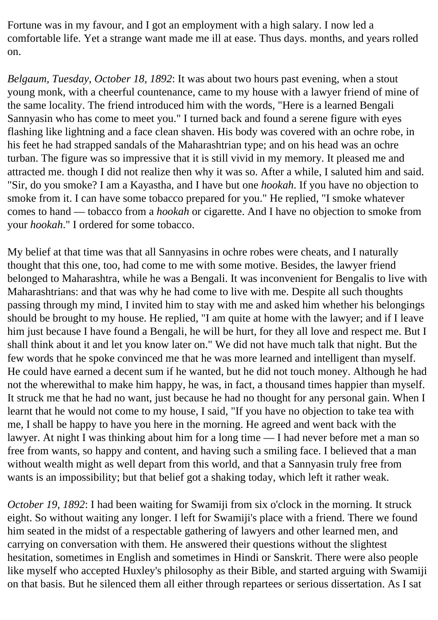Fortune was in my favour, and I got an employment with a high salary. I now led a comfortable life. Yet a strange want made me ill at ease. Thus days. months, and years rolled on.

*Belgaum, Tuesday, October 18, 1892*: It was about two hours past evening, when a stout young monk, with a cheerful countenance, came to my house with a lawyer friend of mine of the same locality. The friend introduced him with the words, "Here is a learned Bengali Sannyasin who has come to meet you." I turned back and found a serene figure with eyes flashing like lightning and a face clean shaven. His body was covered with an ochre robe, in his feet he had strapped sandals of the Maharashtrian type; and on his head was an ochre turban. The figure was so impressive that it is still vivid in my memory. It pleased me and attracted me. though I did not realize then why it was so. After a while, I saluted him and said. "Sir, do you smoke? I am a Kayastha, and I have but one *hookah*. If you have no objection to smoke from it. I can have some tobacco prepared for you." He replied, "I smoke whatever comes to hand — tobacco from a *hookah* or cigarette. And I have no objection to smoke from your *hookah*." I ordered for some tobacco.

My belief at that time was that all Sannyasins in ochre robes were cheats, and I naturally thought that this one, too, had come to me with some motive. Besides, the lawyer friend belonged to Maharashtra, while he was a Bengali. It was inconvenient for Bengalis to live with Maharashtrians: and that was why he had come to live with me. Despite all such thoughts passing through my mind, I invited him to stay with me and asked him whether his belongings should be brought to my house. He replied, "I am quite at home with the lawyer; and if I leave him just because I have found a Bengali, he will be hurt, for they all love and respect me. But I shall think about it and let you know later on." We did not have much talk that night. But the few words that he spoke convinced me that he was more learned and intelligent than myself. He could have earned a decent sum if he wanted, but he did not touch money. Although he had not the wherewithal to make him happy, he was, in fact, a thousand times happier than myself. It struck me that he had no want, just because he had no thought for any personal gain. When I learnt that he would not come to my house, I said, "If you have no objection to take tea with me, I shall be happy to have you here in the morning. He agreed and went back with the lawyer. At night I was thinking about him for a long time — I had never before met a man so free from wants, so happy and content, and having such a smiling face. I believed that a man without wealth might as well depart from this world, and that a Sannyasin truly free from wants is an impossibility; but that belief got a shaking today, which left it rather weak.

*October 19, 1892*: I had been waiting for Swamiji from six o'clock in the morning. It struck eight. So without waiting any longer. I left for Swamiji's place with a friend. There we found him seated in the midst of a respectable gathering of lawyers and other learned men, and carrying on conversation with them. He answered their questions without the slightest hesitation, sometimes in English and sometimes in Hindi or Sanskrit. There were also people like myself who accepted Huxley's philosophy as their Bible, and started arguing with Swamiji on that basis. But he silenced them all either through repartees or serious dissertation. As I sat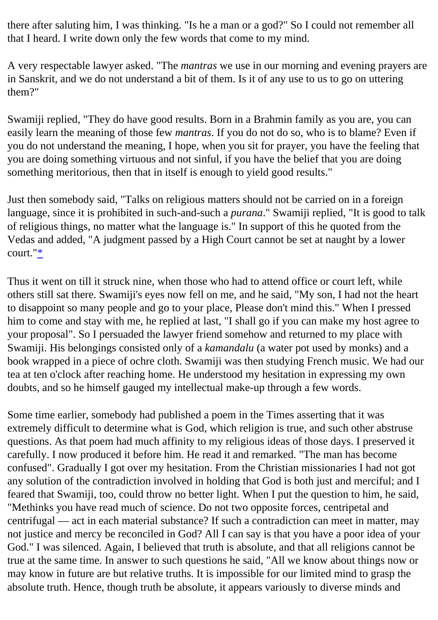there after saluting him, I was thinking. "Is he a man or a god?" So I could not remember all that I heard. I write down only the few words that come to my mind.

A very respectable lawyer asked. "The *mantras* we use in our morning and evening prayers are in Sanskrit, and we do not understand a bit of them. Is it of any use to us to go on uttering them?"

Swamiji replied, "They do have good results. Born in a Brahmin family as you are, you can easily learn the meaning of those few *mantras*. If you do not do so, who is to blame? Even if you do not understand the meaning, I hope, when you sit for prayer, you have the feeling that you are doing something virtuous and not sinful, if you have the belief that you are doing something meritorious, then that in itself is enough to yield good results."

Just then somebody said, "Talks on religious matters should not be carried on in a foreign language, since it is prohibited in such-and-such a *purana*." Swamiji replied, "It is good to talk of religious things, no matter what the language is." In support of this he quoted from the Vedas and added, "A judgment passed by a High Court cannot be set at naught by a lower court."[\\*](#page-20-0)

Thus it went on till it struck nine, when those who had to attend office or court left, while others still sat there. Swamiji's eyes now fell on me, and he said, "My son, I had not the heart to disappoint so many people and go to your place, Please don't mind this." When I pressed him to come and stay with me, he replied at last, "I shall go if you can make my host agree to your proposal". So I persuaded the lawyer friend somehow and returned to my place with Swamiji. His belongings consisted only of a *kamandalu* (a water pot used by monks) and a book wrapped in a piece of ochre cloth. Swamiji was then studying French music. We had our tea at ten o'clock after reaching home. He understood my hesitation in expressing my own doubts, and so he himself gauged my intellectual make-up through a few words.

Some time earlier, somebody had published a poem in the Times asserting that it was extremely difficult to determine what is God, which religion is true, and such other abstruse questions. As that poem had much affinity to my religious ideas of those days. I preserved it carefully. I now produced it before him. He read it and remarked. "The man has become confused". Gradually I got over my hesitation. From the Christian missionaries I had not got any solution of the contradiction involved in holding that God is both just and merciful; and I feared that Swamiji, too, could throw no better light. When I put the question to him, he said, "Methinks you have read much of science. Do not two opposite forces, centripetal and centrifugal — act in each material substance? If such a contradiction can meet in matter, may not justice and mercy be reconciled in God? All I can say is that you have a poor idea of your God." I was silenced. Again, I believed that truth is absolute, and that all religions cannot be true at the same time. In answer to such questions he said, "All we know about things now or may know in future are but relative truths. It is impossible for our limited mind to grasp the absolute truth. Hence, though truth be absolute, it appears variously to diverse minds and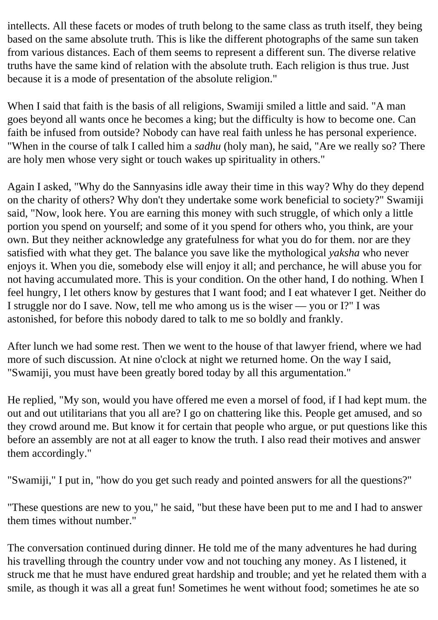intellects. All these facets or modes of truth belong to the same class as truth itself, they being based on the same absolute truth. This is like the different photographs of the same sun taken from various distances. Each of them seems to represent a different sun. The diverse relative truths have the same kind of relation with the absolute truth. Each religion is thus true. Just because it is a mode of presentation of the absolute religion."

When I said that faith is the basis of all religions, Swamiji smiled a little and said. "A man goes beyond all wants once he becomes a king; but the difficulty is how to become one. Can faith be infused from outside? Nobody can have real faith unless he has personal experience. "When in the course of talk I called him a *sadhu* (holy man), he said, "Are we really so? There are holy men whose very sight or touch wakes up spirituality in others."

Again I asked, "Why do the Sannyasins idle away their time in this way? Why do they depend on the charity of others? Why don't they undertake some work beneficial to society?" Swamiji said, "Now, look here. You are earning this money with such struggle, of which only a little portion you spend on yourself; and some of it you spend for others who, you think, are your own. But they neither acknowledge any gratefulness for what you do for them. nor are they satisfied with what they get. The balance you save like the mythological *yaksha* who never enjoys it. When you die, somebody else will enjoy it all; and perchance, he will abuse you for not having accumulated more. This is your condition. On the other hand, I do nothing. When I feel hungry, I let others know by gestures that I want food; and I eat whatever I get. Neither do I struggle nor do I save. Now, tell me who among us is the wiser — you or I?" I was astonished, for before this nobody dared to talk to me so boldly and frankly.

After lunch we had some rest. Then we went to the house of that lawyer friend, where we had more of such discussion. At nine o'clock at night we returned home. On the way I said, "Swamiji, you must have been greatly bored today by all this argumentation."

He replied, "My son, would you have offered me even a morsel of food, if I had kept mum. the out and out utilitarians that you all are? I go on chattering like this. People get amused, and so they crowd around me. But know it for certain that people who argue, or put questions like this before an assembly are not at all eager to know the truth. I also read their motives and answer them accordingly."

"Swamiji," I put in, "how do you get such ready and pointed answers for all the questions?"

"These questions are new to you," he said, "but these have been put to me and I had to answer them times without number."

The conversation continued during dinner. He told me of the many adventures he had during his travelling through the country under vow and not touching any money. As I listened, it struck me that he must have endured great hardship and trouble; and yet he related them with a smile, as though it was all a great fun! Sometimes he went without food; sometimes he ate so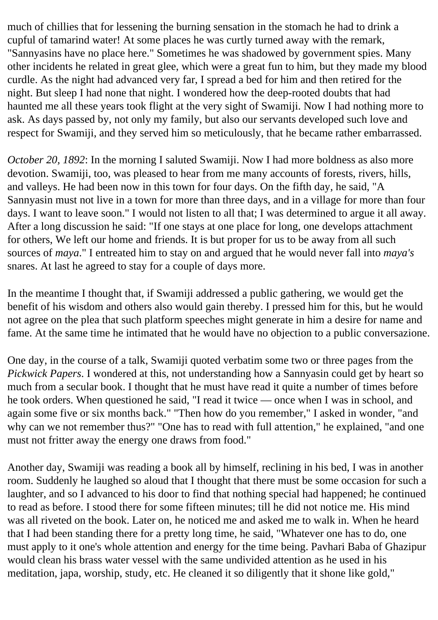much of chillies that for lessening the burning sensation in the stomach he had to drink a cupful of tamarind water! At some places he was curtly turned away with the remark, "Sannyasins have no place here." Sometimes he was shadowed by government spies. Many other incidents he related in great glee, which were a great fun to him, but they made my blood curdle. As the night had advanced very far, I spread a bed for him and then retired for the night. But sleep I had none that night. I wondered how the deep-rooted doubts that had haunted me all these years took flight at the very sight of Swamiji. Now I had nothing more to ask. As days passed by, not only my family, but also our servants developed such love and respect for Swamiji, and they served him so meticulously, that he became rather embarrassed.

*October 20, 1892*: In the morning I saluted Swamiji. Now I had more boldness as also more devotion. Swamiji, too, was pleased to hear from me many accounts of forests, rivers, hills, and valleys. He had been now in this town for four days. On the fifth day, he said, "A Sannyasin must not live in a town for more than three days, and in a village for more than four days. I want to leave soon." I would not listen to all that; I was determined to argue it all away. After a long discussion he said: "If one stays at one place for long, one develops attachment for others, We left our home and friends. It is but proper for us to be away from all such sources of *maya*." I entreated him to stay on and argued that he would never fall into *maya's* snares. At last he agreed to stay for a couple of days more.

In the meantime I thought that, if Swamiji addressed a public gathering, we would get the benefit of his wisdom and others also would gain thereby. I pressed him for this, but he would not agree on the plea that such platform speeches might generate in him a desire for name and fame. At the same time he intimated that he would have no objection to a public conversazione.

One day, in the course of a talk, Swamiji quoted verbatim some two or three pages from the *Pickwick Papers*. I wondered at this, not understanding how a Sannyasin could get by heart so much from a secular book. I thought that he must have read it quite a number of times before he took orders. When questioned he said, "I read it twice — once when I was in school, and again some five or six months back." "Then how do you remember," I asked in wonder, "and why can we not remember thus?" "One has to read with full attention," he explained, "and one must not fritter away the energy one draws from food."

Another day, Swamiji was reading a book all by himself, reclining in his bed, I was in another room. Suddenly he laughed so aloud that I thought that there must be some occasion for such a laughter, and so I advanced to his door to find that nothing special had happened; he continued to read as before. I stood there for some fifteen minutes; till he did not notice me. His mind was all riveted on the book. Later on, he noticed me and asked me to walk in. When he heard that I had been standing there for a pretty long time, he said, "Whatever one has to do, one must apply to it one's whole attention and energy for the time being. Pavhari Baba of Ghazipur would clean his brass water vessel with the same undivided attention as he used in his meditation, japa, worship, study, etc. He cleaned it so diligently that it shone like gold,"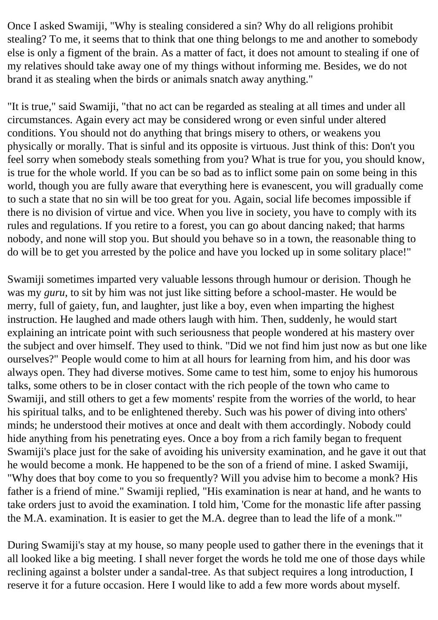Once I asked Swamiji, "Why is stealing considered a sin? Why do all religions prohibit stealing? To me, it seems that to think that one thing belongs to me and another to somebody else is only a figment of the brain. As a matter of fact, it does not amount to stealing if one of my relatives should take away one of my things without informing me. Besides, we do not brand it as stealing when the birds or animals snatch away anything."

"It is true," said Swamiji, "that no act can be regarded as stealing at all times and under all circumstances. Again every act may be considered wrong or even sinful under altered conditions. You should not do anything that brings misery to others, or weakens you physically or morally. That is sinful and its opposite is virtuous. Just think of this: Don't you feel sorry when somebody steals something from you? What is true for you, you should know, is true for the whole world. If you can be so bad as to inflict some pain on some being in this world, though you are fully aware that everything here is evanescent, you will gradually come to such a state that no sin will be too great for you. Again, social life becomes impossible if there is no division of virtue and vice. When you live in society, you have to comply with its rules and regulations. If you retire to a forest, you can go about dancing naked; that harms nobody, and none will stop you. But should you behave so in a town, the reasonable thing to do will be to get you arrested by the police and have you locked up in some solitary place!"

Swamiji sometimes imparted very valuable lessons through humour or derision. Though he was my *guru*, to sit by him was not just like sitting before a school-master. He would be merry, full of gaiety, fun, and laughter, just like a boy, even when imparting the highest instruction. He laughed and made others laugh with him. Then, suddenly, he would start explaining an intricate point with such seriousness that people wondered at his mastery over the subject and over himself. They used to think. "Did we not find him just now as but one like ourselves?" People would come to him at all hours for learning from him, and his door was always open. They had diverse motives. Some came to test him, some to enjoy his humorous talks, some others to be in closer contact with the rich people of the town who came to Swamiji, and still others to get a few moments' respite from the worries of the world, to hear his spiritual talks, and to be enlightened thereby. Such was his power of diving into others' minds; he understood their motives at once and dealt with them accordingly. Nobody could hide anything from his penetrating eyes. Once a boy from a rich family began to frequent Swamiji's place just for the sake of avoiding his university examination, and he gave it out that he would become a monk. He happened to be the son of a friend of mine. I asked Swamiji, "Why does that boy come to you so frequently? Will you advise him to become a monk? His father is a friend of mine." Swamiji replied, "His examination is near at hand, and he wants to take orders just to avoid the examination. I told him, 'Come for the monastic life after passing the M.A. examination. It is easier to get the M.A. degree than to lead the life of a monk.'"

During Swamiji's stay at my house, so many people used to gather there in the evenings that it all looked like a big meeting. I shall never forget the words he told me one of those days while reclining against a bolster under a sandal-tree. As that subject requires a long introduction, I reserve it for a future occasion. Here I would like to add a few more words about myself.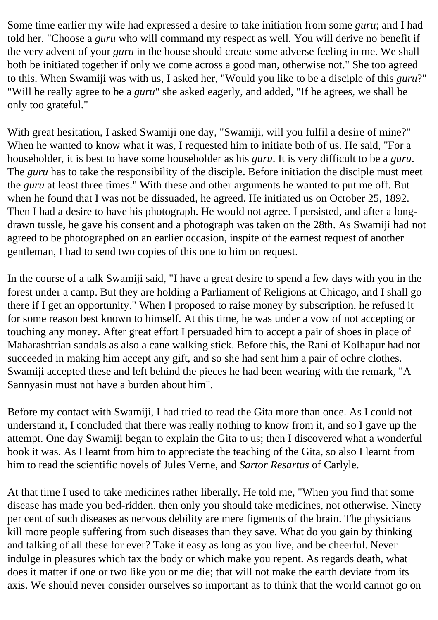Some time earlier my wife had expressed a desire to take initiation from some *guru*; and I had told her, "Choose a *guru* who will command my respect as well. You will derive no benefit if the very advent of your *guru* in the house should create some adverse feeling in me. We shall both be initiated together if only we come across a good man, otherwise not." She too agreed to this. When Swamiji was with us, I asked her, "Would you like to be a disciple of this *guru*?" "Will he really agree to be a *guru*" she asked eagerly, and added, "If he agrees, we shall be only too grateful."

With great hesitation, I asked Swamiji one day, "Swamiji, will you fulfil a desire of mine?" When he wanted to know what it was, I requested him to initiate both of us. He said, "For a householder, it is best to have some householder as his *guru*. It is very difficult to be a *guru*. The *guru* has to take the responsibility of the disciple. Before initiation the disciple must meet the *guru* at least three times." With these and other arguments he wanted to put me off. But when he found that I was not be dissuaded, he agreed. He initiated us on October 25, 1892. Then I had a desire to have his photograph. He would not agree. I persisted, and after a longdrawn tussle, he gave his consent and a photograph was taken on the 28th. As Swamiji had not agreed to be photographed on an earlier occasion, inspite of the earnest request of another gentleman, I had to send two copies of this one to him on request.

In the course of a talk Swamiji said, "I have a great desire to spend a few days with you in the forest under a camp. But they are holding a Parliament of Religions at Chicago, and I shall go there if I get an opportunity." When I proposed to raise money by subscription, he refused it for some reason best known to himself. At this time, he was under a vow of not accepting or touching any money. After great effort I persuaded him to accept a pair of shoes in place of Maharashtrian sandals as also a cane walking stick. Before this, the Rani of Kolhapur had not succeeded in making him accept any gift, and so she had sent him a pair of ochre clothes. Swamiji accepted these and left behind the pieces he had been wearing with the remark, "A Sannyasin must not have a burden about him".

Before my contact with Swamiji, I had tried to read the Gita more than once. As I could not understand it, I concluded that there was really nothing to know from it, and so I gave up the attempt. One day Swamiji began to explain the Gita to us; then I discovered what a wonderful book it was. As I learnt from him to appreciate the teaching of the Gita, so also I learnt from him to read the scientific novels of Jules Verne, and *Sartor Resartus* of Carlyle.

At that time I used to take medicines rather liberally. He told me, "When you find that some disease has made you bed-ridden, then only you should take medicines, not otherwise. Ninety per cent of such diseases as nervous debility are mere figments of the brain. The physicians kill more people suffering from such diseases than they save. What do you gain by thinking and talking of all these for ever? Take it easy as long as you live, and be cheerful. Never indulge in pleasures which tax the body or which make you repent. As regards death, what does it matter if one or two like you or me die; that will not make the earth deviate from its axis. We should never consider ourselves so important as to think that the world cannot go on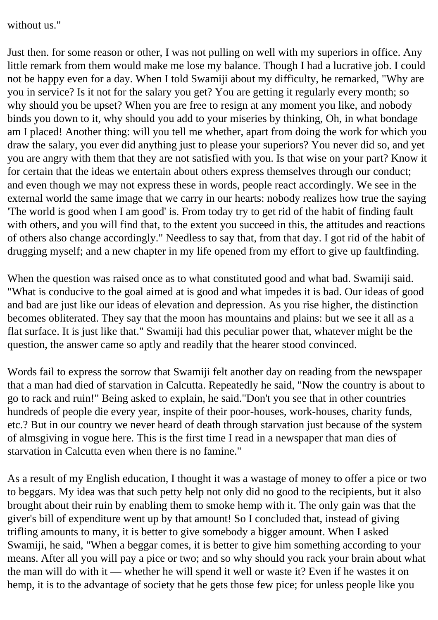without us."

Just then. for some reason or other, I was not pulling on well with my superiors in office. Any little remark from them would make me lose my balance. Though I had a lucrative job. I could not be happy even for a day. When I told Swamiji about my difficulty, he remarked, "Why are you in service? Is it not for the salary you get? You are getting it regularly every month; so why should you be upset? When you are free to resign at any moment you like, and nobody binds you down to it, why should you add to your miseries by thinking, Oh, in what bondage am I placed! Another thing: will you tell me whether, apart from doing the work for which you draw the salary, you ever did anything just to please your superiors? You never did so, and yet you are angry with them that they are not satisfied with you. Is that wise on your part? Know it for certain that the ideas we entertain about others express themselves through our conduct; and even though we may not express these in words, people react accordingly. We see in the external world the same image that we carry in our hearts: nobody realizes how true the saying 'The world is good when I am good' is. From today try to get rid of the habit of finding fault with others, and you will find that, to the extent you succeed in this, the attitudes and reactions of others also change accordingly." Needless to say that, from that day. I got rid of the habit of drugging myself; and a new chapter in my life opened from my effort to give up faultfinding.

When the question was raised once as to what constituted good and what bad. Swamiji said. "What is conducive to the goal aimed at is good and what impedes it is bad. Our ideas of good and bad are just like our ideas of elevation and depression. As you rise higher, the distinction becomes obliterated. They say that the moon has mountains and plains: but we see it all as a flat surface. It is just like that." Swamiji had this peculiar power that, whatever might be the question, the answer came so aptly and readily that the hearer stood convinced.

Words fail to express the sorrow that Swamiji felt another day on reading from the newspaper that a man had died of starvation in Calcutta. Repeatedly he said, "Now the country is about to go to rack and ruin!" Being asked to explain, he said."Don't you see that in other countries hundreds of people die every year, inspite of their poor-houses, work-houses, charity funds, etc.? But in our country we never heard of death through starvation just because of the system of almsgiving in vogue here. This is the first time I read in a newspaper that man dies of starvation in Calcutta even when there is no famine."

As a result of my English education, I thought it was a wastage of money to offer a pice or two to beggars. My idea was that such petty help not only did no good to the recipients, but it also brought about their ruin by enabling them to smoke hemp with it. The only gain was that the giver's bill of expenditure went up by that amount! So I concluded that, instead of giving trifling amounts to many, it is better to give somebody a bigger amount. When I asked Swamiji, he said, "When a beggar comes, it is better to give him something according to your means. After all you will pay a pice or two; and so why should you rack your brain about what the man will do with it — whether he will spend it well or waste it? Even if he wastes it on hemp, it is to the advantage of society that he gets those few pice; for unless people like you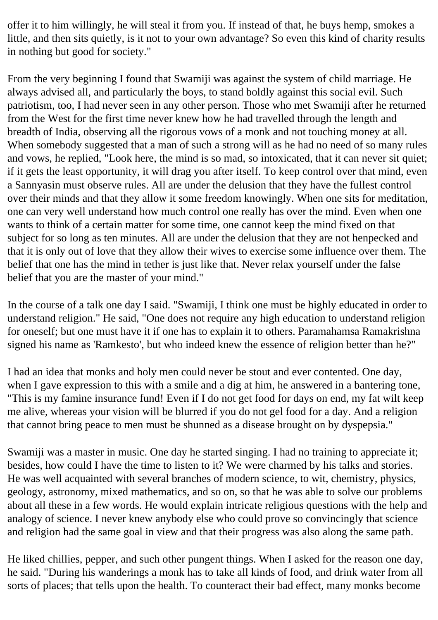offer it to him willingly, he will steal it from you. If instead of that, he buys hemp, smokes a little, and then sits quietly, is it not to your own advantage? So even this kind of charity results in nothing but good for society."

From the very beginning I found that Swamiji was against the system of child marriage. He always advised all, and particularly the boys, to stand boldly against this social evil. Such patriotism, too, I had never seen in any other person. Those who met Swamiji after he returned from the West for the first time never knew how he had travelled through the length and breadth of India, observing all the rigorous vows of a monk and not touching money at all. When somebody suggested that a man of such a strong will as he had no need of so many rules and vows, he replied, "Look here, the mind is so mad, so intoxicated, that it can never sit quiet; if it gets the least opportunity, it will drag you after itself. To keep control over that mind, even a Sannyasin must observe rules. All are under the delusion that they have the fullest control over their minds and that they allow it some freedom knowingly. When one sits for meditation, one can very well understand how much control one really has over the mind. Even when one wants to think of a certain matter for some time, one cannot keep the mind fixed on that subject for so long as ten minutes. All are under the delusion that they are not henpecked and that it is only out of love that they allow their wives to exercise some influence over them. The belief that one has the mind in tether is just like that. Never relax yourself under the false belief that you are the master of your mind."

In the course of a talk one day I said. "Swamiji, I think one must be highly educated in order to understand religion." He said, "One does not require any high education to understand religion for oneself; but one must have it if one has to explain it to others. Paramahamsa Ramakrishna signed his name as 'Ramkesto', but who indeed knew the essence of religion better than he?"

I had an idea that monks and holy men could never be stout and ever contented. One day, when I gave expression to this with a smile and a dig at him, he answered in a bantering tone, "This is my famine insurance fund! Even if I do not get food for days on end, my fat wilt keep me alive, whereas your vision will be blurred if you do not gel food for a day. And a religion that cannot bring peace to men must be shunned as a disease brought on by dyspepsia."

Swamiji was a master in music. One day he started singing. I had no training to appreciate it; besides, how could I have the time to listen to it? We were charmed by his talks and stories. He was well acquainted with several branches of modern science, to wit, chemistry, physics, geology, astronomy, mixed mathematics, and so on, so that he was able to solve our problems about all these in a few words. He would explain intricate religious questions with the help and analogy of science. I never knew anybody else who could prove so convincingly that science and religion had the same goal in view and that their progress was also along the same path.

He liked chillies, pepper, and such other pungent things. When I asked for the reason one day, he said. "During his wanderings a monk has to take all kinds of food, and drink water from all sorts of places; that tells upon the health. To counteract their bad effect, many monks become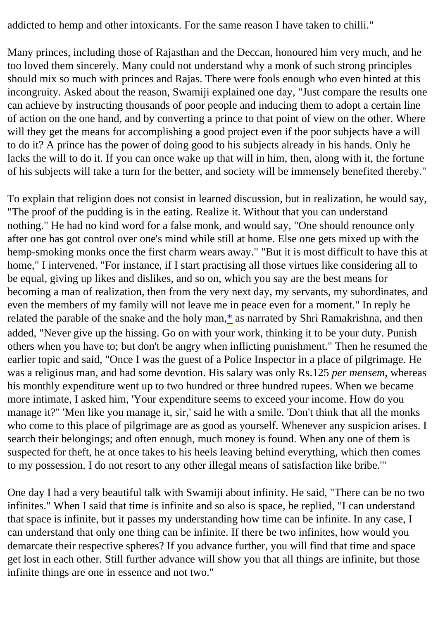addicted to hemp and other intoxicants. For the same reason I have taken to chilli."

Many princes, including those of Rajasthan and the Deccan, honoured him very much, and he too loved them sincerely. Many could not understand why a monk of such strong principles should mix so much with princes and Rajas. There were fools enough who even hinted at this incongruity. Asked about the reason, Swamiji explained one day, "Just compare the results one can achieve by instructing thousands of poor people and inducing them to adopt a certain line of action on the one hand, and by converting a prince to that point of view on the other. Where will they get the means for accomplishing a good project even if the poor subjects have a will to do it? A prince has the power of doing good to his subjects already in his hands. Only he lacks the will to do it. If you can once wake up that will in him, then, along with it, the fortune of his subjects will take a turn for the better, and society will be immensely benefited thereby."

To explain that religion does not consist in learned discussion, but in realization, he would say, "The proof of the pudding is in the eating. Realize it. Without that you can understand nothing." He had no kind word for a false monk, and would say, "One should renounce only after one has got control over one's mind while still at home. Else one gets mixed up with the hemp-smoking monks once the first charm wears away." "But it is most difficult to have this at home," I intervened. "For instance, if I start practising all those virtues like considering all to be equal, giving up likes and dislikes, and so on, which you say are the best means for becoming a man of realization, then from the very next day, my servants, my subordinates, and even the members of my family will not leave me in peace even for a moment." In reply he related the parable of the snake and the holy man[,\\*](#page-20-0) as narrated by Shri Ramakrishna, and then added, "Never give up the hissing. Go on with your work, thinking it to be your duty. Punish others when you have to; but don't be angry when inflicting punishment." Then he resumed the earlier topic and said, "Once I was the guest of a Police Inspector in a place of pilgrimage. He was a religious man, and had some devotion. His salary was only Rs.125 *per mensem*, whereas his monthly expenditure went up to two hundred or three hundred rupees. When we became more intimate, I asked him, 'Your expenditure seems to exceed your income. How do you manage it?" 'Men like you manage it, sir,' said he with a smile. 'Don't think that all the monks who come to this place of pilgrimage are as good as yourself. Whenever any suspicion arises. I search their belongings; and often enough, much money is found. When any one of them is suspected for theft, he at once takes to his heels leaving behind everything, which then comes to my possession. I do not resort to any other illegal means of satisfaction like bribe.'"

One day I had a very beautiful talk with Swamiji about infinity. He said, "There can be no two infinites." When I said that time is infinite and so also is space, he replied, "I can understand that space is infinite, but it passes my understanding how time can be infinite. In any case, I can understand that only one thing can be infinite. If there be two infinites, how would you demarcate their respective spheres? If you advance further, you will find that time and space get lost in each other. Still further advance will show you that all things are infinite, but those infinite things are one in essence and not two."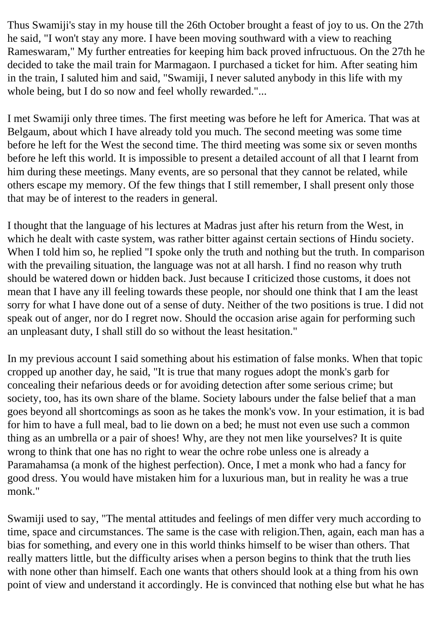Thus Swamiji's stay in my house till the 26th October brought a feast of joy to us. On the 27th he said, "I won't stay any more. I have been moving southward with a view to reaching Rameswaram," My further entreaties for keeping him back proved infructuous. On the 27th he decided to take the mail train for Marmagaon. I purchased a ticket for him. After seating him in the train, I saluted him and said, "Swamiji, I never saluted anybody in this life with my whole being, but I do so now and feel wholly rewarded."...

I met Swamiji only three times. The first meeting was before he left for America. That was at Belgaum, about which I have already told you much. The second meeting was some time before he left for the West the second time. The third meeting was some six or seven months before he left this world. It is impossible to present a detailed account of all that I learnt from him during these meetings. Many events, are so personal that they cannot be related, while others escape my memory. Of the few things that I still remember, I shall present only those that may be of interest to the readers in general.

I thought that the language of his lectures at Madras just after his return from the West, in which he dealt with caste system, was rather bitter against certain sections of Hindu society. When I told him so, he replied "I spoke only the truth and nothing but the truth. In comparison with the prevailing situation, the language was not at all harsh. I find no reason why truth should be watered down or hidden back. Just because I criticized those customs, it does not mean that I have any ill feeling towards these people, nor should one think that I am the least sorry for what I have done out of a sense of duty. Neither of the two positions is true. I did not speak out of anger, nor do I regret now. Should the occasion arise again for performing such an unpleasant duty, I shall still do so without the least hesitation."

In my previous account I said something about his estimation of false monks. When that topic cropped up another day, he said, "It is true that many rogues adopt the monk's garb for concealing their nefarious deeds or for avoiding detection after some serious crime; but society, too, has its own share of the blame. Society labours under the false belief that a man goes beyond all shortcomings as soon as he takes the monk's vow. In your estimation, it is bad for him to have a full meal, bad to lie down on a bed; he must not even use such a common thing as an umbrella or a pair of shoes! Why, are they not men like yourselves? It is quite wrong to think that one has no right to wear the ochre robe unless one is already a Paramahamsa (a monk of the highest perfection). Once, I met a monk who had a fancy for good dress. You would have mistaken him for a luxurious man, but in reality he was a true monk."

Swamiji used to say, "The mental attitudes and feelings of men differ very much according to time, space and circumstances. The same is the case with religion.Then, again, each man has a bias for something, and every one in this world thinks himself to be wiser than others. That really matters little, but the difficulty arises when a person begins to think that the truth lies with none other than himself. Each one wants that others should look at a thing from his own point of view and understand it accordingly. He is convinced that nothing else but what he has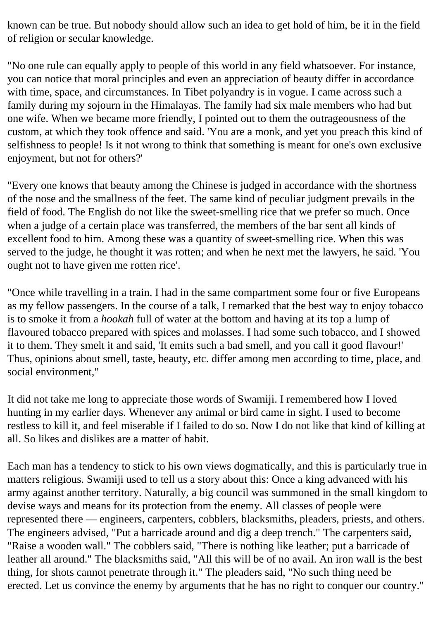known can be true. But nobody should allow such an idea to get hold of him, be it in the field of religion or secular knowledge.

"No one rule can equally apply to people of this world in any field whatsoever. For instance, you can notice that moral principles and even an appreciation of beauty differ in accordance with time, space, and circumstances. In Tibet polyandry is in vogue. I came across such a family during my sojourn in the Himalayas. The family had six male members who had but one wife. When we became more friendly, I pointed out to them the outrageousness of the custom, at which they took offence and said. 'You are a monk, and yet you preach this kind of selfishness to people! Is it not wrong to think that something is meant for one's own exclusive enjoyment, but not for others?'

"Every one knows that beauty among the Chinese is judged in accordance with the shortness of the nose and the smallness of the feet. The same kind of peculiar judgment prevails in the field of food. The English do not like the sweet-smelling rice that we prefer so much. Once when a judge of a certain place was transferred, the members of the bar sent all kinds of excellent food to him. Among these was a quantity of sweet-smelling rice. When this was served to the judge, he thought it was rotten; and when he next met the lawyers, he said. 'You ought not to have given me rotten rice'.

"Once while travelling in a train. I had in the same compartment some four or five Europeans as my fellow passengers. In the course of a talk, I remarked that the best way to enjoy tobacco is to smoke it from a *hookah* full of water at the bottom and having at its top a lump of flavoured tobacco prepared with spices and molasses. I had some such tobacco, and I showed it to them. They smelt it and said, 'It emits such a bad smell, and you call it good flavour!' Thus, opinions about smell, taste, beauty, etc. differ among men according to time, place, and social environment,"

It did not take me long to appreciate those words of Swamiji. I remembered how I loved hunting in my earlier days. Whenever any animal or bird came in sight. I used to become restless to kill it, and feel miserable if I failed to do so. Now I do not like that kind of killing at all. So likes and dislikes are a matter of habit.

Each man has a tendency to stick to his own views dogmatically, and this is particularly true in matters religious. Swamiji used to tell us a story about this: Once a king advanced with his army against another territory. Naturally, a big council was summoned in the small kingdom to devise ways and means for its protection from the enemy. All classes of people were represented there — engineers, carpenters, cobblers, blacksmiths, pleaders, priests, and others. The engineers advised, "Put a barricade around and dig a deep trench." The carpenters said, "Raise a wooden wall." The cobblers said, "There is nothing like leather; put a barricade of leather all around." The blacksmiths said, "All this will be of no avail. An iron wall is the best thing, for shots cannot penetrate through it." The pleaders said, "No such thing need be erected. Let us convince the enemy by arguments that he has no right to conquer our country."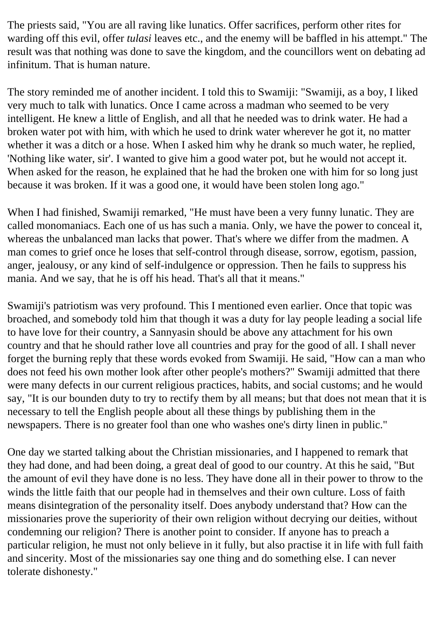The priests said, "You are all raving like lunatics. Offer sacrifices, perform other rites for warding off this evil, offer *tulasi* leaves etc., and the enemy will be baffled in his attempt." The result was that nothing was done to save the kingdom, and the councillors went on debating ad infinitum. That is human nature.

The story reminded me of another incident. I told this to Swamiji: "Swamiji, as a boy, I liked very much to talk with lunatics. Once I came across a madman who seemed to be very intelligent. He knew a little of English, and all that he needed was to drink water. He had a broken water pot with him, with which he used to drink water wherever he got it, no matter whether it was a ditch or a hose. When I asked him why he drank so much water, he replied, 'Nothing like water, sir'. I wanted to give him a good water pot, but he would not accept it. When asked for the reason, he explained that he had the broken one with him for so long just because it was broken. If it was a good one, it would have been stolen long ago."

When I had finished, Swamiji remarked, "He must have been a very funny lunatic. They are called monomaniacs. Each one of us has such a mania. Only, we have the power to conceal it, whereas the unbalanced man lacks that power. That's where we differ from the madmen. A man comes to grief once he loses that self-control through disease, sorrow, egotism, passion, anger, jealousy, or any kind of self-indulgence or oppression. Then he fails to suppress his mania. And we say, that he is off his head. That's all that it means."

Swamiji's patriotism was very profound. This I mentioned even earlier. Once that topic was broached, and somebody told him that though it was a duty for lay people leading a social life to have love for their country, a Sannyasin should be above any attachment for his own country and that he should rather love all countries and pray for the good of all. I shall never forget the burning reply that these words evoked from Swamiji. He said, "How can a man who does not feed his own mother look after other people's mothers?" Swamiji admitted that there were many defects in our current religious practices, habits, and social customs; and he would say, "It is our bounden duty to try to rectify them by all means; but that does not mean that it is necessary to tell the English people about all these things by publishing them in the newspapers. There is no greater fool than one who washes one's dirty linen in public."

One day we started talking about the Christian missionaries, and I happened to remark that they had done, and had been doing, a great deal of good to our country. At this he said, "But the amount of evil they have done is no less. They have done all in their power to throw to the winds the little faith that our people had in themselves and their own culture. Loss of faith means disintegration of the personality itself. Does anybody understand that? How can the missionaries prove the superiority of their own religion without decrying our deities, without condemning our religion? There is another point to consider. If anyone has to preach a particular religion, he must not only believe in it fully, but also practise it in life with full faith and sincerity. Most of the missionaries say one thing and do something else. I can never tolerate dishonesty."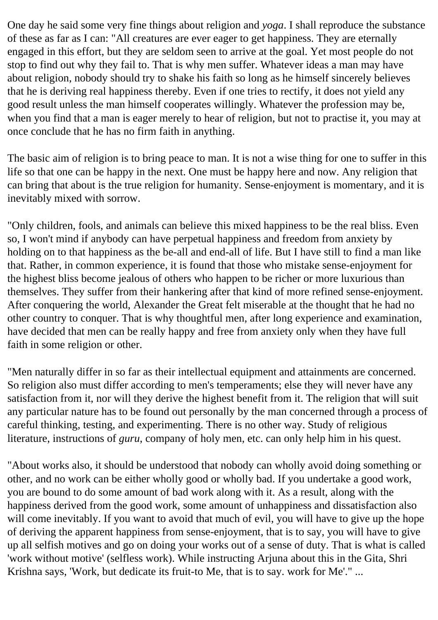One day he said some very fine things about religion and *yoga*. I shall reproduce the substance of these as far as I can: "All creatures are ever eager to get happiness. They are eternally engaged in this effort, but they are seldom seen to arrive at the goal. Yet most people do not stop to find out why they fail to. That is why men suffer. Whatever ideas a man may have about religion, nobody should try to shake his faith so long as he himself sincerely believes that he is deriving real happiness thereby. Even if one tries to rectify, it does not yield any good result unless the man himself cooperates willingly. Whatever the profession may be, when you find that a man is eager merely to hear of religion, but not to practise it, you may at once conclude that he has no firm faith in anything.

The basic aim of religion is to bring peace to man. It is not a wise thing for one to suffer in this life so that one can be happy in the next. One must be happy here and now. Any religion that can bring that about is the true religion for humanity. Sense-enjoyment is momentary, and it is inevitably mixed with sorrow.

"Only children, fools, and animals can believe this mixed happiness to be the real bliss. Even so, I won't mind if anybody can have perpetual happiness and freedom from anxiety by holding on to that happiness as the be-all and end-all of life. But I have still to find a man like that. Rather, in common experience, it is found that those who mistake sense-enjoyment for the highest bliss become jealous of others who happen to be richer or more luxurious than themselves. They suffer from their hankering after that kind of more refined sense-enjoyment. After conquering the world, Alexander the Great felt miserable at the thought that he had no other country to conquer. That is why thoughtful men, after long experience and examination, have decided that men can be really happy and free from anxiety only when they have full faith in some religion or other.

"Men naturally differ in so far as their intellectual equipment and attainments are concerned. So religion also must differ according to men's temperaments; else they will never have any satisfaction from it, nor will they derive the highest benefit from it. The religion that will suit any particular nature has to be found out personally by the man concerned through a process of careful thinking, testing, and experimenting. There is no other way. Study of religious literature, instructions of *guru*, company of holy men, etc. can only help him in his quest.

"About works also, it should be understood that nobody can wholly avoid doing something or other, and no work can be either wholly good or wholly bad. If you undertake a good work, you are bound to do some amount of bad work along with it. As a result, along with the happiness derived from the good work, some amount of unhappiness and dissatisfaction also will come inevitably. If you want to avoid that much of evil, you will have to give up the hope of deriving the apparent happiness from sense-enjoyment, that is to say, you will have to give up all selfish motives and go on doing your works out of a sense of duty. That is what is called 'work without motive' (selfless work). While instructing Arjuna about this in the Gita, Shri Krishna says, 'Work, but dedicate its fruit-to Me, that is to say. work for Me'." ...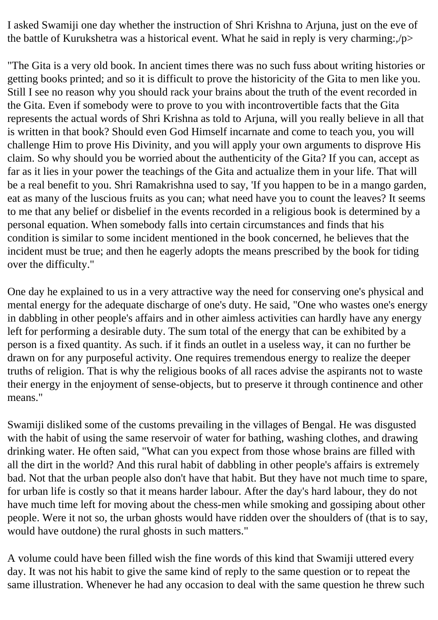I asked Swamiji one day whether the instruction of Shri Krishna to Arjuna, just on the eve of the battle of Kurukshetra was a historical event. What he said in reply is very charming:,/p>

"The Gita is a very old book. In ancient times there was no such fuss about writing histories or getting books printed; and so it is difficult to prove the historicity of the Gita to men like you. Still I see no reason why you should rack your brains about the truth of the event recorded in the Gita. Even if somebody were to prove to you with incontrovertible facts that the Gita represents the actual words of Shri Krishna as told to Arjuna, will you really believe in all that is written in that book? Should even God Himself incarnate and come to teach you, you will challenge Him to prove His Divinity, and you will apply your own arguments to disprove His claim. So why should you be worried about the authenticity of the Gita? If you can, accept as far as it lies in your power the teachings of the Gita and actualize them in your life. That will be a real benefit to you. Shri Ramakrishna used to say, 'If you happen to be in a mango garden, eat as many of the luscious fruits as you can; what need have you to count the leaves? It seems to me that any belief or disbelief in the events recorded in a religious book is determined by a personal equation. When somebody falls into certain circumstances and finds that his condition is similar to some incident mentioned in the book concerned, he believes that the incident must be true; and then he eagerly adopts the means prescribed by the book for tiding over the difficulty."

One day he explained to us in a very attractive way the need for conserving one's physical and mental energy for the adequate discharge of one's duty. He said, "One who wastes one's energy in dabbling in other people's affairs and in other aimless activities can hardly have any energy left for performing a desirable duty. The sum total of the energy that can be exhibited by a person is a fixed quantity. As such. if it finds an outlet in a useless way, it can no further be drawn on for any purposeful activity. One requires tremendous energy to realize the deeper truths of religion. That is why the religious books of all races advise the aspirants not to waste their energy in the enjoyment of sense-objects, but to preserve it through continence and other means."

Swamiji disliked some of the customs prevailing in the villages of Bengal. He was disgusted with the habit of using the same reservoir of water for bathing, washing clothes, and drawing drinking water. He often said, "What can you expect from those whose brains are filled with all the dirt in the world? And this rural habit of dabbling in other people's affairs is extremely bad. Not that the urban people also don't have that habit. But they have not much time to spare, for urban life is costly so that it means harder labour. After the day's hard labour, they do not have much time left for moving about the chess-men while smoking and gossiping about other people. Were it not so, the urban ghosts would have ridden over the shoulders of (that is to say, would have outdone) the rural ghosts in such matters."

A volume could have been filled wish the fine words of this kind that Swamiji uttered every day. It was not his habit to give the same kind of reply to the same question or to repeat the same illustration. Whenever he had any occasion to deal with the same question he threw such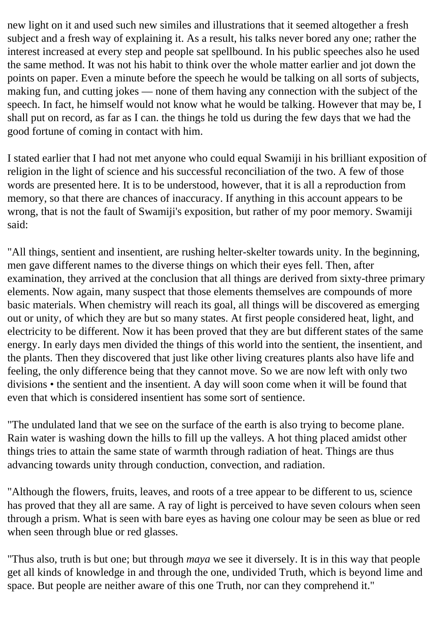new light on it and used such new similes and illustrations that it seemed altogether a fresh subject and a fresh way of explaining it. As a result, his talks never bored any one; rather the interest increased at every step and people sat spellbound. In his public speeches also he used the same method. It was not his habit to think over the whole matter earlier and jot down the points on paper. Even a minute before the speech he would be talking on all sorts of subjects, making fun, and cutting jokes — none of them having any connection with the subject of the speech. In fact, he himself would not know what he would be talking. However that may be, I shall put on record, as far as I can. the things he told us during the few days that we had the good fortune of coming in contact with him.

I stated earlier that I had not met anyone who could equal Swamiji in his brilliant exposition of religion in the light of science and his successful reconciliation of the two. A few of those words are presented here. It is to be understood, however, that it is all a reproduction from memory, so that there are chances of inaccuracy. If anything in this account appears to be wrong, that is not the fault of Swamiji's exposition, but rather of my poor memory. Swamiji said:

"All things, sentient and insentient, are rushing helter-skelter towards unity. In the beginning, men gave different names to the diverse things on which their eyes fell. Then, after examination, they arrived at the conclusion that all things are derived from sixty-three primary elements. Now again, many suspect that those elements themselves are compounds of more basic materials. When chemistry will reach its goal, all things will be discovered as emerging out or unity, of which they are but so many states. At first people considered heat, light, and electricity to be different. Now it has been proved that they are but different states of the same energy. In early days men divided the things of this world into the sentient, the insentient, and the plants. Then they discovered that just like other living creatures plants also have life and feeling, the only difference being that they cannot move. So we are now left with only two divisions • the sentient and the insentient. A day will soon come when it will be found that even that which is considered insentient has some sort of sentience.

"The undulated land that we see on the surface of the earth is also trying to become plane. Rain water is washing down the hills to fill up the valleys. A hot thing placed amidst other things tries to attain the same state of warmth through radiation of heat. Things are thus advancing towards unity through conduction, convection, and radiation.

"Although the flowers, fruits, leaves, and roots of a tree appear to be different to us, science has proved that they all are same. A ray of light is perceived to have seven colours when seen through a prism. What is seen with bare eyes as having one colour may be seen as blue or red when seen through blue or red glasses.

"Thus also, truth is but one; but through *maya* we see it diversely. It is in this way that people get all kinds of knowledge in and through the one, undivided Truth, which is beyond lime and space. But people are neither aware of this one Truth, nor can they comprehend it."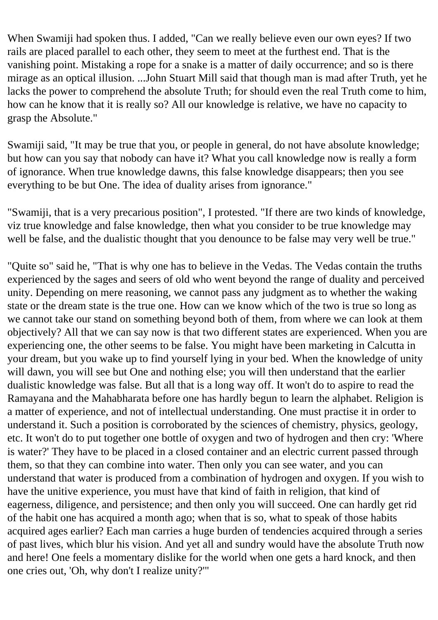When Swamiji had spoken thus. I added, "Can we really believe even our own eyes? If two rails are placed parallel to each other, they seem to meet at the furthest end. That is the vanishing point. Mistaking a rope for a snake is a matter of daily occurrence; and so is there mirage as an optical illusion. ...John Stuart Mill said that though man is mad after Truth, yet he lacks the power to comprehend the absolute Truth; for should even the real Truth come to him, how can he know that it is really so? All our knowledge is relative, we have no capacity to grasp the Absolute."

Swamiji said, "It may be true that you, or people in general, do not have absolute knowledge; but how can you say that nobody can have it? What you call knowledge now is really a form of ignorance. When true knowledge dawns, this false knowledge disappears; then you see everything to be but One. The idea of duality arises from ignorance."

"Swamiji, that is a very precarious position", I protested. "If there are two kinds of knowledge, viz true knowledge and false knowledge, then what you consider to be true knowledge may well be false, and the dualistic thought that you denounce to be false may very well be true."

"Quite so" said he, "That is why one has to believe in the Vedas. The Vedas contain the truths experienced by the sages and seers of old who went beyond the range of duality and perceived unity. Depending on mere reasoning, we cannot pass any judgment as to whether the waking state or the dream state is the true one. How can we know which of the two is true so long as we cannot take our stand on something beyond both of them, from where we can look at them objectively? All that we can say now is that two different states are experienced. When you are experiencing one, the other seems to be false. You might have been marketing in Calcutta in your dream, but you wake up to find yourself lying in your bed. When the knowledge of unity will dawn, you will see but One and nothing else; you will then understand that the earlier dualistic knowledge was false. But all that is a long way off. It won't do to aspire to read the Ramayana and the Mahabharata before one has hardly begun to learn the alphabet. Religion is a matter of experience, and not of intellectual understanding. One must practise it in order to understand it. Such a position is corroborated by the sciences of chemistry, physics, geology, etc. It won't do to put together one bottle of oxygen and two of hydrogen and then cry: 'Where is water?' They have to be placed in a closed container and an electric current passed through them, so that they can combine into water. Then only you can see water, and you can understand that water is produced from a combination of hydrogen and oxygen. If you wish to have the unitive experience, you must have that kind of faith in religion, that kind of eagerness, diligence, and persistence; and then only you will succeed. One can hardly get rid of the habit one has acquired a month ago; when that is so, what to speak of those habits acquired ages earlier? Each man carries a huge burden of tendencies acquired through a series of past lives, which blur his vision. And yet all and sundry would have the absolute Truth now and here! One feels a momentary dislike for the world when one gets a hard knock, and then one cries out, 'Oh, why don't I realize unity?'"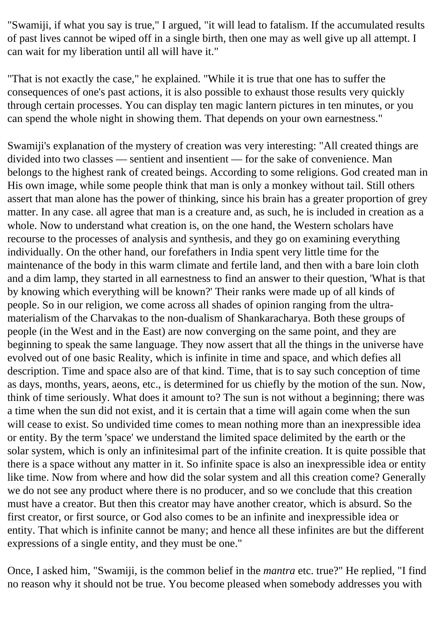"Swamiji, if what you say is true," I argued, "it will lead to fatalism. If the accumulated results of past lives cannot be wiped off in a single birth, then one may as well give up all attempt. I can wait for my liberation until all will have it."

"That is not exactly the case," he explained. "While it is true that one has to suffer the consequences of one's past actions, it is also possible to exhaust those results very quickly through certain processes. You can display ten magic lantern pictures in ten minutes, or you can spend the whole night in showing them. That depends on your own earnestness."

Swamiji's explanation of the mystery of creation was very interesting: "All created things are divided into two classes — sentient and insentient — for the sake of convenience. Man belongs to the highest rank of created beings. According to some religions. God created man in His own image, while some people think that man is only a monkey without tail. Still others assert that man alone has the power of thinking, since his brain has a greater proportion of grey matter. In any case. all agree that man is a creature and, as such, he is included in creation as a whole. Now to understand what creation is, on the one hand, the Western scholars have recourse to the processes of analysis and synthesis, and they go on examining everything individually. On the other hand, our forefathers in India spent very little time for the maintenance of the body in this warm climate and fertile land, and then with a bare loin cloth and a dim lamp, they started in all earnestness to find an answer to their question, 'What is that by knowing which everything will be known?' Their ranks were made up of all kinds of people. So in our religion, we come across all shades of opinion ranging from the ultramaterialism of the Charvakas to the non-dualism of Shankaracharya. Both these groups of people (in the West and in the East) are now converging on the same point, and they are beginning to speak the same language. They now assert that all the things in the universe have evolved out of one basic Reality, which is infinite in time and space, and which defies all description. Time and space also are of that kind. Time, that is to say such conception of time as days, months, years, aeons, etc., is determined for us chiefly by the motion of the sun. Now, think of time seriously. What does it amount to? The sun is not without a beginning; there was a time when the sun did not exist, and it is certain that a time will again come when the sun will cease to exist. So undivided time comes to mean nothing more than an inexpressible idea or entity. By the term 'space' we understand the limited space delimited by the earth or the solar system, which is only an infinitesimal part of the infinite creation. It is quite possible that there is a space without any matter in it. So infinite space is also an inexpressible idea or entity like time. Now from where and how did the solar system and all this creation come? Generally we do not see any product where there is no producer, and so we conclude that this creation must have a creator. But then this creator may have another creator, which is absurd. So the first creator, or first source, or God also comes to be an infinite and inexpressible idea or entity. That which is infinite cannot be many; and hence all these infinites are but the different expressions of a single entity, and they must be one."

Once, I asked him, "Swamiji, is the common belief in the *mantra* etc. true?" He replied, "I find no reason why it should not be true. You become pleased when somebody addresses you with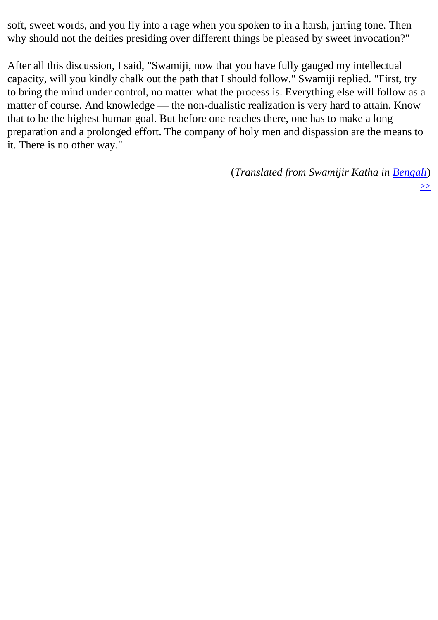soft, sweet words, and you fly into a rage when you spoken to in a harsh, jarring tone. Then why should not the deities presiding over different things be pleased by sweet invocation?"

After all this discussion, I said, "Swamiji, now that you have fully gauged my intellectual capacity, will you kindly chalk out the path that I should follow." Swamiji replied. "First, try to bring the mind under control, no matter what the process is. Everything else will follow as a matter of course. And knowledge — the non-dualistic realization is very hard to attain. Know that to be the highest human goal. But before one reaches there, one has to make a long preparation and a prolonged effort. The company of holy men and dispassion are the means to it. There is no other way."

(*Translated from Swamijir Katha in [Bengali](http://www.ramakrishnavivekananda.info/reminiscences/hm_b6_232.pdf)*)

 $\geq$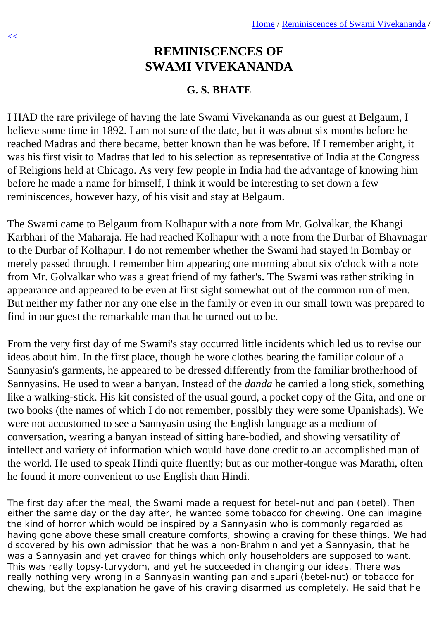### **REMINISCENCES OF SWAMI VIVEKANANDA**

### **G. S. BHATE**

I HAD the rare privilege of having the late Swami Vivekananda as our guest at Belgaum, I believe some time in 1892. I am not sure of the date, but it was about six months before he reached Madras and there became, better known than he was before. If I remember aright, it was his first visit to Madras that led to his selection as representative of India at the Congress of Religions held at Chicago. As very few people in India had the advantage of knowing him before he made a name for himself, I think it would be interesting to set down a few reminiscences, however hazy, of his visit and stay at Belgaum.

The Swami came to Belgaum from Kolhapur with a note from Mr. Golvalkar, the Khangi Karbhari of the Maharaja. He had reached Kolhapur with a note from the Durbar of Bhavnagar to the Durbar of Kolhapur. I do not remember whether the Swami had stayed in Bombay or merely passed through. I remember him appearing one morning about six o'clock with a note from Mr. Golvalkar who was a great friend of my father's. The Swami was rather striking in appearance and appeared to be even at first sight somewhat out of the common run of men. But neither my father nor any one else in the family or even in our small town was prepared to find in our guest the remarkable man that he turned out to be.

From the very first day of me Swami's stay occurred little incidents which led us to revise our ideas about him. In the first place, though he wore clothes bearing the familiar colour of a Sannyasin's garments, he appeared to be dressed differently from the familiar brotherhood of Sannyasins. He used to wear a banyan. Instead of the *danda* he carried a long stick, something like a walking-stick. His kit consisted of the usual gourd, a pocket copy of the Gita, and one or two books (the names of which I do not remember, possibly they were some Upanishads). We were not accustomed to see a Sannyasin using the English language as a medium of conversation, wearing a banyan instead of sitting bare-bodied, and showing versatility of intellect and variety of information which would have done credit to an accomplished man of the world. He used to speak Hindi quite fluently; but as our mother-tongue was Marathi, often he found it more convenient to use English than Hindi.

The first day after the meal, the Swami made a request for betel-nut and *pan* (betel). Then either the same day or the day after, he wanted some tobacco for chewing. One can imagine the kind of horror which would be inspired by a Sannyasin who is commonly regarded as having gone above these small creature comforts, showing a craving for these things. We had discovered by his own admission that he was a non-Brahmin and yet a Sannyasin, that he was a Sannyasin and yet craved for things which only householders are supposed to want. This was really topsy-turvydom, and yet he succeeded in changing our ideas. There was really nothing very wrong in a Sannyasin wanting *pan* and *supari* (betel-nut) or tobacco for chewing, but the explanation he gave of his craving disarmed us completely. He said that he

<span id="page-39-0"></span> $<<$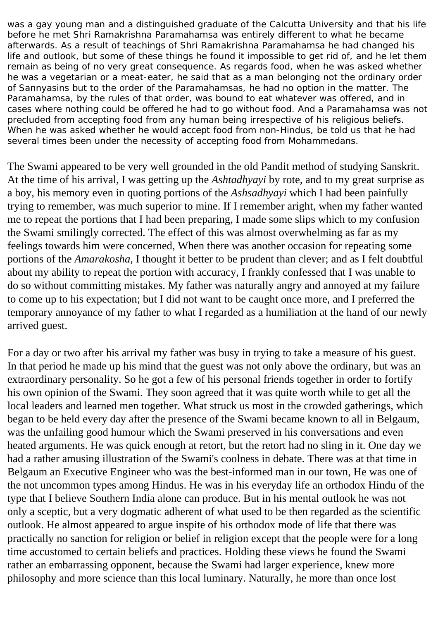was a gay young man and a distinguished graduate of the Calcutta University and that his life before he met Shri Ramakrishna Paramahamsa was entirely different to what he became afterwards. As a result of teachings of Shri Ramakrishna Paramahamsa he had changed his life and outlook, but some of these things he found it impossible to get rid of, and he let them remain as being of no very great consequence. As regards food, when he was asked whether he was a vegetarian or a meat-eater, he said that as a man belonging not the ordinary order of Sannyasins but to the order of the Paramahamsas, he had no option in the matter. The Paramahamsa, by the rules of that order, was bound to eat whatever was offered, and in cases where nothing could be offered he had to go without food. And a Paramahamsa was not precluded from accepting food from any human being irrespective of his religious beliefs. When he was asked whether he would accept food from non-Hindus, be told us that he had several times been under the necessity of accepting food from Mohammedans.

The Swami appeared to be very well grounded in the old Pandit method of studying Sanskrit. At the time of his arrival, I was getting up the *Ashtadhyayi* by rote, and to my great surprise as a boy, his memory even in quoting portions of the *Ashsadhyayi* which I had been painfully trying to remember, was much superior to mine. If I remember aright, when my father wanted me to repeat the portions that I had been preparing, I made some slips which to my confusion the Swami smilingly corrected. The effect of this was almost overwhelming as far as my feelings towards him were concerned, When there was another occasion for repeating some portions of the *Amarakosha*, I thought it better to be prudent than clever; and as I felt doubtful about my ability to repeat the portion with accuracy, I frankly confessed that I was unable to do so without committing mistakes. My father was naturally angry and annoyed at my failure to come up to his expectation; but I did not want to be caught once more, and I preferred the temporary annoyance of my father to what I regarded as a humiliation at the hand of our newly arrived guest.

For a day or two after his arrival my father was busy in trying to take a measure of his guest. In that period he made up his mind that the guest was not only above the ordinary, but was an extraordinary personality. So he got a few of his personal friends together in order to fortify his own opinion of the Swami. They soon agreed that it was quite worth while to get all the local leaders and learned men together. What struck us most in the crowded gatherings, which began to be held every day after the presence of the Swami became known to all in Belgaum, was the unfailing good humour which the Swami preserved in his conversations and even heated arguments. He was quick enough at retort, but the retort had no sling in it. One day we had a rather amusing illustration of the Swami's coolness in debate. There was at that time in Belgaum an Executive Engineer who was the best-informed man in our town, He was one of the not uncommon types among Hindus. He was in his everyday life an orthodox Hindu of the type that I believe Southern India alone can produce. But in his mental outlook he was not only a sceptic, but a very dogmatic adherent of what used to be then regarded as the scientific outlook. He almost appeared to argue inspite of his orthodox mode of life that there was practically no sanction for religion or belief in religion except that the people were for a long time accustomed to certain beliefs and practices. Holding these views he found the Swami rather an embarrassing opponent, because the Swami had larger experience, knew more philosophy and more science than this local luminary. Naturally, he more than once lost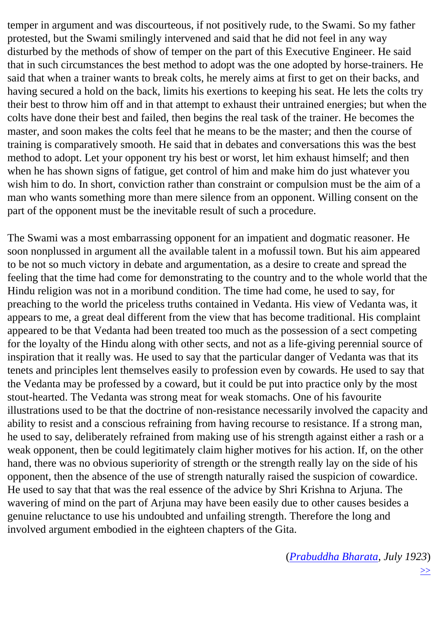temper in argument and was discourteous, if not positively rude, to the Swami. So my father protested, but the Swami smilingly intervened and said that he did not feel in any way disturbed by the methods of show of temper on the part of this Executive Engineer. He said that in such circumstances the best method to adopt was the one adopted by horse-trainers. He said that when a trainer wants to break colts, he merely aims at first to get on their backs, and having secured a hold on the back, limits his exertions to keeping his seat. He lets the colts try their best to throw him off and in that attempt to exhaust their untrained energies; but when the colts have done their best and failed, then begins the real task of the trainer. He becomes the master, and soon makes the colts feel that he means to be the master; and then the course of training is comparatively smooth. He said that in debates and conversations this was the best method to adopt. Let your opponent try his best or worst, let him exhaust himself; and then when he has shown signs of fatigue, get control of him and make him do just whatever you wish him to do. In short, conviction rather than constraint or compulsion must be the aim of a man who wants something more than mere silence from an opponent. Willing consent on the part of the opponent must be the inevitable result of such a procedure.

The Swami was a most embarrassing opponent for an impatient and dogmatic reasoner. He soon nonplussed in argument all the available talent in a mofussil town. But his aim appeared to be not so much victory in debate and argumentation, as a desire to create and spread the feeling that the time had come for demonstrating to the country and to the whole world that the Hindu religion was not in a moribund condition. The time had come, he used to say, for preaching to the world the priceless truths contained in Vedanta. His view of Vedanta was, it appears to me, a great deal different from the view that has become traditional. His complaint appeared to be that Vedanta had been treated too much as the possession of a sect competing for the loyalty of the Hindu along with other sects, and not as a life-giving perennial source of inspiration that it really was. He used to say that the particular danger of Vedanta was that its tenets and principles lent themselves easily to profession even by cowards. He used to say that the Vedanta may be professed by a coward, but it could be put into practice only by the most stout-hearted. The Vedanta was strong meat for weak stomachs. One of his favourite illustrations used to be that the doctrine of non-resistance necessarily involved the capacity and ability to resist and a conscious refraining from having recourse to resistance. If a strong man, he used to say, deliberately refrained from making use of his strength against either a rash or a weak opponent, then be could legitimately claim higher motives for his action. If, on the other hand, there was no obvious superiority of strength or the strength really lay on the side of his opponent, then the absence of the use of strength naturally raised the suspicion of cowardice. He used to say that that was the real essence of the advice by Shri Krishna to Arjuna. The wavering of mind on the part of Arjuna may have been easily due to other causes besides a genuine reluctance to use his undoubted and unfailing strength. Therefore the long and involved argument embodied in the eighteen chapters of the Gita.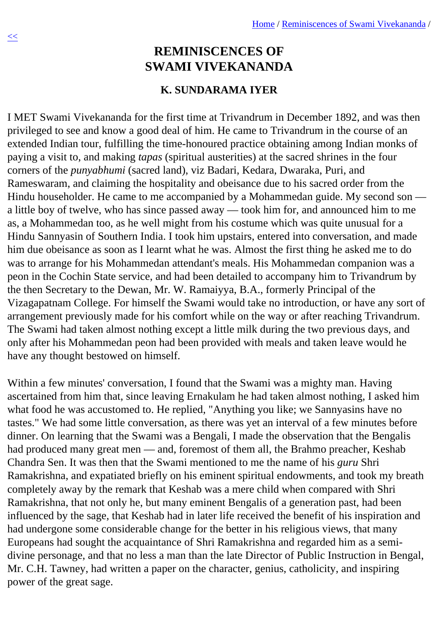## **REMINISCENCES OF SWAMI VIVEKANANDA**

### **K. SUNDARAMA IYER**

<span id="page-42-0"></span>I MET Swami Vivekananda for the first time at Trivandrum in December 1892, and was then privileged to see and know a good deal of him. He came to Trivandrum in the course of an extended Indian tour, fulfilling the time-honoured practice obtaining among Indian monks of paying a visit to, and making *tapas* (spiritual austerities) at the sacred shrines in the four corners of the *punyabhumi* (sacred land), viz Badari, Kedara, Dwaraka, Puri, and Rameswaram, and claiming the hospitality and obeisance due to his sacred order from the Hindu householder. He came to me accompanied by a Mohammedan guide. My second son a little boy of twelve, who has since passed away — took him for, and announced him to me as, a Mohammedan too, as he well might from his costume which was quite unusual for a Hindu Sannyasin of Southern India. I took him upstairs, entered into conversation, and made him due obeisance as soon as I learnt what he was. Almost the first thing he asked me to do was to arrange for his Mohammedan attendant's meals. His Mohammedan companion was a peon in the Cochin State service, and had been detailed to accompany him to Trivandrum by the then Secretary to the Dewan, Mr. W. Ramaiyya, B.A., formerly Principal of the Vizagapatnam College. For himself the Swami would take no introduction, or have any sort of arrangement previously made for his comfort while on the way or after reaching Trivandrum. The Swami had taken almost nothing except a little milk during the two previous days, and only after his Mohammedan peon had been provided with meals and taken leave would he have any thought bestowed on himself.

Within a few minutes' conversation, I found that the Swami was a mighty man. Having ascertained from him that, since leaving Ernakulam he had taken almost nothing, I asked him what food he was accustomed to. He replied, "Anything you like; we Sannyasins have no tastes." We had some little conversation, as there was yet an interval of a few minutes before dinner. On learning that the Swami was a Bengali, I made the observation that the Bengalis had produced many great men — and, foremost of them all, the Brahmo preacher, Keshab Chandra Sen. It was then that the Swami mentioned to me the name of his *guru* Shri Ramakrishna, and expatiated briefly on his eminent spiritual endowments, and took my breath completely away by the remark that Keshab was a mere child when compared with Shri Ramakrishna, that not only he, but many eminent Bengalis of a generation past, had been influenced by the sage, that Keshab had in later life received the benefit of his inspiration and had undergone some considerable change for the better in his religious views, that many Europeans had sought the acquaintance of Shri Ramakrishna and regarded him as a semidivine personage, and that no less a man than the late Director of Public Instruction in Bengal, Mr. C.H. Tawney, had written a paper on the character, genius, catholicity, and inspiring power of the great sage.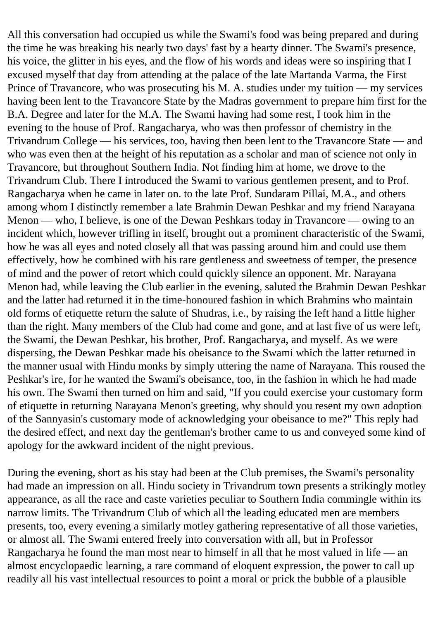All this conversation had occupied us while the Swami's food was being prepared and during the time he was breaking his nearly two days' fast by a hearty dinner. The Swami's presence, his voice, the glitter in his eyes, and the flow of his words and ideas were so inspiring that I excused myself that day from attending at the palace of the late Martanda Varma, the First Prince of Travancore, who was prosecuting his M. A. studies under my tuition — my services having been lent to the Travancore State by the Madras government to prepare him first for the B.A. Degree and later for the M.A. The Swami having had some rest, I took him in the evening to the house of Prof. Rangacharya, who was then professor of chemistry in the Trivandrum College — his services, too, having then been lent to the Travancore State — and who was even then at the height of his reputation as a scholar and man of science not only in Travancore, but throughout Southern India. Not finding him at home, we drove to the Trivandrum Club. There I introduced the Swami to various gentlemen present, and to Prof. Rangacharya when he came in later on. to the late Prof. Sundaram Pillai, M.A., and others among whom I distinctly remember a late Brahmin Dewan Peshkar and my friend Narayana Menon — who, I believe, is one of the Dewan Peshkars today in Travancore — owing to an incident which, however trifling in itself, brought out a prominent characteristic of the Swami, how he was all eyes and noted closely all that was passing around him and could use them effectively, how he combined with his rare gentleness and sweetness of temper, the presence of mind and the power of retort which could quickly silence an opponent. Mr. Narayana Menon had, while leaving the Club earlier in the evening, saluted the Brahmin Dewan Peshkar and the latter had returned it in the time-honoured fashion in which Brahmins who maintain old forms of etiquette return the salute of Shudras, i.e., by raising the left hand a little higher than the right. Many members of the Club had come and gone, and at last five of us were left, the Swami, the Dewan Peshkar, his brother, Prof. Rangacharya, and myself. As we were dispersing, the Dewan Peshkar made his obeisance to the Swami which the latter returned in the manner usual with Hindu monks by simply uttering the name of Narayana. This roused the Peshkar's ire, for he wanted the Swami's obeisance, too, in the fashion in which he had made his own. The Swami then turned on him and said, "If you could exercise your customary form of etiquette in returning Narayana Menon's greeting, why should you resent my own adoption of the Sannyasin's customary mode of acknowledging your obeisance to me?" This reply had the desired effect, and next day the gentleman's brother came to us and conveyed some kind of apology for the awkward incident of the night previous.

During the evening, short as his stay had been at the Club premises, the Swami's personality had made an impression on all. Hindu society in Trivandrum town presents a strikingly motley appearance, as all the race and caste varieties peculiar to Southern India commingle within its narrow limits. The Trivandrum Club of which all the leading educated men are members presents, too, every evening a similarly motley gathering representative of all those varieties, or almost all. The Swami entered freely into conversation with all, but in Professor Rangacharya he found the man most near to himself in all that he most valued in life — an almost encyclopaedic learning, a rare command of eloquent expression, the power to call up readily all his vast intellectual resources to point a moral or prick the bubble of a plausible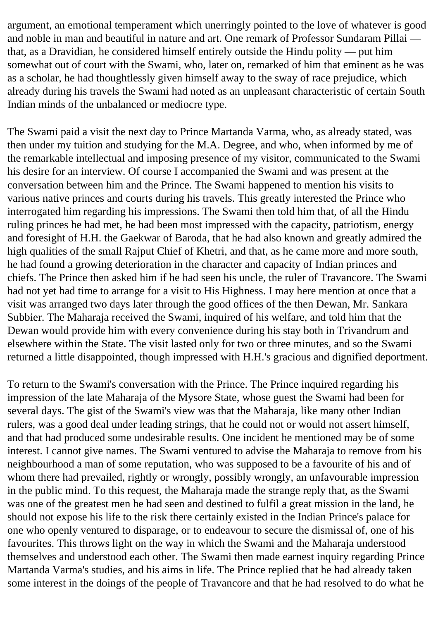argument, an emotional temperament which unerringly pointed to the love of whatever is good and noble in man and beautiful in nature and art. One remark of Professor Sundaram Pillai that, as a Dravidian, he considered himself entirely outside the Hindu polity — put him somewhat out of court with the Swami, who, later on, remarked of him that eminent as he was as a scholar, he had thoughtlessly given himself away to the sway of race prejudice, which already during his travels the Swami had noted as an unpleasant characteristic of certain South Indian minds of the unbalanced or mediocre type.

The Swami paid a visit the next day to Prince Martanda Varma, who, as already stated, was then under my tuition and studying for the M.A. Degree, and who, when informed by me of the remarkable intellectual and imposing presence of my visitor, communicated to the Swami his desire for an interview. Of course I accompanied the Swami and was present at the conversation between him and the Prince. The Swami happened to mention his visits to various native princes and courts during his travels. This greatly interested the Prince who interrogated him regarding his impressions. The Swami then told him that, of all the Hindu ruling princes he had met, he had been most impressed with the capacity, patriotism, energy and foresight of H.H. the Gaekwar of Baroda, that he had also known and greatly admired the high qualities of the small Rajput Chief of Khetri, and that, as he came more and more south, he had found a growing deterioration in the character and capacity of Indian princes and chiefs. The Prince then asked him if he had seen his uncle, the ruler of Travancore. The Swami had not yet had time to arrange for a visit to His Highness. I may here mention at once that a visit was arranged two days later through the good offices of the then Dewan, Mr. Sankara Subbier. The Maharaja received the Swami, inquired of his welfare, and told him that the Dewan would provide him with every convenience during his stay both in Trivandrum and elsewhere within the State. The visit lasted only for two or three minutes, and so the Swami returned a little disappointed, though impressed with H.H.'s gracious and dignified deportment.

To return to the Swami's conversation with the Prince. The Prince inquired regarding his impression of the late Maharaja of the Mysore State, whose guest the Swami had been for several days. The gist of the Swami's view was that the Maharaja, like many other Indian rulers, was a good deal under leading strings, that he could not or would not assert himself, and that had produced some undesirable results. One incident he mentioned may be of some interest. I cannot give names. The Swami ventured to advise the Maharaja to remove from his neighbourhood a man of some reputation, who was supposed to be a favourite of his and of whom there had prevailed, rightly or wrongly, possibly wrongly, an unfavourable impression in the public mind. To this request, the Maharaja made the strange reply that, as the Swami was one of the greatest men he had seen and destined to fulfil a great mission in the land, he should not expose his life to the risk there certainly existed in the Indian Prince's palace for one who openly ventured to disparage, or to endeavour to secure the dismissal of, one of his favourites. This throws light on the way in which the Swami and the Maharaja understood themselves and understood each other. The Swami then made earnest inquiry regarding Prince Martanda Varma's studies, and his aims in life. The Prince replied that he had already taken some interest in the doings of the people of Travancore and that he had resolved to do what he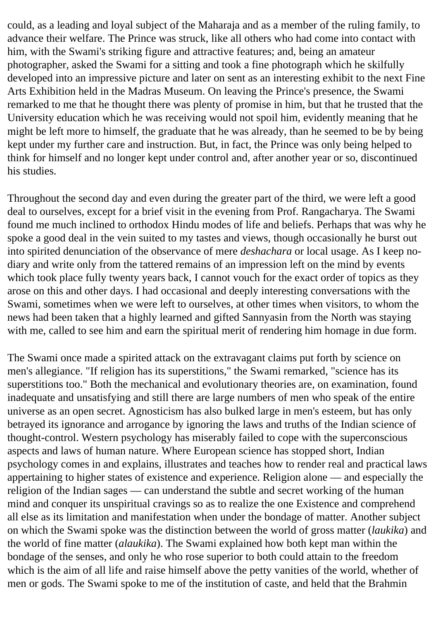could, as a leading and loyal subject of the Maharaja and as a member of the ruling family, to advance their welfare. The Prince was struck, like all others who had come into contact with him, with the Swami's striking figure and attractive features; and, being an amateur photographer, asked the Swami for a sitting and took a fine photograph which he skilfully developed into an impressive picture and later on sent as an interesting exhibit to the next Fine Arts Exhibition held in the Madras Museum. On leaving the Prince's presence, the Swami remarked to me that he thought there was plenty of promise in him, but that he trusted that the University education which he was receiving would not spoil him, evidently meaning that he might be left more to himself, the graduate that he was already, than he seemed to be by being kept under my further care and instruction. But, in fact, the Prince was only being helped to think for himself and no longer kept under control and, after another year or so, discontinued his studies.

Throughout the second day and even during the greater part of the third, we were left a good deal to ourselves, except for a brief visit in the evening from Prof. Rangacharya. The Swami found me much inclined to orthodox Hindu modes of life and beliefs. Perhaps that was why he spoke a good deal in the vein suited to my tastes and views, though occasionally he burst out into spirited denunciation of the observance of mere *deshachara* or local usage. As I keep nodiary and write only from the tattered remains of an impression left on the mind by events which took place fully twenty years back, I cannot vouch for the exact order of topics as they arose on this and other days. I had occasional and deeply interesting conversations with the Swami, sometimes when we were left to ourselves, at other times when visitors, to whom the news had been taken that a highly learned and gifted Sannyasin from the North was staying with me, called to see him and earn the spiritual merit of rendering him homage in due form.

The Swami once made a spirited attack on the extravagant claims put forth by science on men's allegiance. "If religion has its superstitions," the Swami remarked, "science has its superstitions too." Both the mechanical and evolutionary theories are, on examination, found inadequate and unsatisfying and still there are large numbers of men who speak of the entire universe as an open secret. Agnosticism has also bulked large in men's esteem, but has only betrayed its ignorance and arrogance by ignoring the laws and truths of the Indian science of thought-control. Western psychology has miserably failed to cope with the superconscious aspects and laws of human nature. Where European science has stopped short, Indian psychology comes in and explains, illustrates and teaches how to render real and practical laws appertaining to higher states of existence and experience. Religion alone — and especially the religion of the Indian sages — can understand the subtle and secret working of the human mind and conquer its unspiritual cravings so as to realize the one Existence and comprehend all else as its limitation and manifestation when under the bondage of matter. Another subject on which the Swami spoke was the distinction between the world of gross matter (*laukika*) and the world of fine matter (*alaukika*). The Swami explained how both kept man within the bondage of the senses, and only he who rose superior to both could attain to the freedom which is the aim of all life and raise himself above the petty vanities of the world, whether of men or gods. The Swami spoke to me of the institution of caste, and held that the Brahmin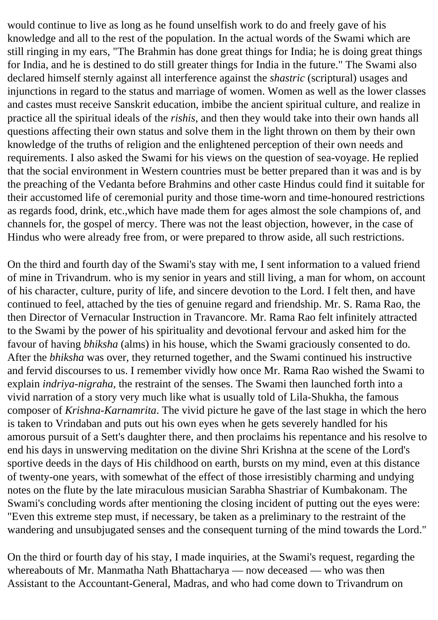would continue to live as long as he found unselfish work to do and freely gave of his knowledge and all to the rest of the population. In the actual words of the Swami which are still ringing in my ears, "The Brahmin has done great things for India; he is doing great things for India, and he is destined to do still greater things for India in the future." The Swami also declared himself sternly against all interference against the *shastric* (scriptural) usages and injunctions in regard to the status and marriage of women. Women as well as the lower classes and castes must receive Sanskrit education, imbibe the ancient spiritual culture, and realize in practice all the spiritual ideals of the *rishis*, and then they would take into their own hands all questions affecting their own status and solve them in the light thrown on them by their own knowledge of the truths of religion and the enlightened perception of their own needs and requirements. I also asked the Swami for his views on the question of sea-voyage. He replied that the social environment in Western countries must be better prepared than it was and is by the preaching of the Vedanta before Brahmins and other caste Hindus could find it suitable for their accustomed life of ceremonial purity and those time-worn and time-honoured restrictions as regards food, drink, etc.,which have made them for ages almost the sole champions of, and channels for, the gospel of mercy. There was not the least objection, however, in the case of Hindus who were already free from, or were prepared to throw aside, all such restrictions.

On the third and fourth day of the Swami's stay with me, I sent information to a valued friend of mine in Trivandrum. who is my senior in years and still living, a man for whom, on account of his character, culture, purity of life, and sincere devotion to the Lord. I felt then, and have continued to feel, attached by the ties of genuine regard and friendship. Mr. S. Rama Rao, the then Director of Vernacular Instruction in Travancore. Mr. Rama Rao felt infinitely attracted to the Swami by the power of his spirituality and devotional fervour and asked him for the favour of having *bhiksha* (alms) in his house, which the Swami graciously consented to do. After the *bhiksha* was over, they returned together, and the Swami continued his instructive and fervid discourses to us. I remember vividly how once Mr. Rama Rao wished the Swami to explain *indriya-nigraha*, the restraint of the senses. The Swami then launched forth into a vivid narration of a story very much like what is usually told of Lila-Shukha, the famous composer of *Krishna-Karnamrita*. The vivid picture he gave of the last stage in which the hero is taken to Vrindaban and puts out his own eyes when he gets severely handled for his amorous pursuit of a Sett's daughter there, and then proclaims his repentance and his resolve to end his days in unswerving meditation on the divine Shri Krishna at the scene of the Lord's sportive deeds in the days of His childhood on earth, bursts on my mind, even at this distance of twenty-one years, with somewhat of the effect of those irresistibly charming and undying notes on the flute by the late miraculous musician Sarabha Shastriar of Kumbakonam. The Swami's concluding words after mentioning the closing incident of putting out the eyes were: "Even this extreme step must, if necessary, be taken as a preliminary to the restraint of the wandering and unsubjugated senses and the consequent turning of the mind towards the Lord."

On the third or fourth day of his stay, I made inquiries, at the Swami's request, regarding the whereabouts of Mr. Manmatha Nath Bhattacharya — now deceased — who was then Assistant to the Accountant-General, Madras, and who had come down to Trivandrum on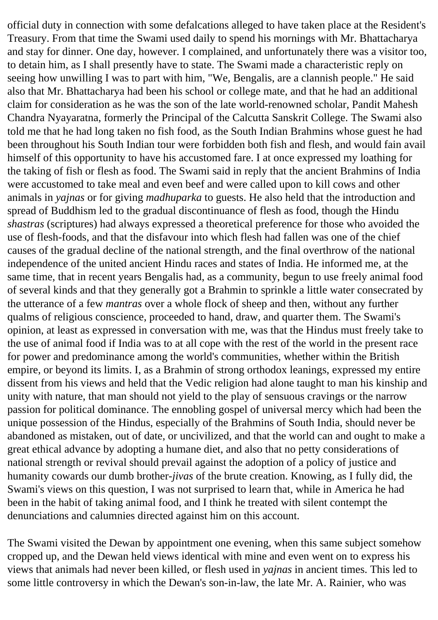official duty in connection with some defalcations alleged to have taken place at the Resident's Treasury. From that time the Swami used daily to spend his mornings with Mr. Bhattacharya and stay for dinner. One day, however. I complained, and unfortunately there was a visitor too, to detain him, as I shall presently have to state. The Swami made a characteristic reply on seeing how unwilling I was to part with him, "We, Bengalis, are a clannish people." He said also that Mr. Bhattacharya had been his school or college mate, and that he had an additional claim for consideration as he was the son of the late world-renowned scholar, Pandit Mahesh Chandra Nyayaratna, formerly the Principal of the Calcutta Sanskrit College. The Swami also told me that he had long taken no fish food, as the South Indian Brahmins whose guest he had been throughout his South Indian tour were forbidden both fish and flesh, and would fain avail himself of this opportunity to have his accustomed fare. I at once expressed my loathing for the taking of fish or flesh as food. The Swami said in reply that the ancient Brahmins of India were accustomed to take meal and even beef and were called upon to kill cows and other animals in *yajnas* or for giving *madhuparka* to guests. He also held that the introduction and spread of Buddhism led to the gradual discontinuance of flesh as food, though the Hindu *shastras* (scriptures) had always expressed a theoretical preference for those who avoided the use of flesh-foods, and that the disfavour into which flesh had fallen was one of the chief causes of the gradual decline of the national strength, and the final overthrow of the national independence of the united ancient Hindu races and states of India. He informed me, at the same time, that in recent years Bengalis had, as a community, begun to use freely animal food of several kinds and that they generally got a Brahmin to sprinkle a little water consecrated by the utterance of a few *mantras* over a whole flock of sheep and then, without any further qualms of religious conscience, proceeded to hand, draw, and quarter them. The Swami's opinion, at least as expressed in conversation with me, was that the Hindus must freely take to the use of animal food if India was to at all cope with the rest of the world in the present race for power and predominance among the world's communities, whether within the British empire, or beyond its limits. I, as a Brahmin of strong orthodox leanings, expressed my entire dissent from his views and held that the Vedic religion had alone taught to man his kinship and unity with nature, that man should not yield to the play of sensuous cravings or the narrow passion for political dominance. The ennobling gospel of universal mercy which had been the unique possession of the Hindus, especially of the Brahmins of South India, should never be abandoned as mistaken, out of date, or uncivilized, and that the world can and ought to make a great ethical advance by adopting a humane diet, and also that no petty considerations of national strength or revival should prevail against the adoption of a policy of justice and humanity cowards our dumb brother-*jivas* of the brute creation. Knowing, as I fully did, the Swami's views on this question, I was not surprised to learn that, while in America he had been in the habit of taking animal food, and I think he treated with silent contempt the denunciations and calumnies directed against him on this account.

The Swami visited the Dewan by appointment one evening, when this same subject somehow cropped up, and the Dewan held views identical with mine and even went on to express his views that animals had never been killed, or flesh used in *yajnas* in ancient times. This led to some little controversy in which the Dewan's son-in-law, the late Mr. A. Rainier, who was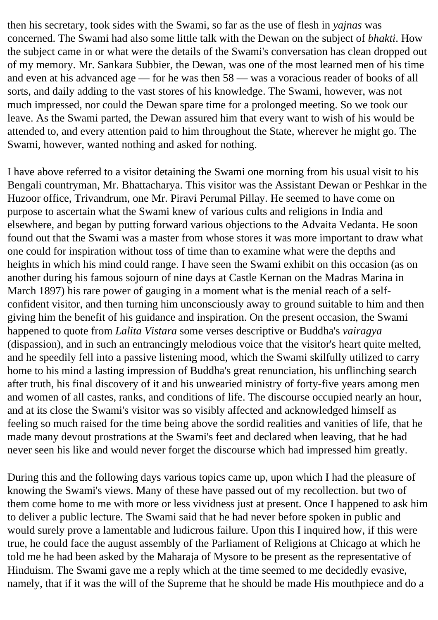then his secretary, took sides with the Swami, so far as the use of flesh in *yajnas* was concerned. The Swami had also some little talk with the Dewan on the subject of *bhakti*. How the subject came in or what were the details of the Swami's conversation has clean dropped out of my memory. Mr. Sankara Subbier, the Dewan, was one of the most learned men of his time and even at his advanced age — for he was then 58 — was a voracious reader of books of all sorts, and daily adding to the vast stores of his knowledge. The Swami, however, was not much impressed, nor could the Dewan spare time for a prolonged meeting. So we took our leave. As the Swami parted, the Dewan assured him that every want to wish of his would be attended to, and every attention paid to him throughout the State, wherever he might go. The Swami, however, wanted nothing and asked for nothing.

I have above referred to a visitor detaining the Swami one morning from his usual visit to his Bengali countryman, Mr. Bhattacharya. This visitor was the Assistant Dewan or Peshkar in the Huzoor office, Trivandrum, one Mr. Piravi Perumal Pillay. He seemed to have come on purpose to ascertain what the Swami knew of various cults and religions in India and elsewhere, and began by putting forward various objections to the Advaita Vedanta. He soon found out that the Swami was a master from whose stores it was more important to draw what one could for inspiration without toss of time than to examine what were the depths and heights in which his mind could range. I have seen the Swami exhibit on this occasion (as on another during his famous sojourn of nine days at Castle Kernan on the Madras Marina in March 1897) his rare power of gauging in a moment what is the menial reach of a selfconfident visitor, and then turning him unconsciously away to ground suitable to him and then giving him the benefit of his guidance and inspiration. On the present occasion, the Swami happened to quote from *Lalita Vistara* some verses descriptive or Buddha's *vairagya* (dispassion), and in such an entrancingly melodious voice that the visitor's heart quite melted, and he speedily fell into a passive listening mood, which the Swami skilfully utilized to carry home to his mind a lasting impression of Buddha's great renunciation, his unflinching search after truth, his final discovery of it and his unwearied ministry of forty-five years among men and women of all castes, ranks, and conditions of life. The discourse occupied nearly an hour, and at its close the Swami's visitor was so visibly affected and acknowledged himself as feeling so much raised for the time being above the sordid realities and vanities of life, that he made many devout prostrations at the Swami's feet and declared when leaving, that he had never seen his like and would never forget the discourse which had impressed him greatly.

During this and the following days various topics came up, upon which I had the pleasure of knowing the Swami's views. Many of these have passed out of my recollection. but two of them come home to me with more or less vividness just at present. Once I happened to ask him to deliver a public lecture. The Swami said that he had never before spoken in public and would surely prove a lamentable and ludicrous failure. Upon this I inquired how, if this were true, he could face the august assembly of the Parliament of Religions at Chicago at which he told me he had been asked by the Maharaja of Mysore to be present as the representative of Hinduism. The Swami gave me a reply which at the time seemed to me decidedly evasive, namely, that if it was the will of the Supreme that he should be made His mouthpiece and do a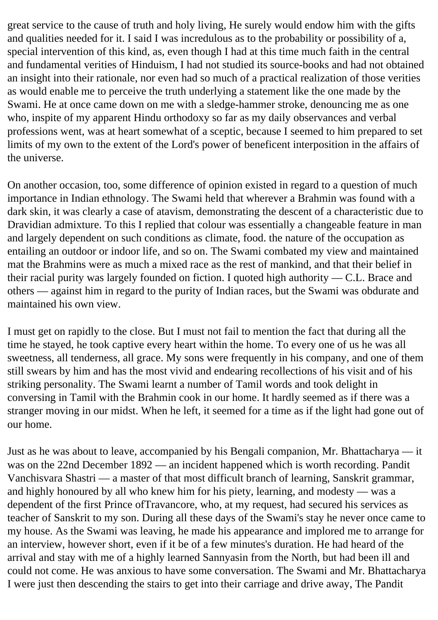great service to the cause of truth and holy living, He surely would endow him with the gifts and qualities needed for it. I said I was incredulous as to the probability or possibility of a, special intervention of this kind, as, even though I had at this time much faith in the central and fundamental verities of Hinduism, I had not studied its source-books and had not obtained an insight into their rationale, nor even had so much of a practical realization of those verities as would enable me to perceive the truth underlying a statement like the one made by the Swami. He at once came down on me with a sledge-hammer stroke, denouncing me as one who, inspite of my apparent Hindu orthodoxy so far as my daily observances and verbal professions went, was at heart somewhat of a sceptic, because I seemed to him prepared to set limits of my own to the extent of the Lord's power of beneficent interposition in the affairs of the universe.

On another occasion, too, some difference of opinion existed in regard to a question of much importance in Indian ethnology. The Swami held that wherever a Brahmin was found with a dark skin, it was clearly a case of atavism, demonstrating the descent of a characteristic due to Dravidian admixture. To this I replied that colour was essentially a changeable feature in man and largely dependent on such conditions as climate, food. the nature of the occupation as entailing an outdoor or indoor life, and so on. The Swami combated my view and maintained mat the Brahmins were as much a mixed race as the rest of mankind, and that their belief in their racial purity was largely founded on fiction. I quoted high authority — C.L. Brace and others — against him in regard to the purity of Indian races, but the Swami was obdurate and maintained his own view.

I must get on rapidly to the close. But I must not fail to mention the fact that during all the time he stayed, he took captive every heart within the home. To every one of us he was all sweetness, all tenderness, all grace. My sons were frequently in his company, and one of them still swears by him and has the most vivid and endearing recollections of his visit and of his striking personality. The Swami learnt a number of Tamil words and took delight in conversing in Tamil with the Brahmin cook in our home. It hardly seemed as if there was a stranger moving in our midst. When he left, it seemed for a time as if the light had gone out of our home.

Just as he was about to leave, accompanied by his Bengali companion, Mr. Bhattacharya — it was on the 22nd December 1892 — an incident happened which is worth recording. Pandit Vanchisvara Shastri — a master of that most difficult branch of learning, Sanskrit grammar, and highly honoured by all who knew him for his piety, learning, and modesty — was a dependent of the first Prince ofTravancore, who, at my request, had secured his services as teacher of Sanskrit to my son. During all these days of the Swami's stay he never once came to my house. As the Swami was leaving, he made his appearance and implored me to arrange for an interview, however short, even if it be of a few minutes's duration. He had heard of the arrival and stay with me of a highly learned Sannyasin from the North, but had been ill and could not come. He was anxious to have some conversation. The Swami and Mr. Bhattacharya I were just then descending the stairs to get into their carriage and drive away, The Pandit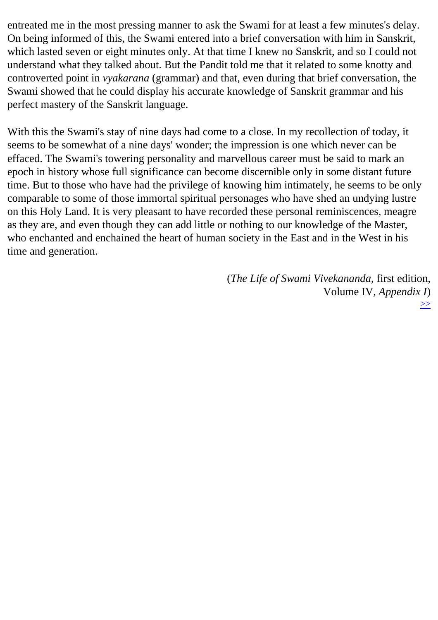entreated me in the most pressing manner to ask the Swami for at least a few minutes's delay. On being informed of this, the Swami entered into a brief conversation with him in Sanskrit, which lasted seven or eight minutes only. At that time I knew no Sanskrit, and so I could not understand what they talked about. But the Pandit told me that it related to some knotty and controverted point in *vyakarana* (grammar) and that, even during that brief conversation, the Swami showed that he could display his accurate knowledge of Sanskrit grammar and his perfect mastery of the Sanskrit language.

With this the Swami's stay of nine days had come to a close. In my recollection of today, it seems to be somewhat of a nine days' wonder; the impression is one which never can be effaced. The Swami's towering personality and marvellous career must be said to mark an epoch in history whose full significance can become discernible only in some distant future time. But to those who have had the privilege of knowing him intimately, he seems to be only comparable to some of those immortal spiritual personages who have shed an undying lustre on this Holy Land. It is very pleasant to have recorded these personal reminiscences, meagre as they are, and even though they can add little or nothing to our knowledge of the Master, who enchanted and enchained the heart of human society in the East and in the West in his time and generation.

> (*The Life of Swami Vivekananda*, first edition, Volume IV, *Appendix I*)  $\geq$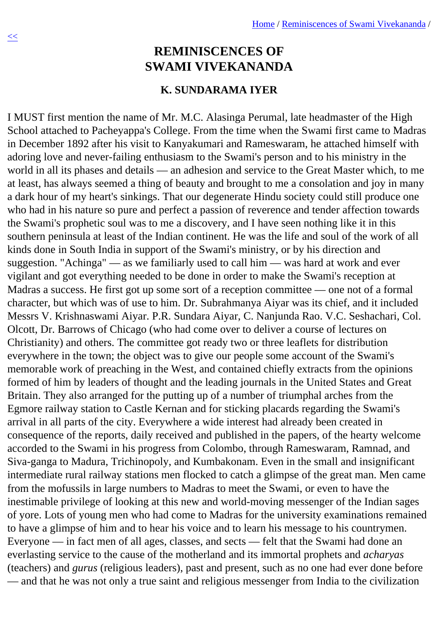# **REMINISCENCES OF SWAMI VIVEKANANDA**

#### **K. SUNDARAMA IYER**

<span id="page-51-0"></span>I MUST first mention the name of Mr. M.C. Alasinga Perumal, late headmaster of the High School attached to Pacheyappa's College. From the time when the Swami first came to Madras in December 1892 after his visit to Kanyakumari and Rameswaram, he attached himself with adoring love and never-failing enthusiasm to the Swami's person and to his ministry in the world in all its phases and details — an adhesion and service to the Great Master which, to me at least, has always seemed a thing of beauty and brought to me a consolation and joy in many a dark hour of my heart's sinkings. That our degenerate Hindu society could still produce one who had in his nature so pure and perfect a passion of reverence and tender affection towards the Swami's prophetic soul was to me a discovery, and I have seen nothing like it in this southern peninsula at least of the Indian continent. He was the life and soul of the work of all kinds done in South India in support of the Swami's ministry, or by his direction and suggestion. "Achinga" — as we familiarly used to call him — was hard at work and ever vigilant and got everything needed to be done in order to make the Swami's reception at Madras a success. He first got up some sort of a reception committee — one not of a formal character, but which was of use to him. Dr. Subrahmanya Aiyar was its chief, and it included Messrs V. Krishnaswami Aiyar. P.R. Sundara Aiyar, C. Nanjunda Rao. V.C. Seshachari, Col. Olcott, Dr. Barrows of Chicago (who had come over to deliver a course of lectures on Christianity) and others. The committee got ready two or three leaflets for distribution everywhere in the town; the object was to give our people some account of the Swami's memorable work of preaching in the West, and contained chiefly extracts from the opinions formed of him by leaders of thought and the leading journals in the United States and Great Britain. They also arranged for the putting up of a number of triumphal arches from the Egmore railway station to Castle Kernan and for sticking placards regarding the Swami's arrival in all parts of the city. Everywhere a wide interest had already been created in consequence of the reports, daily received and published in the papers, of the hearty welcome accorded to the Swami in his progress from Colombo, through Rameswaram, Ramnad, and Siva-ganga to Madura, Trichinopoly, and Kumbakonam. Even in the small and insignificant intermediate rural railway stations men flocked to catch a glimpse of the great man. Men came from the mofussils in large numbers to Madras to meet the Swami, or even to have the inestimable privilege of looking at this new and world-moving messenger of the Indian sages of yore. Lots of young men who had come to Madras for the university examinations remained to have a glimpse of him and to hear his voice and to learn his message to his countrymen. Everyone — in fact men of all ages, classes, and sects — felt that the Swami had done an everlasting service to the cause of the motherland and its immortal prophets and *acharyas* (teachers) and *gurus* (religious leaders), past and present, such as no one had ever done before — and that he was not only a true saint and religious messenger from India to the civilization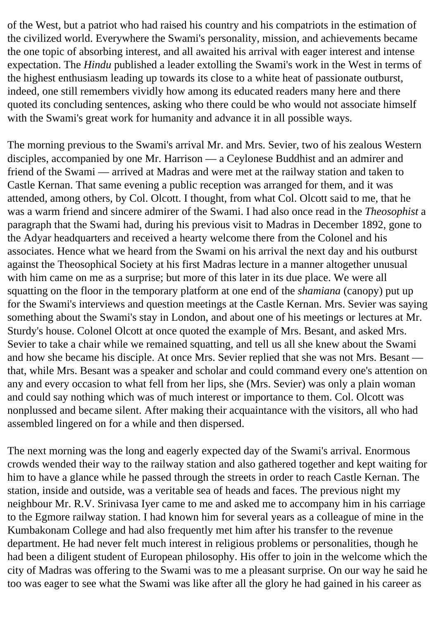of the West, but a patriot who had raised his country and his compatriots in the estimation of the civilized world. Everywhere the Swami's personality, mission, and achievements became the one topic of absorbing interest, and all awaited his arrival with eager interest and intense expectation. The *Hindu* published a leader extolling the Swami's work in the West in terms of the highest enthusiasm leading up towards its close to a white heat of passionate outburst, indeed, one still remembers vividly how among its educated readers many here and there quoted its concluding sentences, asking who there could be who would not associate himself with the Swami's great work for humanity and advance it in all possible ways.

The morning previous to the Swami's arrival Mr. and Mrs. Sevier, two of his zealous Western disciples, accompanied by one Mr. Harrison — a Ceylonese Buddhist and an admirer and friend of the Swami — arrived at Madras and were met at the railway station and taken to Castle Kernan. That same evening a public reception was arranged for them, and it was attended, among others, by Col. Olcott. I thought, from what Col. Olcott said to me, that he was a warm friend and sincere admirer of the Swami. I had also once read in the *Theosophist* a paragraph that the Swami had, during his previous visit to Madras in December 1892, gone to the Adyar headquarters and received a hearty welcome there from the Colonel and his associates. Hence what we heard from the Swami on his arrival the next day and his outburst against the Theosophical Society at his first Madras lecture in a manner altogether unusual with him came on me as a surprise; but more of this later in its due place. We were all squatting on the floor in the temporary platform at one end of the *shamiana* (canopy) put up for the Swami's interviews and question meetings at the Castle Kernan. Mrs. Sevier was saying something about the Swami's stay in London, and about one of his meetings or lectures at Mr. Sturdy's house. Colonel Olcott at once quoted the example of Mrs. Besant, and asked Mrs. Sevier to take a chair while we remained squatting, and tell us all she knew about the Swami and how she became his disciple. At once Mrs. Sevier replied that she was not Mrs. Besant that, while Mrs. Besant was a speaker and scholar and could command every one's attention on any and every occasion to what fell from her lips, she (Mrs. Sevier) was only a plain woman and could say nothing which was of much interest or importance to them. Col. Olcott was nonplussed and became silent. After making their acquaintance with the visitors, all who had assembled lingered on for a while and then dispersed.

The next morning was the long and eagerly expected day of the Swami's arrival. Enormous crowds wended their way to the railway station and also gathered together and kept waiting for him to have a glance while he passed through the streets in order to reach Castle Kernan. The station, inside and outside, was a veritable sea of heads and faces. The previous night my neighbour Mr. R.V. Srinivasa Iyer came to me and asked me to accompany him in his carriage to the Egmore railway station. I had known him for several years as a colleague of mine in the Kumbakonam College and had also frequently met him after his transfer to the revenue department. He had never felt much interest in religious problems or personalities, though he had been a diligent student of European philosophy. His offer to join in the welcome which the city of Madras was offering to the Swami was to me a pleasant surprise. On our way he said he too was eager to see what the Swami was like after all the glory he had gained in his career as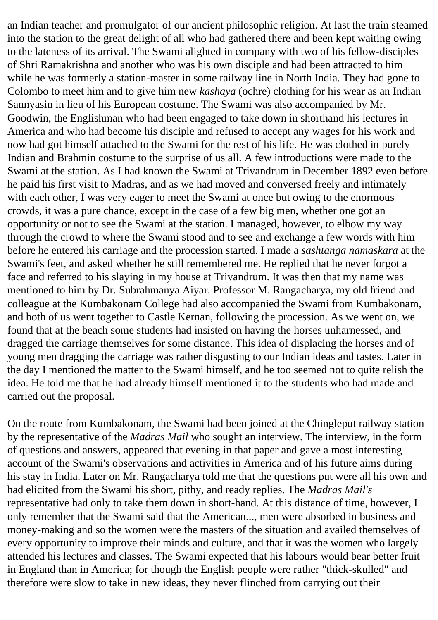an Indian teacher and promulgator of our ancient philosophic religion. At last the train steamed into the station to the great delight of all who had gathered there and been kept waiting owing to the lateness of its arrival. The Swami alighted in company with two of his fellow-disciples of Shri Ramakrishna and another who was his own disciple and had been attracted to him while he was formerly a station-master in some railway line in North India. They had gone to Colombo to meet him and to give him new *kashaya* (ochre) clothing for his wear as an Indian Sannyasin in lieu of his European costume. The Swami was also accompanied by Mr. Goodwin, the Englishman who had been engaged to take down in shorthand his lectures in America and who had become his disciple and refused to accept any wages for his work and now had got himself attached to the Swami for the rest of his life. He was clothed in purely Indian and Brahmin costume to the surprise of us all. A few introductions were made to the Swami at the station. As I had known the Swami at Trivandrum in December 1892 even before he paid his first visit to Madras, and as we had moved and conversed freely and intimately with each other, I was very eager to meet the Swami at once but owing to the enormous crowds, it was a pure chance, except in the case of a few big men, whether one got an opportunity or not to see the Swami at the station. I managed, however, to elbow my way through the crowd to where the Swami stood and to see and exchange a few words with him before he entered his carriage and the procession started. I made a *sashtanga namaskara* at the Swami's feet, and asked whether he still remembered me. He replied that he never forgot a face and referred to his slaying in my house at Trivandrum. It was then that my name was mentioned to him by Dr. Subrahmanya Aiyar. Professor M. Rangacharya, my old friend and colleague at the Kumbakonam College had also accompanied the Swami from Kumbakonam, and both of us went together to Castle Kernan, following the procession. As we went on, we found that at the beach some students had insisted on having the horses unharnessed, and dragged the carriage themselves for some distance. This idea of displacing the horses and of young men dragging the carriage was rather disgusting to our Indian ideas and tastes. Later in the day I mentioned the matter to the Swami himself, and he too seemed not to quite relish the idea. He told me that he had already himself mentioned it to the students who had made and carried out the proposal.

On the route from Kumbakonam, the Swami had been joined at the Chingleput railway station by the representative of the *Madras Mail* who sought an interview. The interview, in the form of questions and answers, appeared that evening in that paper and gave a most interesting account of the Swami's observations and activities in America and of his future aims during his stay in India. Later on Mr. Rangacharya told me that the questions put were all his own and had elicited from the Swami his short, pithy, and ready replies. The *Madras Mail's* representative had only to take them down in short-hand. At this distance of time, however, I only remember that the Swami said that the American..., men were absorbed in business and money-making and so the women were the masters of the situation and availed themselves of every opportunity to improve their minds and culture, and that it was the women who largely attended his lectures and classes. The Swami expected that his labours would bear better fruit in England than in America; for though the English people were rather "thick-skulled" and therefore were slow to take in new ideas, they never flinched from carrying out their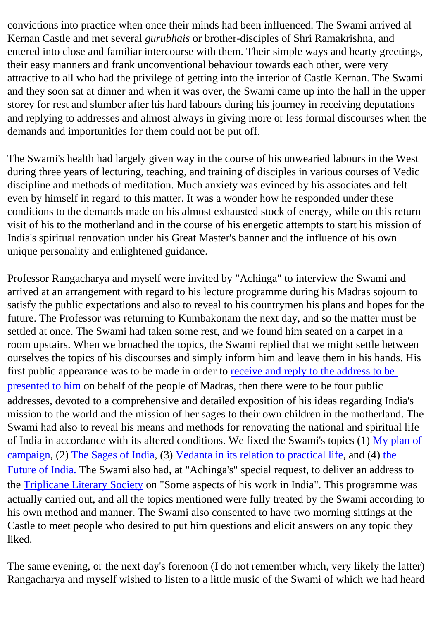convictions into practice when once their minds had been influenced. The Swami arrived al Kernan Castle and met several *gurubhais* or brother-disciples of Shri Ramakrishna, and entered into close and familiar intercourse with them. Their simple ways and hearty greetings, their easy manners and frank unconventional behaviour towards each other, were very attractive to all who had the privilege of getting into the interior of Castle Kernan. The Swami and they soon sat at dinner and when it was over, the Swami came up into the hall in the upper storey for rest and slumber after his hard labours during his journey in receiving deputations and replying to addresses and almost always in giving more or less formal discourses when the demands and importunities for them could not be put off.

The Swami's health had largely given way in the course of his unwearied labours in the West during three years of lecturing, teaching, and training of disciples in various courses of Vedic discipline and methods of meditation. Much anxiety was evinced by his associates and felt even by himself in regard to this matter. It was a wonder how he responded under these conditions to the demands made on his almost exhausted stock of energy, while on this return visit of his to the motherland and in the course of his energetic attempts to start his mission of India's spiritual renovation under his Great Master's banner and the influence of his own unique personality and enlightened guidance.

Professor Rangacharya and myself were invited by "Achinga" to interview the Swami and arrived at an arrangement with regard to his lecture programme during his Madras sojourn to satisfy the public expectations and also to reveal to his countrymen his plans and hopes for the future. The Professor was returning to Kumbakonam the next day, and so the matter must be settled at once. The Swami had taken some rest, and we found him seated on a carpet in a room upstairs. When we broached the topics, the Swami replied that we might settle between ourselves the topics of his discourses and simply inform him and leave them in his hands. His first public appearance was to be made in order to [receive and reply to the address to be](http://www.ramakrishnavivekananda.info/vivekananda/volume_3/lectures_from_colombo_to_almora/reply_to_the_address_of_welcome_at_madras.htm) [presented to him](http://www.ramakrishnavivekananda.info/vivekananda/volume_3/lectures_from_colombo_to_almora/reply_to_the_address_of_welcome_at_madras.htm) on behalf of the people of Madras, then there were to be four public addresses, devoted to a comprehensive and detailed exposition of his ideas regarding India's mission to the world and the mission of her sages to their own children in the motherland. The Swami had also to reveal his means and methods for renovating the national and spiritual life of India in accordance with its altered conditions. We fixed the Swami's topics (1) [My plan of](http://www.ramakrishnavivekananda.info/vivekananda/volume_3/lectures_from_colombo_to_almora/my_plan_of_campaign.htm) [campaign](http://www.ramakrishnavivekananda.info/vivekananda/volume_3/lectures_from_colombo_to_almora/my_plan_of_campaign.htm), (2) [The Sages of India,](http://www.ramakrishnavivekananda.info/vivekananda/volume_3/lectures_from_colombo_to_almora/the_sages_of_india.htm) (3) [Vedanta in its relation to practical life](http://www.ramakrishnavivekananda.info/vivekananda/volume_3/lectures_from_colombo_to_almora/vedanta_in_its_applications_to_indian_life.htm), and (4) [the](http://www.ramakrishnavivekananda.info/vivekananda/volume_3/lectures_from_colombo_to_almora/the_future_of_india.htm)  [Future of India.](http://www.ramakrishnavivekananda.info/vivekananda/volume_3/lectures_from_colombo_to_almora/the_future_of_india.htm) The Swami also had, at "Achinga's" special request, to deliver an address to the [Triplicane Literary Society](http://www.ramakrishnavivekananda.info/vivekananda/volume_3/lectures_from_colombo_to_almora/the_work_before_us.htm) on "Some aspects of his work in India". This programme was actually carried out, and all the topics mentioned were fully treated by the Swami according to his own method and manner. The Swami also consented to have two morning sittings at the Castle to meet people who desired to put him questions and elicit answers on any topic they liked.

The same evening, or the next day's forenoon (I do not remember which, very likely the latter) Rangacharya and myself wished to listen to a little music of the Swami of which we had heard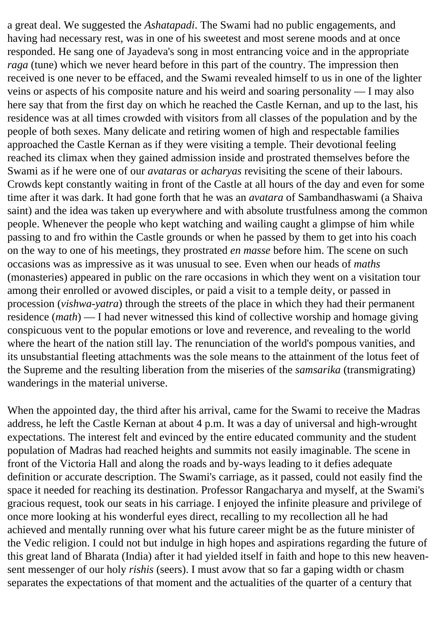a great deal. We suggested the *Ashatapadi*. The Swami had no public engagements, and having had necessary rest, was in one of his sweetest and most serene moods and at once responded. He sang one of Jayadeva's song in most entrancing voice and in the appropriate *raga* (tune) which we never heard before in this part of the country. The impression then received is one never to be effaced, and the Swami revealed himself to us in one of the lighter veins or aspects of his composite nature and his weird and soaring personality — I may also here say that from the first day on which he reached the Castle Kernan, and up to the last, his residence was at all times crowded with visitors from all classes of the population and by the people of both sexes. Many delicate and retiring women of high and respectable families approached the Castle Kernan as if they were visiting a temple. Their devotional feeling reached its climax when they gained admission inside and prostrated themselves before the Swami as if he were one of our *avataras* or *acharyas* revisiting the scene of their labours. Crowds kept constantly waiting in front of the Castle at all hours of the day and even for some time after it was dark. It had gone forth that he was an *avatara* of Sambandhaswami (a Shaiva saint) and the idea was taken up everywhere and with absolute trustfulness among the common people. Whenever the people who kept watching and wailing caught a glimpse of him while passing to and fro within the Castle grounds or when he passed by them to get into his coach on the way to one of his meetings, they prostrated *en masse* before him. The scene on such occasions was as impressive as it was unusual to see. Even when our heads of *maths* (monasteries) appeared in public on the rare occasions in which they went on a visitation tour among their enrolled or avowed disciples, or paid a visit to a temple deity, or passed in procession (*vishwa-yatra*) through the streets of the place in which they had their permanent residence (*math*) — I had never witnessed this kind of collective worship and homage giving conspicuous vent to the popular emotions or love and reverence, and revealing to the world where the heart of the nation still lay. The renunciation of the world's pompous vanities, and its unsubstantial fleeting attachments was the sole means to the attainment of the lotus feet of the Supreme and the resulting liberation from the miseries of the *samsarika* (transmigrating) wanderings in the material universe.

When the appointed day, the third after his arrival, came for the Swami to receive the Madras address, he left the Castle Kernan at about 4 p.m. It was a day of universal and high-wrought expectations. The interest felt and evinced by the entire educated community and the student population of Madras had reached heights and summits not easily imaginable. The scene in front of the Victoria Hall and along the roads and by-ways leading to it defies adequate definition or accurate description. The Swami's carriage, as it passed, could not easily find the space it needed for reaching its destination. Professor Rangacharya and myself, at the Swami's gracious request, took our seats in his carriage. I enjoyed the infinite pleasure and privilege of once more looking at his wonderful eyes direct, recalling to my recollection all he had achieved and mentally running over what his future career might be as the future minister of the Vedic religion. I could not but indulge in high hopes and aspirations regarding the future of this great land of Bharata (India) after it had yielded itself in faith and hope to this new heavensent messenger of our holy *rishis* (seers). I must avow that so far a gaping width or chasm separates the expectations of that moment and the actualities of the quarter of a century that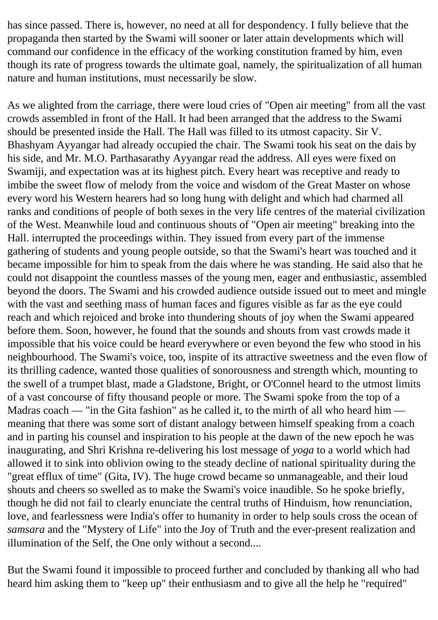has since passed. There is, however, no need at all for despondency. I fully believe that the propaganda then started by the Swami will sooner or later attain developments which will command our confidence in the efficacy of the working constitution framed by him, even though its rate of progress towards the ultimate goal, namely, the spiritualization of all human nature and human institutions, must necessarily be slow.

As we alighted from the carriage, there were loud cries of "Open air meeting" from all the vast crowds assembled in front of the Hall. It had been arranged that the address to the Swami should be presented inside the Hall. The Hall was filled to its utmost capacity. Sir V. Bhashyam Ayyangar had already occupied the chair. The Swami took his seat on the dais by his side, and Mr. M.O. Parthasarathy Ayyangar read the address. All eyes were fixed on Swamiji, and expectation was at its highest pitch. Every heart was receptive and ready to imbibe the sweet flow of melody from the voice and wisdom of the Great Master on whose every word his Western hearers had so long hung with delight and which had charmed all ranks and conditions of people of both sexes in the very life centres of the material civilization of the West. Meanwhile loud and continuous shouts of "Open air meeting" breaking into the Hall. interrupted the proceedings within. They issued from every part of the immense gathering of students and young people outside, so that the Swami's heart was touched and it became impossible for him to speak from the dais where he was standing. He said also that he could not disappoint the countless masses of the young men, eager and enthusiastic, assembled beyond the doors. The Swami and his crowded audience outside issued out to meet and mingle with the vast and seething mass of human faces and figures visible as far as the eye could reach and which rejoiced and broke into thundering shouts of joy when the Swami appeared before them. Soon, however, he found that the sounds and shouts from vast crowds made it impossible that his voice could be heard everywhere or even beyond the few who stood in his neighbourhood. The Swami's voice, too, inspite of its attractive sweetness and the even flow of its thrilling cadence, wanted those qualities of sonorousness and strength which, mounting to the swell of a trumpet blast, made a Gladstone, Bright, or O'Connel heard to the utmost limits of a vast concourse of fifty thousand people or more. The Swami spoke from the top of a Madras coach — "in the Gita fashion" as he called it, to the mirth of all who heard him meaning that there was some sort of distant analogy between himself speaking from a coach and in parting his counsel and inspiration to his people at the dawn of the new epoch he was inaugurating, and Shri Krishna re-delivering his lost message of *yoga* to a world which had allowed it to sink into oblivion owing to the steady decline of national spirituality during the "great efflux of time" (Gita, IV). The huge crowd became so unmanageable, and their loud shouts and cheers so swelled as to make the Swami's voice inaudible. So he spoke briefly, though he did not fail to clearly enunciate the central truths of Hinduism, how renunciation, love, and fearlessness were India's offer to humanity in order to help souls cross the ocean of *samsara* and the "Mystery of Life" into the Joy of Truth and the ever-present realization and illumination of the Self, the One only without a second....

But the Swami found it impossible to proceed further and concluded by thanking all who had heard him asking them to "keep up" their enthusiasm and to give all the help he "required"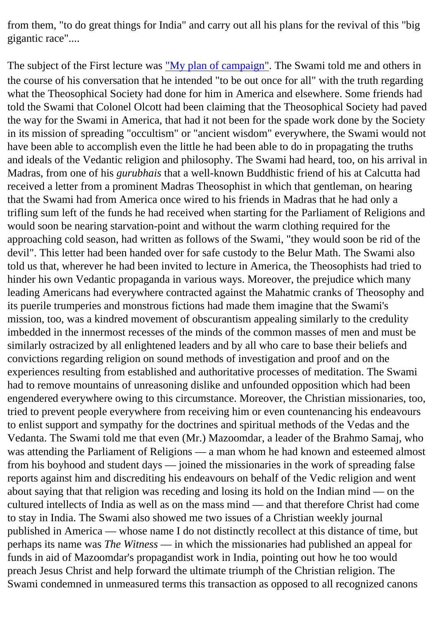from them, "to do great things for India" and carry out all his plans for the revival of this "big gigantic race"....

The subject of the First lecture was ["My plan of campaign".](http://www.ramakrishnavivekananda.info/vivekananda/volume_3/lectures_from_colombo_to_almora/my_plan_of_campaign.htm) The Swami told me and others in the course of his conversation that he intended "to be out once for all" with the truth regarding what the Theosophical Society had done for him in America and elsewhere. Some friends had told the Swami that Colonel Olcott had been claiming that the Theosophical Society had paved the way for the Swami in America, that had it not been for the spade work done by the Society in its mission of spreading "occultism" or "ancient wisdom" everywhere, the Swami would not have been able to accomplish even the little he had been able to do in propagating the truths and ideals of the Vedantic religion and philosophy. The Swami had heard, too, on his arrival in Madras, from one of his *gurubhais* that a well-known Buddhistic friend of his at Calcutta had received a letter from a prominent Madras Theosophist in which that gentleman, on hearing that the Swami had from America once wired to his friends in Madras that he had only a trifling sum left of the funds he had received when starting for the Parliament of Religions and would soon be nearing starvation-point and without the warm clothing required for the approaching cold season, had written as follows of the Swami, "they would soon be rid of the devil". This letter had been handed over for safe custody to the Belur Math. The Swami also told us that, wherever he had been invited to lecture in America, the Theosophists had tried to hinder his own Vedantic propaganda in various ways. Moreover, the prejudice which many leading Americans had everywhere contracted against the Mahatmic cranks of Theosophy and its puerile trumperies and monstrous fictions had made them imagine that the Swami's mission, too, was a kindred movement of obscurantism appealing similarly to the credulity imbedded in the innermost recesses of the minds of the common masses of men and must be similarly ostracized by all enlightened leaders and by all who care to base their beliefs and convictions regarding religion on sound methods of investigation and proof and on the experiences resulting from established and authoritative processes of meditation. The Swami had to remove mountains of unreasoning dislike and unfounded opposition which had been engendered everywhere owing to this circumstance. Moreover, the Christian missionaries, too, tried to prevent people everywhere from receiving him or even countenancing his endeavours to enlist support and sympathy for the doctrines and spiritual methods of the Vedas and the Vedanta. The Swami told me that even (Mr.) Mazoomdar, a leader of the Brahmo Samaj, who was attending the Parliament of Religions — a man whom he had known and esteemed almost from his boyhood and student days — joined the missionaries in the work of spreading false reports against him and discrediting his endeavours on behalf of the Vedic religion and went about saying that that religion was receding and losing its hold on the Indian mind — on the cultured intellects of India as well as on the mass mind — and that therefore Christ had come to stay in India. The Swami also showed me two issues of a Christian weekly journal published in America — whose name I do not distinctly recollect at this distance of time, but perhaps its name was *The Witness* — in which the missionaries had published an appeal for funds in aid of Mazoomdar's propagandist work in India, pointing out how he too would preach Jesus Christ and help forward the ultimate triumph of the Christian religion. The Swami condemned in unmeasured terms this transaction as opposed to all recognized canons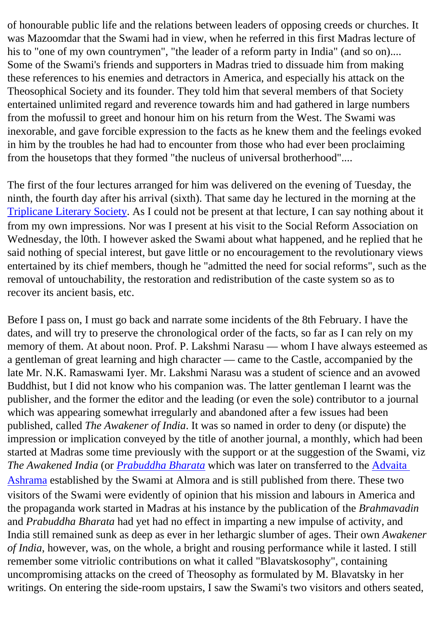of honourable public life and the relations between leaders of opposing creeds or churches. It was Mazoomdar that the Swami had in view, when he referred in this first Madras lecture of his to "one of my own countrymen", "the leader of a reform party in India" (and so on).... Some of the Swami's friends and supporters in Madras tried to dissuade him from making these references to his enemies and detractors in America, and especially his attack on the Theosophical Society and its founder. They told him that several members of that Society entertained unlimited regard and reverence towards him and had gathered in large numbers from the mofussil to greet and honour him on his return from the West. The Swami was inexorable, and gave forcible expression to the facts as he knew them and the feelings evoked in him by the troubles he had had to encounter from those who had ever been proclaiming from the housetops that they formed "the nucleus of universal brotherhood"....

The first of the four lectures arranged for him was delivered on the evening of Tuesday, the ninth, the fourth day after his arrival (sixth). That same day he lectured in the morning at the [Triplicane Literary Society](http://www.ramakrishnavivekananda.info/vivekananda/volume_3/lectures_from_colombo_to_almora/the_work_before_us.htm). As I could not be present at that lecture, I can say nothing about it from my own impressions. Nor was I present at his visit to the Social Reform Association on Wednesday, the l0th. I however asked the Swami about what happened, and he replied that he said nothing of special interest, but gave little or no encouragement to the revolutionary views entertained by its chief members, though he "admitted the need for social reforms", such as the removal of untouchability, the restoration and redistribution of the caste system so as to recover its ancient basis, etc.

Before I pass on, I must go back and narrate some incidents of the 8th February. I have the dates, and will try to preserve the chronological order of the facts, so far as I can rely on my memory of them. At about noon. Prof. P. Lakshmi Narasu — whom I have always esteemed as a gentleman of great learning and high character — came to the Castle, accompanied by the late Mr. N.K. Ramaswami Iyer. Mr. Lakshmi Narasu was a student of science and an avowed Buddhist, but I did not know who his companion was. The latter gentleman I learnt was the publisher, and the former the editor and the leading (or even the sole) contributor to a journal which was appearing somewhat irregularly and abandoned after a few issues had been published, called *The Awakener of India*. It was so named in order to deny (or dispute) the impression or implication conveyed by the title of another journal, a monthly, which had been started at Madras some time previously with the support or at the suggestion of the Swami, viz *The Awakened India* (or *[Prabuddha Bharata](http://www.advaitaashrama.org/prabuddha_bharata.html)* which was later on transferred to the [Advaita](http://www.advaitaashrama.org/)  [Ashrama](http://www.advaitaashrama.org/) established by the Swami at Almora and is still published from there. These two visitors of the Swami were evidently of opinion that his mission and labours in America and the propaganda work started in Madras at his instance by the publication of the *Brahmavadin* and *Prabuddha Bharata* had yet had no effect in imparting a new impulse of activity, and India still remained sunk as deep as ever in her lethargic slumber of ages. Their own *Awakener of India*, however, was, on the whole, a bright and rousing performance while it lasted. I still remember some vitriolic contributions on what it called "Blavatskosophy", containing uncompromising attacks on the creed of Theosophy as formulated by M. Blavatsky in her writings. On entering the side-room upstairs, I saw the Swami's two visitors and others seated,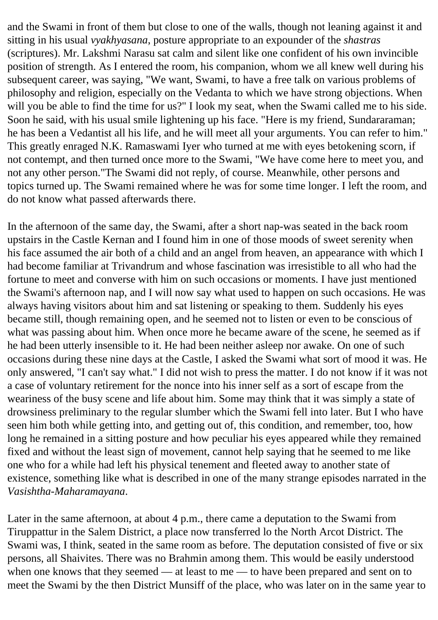and the Swami in front of them but close to one of the walls, though not leaning against it and sitting in his usual *vyakhyasana*, posture appropriate to an expounder of the *shastras* (scriptures). Mr. Lakshmi Narasu sat calm and silent like one confident of his own invincible position of strength. As I entered the room, his companion, whom we all knew well during his subsequent career, was saying, "We want, Swami, to have a free talk on various problems of philosophy and religion, especially on the Vedanta to which we have strong objections. When will you be able to find the time for us?" I look my seat, when the Swami called me to his side. Soon he said, with his usual smile lightening up his face. "Here is my friend, Sundararaman; he has been a Vedantist all his life, and he will meet all your arguments. You can refer to him." This greatly enraged N.K. Ramaswami Iyer who turned at me with eyes betokening scorn, if not contempt, and then turned once more to the Swami, "We have come here to meet you, and not any other person."The Swami did not reply, of course. Meanwhile, other persons and topics turned up. The Swami remained where he was for some time longer. I left the room, and do not know what passed afterwards there.

In the afternoon of the same day, the Swami, after a short nap-was seated in the back room upstairs in the Castle Kernan and I found him in one of those moods of sweet serenity when his face assumed the air both of a child and an angel from heaven, an appearance with which I had become familiar at Trivandrum and whose fascination was irresistible to all who had the fortune to meet and converse with him on such occasions or moments. I have just mentioned the Swami's afternoon nap, and I will now say what used to happen on such occasions. He was always having visitors about him and sat listening or speaking to them. Suddenly his eyes became still, though remaining open, and he seemed not to listen or even to be conscious of what was passing about him. When once more he became aware of the scene, he seemed as if he had been utterly insensible to it. He had been neither asleep nor awake. On one of such occasions during these nine days at the Castle, I asked the Swami what sort of mood it was. He only answered, "I can't say what." I did not wish to press the matter. I do not know if it was not a case of voluntary retirement for the nonce into his inner self as a sort of escape from the weariness of the busy scene and life about him. Some may think that it was simply a state of drowsiness preliminary to the regular slumber which the Swami fell into later. But I who have seen him both while getting into, and getting out of, this condition, and remember, too, how long he remained in a sitting posture and how peculiar his eyes appeared while they remained fixed and without the least sign of movement, cannot help saying that he seemed to me like one who for a while had left his physical tenement and fleeted away to another state of existence, something like what is described in one of the many strange episodes narrated in the *Vasishtha-Maharamayana*.

Later in the same afternoon, at about 4 p.m., there came a deputation to the Swami from Tiruppattur in the Salem District, a place now transferred lo the North Arcot District. The Swami was, I think, seated in the same room as before. The deputation consisted of five or six persons, all Shaivites. There was no Brahmin among them. This would be easily understood when one knows that they seemed — at least to me — to have been prepared and sent on to meet the Swami by the then District Munsiff of the place, who was later on in the same year to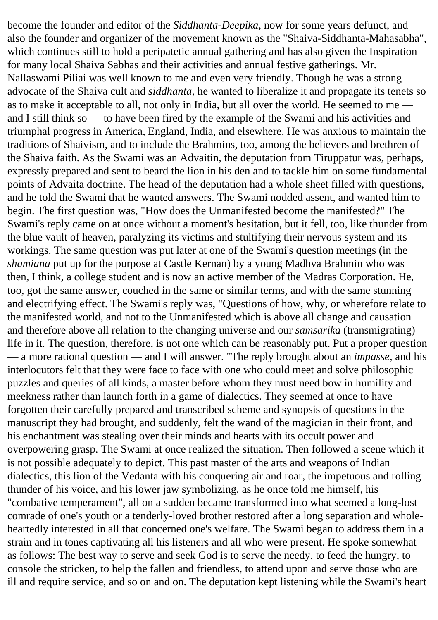become the founder and editor of the *Siddhanta-Deepika*, now for some years defunct, and also the founder and organizer of the movement known as the "Shaiva-Siddhanta-Mahasabha", which continues still to hold a peripatetic annual gathering and has also given the Inspiration for many local Shaiva Sabhas and their activities and annual festive gatherings. Mr. Nallaswami Piliai was well known to me and even very friendly. Though he was a strong advocate of the Shaiva cult and *siddhanta*, he wanted to liberalize it and propagate its tenets so as to make it acceptable to all, not only in India, but all over the world. He seemed to me and I still think so — to have been fired by the example of the Swami and his activities and triumphal progress in America, England, India, and elsewhere. He was anxious to maintain the traditions of Shaivism, and to include the Brahmins, too, among the believers and brethren of the Shaiva faith. As the Swami was an Advaitin, the deputation from Tiruppatur was, perhaps, expressly prepared and sent to beard the lion in his den and to tackle him on some fundamental points of Advaita doctrine. The head of the deputation had a whole sheet filled with questions, and he told the Swami that he wanted answers. The Swami nodded assent, and wanted him to begin. The first question was, "How does the Unmanifested become the manifested?" The Swami's reply came on at once without a moment's hesitation, but it fell, too, like thunder from the blue vault of heaven, paralyzing its victims and stultifying their nervous system and its workings. The same question was put later at one of the Swami's question meetings (in the *shamiana* put up for the purpose at Castle Kernan) by a young Madhva Brahmin who was then, I think, a college student and is now an active member of the Madras Corporation. He, too, got the same answer, couched in the same or similar terms, and with the same stunning and electrifying effect. The Swami's reply was, "Questions of how, why, or wherefore relate to the manifested world, and not to the Unmanifested which is above all change and causation and therefore above all relation to the changing universe and our *samsarika* (transmigrating) life in it. The question, therefore, is not one which can be reasonably put. Put a proper question — a more rational question — and I will answer. "The reply brought about an *impasse*, and his interlocutors felt that they were face to face with one who could meet and solve philosophic puzzles and queries of all kinds, a master before whom they must need bow in humility and meekness rather than launch forth in a game of dialectics. They seemed at once to have forgotten their carefully prepared and transcribed scheme and synopsis of questions in the manuscript they had brought, and suddenly, felt the wand of the magician in their front, and his enchantment was stealing over their minds and hearts with its occult power and overpowering grasp. The Swami at once realized the situation. Then followed a scene which it is not possible adequately to depict. This past master of the arts and weapons of Indian dialectics, this lion of the Vedanta with his conquering air and roar, the impetuous and rolling thunder of his voice, and his lower jaw symbolizing, as he once told me himself, his "combative temperament", all on a sudden became transformed into what seemed a long-lost comrade of one's youth or a tenderly-loved brother restored after a long separation and wholeheartedly interested in all that concerned one's welfare. The Swami began to address them in a strain and in tones captivating all his listeners and all who were present. He spoke somewhat as follows: The best way to serve and seek God is to serve the needy, to feed the hungry, to console the stricken, to help the fallen and friendless, to attend upon and serve those who are ill and require service, and so on and on. The deputation kept listening while the Swami's heart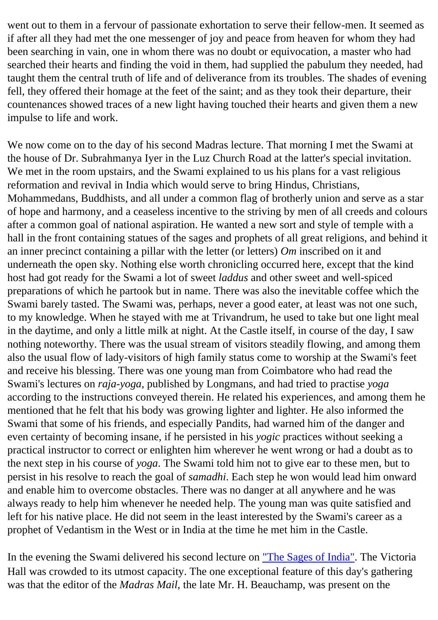went out to them in a fervour of passionate exhortation to serve their fellow-men. It seemed as if after all they had met the one messenger of joy and peace from heaven for whom they had been searching in vain, one in whom there was no doubt or equivocation, a master who had searched their hearts and finding the void in them, had supplied the pabulum they needed, had taught them the central truth of life and of deliverance from its troubles. The shades of evening fell, they offered their homage at the feet of the saint; and as they took their departure, their countenances showed traces of a new light having touched their hearts and given them a new impulse to life and work.

We now come on to the day of his second Madras lecture. That morning I met the Swami at the house of Dr. Subrahmanya Iyer in the Luz Church Road at the latter's special invitation. We met in the room upstairs, and the Swami explained to us his plans for a vast religious reformation and revival in India which would serve to bring Hindus, Christians, Mohammedans, Buddhists, and all under a common flag of brotherly union and serve as a star of hope and harmony, and a ceaseless incentive to the striving by men of all creeds and colours after a common goal of national aspiration. He wanted a new sort and style of temple with a hall in the front containing statues of the sages and prophets of all great religions, and behind it an inner precinct containing a pillar with the letter (or letters) *Om* inscribed on it and underneath the open sky. Nothing else worth chronicling occurred here, except that the kind host had got ready for the Swami a lot of sweet *laddus* and other sweet and well-spiced preparations of which he partook but in name. There was also the inevitable coffee which the Swami barely tasted. The Swami was, perhaps, never a good eater, at least was not one such, to my knowledge. When he stayed with me at Trivandrum, he used to take but one light meal in the daytime, and only a little milk at night. At the Castle itself, in course of the day, I saw nothing noteworthy. There was the usual stream of visitors steadily flowing, and among them also the usual flow of lady-visitors of high family status come to worship at the Swami's feet and receive his blessing. There was one young man from Coimbatore who had read the Swami's lectures on *raja-yoga*, published by Longmans, and had tried to practise *yoga* according to the instructions conveyed therein. He related his experiences, and among them he mentioned that he felt that his body was growing lighter and lighter. He also informed the Swami that some of his friends, and especially Pandits, had warned him of the danger and even certainty of becoming insane, if he persisted in his *yogic* practices without seeking a practical instructor to correct or enlighten him wherever he went wrong or had a doubt as to the next step in his course of *yoga*. The Swami told him not to give ear to these men, but to persist in his resolve to reach the goal of *samadhi*. Each step he won would lead him onward and enable him to overcome obstacles. There was no danger at all anywhere and he was always ready to help him whenever he needed help. The young man was quite satisfied and left for his native place. He did not seem in the least interested by the Swami's career as a prophet of Vedantism in the West or in India at the time he met him in the Castle.

In the evening the Swami delivered his second lecture on ["The Sages of India".](http://www.ramakrishnavivekananda.info/vivekananda/volume_3/lectures_from_colombo_to_almora/the_sages_of_india.htm) The Victoria Hall was crowded to its utmost capacity. The one exceptional feature of this day's gathering was that the editor of the *Madras Mail*, the late Mr. H. Beauchamp, was present on the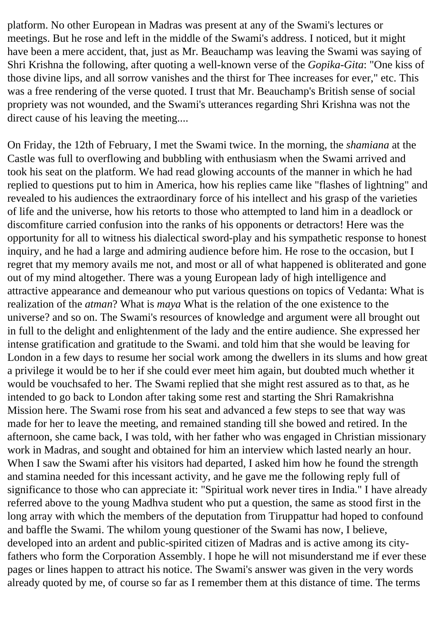platform. No other European in Madras was present at any of the Swami's lectures or meetings. But he rose and left in the middle of the Swami's address. I noticed, but it might have been a mere accident, that, just as Mr. Beauchamp was leaving the Swami was saying of Shri Krishna the following, after quoting a well-known verse of the *Gopika-Gita*: "One kiss of those divine lips, and all sorrow vanishes and the thirst for Thee increases for ever," etc. This was a free rendering of the verse quoted. I trust that Mr. Beauchamp's British sense of social propriety was not wounded, and the Swami's utterances regarding Shri Krishna was not the direct cause of his leaving the meeting....

On Friday, the 12th of February, I met the Swami twice. In the morning, the *shamiana* at the Castle was full to overflowing and bubbling with enthusiasm when the Swami arrived and took his seat on the platform. We had read glowing accounts of the manner in which he had replied to questions put to him in America, how his replies came like "flashes of lightning" and revealed to his audiences the extraordinary force of his intellect and his grasp of the varieties of life and the universe, how his retorts to those who attempted to land him in a deadlock or discomfiture carried confusion into the ranks of his opponents or detractors! Here was the opportunity for all to witness his dialectical sword-play and his sympathetic response to honest inquiry, and he had a large and admiring audience before him. He rose to the occasion, but I regret that my memory avails me not, and most or all of what happened is obliterated and gone out of my mind altogether. There was a young European lady of high intelligence and attractive appearance and demeanour who put various questions on topics of Vedanta: What is realization of the *atman*? What is *maya* What is the relation of the one existence to the universe? and so on. The Swami's resources of knowledge and argument were all brought out in full to the delight and enlightenment of the lady and the entire audience. She expressed her intense gratification and gratitude to the Swami. and told him that she would be leaving for London in a few days to resume her social work among the dwellers in its slums and how great a privilege it would be to her if she could ever meet him again, but doubted much whether it would be vouchsafed to her. The Swami replied that she might rest assured as to that, as he intended to go back to London after taking some rest and starting the Shri Ramakrishna Mission here. The Swami rose from his seat and advanced a few steps to see that way was made for her to leave the meeting, and remained standing till she bowed and retired. In the afternoon, she came back, I was told, with her father who was engaged in Christian missionary work in Madras, and sought and obtained for him an interview which lasted nearly an hour. When I saw the Swami after his visitors had departed, I asked him how he found the strength and stamina needed for this incessant activity, and he gave me the following reply full of significance to those who can appreciate it: "Spiritual work never tires in India." I have already referred above to the young Madhva student who put a question, the same as stood first in the long array with which the members of the deputation from Tiruppattur had hoped to confound and baffle the Swami. The whilom young questioner of the Swami has now, I believe, developed into an ardent and public-spirited citizen of Madras and is active among its cityfathers who form the Corporation Assembly. I hope he will not misunderstand me if ever these pages or lines happen to attract his notice. The Swami's answer was given in the very words already quoted by me, of course so far as I remember them at this distance of time. The terms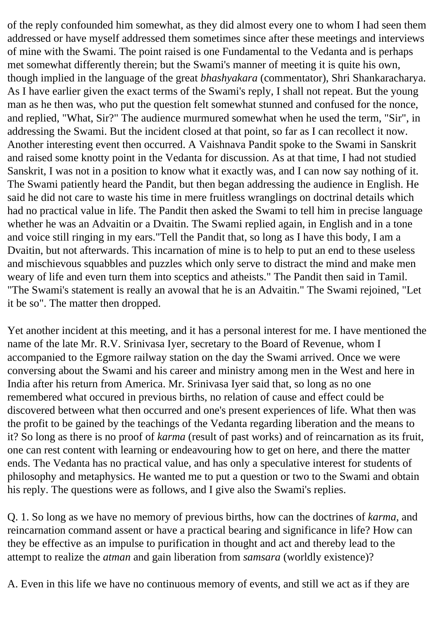of the reply confounded him somewhat, as they did almost every one to whom I had seen them addressed or have myself addressed them sometimes since after these meetings and interviews of mine with the Swami. The point raised is one Fundamental to the Vedanta and is perhaps met somewhat differently therein; but the Swami's manner of meeting it is quite his own, though implied in the language of the great *bhashyakara* (commentator), Shri Shankaracharya. As I have earlier given the exact terms of the Swami's reply, I shall not repeat. But the young man as he then was, who put the question felt somewhat stunned and confused for the nonce, and replied, "What, Sir?" The audience murmured somewhat when he used the term, "Sir", in addressing the Swami. But the incident closed at that point, so far as I can recollect it now. Another interesting event then occurred. A Vaishnava Pandit spoke to the Swami in Sanskrit and raised some knotty point in the Vedanta for discussion. As at that time, I had not studied Sanskrit, I was not in a position to know what it exactly was, and I can now say nothing of it. The Swami patiently heard the Pandit, but then began addressing the audience in English. He said he did not care to waste his time in mere fruitless wranglings on doctrinal details which had no practical value in life. The Pandit then asked the Swami to tell him in precise language whether he was an Advaitin or a Dvaitin. The Swami replied again, in English and in a tone and voice still ringing in my ears."Tell the Pandit that, so long as I have this body, I am a Dvaitin, but not afterwards. This incarnation of mine is to help to put an end to these useless and mischievous squabbles and puzzles which only serve to distract the mind and make men weary of life and even turn them into sceptics and atheists." The Pandit then said in Tamil. "The Swami's statement is really an avowal that he is an Advaitin." The Swami rejoined, "Let it be so". The matter then dropped.

Yet another incident at this meeting, and it has a personal interest for me. I have mentioned the name of the late Mr. R.V. Srinivasa Iyer, secretary to the Board of Revenue, whom I accompanied to the Egmore railway station on the day the Swami arrived. Once we were conversing about the Swami and his career and ministry among men in the West and here in India after his return from America. Mr. Srinivasa Iyer said that, so long as no one remembered what occured in previous births, no relation of cause and effect could be discovered between what then occurred and one's present experiences of life. What then was the profit to be gained by the teachings of the Vedanta regarding liberation and the means to it? So long as there is no proof of *karma* (result of past works) and of reincarnation as its fruit, one can rest content with learning or endeavouring how to get on here, and there the matter ends. The Vedanta has no practical value, and has only a speculative interest for students of philosophy and metaphysics. He wanted me to put a question or two to the Swami and obtain his reply. The questions were as follows, and I give also the Swami's replies.

Q. 1. So long as we have no memory of previous births, how can the doctrines of *karma*, and reincarnation command assent or have a practical bearing and significance in life? How can they be effective as an impulse to purification in thought and act and thereby lead to the attempt to realize the *atman* and gain liberation from *samsara* (worldly existence)?

A. Even in this life we have no continuous memory of events, and still we act as if they are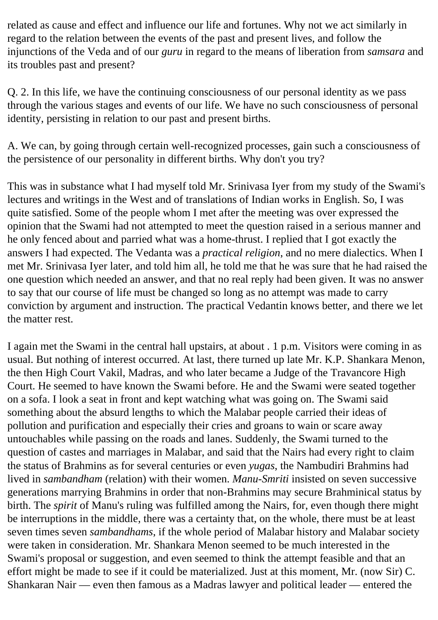related as cause and effect and influence our life and fortunes. Why not we act similarly in regard to the relation between the events of the past and present lives, and follow the injunctions of the Veda and of our *guru* in regard to the means of liberation from *samsara* and its troubles past and present?

Q. 2. In this life, we have the continuing consciousness of our personal identity as we pass through the various stages and events of our life. We have no such consciousness of personal identity, persisting in relation to our past and present births.

A. We can, by going through certain well-recognized processes, gain such a consciousness of the persistence of our personality in different births. Why don't you try?

This was in substance what I had myself told Mr. Srinivasa Iyer from my study of the Swami's lectures and writings in the West and of translations of Indian works in English. So, I was quite satisfied. Some of the people whom I met after the meeting was over expressed the opinion that the Swami had not attempted to meet the question raised in a serious manner and he only fenced about and parried what was a home-thrust. I replied that I got exactly the answers I had expected. The Vedanta was a *practical religion*, and no mere dialectics. When I met Mr. Srinivasa Iyer later, and told him all, he told me that he was sure that he had raised the one question which needed an answer, and that no real reply had been given. It was no answer to say that our course of life must be changed so long as no attempt was made to carry conviction by argument and instruction. The practical Vedantin knows better, and there we let the matter rest.

I again met the Swami in the central hall upstairs, at about . 1 p.m. Visitors were coming in as usual. But nothing of interest occurred. At last, there turned up late Mr. K.P. Shankara Menon, the then High Court Vakil, Madras, and who later became a Judge of the Travancore High Court. He seemed to have known the Swami before. He and the Swami were seated together on a sofa. I look a seat in front and kept watching what was going on. The Swami said something about the absurd lengths to which the Malabar people carried their ideas of pollution and purification and especially their cries and groans to wain or scare away untouchables while passing on the roads and lanes. Suddenly, the Swami turned to the question of castes and marriages in Malabar, and said that the Nairs had every right to claim the status of Brahmins as for several centuries or even *yugas*, the Nambudiri Brahmins had lived in *sambandham* (relation) with their women. *Manu-Smriti* insisted on seven successive generations marrying Brahmins in order that non-Brahmins may secure Brahminical status by birth. The *spirit* of Manu's ruling was fulfilled among the Nairs, for, even though there might be interruptions in the middle, there was a certainty that, on the whole, there must be at least seven times seven *sambandhams*, if the whole period of Malabar history and Malabar society were taken in consideration. Mr. Shankara Menon seemed to be much interested in the Swami's proposal or suggestion, and even seemed to think the attempt feasible and that an effort might be made to see if it could be materialized. Just at this moment, Mr. (now Sir) C. Shankaran Nair — even then famous as a Madras lawyer and political leader — entered the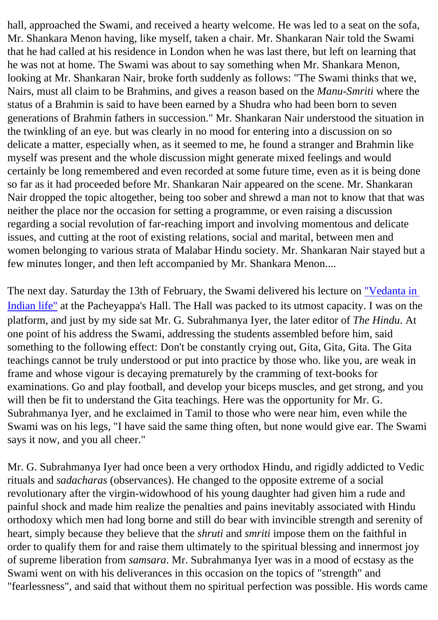hall, approached the Swami, and received a hearty welcome. He was led to a seat on the sofa, Mr. Shankara Menon having, like myself, taken a chair. Mr. Shankaran Nair told the Swami that he had called at his residence in London when he was last there, but left on learning that he was not at home. The Swami was about to say something when Mr. Shankara Menon, looking at Mr. Shankaran Nair, broke forth suddenly as follows: "The Swami thinks that we, Nairs, must all claim to be Brahmins, and gives a reason based on the *Manu-Smriti* where the status of a Brahmin is said to have been earned by a Shudra who had been born to seven generations of Brahmin fathers in succession." Mr. Shankaran Nair understood the situation in the twinkling of an eye. but was clearly in no mood for entering into a discussion on so delicate a matter, especially when, as it seemed to me, he found a stranger and Brahmin like myself was present and the whole discussion might generate mixed feelings and would certainly be long remembered and even recorded at some future time, even as it is being done so far as it had proceeded before Mr. Shankaran Nair appeared on the scene. Mr. Shankaran Nair dropped the topic altogether, being too sober and shrewd a man not to know that that was neither the place nor the occasion for setting a programme, or even raising a discussion regarding a social revolution of far-reaching import and involving momentous and delicate issues, and cutting at the root of existing relations, social and marital, between men and women belonging to various strata of Malabar Hindu society. Mr. Shankaran Nair stayed but a few minutes longer, and then left accompanied by Mr. Shankara Menon....

The next day. Saturday the 13th of February, the Swami delivered his lecture on ["Vedanta in](http://www.ramakrishnavivekananda.info/vivekananda/volume_3/lectures_from_colombo_to_almora/vedanta_in_its_applications_to_indian_life.htm) [Indian life"](http://www.ramakrishnavivekananda.info/vivekananda/volume_3/lectures_from_colombo_to_almora/vedanta_in_its_applications_to_indian_life.htm) at the Pacheyappa's Hall. The Hall was packed to its utmost capacity. I was on the platform, and just by my side sat Mr. G. Subrahmanya Iyer, the later editor of *The Hindu*. At one point of his address the Swami, addressing the students assembled before him, said something to the following effect: Don't be constantly crying out, Gita, Gita, Gita. The Gita teachings cannot be truly understood or put into practice by those who. like you, are weak in frame and whose vigour is decaying prematurely by the cramming of text-books for examinations. Go and play football, and develop your biceps muscles, and get strong, and you will then be fit to understand the Gita teachings. Here was the opportunity for Mr. G. Subrahmanya Iyer, and he exclaimed in Tamil to those who were near him, even while the Swami was on his legs, "I have said the same thing often, but none would give ear. The Swami says it now, and you all cheer."

Mr. G. Subrahmanya Iyer had once been a very orthodox Hindu, and rigidly addicted to Vedic rituals and *sadacharas* (observances). He changed to the opposite extreme of a social revolutionary after the virgin-widowhood of his young daughter had given him a rude and painful shock and made him realize the penalties and pains inevitably associated with Hindu orthodoxy which men had long borne and still do bear with invincible strength and serenity of heart, simply because they believe that the *shruti* and *smriti* impose them on the faithful in order to qualify them for and raise them ultimately to the spiritual blessing and innermost joy of supreme liberation from *samsara*. Mr. Subrahmanya Iyer was in a mood of ecstasy as the Swami went on with his deliverances in this occasion on the topics of "strength" and "fearlessness", and said that without them no spiritual perfection was possible. His words came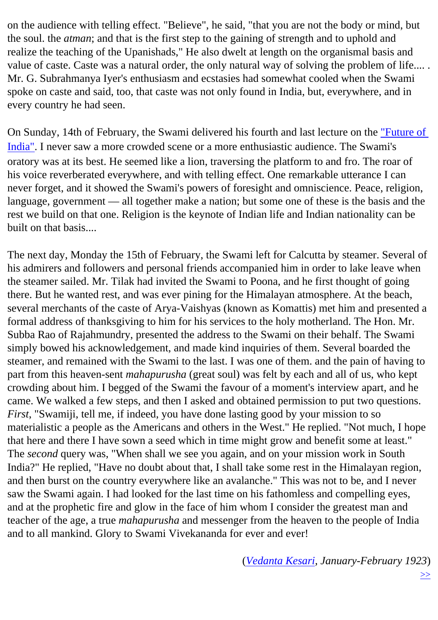on the audience with telling effect. "Believe", he said, "that you are not the body or mind, but the soul. the *atman*; and that is the first step to the gaining of strength and to uphold and realize the teaching of the Upanishads," He also dwelt at length on the organismal basis and value of caste. Caste was a natural order, the only natural way of solving the problem of life.... . Mr. G. Subrahmanya Iyer's enthusiasm and ecstasies had somewhat cooled when the Swami spoke on caste and said, too, that caste was not only found in India, but, everywhere, and in every country he had seen.

On Sunday, 14th of February, the Swami delivered his fourth and last lecture on the ["Future of](http://www.ramakrishnavivekananda.info/vivekananda/volume_3/lectures_from_colombo_to_almora/the_future_of_india.htm)  [India".](http://www.ramakrishnavivekananda.info/vivekananda/volume_3/lectures_from_colombo_to_almora/the_future_of_india.htm) I never saw a more crowded scene or a more enthusiastic audience. The Swami's oratory was at its best. He seemed like a lion, traversing the platform to and fro. The roar of his voice reverberated everywhere, and with telling effect. One remarkable utterance I can never forget, and it showed the Swami's powers of foresight and omniscience. Peace, religion, language, government — all together make a nation; but some one of these is the basis and the rest we build on that one. Religion is the keynote of Indian life and Indian nationality can be built on that basis....

The next day, Monday the 15th of February, the Swami left for Calcutta by steamer. Several of his admirers and followers and personal friends accompanied him in order to lake leave when the steamer sailed. Mr. Tilak had invited the Swami to Poona, and he first thought of going there. But he wanted rest, and was ever pining for the Himalayan atmosphere. At the beach, several merchants of the caste of Arya-Vaishyas (known as Komattis) met him and presented a formal address of thanksgiving to him for his services to the holy motherland. The Hon. Mr. Subba Rao of Rajahmundry, presented the address to the Swami on their behalf. The Swami simply bowed his acknowledgement, and made kind inquiries of them. Several boarded the steamer, and remained with the Swami to the last. I was one of them. and the pain of having to part from this heaven-sent *mahapurusha* (great soul) was felt by each and all of us, who kept crowding about him. I begged of the Swami the favour of a moment's interview apart, and he came. We walked a few steps, and then I asked and obtained permission to put two questions. *First*, "Swamiji, tell me, if indeed, you have done lasting good by your mission to so materialistic a people as the Americans and others in the West." He replied. "Not much, I hope that here and there I have sown a seed which in time might grow and benefit some at least." The *second* query was, "When shall we see you again, and on your mission work in South India?" He replied, "Have no doubt about that, I shall take some rest in the Himalayan region, and then burst on the country everywhere like an avalanche." This was not to be, and I never saw the Swami again. I had looked for the last time on his fathomless and compelling eyes, and at the prophetic fire and glow in the face of him whom I consider the greatest man and teacher of the age, a true *mahapurusha* and messenger from the heaven to the people of India and to all mankind. Glory to Swami Vivekananda for ever and ever!

 $\geq$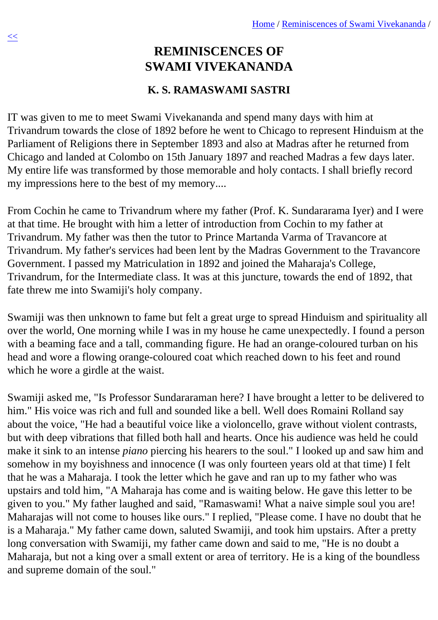# **REMINISCENCES OF SWAMI VIVEKANANDA**

### **K. S. RAMASWAMI SASTRI**

IT was given to me to meet Swami Vivekananda and spend many days with him at Trivandrum towards the close of 1892 before he went to Chicago to represent Hinduism at the Parliament of Religions there in September 1893 and also at Madras after he returned from Chicago and landed at Colombo on 15th January 1897 and reached Madras a few days later. My entire life was transformed by those memorable and holy contacts. I shall briefly record my impressions here to the best of my memory....

From Cochin he came to Trivandrum where my father (Prof. K. Sundararama Iyer) and I were at that time. He brought with him a letter of introduction from Cochin to my father at Trivandrum. My father was then the tutor to Prince Martanda Varma of Travancore at Trivandrum. My father's services had been lent by the Madras Government to the Travancore Government. I passed my Matriculation in 1892 and joined the Maharaja's College, Trivandrum, for the Intermediate class. It was at this juncture, towards the end of 1892, that fate threw me into Swamiji's holy company.

Swamiji was then unknown to fame but felt a great urge to spread Hinduism and spirituality all over the world, One morning while I was in my house he came unexpectedly. I found a person with a beaming face and a tall, commanding figure. He had an orange-coloured turban on his head and wore a flowing orange-coloured coat which reached down to his feet and round which he wore a girdle at the waist.

Swamiji asked me, "Is Professor Sundararaman here? I have brought a letter to be delivered to him." His voice was rich and full and sounded like a bell. Well does Romaini Rolland say about the voice, "He had a beautiful voice like a violoncello, grave without violent contrasts, but with deep vibrations that filled both hall and hearts. Once his audience was held he could make it sink to an intense *piano* piercing his hearers to the soul." I looked up and saw him and somehow in my boyishness and innocence (I was only fourteen years old at that time) I felt that he was a Maharaja. I took the letter which he gave and ran up to my father who was upstairs and told him, "A Maharaja has come and is waiting below. He gave this letter to be given to you." My father laughed and said, "Ramaswami! What a naive simple soul you are! Maharajas will not come to houses like ours." I replied, "Please come. I have no doubt that he is a Maharaja." My father came down, saluted Swamiji, and took him upstairs. After a pretty long conversation with Swamiji, my father came down and said to me, "He is no doubt a Maharaja, but not a king over a small extent or area of territory. He is a king of the boundless and supreme domain of the soul."

<span id="page-67-0"></span> $<<$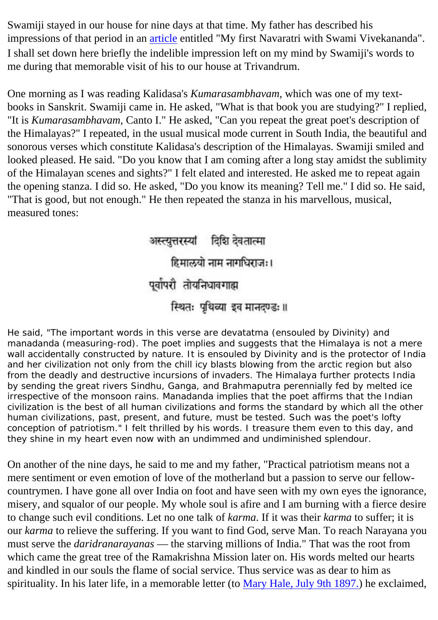Swamiji stayed in our house for nine days at that time. My father has described his impressions of that period in an *article* entitled "My first Navaratri with Swami Vivekananda". I shall set down here briefly the indelible impression left on my mind by Swamiji's words to me during that memorable visit of his to our house at Trivandrum.

One morning as I was reading Kalidasa's *Kumarasambhavam*, which was one of my textbooks in Sanskrit. Swamiji came in. He asked, "What is that book you are studying?" I replied, "It is *Kumarasambhavam*, Canto I." He asked, "Can you repeat the great poet's description of the Himalayas?" I repeated, in the usual musical mode current in South India, the beautiful and sonorous verses which constitute Kalidasa's description of the Himalayas. Swamiji smiled and looked pleased. He said. "Do you know that I am coming after a long stay amidst the sublimity of the Himalayan scenes and sights?" I felt elated and interested. He asked me to repeat again the opening stanza. I did so. He asked, "Do you know its meaning? Tell me." I did so. He said, "That is good, but not enough." He then repeated the stanza in his marvellous, musical, measured tones:

> अस्त्युत्तरस्यां दिशि देवतात्मा हिमालयो नाम नागधिराजः। पूर्वापरौ तोयनिधावगाह्य स्थितः पृथिव्या इव मानदण्डः ॥

He said, "The important words in this verse are *devatatma* (ensouled by Divinity) and *manadanda* (measuring-rod). The poet implies and suggests that the Himalaya is not a mere wall accidentally constructed by nature. It is ensouled by Divinity and is the protector of India and her civilization not only from the chill icy blasts blowing from the arctic region but also from the deadly and destructive incursions of invaders. The Himalaya further protects India by sending the great rivers Sindhu, Ganga, and Brahmaputra perennially fed by melted ice irrespective of the monsoon rains. *Manadanda* implies that the poet affirms that the Indian civilization is the best of all human civilizations and forms the standard by which all the other human civilizations, past, present, and future, must be tested. Such was the poet's lofty conception of patriotism." I felt thrilled by his words. I treasure them even to this day, and they shine in my heart even now with an undimmed and undiminished splendour.

On another of the nine days, he said to me and my father, "Practical patriotism means not a mere sentiment or even emotion of love of the motherland but a passion to serve our fellowcountrymen. I have gone all over India on foot and have seen with my own eyes the ignorance, misery, and squalor of our people. My whole soul is afire and I am burning with a fierce desire to change such evil conditions. Let no one talk of *karma*. If it was their *karma* to suffer; it is our *karma* to relieve the suffering. If you want to find God, serve Man. To reach Narayana you must serve the *daridranarayanas* — the starving millions of India." That was the root from which came the great tree of the Ramakrishna Mission later on. His words melted our hearts and kindled in our souls the flame of social service. Thus service was as dear to him as spirituality. In his later life, in a memorable letter (to [Mary Hale, July 9th 1897.](http://www.ramakrishnavivekananda.info/vivekananda/volume_5/epistles_first_series/078_sister.htm#from_remi_098_ksrs)) he exclaimed,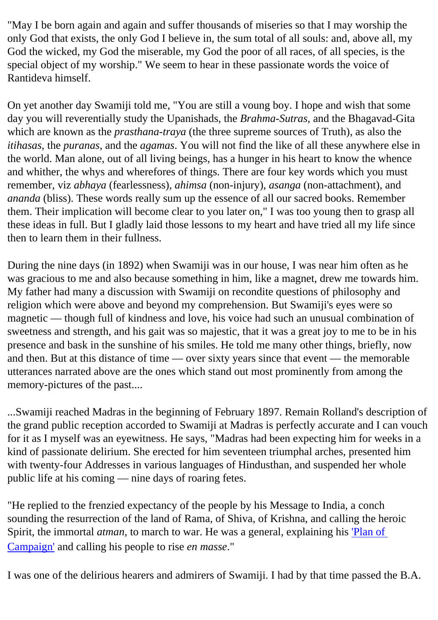"May I be born again and again and suffer thousands of miseries so that I may worship the only God that exists, the only God I believe in, the sum total of all souls: and, above all, my God the wicked, my God the miserable, my God the poor of all races, of all species, is the special object of my worship." We seem to hear in these passionate words the voice of Rantideva himself.

On yet another day Swamiji told me, "You are still a voung boy. I hope and wish that some day you will reverentially study the Upanishads, the *Brahma-Sutras*, and the Bhagavad-Gita which are known as the *prasthana-traya* (the three supreme sources of Truth), as also the *itihasas*, the *puranas*, and the *agamas*. You will not find the like of all these anywhere else in the world. Man alone, out of all living beings, has a hunger in his heart to know the whence and whither, the whys and wherefores of things. There are four key words which you must remember, viz *abhaya* (fearlessness), *ahimsa* (non-injury), *asanga* (non-attachment), and *ananda* (bliss). These words really sum up the essence of all our sacred books. Remember them. Their implication will become clear to you later on," I was too young then to grasp all these ideas in full. But I gladly laid those lessons to my heart and have tried all my life since then to learn them in their fullness.

During the nine days (in 1892) when Swamiji was in our house, I was near him often as he was gracious to me and also because something in him, like a magnet, drew me towards him. My father had many a discussion with Swamiji on recondite questions of philosophy and religion which were above and beyond my comprehension. But Swamiji's eyes were so magnetic — though full of kindness and love, his voice had such an unusual combination of sweetness and strength, and his gait was so majestic, that it was a great joy to me to be in his presence and bask in the sunshine of his smiles. He told me many other things, briefly, now and then. But at this distance of time — over sixty years since that event — the memorable utterances narrated above are the ones which stand out most prominently from among the memory-pictures of the past....

...Swamiji reached Madras in the beginning of February 1897. Remain Rolland's description of the grand public reception accorded to Swamiji at Madras is perfectly accurate and I can vouch for it as I myself was an eyewitness. He says, "Madras had been expecting him for weeks in a kind of passionate delirium. She erected for him seventeen triumphal arches, presented him with twenty-four Addresses in various languages of Hindusthan, and suspended her whole public life at his coming — nine days of roaring fetes.

"He replied to the frenzied expectancy of the people by his Message to India, a conch sounding the resurrection of the land of Rama, of Shiva, of Krishna, and calling the heroic Spirit, the immortal *atman*, to march to war. He was a general, explaining his ['Plan of](http://www.ramakrishnavivekananda.info/vivekananda/volume_3/lectures_from_colombo_to_almora/my_plan_of_campaign.htm) [Campaign'](http://www.ramakrishnavivekananda.info/vivekananda/volume_3/lectures_from_colombo_to_almora/my_plan_of_campaign.htm) and calling his people to rise *en masse*."

I was one of the delirious hearers and admirers of Swamiji. I had by that time passed the B.A.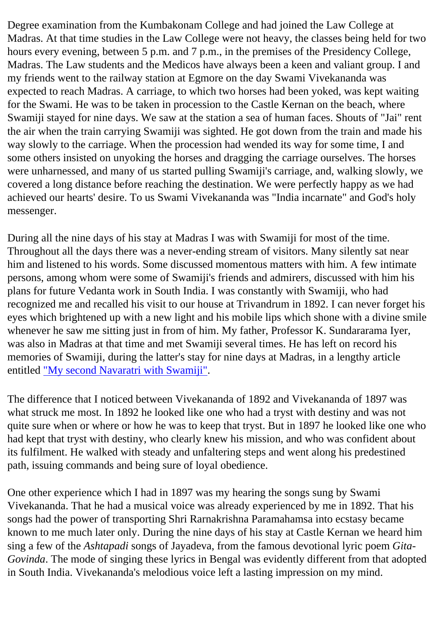Degree examination from the Kumbakonam College and had joined the Law College at Madras. At that time studies in the Law College were not heavy, the classes being held for two hours every evening, between 5 p.m. and 7 p.m., in the premises of the Presidency College, Madras. The Law students and the Medicos have always been a keen and valiant group. I and my friends went to the railway station at Egmore on the day Swami Vivekananda was expected to reach Madras. A carriage, to which two horses had been yoked, was kept waiting for the Swami. He was to be taken in procession to the Castle Kernan on the beach, where Swamiji stayed for nine days. We saw at the station a sea of human faces. Shouts of "Jai" rent the air when the train carrying Swamiji was sighted. He got down from the train and made his way slowly to the carriage. When the procession had wended its way for some time, I and some others insisted on unyoking the horses and dragging the carriage ourselves. The horses were unharnessed, and many of us started pulling Swamiji's carriage, and, walking slowly, we covered a long distance before reaching the destination. We were perfectly happy as we had achieved our hearts' desire. To us Swami Vivekananda was "India incarnate" and God's holy messenger.

During all the nine days of his stay at Madras I was with Swamiji for most of the time. Throughout all the days there was a never-ending stream of visitors. Many silently sat near him and listened to his words. Some discussed momentous matters with him. A few intimate persons, among whom were some of Swamiji's friends and admirers, discussed with him his plans for future Vedanta work in South India. I was constantly with Swamiji, who had recognized me and recalled his visit to our house at Trivandrum in 1892. I can never forget his eyes which brightened up with a new light and his mobile lips which shone with a divine smile whenever he saw me sitting just in from of him. My father, Professor K. Sundararama Iyer, was also in Madras at that time and met Swamiji several times. He has left on record his memories of Swamiji, during the latter's stay for nine days at Madras, in a lengthy article entitled ["My second Navaratri with Swamiji".](#page-51-0)

The difference that I noticed between Vivekananda of 1892 and Vivekananda of 1897 was what struck me most. In 1892 he looked like one who had a tryst with destiny and was not quite sure when or where or how he was to keep that tryst. But in 1897 he looked like one who had kept that tryst with destiny, who clearly knew his mission, and who was confident about its fulfilment. He walked with steady and unfaltering steps and went along his predestined path, issuing commands and being sure of loyal obedience.

One other experience which I had in 1897 was my hearing the songs sung by Swami Vivekananda. That he had a musical voice was already experienced by me in 1892. That his songs had the power of transporting Shri Rarnakrishna Paramahamsa into ecstasy became known to me much later only. During the nine days of his stay at Castle Kernan we heard him sing a few of the *Ashtapadi* songs of Jayadeva, from the famous devotional lyric poem *Gita-Govinda*. The mode of singing these lyrics in Bengal was evidently different from that adopted in South India. Vivekananda's melodious voice left a lasting impression on my mind.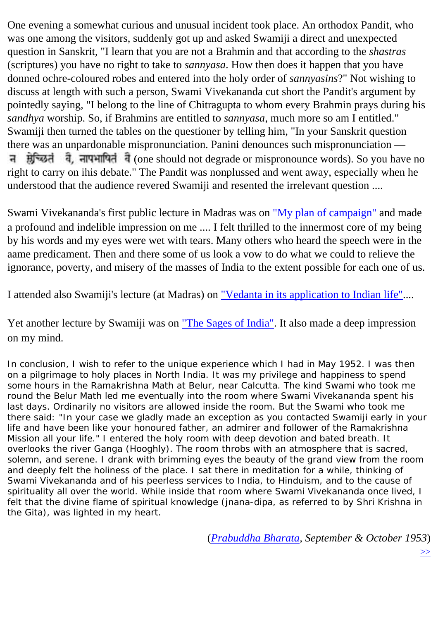One evening a somewhat curious and unusual incident took place. An orthodox Pandit, who was one among the visitors, suddenly got up and asked Swamiji a direct and unexpected question in Sanskrit, "I learn that you are not a Brahmin and that according to the *shastras* (scriptures) you have no right to take to *sannyasa*. How then does it happen that you have donned ochre-coloured robes and entered into the holy order of *sannyasins*?" Not wishing to discuss at length with such a person, Swami Vivekananda cut short the Pandit's argument by pointedly saying, "I belong to the line of Chitragupta to whom every Brahmin prays during his *sandhya* worship. So, if Brahmins are entitled to *sannyasa*, much more so am I entitled." Swamiji then turned the tables on the questioner by telling him, "In your Sanskrit question there was an unpardonable mispronunciation. Panini denounces such mispronunciation — न मेच्छितं वै, नापभाषितं वै (one should not degrade or mispronounce words). So you have no right to carry on ihis debate." The Pandit was nonplussed and went away, especially when he understood that the audience revered Swamiji and resented the irrelevant question ....

Swami Vivekananda's first public lecture in Madras was on ["My plan of campaign"](http://www.ramakrishnavivekananda.info/vivekananda/volume_3/lectures_from_colombo_to_almora/my_plan_of_campaign.htm) and made a profound and indelible impression on me .... I felt thrilled to the innermost core of my being by his words and my eyes were wet with tears. Many others who heard the speech were in the aame predicament. Then and there some of us look a vow to do what we could to relieve the ignorance, poverty, and misery of the masses of India to the extent possible for each one of us.

I attended also Swamiji's lecture (at Madras) on ["Vedanta in its application to Indian life"](http://www.ramakrishnavivekananda.info/vivekananda/volume_3/lectures_from_colombo_to_almora/vedanta_in_its_applications_to_indian_life.htm)....

Yet another lecture by Swamiji was on ["The Sages of India"](http://www.ramakrishnavivekananda.info/vivekananda/volume_3/lectures_from_colombo_to_almora/the_sages_of_india.htm). It also made a deep impression on my mind.

In conclusion, I wish to refer to the unique experience which I had in May 1952. I was then on a pilgrimage to holy places in North India. It was my privilege and happiness to spend some hours in the Ramakrishna Math at Belur, near Calcutta. The kind Swami who took me round the Belur Math led me eventually into the room where Swami Vivekananda spent his last days. Ordinarily no visitors are allowed inside the room. But the Swami who took me there said: "In your case we gladly made an exception as you contacted Swamiji early in your life and have been like your honoured father, an admirer and follower of the Ramakrishna Mission all your life." I entered the holy room with deep devotion and bated breath. It overlooks the river Ganga (Hooghly). The room throbs with an atmosphere that is sacred, solemn, and serene. I drank with brimming eyes the beauty of the grand view from the room and deeply felt the holiness of the place. I sat there in meditation for a while, thinking of Swami Vivekananda and of his peerless services to India, to Hinduism, and to the cause of spirituality all over the world. While inside that room where Swami Vivekananda once lived, I felt that the divine flame of spiritual knowledge (*jnana-dipa*, as referred to by Shri Krishna in the Gita), was lighted in my heart.

(*[Prabuddha Bharata](http://www.advaitaashrama.org/prabuddha_bharata.html), September & October 1953*)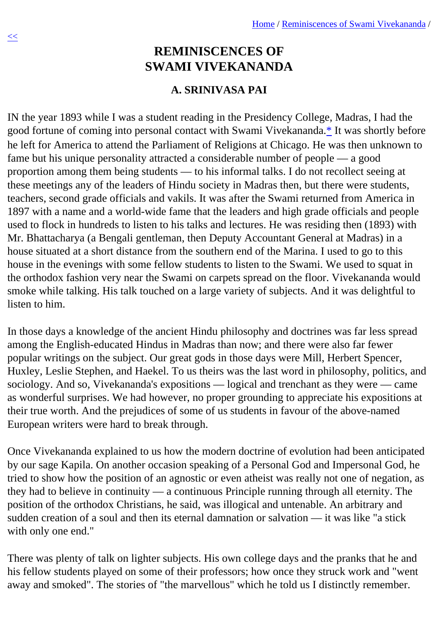### **A. SRINIVASA PAI**

<span id="page-72-0"></span>IN the year 1893 while I was a student reading in the Presidency College, Madras, I had the good fortune of coming into personal contact with Swami Vivekananda[.\\*](#page-72-0) It was shortly before he left for America to attend the Parliament of Religions at Chicago. He was then unknown to fame but his unique personality attracted a considerable number of people — a good proportion among them being students — to his informal talks. I do not recollect seeing at these meetings any of the leaders of Hindu society in Madras then, but there were students, teachers, second grade officials and vakils. It was after the Swami returned from America in 1897 with a name and a world-wide fame that the leaders and high grade officials and people used to flock in hundreds to listen to his talks and lectures. He was residing then (1893) with Mr. Bhattacharya (a Bengali gentleman, then Deputy Accountant General at Madras) in a house situated at a short distance from the southern end of the Marina. I used to go to this house in the evenings with some fellow students to listen to the Swami. We used to squat in the orthodox fashion very near the Swami on carpets spread on the floor. Vivekananda would smoke while talking. His talk touched on a large variety of subjects. And it was delightful to listen to him.

In those days a knowledge of the ancient Hindu philosophy and doctrines was far less spread among the English-educated Hindus in Madras than now; and there were also far fewer popular writings on the subject. Our great gods in those days were Mill, Herbert Spencer, Huxley, Leslie Stephen, and Haekel. To us theirs was the last word in philosophy, politics, and sociology. And so, Vivekananda's expositions — logical and trenchant as they were — came as wonderful surprises. We had however, no proper grounding to appreciate his expositions at their true worth. And the prejudices of some of us students in favour of the above-named European writers were hard to break through.

Once Vivekananda explained to us how the modern doctrine of evolution had been anticipated by our sage Kapila. On another occasion speaking of a Personal God and Impersonal God, he tried to show how the position of an agnostic or even atheist was really not one of negation, as they had to believe in continuity — a continuous Principle running through all eternity. The position of the orthodox Christians, he said, was illogical and untenable. An arbitrary and sudden creation of a soul and then its eternal damnation or salvation — it was like "a stick with only one end."

There was plenty of talk on lighter subjects. His own college days and the pranks that he and his fellow students played on some of their professors; how once they struck work and "went away and smoked". The stories of "the marvellous" which he told us I distinctly remember.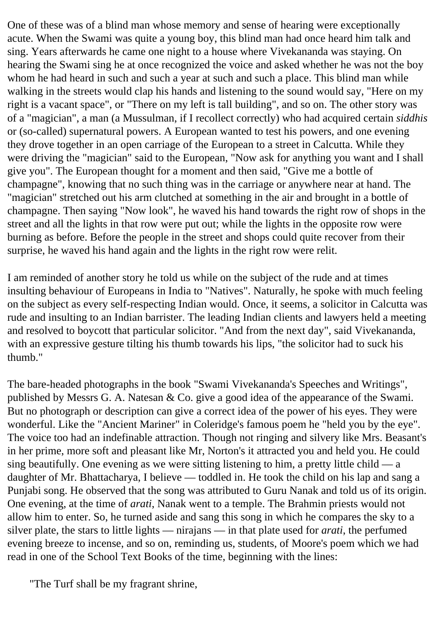One of these was of a blind man whose memory and sense of hearing were exceptionally acute. When the Swami was quite a young boy, this blind man had once heard him talk and sing. Years afterwards he came one night to a house where Vivekananda was staying. On hearing the Swami sing he at once recognized the voice and asked whether he was not the boy whom he had heard in such and such a year at such and such a place. This blind man while walking in the streets would clap his hands and listening to the sound would say, "Here on my right is a vacant space", or "There on my left is tall building", and so on. The other story was of a "magician", a man (a Mussulman, if I recollect correctly) who had acquired certain *siddhis* or (so-called) supernatural powers. A European wanted to test his powers, and one evening they drove together in an open carriage of the European to a street in Calcutta. While they were driving the "magician" said to the European, "Now ask for anything you want and I shall give you". The European thought for a moment and then said, "Give me a bottle of champagne", knowing that no such thing was in the carriage or anywhere near at hand. The "magician" stretched out his arm clutched at something in the air and brought in a bottle of champagne. Then saying "Now look", he waved his hand towards the right row of shops in the street and all the lights in that row were put out; while the lights in the opposite row were burning as before. Before the people in the street and shops could quite recover from their surprise, he waved his hand again and the lights in the right row were relit.

I am reminded of another story he told us while on the subject of the rude and at times insulting behaviour of Europeans in India to "Natives". Naturally, he spoke with much feeling on the subject as every self-respecting Indian would. Once, it seems, a solicitor in Calcutta was rude and insulting to an Indian barrister. The leading Indian clients and lawyers held a meeting and resolved to boycott that particular solicitor. "And from the next day", said Vivekananda, with an expressive gesture tilting his thumb towards his lips, "the solicitor had to suck his thumb."

The bare-headed photographs in the book "Swami Vivekananda's Speeches and Writings", published by Messrs G. A. Natesan & Co. give a good idea of the appearance of the Swami. But no photograph or description can give a correct idea of the power of his eyes. They were wonderful. Like the "Ancient Mariner" in Coleridge's famous poem he "held you by the eye". The voice too had an indefinable attraction. Though not ringing and silvery like Mrs. Beasant's in her prime, more soft and pleasant like Mr, Norton's it attracted you and held you. He could sing beautifully. One evening as we were sitting listening to him, a pretty little child — a daughter of Mr. Bhattacharya, I believe — toddled in. He took the child on his lap and sang a Punjabi song. He observed that the song was attributed to Guru Nanak and told us of its origin. One evening, at the time of *arati*, Nanak went to a temple. The Brahmin priests would not allow him to enter. So, he turned aside and sang this song in which he compares the sky to a silver plate, the stars to little lights — nirajans — in that plate used for *arati*, the perfumed evening breeze to incense, and so on, reminding us, students, of Moore's poem which we had read in one of the School Text Books of the time, beginning with the lines:

"The Turf shall be my fragrant shrine,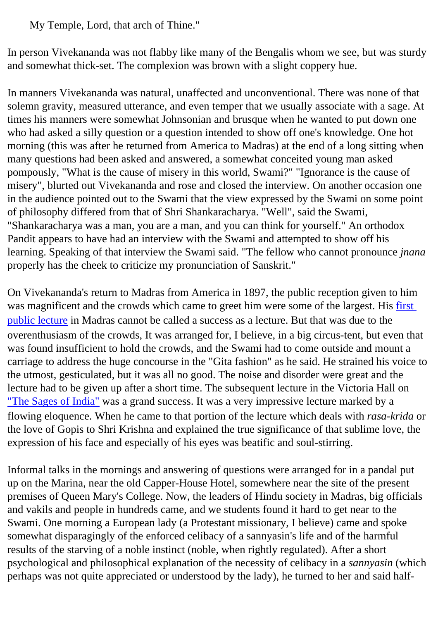My Temple, Lord, that arch of Thine."

In person Vivekananda was not flabby like many of the Bengalis whom we see, but was sturdy and somewhat thick-set. The complexion was brown with a slight coppery hue.

In manners Vivekananda was natural, unaffected and unconventional. There was none of that solemn gravity, measured utterance, and even temper that we usually associate with a sage. At times his manners were somewhat Johnsonian and brusque when he wanted to put down one who had asked a silly question or a question intended to show off one's knowledge. One hot morning (this was after he returned from America to Madras) at the end of a long sitting when many questions had been asked and answered, a somewhat conceited young man asked pompously, "What is the cause of misery in this world, Swami?" "Ignorance is the cause of misery", blurted out Vivekananda and rose and closed the interview. On another occasion one in the audience pointed out to the Swami that the view expressed by the Swami on some point of philosophy differed from that of Shri Shankaracharya. "Well", said the Swami, "Shankaracharya was a man, you are a man, and you can think for yourself." An orthodox Pandit appears to have had an interview with the Swami and attempted to show off his learning. Speaking of that interview the Swami said. "The fellow who cannot pronounce *jnana* properly has the cheek to criticize my pronunciation of Sanskrit."

On Vivekananda's return to Madras from America in 1897, the public reception given to him was magnificent and the crowds which came to greet him were some of the largest. His [first](http://www.ramakrishnavivekananda.info/vivekananda/volume_3/lectures_from_colombo_to_almora/reply_to_the_address_of_welcome_at_madras.htm)  [public lecture](http://www.ramakrishnavivekananda.info/vivekananda/volume_3/lectures_from_colombo_to_almora/reply_to_the_address_of_welcome_at_madras.htm) in Madras cannot be called a success as a lecture. But that was due to the overenthusiasm of the crowds, It was arranged for, I believe, in a big circus-tent, but even that was found insufficient to hold the crowds, and the Swami had to come outside and mount a carriage to address the huge concourse in the "Gita fashion" as he said. He strained his voice to the utmost, gesticulated, but it was all no good. The noise and disorder were great and the lecture had to be given up after a short time. The subsequent lecture in the Victoria Hall on ["The Sages of India"](http://www.ramakrishnavivekananda.info/vivekananda/volume_3/lectures_from_colombo_to_almora/the_sages_of_india.htm) was a grand success. It was a very impressive lecture marked by a flowing eloquence. When he came to that portion of the lecture which deals with *rasa-krida* or the love of Gopis to Shri Krishna and explained the true significance of that sublime love, the expression of his face and especially of his eyes was beatific and soul-stirring.

Informal talks in the mornings and answering of questions were arranged for in a pandal put up on the Marina, near the old Capper-House Hotel, somewhere near the site of the present premises of Queen Mary's College. Now, the leaders of Hindu society in Madras, big officials and vakils and people in hundreds came, and we students found it hard to get near to the Swami. One morning a European lady (a Protestant missionary, I believe) came and spoke somewhat disparagingly of the enforced celibacy of a sannyasin's life and of the harmful results of the starving of a noble instinct (noble, when rightly regulated). After a short psychological and philosophical explanation of the necessity of celibacy in a *sannyasin* (which perhaps was not quite appreciated or understood by the lady), he turned to her and said half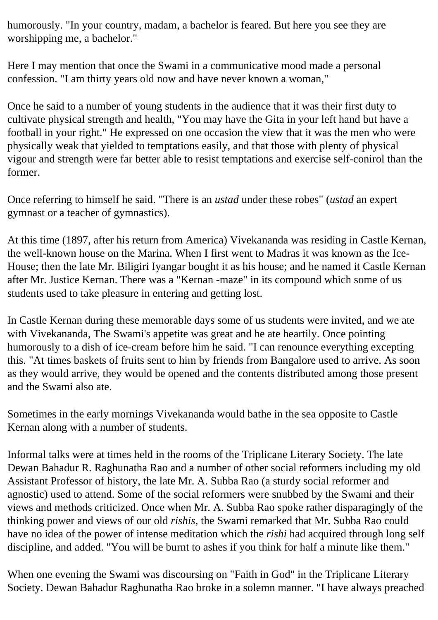humorously. "In your country, madam, a bachelor is feared. But here you see they are worshipping me, a bachelor."

Here I may mention that once the Swami in a communicative mood made a personal confession. "I am thirty years old now and have never known a woman,"

Once he said to a number of young students in the audience that it was their first duty to cultivate physical strength and health, "You may have the Gita in your left hand but have a football in your right." He expressed on one occasion the view that it was the men who were physically weak that yielded to temptations easily, and that those with plenty of physical vigour and strength were far better able to resist temptations and exercise self-conirol than the former.

Once referring to himself he said. "There is an *ustad* under these robes" (*ustad* an expert gymnast or a teacher of gymnastics).

At this time (1897, after his return from America) Vivekananda was residing in Castle Kernan, the well-known house on the Marina. When I first went to Madras it was known as the Ice-House; then the late Mr. Biligiri Iyangar bought it as his house; and he named it Castle Kernan after Mr. Justice Kernan. There was a "Kernan -maze" in its compound which some of us students used to take pleasure in entering and getting lost.

In Castle Kernan during these memorable days some of us students were invited, and we ate with Vivekananda, The Swami's appetite was great and he ate heartily. Once pointing humorously to a dish of ice-cream before him he said. "I can renounce everything excepting this. "At times baskets of fruits sent to him by friends from Bangalore used to arrive. As soon as they would arrive, they would be opened and the contents distributed among those present and the Swami also ate.

Sometimes in the early mornings Vivekananda would bathe in the sea opposite to Castle Kernan along with a number of students.

Informal talks were at times held in the rooms of the Triplicane Literary Society. The late Dewan Bahadur R. Raghunatha Rao and a number of other social reformers including my old Assistant Professor of history, the late Mr. A. Subba Rao (a sturdy social reformer and agnostic) used to attend. Some of the social reformers were snubbed by the Swami and their views and methods criticized. Once when Mr. A. Subba Rao spoke rather disparagingly of the thinking power and views of our old *rishis*, the Swami remarked that Mr. Subba Rao could have no idea of the power of intense meditation which the *rishi* had acquired through long self discipline, and added. "You will be burnt to ashes if you think for half a minute like them."

When one evening the Swami was discoursing on "Faith in God" in the Triplicane Literary Society. Dewan Bahadur Raghunatha Rao broke in a solemn manner. "I have always preached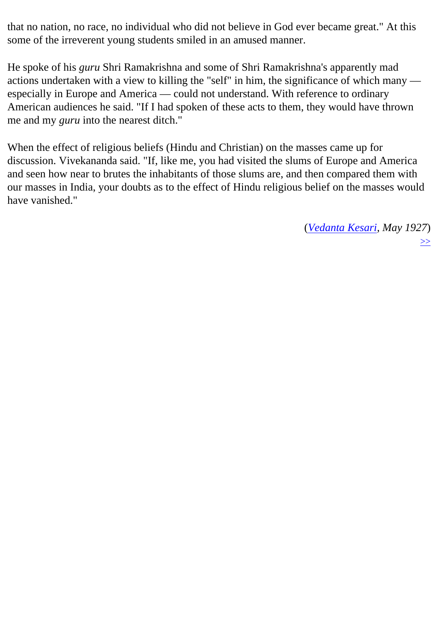that no nation, no race, no individual who did not believe in God ever became great." At this some of the irreverent young students smiled in an amused manner.

He spoke of his *guru* Shri Ramakrishna and some of Shri Ramakrishna's apparently mad actions undertaken with a view to killing the "self" in him, the significance of which many especially in Europe and America — could not understand. With reference to ordinary American audiences he said. "If I had spoken of these acts to them, they would have thrown me and my *guru* into the nearest ditch."

When the effect of religious beliefs (Hindu and Christian) on the masses came up for discussion. Vivekananda said. "If, like me, you had visited the slums of Europe and America and seen how near to brutes the inhabitants of those slums are, and then compared them with our masses in India, your doubts as to the effect of Hindu religious belief on the masses would have vanished."

> (*[Vedanta Kesari](http://www.sriramakrishnamath.org/Magazine/magazineenglish.aspx?id=Eng), May 1927*)  $\geq$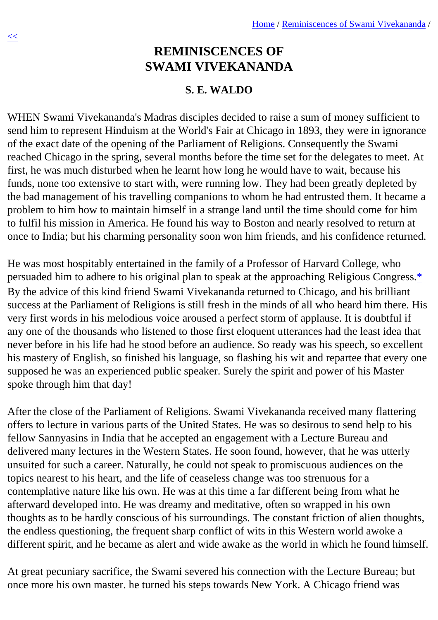### **S. E. WALDO**

<span id="page-77-0"></span>WHEN Swami Vivekananda's Madras disciples decided to raise a sum of money sufficient to send him to represent Hinduism at the World's Fair at Chicago in 1893, they were in ignorance of the exact date of the opening of the Parliament of Religions. Consequently the Swami reached Chicago in the spring, several months before the time set for the delegates to meet. At first, he was much disturbed when he learnt how long he would have to wait, because his funds, none too extensive to start with, were running low. They had been greatly depleted by the bad management of his travelling companions to whom he had entrusted them. It became a problem to him how to maintain himself in a strange land until the time should come for him to fulfil his mission in America. He found his way to Boston and nearly resolved to return at once to India; but his charming personality soon won him friends, and his confidence returned.

He was most hospitably entertained in the family of a Professor of Harvard College, who persuaded him to adhere to his original plan to speak at the approaching Religious Congress[.\\*](#page-77-0) By the advice of this kind friend Swami Vivekananda returned to Chicago, and his brilliant success at the Parliament of Religions is still fresh in the minds of all who heard him there. His very first words in his melodious voice aroused a perfect storm of applause. It is doubtful if any one of the thousands who listened to those first eloquent utterances had the least idea that never before in his life had he stood before an audience. So ready was his speech, so excellent his mastery of English, so finished his language, so flashing his wit and repartee that every one supposed he was an experienced public speaker. Surely the spirit and power of his Master spoke through him that day!

After the close of the Parliament of Religions. Swami Vivekananda received many flattering offers to lecture in various parts of the United States. He was so desirous to send help to his fellow Sannyasins in India that he accepted an engagement with a Lecture Bureau and delivered many lectures in the Western States. He soon found, however, that he was utterly unsuited for such a career. Naturally, he could not speak to promiscuous audiences on the topics nearest to his heart, and the life of ceaseless change was too strenuous for a contemplative nature like his own. He was at this time a far different being from what he afterward developed into. He was dreamy and meditative, often so wrapped in his own thoughts as to be hardly conscious of his surroundings. The constant friction of alien thoughts, the endless questioning, the frequent sharp conflict of wits in this Western world awoke a different spirit, and he became as alert and wide awake as the world in which he found himself.

At great pecuniary sacrifice, the Swami severed his connection with the Lecture Bureau; but once more his own master. he turned his steps towards New York. A Chicago friend was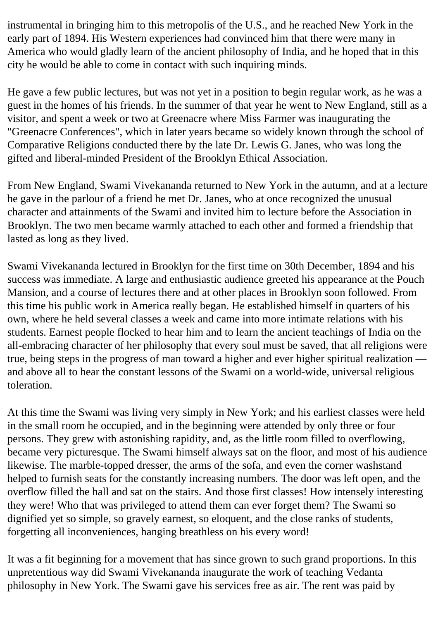instrumental in bringing him to this metropolis of the U.S., and he reached New York in the early part of 1894. His Western experiences had convinced him that there were many in America who would gladly learn of the ancient philosophy of India, and he hoped that in this city he would be able to come in contact with such inquiring minds.

He gave a few public lectures, but was not yet in a position to begin regular work, as he was a guest in the homes of his friends. In the summer of that year he went to New England, still as a visitor, and spent a week or two at Greenacre where Miss Farmer was inaugurating the "Greenacre Conferences", which in later years became so widely known through the school of Comparative Religions conducted there by the late Dr. Lewis G. Janes, who was long the gifted and liberal-minded President of the Brooklyn Ethical Association.

From New England, Swami Vivekananda returned to New York in the autumn, and at a lecture he gave in the parlour of a friend he met Dr. Janes, who at once recognized the unusual character and attainments of the Swami and invited him to lecture before the Association in Brooklyn. The two men became warmly attached to each other and formed a friendship that lasted as long as they lived.

Swami Vivekananda lectured in Brooklyn for the first time on 30th December, 1894 and his success was immediate. A large and enthusiastic audience greeted his appearance at the Pouch Mansion, and a course of lectures there and at other places in Brooklyn soon followed. From this time his public work in America really began. He established himself in quarters of his own, where he held several classes a week and came into more intimate relations with his students. Earnest people flocked to hear him and to learn the ancient teachings of India on the all-embracing character of her philosophy that every soul must be saved, that all religions were true, being steps in the progress of man toward a higher and ever higher spiritual realization and above all to hear the constant lessons of the Swami on a world-wide, universal religious toleration.

At this time the Swami was living very simply in New York; and his earliest classes were held in the small room he occupied, and in the beginning were attended by only three or four persons. They grew with astonishing rapidity, and, as the little room filled to overflowing, became very picturesque. The Swami himself always sat on the floor, and most of his audience likewise. The marble-topped dresser, the arms of the sofa, and even the corner washstand helped to furnish seats for the constantly increasing numbers. The door was left open, and the overflow filled the hall and sat on the stairs. And those first classes! How intensely interesting they were! Who that was privileged to attend them can ever forget them? The Swami so dignified yet so simple, so gravely earnest, so eloquent, and the close ranks of students, forgetting all inconveniences, hanging breathless on his every word!

It was a fit beginning for a movement that has since grown to such grand proportions. In this unpretentious way did Swami Vivekananda inaugurate the work of teaching Vedanta philosophy in New York. The Swami gave his services free as air. The rent was paid by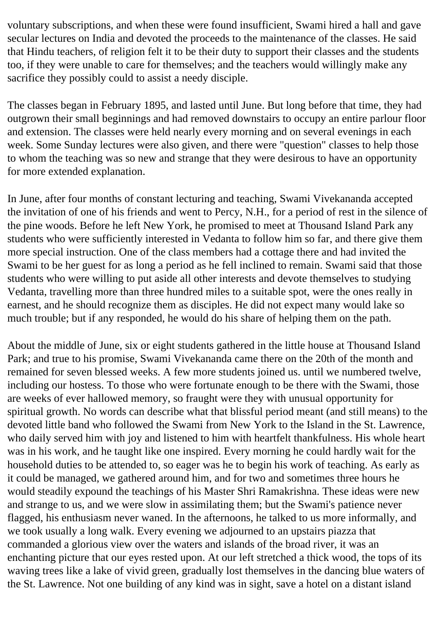voluntary subscriptions, and when these were found insufficient, Swami hired a hall and gave secular lectures on India and devoted the proceeds to the maintenance of the classes. He said that Hindu teachers, of religion felt it to be their duty to support their classes and the students too, if they were unable to care for themselves; and the teachers would willingly make any sacrifice they possibly could to assist a needy disciple.

The classes began in February 1895, and lasted until June. But long before that time, they had outgrown their small beginnings and had removed downstairs to occupy an entire parlour floor and extension. The classes were held nearly every morning and on several evenings in each week. Some Sunday lectures were also given, and there were "question" classes to help those to whom the teaching was so new and strange that they were desirous to have an opportunity for more extended explanation.

In June, after four months of constant lecturing and teaching, Swami Vivekananda accepted the invitation of one of his friends and went to Percy, N.H., for a period of rest in the silence of the pine woods. Before he left New York, he promised to meet at Thousand Island Park any students who were sufficiently interested in Vedanta to follow him so far, and there give them more special instruction. One of the class members had a cottage there and had invited the Swami to be her guest for as long a period as he fell inclined to remain. Swami said that those students who were willing to put aside all other interests and devote themselves to studying Vedanta, travelling more than three hundred miles to a suitable spot, were the ones really in earnest, and he should recognize them as disciples. He did not expect many would lake so much trouble; but if any responded, he would do his share of helping them on the path.

About the middle of June, six or eight students gathered in the little house at Thousand Island Park; and true to his promise, Swami Vivekananda came there on the 20th of the month and remained for seven blessed weeks. A few more students joined us. until we numbered twelve, including our hostess. To those who were fortunate enough to be there with the Swami, those are weeks of ever hallowed memory, so fraught were they with unusual opportunity for spiritual growth. No words can describe what that blissful period meant (and still means) to the devoted little band who followed the Swami from New York to the Island in the St. Lawrence, who daily served him with joy and listened to him with heartfelt thankfulness. His whole heart was in his work, and he taught like one inspired. Every morning he could hardly wait for the household duties to be attended to, so eager was he to begin his work of teaching. As early as it could be managed, we gathered around him, and for two and sometimes three hours he would steadily expound the teachings of his Master Shri Ramakrishna. These ideas were new and strange to us, and we were slow in assimilating them; but the Swami's patience never flagged, his enthusiasm never waned. In the afternoons, he talked to us more informally, and we took usually a long walk. Every evening we adjourned to an upstairs piazza that commanded a glorious view over the waters and islands of the broad river, it was an enchanting picture that our eyes rested upon. At our left stretched a thick wood, the tops of its waving trees like a lake of vivid green, gradually lost themselves in the dancing blue waters of the St. Lawrence. Not one building of any kind was in sight, save a hotel on a distant island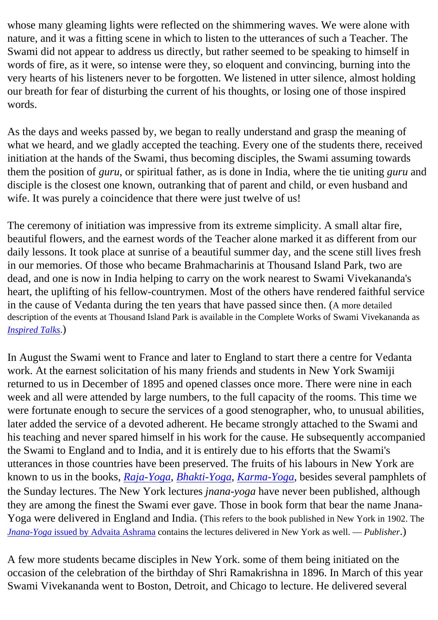whose many gleaming lights were reflected on the shimmering waves. We were alone with nature, and it was a fitting scene in which to listen to the utterances of such a Teacher. The Swami did not appear to address us directly, but rather seemed to be speaking to himself in words of fire, as it were, so intense were they, so eloquent and convincing, burning into the very hearts of his listeners never to be forgotten. We listened in utter silence, almost holding our breath for fear of disturbing the current of his thoughts, or losing one of those inspired words.

As the days and weeks passed by, we began to really understand and grasp the meaning of what we heard, and we gladly accepted the teaching. Every one of the students there, received initiation at the hands of the Swami, thus becoming disciples, the Swami assuming towards them the position of *guru*, or spiritual father, as is done in India, where the tie uniting *guru* and disciple is the closest one known, outranking that of parent and child, or even husband and wife. It was purely a coincidence that there were just twelve of us!

The ceremony of initiation was impressive from its extreme simplicity. A small altar fire, beautiful flowers, and the earnest words of the Teacher alone marked it as different from our daily lessons. It took place at sunrise of a beautiful summer day, and the scene still lives fresh in our memories. Of those who became Brahmacharinis at Thousand Island Park, two are dead, and one is now in India helping to carry on the work nearest to Swami Vivekananda's heart, the uplifting of his fellow-countrymen. Most of the others have rendered faithful service in the cause of Vedanta during the ten years that have passed since then. (A more detailed description of the events at Thousand Island Park is available in the Complete Works of Swami Vivekananda as *[Inspired Talks](http://www.ramakrishnavivekananda.info/vivekananda/volume_7/vol_7_frame.htm)*.)

In August the Swami went to France and later to England to start there a centre for Vedanta work. At the earnest solicitation of his many friends and students in New York Swamiji returned to us in December of 1895 and opened classes once more. There were nine in each week and all were attended by large numbers, to the full capacity of the rooms. This time we were fortunate enough to secure the services of a good stenographer, who, to unusual abilities, later added the service of a devoted adherent. He became strongly attached to the Swami and his teaching and never spared himself in his work for the cause. He subsequently accompanied the Swami to England and to India, and it is entirely due to his efforts that the Swami's utterances in those countries have been preserved. The fruits of his labours in New York are known to us in the books, *[Raja-Yoga](http://www.ramakrishnavivekananda.info/vivekananda/volume_1/raja-yoga/preface_frame.htm)*, *[Bhakti-Yoga](http://www.ramakrishnavivekananda.info/vivekananda/volume_3/vol_3_frame.htm)*, *[Karma-Yoga](http://www.ramakrishnavivekananda.info/vivekananda/volume_1/karma-yoga/effect_on_character_frame.htm)*, besides several pamphlets of the Sunday lectures. The New York lectures *jnana-yoga* have never been published, although they are among the finest the Swami ever gave. Those in book form that bear the name Jnana-Yoga were delivered in England and India. (This refers to the book published in New York in 1902. The *Jnana-Yoga* [issued by Advaita Ashrama](http://www.ramakrishnavivekananda.info/vivekananda/volume_2/jnana-yoga/the_necessity_of_religion_frame.htm) contains the lectures delivered in New York as well. — *Publisher*.)

A few more students became disciples in New York. some of them being initiated on the occasion of the celebration of the birthday of Shri Ramakrishna in 1896. In March of this year Swami Vivekananda went to Boston, Detroit, and Chicago to lecture. He delivered several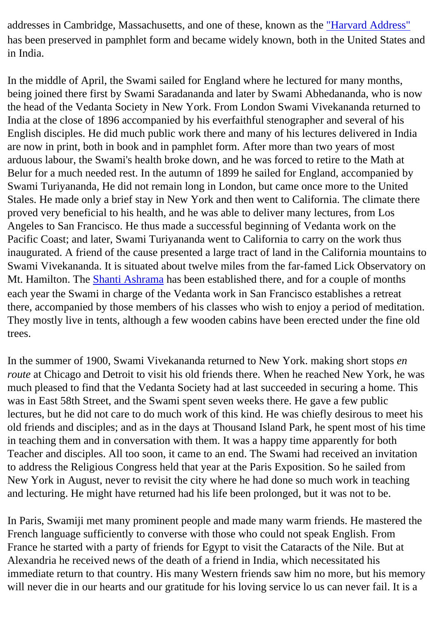addresses in Cambridge, Massachusetts, and one of these, known as the ["Harvard Address"](http://www.ramakrishnavivekananda.info/vivekananda/volume_1/lectures_and_discourses/the_vedanta_philosophy.htm) has been preserved in pamphlet form and became widely known, both in the United States and in India.

In the middle of April, the Swami sailed for England where he lectured for many months, being joined there first by Swami Saradananda and later by Swami Abhedananda, who is now the head of the Vedanta Society in New York. From London Swami Vivekananda returned to India at the close of 1896 accompanied by his everfaithful stenographer and several of his English disciples. He did much public work there and many of his lectures delivered in India are now in print, both in book and in pamphlet form. After more than two years of most arduous labour, the Swami's health broke down, and he was forced to retire to the Math at Belur for a much needed rest. In the autumn of 1899 he sailed for England, accompanied by Swami Turiyananda, He did not remain long in London, but came once more to the United Stales. He made only a brief stay in New York and then went to California. The climate there proved very beneficial to his health, and he was able to deliver many lectures, from Los Angeles to San Francisco. He thus made a successful beginning of Vedanta work on the Pacific Coast; and later, Swami Turiyananda went to California to carry on the work thus inaugurated. A friend of the cause presented a large tract of land in the California mountains to Swami Vivekananda. It is situated about twelve miles from the far-famed Lick Observatory on Mt. Hamilton. The [Shanti Ashrama](http://sfvedanta.org/ReachUsShanti.html) has been established there, and for a couple of months each year the Swami in charge of the Vedanta work in San Francisco establishes a retreat there, accompanied by those members of his classes who wish to enjoy a period of meditation. They mostly live in tents, although a few wooden cabins have been erected under the fine old trees.

In the summer of 1900, Swami Vivekananda returned to New York. making short stops *en route* at Chicago and Detroit to visit his old friends there. When he reached New York, he was much pleased to find that the Vedanta Society had at last succeeded in securing a home. This was in East 58th Street, and the Swami spent seven weeks there. He gave a few public lectures, but he did not care to do much work of this kind. He was chiefly desirous to meet his old friends and disciples; and as in the days at Thousand Island Park, he spent most of his time in teaching them and in conversation with them. It was a happy time apparently for both Teacher and disciples. All too soon, it came to an end. The Swami had received an invitation to address the Religious Congress held that year at the Paris Exposition. So he sailed from New York in August, never to revisit the city where he had done so much work in teaching and lecturing. He might have returned had his life been prolonged, but it was not to be.

In Paris, Swamiji met many prominent people and made many warm friends. He mastered the French language sufficiently to converse with those who could not speak English. From France he started with a party of friends for Egypt to visit the Cataracts of the Nile. But at Alexandria he received news of the death of a friend in India, which necessitated his immediate return to that country. His many Western friends saw him no more, but his memory will never die in our hearts and our gratitude for his loving service lo us can never fail. It is a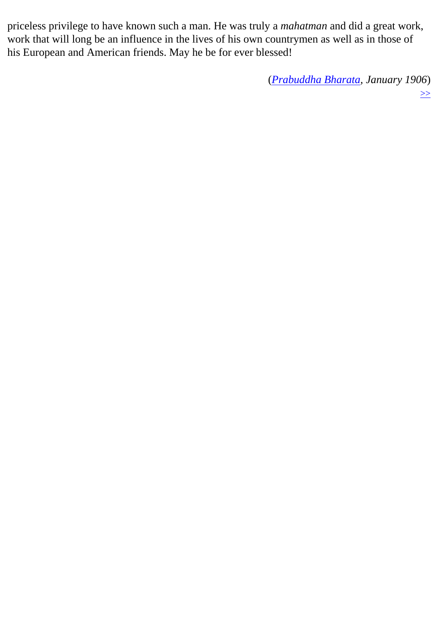priceless privilege to have known such a man. He was truly a *mahatman* and did a great work, work that will long be an influence in the lives of his own countrymen as well as in those of his European and American friends. May he be for ever blessed!

> (*[Prabuddha Bharata,](http://www.advaitaashrama.org/prabuddha_bharata.html) January 1906*)  $\geq$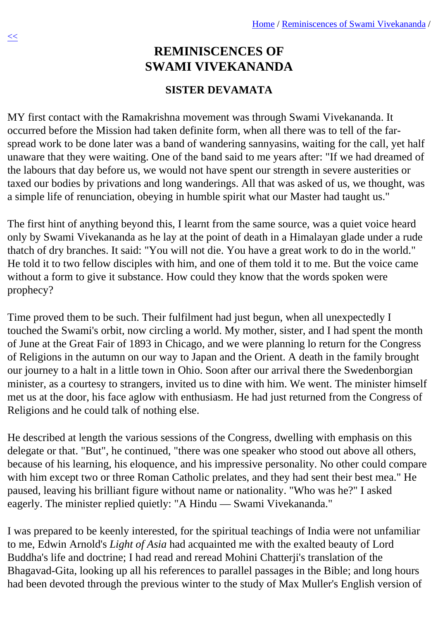#### **SISTER DEVAMATA**

<span id="page-83-0"></span>MY first contact with the Ramakrishna movement was through Swami Vivekananda. It occurred before the Mission had taken definite form, when all there was to tell of the farspread work to be done later was a band of wandering sannyasins, waiting for the call, yet half unaware that they were waiting. One of the band said to me years after: "If we had dreamed of the labours that day before us, we would not have spent our strength in severe austerities or taxed our bodies by privations and long wanderings. All that was asked of us, we thought, was a simple life of renunciation, obeying in humble spirit what our Master had taught us."

The first hint of anything beyond this, I learnt from the same source, was a quiet voice heard only by Swami Vivekananda as he lay at the point of death in a Himalayan glade under a rude thatch of dry branches. It said: "You will not die. You have a great work to do in the world." He told it to two fellow disciples with him, and one of them told it to me. But the voice came without a form to give it substance. How could they know that the words spoken were prophecy?

Time proved them to be such. Their fulfilment had just begun, when all unexpectedly I touched the Swami's orbit, now circling a world. My mother, sister, and I had spent the month of June at the Great Fair of 1893 in Chicago, and we were planning lo return for the Congress of Religions in the autumn on our way to Japan and the Orient. A death in the family brought our journey to a halt in a little town in Ohio. Soon after our arrival there the Swedenborgian minister, as a courtesy to strangers, invited us to dine with him. We went. The minister himself met us at the door, his face aglow with enthusiasm. He had just returned from the Congress of Religions and he could talk of nothing else.

He described at length the various sessions of the Congress, dwelling with emphasis on this delegate or that. "But", he continued, "there was one speaker who stood out above all others, because of his learning, his eloquence, and his impressive personality. No other could compare with him except two or three Roman Catholic prelates, and they had sent their best mea." He paused, leaving his brilliant figure without name or nationality. "Who was he?" I asked eagerly. The minister replied quietly: "A Hindu — Swami Vivekananda."

I was prepared to be keenly interested, for the spiritual teachings of India were not unfamiliar to me, Edwin Arnold's *Light of Asia* had acquainted me with the exalted beauty of Lord Buddha's life and doctrine; I had read and reread Mohini Chatterji's translation of the Bhagavad-Gita, looking up all his references to parallel passages in the Bible; and long hours had been devoted through the previous winter to the study of Max Muller's English version of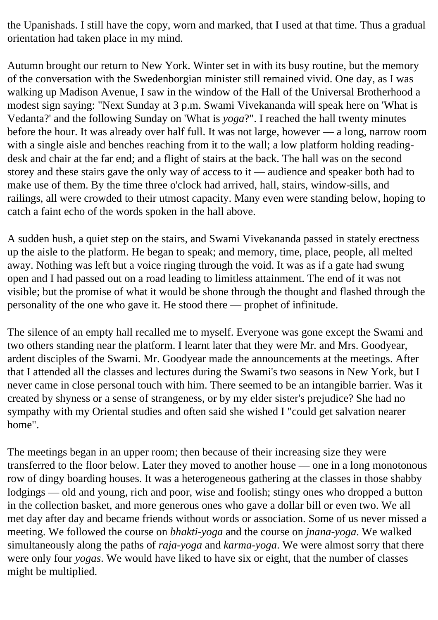the Upanishads. I still have the copy, worn and marked, that I used at that time. Thus a gradual orientation had taken place in my mind.

Autumn brought our return to New York. Winter set in with its busy routine, but the memory of the conversation with the Swedenborgian minister still remained vivid. One day, as I was walking up Madison Avenue, I saw in the window of the Hall of the Universal Brotherhood a modest sign saying: "Next Sunday at 3 p.m. Swami Vivekananda will speak here on 'What is Vedanta?' and the following Sunday on 'What is *yoga*?". I reached the hall twenty minutes before the hour. It was already over half full. It was not large, however — a long, narrow room with a single aisle and benches reaching from it to the wall; a low platform holding readingdesk and chair at the far end; and a flight of stairs at the back. The hall was on the second storey and these stairs gave the only way of access to it — audience and speaker both had to make use of them. By the time three o'clock had arrived, hall, stairs, window-sills, and railings, all were crowded to their utmost capacity. Many even were standing below, hoping to catch a faint echo of the words spoken in the hall above.

A sudden hush, a quiet step on the stairs, and Swami Vivekananda passed in stately erectness up the aisle to the platform. He began to speak; and memory, time, place, people, all melted away. Nothing was left but a voice ringing through the void. It was as if a gate had swung open and I had passed out on a road leading to limitless attainment. The end of it was not visible; but the promise of what it would be shone through the thought and flashed through the personality of the one who gave it. He stood there — prophet of infinitude.

The silence of an empty hall recalled me to myself. Everyone was gone except the Swami and two others standing near the platform. I learnt later that they were Mr. and Mrs. Goodyear, ardent disciples of the Swami. Mr. Goodyear made the announcements at the meetings. After that I attended all the classes and lectures during the Swami's two seasons in New York, but I never came in close personal touch with him. There seemed to be an intangible barrier. Was it created by shyness or a sense of strangeness, or by my elder sister's prejudice? She had no sympathy with my Oriental studies and often said she wished I "could get salvation nearer home".

The meetings began in an upper room; then because of their increasing size they were transferred to the floor below. Later they moved to another house — one in a long monotonous row of dingy boarding houses. It was a heterogeneous gathering at the classes in those shabby lodgings — old and young, rich and poor, wise and foolish; stingy ones who dropped a button in the collection basket, and more generous ones who gave a dollar bill or even two. We all met day after day and became friends without words or association. Some of us never missed a meeting. We followed the course on *bhakti-yoga* and the course on *jnana-yoga*. We walked simultaneously along the paths of *raja-yoga* and *karma-yoga*. We were almost sorry that there were only four *yogas*. We would have liked to have six or eight, that the number of classes might be multiplied.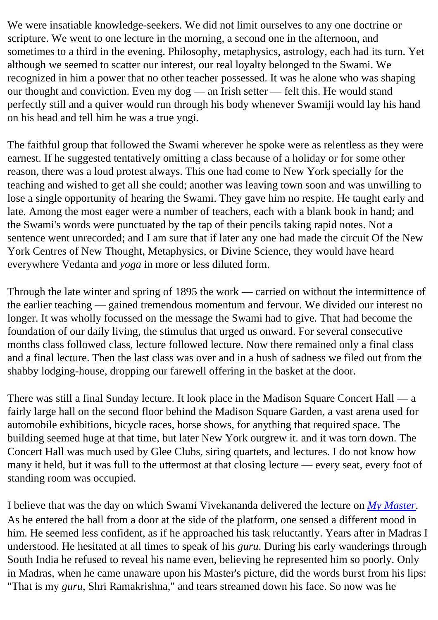We were insatiable knowledge-seekers. We did not limit ourselves to any one doctrine or scripture. We went to one lecture in the morning, a second one in the afternoon, and sometimes to a third in the evening. Philosophy, metaphysics, astrology, each had its turn. Yet although we seemed to scatter our interest, our real loyalty belonged to the Swami. We recognized in him a power that no other teacher possessed. It was he alone who was shaping our thought and conviction. Even my dog — an Irish setter — felt this. He would stand perfectly still and a quiver would run through his body whenever Swamiji would lay his hand on his head and tell him he was a true yogi.

The faithful group that followed the Swami wherever he spoke were as relentless as they were earnest. If he suggested tentatively omitting a class because of a holiday or for some other reason, there was a loud protest always. This one had come to New York specially for the teaching and wished to get all she could; another was leaving town soon and was unwilling to lose a single opportunity of hearing the Swami. They gave him no respite. He taught early and late. Among the most eager were a number of teachers, each with a blank book in hand; and the Swami's words were punctuated by the tap of their pencils taking rapid notes. Not a sentence went unrecorded; and I am sure that if later any one had made the circuit Of the New York Centres of New Thought, Metaphysics, or Divine Science, they would have heard everywhere Vedanta and *yoga* in more or less diluted form.

Through the late winter and spring of 1895 the work — carried on without the intermittence of the earlier teaching — gained tremendous momentum and fervour. We divided our interest no longer. It was wholly focussed on the message the Swami had to give. That had become the foundation of our daily living, the stimulus that urged us onward. For several consecutive months class followed class, lecture followed lecture. Now there remained only a final class and a final lecture. Then the last class was over and in a hush of sadness we filed out from the shabby lodging-house, dropping our farewell offering in the basket at the door.

There was still a final Sunday lecture. It look place in the Madison Square Concert Hall — a fairly large hall on the second floor behind the Madison Square Garden, a vast arena used for automobile exhibitions, bicycle races, horse shows, for anything that required space. The building seemed huge at that time, but later New York outgrew it. and it was torn down. The Concert Hall was much used by Glee Clubs, siring quartets, and lectures. I do not know how many it held, but it was full to the uttermost at that closing lecture — every seat, every foot of standing room was occupied.

I believe that was the day on which Swami Vivekananda delivered the lecture on *[My Master](http://www.ramakrishnavivekananda.info/vivekananda/volume_4/lectures_and_discourses/my_master.htm)*. As he entered the hall from a door at the side of the platform, one sensed a different mood in him. He seemed less confident, as if he approached his task reluctantly. Years after in Madras I understood. He hesitated at all times to speak of his *guru*. During his early wanderings through South India he refused to reveal his name even, believing he represented him so poorly. Only in Madras, when he came unaware upon his Master's picture, did the words burst from his lips: "That is my *guru*, Shri Ramakrishna," and tears streamed down his face. So now was he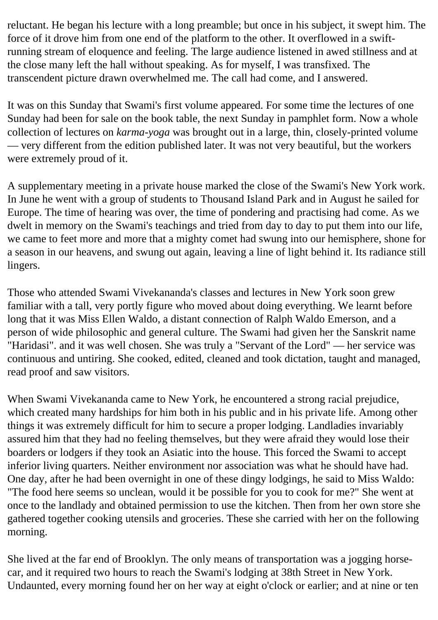reluctant. He began his lecture with a long preamble; but once in his subject, it swept him. The force of it drove him from one end of the platform to the other. It overflowed in a swiftrunning stream of eloquence and feeling. The large audience listened in awed stillness and at the close many left the hall without speaking. As for myself, I was transfixed. The transcendent picture drawn overwhelmed me. The call had come, and I answered.

It was on this Sunday that Swami's first volume appeared. For some time the lectures of one Sunday had been for sale on the book table, the next Sunday in pamphlet form. Now a whole collection of lectures on *karma-yoga* was brought out in a large, thin, closely-printed volume — very different from the edition published later. It was not very beautiful, but the workers were extremely proud of it.

A supplementary meeting in a private house marked the close of the Swami's New York work. In June he went with a group of students to Thousand Island Park and in August he sailed for Europe. The time of hearing was over, the time of pondering and practising had come. As we dwelt in memory on the Swami's teachings and tried from day to day to put them into our life, we came to feet more and more that a mighty comet had swung into our hemisphere, shone for a season in our heavens, and swung out again, leaving a line of light behind it. Its radiance still lingers.

Those who attended Swami Vivekananda's classes and lectures in New York soon grew familiar with a tall, very portly figure who moved about doing everything. We learnt before long that it was Miss Ellen Waldo, a distant connection of Ralph Waldo Emerson, and a person of wide philosophic and general culture. The Swami had given her the Sanskrit name "Haridasi". and it was well chosen. She was truly a "Servant of the Lord" — her service was continuous and untiring. She cooked, edited, cleaned and took dictation, taught and managed, read proof and saw visitors.

When Swami Vivekananda came to New York, he encountered a strong racial prejudice, which created many hardships for him both in his public and in his private life. Among other things it was extremely difficult for him to secure a proper lodging. Landladies invariably assured him that they had no feeling themselves, but they were afraid they would lose their boarders or lodgers if they took an Asiatic into the house. This forced the Swami to accept inferior living quarters. Neither environment nor association was what he should have had. One day, after he had been overnight in one of these dingy lodgings, he said to Miss Waldo: "The food here seems so unclean, would it be possible for you to cook for me?" She went at once to the landlady and obtained permission to use the kitchen. Then from her own store she gathered together cooking utensils and groceries. These she carried with her on the following morning.

She lived at the far end of Brooklyn. The only means of transportation was a jogging horsecar, and it required two hours to reach the Swami's lodging at 38th Street in New York. Undaunted, every morning found her on her way at eight o'clock or earlier; and at nine or ten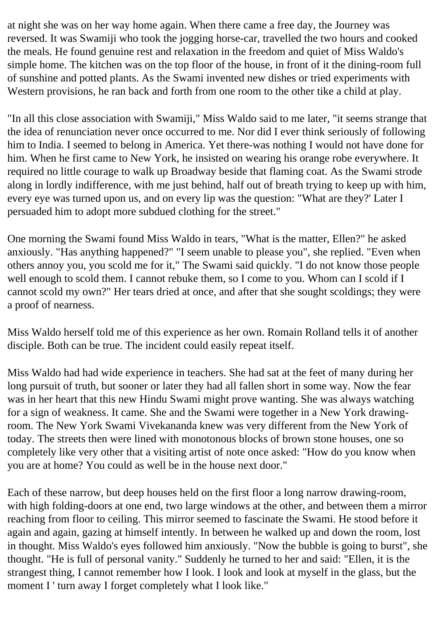at night she was on her way home again. When there came a free day, the Journey was reversed. It was Swamiji who took the jogging horse-car, travelled the two hours and cooked the meals. He found genuine rest and relaxation in the freedom and quiet of Miss Waldo's simple home. The kitchen was on the top floor of the house, in front of it the dining-room full of sunshine and potted plants. As the Swami invented new dishes or tried experiments with Western provisions, he ran back and forth from one room to the other tike a child at play.

"In all this close association with Swamiji," Miss Waldo said to me later, "it seems strange that the idea of renunciation never once occurred to me. Nor did I ever think seriously of following him to India. I seemed to belong in America. Yet there-was nothing I would not have done for him. When he first came to New York, he insisted on wearing his orange robe everywhere. It required no little courage to walk up Broadway beside that flaming coat. As the Swami strode along in lordly indifference, with me just behind, half out of breath trying to keep up with him, every eye was turned upon us, and on every lip was the question: "What are they?' Later I persuaded him to adopt more subdued clothing for the street."

One morning the Swami found Miss Waldo in tears, "What is the matter, Ellen?" he asked anxiously. "Has anything happened?" "I seem unable to please you", she replied. "Even when others annoy you, you scold me for it," The Swami said quickly. "I do not know those people well enough to scold them. I cannot rebuke them, so I come to you. Whom can I scold if I cannot scold my own?" Her tears dried at once, and after that she sought scoldings; they were a proof of nearness.

Miss Waldo herself told me of this experience as her own. Romain Rolland tells it of another disciple. Both can be true. The incident could easily repeat itself.

Miss Waldo had had wide experience in teachers. She had sat at the feet of many during her long pursuit of truth, but sooner or later they had all fallen short in some way. Now the fear was in her heart that this new Hindu Swami might prove wanting. She was always watching for a sign of weakness. It came. She and the Swami were together in a New York drawingroom. The New York Swami Vivekananda knew was very different from the New York of today. The streets then were lined with monotonous blocks of brown stone houses, one so completely like very other that a visiting artist of note once asked: "How do you know when you are at home? You could as well be in the house next door."

Each of these narrow, but deep houses held on the first floor a long narrow drawing-room, with high folding-doors at one end, two large windows at the other, and between them a mirror reaching from floor to ceiling. This mirror seemed to fascinate the Swami. He stood before it again and again, gazing at himself intently. In between he walked up and down the room, lost in thought. Miss Waldo's eyes followed him anxiously. "Now the bubble is going to burst", she thought. "He is full of personal vanity." Suddenly he turned to her and said: "Ellen, it is the strangest thing, I cannot remember how I look. I look and look at myself in the glass, but the moment I ' turn away I forget completely what I look like."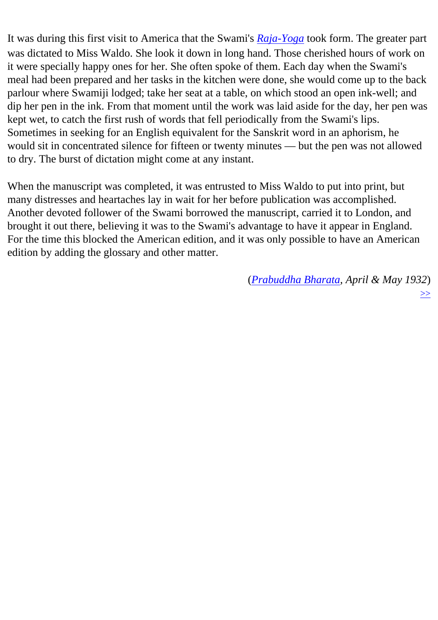It was during this first visit to America that the Swami's *[Raja-Yoga](http://www.ramakrishnavivekananda.info/vivekananda/volume_1/raja-yoga/preface_frame.htm)* took form. The greater part was dictated to Miss Waldo. She look it down in long hand. Those cherished hours of work on it were specially happy ones for her. She often spoke of them. Each day when the Swami's meal had been prepared and her tasks in the kitchen were done, she would come up to the back parlour where Swamiji lodged; take her seat at a table, on which stood an open ink-well; and dip her pen in the ink. From that moment until the work was laid aside for the day, her pen was kept wet, to catch the first rush of words that fell periodically from the Swami's lips. Sometimes in seeking for an English equivalent for the Sanskrit word in an aphorism, he would sit in concentrated silence for fifteen or twenty minutes — but the pen was not allowed to dry. The burst of dictation might come at any instant.

When the manuscript was completed, it was entrusted to Miss Waldo to put into print, but many distresses and heartaches lay in wait for her before publication was accomplished. Another devoted follower of the Swami borrowed the manuscript, carried it to London, and brought it out there, believing it was to the Swami's advantage to have it appear in England. For the time this blocked the American edition, and it was only possible to have an American edition by adding the glossary and other matter.

> (*[Prabuddha Bharata](http://www.advaitaashrama.org/prabuddha_bharata.html), April & May 1932*)  $\geq$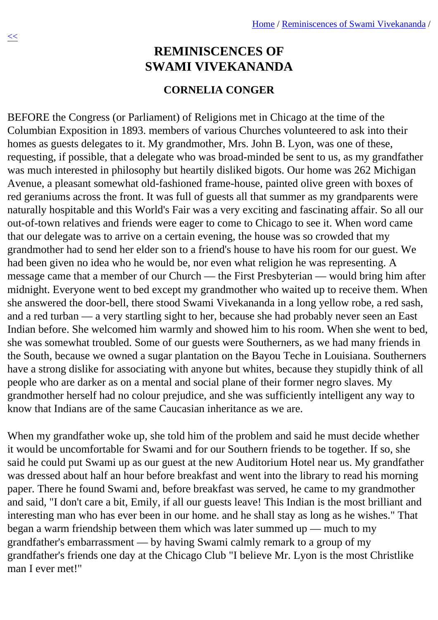#### **CORNELIA CONGER**

BEFORE the Congress (or Parliament) of Religions met in Chicago at the time of the Columbian Exposition in 1893. members of various Churches volunteered to ask into their homes as guests delegates to it. My grandmother, Mrs. John B. Lyon, was one of these, requesting, if possible, that a delegate who was broad-minded be sent to us, as my grandfather was much interested in philosophy but heartily disliked bigots. Our home was 262 Michigan Avenue, a pleasant somewhat old-fashioned frame-house, painted olive green with boxes of red geraniums across the front. It was full of guests all that summer as my grandparents were naturally hospitable and this World's Fair was a very exciting and fascinating affair. So all our out-of-town relatives and friends were eager to come to Chicago to see it. When word came that our delegate was to arrive on a certain evening, the house was so crowded that my grandmother had to send her elder son to a friend's house to have his room for our guest. We had been given no idea who he would be, nor even what religion he was representing. A message came that a member of our Church — the First Presbyterian — would bring him after midnight. Everyone went to bed except my grandmother who waited up to receive them. When she answered the door-bell, there stood Swami Vivekananda in a long yellow robe, a red sash, and a red turban — a very startling sight to her, because she had probably never seen an East Indian before. She welcomed him warmly and showed him to his room. When she went to bed, she was somewhat troubled. Some of our guests were Southerners, as we had many friends in the South, because we owned a sugar plantation on the Bayou Teche in Louisiana. Southerners have a strong dislike for associating with anyone but whites, because they stupidly think of all people who are darker as on a mental and social plane of their former negro slaves. My grandmother herself had no colour prejudice, and she was sufficiently intelligent any way to know that Indians are of the same Caucasian inheritance as we are.

When my grandfather woke up, she told him of the problem and said he must decide whether it would be uncomfortable for Swami and for our Southern friends to be together. If so, she said he could put Swami up as our guest at the new Auditorium Hotel near us. My grandfather was dressed about half an hour before breakfast and went into the library to read his morning paper. There he found Swami and, before breakfast was served, he came to my grandmother and said, "I don't care a bit, Emily, if all our guests leave! This Indian is the most brilliant and interesting man who has ever been in our home. and he shall stay as long as he wishes." That began a warm friendship between them which was later summed up — much to my grandfather's embarrassment — by having Swami calmly remark to a group of my grandfather's friends one day at the Chicago Club "I believe Mr. Lyon is the most Christlike man I ever met!"

<span id="page-89-0"></span> $<<$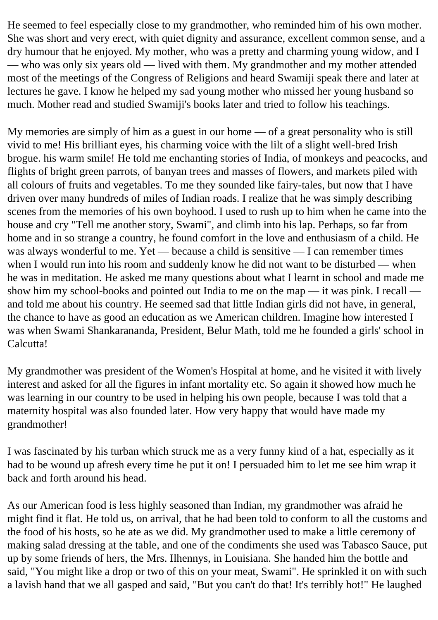He seemed to feel especially close to my grandmother, who reminded him of his own mother. She was short and very erect, with quiet dignity and assurance, excellent common sense, and a dry humour that he enjoyed. My mother, who was a pretty and charming young widow, and I — who was only six years old — lived with them. My grandmother and my mother attended most of the meetings of the Congress of Religions and heard Swamiji speak there and later at lectures he gave. I know he helped my sad young mother who missed her young husband so much. Mother read and studied Swamiji's books later and tried to follow his teachings.

My memories are simply of him as a guest in our home — of a great personality who is still vivid to me! His brilliant eyes, his charming voice with the lilt of a slight well-bred Irish brogue. his warm smile! He told me enchanting stories of India, of monkeys and peacocks, and flights of bright green parrots, of banyan trees and masses of flowers, and markets piled with all colours of fruits and vegetables. To me they sounded like fairy-tales, but now that I have driven over many hundreds of miles of Indian roads. I realize that he was simply describing scenes from the memories of his own boyhood. I used to rush up to him when he came into the house and cry "Tell me another story, Swami", and climb into his lap. Perhaps, so far from home and in so strange a country, he found comfort in the love and enthusiasm of a child. He was always wonderful to me. Yet — because a child is sensitive — I can remember times when I would run into his room and suddenly know he did not want to be disturbed — when he was in meditation. He asked me many questions about what I learnt in school and made me show him my school-books and pointed out India to me on the map — it was pink. I recall and told me about his country. He seemed sad that little Indian girls did not have, in general, the chance to have as good an education as we American children. Imagine how interested I was when Swami Shankarananda, President, Belur Math, told me he founded a girls' school in Calcutta!

My grandmother was president of the Women's Hospital at home, and he visited it with lively interest and asked for all the figures in infant mortality etc. So again it showed how much he was learning in our country to be used in helping his own people, because I was told that a maternity hospital was also founded later. How very happy that would have made my grandmother!

I was fascinated by his turban which struck me as a very funny kind of a hat, especially as it had to be wound up afresh every time he put it on! I persuaded him to let me see him wrap it back and forth around his head.

As our American food is less highly seasoned than Indian, my grandmother was afraid he might find it flat. He told us, on arrival, that he had been told to conform to all the customs and the food of his hosts, so he ate as we did. My grandmother used to make a little ceremony of making salad dressing at the table, and one of the condiments she used was Tabasco Sauce, put up by some friends of hers, the Mrs. Ilhennys, in Louisiana. She handed him the bottle and said, "You might like a drop or two of this on your meat, Swami". He sprinkled it on with such a lavish hand that we all gasped and said, "But you can't do that! It's terribly hot!" He laughed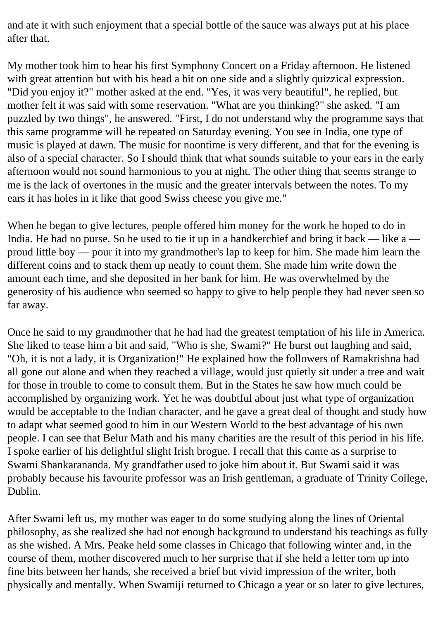and ate it with such enjoyment that a special bottle of the sauce was always put at his place after that.

My mother took him to hear his first Symphony Concert on a Friday afternoon. He listened with great attention but with his head a bit on one side and a slightly quizzical expression. "Did you enjoy it?" mother asked at the end. "Yes, it was very beautiful", he replied, but mother felt it was said with some reservation. "What are you thinking?" she asked. "I am puzzled by two things", he answered. "First, I do not understand why the programme says that this same programme will be repeated on Saturday evening. You see in India, one type of music is played at dawn. The music for noontime is very different, and that for the evening is also of a special character. So I should think that what sounds suitable to your ears in the early afternoon would not sound harmonious to you at night. The other thing that seems strange to me is the lack of overtones in the music and the greater intervals between the notes. To my ears it has holes in it like that good Swiss cheese you give me."

When he began to give lectures, people offered him money for the work he hoped to do in India. He had no purse. So he used to tie it up in a handkerchief and bring it back — like a proud little boy — pour it into my grandmother's lap to keep for him. She made him learn the different coins and to stack them up neatly to count them. She made him write down the amount each time, and she deposited in her bank for him. He was overwhelmed by the generosity of his audience who seemed so happy to give to help people they had never seen so far away.

Once he said to my grandmother that he had had the greatest temptation of his life in America. She liked to tease him a bit and said, "Who is she, Swami?" He burst out laughing and said, "Oh, it is not a lady, it is Organization!" He explained how the followers of Ramakrishna had all gone out alone and when they reached a village, would just quietly sit under a tree and wait for those in trouble to come to consult them. But in the States he saw how much could be accomplished by organizing work. Yet he was doubtful about just what type of organization would be acceptable to the Indian character, and he gave a great deal of thought and study how to adapt what seemed good to him in our Western World to the best advantage of his own people. I can see that Belur Math and his many charities are the result of this period in his life. I spoke earlier of his delightful slight Irish brogue. I recall that this came as a surprise to Swami Shankarananda. My grandfather used to joke him about it. But Swami said it was probably because his favourite professor was an Irish gentleman, a graduate of Trinity College, Dublin.

After Swami left us, my mother was eager to do some studying along the lines of Oriental philosophy, as she realized she had not enough background to understand his teachings as fully as she wished. A Mrs. Peake held some classes in Chicago that following winter and, in the course of them, mother discovered much to her surprise that if she held a letter torn up into fine bits between her hands, she received a brief but vivid impression of the writer, both physically and mentally. When Swamiji returned to Chicago a year or so later to give lectures,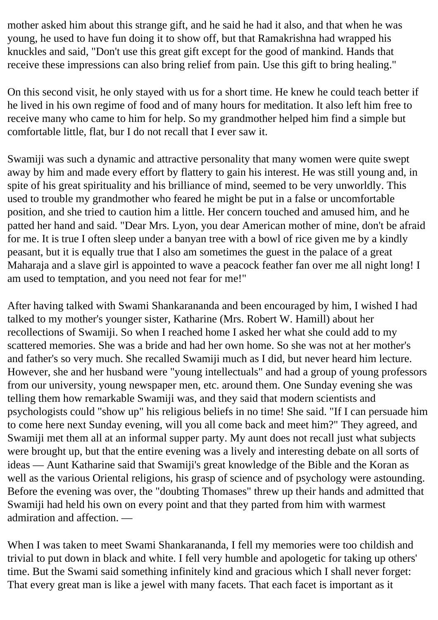mother asked him about this strange gift, and he said he had it also, and that when he was young, he used to have fun doing it to show off, but that Ramakrishna had wrapped his knuckles and said, "Don't use this great gift except for the good of mankind. Hands that receive these impressions can also bring relief from pain. Use this gift to bring healing."

On this second visit, he only stayed with us for a short time. He knew he could teach better if he lived in his own regime of food and of many hours for meditation. It also left him free to receive many who came to him for help. So my grandmother helped him find a simple but comfortable little, flat, bur I do not recall that I ever saw it.

Swamiji was such a dynamic and attractive personality that many women were quite swept away by him and made every effort by flattery to gain his interest. He was still young and, in spite of his great spirituality and his brilliance of mind, seemed to be very unworldly. This used to trouble my grandmother who feared he might be put in a false or uncomfortable position, and she tried to caution him a little. Her concern touched and amused him, and he patted her hand and said. "Dear Mrs. Lyon, you dear American mother of mine, don't be afraid for me. It is true I often sleep under a banyan tree with a bowl of rice given me by a kindly peasant, but it is equally true that I also am sometimes the guest in the palace of a great Maharaja and a slave girl is appointed to wave a peacock feather fan over me all night long! I am used to temptation, and you need not fear for me!"

After having talked with Swami Shankarananda and been encouraged by him, I wished I had talked to my mother's younger sister, Katharine (Mrs. Robert W. Hamill) about her recollections of Swamiji. So when I reached home I asked her what she could add to my scattered memories. She was a bride and had her own home. So she was not at her mother's and father's so very much. She recalled Swamiji much as I did, but never heard him lecture. However, she and her husband were "young intellectuals" and had a group of young professors from our university, young newspaper men, etc. around them. One Sunday evening she was telling them how remarkable Swamiji was, and they said that modern scientists and psychologists could "show up" his religious beliefs in no time! She said. "If I can persuade him to come here next Sunday evening, will you all come back and meet him?" They agreed, and Swamiji met them all at an informal supper party. My aunt does not recall just what subjects were brought up, but that the entire evening was a lively and interesting debate on all sorts of ideas — Aunt Katharine said that Swamiji's great knowledge of the Bible and the Koran as well as the various Oriental religions, his grasp of science and of psychology were astounding. Before the evening was over, the "doubting Thomases" threw up their hands and admitted that Swamiji had held his own on every point and that they parted from him with warmest admiration and affection. —

When I was taken to meet Swami Shankarananda, I fell my memories were too childish and trivial to put down in black and white. I fell very humble and apologetic for taking up others' time. But the Swami said something infinitely kind and gracious which I shall never forget: That every great man is like a jewel with many facets. That each facet is important as it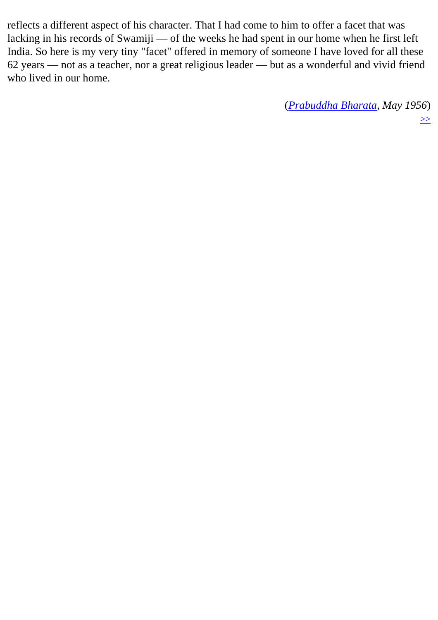reflects a different aspect of his character. That I had come to him to offer a facet that was lacking in his records of Swamiji — of the weeks he had spent in our home when he first left India. So here is my very tiny "facet" offered in memory of someone I have loved for all these 62 years — not as a teacher, nor a great religious leader — but as a wonderful and vivid friend who lived in our home.

> (*[Prabuddha Bharata](http://www.advaitaashrama.org/prabuddha_bharata.html), May 1956*)  $\geq$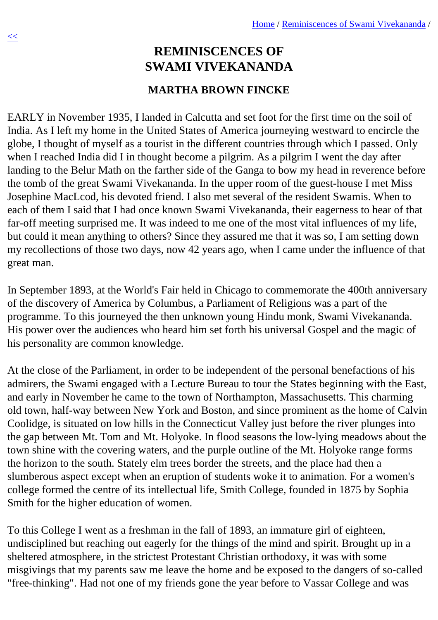### **MARTHA BROWN FINCKE**

<span id="page-94-0"></span>EARLY in November 1935, I landed in Calcutta and set foot for the first time on the soil of India. As I left my home in the United States of America journeying westward to encircle the globe, I thought of myself as a tourist in the different countries through which I passed. Only when I reached India did I in thought become a pilgrim. As a pilgrim I went the day after landing to the Belur Math on the farther side of the Ganga to bow my head in reverence before the tomb of the great Swami Vivekananda. In the upper room of the guest-house I met Miss Josephine MacLcod, his devoted friend. I also met several of the resident Swamis. When to each of them I said that I had once known Swami Vivekananda, their eagerness to hear of that far-off meeting surprised me. It was indeed to me one of the most vital influences of my life, but could it mean anything to others? Since they assured me that it was so, I am setting down my recollections of those two days, now 42 years ago, when I came under the influence of that great man.

In September 1893, at the World's Fair held in Chicago to commemorate the 400th anniversary of the discovery of America by Columbus, a Parliament of Religions was a part of the programme. To this journeyed the then unknown young Hindu monk, Swami Vivekananda. His power over the audiences who heard him set forth his universal Gospel and the magic of his personality are common knowledge.

At the close of the Parliament, in order to be independent of the personal benefactions of his admirers, the Swami engaged with a Lecture Bureau to tour the States beginning with the East, and early in November he came to the town of Northampton, Massachusetts. This charming old town, half-way between New York and Boston, and since prominent as the home of Calvin Coolidge, is situated on low hills in the Connecticut Valley just before the river plunges into the gap between Mt. Tom and Mt. Holyoke. In flood seasons the low-lying meadows about the town shine with the covering waters, and the purple outline of the Mt. Holyoke range forms the horizon to the south. Stately elm trees border the streets, and the place had then a slumberous aspect except when an eruption of students woke it to animation. For a women's college formed the centre of its intellectual life, Smith College, founded in 1875 by Sophia Smith for the higher education of women.

To this College I went as a freshman in the fall of 1893, an immature girl of eighteen, undisciplined but reaching out eagerly for the things of the mind and spirit. Brought up in a sheltered atmosphere, in the strictest Protestant Christian orthodoxy, it was with some misgivings that my parents saw me leave the home and be exposed to the dangers of so-called "free-thinking". Had not one of my friends gone the year before to Vassar College and was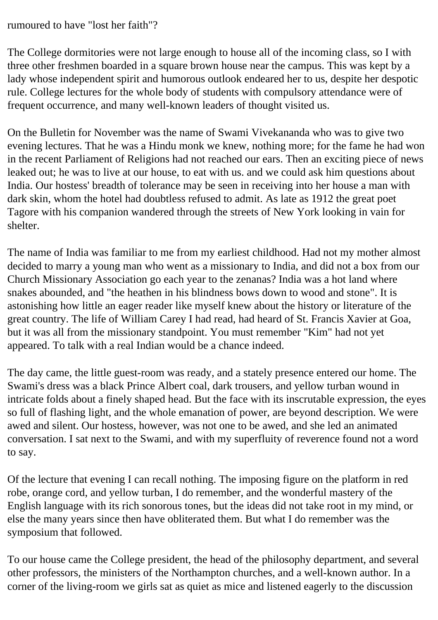rumoured to have "lost her faith"?

The College dormitories were not large enough to house all of the incoming class, so I with three other freshmen boarded in a square brown house near the campus. This was kept by a lady whose independent spirit and humorous outlook endeared her to us, despite her despotic rule. College lectures for the whole body of students with compulsory attendance were of frequent occurrence, and many well-known leaders of thought visited us.

On the Bulletin for November was the name of Swami Vivekananda who was to give two evening lectures. That he was a Hindu monk we knew, nothing more; for the fame he had won in the recent Parliament of Religions had not reached our ears. Then an exciting piece of news leaked out; he was to live at our house, to eat with us. and we could ask him questions about India. Our hostess' breadth of tolerance may be seen in receiving into her house a man with dark skin, whom the hotel had doubtless refused to admit. As late as 1912 the great poet Tagore with his companion wandered through the streets of New York looking in vain for shelter.

The name of India was familiar to me from my earliest childhood. Had not my mother almost decided to marry a young man who went as a missionary to India, and did not a box from our Church Missionary Association go each year to the zenanas? India was a hot land where snakes abounded, and "the heathen in his blindness bows down to wood and stone". It is astonishing how little an eager reader like myself knew about the history or literature of the great country. The life of William Carey I had read, had heard of St. Francis Xavier at Goa, but it was all from the missionary standpoint. You must remember "Kim" had not yet appeared. To talk with a real Indian would be a chance indeed.

The day came, the little guest-room was ready, and a stately presence entered our home. The Swami's dress was a black Prince Albert coal, dark trousers, and yellow turban wound in intricate folds about a finely shaped head. But the face with its inscrutable expression, the eyes so full of flashing light, and the whole emanation of power, are beyond description. We were awed and silent. Our hostess, however, was not one to be awed, and she led an animated conversation. I sat next to the Swami, and with my superfluity of reverence found not a word to say.

Of the lecture that evening I can recall nothing. The imposing figure on the platform in red robe, orange cord, and yellow turban, I do remember, and the wonderful mastery of the English language with its rich sonorous tones, but the ideas did not take root in my mind, or else the many years since then have obliterated them. But what I do remember was the symposium that followed.

To our house came the College president, the head of the philosophy department, and several other professors, the ministers of the Northampton churches, and a well-known author. In a corner of the living-room we girls sat as quiet as mice and listened eagerly to the discussion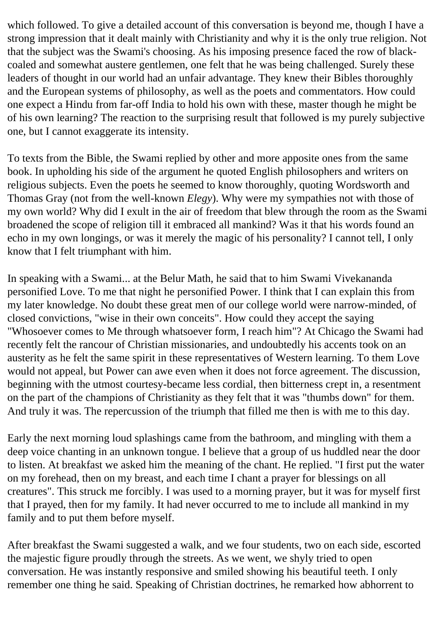which followed. To give a detailed account of this conversation is beyond me, though I have a strong impression that it dealt mainly with Christianity and why it is the only true religion. Not that the subject was the Swami's choosing. As his imposing presence faced the row of blackcoaled and somewhat austere gentlemen, one felt that he was being challenged. Surely these leaders of thought in our world had an unfair advantage. They knew their Bibles thoroughly and the European systems of philosophy, as well as the poets and commentators. How could one expect a Hindu from far-off India to hold his own with these, master though he might be of his own learning? The reaction to the surprising result that followed is my purely subjective one, but I cannot exaggerate its intensity.

To texts from the Bible, the Swami replied by other and more apposite ones from the same book. In upholding his side of the argument he quoted English philosophers and writers on religious subjects. Even the poets he seemed to know thoroughly, quoting Wordsworth and Thomas Gray (not from the well-known *Elegy*). Why were my sympathies not with those of my own world? Why did I exult in the air of freedom that blew through the room as the Swami broadened the scope of religion till it embraced all mankind? Was it that his words found an echo in my own longings, or was it merely the magic of his personality? I cannot tell, I only know that I felt triumphant with him.

In speaking with a Swami... at the Belur Math, he said that to him Swami Vivekananda personified Love. To me that night he personified Power. I think that I can explain this from my later knowledge. No doubt these great men of our college world were narrow-minded, of closed convictions, "wise in their own conceits". How could they accept the saying "Whosoever comes to Me through whatsoever form, I reach him"? At Chicago the Swami had recently felt the rancour of Christian missionaries, and undoubtedly his accents took on an austerity as he felt the same spirit in these representatives of Western learning. To them Love would not appeal, but Power can awe even when it does not force agreement. The discussion, beginning with the utmost courtesy-became less cordial, then bitterness crept in, a resentment on the part of the champions of Christianity as they felt that it was "thumbs down" for them. And truly it was. The repercussion of the triumph that filled me then is with me to this day.

Early the next morning loud splashings came from the bathroom, and mingling with them a deep voice chanting in an unknown tongue. I believe that a group of us huddled near the door to listen. At breakfast we asked him the meaning of the chant. He replied. "I first put the water on my forehead, then on my breast, and each time I chant a prayer for blessings on all creatures". This struck me forcibly. I was used to a morning prayer, but it was for myself first that I prayed, then for my family. It had never occurred to me to include all mankind in my family and to put them before myself.

After breakfast the Swami suggested a walk, and we four students, two on each side, escorted the majestic figure proudly through the streets. As we went, we shyly tried to open conversation. He was instantly responsive and smiled showing his beautiful teeth. I only remember one thing he said. Speaking of Christian doctrines, he remarked how abhorrent to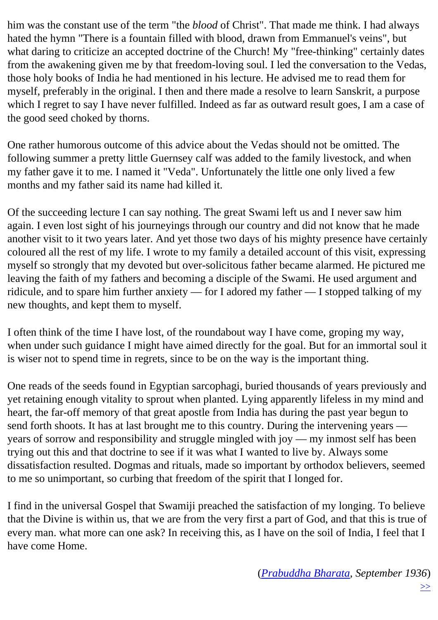him was the constant use of the term "the *blood* of Christ". That made me think. I had always hated the hymn "There is a fountain filled with blood, drawn from Emmanuel's veins", but what daring to criticize an accepted doctrine of the Church! My "free-thinking" certainly dates from the awakening given me by that freedom-loving soul. I led the conversation to the Vedas, those holy books of India he had mentioned in his lecture. He advised me to read them for myself, preferably in the original. I then and there made a resolve to learn Sanskrit, a purpose which I regret to say I have never fulfilled. Indeed as far as outward result goes, I am a case of the good seed choked by thorns.

One rather humorous outcome of this advice about the Vedas should not be omitted. The following summer a pretty little Guernsey calf was added to the family livestock, and when my father gave it to me. I named it "Veda". Unfortunately the little one only lived a few months and my father said its name had killed it.

Of the succeeding lecture I can say nothing. The great Swami left us and I never saw him again. I even lost sight of his journeyings through our country and did not know that he made another visit to it two years later. And yet those two days of his mighty presence have certainly coloured all the rest of my life. I wrote to my family a detailed account of this visit, expressing myself so strongly that my devoted but over-solicitous father became alarmed. He pictured me leaving the faith of my fathers and becoming a disciple of the Swami. He used argument and ridicule, and to spare him further anxiety — for I adored my father — I stopped talking of my new thoughts, and kept them to myself.

I often think of the time I have lost, of the roundabout way I have come, groping my way, when under such guidance I might have aimed directly for the goal. But for an immortal soul it is wiser not to spend time in regrets, since to be on the way is the important thing.

One reads of the seeds found in Egyptian sarcophagi, buried thousands of years previously and yet retaining enough vitality to sprout when planted. Lying apparently lifeless in my mind and heart, the far-off memory of that great apostle from India has during the past year begun to send forth shoots. It has at last brought me to this country. During the intervening years – years of sorrow and responsibility and struggle mingled with joy — my inmost self has been trying out this and that doctrine to see if it was what I wanted to live by. Always some dissatisfaction resulted. Dogmas and rituals, made so important by orthodox believers, seemed to me so unimportant, so curbing that freedom of the spirit that I longed for.

I find in the universal Gospel that Swamiji preached the satisfaction of my longing. To believe that the Divine is within us, that we are from the very first a part of God, and that this is true of every man. what more can one ask? In receiving this, as I have on the soil of India, I feel that I have come Home.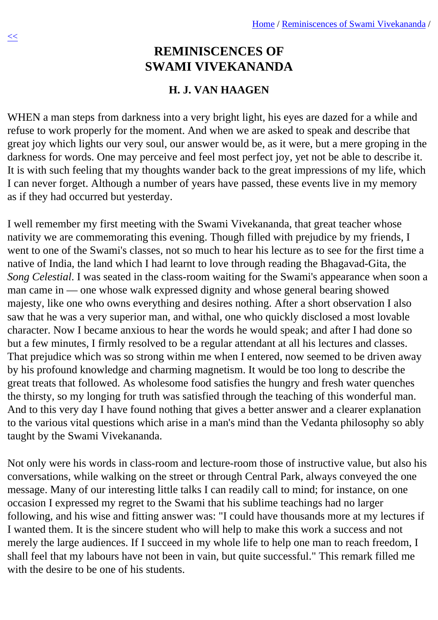#### **H. J. VAN HAAGEN**

<span id="page-99-0"></span>WHEN a man steps from darkness into a very bright light, his eyes are dazed for a while and refuse to work properly for the moment. And when we are asked to speak and describe that great joy which lights our very soul, our answer would be, as it were, but a mere groping in the darkness for words. One may perceive and feel most perfect joy, yet not be able to describe it. It is with such feeling that my thoughts wander back to the great impressions of my life, which I can never forget. Although a number of years have passed, these events live in my memory as if they had occurred but yesterday.

I well remember my first meeting with the Swami Vivekananda, that great teacher whose nativity we are commemorating this evening. Though filled with prejudice by my friends, I went to one of the Swami's classes, not so much to hear his lecture as to see for the first time a native of India, the land which I had learnt to love through reading the Bhagavad-Gita, the *Song Celestial*. I was seated in the class-room waiting for the Swami's appearance when soon a man came in — one whose walk expressed dignity and whose general bearing showed majesty, like one who owns everything and desires nothing. After a short observation I also saw that he was a very superior man, and withal, one who quickly disclosed a most lovable character. Now I became anxious to hear the words he would speak; and after I had done so but a few minutes, I firmly resolved to be a regular attendant at all his lectures and classes. That prejudice which was so strong within me when I entered, now seemed to be driven away by his profound knowledge and charming magnetism. It would be too long to describe the great treats that followed. As wholesome food satisfies the hungry and fresh water quenches the thirsty, so my longing for truth was satisfied through the teaching of this wonderful man. And to this very day I have found nothing that gives a better answer and a clearer explanation to the various vital questions which arise in a man's mind than the Vedanta philosophy so ably taught by the Swami Vivekananda.

Not only were his words in class-room and lecture-room those of instructive value, but also his conversations, while walking on the street or through Central Park, always conveyed the one message. Many of our interesting little talks I can readily call to mind; for instance, on one occasion I expressed my regret to the Swami that his sublime teachings had no larger following, and his wise and fitting answer was: "I could have thousands more at my lectures if I wanted them. It is the sincere student who will help to make this work a success and not merely the large audiences. If I succeed in my whole life to help one man to reach freedom, I shall feel that my labours have not been in vain, but quite successful." This remark filled me with the desire to be one of his students.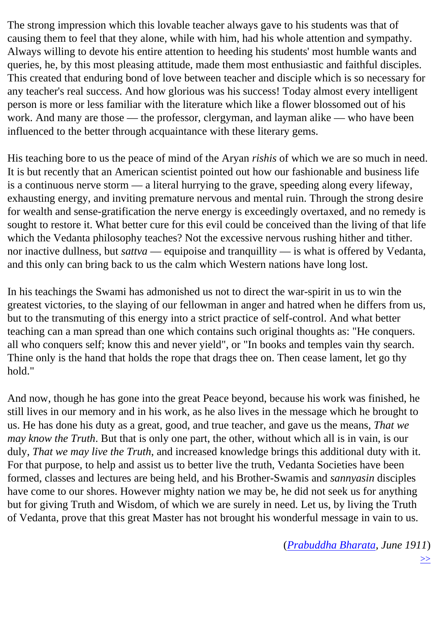The strong impression which this lovable teacher always gave to his students was that of causing them to feel that they alone, while with him, had his whole attention and sympathy. Always willing to devote his entire attention to heeding his students' most humble wants and queries, he, by this most pleasing attitude, made them most enthusiastic and faithful disciples. This created that enduring bond of love between teacher and disciple which is so necessary for any teacher's real success. And how glorious was his success! Today almost every intelligent person is more or less familiar with the literature which like a flower blossomed out of his work. And many are those — the professor, clergyman, and layman alike — who have been influenced to the better through acquaintance with these literary gems.

His teaching bore to us the peace of mind of the Aryan *rishis* of which we are so much in need. It is but recently that an American scientist pointed out how our fashionable and business life is a continuous nerve storm — a literal hurrying to the grave, speeding along every lifeway, exhausting energy, and inviting premature nervous and mental ruin. Through the strong desire for wealth and sense-gratification the nerve energy is exceedingly overtaxed, and no remedy is sought to restore it. What better cure for this evil could be conceived than the living of that life which the Vedanta philosophy teaches? Not the excessive nervous rushing hither and tither. nor inactive dullness, but *sattva* — equipoise and tranquillity — is what is offered by Vedanta, and this only can bring back to us the calm which Western nations have long lost.

In his teachings the Swami has admonished us not to direct the war-spirit in us to win the greatest victories, to the slaying of our fellowman in anger and hatred when he differs from us, but to the transmuting of this energy into a strict practice of self-control. And what better teaching can a man spread than one which contains such original thoughts as: "He conquers. all who conquers self; know this and never yield", or "In books and temples vain thy search. Thine only is the hand that holds the rope that drags thee on. Then cease lament, let go thy hold."

And now, though he has gone into the great Peace beyond, because his work was finished, he still lives in our memory and in his work, as he also lives in the message which he brought to us. He has done his duty as a great, good, and true teacher, and gave us the means, *That we may know the Truth*. But that is only one part, the other, without which all is in vain, is our duly, *That we may live the Truth*, and increased knowledge brings this additional duty with it. For that purpose, to help and assist us to better live the truth, Vedanta Societies have been formed, classes and lectures are being held, and his Brother-Swamis and *sannyasin* disciples have come to our shores. However mighty nation we may be, he did not seek us for anything but for giving Truth and Wisdom, of which we are surely in need. Let us, by living the Truth of Vedanta, prove that this great Master has not brought his wonderful message in vain to us.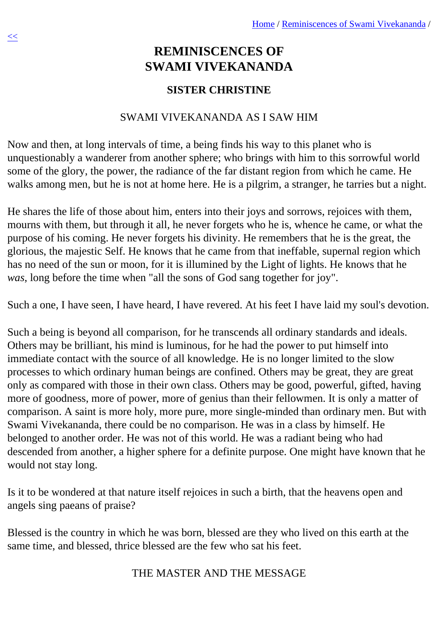#### **SISTER CHRISTINE**

### SWAMI VIVEKANANDA AS I SAW HIM

<span id="page-101-0"></span>Now and then, at long intervals of time, a being finds his way to this planet who is unquestionably a wanderer from another sphere; who brings with him to this sorrowful world some of the glory, the power, the radiance of the far distant region from which he came. He walks among men, but he is not at home here. He is a pilgrim, a stranger, he tarries but a night.

He shares the life of those about him, enters into their joys and sorrows, rejoices with them, mourns with them, but through it all, he never forgets who he is, whence he came, or what the purpose of his coming. He never forgets his divinity. He remembers that he is the great, the glorious, the majestic Self. He knows that he came from that ineffable, supernal region which has no need of the sun or moon, for it is illumined by the Light of lights. He knows that he *was*, long before the time when "all the sons of God sang together for joy".

Such a one, I have seen, I have heard, I have revered. At his feet I have laid my soul's devotion.

Such a being is beyond all comparison, for he transcends all ordinary standards and ideals. Others may be brilliant, his mind is luminous, for he had the power to put himself into immediate contact with the source of all knowledge. He is no longer limited to the slow processes to which ordinary human beings are confined. Others may be great, they are great only as compared with those in their own class. Others may be good, powerful, gifted, having more of goodness, more of power, more of genius than their fellowmen. It is only a matter of comparison. A saint is more holy, more pure, more single-minded than ordinary men. But with Swami Vivekananda, there could be no comparison. He was in a class by himself. He belonged to another order. He was not of this world. He was a radiant being who had descended from another, a higher sphere for a definite purpose. One might have known that he would not stay long.

Is it to be wondered at that nature itself rejoices in such a birth, that the heavens open and angels sing paeans of praise?

Blessed is the country in which he was born, blessed are they who lived on this earth at the same time, and blessed, thrice blessed are the few who sat his feet.

#### THE MASTER AND THE MESSAGE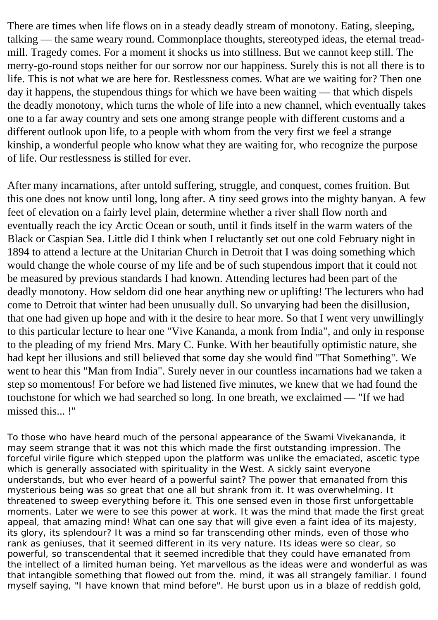There are times when life flows on in a steady deadly stream of monotony. Eating, sleeping, talking — the same weary round. Commonplace thoughts, stereotyped ideas, the eternal treadmill. Tragedy comes. For a moment it shocks us into stillness. But we cannot keep still. The merry-go-round stops neither for our sorrow nor our happiness. Surely this is not all there is to life. This is not what we are here for. Restlessness comes. What are we waiting for? Then one day it happens, the stupendous things for which we have been waiting — that which dispels the deadly monotony, which turns the whole of life into a new channel, which eventually takes one to a far away country and sets one among strange people with different customs and a different outlook upon life, to a people with whom from the very first we feel a strange kinship, a wonderful people who know what they are waiting for, who recognize the purpose of life. Our restlessness is stilled for ever.

After many incarnations, after untold suffering, struggle, and conquest, comes fruition. But this one does not know until long, long after. A tiny seed grows into the mighty banyan. A few feet of elevation on a fairly level plain, determine whether a river shall flow north and eventually reach the icy Arctic Ocean or south, until it finds itself in the warm waters of the Black or Caspian Sea. Little did I think when I reluctantly set out one cold February night in 1894 to attend a lecture at the Unitarian Church in Detroit that I was doing something which would change the whole course of my life and be of such stupendous import that it could not be measured by previous standards I had known. Attending lectures had been part of the deadly monotony. How seldom did one hear anything new or uplifting! The lecturers who had come to Detroit that winter had been unusually dull. So unvarying had been the disillusion, that one had given up hope and with it the desire to hear more. So that I went very unwillingly to this particular lecture to hear one "Vive Kananda, a monk from India", and only in response to the pleading of my friend Mrs. Mary C. Funke. With her beautifully optimistic nature, she had kept her illusions and still believed that some day she would find "That Something". We went to hear this "Man from India". Surely never in our countless incarnations had we taken a step so momentous! For before we had listened five minutes, we knew that we had found the touchstone for which we had searched so long. In one breath, we exclaimed — "If we had missed this... !"

To those who have heard much of the personal appearance of the Swami Vivekananda, it may seem strange that it was not this which made the first outstanding impression. The forceful virile figure which stepped upon the platform was unlike the emaciated, ascetic type which is generally associated with spirituality in the West. A sickly saint everyone understands, but who ever heard of a powerful saint? The power that emanated from this mysterious being was so great that one all but shrank from it. It was overwhelming. It threatened to sweep everything before it. This one sensed even in those first unforgettable moments. Later we were to see this power at work. It was the mind that made the first great appeal, that amazing mind! What can one say that will give even a faint idea of its majesty, its glory, its splendour? It was a mind so far transcending other minds, even of those who rank as geniuses, that it seemed different in its very nature. Its ideas were so clear, so powerful, so transcendental that it seemed incredible that they could have emanated from the intellect of a limited human being. Yet marvellous as the ideas were and wonderful as was that intangible something that flowed out from the. mind, it was all strangely familiar. I found myself saying, "*I have known that mind before*". He burst upon us in a blaze of reddish gold,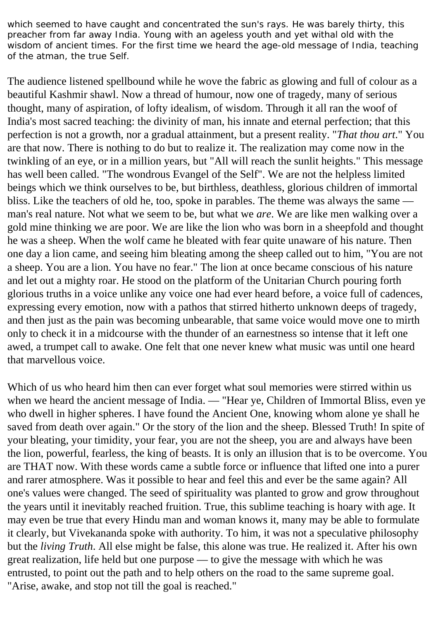which seemed to have caught and concentrated the sun's rays. He was barely thirty, this preacher from far away India. Young with an ageless youth and yet withal old with the wisdom of ancient times. For the first time we heard the age-old message of India, teaching of the *atman*, the true Self.

The audience listened spellbound while he wove the fabric as glowing and full of colour as a beautiful Kashmir shawl. Now a thread of humour, now one of tragedy, many of serious thought, many of aspiration, of lofty idealism, of wisdom. Through it all ran the woof of India's most sacred teaching: the divinity of man, his innate and eternal perfection; that this perfection is not a growth, nor a gradual attainment, but a present reality. "*That thou art*." You are that now. There is nothing to do but to realize it. The realization may come now in the twinkling of an eye, or in a million years, but "All will reach the sunlit heights." This message has well been called. "The wondrous Evangel of the Self". We are not the helpless limited beings which we think ourselves to be, but birthless, deathless, glorious children of immortal bliss. Like the teachers of old he, too, spoke in parables. The theme was always the same man's real nature. Not what we seem to be, but what we *are*. We are like men walking over a gold mine thinking we are poor. We are like the lion who was born in a sheepfold and thought he was a sheep. When the wolf came he bleated with fear quite unaware of his nature. Then one day a lion came, and seeing him bleating among the sheep called out to him, "You are not a sheep. You are a lion. You have no fear." The lion at once became conscious of his nature and let out a mighty roar. He stood on the platform of the Unitarian Church pouring forth glorious truths in a voice unlike any voice one had ever heard before, a voice full of cadences, expressing every emotion, now with a pathos that stirred hitherto unknown deeps of tragedy, and then just as the pain was becoming unbearable, that same voice would move one to mirth only to check it in a midcourse with the thunder of an earnestness so intense that it left one awed, a trumpet call to awake. One felt that one never knew what music was until one heard that marvellous voice.

Which of us who heard him then can ever forget what soul memories were stirred within us when we heard the ancient message of India. — "Hear ye, Children of Immortal Bliss, even ye who dwell in higher spheres. I have found the Ancient One, knowing whom alone ye shall he saved from death over again." Or the story of the lion and the sheep. Blessed Truth! In spite of your bleating, your timidity, your fear, you are not the sheep, you are and always have been the lion, powerful, fearless, the king of beasts. It is only an illusion that is to be overcome. You are THAT now. With these words came a subtle force or influence that lifted one into a purer and rarer atmosphere. Was it possible to hear and feel this and ever be the same again? All one's values were changed. The seed of spirituality was planted to grow and grow throughout the years until it inevitably reached fruition. True, this sublime teaching is hoary with age. It may even be true that every Hindu man and woman knows it, many may be able to formulate it clearly, but Vivekananda spoke with authority. To him, it was not a speculative philosophy but the *living Truth*. All else might be false, this alone was true. He realized it. After his own great realization, life held but one purpose — to give the message with which he was entrusted, to point out the path and to help others on the road to the same supreme goal. "Arise, awake, and stop not till the goal is reached."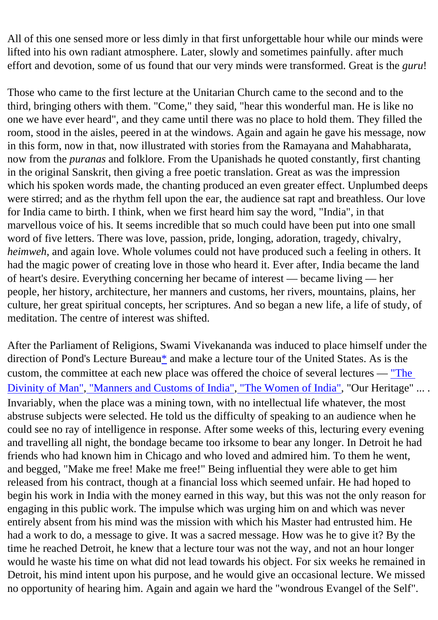All of this one sensed more or less dimly in that first unforgettable hour while our minds were lifted into his own radiant atmosphere. Later, slowly and sometimes painfully. after much effort and devotion, some of us found that our very minds were transformed. Great is the *guru*!

Those who came to the first lecture at the Unitarian Church came to the second and to the third, bringing others with them. "Come," they said, "hear this wonderful man. He is like no one we have ever heard", and they came until there was no place to hold them. They filled the room, stood in the aisles, peered in at the windows. Again and again he gave his message, now in this form, now in that, now illustrated with stories from the Ramayana and Mahabharata, now from the *puranas* and folklore. From the Upanishads he quoted constantly, first chanting in the original Sanskrit, then giving a free poetic translation. Great as was the impression which his spoken words made, the chanting produced an even greater effect. Unplumbed deeps were stirred; and as the rhythm fell upon the ear, the audience sat rapt and breathless. Our love for India came to birth. I think, when we first heard him say the word, "India", in that marvellous voice of his. It seems incredible that so much could have been put into one small word of five letters. There was love, passion, pride, longing, adoration, tragedy, chivalry, *heimweh*, and again love. Whole volumes could not have produced such a feeling in others. It had the magic power of creating love in those who heard it. Ever after, India became the land of heart's desire. Everything concerning her became of interest — became living — her people, her history, architecture, her manners and customs, her rivers, mountains, plains, her culture, her great spiritual concepts, her scriptures. And so began a new life, a life of study, of meditation. The centre of interest was shifted.

After the Parliament of Religions, Swami Vivekananda was induced to place himself under the direction of Pond's Lecture Burea[u\\*](#page-101-0) and make a lecture tour of the United States. As is the custom, the committee at each new place was offered the choice of several lectures — ["The](http://www.ramakrishnavivekananda.info/vivekananda/volume_3/reports_in_american_newspapers/the_divinity_of_man.htm) [Divinity of Man",](http://www.ramakrishnavivekananda.info/vivekananda/volume_3/reports_in_american_newspapers/the_divinity_of_man.htm) ["Manners and Customs of India"](http://www.ramakrishnavivekananda.info/vivekananda/volume_3/reports_in_american_newspapers/manners_and_customs_in_india.htm)[, "The Women of India"](http://www.ramakrishnavivekananda.info/vivekananda/volume_3/reports_in_american_newspapers/the_women_of_india.htm), "Our Heritage" ... . Invariably, when the place was a mining town, with no intellectual life whatever, the most abstruse subjects were selected. He told us the difficulty of speaking to an audience when he could see no ray of intelligence in response. After some weeks of this, lecturing every evening and travelling all night, the bondage became too irksome to bear any longer. In Detroit he had friends who had known him in Chicago and who loved and admired him. To them he went, and begged, "Make me free! Make me free!" Being influential they were able to get him released from his contract, though at a financial loss which seemed unfair. He had hoped to begin his work in India with the money earned in this way, but this was not the only reason for engaging in this public work. The impulse which was urging him on and which was never entirely absent from his mind was the mission with which his Master had entrusted him. He had a work to do, a message to give. It was a sacred message. How was he to give it? By the time he reached Detroit, he knew that a lecture tour was not the way, and not an hour longer would he waste his time on what did not lead towards his object. For six weeks he remained in Detroit, his mind intent upon his purpose, and he would give an occasional lecture. We missed no opportunity of hearing him. Again and again we hard the "wondrous Evangel of the Self".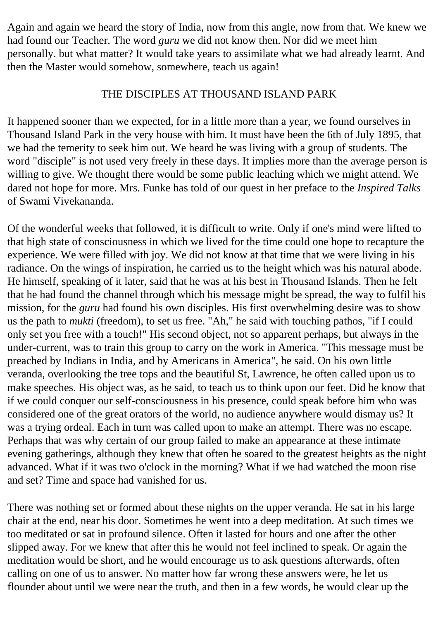Again and again we heard the story of India, now from this angle, now from that. We knew we had found our Teacher. The word *guru* we did not know then. Nor did we meet him personally. but what matter? It would take years to assimilate what we had already learnt. And then the Master would somehow, somewhere, teach us again!

### THE DISCIPLES AT THOUSAND ISLAND PARK

It happened sooner than we expected, for in a little more than a year, we found ourselves in Thousand Island Park in the very house with him. It must have been the 6th of July 1895, that we had the temerity to seek him out. We heard he was living with a group of students. The word "disciple" is not used very freely in these days. It implies more than the average person is willing to give. We thought there would be some public leaching which we might attend. We dared not hope for more. Mrs. Funke has told of our quest in her preface to the *Inspired Talks* of Swami Vivekananda.

Of the wonderful weeks that followed, it is difficult to write. Only if one's mind were lifted to that high state of consciousness in which we lived for the time could one hope to recapture the experience. We were filled with joy. We did not know at that time that we were living in his radiance. On the wings of inspiration, he carried us to the height which was his natural abode. He himself, speaking of it later, said that he was at his best in Thousand Islands. Then he felt that he had found the channel through which his message might be spread, the way to fulfil his mission, for the *guru* had found his own disciples. His first overwhelming desire was to show us the path to *mukti* (freedom), to set us free. "Ah," he said with touching pathos, "if I could only set you free with a touch!" His second object, not so apparent perhaps, but always in the under-current, was to train this group to carry on the work in America. "This message must be preached by Indians in India, and by Americans in America", he said. On his own little veranda, overlooking the tree tops and the beautiful St, Lawrence, he often called upon us to make speeches. His object was, as he said, to teach us to think upon our feet. Did he know that if we could conquer our self-consciousness in his presence, could speak before him who was considered one of the great orators of the world, no audience anywhere would dismay us? It was a trying ordeal. Each in turn was called upon to make an attempt. There was no escape. Perhaps that was why certain of our group failed to make an appearance at these intimate evening gatherings, although they knew that often he soared to the greatest heights as the night advanced. What if it was two o'clock in the morning? What if we had watched the moon rise and set? Time and space had vanished for us.

There was nothing set or formed about these nights on the upper veranda. He sat in his large chair at the end, near his door. Sometimes he went into a deep meditation. At such times we too meditated or sat in profound silence. Often it lasted for hours and one after the other slipped away. For we knew that after this he would not feel inclined to speak. Or again the meditation would be short, and he would encourage us to ask questions afterwards, often calling on one of us to answer. No matter how far wrong these answers were, he let us flounder about until we were near the truth, and then in a few words, he would clear up the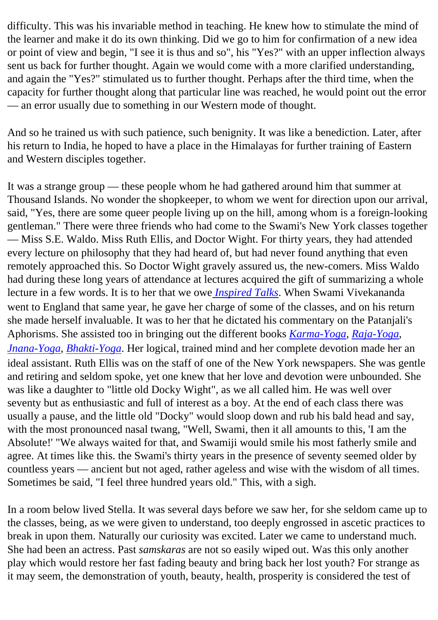difficulty. This was his invariable method in teaching. He knew how to stimulate the mind of the learner and make it do its own thinking. Did we go to him for confirmation of a new idea or point of view and begin, "I see it is thus and so", his "Yes?" with an upper inflection always sent us back for further thought. Again we would come with a more clarified understanding, and again the "Yes?" stimulated us to further thought. Perhaps after the third time, when the capacity for further thought along that particular line was reached, he would point out the error — an error usually due to something in our Western mode of thought.

And so he trained us with such patience, such benignity. It was like a benediction. Later, after his return to India, he hoped to have a place in the Himalayas for further training of Eastern and Western disciples together.

It was a strange group — these people whom he had gathered around him that summer at Thousand Islands. No wonder the shopkeeper, to whom we went for direction upon our arrival, said, "Yes, there are some queer people living up on the hill, among whom is a foreign-looking gentleman." There were three friends who had come to the Swami's New York classes together — Miss S.E. Waldo. Miss Ruth Ellis, and Doctor Wight. For thirty years, they had attended every lecture on philosophy that they had heard of, but had never found anything that even remotely approached this. So Doctor Wight gravely assured us, the new-comers. Miss Waldo had during these long years of attendance at lectures acquired the gift of summarizing a whole lecture in a few words. It is to her that we owe *[Inspired Talks](http://www.ramakrishnavivekananda.info/vivekananda/volume_7/vol_7_frame.htm)*. When Swami Vivekananda went to England that same year, he gave her charge of some of the classes, and on his return she made herself invaluable. It was to her that he dictated his commentary on the Patanjali's Aphorisms. She assisted too in bringing out the different books *[Karma-Yoga](http://www.ramakrishnavivekananda.info/vivekananda/volume_1/karma-yoga/effect_on_character_frame.htm)*, *[Raja-Yoga](http://www.ramakrishnavivekananda.info/vivekananda/volume_1/raja-yoga/preface_frame.htm)*, *[Jnana-Yoga](http://www.ramakrishnavivekananda.info/vivekananda/volume_2/jnana-yoga/the_necessity_of_religion_frame.htm)*, *[Bhakti-Yoga](http://www.ramakrishnavivekananda.info/vivekananda/volume_3/vol_3_frame.htm)*. Her logical, trained mind and her complete devotion made her an ideal assistant. Ruth Ellis was on the staff of one of the New York newspapers. She was gentle and retiring and seldom spoke, yet one knew that her love and devotion were unbounded. She was like a daughter to "little old Docky Wight", as we all called him. He was well over seventy but as enthusiastic and full of interest as a boy. At the end of each class there was usually a pause, and the little old "Docky" would sloop down and rub his bald head and say, with the most pronounced nasal twang, "Well, Swami, then it all amounts to this, 'I am the Absolute!' "We always waited for that, and Swamiji would smile his most fatherly smile and agree. At times like this. the Swami's thirty years in the presence of seventy seemed older by countless years — ancient but not aged, rather ageless and wise with the wisdom of all times. Sometimes be said, "I feel three hundred years old." This, with a sigh.

In a room below lived Stella. It was several days before we saw her, for she seldom came up to the classes, being, as we were given to understand, too deeply engrossed in ascetic practices to break in upon them. Naturally our curiosity was excited. Later we came to understand much. She had been an actress. Past *samskaras* are not so easily wiped out. Was this only another play which would restore her fast fading beauty and bring back her lost youth? For strange as it may seem, the demonstration of youth, beauty, health, prosperity is considered the test of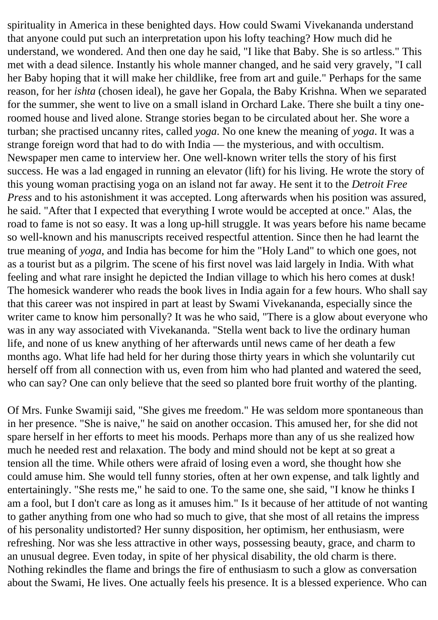spirituality in America in these benighted days. How could Swami Vivekananda understand that anyone could put such an interpretation upon his lofty teaching? How much did he understand, we wondered. And then one day he said, "I like that Baby. She is so artless." This met with a dead silence. Instantly his whole manner changed, and he said very gravely, "I call her Baby hoping that it will make her childlike, free from art and guile." Perhaps for the same reason, for her *ishta* (chosen ideal), he gave her Gopala, the Baby Krishna. When we separated for the summer, she went to live on a small island in Orchard Lake. There she built a tiny oneroomed house and lived alone. Strange stories began to be circulated about her. She wore a turban; she practised uncanny rites, called *yoga*. No one knew the meaning of *yoga*. It was a strange foreign word that had to do with India — the mysterious, and with occultism. Newspaper men came to interview her. One well-known writer tells the story of his first success. He was a lad engaged in running an elevator (lift) for his living. He wrote the story of this young woman practising yoga on an island not far away. He sent it to the *Detroit Free Press* and to his astonishment it was accepted. Long afterwards when his position was assured, he said. "After that I expected that everything I wrote would be accepted at once." Alas, the road to fame is not so easy. It was a long up-hill struggle. It was years before his name became so well-known and his manuscripts received respectful attention. Since then he had learnt the true meaning of *yoga*, and India has become for him the "Holy Land" to which one goes, not as a tourist but as a pilgrim. The scene of his first novel was laid largely in India. With what feeling and what rare insight he depicted the Indian village to which his hero comes at dusk! The homesick wanderer who reads the book lives in India again for a few hours. Who shall say that this career was not inspired in part at least by Swami Vivekananda, especially since the writer came to know him personally? It was he who said, "There is a glow about everyone who was in any way associated with Vivekananda. "Stella went back to live the ordinary human life, and none of us knew anything of her afterwards until news came of her death a few months ago. What life had held for her during those thirty years in which she voluntarily cut herself off from all connection with us, even from him who had planted and watered the seed, who can say? One can only believe that the seed so planted bore fruit worthy of the planting.

Of Mrs. Funke Swamiji said, "She gives me freedom." He was seldom more spontaneous than in her presence. "She is naive," he said on another occasion. This amused her, for she did not spare herself in her efforts to meet his moods. Perhaps more than any of us she realized how much he needed rest and relaxation. The body and mind should not be kept at so great a tension all the time. While others were afraid of losing even a word, she thought how she could amuse him. She would tell funny stories, often at her own expense, and talk lightly and entertainingly. "She rests me," he said to one. To the same one, she said, "I know he thinks I am a fool, but I don't care as long as it amuses him." Is it because of her attitude of not wanting to gather anything from one who had so much to give, that she most of all retains the impress of his personality undistorted? Her sunny disposition, her optimism, her enthusiasm, were refreshing. Nor was she less attractive in other ways, possessing beauty, grace, and charm to an unusual degree. Even today, in spite of her physical disability, the old charm is there. Nothing rekindles the flame and brings the fire of enthusiasm to such a glow as conversation about the Swami, He lives. One actually feels his presence. It is a blessed experience. Who can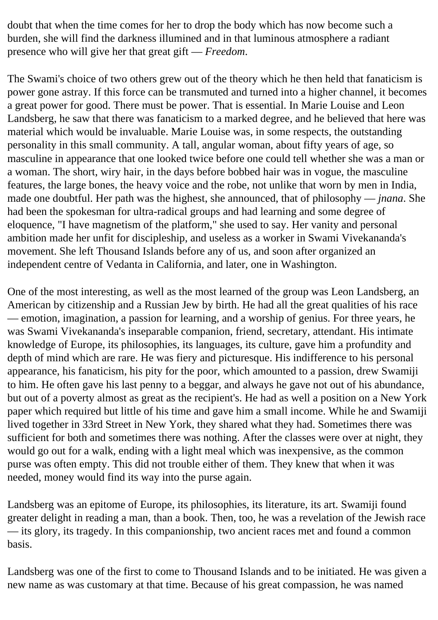doubt that when the time comes for her to drop the body which has now become such a burden, she will find the darkness illumined and in that luminous atmosphere a radiant presence who will give her that great gift — *Freedom*.

The Swami's choice of two others grew out of the theory which he then held that fanaticism is power gone astray. If this force can be transmuted and turned into a higher channel, it becomes a great power for good. There must be power. That is essential. In Marie Louise and Leon Landsberg, he saw that there was fanaticism to a marked degree, and he believed that here was material which would be invaluable. Marie Louise was, in some respects, the outstanding personality in this small community. A tall, angular woman, about fifty years of age, so masculine in appearance that one looked twice before one could tell whether she was a man or a woman. The short, wiry hair, in the days before bobbed hair was in vogue, the masculine features, the large bones, the heavy voice and the robe, not unlike that worn by men in India, made one doubtful. Her path was the highest, she announced, that of philosophy — *jnana*. She had been the spokesman for ultra-radical groups and had learning and some degree of eloquence, "I have magnetism of the platform," she used to say. Her vanity and personal ambition made her unfit for discipleship, and useless as a worker in Swami Vivekananda's movement. She left Thousand Islands before any of us, and soon after organized an independent centre of Vedanta in California, and later, one in Washington.

One of the most interesting, as well as the most learned of the group was Leon Landsberg, an American by citizenship and a Russian Jew by birth. He had all the great qualities of his race — emotion, imagination, a passion for learning, and a worship of genius. For three years, he was Swami Vivekananda's inseparable companion, friend, secretary, attendant. His intimate knowledge of Europe, its philosophies, its languages, its culture, gave him a profundity and depth of mind which are rare. He was fiery and picturesque. His indifference to his personal appearance, his fanaticism, his pity for the poor, which amounted to a passion, drew Swamiji to him. He often gave his last penny to a beggar, and always he gave not out of his abundance, but out of a poverty almost as great as the recipient's. He had as well a position on a New York paper which required but little of his time and gave him a small income. While he and Swamiji lived together in 33rd Street in New York, they shared what they had. Sometimes there was sufficient for both and sometimes there was nothing. After the classes were over at night, they would go out for a walk, ending with a light meal which was inexpensive, as the common purse was often empty. This did not trouble either of them. They knew that when it was needed, money would find its way into the purse again.

Landsberg was an epitome of Europe, its philosophies, its literature, its art. Swamiji found greater delight in reading a man, than a book. Then, too, he was a revelation of the Jewish race — its glory, its tragedy. In this companionship, two ancient races met and found a common basis.

Landsberg was one of the first to come to Thousand Islands and to be initiated. He was given a new name as was customary at that time. Because of his great compassion, he was named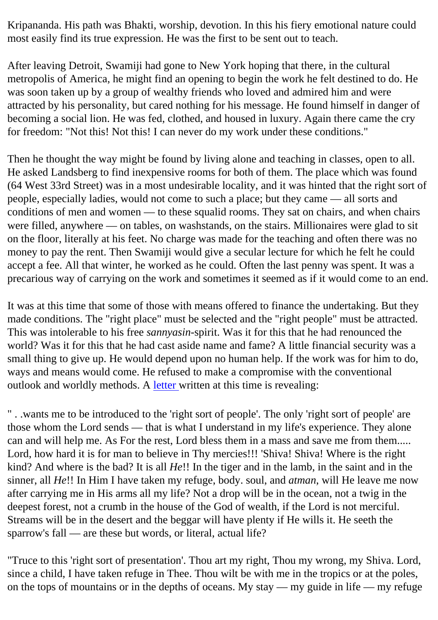Kripananda. His path was Bhakti, worship, devotion. In this his fiery emotional nature could most easily find its true expression. He was the first to be sent out to teach.

After leaving Detroit, Swamiji had gone to New York hoping that there, in the cultural metropolis of America, he might find an opening to begin the work he felt destined to do. He was soon taken up by a group of wealthy friends who loved and admired him and were attracted by his personality, but cared nothing for his message. He found himself in danger of becoming a social lion. He was fed, clothed, and housed in luxury. Again there came the cry for freedom: "Not this! Not this! I can never do my work under these conditions."

Then he thought the way might be found by living alone and teaching in classes, open to all. He asked Landsberg to find inexpensive rooms for both of them. The place which was found (64 West 33rd Street) was in a most undesirable locality, and it was hinted that the right sort of people, especially ladies, would not come to such a place; but they came — all sorts and conditions of men and women — to these squalid rooms. They sat on chairs, and when chairs were filled, anywhere — on tables, on washstands, on the stairs. Millionaires were glad to sit on the floor, literally at his feet. No charge was made for the teaching and often there was no money to pay the rent. Then Swamiji would give a secular lecture for which he felt he could accept a fee. All that winter, he worked as he could. Often the last penny was spent. It was a precarious way of carrying on the work and sometimes it seemed as if it would come to an end.

It was at this time that some of those with means offered to finance the undertaking. But they made conditions. The "right place" must be selected and the "right people" must be attracted. This was intolerable to his free *sannyasin*-spirit. Was it for this that he had renounced the world? Was it for this that he had cast aside name and fame? A little financial security was a small thing to give up. He would depend upon no human help. If the work was for him to do, ways and means would come. He refused to make a compromise with the conventional outlook and worldly methods. A [letter](http://www.ramakrishnavivekananda.info/vivekananda/volume_6/epistles_second_series/062_mrs_bull.htm) written at this time is revealing:

" . .wants me to be introduced to the 'right sort of people'. The only 'right sort of people' are those whom the Lord sends — that is what I understand in my life's experience. They alone can and will help me. As For the rest, Lord bless them in a mass and save me from them..... Lord, how hard it is for man to believe in Thy mercies!!! 'Shiva! Shiva! Where is the right kind? And where is the bad? It is all *He*!! In the tiger and in the lamb, in the saint and in the sinner, all *He*!! In Him I have taken my refuge, body. soul, and *atman*, will He leave me now after carrying me in His arms all my life? Not a drop will be in the ocean, not a twig in the deepest forest, not a crumb in the house of the God of wealth, if the Lord is not merciful. Streams will be in the desert and the beggar will have plenty if He wills it. He seeth the sparrow's fall — are these but words, or literal, actual life?

"Truce to this 'right sort of presentation'. Thou art my right, Thou my wrong, my Shiva. Lord, since a child, I have taken refuge in Thee. Thou wilt be with me in the tropics or at the poles, on the tops of mountains or in the depths of oceans. My stay — my guide in life — my refuge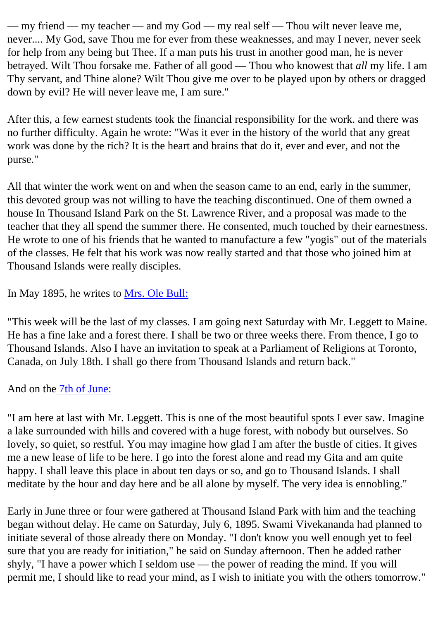— my friend — my teacher — and my God — my real self — Thou wilt never leave me, never.... My God, save Thou me for ever from these weaknesses, and may I never, never seek for help from any being but Thee. If a man puts his trust in another good man, he is never betrayed. Wilt Thou forsake me. Father of all good — Thou who knowest that *all* my life. I am Thy servant, and Thine alone? Wilt Thou give me over to be played upon by others or dragged down by evil? He will never leave me, I am sure."

After this, a few earnest students took the financial responsibility for the work. and there was no further difficulty. Again he wrote: "Was it ever in the history of the world that any great work was done by the rich? It is the heart and brains that do it, ever and ever, and not the purse."

All that winter the work went on and when the season came to an end, early in the summer, this devoted group was not willing to have the teaching discontinued. One of them owned a house In Thousand Island Park on the St. Lawrence River, and a proposal was made to the teacher that they all spend the summer there. He consented, much touched by their earnestness. He wrote to one of his friends that he wanted to manufacture a few "yogis" out of the materials of the classes. He felt that his work was now really started and that those who joined him at Thousand Islands were really disciples.

In May 1895, he writes to [Mrs. Ole Bull:](http://www.ramakrishnavivekananda.info/vivekananda/volume_9/letters_fifth_series/057_mother.htm)

"This week will be the last of my classes. I am going next Saturday with Mr. Leggett to Maine. He has a fine lake and a forest there. I shall be two or three weeks there. From thence, I go to Thousand Islands. Also I have an invitation to speak at a Parliament of Religions at Toronto, Canada, on July 18th. I shall go there from Thousand Islands and return back."

And on the [7th of June:](http://www.ramakrishnavivekananda.info/vivekananda/volume_6/epistles_second_series/067_mrs_bull.htm)

"I am here at last with Mr. Leggett. This is one of the most beautiful spots I ever saw. Imagine a lake surrounded with hills and covered with a huge forest, with nobody but ourselves. So lovely, so quiet, so restful. You may imagine how glad I am after the bustle of cities. It gives me a new lease of life to be here. I go into the forest alone and read my Gita and am quite happy. I shall leave this place in about ten days or so, and go to Thousand Islands. I shall meditate by the hour and day here and be all alone by myself. The very idea is ennobling."

Early in June three or four were gathered at Thousand Island Park with him and the teaching began without delay. He came on Saturday, July 6, 1895. Swami Vivekananda had planned to initiate several of those already there on Monday. "I don't know you well enough yet to feel sure that you are ready for initiation," he said on Sunday afternoon. Then he added rather shyly, "I have a power which I seldom use — the power of reading the mind. If you will permit me, I should like to read your mind, as I wish to initiate you with the others tomorrow."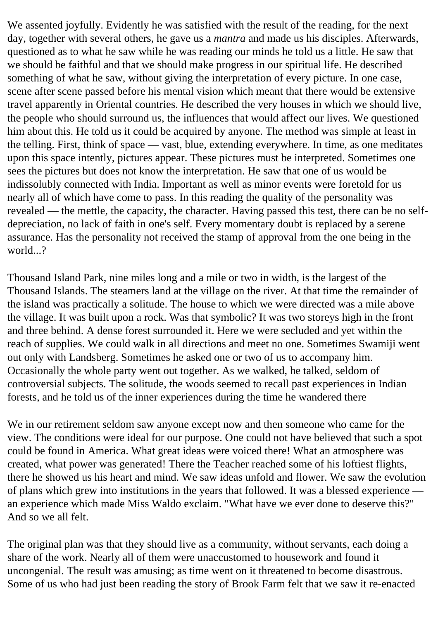We assented joyfully. Evidently he was satisfied with the result of the reading, for the next day, together with several others, he gave us a *mantra* and made us his disciples. Afterwards, questioned as to what he saw while he was reading our minds he told us a little. He saw that we should be faithful and that we should make progress in our spiritual life. He described something of what he saw, without giving the interpretation of every picture. In one case, scene after scene passed before his mental vision which meant that there would be extensive travel apparently in Oriental countries. He described the very houses in which we should live, the people who should surround us, the influences that would affect our lives. We questioned him about this. He told us it could be acquired by anyone. The method was simple at least in the telling. First, think of space — vast, blue, extending everywhere. In time, as one meditates upon this space intently, pictures appear. These pictures must be interpreted. Sometimes one sees the pictures but does not know the interpretation. He saw that one of us would be indissolubly connected with India. Important as well as minor events were foretold for us nearly all of which have come to pass. In this reading the quality of the personality was revealed — the mettle, the capacity, the character. Having passed this test, there can be no selfdepreciation, no lack of faith in one's self. Every momentary doubt is replaced by a serene assurance. Has the personality not received the stamp of approval from the one being in the world...?

Thousand Island Park, nine miles long and a mile or two in width, is the largest of the Thousand Islands. The steamers land at the village on the river. At that time the remainder of the island was practically a solitude. The house to which we were directed was a mile above the village. It was built upon a rock. Was that symbolic? It was two storeys high in the front and three behind. A dense forest surrounded it. Here we were secluded and yet within the reach of supplies. We could walk in all directions and meet no one. Sometimes Swamiji went out only with Landsberg. Sometimes he asked one or two of us to accompany him. Occasionally the whole party went out together. As we walked, he talked, seldom of controversial subjects. The solitude, the woods seemed to recall past experiences in Indian forests, and he told us of the inner experiences during the time he wandered there

We in our retirement seldom saw anyone except now and then someone who came for the view. The conditions were ideal for our purpose. One could not have believed that such a spot could be found in America. What great ideas were voiced there! What an atmosphere was created, what power was generated! There the Teacher reached some of his loftiest flights, there he showed us his heart and mind. We saw ideas unfold and flower. We saw the evolution of plans which grew into institutions in the years that followed. It was a blessed experience an experience which made Miss Waldo exclaim. "What have we ever done to deserve this?" And so we all felt.

The original plan was that they should live as a community, without servants, each doing a share of the work. Nearly all of them were unaccustomed to housework and found it uncongenial. The result was amusing; as time went on it threatened to become disastrous. Some of us who had just been reading the story of Brook Farm felt that we saw it re-enacted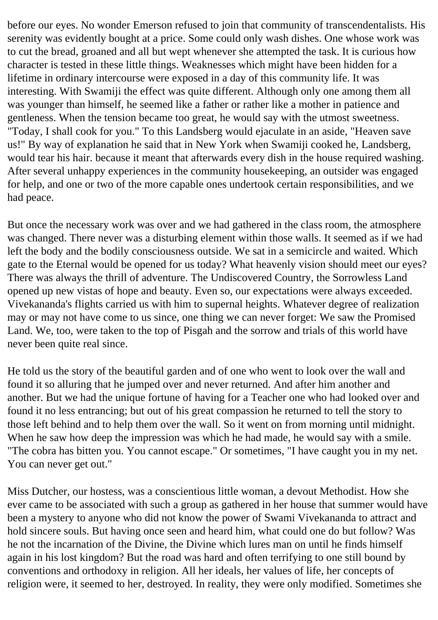before our eyes. No wonder Emerson refused to join that community of transcendentalists. His serenity was evidently bought at a price. Some could only wash dishes. One whose work was to cut the bread, groaned and all but wept whenever she attempted the task. It is curious how character is tested in these little things. Weaknesses which might have been hidden for a lifetime in ordinary intercourse were exposed in a day of this community life. It was interesting. With Swamiji the effect was quite different. Although only one among them all was younger than himself, he seemed like a father or rather like a mother in patience and gentleness. When the tension became too great, he would say with the utmost sweetness. "Today, I shall cook for you." To this Landsberg would ejaculate in an aside, "Heaven save us!" By way of explanation he said that in New York when Swamiji cooked he, Landsberg, would tear his hair. because it meant that afterwards every dish in the house required washing. After several unhappy experiences in the community housekeeping, an outsider was engaged for help, and one or two of the more capable ones undertook certain responsibilities, and we had peace.

But once the necessary work was over and we had gathered in the class room, the atmosphere was changed. There never was a disturbing element within those walls. It seemed as if we had left the body and the bodily consciousness outside. We sat in a semicircle and waited. Which gate to the Eternal would be opened for us today? What heavenly vision should meet our eyes? There was always the thrill of adventure. The Undiscovered Country, the Sorrowless Land opened up new vistas of hope and beauty. Even so, our expectations were always exceeded. Vivekananda's flights carried us with him to supernal heights. Whatever degree of realization may or may not have come to us since, one thing we can never forget: We saw the Promised Land. We, too, were taken to the top of Pisgah and the sorrow and trials of this world have never been quite real since.

He told us the story of the beautiful garden and of one who went to look over the wall and found it so alluring that he jumped over and never returned. And after him another and another. But we had the unique fortune of having for a Teacher one who had looked over and found it no less entrancing; but out of his great compassion he returned to tell the story to those left behind and to help them over the wall. So it went on from morning until midnight. When he saw how deep the impression was which he had made, he would say with a smile. "The cobra has bitten you. You cannot escape." Or sometimes, "I have caught you in my net. You can never get out."

Miss Dutcher, our hostess, was a conscientious little woman, a devout Methodist. How she ever came to be associated with such a group as gathered in her house that summer would have been a mystery to anyone who did not know the power of Swami Vivekananda to attract and hold sincere souls. But having once seen and heard him, what could one do but follow? Was he not the incarnation of the Divine, the Divine which lures man on until he finds himself again in his lost kingdom? But the road was hard and often terrifying to one still bound by conventions and orthodoxy in religion. All her ideals, her values of life, her concepts of religion were, it seemed to her, destroyed. In reality, they were only modified. Sometimes she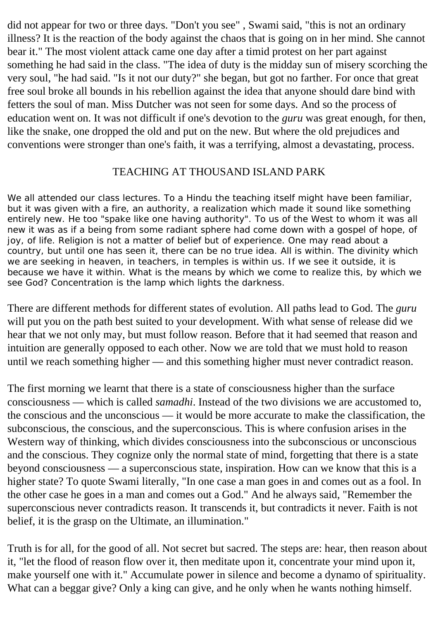did not appear for two or three days. "Don't you see" , Swami said, "this is not an ordinary illness? It is the reaction of the body against the chaos that is going on in her mind. She cannot bear it." The most violent attack came one day after a timid protest on her part against something he had said in the class. "The idea of duty is the midday sun of misery scorching the very soul, "he had said. "Is it not our duty?" she began, but got no farther. For once that great free soul broke all bounds in his rebellion against the idea that anyone should dare bind with fetters the soul of man. Miss Dutcher was not seen for some days. And so the process of education went on. It was not difficult if one's devotion to the *guru* was great enough, for then, like the snake, one dropped the old and put on the new. But where the old prejudices and conventions were stronger than one's faith, it was a terrifying, almost a devastating, process.

#### TEACHING AT THOUSAND ISLAND PARK

We all attended our class lectures. To a Hindu the teaching itself might have been familiar, but it was given with a fire, an authority, a realization which made it sound like something entirely new. He too "spake like one having authority". To us of the West to whom it was all new it was as if a being from some radiant sphere had come down with a gospel of hope, of joy, of life. Religion is not a matter of belief but of experience. One may read about a country, but until one has seen it, there can be no true idea. All is within. The divinity which we are seeking in heaven, in teachers, in temples is within us. If we see it outside, it is because we have it within. What is the means by which we come to realize this, by which we see God? *Concentration* is the lamp which lights the darkness.

There are different methods for different states of evolution. All paths lead to God. The *guru* will put you on the path best suited to your development. With what sense of release did we hear that we not only may, but must follow reason. Before that it had seemed that reason and intuition are generally opposed to each other. Now we are told that we must hold to reason until we reach something higher — and this something higher must never contradict reason.

The first morning we learnt that there is a state of consciousness higher than the surface consciousness — which is called *samadhi*. Instead of the two divisions we are accustomed to, the conscious and the unconscious — it would be more accurate to make the classification, the subconscious, the conscious, and the superconscious. This is where confusion arises in the Western way of thinking, which divides consciousness into the subconscious or unconscious and the conscious. They cognize only the normal state of mind, forgetting that there is a state beyond consciousness — a superconscious state, inspiration. How can we know that this is a higher state? To quote Swami literally, "In one case a man goes in and comes out as a fool. In the other case he goes in a man and comes out a God." And he always said, "Remember the superconscious never contradicts reason. It transcends it, but contradicts it never. Faith is not belief, it is the grasp on the Ultimate, an illumination."

Truth is for all, for the good of all. Not secret but sacred. The steps are: hear, then reason about it, "let the flood of reason flow over it, then meditate upon it, concentrate your mind upon it, make yourself one with it." Accumulate power in silence and become a dynamo of spirituality. What can a beggar give? Only a king can give, and he only when he wants nothing himself.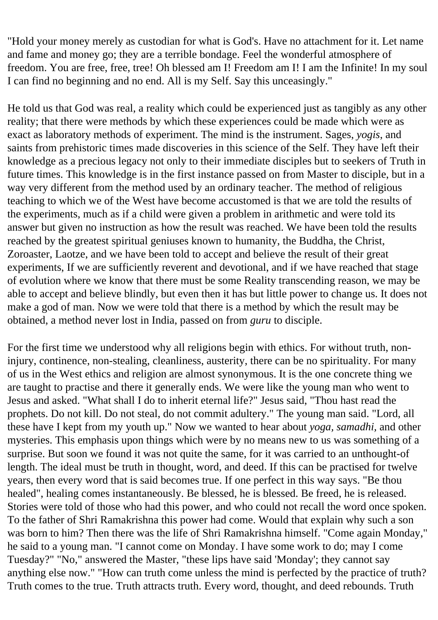"Hold your money merely as custodian for what is God's. Have no attachment for it. Let name and fame and money go; they are a terrible bondage. Feel the wonderful atmosphere of freedom. You are free, free, tree! Oh blessed am I! Freedom am I! I am the Infinite! In my soul I can find no beginning and no end. All is my Self. Say this unceasingly."

He told us that God was real, a reality which could be experienced just as tangibly as any other reality; that there were methods by which these experiences could be made which were as exact as laboratory methods of experiment. The mind is the instrument. Sages, *yogis*, and saints from prehistoric times made discoveries in this science of the Self. They have left their knowledge as a precious legacy not only to their immediate disciples but to seekers of Truth in future times. This knowledge is in the first instance passed on from Master to disciple, but in a way very different from the method used by an ordinary teacher. The method of religious teaching to which we of the West have become accustomed is that we are told the results of the experiments, much as if a child were given a problem in arithmetic and were told its answer but given no instruction as how the result was reached. We have been told the results reached by the greatest spiritual geniuses known to humanity, the Buddha, the Christ, Zoroaster, Laotze, and we have been told to accept and believe the result of their great experiments, If we are sufficiently reverent and devotional, and if we have reached that stage of evolution where we know that there must be some Reality transcending reason, we may be able to accept and believe blindly, but even then it has but little power to change us. It does not make a god of man. Now we were told that there is a method by which the result may be obtained, a method never lost in India, passed on from *guru* to disciple.

For the first time we understood why all religions begin with ethics. For without truth, noninjury, continence, non-stealing, cleanliness, austerity, there can be no spirituality. For many of us in the West ethics and religion are almost synonymous. It is the one concrete thing we are taught to practise and there it generally ends. We were like the young man who went to Jesus and asked. "What shall I do to inherit eternal life?" Jesus said, "Thou hast read the prophets. Do not kill. Do not steal, do not commit adultery." The young man said. "Lord, all these have I kept from my youth up." Now we wanted to hear about *yoga, samadhi,* and other mysteries. This emphasis upon things which were by no means new to us was something of a surprise. But soon we found it was not quite the same, for it was carried to an unthought-of length. The ideal must be truth in thought, word, and deed. If this can be practised for twelve years, then every word that is said becomes true. If one perfect in this way says. "Be thou healed", healing comes instantaneously. Be blessed, he is blessed. Be freed, he is released. Stories were told of those who had this power, and who could not recall the word once spoken. To the father of Shri Ramakrishna this power had come. Would that explain why such a son was born to him? Then there was the life of Shri Ramakrishna himself. "Come again Monday," he said to a young man. "I cannot come on Monday. I have some work to do; may I come Tuesday?" "No," answered the Master, "these lips have said 'Monday'; they cannot say anything else now." "How can truth come unless the mind is perfected by the practice of truth? Truth comes to the true. Truth attracts truth. Every word, thought, and deed rebounds. Truth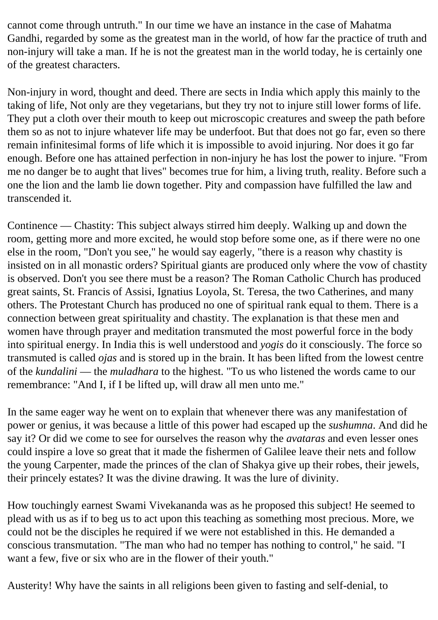cannot come through untruth." In our time we have an instance in the case of Mahatma Gandhi, regarded by some as the greatest man in the world, of how far the practice of truth and non-injury will take a man. If he is not the greatest man in the world today, he is certainly one of the greatest characters.

Non-injury in word, thought and deed. There are sects in India which apply this mainly to the taking of life, Not only are they vegetarians, but they try not to injure still lower forms of life. They put a cloth over their mouth to keep out microscopic creatures and sweep the path before them so as not to injure whatever life may be underfoot. But that does not go far, even so there remain infinitesimal forms of life which it is impossible to avoid injuring. Nor does it go far enough. Before one has attained perfection in non-injury he has lost the power to injure. "From me no danger be to aught that lives" becomes true for him, a living truth, reality. Before such a one the lion and the lamb lie down together. Pity and compassion have fulfilled the law and transcended it.

Continence — Chastity: This subject always stirred him deeply. Walking up and down the room, getting more and more excited, he would stop before some one, as if there were no one else in the room, "Don't you see," he would say eagerly, "there is a reason why chastity is insisted on in all monastic orders? Spiritual giants are produced only where the vow of chastity is observed. Don't you see there must be a reason? The Roman Catholic Church has produced great saints, St. Francis of Assisi, Ignatius Loyola, St. Teresa, the two Catherines, and many others. The Protestant Church has produced no one of spiritual rank equal to them. There is a connection between great spirituality and chastity. The explanation is that these men and women have through prayer and meditation transmuted the most powerful force in the body into spiritual energy. In India this is well understood and *yogis* do it consciously. The force so transmuted is called *ojas* and is stored up in the brain. It has been lifted from the lowest centre of the *kundalini* — the *muladhara* to the highest. "To us who listened the words came to our remembrance: "And I, if I be lifted up, will draw all men unto me."

In the same eager way he went on to explain that whenever there was any manifestation of power or genius, it was because a little of this power had escaped up the *sushumna*. And did he say it? Or did we come to see for ourselves the reason why the *avataras* and even lesser ones could inspire a love so great that it made the fishermen of Galilee leave their nets and follow the young Carpenter, made the princes of the clan of Shakya give up their robes, their jewels, their princely estates? It was the divine drawing. It was the lure of divinity.

How touchingly earnest Swami Vivekananda was as he proposed this subject! He seemed to plead with us as if to beg us to act upon this teaching as something most precious. More, we could not be the disciples he required if we were not established in this. He demanded a conscious transmutation. "The man who had no temper has nothing to control," he said. "I want a few, five or six who are in the flower of their youth."

Austerity! Why have the saints in all religions been given to fasting and self-denial, to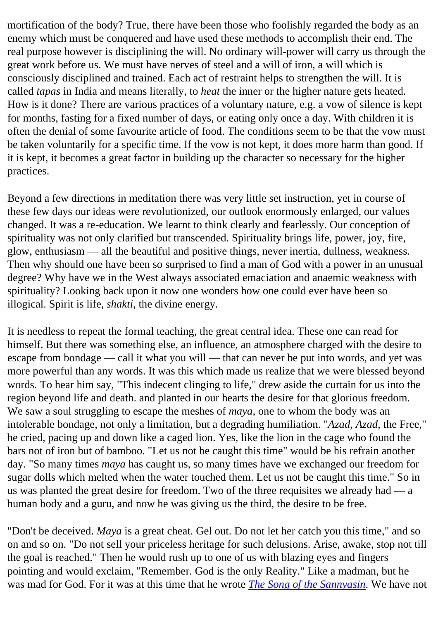mortification of the body? True, there have been those who foolishly regarded the body as an enemy which must be conquered and have used these methods to accomplish their end. The real purpose however is disciplining the will. No ordinary will-power will carry us through the great work before us. We must have nerves of steel and a will of iron, a will which is consciously disciplined and trained. Each act of restraint helps to strengthen the will. It is called *tapas* in India and means literally, to *heat* the inner or the higher nature gets heated. How is it done? There are various practices of a voluntary nature, e.g. a vow of silence is kept for months, fasting for a fixed number of days, or eating only once a day. With children it is often the denial of some favourite article of food. The conditions seem to be that the vow must be taken voluntarily for a specific time. If the vow is not kept, it does more harm than good. If it is kept, it becomes a great factor in building up the character so necessary for the higher practices.

Beyond a few directions in meditation there was very little set instruction, yet in course of these few days our ideas were revolutionized, our outlook enormously enlarged, our values changed. It was a re-education. We learnt to think clearly and fearlessly. Our conception of spirituality was not only clarified but transcended. Spirituality brings life, power, joy, fire, glow, enthusiasm — all the beautiful and positive things, never inertia, dullness, weakness. Then why should one have been so surprised to find a man of God with a power in an unusual degree? Why have we in the West always associated emaciation and anaemic weakness with spirituality? Looking back upon it now one wonders how one could ever have been so illogical. Spirit is life, *shakti*, the divine energy.

It is needless to repeat the formal teaching, the great central idea. These one can read for himself. But there was something else, an influence, an atmosphere charged with the desire to escape from bondage — call it what you will — that can never be put into words, and yet was more powerful than any words. It was this which made us realize that we were blessed beyond words. To hear him say, "This indecent clinging to life," drew aside the curtain for us into the region beyond life and death. and planted in our hearts the desire for that glorious freedom. We saw a soul struggling to escape the meshes of *maya*, one to whom the body was an intolerable bondage, not only a limitation, but a degrading humiliation. "*Azad, Azad,* the Free," he cried, pacing up and down like a caged lion. Yes, like the lion in the cage who found the bars not of iron but of bamboo. "Let us not be caught this time" would be his refrain another day. "So many times *maya* has caught us, so many times have we exchanged our freedom for sugar dolls which melted when the water touched them. Let us not be caught this time." So in us was planted the great desire for freedom. Two of the three requisites we already had — a human body and a guru, and now he was giving us the third, the desire to be free.

"Don't be deceived. *Maya* is a great cheat. Gel out. Do not let her catch you this time," and so on and so on. "Do not sell your priceless heritage for such delusions. Arise, awake, stop not till the goal is reached." Then he would rush up to one of us with blazing eyes and fingers pointing and would exclaim, "Remember. God is the only Reality." Like a madman, but he was mad for God. For it was at this time that he wrote *[The Song of the Sannyasin](http://www.ramakrishnavivekananda.info/vivekananda/volume_4/writings_poems/the_song_of_the_sannyasin.htm)*. We have not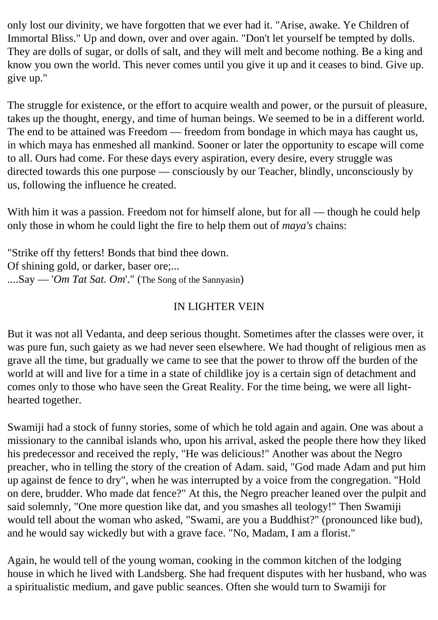only lost our divinity, we have forgotten that we ever had it. "Arise, awake. Ye Children of Immortal Bliss." Up and down, over and over again. "Don't let yourself be tempted by dolls. They are dolls of sugar, or dolls of salt, and they will melt and become nothing. Be a king and know you own the world. This never comes until you give it up and it ceases to bind. Give up. give up."

The struggle for existence, or the effort to acquire wealth and power, or the pursuit of pleasure, takes up the thought, energy, and time of human beings. We seemed to be in a different world. The end to be attained was Freedom — freedom from bondage in which maya has caught us, in which maya has enmeshed all mankind. Sooner or later the opportunity to escape will come to all. Ours had come. For these days every aspiration, every desire, every struggle was directed towards this one purpose — consciously by our Teacher, blindly, unconsciously by us, following the influence he created.

With him it was a passion. Freedom not for himself alone, but for all — though he could help only those in whom he could light the fire to help them out of *maya's* chains:

"Strike off thy fetters! Bonds that bind thee down. Of shining gold, or darker, baser ore;... ....Say — '*Om Tat Sat. Om*'." (The Song of the Sannyasin)

# IN LIGHTER VEIN

But it was not all Vedanta, and deep serious thought. Sometimes after the classes were over, it was pure fun, such gaiety as we had never seen elsewhere. We had thought of religious men as grave all the time, but gradually we came to see that the power to throw off the burden of the world at will and live for a time in a state of childlike joy is a certain sign of detachment and comes only to those who have seen the Great Reality. For the time being, we were all lighthearted together.

Swamiji had a stock of funny stories, some of which he told again and again. One was about a missionary to the cannibal islands who, upon his arrival, asked the people there how they liked his predecessor and received the reply, "He was delicious!" Another was about the Negro preacher, who in telling the story of the creation of Adam. said, "God made Adam and put him up against de fence to dry", when he was interrupted by a voice from the congregation. "Hold on dere, brudder. Who made dat fence?" At this, the Negro preacher leaned over the pulpit and said solemnly, "One more question like dat, and you smashes all teology!" Then Swamiji would tell about the woman who asked, "Swami, are you a Buddhist?" (pronounced like bud), and he would say wickedly but with a grave face. "No, Madam, I am a florist."

Again, he would tell of the young woman, cooking in the common kitchen of the lodging house in which he lived with Landsberg. She had frequent disputes with her husband, who was a spiritualistic medium, and gave public seances. Often she would turn to Swamiji for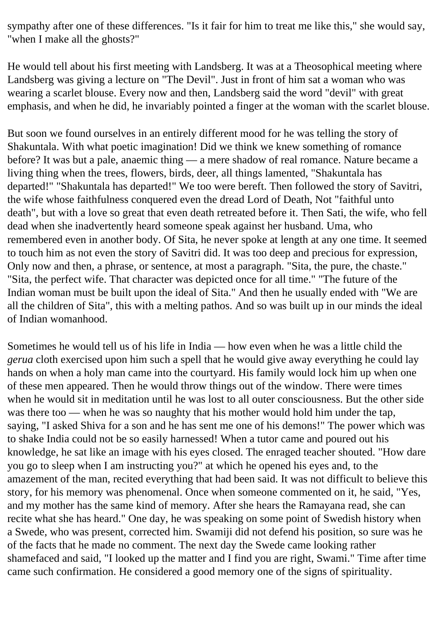sympathy after one of these differences. "Is it fair for him to treat me like this," she would say, "when I make all the ghosts?"

He would tell about his first meeting with Landsberg. It was at a Theosophical meeting where Landsberg was giving a lecture on "The Devil". Just in front of him sat a woman who was wearing a scarlet blouse. Every now and then, Landsberg said the word "devil" with great emphasis, and when he did, he invariably pointed a finger at the woman with the scarlet blouse.

But soon we found ourselves in an entirely different mood for he was telling the story of Shakuntala. With what poetic imagination! Did we think we knew something of romance before? It was but a pale, anaemic thing — a mere shadow of real romance. Nature became a living thing when the trees, flowers, birds, deer, all things lamented, "Shakuntala has departed!" "Shakuntala has departed!" We too were bereft. Then followed the story of Savitri, the wife whose faithfulness conquered even the dread Lord of Death, Not "faithful unto death", but with a love so great that even death retreated before it. Then Sati, the wife, who fell dead when she inadvertently heard someone speak against her husband. Uma, who remembered even in another body. Of Sita, he never spoke at length at any one time. It seemed to touch him as not even the story of Savitri did. It was too deep and precious for expression, Only now and then, a phrase, or sentence, at most a paragraph. "Sita, the pure, the chaste." "Sita, the perfect wife. That character was depicted once for all time." "The future of the Indian woman must be built upon the ideal of Sita." And then he usually ended with "We are all the children of Sita", this with a melting pathos. And so was built up in our minds the ideal of Indian womanhood.

Sometimes he would tell us of his life in India — how even when he was a little child the *gerua* cloth exercised upon him such a spell that he would give away everything he could lay hands on when a holy man came into the courtyard. His family would lock him up when one of these men appeared. Then he would throw things out of the window. There were times when he would sit in meditation until he was lost to all outer consciousness. But the other side was there too — when he was so naughty that his mother would hold him under the tap, saying, "I asked Shiva for a son and he has sent me one of his demons!" The power which was to shake India could not be so easily harnessed! When a tutor came and poured out his knowledge, he sat like an image with his eyes closed. The enraged teacher shouted. "How dare you go to sleep when I am instructing you?" at which he opened his eyes and, to the amazement of the man, recited everything that had been said. It was not difficult to believe this story, for his memory was phenomenal. Once when someone commented on it, he said, "Yes, and my mother has the same kind of memory. After she hears the Ramayana read, she can recite what she has heard." One day, he was speaking on some point of Swedish history when a Swede, who was present, corrected him. Swamiji did not defend his position, so sure was he of the facts that he made no comment. The next day the Swede came looking rather shamefaced and said, "I looked up the matter and I find you are right, Swami." Time after time came such confirmation. He considered a good memory one of the signs of spirituality.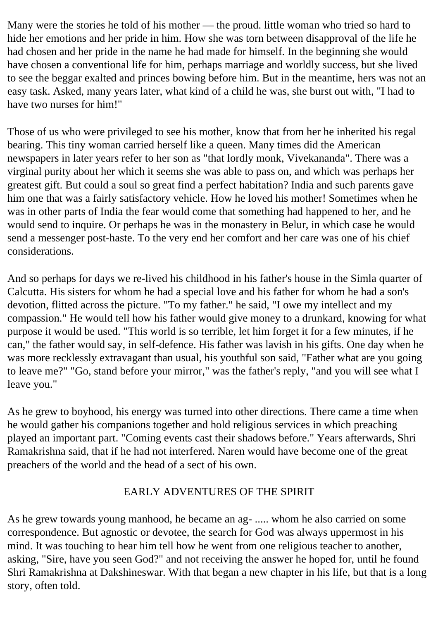Many were the stories he told of his mother — the proud. little woman who tried so hard to hide her emotions and her pride in him. How she was torn between disapproval of the life he had chosen and her pride in the name he had made for himself. In the beginning she would have chosen a conventional life for him, perhaps marriage and worldly success, but she lived to see the beggar exalted and princes bowing before him. But in the meantime, hers was not an easy task. Asked, many years later, what kind of a child he was, she burst out with, "I had to have two nurses for him!"

Those of us who were privileged to see his mother, know that from her he inherited his regal bearing. This tiny woman carried herself like a queen. Many times did the American newspapers in later years refer to her son as "that lordly monk, Vivekananda". There was a virginal purity about her which it seems she was able to pass on, and which was perhaps her greatest gift. But could a soul so great find a perfect habitation? India and such parents gave him one that was a fairly satisfactory vehicle. How he loved his mother! Sometimes when he was in other parts of India the fear would come that something had happened to her, and he would send to inquire. Or perhaps he was in the monastery in Belur, in which case he would send a messenger post-haste. To the very end her comfort and her care was one of his chief considerations.

And so perhaps for days we re-lived his childhood in his father's house in the Simla quarter of Calcutta. His sisters for whom he had a special love and his father for whom he had a son's devotion, flitted across the picture. "To my father." he said, "I owe my intellect and my compassion." He would tell how his father would give money to a drunkard, knowing for what purpose it would be used. "This world is so terrible, let him forget it for a few minutes, if he can," the father would say, in self-defence. His father was lavish in his gifts. One day when he was more recklessly extravagant than usual, his youthful son said, "Father what are you going to leave me?" "Go, stand before your mirror," was the father's reply, "and you will see what I leave you."

As he grew to boyhood, his energy was turned into other directions. There came a time when he would gather his companions together and hold religious services in which preaching played an important part. "Coming events cast their shadows before." Years afterwards, Shri Ramakrishna said, that if he had not interfered. Naren would have become one of the great preachers of the world and the head of a sect of his own.

#### EARLY ADVENTURES OF THE SPIRIT

As he grew towards young manhood, he became an ag- ..... whom he also carried on some correspondence. But agnostic or devotee, the search for God was always uppermost in his mind. It was touching to hear him tell how he went from one religious teacher to another, asking, "Sire, have you seen God?" and not receiving the answer he hoped for, until he found Shri Ramakrishna at Dakshineswar. With that began a new chapter in his life, but that is a long story, often told.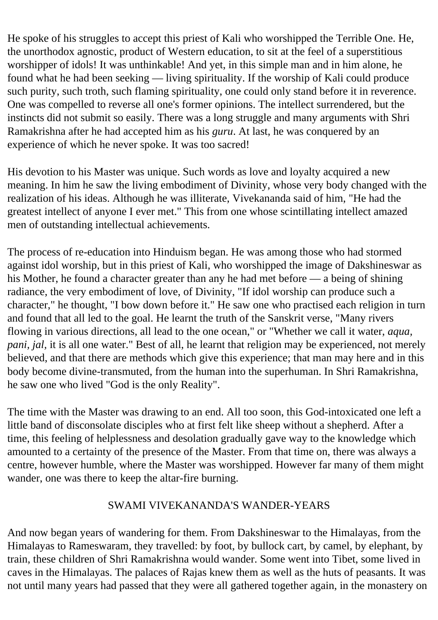He spoke of his struggles to accept this priest of Kali who worshipped the Terrible One. He, the unorthodox agnostic, product of Western education, to sit at the feel of a superstitious worshipper of idols! It was unthinkable! And yet, in this simple man and in him alone, he found what he had been seeking — living spirituality. If the worship of Kali could produce such purity, such troth, such flaming spirituality, one could only stand before it in reverence. One was compelled to reverse all one's former opinions. The intellect surrendered, but the instincts did not submit so easily. There was a long struggle and many arguments with Shri Ramakrishna after he had accepted him as his *guru*. At last, he was conquered by an experience of which he never spoke. It was too sacred!

His devotion to his Master was unique. Such words as love and loyalty acquired a new meaning. In him he saw the living embodiment of Divinity, whose very body changed with the realization of his ideas. Although he was illiterate, Vivekananda said of him, "He had the greatest intellect of anyone I ever met." This from one whose scintillating intellect amazed men of outstanding intellectual achievements.

The process of re-education into Hinduism began. He was among those who had stormed against idol worship, but in this priest of Kali, who worshipped the image of Dakshineswar as his Mother, he found a character greater than any he had met before — a being of shining radiance, the very embodiment of love, of Divinity, "If idol worship can produce such a character," he thought, "I bow down before it." He saw one who practised each religion in turn and found that all led to the goal. He learnt the truth of the Sanskrit verse, "Many rivers flowing in various directions, all lead to the one ocean," or "Whether we call it water, *aqua, pani, jal,* it is all one water." Best of all, he learnt that religion may be experienced, not merely believed, and that there are methods which give this experience; that man may here and in this body become divine-transmuted, from the human into the superhuman. In Shri Ramakrishna, he saw one who lived "God is the only Reality".

The time with the Master was drawing to an end. All too soon, this God-intoxicated one left a little band of disconsolate disciples who at first felt like sheep without a shepherd. After a time, this feeling of helplessness and desolation gradually gave way to the knowledge which amounted to a certainty of the presence of the Master. From that time on, there was always a centre, however humble, where the Master was worshipped. However far many of them might wander, one was there to keep the altar-fire burning.

# SWAMI VIVEKANANDA'S WANDER-YEARS

And now began years of wandering for them. From Dakshineswar to the Himalayas, from the Himalayas to Rameswaram, they travelled: by foot, by bullock cart, by camel, by elephant, by train, these children of Shri Ramakrishna would wander. Some went into Tibet, some lived in caves in the Himalayas. The palaces of Rajas knew them as well as the huts of peasants. It was not until many years had passed that they were all gathered together again, in the monastery on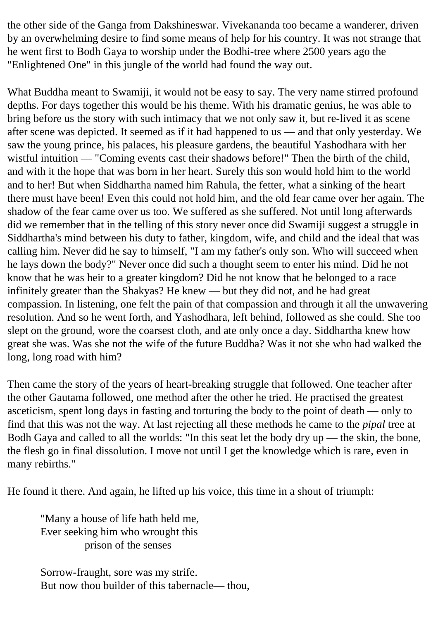the other side of the Ganga from Dakshineswar. Vivekananda too became a wanderer, driven by an overwhelming desire to find some means of help for his country. It was not strange that he went first to Bodh Gaya to worship under the Bodhi-tree where 2500 years ago the "Enlightened One" in this jungle of the world had found the way out.

What Buddha meant to Swamiji, it would not be easy to say. The very name stirred profound depths. For days together this would be his theme. With his dramatic genius, he was able to bring before us the story with such intimacy that we not only saw it, but re-lived it as scene after scene was depicted. It seemed as if it had happened to us — and that only yesterday. We saw the young prince, his palaces, his pleasure gardens, the beautiful Yashodhara with her wistful intuition — "Coming events cast their shadows before!" Then the birth of the child, and with it the hope that was born in her heart. Surely this son would hold him to the world and to her! But when Siddhartha named him Rahula, the fetter, what a sinking of the heart there must have been! Even this could not hold him, and the old fear came over her again. The shadow of the fear came over us too. We suffered as she suffered. Not until long afterwards did we remember that in the telling of this story never once did Swamiji suggest a struggle in Siddhartha's mind between his duty to father, kingdom, wife, and child and the ideal that was calling him. Never did he say to himself, "I am my father's only son. Who will succeed when he lays down the body?" Never once did such a thought seem to enter his mind. Did he not know that he was heir to a greater kingdom? Did he not know that he belonged to a race infinitely greater than the Shakyas? He knew — but they did not, and he had great compassion. In listening, one felt the pain of that compassion and through it all the unwavering resolution. And so he went forth, and Yashodhara, left behind, followed as she could. She too slept on the ground, wore the coarsest cloth, and ate only once a day. Siddhartha knew how great she was. Was she not the wife of the future Buddha? Was it not she who had walked the long, long road with him?

Then came the story of the years of heart-breaking struggle that followed. One teacher after the other Gautama followed, one method after the other he tried. He practised the greatest asceticism, spent long days in fasting and torturing the body to the point of death — only to find that this was not the way. At last rejecting all these methods he came to the *pipal* tree at Bodh Gaya and called to all the worlds: "In this seat let the body dry up — the skin, the bone, the flesh go in final dissolution. I move not until I get the knowledge which is rare, even in many rebirths."

He found it there. And again, he lifted up his voice, this time in a shout of triumph:

 "Many a house of life hath held me, Ever seeking him who wrought this prison of the senses

 Sorrow-fraught, sore was my strife. But now thou builder of this tabernacle— thou,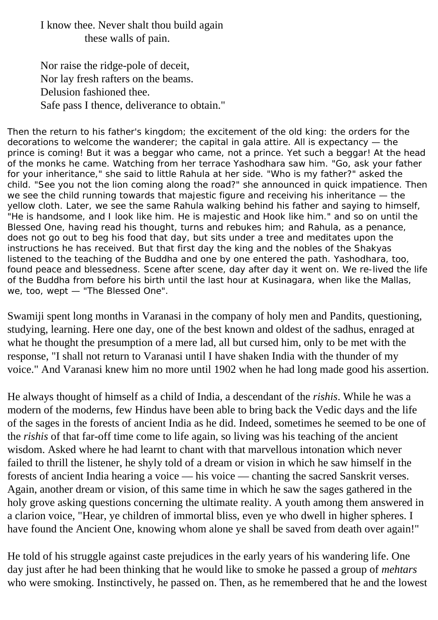I know thee. Never shalt thou build again these walls of pain.

 Nor raise the ridge-pole of deceit, Nor lay fresh rafters on the beams. Delusion fashioned thee. Safe pass I thence, deliverance to obtain."

Then the return to his father's kingdom; the excitement of the old king: the orders for the decorations to welcome the wanderer; the capital in gala attire. All is expectancy — the prince is coming! But it was a beggar who came, not a prince. Yet such a beggar! At the head of the monks he came. Watching from her terrace Yashodhara saw him. "Go, ask your father for your inheritance," she said to little Rahula at her side. "Who is my father?" asked the child. "See you not the lion coming along the road?" she announced in quick impatience. Then we see the child running towards that majestic figure and receiving his inheritance — the yellow cloth. Later, we see the same Rahula walking behind his father and saying to himself, "He is handsome, and I look like him. He is majestic and Hook like him." and so on until the Blessed One, having read his thought, turns and rebukes him; and Rahula, as a penance, does not go out to beg his food that day, but sits under a tree and meditates upon the instructions he has received. But that first day the king and the nobles of the Shakyas listened to the teaching of the Buddha and one by one entered the path. Yashodhara, too, found peace and blessedness. Scene after scene, day after day it went on. We re-lived the life of the Buddha from before his birth until the last hour at Kusinagara, when like the Mallas, we, too, wept — "The Blessed One".

Swamiji spent long months in Varanasi in the company of holy men and Pandits, questioning, studying, learning. Here one day, one of the best known and oldest of the sadhus, enraged at what he thought the presumption of a mere lad, all but cursed him, only to be met with the response, "I shall not return to Varanasi until I have shaken India with the thunder of my voice." And Varanasi knew him no more until 1902 when he had long made good his assertion.

He always thought of himself as a child of India, a descendant of the *rishis*. While he was a modern of the moderns, few Hindus have been able to bring back the Vedic days and the life of the sages in the forests of ancient India as he did. Indeed, sometimes he seemed to be one of the *rishis* of that far-off time come to life again, so living was his teaching of the ancient wisdom. Asked where he had learnt to chant with that marvellous intonation which never failed to thrill the listener, he shyly told of a dream or vision in which he saw himself in the forests of ancient India hearing a voice — his voice — chanting the sacred Sanskrit verses. Again, another dream or vision, of this same time in which he saw the sages gathered in the holy grove asking questions concerning the ultimate reality. A youth among them answered in a clarion voice, "Hear, ye children of immortal bliss, even ye who dwell in higher spheres. I have found the Ancient One, knowing whom alone ye shall be saved from death over again!"

He told of his struggle against caste prejudices in the early years of his wandering life. One day just after he had been thinking that he would like to smoke he passed a group of *mehtars* who were smoking. Instinctively, he passed on. Then, as he remembered that he and the lowest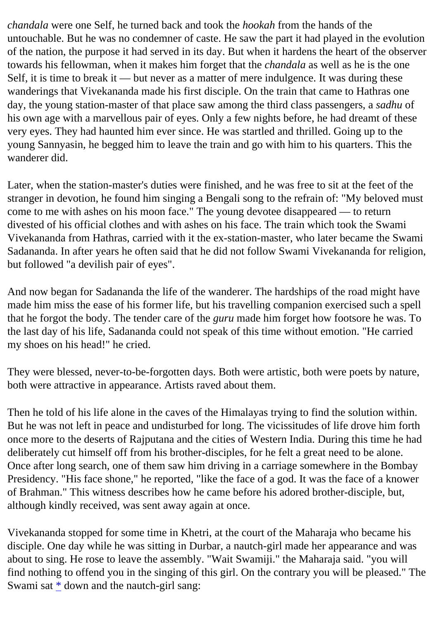*chandala* were one Self, he turned back and took the *hookah* from the hands of the untouchable. But he was no condemner of caste. He saw the part it had played in the evolution of the nation, the purpose it had served in its day. But when it hardens the heart of the observer towards his fellowman, when it makes him forget that the *chandala* as well as he is the one Self, it is time to break it — but never as a matter of mere indulgence. It was during these wanderings that Vivekananda made his first disciple. On the train that came to Hathras one day, the young station-master of that place saw among the third class passengers, a *sadhu* of his own age with a marvellous pair of eyes. Only a few nights before, he had dreamt of these very eyes. They had haunted him ever since. He was startled and thrilled. Going up to the young Sannyasin, he begged him to leave the train and go with him to his quarters. This the wanderer did.

Later, when the station-master's duties were finished, and he was free to sit at the feet of the stranger in devotion, he found him singing a Bengali song to the refrain of: "My beloved must come to me with ashes on his moon face." The young devotee disappeared — to return divested of his official clothes and with ashes on his face. The train which took the Swami Vivekananda from Hathras, carried with it the ex-station-master, who later became the Swami Sadananda. In after years he often said that he did not follow Swami Vivekananda for religion, but followed "a devilish pair of eyes".

And now began for Sadananda the life of the wanderer. The hardships of the road might have made him miss the ease of his former life, but his travelling companion exercised such a spell that he forgot the body. The tender care of the *guru* made him forget how footsore he was. To the last day of his life, Sadananda could not speak of this time without emotion. "He carried my shoes on his head!" he cried.

They were blessed, never-to-be-forgotten days. Both were artistic, both were poets by nature, both were attractive in appearance. Artists raved about them.

Then he told of his life alone in the caves of the Himalayas trying to find the solution within. But he was not left in peace and undisturbed for long. The vicissitudes of life drove him forth once more to the deserts of Rajputana and the cities of Western India. During this time he had deliberately cut himself off from his brother-disciples, for he felt a great need to be alone. Once after long search, one of them saw him driving in a carriage somewhere in the Bombay Presidency. "His face shone," he reported, "like the face of a god. It was the face of a knower of Brahman." This witness describes how he came before his adored brother-disciple, but, although kindly received, was sent away again at once.

Vivekananda stopped for some time in Khetri, at the court of the Maharaja who became his disciple. One day while he was sitting in Durbar, a nautch-girl made her appearance and was about to sing. He rose to leave the assembly. "Wait Swamiji." the Maharaja said. "you will find nothing to offend you in the singing of this girl. On the contrary you will be pleased." The Swami sat  $*$  down and the nautch-girl sang: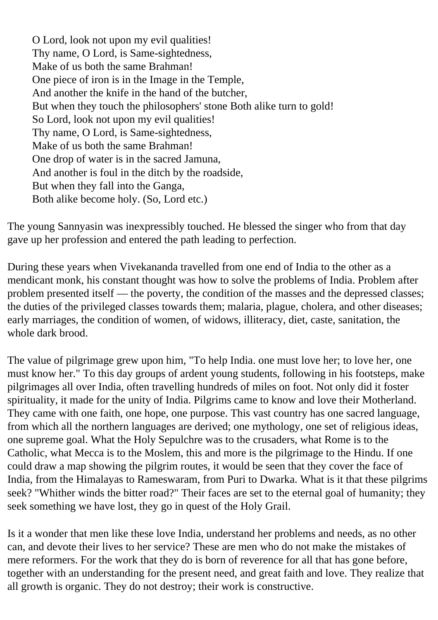O Lord, look not upon my evil qualities! Thy name, O Lord, is Same-sightedness, Make of us both the same Brahman! One piece of iron is in the Image in the Temple, And another the knife in the hand of the butcher, But when they touch the philosophers' stone Both alike turn to gold! So Lord, look not upon my evil qualities! Thy name, O Lord, is Same-sightedness, Make of us both the same Brahman! One drop of water is in the sacred Jamuna, And another is foul in the ditch by the roadside, But when they fall into the Ganga, Both alike become holy. (So, Lord etc.)

The young Sannyasin was inexpressibly touched. He blessed the singer who from that day gave up her profession and entered the path leading to perfection.

During these years when Vivekananda travelled from one end of India to the other as a mendicant monk, his constant thought was how to solve the problems of India. Problem after problem presented itself — the poverty, the condition of the masses and the depressed classes; the duties of the privileged classes towards them; malaria, plague, cholera, and other diseases; early marriages, the condition of women, of widows, illiteracy, diet, caste, sanitation, the whole dark brood.

The value of pilgrimage grew upon him, "To help India. one must love her; to love her, one must know her." To this day groups of ardent young students, following in his footsteps, make pilgrimages all over India, often travelling hundreds of miles on foot. Not only did it foster spirituality, it made for the unity of India. Pilgrims came to know and love their Motherland. They came with one faith, one hope, one purpose. This vast country has one sacred language, from which all the northern languages are derived; one mythology, one set of religious ideas, one supreme goal. What the Holy Sepulchre was to the crusaders, what Rome is to the Catholic, what Mecca is to the Moslem, this and more is the pilgrimage to the Hindu. If one could draw a map showing the pilgrim routes, it would be seen that they cover the face of India, from the Himalayas to Rameswaram, from Puri to Dwarka. What is it that these pilgrims seek? "Whither winds the bitter road?" Their faces are set to the eternal goal of humanity; they seek something we have lost, they go in quest of the Holy Grail.

Is it a wonder that men like these love India, understand her problems and needs, as no other can, and devote their lives to her service? These are men who do not make the mistakes of mere reformers. For the work that they do is born of reverence for all that has gone before, together with an understanding for the present need, and great faith and love. They realize that all growth is organic. They do not destroy; their work is constructive.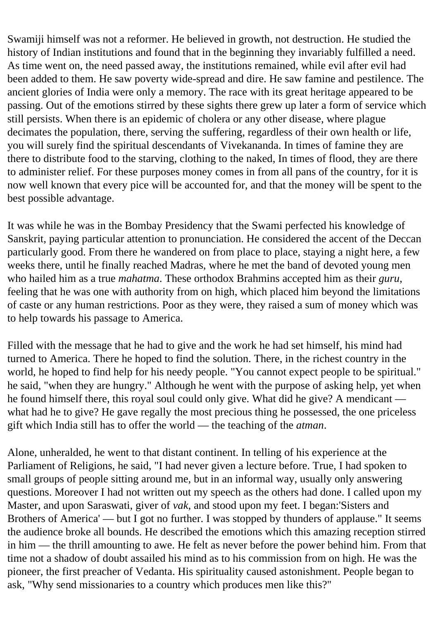Swamiji himself was not a reformer. He believed in growth, not destruction. He studied the history of Indian institutions and found that in the beginning they invariably fulfilled a need. As time went on, the need passed away, the institutions remained, while evil after evil had been added to them. He saw poverty wide-spread and dire. He saw famine and pestilence. The ancient glories of India were only a memory. The race with its great heritage appeared to be passing. Out of the emotions stirred by these sights there grew up later a form of service which still persists. When there is an epidemic of cholera or any other disease, where plague decimates the population, there, serving the suffering, regardless of their own health or life, you will surely find the spiritual descendants of Vivekananda. In times of famine they are there to distribute food to the starving, clothing to the naked, In times of flood, they are there to administer relief. For these purposes money comes in from all pans of the country, for it is now well known that every pice will be accounted for, and that the money will be spent to the best possible advantage.

It was while he was in the Bombay Presidency that the Swami perfected his knowledge of Sanskrit, paying particular attention to pronunciation. He considered the accent of the Deccan particularly good. From there he wandered on from place to place, staying a night here, a few weeks there, until he finally reached Madras, where he met the band of devoted young men who hailed him as a true *mahatma*. These orthodox Brahmins accepted him as their *guru*, feeling that he was one with authority from on high, which placed him beyond the limitations of caste or any human restrictions. Poor as they were, they raised a sum of money which was to help towards his passage to America.

Filled with the message that he had to give and the work he had set himself, his mind had turned to America. There he hoped to find the solution. There, in the richest country in the world, he hoped to find help for his needy people. "You cannot expect people to be spiritual." he said, "when they are hungry." Although he went with the purpose of asking help, yet when he found himself there, this royal soul could only give. What did he give? A mendicant what had he to give? He gave regally the most precious thing he possessed, the one priceless gift which India still has to offer the world — the teaching of the *atman*.

Alone, unheralded, he went to that distant continent. In telling of his experience at the Parliament of Religions, he said, "I had never given a lecture before. True, I had spoken to small groups of people sitting around me, but in an informal way, usually only answering questions. Moreover I had not written out my speech as the others had done. I called upon my Master, and upon Saraswati, giver of *vak*, and stood upon my feet. I began:'Sisters and Brothers of America' — but I got no further. I was stopped by thunders of applause." It seems the audience broke all bounds. He described the emotions which this amazing reception stirred in him — the thrill amounting to awe. He felt as never before the power behind him. From that time not a shadow of doubt assailed his mind as to his commission from on high. He was the pioneer, the first preacher of Vedanta. His spirituality caused astonishment. People began to ask, "Why send missionaries to a country which produces men like this?"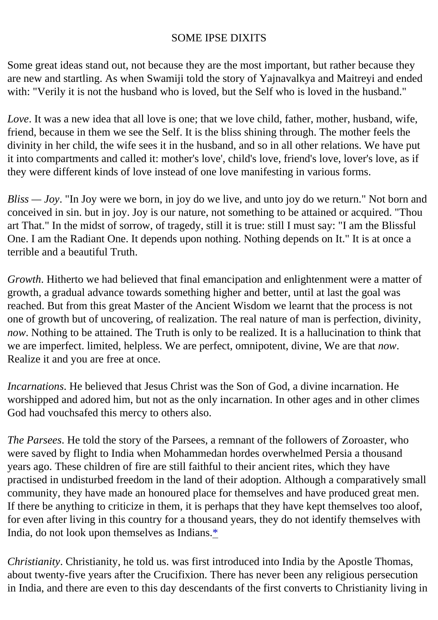#### SOME IPSE DIXITS

Some great ideas stand out, not because they are the most important, but rather because they are new and startling. As when Swamiji told the story of Yajnavalkya and Maitreyi and ended with: "Verily it is not the husband who is loved, but the Self who is loved in the husband."

*Love*. It was a new idea that all love is one; that we love child, father, mother, husband, wife, friend, because in them we see the Self. It is the bliss shining through. The mother feels the divinity in her child, the wife sees it in the husband, and so in all other relations. We have put it into compartments and called it: mother's love', child's love, friend's love, lover's love, as if they were different kinds of love instead of one love manifesting in various forms.

*Bliss — Joy*. "In Joy were we born, in joy do we live, and unto joy do we return." Not born and conceived in sin. but in joy. Joy is our nature, not something to be attained or acquired. "Thou art That." In the midst of sorrow, of tragedy, still it is true: still I must say: "I am the Blissful One. I am the Radiant One. It depends upon nothing. Nothing depends on It." It is at once a terrible and a beautiful Truth.

*Growth*. Hitherto we had believed that final emancipation and enlightenment were a matter of growth, a gradual advance towards something higher and better, until at last the goal was reached. But from this great Master of the Ancient Wisdom we learnt that the process is not one of growth but of uncovering, of realization. The real nature of man is perfection, divinity, *now*. Nothing to be attained. The Truth is only to be realized. It is a hallucination to think that we are imperfect. limited, helpless. We are perfect, omnipotent, divine, We are that *now*. Realize it and you are free at once.

*Incarnations*. He believed that Jesus Christ was the Son of God, a divine incarnation. He worshipped and adored him, but not as the only incarnation. In other ages and in other climes God had vouchsafed this mercy to others also.

*The Parsees*. He told the story of the Parsees, a remnant of the followers of Zoroaster, who were saved by flight to India when Mohammedan hordes overwhelmed Persia a thousand years ago. These children of fire are still faithful to their ancient rites, which they have practised in undisturbed freedom in the land of their adoption. Although a comparatively small community, they have made an honoured place for themselves and have produced great men. If there be anything to criticize in them, it is perhaps that they have kept themselves too aloof, for even after living in this country for a thousand years, they do not identify themselves with India, do not look upon themselves as Indians.[\\*](#page-101-0)

*Christianity*. Christianity, he told us. was first introduced into India by the Apostle Thomas, about twenty-five years after the Crucifixion. There has never been any religious persecution in India, and there are even to this day descendants of the first converts to Christianity living in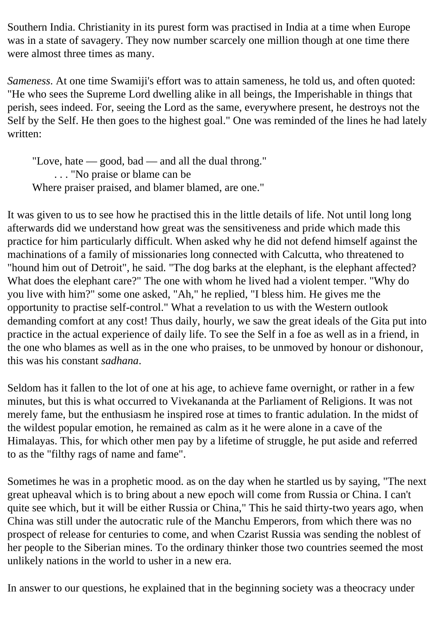Southern India. Christianity in its purest form was practised in India at a time when Europe was in a state of savagery. They now number scarcely one million though at one time there were almost three times as many.

*Sameness*. At one time Swamiji's effort was to attain sameness, he told us, and often quoted: "He who sees the Supreme Lord dwelling alike in all beings, the Imperishable in things that perish, sees indeed. For, seeing the Lord as the same, everywhere present, he destroys not the Self by the Self. He then goes to the highest goal." One was reminded of the lines he had lately written:

"Love, hate — good, bad — and all the dual throng." . . . "No praise or blame can be Where praiser praised, and blamer blamed, are one."

It was given to us to see how he practised this in the little details of life. Not until long long afterwards did we understand how great was the sensitiveness and pride which made this practice for him particularly difficult. When asked why he did not defend himself against the machinations of a family of missionaries long connected with Calcutta, who threatened to "hound him out of Detroit", he said. "The dog barks at the elephant, is the elephant affected? What does the elephant care?" The one with whom he lived had a violent temper. "Why do you live with him?" some one asked, "Ah," he replied, "I bless him. He gives me the opportunity to practise self-control." What a revelation to us with the Western outlook demanding comfort at any cost! Thus daily, hourly, we saw the great ideals of the Gita put into practice in the actual experience of daily life. To see the Self in a foe as well as in a friend, in the one who blames as well as in the one who praises, to be unmoved by honour or dishonour, this was his constant *sadhana*.

Seldom has it fallen to the lot of one at his age, to achieve fame overnight, or rather in a few minutes, but this is what occurred to Vivekananda at the Parliament of Religions. It was not merely fame, but the enthusiasm he inspired rose at times to frantic adulation. In the midst of the wildest popular emotion, he remained as calm as it he were alone in a cave of the Himalayas. This, for which other men pay by a lifetime of struggle, he put aside and referred to as the "filthy rags of name and fame".

Sometimes he was in a prophetic mood. as on the day when he startled us by saying, "The next great upheaval which is to bring about a new epoch will come from Russia or China. I can't quite see which, but it will be either Russia or China," This he said thirty-two years ago, when China was still under the autocratic rule of the Manchu Emperors, from which there was no prospect of release for centuries to come, and when Czarist Russia was sending the noblest of her people to the Siberian mines. To the ordinary thinker those two countries seemed the most unlikely nations in the world to usher in a new era.

In answer to our questions, he explained that in the beginning society was a theocracy under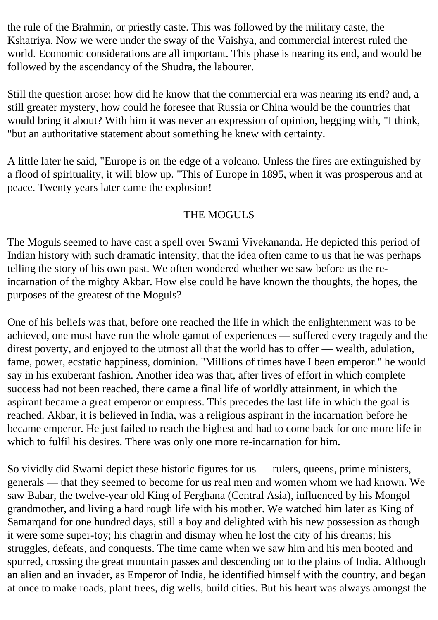the rule of the Brahmin, or priestly caste. This was followed by the military caste, the Kshatriya. Now we were under the sway of the Vaishya, and commercial interest ruled the world. Economic considerations are all important. This phase is nearing its end, and would be followed by the ascendancy of the Shudra, the labourer.

Still the question arose: how did he know that the commercial era was nearing its end? and, a still greater mystery, how could he foresee that Russia or China would be the countries that would bring it about? With him it was never an expression of opinion, begging with, "I think, "but an authoritative statement about something he knew with certainty.

A little later he said, "Europe is on the edge of a volcano. Unless the fires are extinguished by a flood of spirituality, it will blow up. "This of Europe in 1895, when it was prosperous and at peace. Twenty years later came the explosion!

## THE MOGULS

The Moguls seemed to have cast a spell over Swami Vivekananda. He depicted this period of Indian history with such dramatic intensity, that the idea often came to us that he was perhaps telling the story of his own past. We often wondered whether we saw before us the reincarnation of the mighty Akbar. How else could he have known the thoughts, the hopes, the purposes of the greatest of the Moguls?

One of his beliefs was that, before one reached the life in which the enlightenment was to be achieved, one must have run the whole gamut of experiences — suffered every tragedy and the direst poverty, and enjoyed to the utmost all that the world has to offer — wealth, adulation, fame, power, ecstatic happiness, dominion. "Millions of times have I been emperor." he would say in his exuberant fashion. Another idea was that, after lives of effort in which complete success had not been reached, there came a final life of worldly attainment, in which the aspirant became a great emperor or empress. This precedes the last life in which the goal is reached. Akbar, it is believed in India, was a religious aspirant in the incarnation before he became emperor. He just failed to reach the highest and had to come back for one more life in which to fulfil his desires. There was only one more re-incarnation for him.

So vividly did Swami depict these historic figures for us — rulers, queens, prime ministers, generals — that they seemed to become for us real men and women whom we had known. We saw Babar, the twelve-year old King of Ferghana (Central Asia), influenced by his Mongol grandmother, and living a hard rough life with his mother. We watched him later as King of Samarqand for one hundred days, still a boy and delighted with his new possession as though it were some super-toy; his chagrin and dismay when he lost the city of his dreams; his struggles, defeats, and conquests. The time came when we saw him and his men booted and spurred, crossing the great mountain passes and descending on to the plains of India. Although an alien and an invader, as Emperor of India, he identified himself with the country, and began at once to make roads, plant trees, dig wells, build cities. But his heart was always amongst the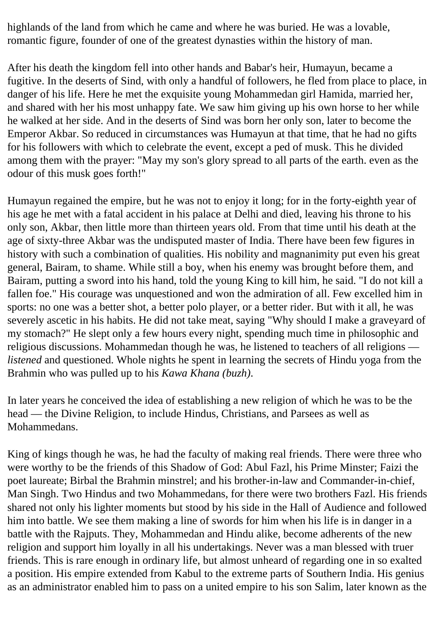highlands of the land from which he came and where he was buried. He was a lovable, romantic figure, founder of one of the greatest dynasties within the history of man.

After his death the kingdom fell into other hands and Babar's heir, Humayun, became a fugitive. In the deserts of Sind, with only a handful of followers, he fled from place to place, in danger of his life. Here he met the exquisite young Mohammedan girl Hamida, married her, and shared with her his most unhappy fate. We saw him giving up his own horse to her while he walked at her side. And in the deserts of Sind was born her only son, later to become the Emperor Akbar. So reduced in circumstances was Humayun at that time, that he had no gifts for his followers with which to celebrate the event, except a ped of musk. This he divided among them with the prayer: "May my son's glory spread to all parts of the earth. even as the odour of this musk goes forth!"

Humayun regained the empire, but he was not to enjoy it long; for in the forty-eighth year of his age he met with a fatal accident in his palace at Delhi and died, leaving his throne to his only son, Akbar, then little more than thirteen years old. From that time until his death at the age of sixty-three Akbar was the undisputed master of India. There have been few figures in history with such a combination of qualities. His nobility and magnanimity put even his great general, Bairam, to shame. While still a boy, when his enemy was brought before them, and Bairam, putting a sword into his hand, told the young King to kill him, he said. "I do not kill a fallen foe." His courage was unquestioned and won the admiration of all. Few excelled him in sports: no one was a better shot, a better polo player, or a better rider. But with it all, he was severely ascetic in his habits. He did not take meat, saying "Why should I make a graveyard of my stomach?" He slept only a few hours every night, spending much time in philosophic and religious discussions. Mohammedan though he was, he listened to teachers of all religions *listened* and questioned. Whole nights he spent in learning the secrets of Hindu yoga from the Brahmin who was pulled up to his *Kawa Khana (buzh)*.

In later years he conceived the idea of establishing a new religion of which he was to be the head — the Divine Religion, to include Hindus, Christians, and Parsees as well as Mohammedans.

King of kings though he was, he had the faculty of making real friends. There were three who were worthy to be the friends of this Shadow of God: Abul Fazl, his Prime Minster; Faizi the poet laureate; Birbal the Brahmin minstrel; and his brother-in-law and Commander-in-chief, Man Singh. Two Hindus and two Mohammedans, for there were two brothers Fazl. His friends shared not only his lighter moments but stood by his side in the Hall of Audience and followed him into battle. We see them making a line of swords for him when his life is in danger in a battle with the Rajputs. They, Mohammedan and Hindu alike, become adherents of the new religion and support him loyally in all his undertakings. Never was a man blessed with truer friends. This is rare enough in ordinary life, but almost unheard of regarding one in so exalted a position. His empire extended from Kabul to the extreme parts of Southern India. His genius as an administrator enabled him to pass on a united empire to his son Salim, later known as the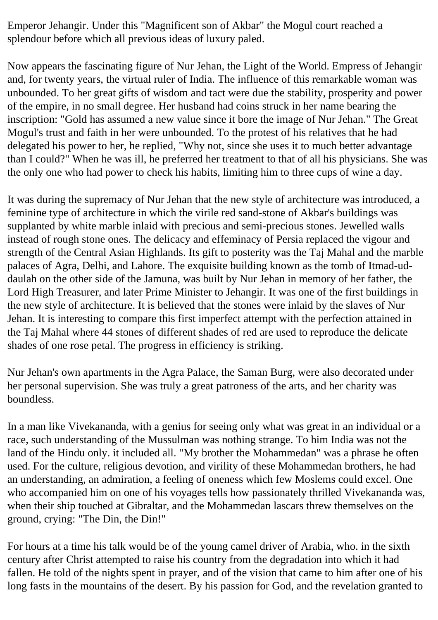Emperor Jehangir. Under this "Magnificent son of Akbar" the Mogul court reached a splendour before which all previous ideas of luxury paled.

Now appears the fascinating figure of Nur Jehan, the Light of the World. Empress of Jehangir and, for twenty years, the virtual ruler of India. The influence of this remarkable woman was unbounded. To her great gifts of wisdom and tact were due the stability, prosperity and power of the empire, in no small degree. Her husband had coins struck in her name bearing the inscription: "Gold has assumed a new value since it bore the image of Nur Jehan." The Great Mogul's trust and faith in her were unbounded. To the protest of his relatives that he had delegated his power to her, he replied, "Why not, since she uses it to much better advantage than I could?" When he was ill, he preferred her treatment to that of all his physicians. She was the only one who had power to check his habits, limiting him to three cups of wine a day.

It was during the supremacy of Nur Jehan that the new style of architecture was introduced, a feminine type of architecture in which the virile red sand-stone of Akbar's buildings was supplanted by white marble inlaid with precious and semi-precious stones. Jewelled walls instead of rough stone ones. The delicacy and effeminacy of Persia replaced the vigour and strength of the Central Asian Highlands. Its gift to posterity was the Taj Mahal and the marble palaces of Agra, Delhi, and Lahore. The exquisite building known as the tomb of Itmad-uddaulah on the other side of the Jamuna, was built by Nur Jehan in memory of her father, the Lord High Treasurer, and later Prime Minister to Jehangir. It was one of the first buildings in the new style of architecture. It is believed that the stones were inlaid by the slaves of Nur Jehan. It is interesting to compare this first imperfect attempt with the perfection attained in the Taj Mahal where 44 stones of different shades of red are used to reproduce the delicate shades of one rose petal. The progress in efficiency is striking.

Nur Jehan's own apartments in the Agra Palace, the Saman Burg, were also decorated under her personal supervision. She was truly a great patroness of the arts, and her charity was boundless.

In a man like Vivekananda, with a genius for seeing only what was great in an individual or a race, such understanding of the Mussulman was nothing strange. To him India was not the land of the Hindu only. it included all. "My brother the Mohammedan" was a phrase he often used. For the culture, religious devotion, and virility of these Mohammedan brothers, he had an understanding, an admiration, a feeling of oneness which few Moslems could excel. One who accompanied him on one of his voyages tells how passionately thrilled Vivekananda was, when their ship touched at Gibraltar, and the Mohammedan lascars threw themselves on the ground, crying: "The Din, the Din!"

For hours at a time his talk would be of the young camel driver of Arabia, who. in the sixth century after Christ attempted to raise his country from the degradation into which it had fallen. He told of the nights spent in prayer, and of the vision that came to him after one of his long fasts in the mountains of the desert. By his passion for God, and the revelation granted to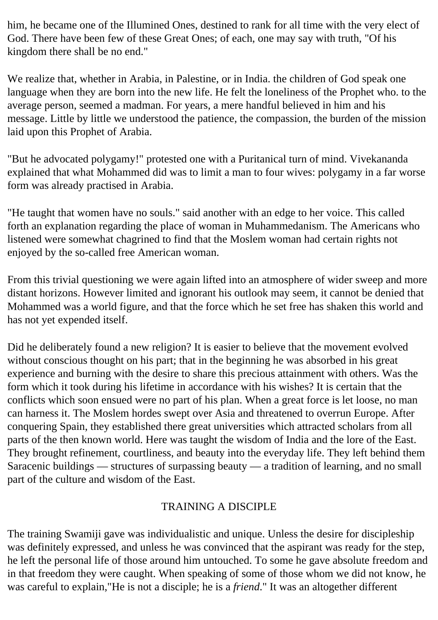him, he became one of the Illumined Ones, destined to rank for all time with the very elect of God. There have been few of these Great Ones; of each, one may say with truth, "Of his kingdom there shall be no end."

We realize that, whether in Arabia, in Palestine, or in India. the children of God speak one language when they are born into the new life. He felt the loneliness of the Prophet who. to the average person, seemed a madman. For years, a mere handful believed in him and his message. Little by little we understood the patience, the compassion, the burden of the mission laid upon this Prophet of Arabia.

"But he advocated polygamy!" protested one with a Puritanical turn of mind. Vivekananda explained that what Mohammed did was to limit a man to four wives: polygamy in a far worse form was already practised in Arabia.

"He taught that women have no souls." said another with an edge to her voice. This called forth an explanation regarding the place of woman in Muhammedanism. The Americans who listened were somewhat chagrined to find that the Moslem woman had certain rights not enjoyed by the so-called free American woman.

From this trivial questioning we were again lifted into an atmosphere of wider sweep and more distant horizons. However limited and ignorant his outlook may seem, it cannot be denied that Mohammed was a world figure, and that the force which he set free has shaken this world and has not yet expended itself.

Did he deliberately found a new religion? It is easier to believe that the movement evolved without conscious thought on his part; that in the beginning he was absorbed in his great experience and burning with the desire to share this precious attainment with others. Was the form which it took during his lifetime in accordance with his wishes? It is certain that the conflicts which soon ensued were no part of his plan. When a great force is let loose, no man can harness it. The Moslem hordes swept over Asia and threatened to overrun Europe. After conquering Spain, they established there great universities which attracted scholars from all parts of the then known world. Here was taught the wisdom of India and the lore of the East. They brought refinement, courtliness, and beauty into the everyday life. They left behind them Saracenic buildings — structures of surpassing beauty — a tradition of learning, and no small part of the culture and wisdom of the East.

# TRAINING A DISCIPLE

The training Swamiji gave was individualistic and unique. Unless the desire for discipleship was definitely expressed, and unless he was convinced that the aspirant was ready for the step, he left the personal life of those around him untouched. To some he gave absolute freedom and in that freedom they were caught. When speaking of some of those whom we did not know, he was careful to explain,"He is not a disciple; he is a *friend*." It was an altogether different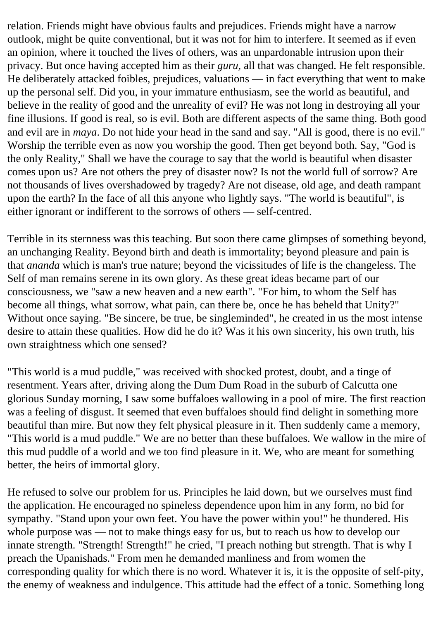relation. Friends might have obvious faults and prejudices. Friends might have a narrow outlook, might be quite conventional, but it was not for him to interfere. It seemed as if even an opinion, where it touched the lives of others, was an unpardonable intrusion upon their privacy. But once having accepted him as their *guru*, all that was changed. He felt responsible. He deliberately attacked foibles, prejudices, valuations — in fact everything that went to make up the personal self. Did you, in your immature enthusiasm, see the world as beautiful, and believe in the reality of good and the unreality of evil? He was not long in destroying all your fine illusions. If good is real, so is evil. Both are different aspects of the same thing. Both good and evil are in *maya*. Do not hide your head in the sand and say. "All is good, there is no evil." Worship the terrible even as now you worship the good. Then get beyond both. Say, "God is the only Reality," Shall we have the courage to say that the world is beautiful when disaster comes upon us? Are not others the prey of disaster now? Is not the world full of sorrow? Are not thousands of lives overshadowed by tragedy? Are not disease, old age, and death rampant upon the earth? In the face of all this anyone who lightly says. "The world is beautiful", is either ignorant or indifferent to the sorrows of others — self-centred.

Terrible in its sternness was this teaching. But soon there came glimpses of something beyond, an unchanging Reality. Beyond birth and death is immortality; beyond pleasure and pain is that *ananda* which is man's true nature; beyond the vicissitudes of life is the changeless. The Self of man remains serene in its own glory. As these great ideas became part of our consciousness, we "saw a new heaven and a new earth". "For him, to whom the Self has become all things, what sorrow, what pain, can there be, once he has beheld that Unity?" Without once saying. "Be sincere, be true, be singleminded", he created in us the most intense desire to attain these qualities. How did he do it? Was it his own sincerity, his own truth, his own straightness which one sensed?

"This world is a mud puddle," was received with shocked protest, doubt, and a tinge of resentment. Years after, driving along the Dum Dum Road in the suburb of Calcutta one glorious Sunday morning, I saw some buffaloes wallowing in a pool of mire. The first reaction was a feeling of disgust. It seemed that even buffaloes should find delight in something more beautiful than mire. But now they felt physical pleasure in it. Then suddenly came a memory, "This world is a mud puddle." We are no better than these buffaloes. We wallow in the mire of this mud puddle of a world and we too find pleasure in it. We, who are meant for something better, the heirs of immortal glory.

He refused to solve our problem for us. Principles he laid down, but we ourselves must find the application. He encouraged no spineless dependence upon him in any form, no bid for sympathy. "Stand upon your own feet. You have the power within you!" he thundered. His whole purpose was — not to make things easy for us, but to reach us how to develop our innate strength. "Strength! Strength!" he cried, "I preach nothing but strength. That is why I preach the Upanishads." From men he demanded manliness and from women the corresponding quality for which there is no word. Whatever it is, it is the opposite of self-pity, the enemy of weakness and indulgence. This attitude had the effect of a tonic. Something long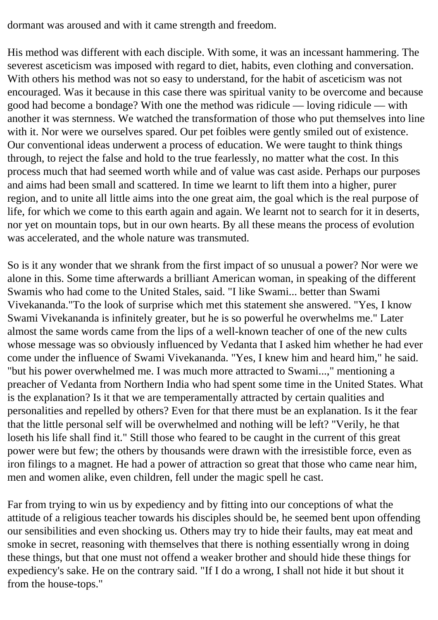dormant was aroused and with it came strength and freedom.

His method was different with each disciple. With some, it was an incessant hammering. The severest asceticism was imposed with regard to diet, habits, even clothing and conversation. With others his method was not so easy to understand, for the habit of asceticism was not encouraged. Was it because in this case there was spiritual vanity to be overcome and because good had become a bondage? With one the method was ridicule — loving ridicule — with another it was sternness. We watched the transformation of those who put themselves into line with it. Nor were we ourselves spared. Our pet foibles were gently smiled out of existence. Our conventional ideas underwent a process of education. We were taught to think things through, to reject the false and hold to the true fearlessly, no matter what the cost. In this process much that had seemed worth while and of value was cast aside. Perhaps our purposes and aims had been small and scattered. In time we learnt to lift them into a higher, purer region, and to unite all little aims into the one great aim, the goal which is the real purpose of life, for which we come to this earth again and again. We learnt not to search for it in deserts, nor yet on mountain tops, but in our own hearts. By all these means the process of evolution was accelerated, and the whole nature was transmuted.

So is it any wonder that we shrank from the first impact of so unusual a power? Nor were we alone in this. Some time afterwards a brilliant American woman, in speaking of the different Swamis who had come to the United Stales, said. "I like Swami... better than Swami Vivekananda."To the look of surprise which met this statement she answered. "Yes, I know Swami Vivekananda is infinitely greater, but he is so powerful he overwhelms me." Later almost the same words came from the lips of a well-known teacher of one of the new cults whose message was so obviously influenced by Vedanta that I asked him whether he had ever come under the influence of Swami Vivekananda. "Yes, I knew him and heard him," he said. "but his power overwhelmed me. I was much more attracted to Swami...," mentioning a preacher of Vedanta from Northern India who had spent some time in the United States. What is the explanation? Is it that we are temperamentally attracted by certain qualities and personalities and repelled by others? Even for that there must be an explanation. Is it the fear that the little personal self will be overwhelmed and nothing will be left? "Verily, he that loseth his life shall find it." Still those who feared to be caught in the current of this great power were but few; the others by thousands were drawn with the irresistible force, even as iron filings to a magnet. He had a power of attraction so great that those who came near him, men and women alike, even children, fell under the magic spell he cast.

Far from trying to win us by expediency and by fitting into our conceptions of what the attitude of a religious teacher towards his disciples should be, he seemed bent upon offending our sensibilities and even shocking us. Others may try to hide their faults, may eat meat and smoke in secret, reasoning with themselves that there is nothing essentially wrong in doing these things, but that one must not offend a weaker brother and should hide these things for expediency's sake. He on the contrary said. "If I do a wrong, I shall not hide it but shout it from the house-tops."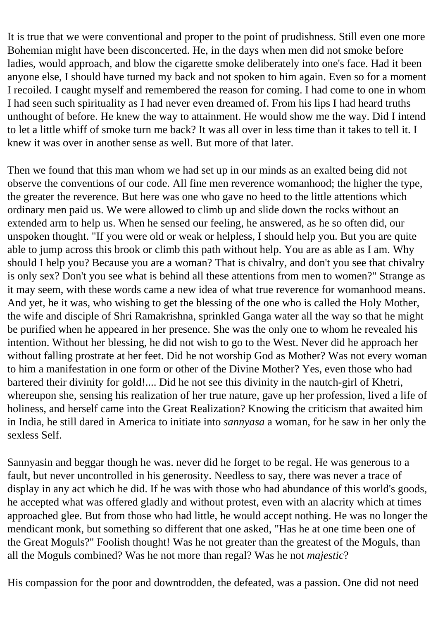It is true that we were conventional and proper to the point of prudishness. Still even one more Bohemian might have been disconcerted. He, in the days when men did not smoke before ladies, would approach, and blow the cigarette smoke deliberately into one's face. Had it been anyone else, I should have turned my back and not spoken to him again. Even so for a moment I recoiled. I caught myself and remembered the reason for coming. I had come to one in whom I had seen such spirituality as I had never even dreamed of. From his lips I had heard truths unthought of before. He knew the way to attainment. He would show me the way. Did I intend to let a little whiff of smoke turn me back? It was all over in less time than it takes to tell it. I knew it was over in another sense as well. But more of that later.

Then we found that this man whom we had set up in our minds as an exalted being did not observe the conventions of our code. All fine men reverence womanhood; the higher the type, the greater the reverence. But here was one who gave no heed to the little attentions which ordinary men paid us. We were allowed to climb up and slide down the rocks without an extended arm to help us. When he sensed our feeling, he answered, as he so often did, our unspoken thought. "If you were old or weak or helpless, I should help you. But you are quite able to jump across this brook or climb this path without help. You are as able as I am. Why should I help you? Because you are a woman? That is chivalry, and don't you see that chivalry is only sex? Don't you see what is behind all these attentions from men to women?" Strange as it may seem, with these words came a new idea of what true reverence for womanhood means. And yet, he it was, who wishing to get the blessing of the one who is called the Holy Mother, the wife and disciple of Shri Ramakrishna, sprinkled Ganga water all the way so that he might be purified when he appeared in her presence. She was the only one to whom he revealed his intention. Without her blessing, he did not wish to go to the West. Never did he approach her without falling prostrate at her feet. Did he not worship God as Mother? Was not every woman to him a manifestation in one form or other of the Divine Mother? Yes, even those who had bartered their divinity for gold!.... Did he not see this divinity in the nautch-girl of Khetri, whereupon she, sensing his realization of her true nature, gave up her profession, lived a life of holiness, and herself came into the Great Realization? Knowing the criticism that awaited him in India, he still dared in America to initiate into *sannyasa* a woman, for he saw in her only the sexless Self.

Sannyasin and beggar though he was. never did he forget to be regal. He was generous to a fault, but never uncontrolled in his generosity. Needless to say, there was never a trace of display in any act which he did. If he was with those who had abundance of this world's goods, he accepted what was offered gladly and without protest, even with an alacrity which at times approached glee. But from those who had little, he would accept nothing. He was no longer the mendicant monk, but something so different that one asked, "Has he at one time been one of the Great Moguls?" Foolish thought! Was he not greater than the greatest of the Moguls, than all the Moguls combined? Was he not more than regal? Was he not *majestic*?

His compassion for the poor and downtrodden, the defeated, was a passion. One did not need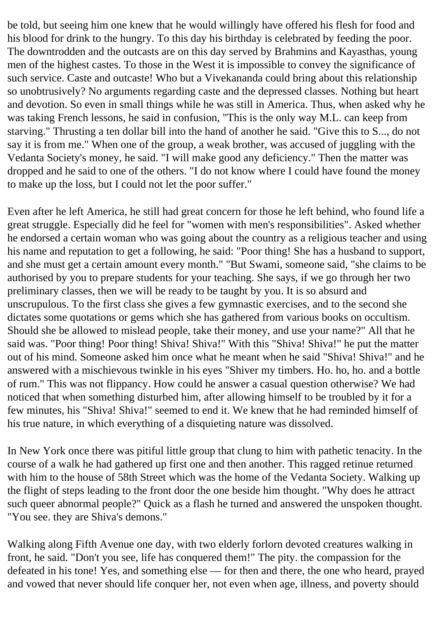be told, but seeing him one knew that he would willingly have offered his flesh for food and his blood for drink to the hungry. To this day his birthday is celebrated by feeding the poor. The downtrodden and the outcasts are on this day served by Brahmins and Kayasthas, young men of the highest castes. To those in the West it is impossible to convey the significance of such service. Caste and outcaste! Who but a Vivekananda could bring about this relationship so unobtrusively? No arguments regarding caste and the depressed classes. Nothing but heart and devotion. So even in small things while he was still in America. Thus, when asked why he was taking French lessons, he said in confusion, "This is the only way M.L. can keep from starving." Thrusting a ten dollar bill into the hand of another he said. "Give this to S..., do not say it is from me." When one of the group, a weak brother, was accused of juggling with the Vedanta Society's money, he said. "I will make good any deficiency." Then the matter was dropped and he said to one of the others. "I do not know where I could have found the money to make up the loss, but I could not let the poor suffer."

Even after he left America, he still had great concern for those he left behind, who found life a great struggle. Especially did he feel for "women with men's responsibilities". Asked whether he endorsed a certain woman who was going about the country as a religious teacher and using his name and reputation to get a following, he said: "Poor thing! She has a husband to support, and she must get a certain amount every month." "But Swami, someone said, "she claims to be authorised by you to prepare students for your teaching. She says, if we go through her two preliminary classes, then we will be ready to be taught by you. It is so absurd and unscrupulous. To the first class she gives a few gymnastic exercises, and to the second she dictates some quotations or gems which she has gathered from various books on occultism. Should she be allowed to mislead people, take their money, and use your name?" All that he said was. "Poor thing! Poor thing! Shiva! Shiva!" With this "Shiva! Shiva!" he put the matter out of his mind. Someone asked him once what he meant when he said "Shiva! Shiva!" and he answered with a mischievous twinkle in his eyes "Shiver my timbers. Ho. ho, ho. and a bottle of rum." This was not flippancy. How could he answer a casual question otherwise? We had noticed that when something disturbed him, after allowing himself to be troubled by it for a few minutes, his "Shiva! Shiva!" seemed to end it. We knew that he had reminded himself of his true nature, in which everything of a disquieting nature was dissolved.

In New York once there was pitiful little group that clung to him with pathetic tenacity. In the course of a walk he had gathered up first one and then another. This ragged retinue returned with him to the house of 58th Street which was the home of the Vedanta Society. Walking up the flight of steps leading to the front door the one beside him thought. "Why does he attract such queer abnormal people?" Quick as a flash he turned and answered the unspoken thought. "You see. they are Shiva's demons."

Walking along Fifth Avenue one day, with two elderly forlorn devoted creatures walking in front, he said. "Don't you see, life has conquered them!" The pity. the compassion for the defeated in his tone! Yes, and something else — for then and there, the one who heard, prayed and vowed that never should life conquer her, not even when age, illness, and poverty should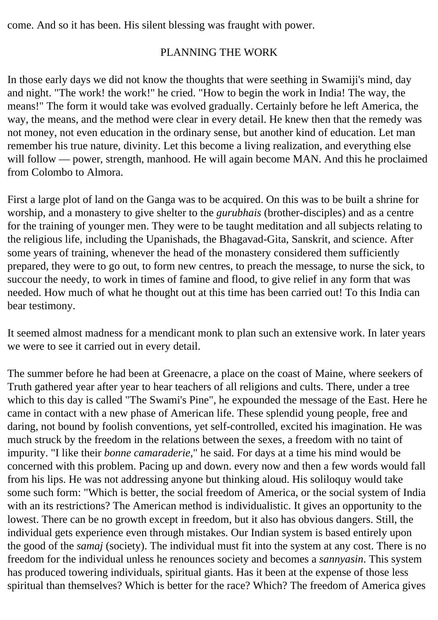come. And so it has been. His silent blessing was fraught with power.

## PLANNING THE WORK

In those early days we did not know the thoughts that were seething in Swamiji's mind, day and night. "The work! the work!" he cried. "How to begin the work in India! The way, the means!" The form it would take was evolved gradually. Certainly before he left America, the way, the means, and the method were clear in every detail. He knew then that the remedy was not money, not even education in the ordinary sense, but another kind of education. Let man remember his true nature, divinity. Let this become a living realization, and everything else will follow — power, strength, manhood. He will again become MAN. And this he proclaimed from Colombo to Almora.

First a large plot of land on the Ganga was to be acquired. On this was to be built a shrine for worship, and a monastery to give shelter to the *gurubhais* (brother-disciples) and as a centre for the training of younger men. They were to be taught meditation and all subjects relating to the religious life, including the Upanishads, the Bhagavad-Gita, Sanskrit, and science. After some years of training, whenever the head of the monastery considered them sufficiently prepared, they were to go out, to form new centres, to preach the message, to nurse the sick, to succour the needy, to work in times of famine and flood, to give relief in any form that was needed. How much of what he thought out at this time has been carried out! To this India can bear testimony.

It seemed almost madness for a mendicant monk to plan such an extensive work. In later years we were to see it carried out in every detail.

The summer before he had been at Greenacre, a place on the coast of Maine, where seekers of Truth gathered year after year to hear teachers of all religions and cults. There, under a tree which to this day is called "The Swami's Pine", he expounded the message of the East. Here he came in contact with a new phase of American life. These splendid young people, free and daring, not bound by foolish conventions, yet self-controlled, excited his imagination. He was much struck by the freedom in the relations between the sexes, a freedom with no taint of impurity. "I like their *bonne camaraderie*," he said. For days at a time his mind would be concerned with this problem. Pacing up and down. every now and then a few words would fall from his lips. He was not addressing anyone but thinking aloud. His soliloquy would take some such form: "Which is better, the social freedom of America, or the social system of India with an its restrictions? The American method is individualistic. It gives an opportunity to the lowest. There can be no growth except in freedom, but it also has obvious dangers. Still, the individual gets experience even through mistakes. Our Indian system is based entirely upon the good of the *samaj* (society). The individual must fit into the system at any cost. There is no freedom for the individual unless he renounces society and becomes a *sannyasin*. This system has produced towering individuals, spiritual giants. Has it been at the expense of those less spiritual than themselves? Which is better for the race? Which? The freedom of America gives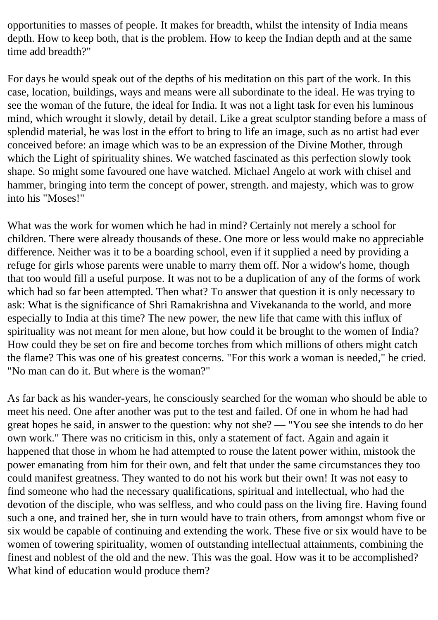opportunities to masses of people. It makes for breadth, whilst the intensity of India means depth. How to keep both, that is the problem. How to keep the Indian depth and at the same time add breadth?"

For days he would speak out of the depths of his meditation on this part of the work. In this case, location, buildings, ways and means were all subordinate to the ideal. He was trying to see the woman of the future, the ideal for India. It was not a light task for even his luminous mind, which wrought it slowly, detail by detail. Like a great sculptor standing before a mass of splendid material, he was lost in the effort to bring to life an image, such as no artist had ever conceived before: an image which was to be an expression of the Divine Mother, through which the Light of spirituality shines. We watched fascinated as this perfection slowly took shape. So might some favoured one have watched. Michael Angelo at work with chisel and hammer, bringing into term the concept of power, strength. and majesty, which was to grow into his "Moses!"

What was the work for women which he had in mind? Certainly not merely a school for children. There were already thousands of these. One more or less would make no appreciable difference. Neither was it to be a boarding school, even if it supplied a need by providing a refuge for girls whose parents were unable to marry them off. Nor a widow's home, though that too would fill a useful purpose. It was not to be a duplication of any of the forms of work which had so far been attempted. Then what? To answer that question it is only necessary to ask: What is the significance of Shri Ramakrishna and Vivekananda to the world, and more especially to India at this time? The new power, the new life that came with this influx of spirituality was not meant for men alone, but how could it be brought to the women of India? How could they be set on fire and become torches from which millions of others might catch the flame? This was one of his greatest concerns. "For this work a woman is needed," he cried. "No man can do it. But where is the woman?"

As far back as his wander-years, he consciously searched for the woman who should be able to meet his need. One after another was put to the test and failed. Of one in whom he had had great hopes he said, in answer to the question: why not she? — "You see she intends to do her own work." There was no criticism in this, only a statement of fact. Again and again it happened that those in whom he had attempted to rouse the latent power within, mistook the power emanating from him for their own, and felt that under the same circumstances they too could manifest greatness. They wanted to do not his work but their own! It was not easy to find someone who had the necessary qualifications, spiritual and intellectual, who had the devotion of the disciple, who was selfless, and who could pass on the living fire. Having found such a one, and trained her, she in turn would have to train others, from amongst whom five or six would be capable of continuing and extending the work. These five or six would have to be women of towering spirituality, women of outstanding intellectual attainments, combining the finest and noblest of the old and the new. This was the goal. How was it to be accomplished? What kind of education would produce them?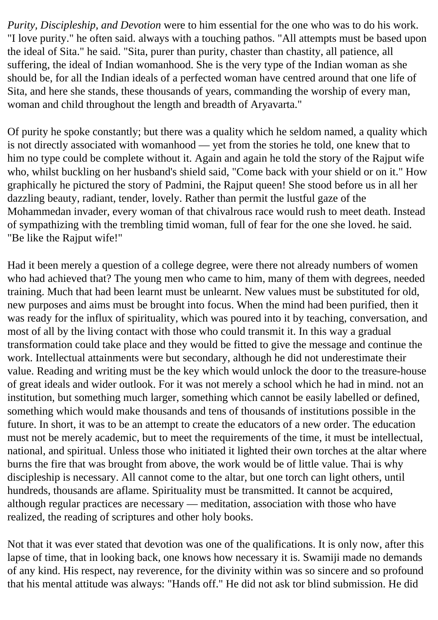*Purity, Discipleship, and Devotion* were to him essential for the one who was to do his work. "I love purity." he often said. always with a touching pathos. "All attempts must be based upon the ideal of Sita." he said. "Sita, purer than purity, chaster than chastity, all patience, all suffering, the ideal of Indian womanhood. She is the very type of the Indian woman as she should be, for all the Indian ideals of a perfected woman have centred around that one life of Sita, and here she stands, these thousands of years, commanding the worship of every man, woman and child throughout the length and breadth of Aryavarta."

Of purity he spoke constantly; but there was a quality which he seldom named, a quality which is not directly associated with womanhood — yet from the stories he told, one knew that to him no type could be complete without it. Again and again he told the story of the Rajput wife who, whilst buckling on her husband's shield said, "Come back with your shield or on it." How graphically he pictured the story of Padmini, the Rajput queen! She stood before us in all her dazzling beauty, radiant, tender, lovely. Rather than permit the lustful gaze of the Mohammedan invader, every woman of that chivalrous race would rush to meet death. Instead of sympathizing with the trembling timid woman, full of fear for the one she loved. he said. "Be like the Rajput wife!"

Had it been merely a question of a college degree, were there not already numbers of women who had achieved that? The young men who came to him, many of them with degrees, needed training. Much that had been learnt must be unlearnt. New values must be substituted for old, new purposes and aims must be brought into focus. When the mind had been purified, then it was ready for the influx of spirituality, which was poured into it by teaching, conversation, and most of all by the living contact with those who could transmit it. In this way a gradual transformation could take place and they would be fitted to give the message and continue the work. Intellectual attainments were but secondary, although he did not underestimate their value. Reading and writing must be the key which would unlock the door to the treasure-house of great ideals and wider outlook. For it was not merely a school which he had in mind. not an institution, but something much larger, something which cannot be easily labelled or defined, something which would make thousands and tens of thousands of institutions possible in the future. In short, it was to be an attempt to create the educators of a new order. The education must not be merely academic, but to meet the requirements of the time, it must be intellectual, national, and spiritual. Unless those who initiated it lighted their own torches at the altar where burns the fire that was brought from above, the work would be of little value. Thai is why discipleship is necessary. All cannot come to the altar, but one torch can light others, until hundreds, thousands are aflame. Spirituality must be transmitted. It cannot be acquired, although regular practices are necessary — meditation, association with those who have realized, the reading of scriptures and other holy books.

Not that it was ever stated that devotion was one of the qualifications. It is only now, after this lapse of time, that in looking back, one knows how necessary it is. Swamiji made no demands of any kind. His respect, nay reverence, for the divinity within was so sincere and so profound that his mental attitude was always: "Hands off." He did not ask tor blind submission. He did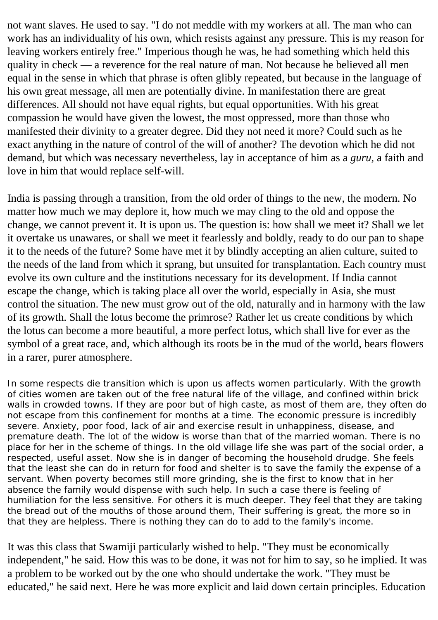not want slaves. He used to say. "I do not meddle with my workers at all. The man who can work has an individuality of his own, which resists against any pressure. This is my reason for leaving workers entirely free." Imperious though he was, he had something which held this quality in check — a reverence for the real nature of man. Not because he believed all men equal in the sense in which that phrase is often glibly repeated, but because in the language of his own great message, all men are potentially divine. In manifestation there are great differences. All should not have equal rights, but equal opportunities. With his great compassion he would have given the lowest, the most oppressed, more than those who manifested their divinity to a greater degree. Did they not need it more? Could such as he exact anything in the nature of control of the will of another? The devotion which he did not demand, but which was necessary nevertheless, lay in acceptance of him as a *guru*, a faith and love in him that would replace self-will.

India is passing through a transition, from the old order of things to the new, the modern. No matter how much we may deplore it, how much we may cling to the old and oppose the change, we cannot prevent it. It is upon us. The question is: how shall we meet it? Shall we let it overtake us unawares, or shall we meet it fearlessly and boldly, ready to do our pan to shape it to the needs of the future? Some have met it by blindly accepting an alien culture, suited to the needs of the land from which it sprang, but unsuited for transplantation. Each country must evolve its own culture and the institutions necessary for its development. If India cannot escape the change, which is taking place all over the world, especially in Asia, she must control the situation. The new must grow out of the old, naturally and in harmony with the law of its growth. Shall the lotus become the primrose? Rather let us create conditions by which the lotus can become a more beautiful, a more perfect lotus, which shall live for ever as the symbol of a great race, and, which although its roots be in the mud of the world, bears flowers in a rarer, purer atmosphere.

In some respects die transition which is upon us affects women particularly. With the growth of cities women are taken out of the free natural life of the village, and confined within brick walls in crowded towns. If they are poor but of high caste, as most of them are, they often do not escape from this confinement for months at a time. The economic pressure is incredibly severe. Anxiety, poor food, lack of air and exercise result in unhappiness, disease, and premature death. The lot of the widow is worse than that of the married woman. There is no place for her in the scheme of things. In the old village life she was part of the social order, a respected, useful asset. Now she is in danger of becoming the household drudge. She feels that the least she can do in return for food and shelter is to save the family the expense of a servant. When poverty becomes still more grinding, she is the first to know that in her absence the family would dispense with such help. In such a case there is feeling of humiliation for the less sensitive. For others it is much deeper. They feel that they are taking the bread out of the mouths of those around them, Their suffering is great, the more so in that they are helpless. There is nothing they can do to add to the family's income.

It was this class that Swamiji particularly wished to help. "They must be economically independent," he said. How this was to be done, it was not for him to say, so he implied. It was a problem to be worked out by the one who should undertake the work. "They must be educated," he said next. Here he was more explicit and laid down certain principles. Education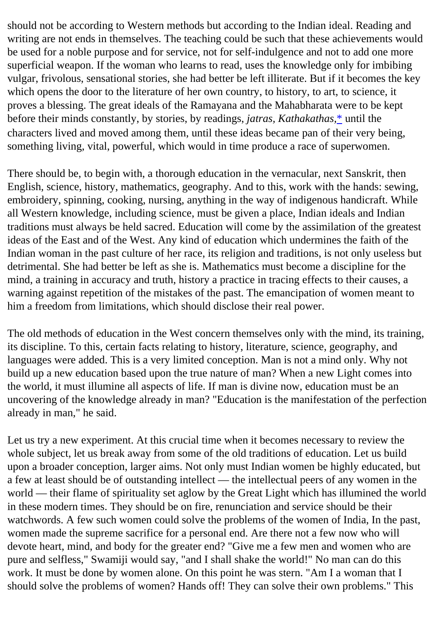should not be according to Western methods but according to the Indian ideal. Reading and writing are not ends in themselves. The teaching could be such that these achievements would be used for a noble purpose and for service, not for self-indulgence and not to add one more superficial weapon. If the woman who learns to read, uses the knowledge only for imbibing vulgar, frivolous, sensational stories, she had better be left illiterate. But if it becomes the key which opens the door to the literature of her own country, to history, to art, to science, it proves a blessing. The great ideals of the Ramayana and the Mahabharata were to be kept before their minds constantly, by stories, by readings, *jatras, Kathakathas,*[\\*](#page-101-0) until the characters lived and moved among them, until these ideas became pan of their very being, something living, vital, powerful, which would in time produce a race of superwomen.

There should be, to begin with, a thorough education in the vernacular, next Sanskrit, then English, science, history, mathematics, geography. And to this, work with the hands: sewing, embroidery, spinning, cooking, nursing, anything in the way of indigenous handicraft. While all Western knowledge, including science, must be given a place, Indian ideals and Indian traditions must always be held sacred. Education will come by the assimilation of the greatest ideas of the East and of the West. Any kind of education which undermines the faith of the Indian woman in the past culture of her race, its religion and traditions, is not only useless but detrimental. She had better be left as she is. Mathematics must become a discipline for the mind, a training in accuracy and truth, history a practice in tracing effects to their causes, a warning against repetition of the mistakes of the past. The emancipation of women meant to him a freedom from limitations, which should disclose their real power.

The old methods of education in the West concern themselves only with the mind, its training, its discipline. To this, certain facts relating to history, literature, science, geography, and languages were added. This is a very limited conception. Man is not a mind only. Why not build up a new education based upon the true nature of man? When a new Light comes into the world, it must illumine all aspects of life. If man is divine now, education must be an uncovering of the knowledge already in man? "Education is the manifestation of the perfection already in man," he said.

Let us try a new experiment. At this crucial time when it becomes necessary to review the whole subject, let us break away from some of the old traditions of education. Let us build upon a broader conception, larger aims. Not only must Indian women be highly educated, but a few at least should be of outstanding intellect — the intellectual peers of any women in the world — their flame of spirituality set aglow by the Great Light which has illumined the world in these modern times. They should be on fire, renunciation and service should be their watchwords. A few such women could solve the problems of the women of India, In the past, women made the supreme sacrifice for a personal end. Are there not a few now who will devote heart, mind, and body for the greater end? "Give me a few men and women who are pure and selfless," Swamiji would say, "and I shall shake the world!" No man can do this work. It must be done by women alone. On this point he was stern. "Am I a woman that I should solve the problems of women? Hands off! They can solve their own problems." This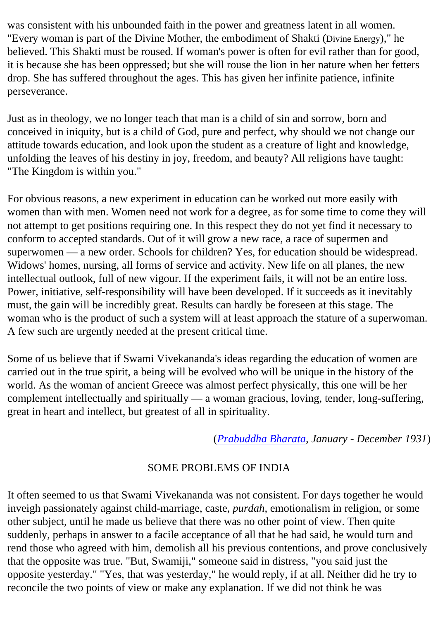was consistent with his unbounded faith in the power and greatness latent in all women. "Every woman is part of the Divine Mother, the embodiment of Shakti (Divine Energy)," he believed. This Shakti must be roused. If woman's power is often for evil rather than for good, it is because she has been oppressed; but she will rouse the lion in her nature when her fetters drop. She has suffered throughout the ages. This has given her infinite patience, infinite perseverance.

Just as in theology, we no longer teach that man is a child of sin and sorrow, born and conceived in iniquity, but is a child of God, pure and perfect, why should we not change our attitude towards education, and look upon the student as a creature of light and knowledge, unfolding the leaves of his destiny in joy, freedom, and beauty? All religions have taught: "The Kingdom is within you."

For obvious reasons, a new experiment in education can be worked out more easily with women than with men. Women need not work for a degree, as for some time to come they will not attempt to get positions requiring one. In this respect they do not yet find it necessary to conform to accepted standards. Out of it will grow a new race, a race of supermen and superwomen — a new order. Schools for children? Yes, for education should be widespread. Widows' homes, nursing, all forms of service and activity. New life on all planes, the new intellectual outlook, full of new vigour. If the experiment fails, it will not be an entire loss. Power, initiative, self-responsibility will have been developed. If it succeeds as it inevitably must, the gain will be incredibly great. Results can hardly be foreseen at this stage. The woman who is the product of such a system will at least approach the stature of a superwoman. A few such are urgently needed at the present critical time.

Some of us believe that if Swami Vivekananda's ideas regarding the education of women are carried out in the true spirit, a being will be evolved who will be unique in the history of the world. As the woman of ancient Greece was almost perfect physically, this one will be her complement intellectually and spiritually — a woman gracious, loving, tender, long-suffering, great in heart and intellect, but greatest of all in spirituality.

(*[Prabuddha Bharata](http://www.advaitaashrama.org/prabuddha_bharata.html), January - December 1931*)

# SOME PROBLEMS OF INDIA

It often seemed to us that Swami Vivekananda was not consistent. For days together he would inveigh passionately against child-marriage, caste, *purdah*, emotionalism in religion, or some other subject, until he made us believe that there was no other point of view. Then quite suddenly, perhaps in answer to a facile acceptance of all that he had said, he would turn and rend those who agreed with him, demolish all his previous contentions, and prove conclusively that the opposite was true. "But, Swamiji," someone said in distress, "you said just the opposite yesterday." "Yes, that was yesterday," he would reply, if at all. Neither did he try to reconcile the two points of view or make any explanation. If we did not think he was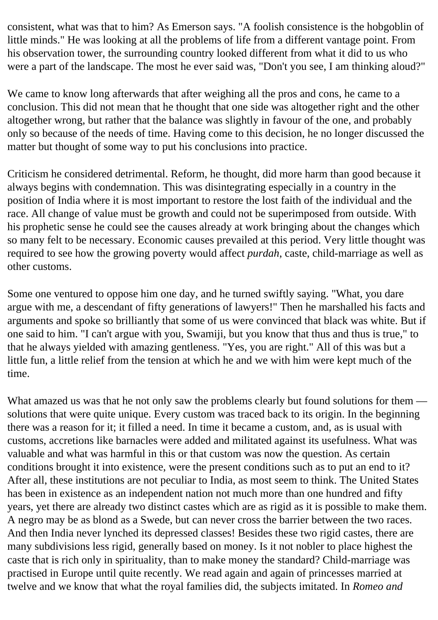consistent, what was that to him? As Emerson says. "A foolish consistence is the hobgoblin of little minds." He was looking at all the problems of life from a different vantage point. From his observation tower, the surrounding country looked different from what it did to us who were a part of the landscape. The most he ever said was, "Don't you see, I am thinking aloud?"

We came to know long afterwards that after weighing all the pros and cons, he came to a conclusion. This did not mean that he thought that one side was altogether right and the other altogether wrong, but rather that the balance was slightly in favour of the one, and probably only so because of the needs of time. Having come to this decision, he no longer discussed the matter but thought of some way to put his conclusions into practice.

Criticism he considered detrimental. Reform, he thought, did more harm than good because it always begins with condemnation. This was disintegrating especially in a country in the position of India where it is most important to restore the lost faith of the individual and the race. All change of value must be growth and could not be superimposed from outside. With his prophetic sense he could see the causes already at work bringing about the changes which so many felt to be necessary. Economic causes prevailed at this period. Very little thought was required to see how the growing poverty would affect *purdah*, caste, child-marriage as well as other customs.

Some one ventured to oppose him one day, and he turned swiftly saying. "What, you dare argue with me, a descendant of fifty generations of lawyers!" Then he marshalled his facts and arguments and spoke so brilliantly that some of us were convinced that black was white. But if one said to him. "I can't argue with you, Swamiji, but you know that thus and thus is true," to that he always yielded with amazing gentleness. "Yes, you are right." All of this was but a little fun, a little relief from the tension at which he and we with him were kept much of the time.

What amazed us was that he not only saw the problems clearly but found solutions for them solutions that were quite unique. Every custom was traced back to its origin. In the beginning there was a reason for it; it filled a need. In time it became a custom, and, as is usual with customs, accretions like barnacles were added and militated against its usefulness. What was valuable and what was harmful in this or that custom was now the question. As certain conditions brought it into existence, were the present conditions such as to put an end to it? After all, these institutions are not peculiar to India, as most seem to think. The United States has been in existence as an independent nation not much more than one hundred and fifty years, yet there are already two distinct castes which are as rigid as it is possible to make them. A negro may be as blond as a Swede, but can never cross the barrier between the two races. And then India never lynched its depressed classes! Besides these two rigid castes, there are many subdivisions less rigid, generally based on money. Is it not nobler to place highest the caste that is rich only in spirituality, than to make money the standard? Child-marriage was practised in Europe until quite recently. We read again and again of princesses married at twelve and we know that what the royal families did, the subjects imitated. In *Romeo and*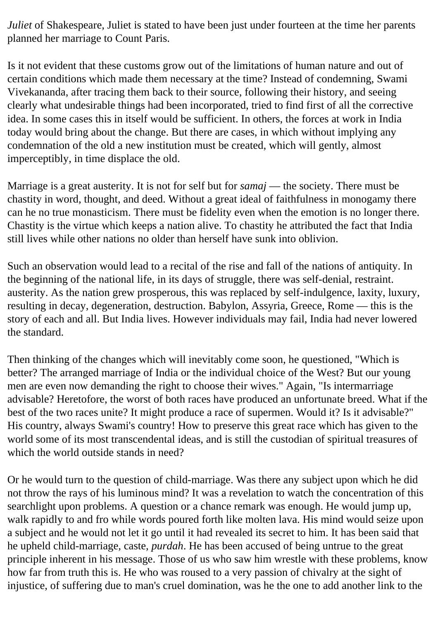*Juliet* of Shakespeare, Juliet is stated to have been just under fourteen at the time her parents planned her marriage to Count Paris.

Is it not evident that these customs grow out of the limitations of human nature and out of certain conditions which made them necessary at the time? Instead of condemning, Swami Vivekananda, after tracing them back to their source, following their history, and seeing clearly what undesirable things had been incorporated, tried to find first of all the corrective idea. In some cases this in itself would be sufficient. In others, the forces at work in India today would bring about the change. But there are cases, in which without implying any condemnation of the old a new institution must be created, which will gently, almost imperceptibly, in time displace the old.

Marriage is a great austerity. It is not for self but for *samaj* — the society. There must be chastity in word, thought, and deed. Without a great ideal of faithfulness in monogamy there can he no true monasticism. There must be fidelity even when the emotion is no longer there. Chastity is the virtue which keeps a nation alive. To chastity he attributed the fact that India still lives while other nations no older than herself have sunk into oblivion.

Such an observation would lead to a recital of the rise and fall of the nations of antiquity. In the beginning of the national life, in its days of struggle, there was self-denial, restraint. austerity. As the nation grew prosperous, this was replaced by self-indulgence, laxity, luxury, resulting in decay, degeneration, destruction. Babylon, Assyria, Greece, Rome — this is the story of each and all. But India lives. However individuals may fail, India had never lowered the standard.

Then thinking of the changes which will inevitably come soon, he questioned, "Which is better? The arranged marriage of India or the individual choice of the West? But our young men are even now demanding the right to choose their wives." Again, "Is intermarriage advisable? Heretofore, the worst of both races have produced an unfortunate breed. What if the best of the two races unite? It might produce a race of supermen. Would it? Is it advisable?" His country, always Swami's country! How to preserve this great race which has given to the world some of its most transcendental ideas, and is still the custodian of spiritual treasures of which the world outside stands in need?

Or he would turn to the question of child-marriage. Was there any subject upon which he did not throw the rays of his luminous mind? It was a revelation to watch the concentration of this searchlight upon problems. A question or a chance remark was enough. He would jump up, walk rapidly to and fro while words poured forth like molten lava. His mind would seize upon a subject and he would not let it go until it had revealed its secret to him. It has been said that he upheld child-marriage, caste, *purdah*. He has been accused of being untrue to the great principle inherent in his message. Those of us who saw him wrestle with these problems, know how far from truth this is. He who was roused to a very passion of chivalry at the sight of injustice, of suffering due to man's cruel domination, was he the one to add another link to the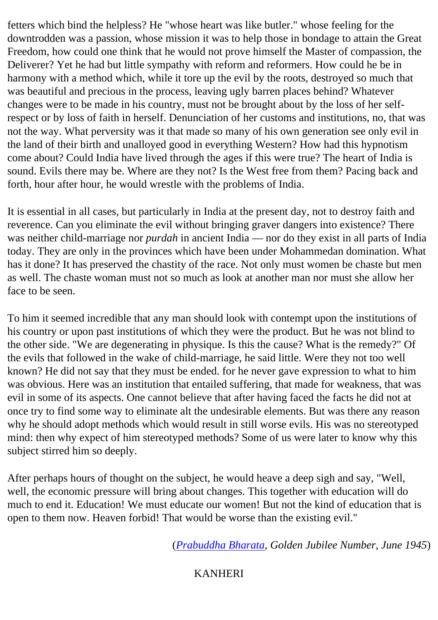fetters which bind the helpless? He "whose heart was like butler." whose feeling for the downtrodden was a passion, whose mission it was to help those in bondage to attain the Great Freedom, how could one think that he would not prove himself the Master of compassion, the Deliverer? Yet he had but little sympathy with reform and reformers. How could he be in harmony with a method which, while it tore up the evil by the roots, destroyed so much that was beautiful and precious in the process, leaving ugly barren places behind? Whatever changes were to be made in his country, must not be brought about by the loss of her selfrespect or by loss of faith in herself. Denunciation of her customs and institutions, no, that was not the way. What perversity was it that made so many of his own generation see only evil in the land of their birth and unalloyed good in everything Western? How had this hypnotism come about? Could India have lived through the ages if this were true? The heart of India is sound. Evils there may be. Where are they not? Is the West free from them? Pacing back and forth, hour after hour, he would wrestle with the problems of India.

It is essential in all cases, but particularly in India at the present day, not to destroy faith and reverence. Can you eliminate the evil without bringing graver dangers into existence? There was neither child-marriage nor *purdah* in ancient India — nor do they exist in all parts of India today. They are only in the provinces which have been under Mohammedan domination. What has it done? It has preserved the chastity of the race. Not only must women be chaste but men as well. The chaste woman must not so much as look at another man nor must she allow her face to be seen.

To him it seemed incredible that any man should look with contempt upon the institutions of his country or upon past institutions of which they were the product. But he was not blind to the other side. "We are degenerating in physique. Is this the cause? What is the remedy?" Of the evils that followed in the wake of child-marriage, he said little. Were they not too well known? He did not say that they must be ended. for he never gave expression to what to him was obvious. Here was an institution that entailed suffering, that made for weakness, that was evil in some of its aspects. One cannot believe that after having faced the facts he did not at once try to find some way to eliminate alt the undesirable elements. But was there any reason why he should adopt methods which would result in still worse evils. His was no stereotyped mind: then why expect of him stereotyped methods? Some of us were later to know why this subject stirred him so deeply.

After perhaps hours of thought on the subject, he would heave a deep sigh and say, "Well, well, the economic pressure will bring about changes. This together with education will do much to end it. Education! We must educate our women! But not the kind of education that is open to them now. Heaven forbid! That would be worse than the existing evil."

(*[Prabuddha Bharata,](http://www.advaitaashrama.org/prabuddha_bharata.html) Golden Jubilee Number, June 1945*)

### KANHERI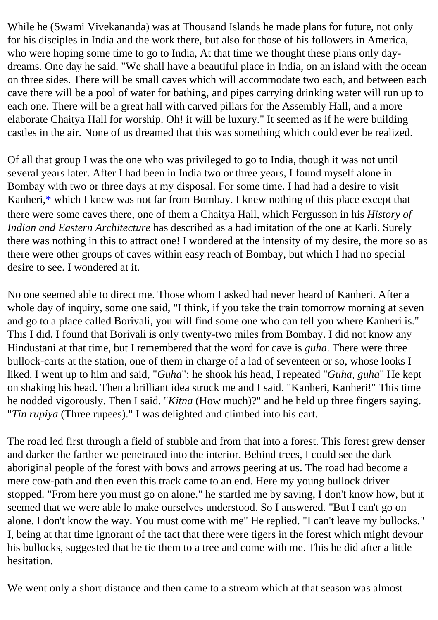While he (Swami Vivekananda) was at Thousand Islands he made plans for future, not only for his disciples in India and the work there, but also for those of his followers in America, who were hoping some time to go to India, At that time we thought these plans only daydreams. One day he said. "We shall have a beautiful place in India, on an island with the ocean on three sides. There will be small caves which will accommodate two each, and between each cave there will be a pool of water for bathing, and pipes carrying drinking water will run up to each one. There will be a great hall with carved pillars for the Assembly Hall, and a more elaborate Chaitya Hall for worship. Oh! it will be luxury." It seemed as if he were building castles in the air. None of us dreamed that this was something which could ever be realized.

Of all that group I was the one who was privileged to go to India, though it was not until several years later. After I had been in India two or three years, I found myself alone in Bombay with two or three days at my disposal. For some time. I had had a desire to visit Kanheri[,\\*](#page-101-0) which I knew was not far from Bombay. I knew nothing of this place except that there were some caves there, one of them a Chaitya Hall, which Fergusson in his *History of Indian and Eastern Architecture* has described as a bad imitation of the one at Karli. Surely there was nothing in this to attract one! I wondered at the intensity of my desire, the more so as there were other groups of caves within easy reach of Bombay, but which I had no special desire to see. I wondered at it.

No one seemed able to direct me. Those whom I asked had never heard of Kanheri. After a whole day of inquiry, some one said, "I think, if you take the train tomorrow morning at seven and go to a place called Borivali, you will find some one who can tell you where Kanheri is." This I did. I found that Borivali is only twenty-two miles from Bombay. I did not know any Hindustani at that time, but I remembered that the word for cave is *guha*. There were three bullock-carts at the station, one of them in charge of a lad of seventeen or so, whose looks I liked. I went up to him and said, "*Guha*"; he shook his head, I repeated "*Guha, guha*" He kept on shaking his head. Then a brilliant idea struck me and I said. "Kanheri, Kanheri!" This time he nodded vigorously. Then I said. "*Kitna* (How much)?" and he held up three fingers saying. "*Tin rupiya* (Three rupees)." I was delighted and climbed into his cart.

The road led first through a field of stubble and from that into a forest. This forest grew denser and darker the farther we penetrated into the interior. Behind trees, I could see the dark aboriginal people of the forest with bows and arrows peering at us. The road had become a mere cow-path and then even this track came to an end. Here my young bullock driver stopped. "From here you must go on alone." he startled me by saving, I don't know how, but it seemed that we were able lo make ourselves understood. So I answered. "But I can't go on alone. I don't know the way. You must come with me" He replied. "I can't leave my bullocks." I, being at that time ignorant of the tact that there were tigers in the forest which might devour his bullocks, suggested that he tie them to a tree and come with me. This he did after a little hesitation.

We went only a short distance and then came to a stream which at that season was almost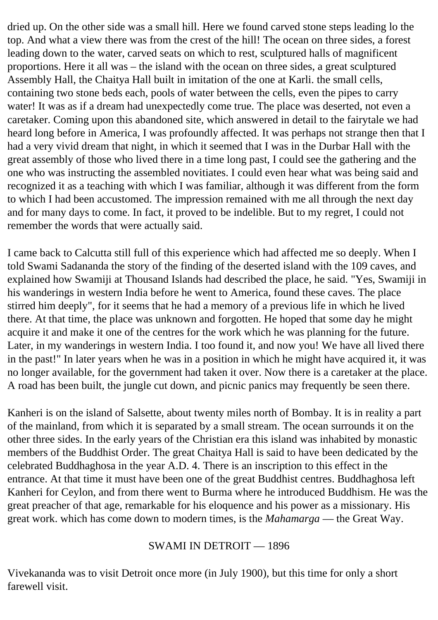dried up. On the other side was a small hill. Here we found carved stone steps leading lo the top. And what a view there was from the crest of the hill! The ocean on three sides, a forest leading down to the water, carved seats on which to rest, sculptured halls of magnificent proportions. Here it all was – the island with the ocean on three sides, a great sculptured Assembly Hall, the Chaitya Hall built in imitation of the one at Karli. the small cells, containing two stone beds each, pools of water between the cells, even the pipes to carry water! It was as if a dream had unexpectedly come true. The place was deserted, not even a caretaker. Coming upon this abandoned site, which answered in detail to the fairytale we had heard long before in America, I was profoundly affected. It was perhaps not strange then that I had a very vivid dream that night, in which it seemed that I was in the Durbar Hall with the great assembly of those who lived there in a time long past, I could see the gathering and the one who was instructing the assembled novitiates. I could even hear what was being said and recognized it as a teaching with which I was familiar, although it was different from the form to which I had been accustomed. The impression remained with me all through the next day and for many days to come. In fact, it proved to be indelible. But to my regret, I could not remember the words that were actually said.

I came back to Calcutta still full of this experience which had affected me so deeply. When I told Swami Sadananda the story of the finding of the deserted island with the 109 caves, and explained how Swamiji at Thousand Islands had described the place, he said. "Yes, Swamiji in his wanderings in western India before he went to America, found these caves. The place stirred him deeply", for it seems that he had a memory of a previous life in which he lived there. At that time, the place was unknown and forgotten. He hoped that some day he might acquire it and make it one of the centres for the work which he was planning for the future. Later, in my wanderings in western India. I too found it, and now you! We have all lived there in the past!" In later years when he was in a position in which he might have acquired it, it was no longer available, for the government had taken it over. Now there is a caretaker at the place. A road has been built, the jungle cut down, and picnic panics may frequently be seen there.

Kanheri is on the island of Salsette, about twenty miles north of Bombay. It is in reality a part of the mainland, from which it is separated by a small stream. The ocean surrounds it on the other three sides. In the early years of the Christian era this island was inhabited by monastic members of the Buddhist Order. The great Chaitya Hall is said to have been dedicated by the celebrated Buddhaghosa in the year A.D. 4. There is an inscription to this effect in the entrance. At that time it must have been one of the great Buddhist centres. Buddhaghosa left Kanheri for Ceylon, and from there went to Burma where he introduced Buddhism. He was the great preacher of that age, remarkable for his eloquence and his power as a missionary. His great work. which has come down to modern times, is the *Mahamarga* — the Great Way.

### SWAMI IN DETROIT — 1896

Vivekananda was to visit Detroit once more (in July 1900), but this time for only a short farewell visit.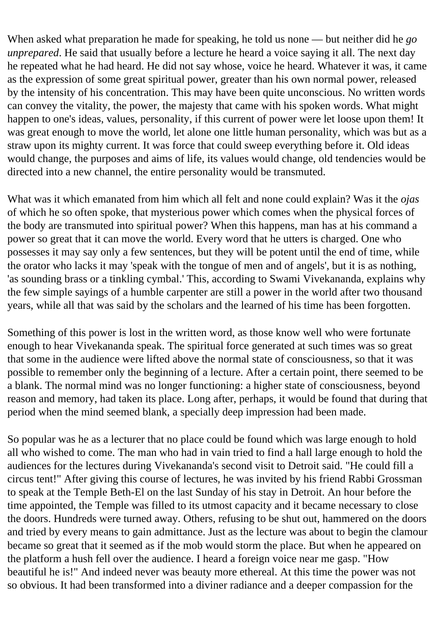When asked what preparation he made for speaking, he told us none — but neither did he *go unprepared*. He said that usually before a lecture he heard a voice saying it all. The next day he repeated what he had heard. He did not say whose, voice he heard. Whatever it was, it came as the expression of some great spiritual power, greater than his own normal power, released by the intensity of his concentration. This may have been quite unconscious. No written words can convey the vitality, the power, the majesty that came with his spoken words. What might happen to one's ideas, values, personality, if this current of power were let loose upon them! It was great enough to move the world, let alone one little human personality, which was but as a straw upon its mighty current. It was force that could sweep everything before it. Old ideas would change, the purposes and aims of life, its values would change, old tendencies would be directed into a new channel, the entire personality would be transmuted.

What was it which emanated from him which all felt and none could explain? Was it the *ojas* of which he so often spoke, that mysterious power which comes when the physical forces of the body are transmuted into spiritual power? When this happens, man has at his command a power so great that it can move the world. Every word that he utters is charged. One who possesses it may say only a few sentences, but they will be potent until the end of time, while the orator who lacks it may 'speak with the tongue of men and of angels', but it is as nothing, 'as sounding brass or a tinkling cymbal.' This, according to Swami Vivekananda, explains why the few simple sayings of a humble carpenter are still a power in the world after two thousand years, while all that was said by the scholars and the learned of his time has been forgotten.

Something of this power is lost in the written word, as those know well who were fortunate enough to hear Vivekananda speak. The spiritual force generated at such times was so great that some in the audience were lifted above the normal state of consciousness, so that it was possible to remember only the beginning of a lecture. After a certain point, there seemed to be a blank. The normal mind was no longer functioning: a higher state of consciousness, beyond reason and memory, had taken its place. Long after, perhaps, it would be found that during that period when the mind seemed blank, a specially deep impression had been made.

So popular was he as a lecturer that no place could be found which was large enough to hold all who wished to come. The man who had in vain tried to find a hall large enough to hold the audiences for the lectures during Vivekananda's second visit to Detroit said. "He could fill a circus tent!" After giving this course of lectures, he was invited by his friend Rabbi Grossman to speak at the Temple Beth-El on the last Sunday of his stay in Detroit. An hour before the time appointed, the Temple was filled to its utmost capacity and it became necessary to close the doors. Hundreds were turned away. Others, refusing to be shut out, hammered on the doors and tried by every means to gain admittance. Just as the lecture was about to begin the clamour became so great that it seemed as if the mob would storm the place. But when he appeared on the platform a hush fell over the audience. I heard a foreign voice near me gasp. "How beautiful he is!" And indeed never was beauty more ethereal. At this time the power was not so obvious. It had been transformed into a diviner radiance and a deeper compassion for the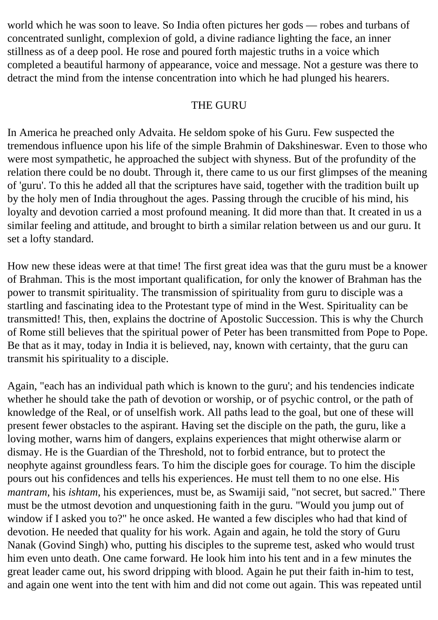world which he was soon to leave. So India often pictures her gods — robes and turbans of concentrated sunlight, complexion of gold, a divine radiance lighting the face, an inner stillness as of a deep pool. He rose and poured forth majestic truths in a voice which completed a beautiful harmony of appearance, voice and message. Not a gesture was there to detract the mind from the intense concentration into which he had plunged his hearers.

#### THE GURU

In America he preached only Advaita. He seldom spoke of his Guru. Few suspected the tremendous influence upon his life of the simple Brahmin of Dakshineswar. Even to those who were most sympathetic, he approached the subject with shyness. But of the profundity of the relation there could be no doubt. Through it, there came to us our first glimpses of the meaning of 'guru'. To this he added all that the scriptures have said, together with the tradition built up by the holy men of India throughout the ages. Passing through the crucible of his mind, his loyalty and devotion carried a most profound meaning. It did more than that. It created in us a similar feeling and attitude, and brought to birth a similar relation between us and our guru. It set a lofty standard.

How new these ideas were at that time! The first great idea was that the guru must be a knower of Brahman. This is the most important qualification, for only the knower of Brahman has the power to transmit spirituality. The transmission of spirituality from guru to disciple was a startling and fascinating idea to the Protestant type of mind in the West. Spirituality can be transmitted! This, then, explains the doctrine of Apostolic Succession. This is why the Church of Rome still believes that the spiritual power of Peter has been transmitted from Pope to Pope. Be that as it may, today in India it is believed, nay, known with certainty, that the guru can transmit his spirituality to a disciple.

Again, "each has an individual path which is known to the guru'; and his tendencies indicate whether he should take the path of devotion or worship, or of psychic control, or the path of knowledge of the Real, or of unselfish work. All paths lead to the goal, but one of these will present fewer obstacles to the aspirant. Having set the disciple on the path, the guru, like a loving mother, warns him of dangers, explains experiences that might otherwise alarm or dismay. He is the Guardian of the Threshold, not to forbid entrance, but to protect the neophyte against groundless fears. To him the disciple goes for courage. To him the disciple pours out his confidences and tells his experiences. He must tell them to no one else. His *mantram*, his *ishtam*, his experiences, must be, as Swamiji said, "not secret, but sacred." There must be the utmost devotion and unquestioning faith in the guru. "Would you jump out of window if I asked you to?" he once asked. He wanted a few disciples who had that kind of devotion. He needed that quality for his work. Again and again, he told the story of Guru Nanak (Govind Singh) who, putting his disciples to the supreme test, asked who would trust him even unto death. One came forward. He look him into his tent and in a few minutes the great leader came out, his sword dripping with blood. Again he put their faith in-him to test, and again one went into the tent with him and did not come out again. This was repeated until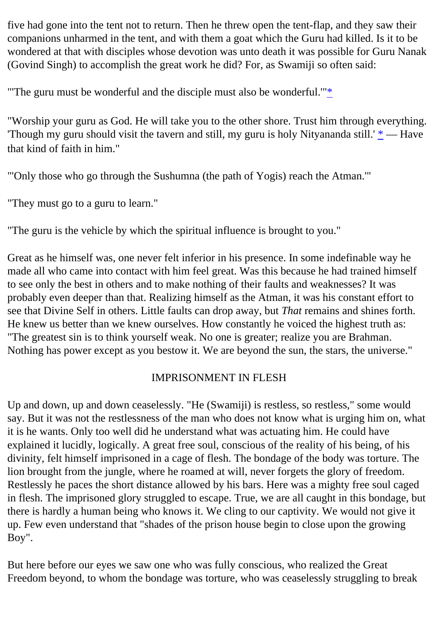five had gone into the tent not to return. Then he threw open the tent-flap, and they saw their companions unharmed in the tent, and with them a goat which the Guru had killed. Is it to be wondered at that with disciples whose devotion was unto death it was possible for Guru Nanak (Govind Singh) to accomplish the great work he did? For, as Swamiji so often said:

"'The guru must be wonderful and the disciple must also be wonderful.'["\\*](#page-101-0)

"Worship your guru as God. He will take you to the other shore. Trust him through everything. 'Though my guru should visit the tavern and still, my guru is holy Nityananda still.'  $*$  — Have that kind of faith in him."

"'Only those who go through the Sushumna (the path of Yogis) reach the Atman.'"

"They must go to a guru to learn."

"The guru is the vehicle by which the spiritual influence is brought to you."

Great as he himself was, one never felt inferior in his presence. In some indefinable way he made all who came into contact with him feel great. Was this because he had trained himself to see only the best in others and to make nothing of their faults and weaknesses? It was probably even deeper than that. Realizing himself as the Atman, it was his constant effort to see that Divine Self in others. Little faults can drop away, but *That* remains and shines forth. He knew us better than we knew ourselves. How constantly he voiced the highest truth as: "The greatest sin is to think yourself weak. No one is greater; realize you are Brahman. Nothing has power except as you bestow it. We are beyond the sun, the stars, the universe."

### IMPRISONMENT IN FLESH

Up and down, up and down ceaselessly. "He (Swamiji) is restless, so restless," some would say. But it was not the restlessness of the man who does not know what is urging him on, what it is he wants. Only too well did he understand what was actuating him. He could have explained it lucidly, logically. A great free soul, conscious of the reality of his being, of his divinity, felt himself imprisoned in a cage of flesh. The bondage of the body was torture. The lion brought from the jungle, where he roamed at will, never forgets the glory of freedom. Restlessly he paces the short distance allowed by his bars. Here was a mighty free soul caged in flesh. The imprisoned glory struggled to escape. True, we are all caught in this bondage, but there is hardly a human being who knows it. We cling to our captivity. We would not give it up. Few even understand that "shades of the prison house begin to close upon the growing Boy".

But here before our eyes we saw one who was fully conscious, who realized the Great Freedom beyond, to whom the bondage was torture, who was ceaselessly struggling to break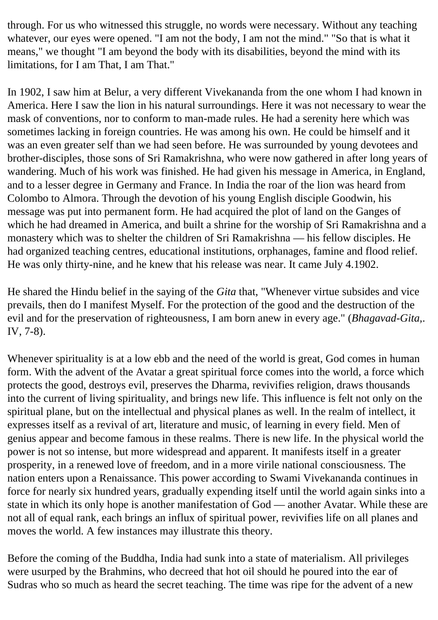through. For us who witnessed this struggle, no words were necessary. Without any teaching whatever, our eyes were opened. "I am not the body, I am not the mind." "So that is what it means," we thought "I am beyond the body with its disabilities, beyond the mind with its limitations, for I am That, I am That."

In 1902, I saw him at Belur, a very different Vivekananda from the one whom I had known in America. Here I saw the lion in his natural surroundings. Here it was not necessary to wear the mask of conventions, nor to conform to man-made rules. He had a serenity here which was sometimes lacking in foreign countries. He was among his own. He could be himself and it was an even greater self than we had seen before. He was surrounded by young devotees and brother-disciples, those sons of Sri Ramakrishna, who were now gathered in after long years of wandering. Much of his work was finished. He had given his message in America, in England, and to a lesser degree in Germany and France. In India the roar of the lion was heard from Colombo to Almora. Through the devotion of his young English disciple Goodwin, his message was put into permanent form. He had acquired the plot of land on the Ganges of which he had dreamed in America, and built a shrine for the worship of Sri Ramakrishna and a monastery which was to shelter the children of Sri Ramakrishna — his fellow disciples. He had organized teaching centres, educational institutions, orphanages, famine and flood relief. He was only thirty-nine, and he knew that his release was near. It came July 4.1902.

He shared the Hindu belief in the saying of the *Gita* that, "Whenever virtue subsides and vice prevails, then do I manifest Myself. For the protection of the good and the destruction of the evil and for the preservation of righteousness, I am born anew in every age." (*Bhagavad-Gita,*. IV, 7-8).

Whenever spirituality is at a low ebb and the need of the world is great, God comes in human form. With the advent of the Avatar a great spiritual force comes into the world, a force which protects the good, destroys evil, preserves the Dharma, revivifies religion, draws thousands into the current of living spirituality, and brings new life. This influence is felt not only on the spiritual plane, but on the intellectual and physical planes as well. In the realm of intellect, it expresses itself as a revival of art, literature and music, of learning in every field. Men of genius appear and become famous in these realms. There is new life. In the physical world the power is not so intense, but more widespread and apparent. It manifests itself in a greater prosperity, in a renewed love of freedom, and in a more virile national consciousness. The nation enters upon a Renaissance. This power according to Swami Vivekananda continues in force for nearly six hundred years, gradually expending itself until the world again sinks into a state in which its only hope is another manifestation of God — another Avatar. While these are not all of equal rank, each brings an influx of spiritual power, revivifies life on all planes and moves the world. A few instances may illustrate this theory.

Before the coming of the Buddha, India had sunk into a state of materialism. All privileges were usurped by the Brahmins, who decreed that hot oil should he poured into the ear of Sudras who so much as heard the secret teaching. The time was ripe for the advent of a new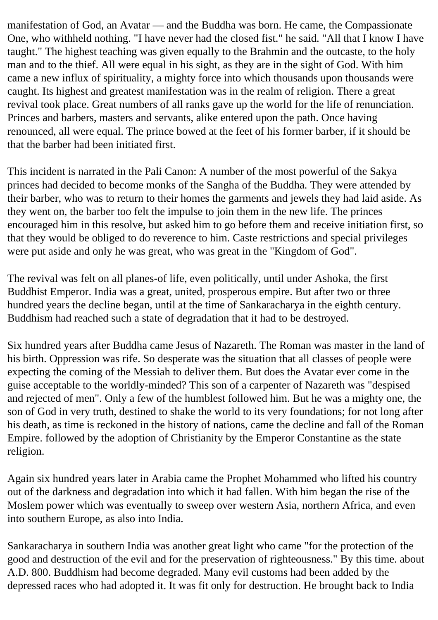manifestation of God, an Avatar — and the Buddha was born. He came, the Compassionate One, who withheld nothing. "I have never had the closed fist." he said. "All that I know I have taught." The highest teaching was given equally to the Brahmin and the outcaste, to the holy man and to the thief. All were equal in his sight, as they are in the sight of God. With him came a new influx of spirituality, a mighty force into which thousands upon thousands were caught. Its highest and greatest manifestation was in the realm of religion. There a great revival took place. Great numbers of all ranks gave up the world for the life of renunciation. Princes and barbers, masters and servants, alike entered upon the path. Once having renounced, all were equal. The prince bowed at the feet of his former barber, if it should be that the barber had been initiated first.

This incident is narrated in the Pali Canon: A number of the most powerful of the Sakya princes had decided to become monks of the Sangha of the Buddha. They were attended by their barber, who was to return to their homes the garments and jewels they had laid aside. As they went on, the barber too felt the impulse to join them in the new life. The princes encouraged him in this resolve, but asked him to go before them and receive initiation first, so that they would be obliged to do reverence to him. Caste restrictions and special privileges were put aside and only he was great, who was great in the "Kingdom of God".

The revival was felt on all planes-of life, even politically, until under Ashoka, the first Buddhist Emperor. India was a great, united, prosperous empire. But after two or three hundred years the decline began, until at the time of Sankaracharya in the eighth century. Buddhism had reached such a state of degradation that it had to be destroyed.

Six hundred years after Buddha came Jesus of Nazareth. The Roman was master in the land of his birth. Oppression was rife. So desperate was the situation that all classes of people were expecting the coming of the Messiah to deliver them. But does the Avatar ever come in the guise acceptable to the worldly-minded? This son of a carpenter of Nazareth was "despised and rejected of men". Only a few of the humblest followed him. But he was a mighty one, the son of God in very truth, destined to shake the world to its very foundations; for not long after his death, as time is reckoned in the history of nations, came the decline and fall of the Roman Empire. followed by the adoption of Christianity by the Emperor Constantine as the state religion.

Again six hundred years later in Arabia came the Prophet Mohammed who lifted his country out of the darkness and degradation into which it had fallen. With him began the rise of the Moslem power which was eventually to sweep over western Asia, northern Africa, and even into southern Europe, as also into India.

Sankaracharya in southern India was another great light who came "for the protection of the good and destruction of the evil and for the preservation of righteousness." By this time. about A.D. 800. Buddhism had become degraded. Many evil customs had been added by the depressed races who had adopted it. It was fit only for destruction. He brought back to India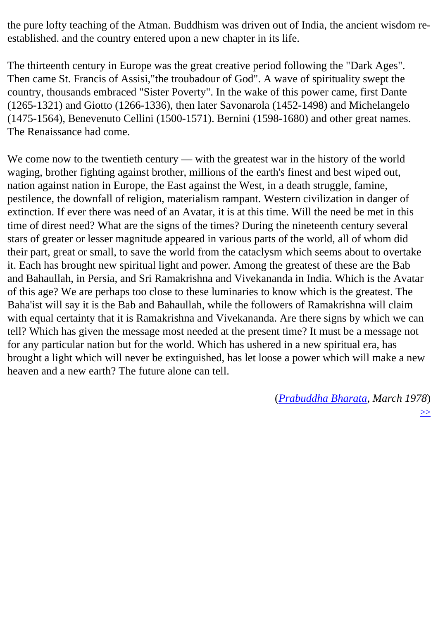the pure lofty teaching of the Atman. Buddhism was driven out of India, the ancient wisdom reestablished. and the country entered upon a new chapter in its life.

The thirteenth century in Europe was the great creative period following the "Dark Ages". Then came St. Francis of Assisi,"the troubadour of God". A wave of spirituality swept the country, thousands embraced "Sister Poverty". In the wake of this power came, first Dante (1265-1321) and Giotto (1266-1336), then later Savonarola (1452-1498) and Michelangelo (1475-1564), Benevenuto Cellini (1500-1571). Bernini (1598-1680) and other great names. The Renaissance had come.

We come now to the twentieth century — with the greatest war in the history of the world waging, brother fighting against brother, millions of the earth's finest and best wiped out, nation against nation in Europe, the East against the West, in a death struggle, famine, pestilence, the downfall of religion, materialism rampant. Western civilization in danger of extinction. If ever there was need of an Avatar, it is at this time. Will the need be met in this time of direst need? What are the signs of the times? During the nineteenth century several stars of greater or lesser magnitude appeared in various parts of the world, all of whom did their part, great or small, to save the world from the cataclysm which seems about to overtake it. Each has brought new spiritual light and power. Among the greatest of these are the Bab and Bahaullah, in Persia, and Sri Ramakrishna and Vivekananda in India. Which is the Avatar of this age? We are perhaps too close to these luminaries to know which is the greatest. The Baha'ist will say it is the Bab and Bahaullah, while the followers of Ramakrishna will claim with equal certainty that it is Ramakrishna and Vivekananda. Are there signs by which we can tell? Which has given the message most needed at the present time? It must be a message not for any particular nation but for the world. Which has ushered in a new spiritual era, has brought a light which will never be extinguished, has let loose a power which will make a new heaven and a new earth? The future alone can tell.

(*[Prabuddha Bharata,](http://www.advaitaashrama.org/prabuddha_bharata.html) March 1978*)

 $\geq$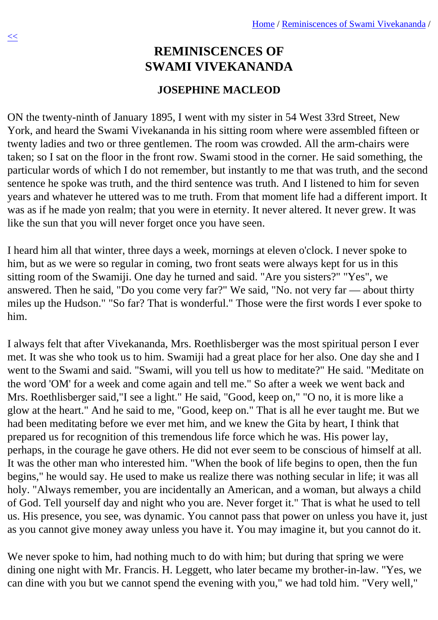# **REMINISCENCES OF SWAMI VIVEKANANDA**

#### **JOSEPHINE MACLEOD**

<span id="page-153-0"></span>ON the twenty-ninth of January 1895, I went with my sister in 54 West 33rd Street, New York, and heard the Swami Vivekananda in his sitting room where were assembled fifteen or twenty ladies and two or three gentlemen. The room was crowded. All the arm-chairs were taken; so I sat on the floor in the front row. Swami stood in the corner. He said something, the particular words of which I do not remember, but instantly to me that was truth, and the second sentence he spoke was truth, and the third sentence was truth. And I listened to him for seven years and whatever he uttered was to me truth. From that moment life had a different import. It was as if he made yon realm; that you were in eternity. It never altered. It never grew. It was like the sun that you will never forget once you have seen.

I heard him all that winter, three days a week, mornings at eleven o'clock. I never spoke to him, but as we were so regular in coming, two front seats were always kept for us in this sitting room of the Swamiji. One day he turned and said. "Are you sisters?" "Yes", we answered. Then he said, "Do you come very far?" We said, "No. not very far — about thirty miles up the Hudson." "So far? That is wonderful." Those were the first words I ever spoke to him.

I always felt that after Vivekananda, Mrs. Roethlisberger was the most spiritual person I ever met. It was she who took us to him. Swamiji had a great place for her also. One day she and I went to the Swami and said. "Swami, will you tell us how to meditate?" He said. "Meditate on the word 'OM' for a week and come again and tell me." So after a week we went back and Mrs. Roethlisberger said,"I see a light." He said, "Good, keep on," "O no, it is more like a glow at the heart." And he said to me, "Good, keep on." That is all he ever taught me. But we had been meditating before we ever met him, and we knew the Gita by heart, I think that prepared us for recognition of this tremendous life force which he was. His power lay, perhaps, in the courage he gave others. He did not ever seem to be conscious of himself at all. It was the other man who interested him. "When the book of life begins to open, then the fun begins," he would say. He used to make us realize there was nothing secular in life; it was all holy. "Always remember, you are incidentally an American, and a woman, but always a child of God. Tell yourself day and night who you are. Never forget it." That is what he used to tell us. His presence, you see, was dynamic. You cannot pass that power on unless you have it, just as you cannot give money away unless you have it. You may imagine it, but you cannot do it.

We never spoke to him, had nothing much to do with him; but during that spring we were dining one night with Mr. Francis. H. Leggett, who later became my brother-in-law. "Yes, we can dine with you but we cannot spend the evening with you," we had told him. "Very well,"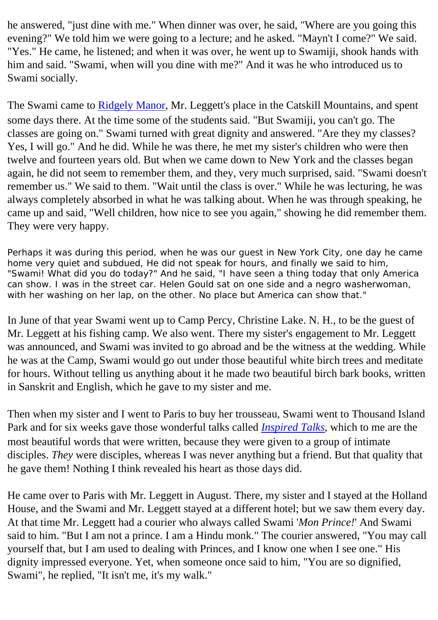he answered, "just dine with me." When dinner was over, he said, "Where are you going this evening?" We told him we were going to a lecture; and he asked. "Mayn't I come?" We said. "Yes." He came, he listened; and when it was over, he went up to Swamiji, shook hands with him and said. "Swami, when will you dine with me?" And it was he who introduced us to Swami socially.

The Swami came to [Ridgely Manor,](http://www.ridgely.org/) Mr. Leggett's place in the Catskill Mountains, and spent some days there. At the time some of the students said. "But Swamiji, you can't go. The classes are going on." Swami turned with great dignity and answered. "Are they my classes? Yes, I will go." And he did. While he was there, he met my sister's children who were then twelve and fourteen years old. But when we came down to New York and the classes began again, he did not seem to remember them, and they, very much surprised, said. "Swami doesn't remember us." We said to them. "Wait until the class is over." While he was lecturing, he was always completely absorbed in what he was talking about. When he was through speaking, he came up and said, "Well children, how nice to see you again," showing he did remember them. They were very happy.

Perhaps it was during this period, when he was our guest in New York City, one day he came home very quiet and subdued, He did not speak for hours, and finally we said to him, "Swami! What did you do today?" And he said, "I have seen a thing today that only America can show. I was in the street car. Helen Gould sat on one side and a negro washerwoman, with her washing on her lap, on the other. No place but America can show that."

In June of that year Swami went up to Camp Percy, Christine Lake. N. H., to be the guest of Mr. Leggett at his fishing camp. We also went. There my sister's engagement to Mr. Leggett was announced, and Swami was invited to go abroad and be the witness at the wedding. While he was at the Camp, Swami would go out under those beautiful white birch trees and meditate for hours. Without telling us anything about it he made two beautiful birch bark books, written in Sanskrit and English, which he gave to my sister and me.

Then when my sister and I went to Paris to buy her trousseau, Swami went to Thousand Island Park and for six weeks gave those wonderful talks called *[Inspired Talks](http://www.ramakrishnavivekananda.info/vivekananda/volume_7/vol_7_frame.htm)*, which to me are the most beautiful words that were written, because they were given to a group of intimate disciples. *They* were disciples, whereas I was never anything but a friend. But that quality that he gave them! Nothing I think revealed his heart as those days did.

He came over to Paris with Mr. Leggett in August. There, my sister and I stayed at the Holland House, and the Swami and Mr. Leggett stayed at a different hotel; but we saw them every day. At that time Mr. Leggett had a courier who always called Swami '*Mon Prince!*' And Swami said to him. "But I am not a prince. I am a Hindu monk." The courier answered, "You may call yourself that, but I am used to dealing with Princes, and I know one when I see one." His dignity impressed everyone. Yet, when someone once said to him, "You are so dignified, Swami", he replied, "It isn't me, it's my walk."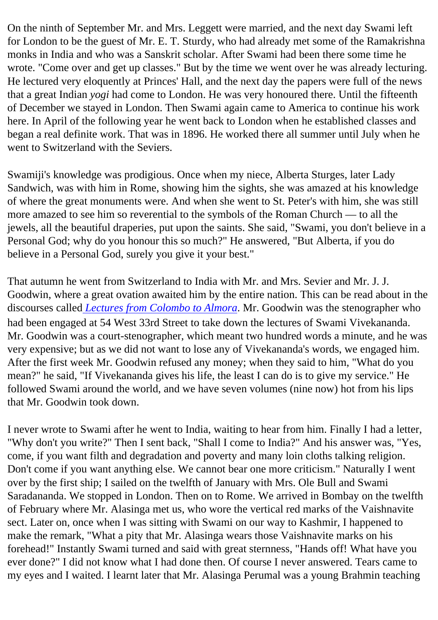On the ninth of September Mr. and Mrs. Leggett were married, and the next day Swami left for London to be the guest of Mr. E. T. Sturdy, who had already met some of the Ramakrishna monks in India and who was a Sanskrit scholar. After Swami had been there some time he wrote. "Come over and get up classes." But by the time we went over he was already lecturing. He lectured very eloquently at Princes' Hall, and the next day the papers were full of the news that a great Indian *yogi* had come to London. He was very honoured there. Until the fifteenth of December we stayed in London. Then Swami again came to America to continue his work here. In April of the following year he went back to London when he established classes and began a real definite work. That was in 1896. He worked there all summer until July when he went to Switzerland with the Seviers.

Swamiji's knowledge was prodigious. Once when my niece, Alberta Sturges, later Lady Sandwich, was with him in Rome, showing him the sights, she was amazed at his knowledge of where the great monuments were. And when she went to St. Peter's with him, she was still more amazed to see him so reverential to the symbols of the Roman Church — to all the jewels, all the beautiful draperies, put upon the saints. She said, "Swami, you don't believe in a Personal God; why do you honour this so much?" He answered, "But Alberta, if you do believe in a Personal God, surely you give it your best."

That autumn he went from Switzerland to India with Mr. and Mrs. Sevier and Mr. J. J. Goodwin, where a great ovation awaited him by the entire nation. This can be read about in the discourses called *[Lectures from Colombo to Almora](http://www.ramakrishnavivekananda.info/vivekananda/volume_3/vol_3_frame.htm)*. Mr. Goodwin was the stenographer who had been engaged at 54 West 33rd Street to take down the lectures of Swami Vivekananda. Mr. Goodwin was a court-stenographer, which meant two hundred words a minute, and he was very expensive; but as we did not want to lose any of Vivekananda's words, we engaged him. After the first week Mr. Goodwin refused any money; when they said to him, "What do you mean?" he said, "If Vivekananda gives his life, the least I can do is to give my service." He followed Swami around the world, and we have seven volumes (nine now) hot from his lips that Mr. Goodwin took down.

I never wrote to Swami after he went to India, waiting to hear from him. Finally I had a letter, "Why don't you write?" Then I sent back, "Shall I come to India?" And his answer was, "Yes, come, if you want filth and degradation and poverty and many loin cloths talking religion. Don't come if you want anything else. We cannot bear one more criticism." Naturally I went over by the first ship; I sailed on the twelfth of January with Mrs. Ole Bull and Swami Saradananda. We stopped in London. Then on to Rome. We arrived in Bombay on the twelfth of February where Mr. Alasinga met us, who wore the vertical red marks of the Vaishnavite sect. Later on, once when I was sitting with Swami on our way to Kashmir, I happened to make the remark, "What a pity that Mr. Alasinga wears those Vaishnavite marks on his forehead!" Instantly Swami turned and said with great sternness, "Hands off! What have you ever done?" I did not know what I had done then. Of course I never answered. Tears came to my eyes and I waited. I learnt later that Mr. Alasinga Perumal was a young Brahmin teaching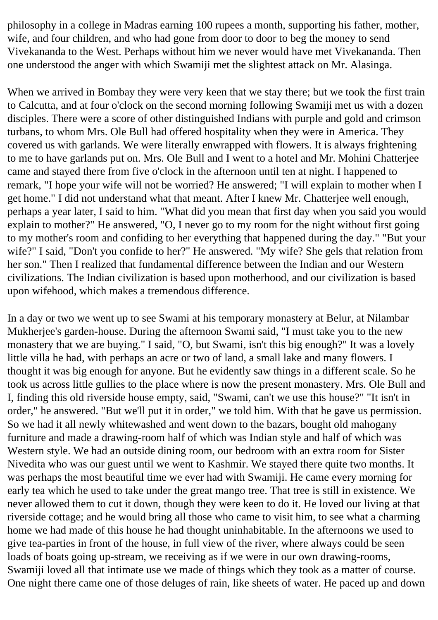philosophy in a college in Madras earning 100 rupees a month, supporting his father, mother, wife, and four children, and who had gone from door to door to beg the money to send Vivekananda to the West. Perhaps without him we never would have met Vivekananda. Then one understood the anger with which Swamiji met the slightest attack on Mr. Alasinga.

When we arrived in Bombay they were very keen that we stay there; but we took the first train to Calcutta, and at four o'clock on the second morning following Swamiji met us with a dozen disciples. There were a score of other distinguished Indians with purple and gold and crimson turbans, to whom Mrs. Ole Bull had offered hospitality when they were in America. They covered us with garlands. We were literally enwrapped with flowers. It is always frightening to me to have garlands put on. Mrs. Ole Bull and I went to a hotel and Mr. Mohini Chatterjee came and stayed there from five o'clock in the afternoon until ten at night. I happened to remark, "I hope your wife will not be worried? He answered; "I will explain to mother when I get home." I did not understand what that meant. After I knew Mr. Chatterjee well enough, perhaps a year later, I said to him. "What did you mean that first day when you said you would explain to mother?" He answered, "O, I never go to my room for the night without first going to my mother's room and confiding to her everything that happened during the day." "But your wife?" I said, "Don't you confide to her?" He answered. "My wife? She gels that relation from her son." Then I realized that fundamental difference between the Indian and our Western civilizations. The Indian civilization is based upon motherhood, and our civilization is based upon wifehood, which makes a tremendous difference.

In a day or two we went up to see Swami at his temporary monastery at Belur, at Nilambar Mukherjee's garden-house. During the afternoon Swami said, "I must take you to the new monastery that we are buying." I said, "O, but Swami, isn't this big enough?" It was a lovely little villa he had, with perhaps an acre or two of land, a small lake and many flowers. I thought it was big enough for anyone. But he evidently saw things in a different scale. So he took us across little gullies to the place where is now the present monastery. Mrs. Ole Bull and I, finding this old riverside house empty, said, "Swami, can't we use this house?" "It isn't in order," he answered. "But we'll put it in order," we told him. With that he gave us permission. So we had it all newly whitewashed and went down to the bazars, bought old mahogany furniture and made a drawing-room half of which was Indian style and half of which was Western style. We had an outside dining room, our bedroom with an extra room for Sister Nivedita who was our guest until we went to Kashmir. We stayed there quite two months. It was perhaps the most beautiful time we ever had with Swamiji. He came every morning for early tea which he used to take under the great mango tree. That tree is still in existence. We never allowed them to cut it down, though they were keen to do it. He loved our living at that riverside cottage; and he would bring all those who came to visit him, to see what a charming home we had made of this house he had thought uninhabitable. In the afternoons we used to give tea-parties in front of the house, in full view of the river, where always could be seen loads of boats going up-stream, we receiving as if we were in our own drawing-rooms, Swamiji loved all that intimate use we made of things which they took as a matter of course. One night there came one of those deluges of rain, like sheets of water. He paced up and down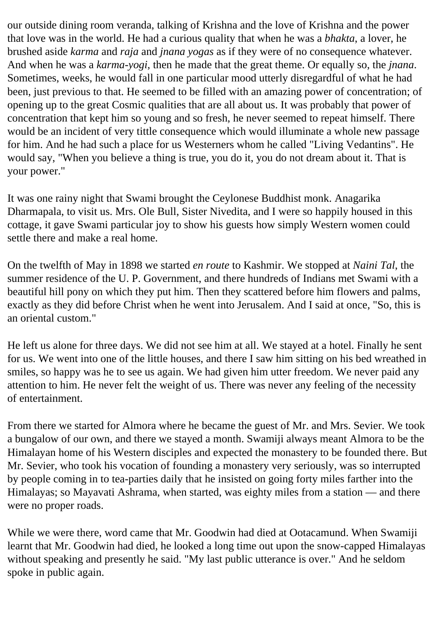our outside dining room veranda, talking of Krishna and the love of Krishna and the power that love was in the world. He had a curious quality that when he was a *bhakta*, a lover, he brushed aside *karma* and *raja* and *jnana yogas* as if they were of no consequence whatever. And when he was a *karma-yogi*, then he made that the great theme. Or equally so, the *jnana*. Sometimes, weeks, he would fall in one particular mood utterly disregardful of what he had been, just previous to that. He seemed to be filled with an amazing power of concentration; of opening up to the great Cosmic qualities that are all about us. It was probably that power of concentration that kept him so young and so fresh, he never seemed to repeat himself. There would be an incident of very tittle consequence which would illuminate a whole new passage for him. And he had such a place for us Westerners whom he called "Living Vedantins". He would say, "When you believe a thing is true, you do it, you do not dream about it. That is your power."

It was one rainy night that Swami brought the Ceylonese Buddhist monk. Anagarika Dharmapala, to visit us. Mrs. Ole Bull, Sister Nivedita, and I were so happily housed in this cottage, it gave Swami particular joy to show his guests how simply Western women could settle there and make a real home.

On the twelfth of May in 1898 we started *en route* to Kashmir. We stopped at *Naini Tal*, the summer residence of the U. P. Government, and there hundreds of Indians met Swami with a beautiful hill pony on which they put him. Then they scattered before him flowers and palms, exactly as they did before Christ when he went into Jerusalem. And I said at once, "So, this is an oriental custom."

He left us alone for three days. We did not see him at all. We stayed at a hotel. Finally he sent for us. We went into one of the little houses, and there I saw him sitting on his bed wreathed in smiles, so happy was he to see us again. We had given him utter freedom. We never paid any attention to him. He never felt the weight of us. There was never any feeling of the necessity of entertainment.

From there we started for Almora where he became the guest of Mr. and Mrs. Sevier. We took a bungalow of our own, and there we stayed a month. Swamiji always meant Almora to be the Himalayan home of his Western disciples and expected the monastery to be founded there. But Mr. Sevier, who took his vocation of founding a monastery very seriously, was so interrupted by people coming in to tea-parties daily that he insisted on going forty miles farther into the Himalayas; so Mayavati Ashrama, when started, was eighty miles from a station — and there were no proper roads.

While we were there, word came that Mr. Goodwin had died at Ootacamund. When Swamiji learnt that Mr. Goodwin had died, he looked a long time out upon the snow-capped Himalayas without speaking and presently he said. "My last public utterance is over." And he seldom spoke in public again.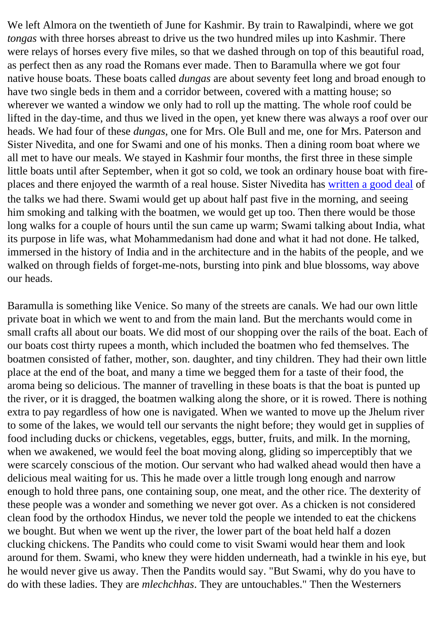We left Almora on the twentieth of June for Kashmir. By train to Rawalpindi, where we got *tongas* with three horses abreast to drive us the two hundred miles up into Kashmir. There were relays of horses every five miles, so that we dashed through on top of this beautiful road, as perfect then as any road the Romans ever made. Then to Baramulla where we got four native house boats. These boats called *dungas* are about seventy feet long and broad enough to have two single beds in them and a corridor between, covered with a matting house; so wherever we wanted a window we only had to roll up the matting. The whole roof could be lifted in the day-time, and thus we lived in the open, yet knew there was always a roof over our heads. We had four of these *dungas*, one for Mrs. Ole Bull and me, one for Mrs. Paterson and Sister Nivedita, and one for Swami and one of his monks. Then a dining room boat where we all met to have our meals. We stayed in Kashmir four months, the first three in these simple little boats until after September, when it got so cold, we took an ordinary house boat with fireplaces and there enjoyed the warmth of a real house. Sister Nivedita has [written a good deal](http://www.ramakrishnavivekananda.info/vivekananda/volume_9/excerpts_from_sister_niveditas_book/note_frame.htm) of the talks we had there. Swami would get up about half past five in the morning, and seeing him smoking and talking with the boatmen, we would get up too. Then there would be those long walks for a couple of hours until the sun came up warm; Swami talking about India, what its purpose in life was, what Mohammedanism had done and what it had not done. He talked, immersed in the history of India and in the architecture and in the habits of the people, and we walked on through fields of forget-me-nots, bursting into pink and blue blossoms, way above our heads.

Baramulla is something like Venice. So many of the streets are canals. We had our own little private boat in which we went to and from the main land. But the merchants would come in small crafts all about our boats. We did most of our shopping over the rails of the boat. Each of our boats cost thirty rupees a month, which included the boatmen who fed themselves. The boatmen consisted of father, mother, son. daughter, and tiny children. They had their own little place at the end of the boat, and many a time we begged them for a taste of their food, the aroma being so delicious. The manner of travelling in these boats is that the boat is punted up the river, or it is dragged, the boatmen walking along the shore, or it is rowed. There is nothing extra to pay regardless of how one is navigated. When we wanted to move up the Jhelum river to some of the lakes, we would tell our servants the night before; they would get in supplies of food including ducks or chickens, vegetables, eggs, butter, fruits, and milk. In the morning, when we awakened, we would feel the boat moving along, gliding so imperceptibly that we were scarcely conscious of the motion. Our servant who had walked ahead would then have a delicious meal waiting for us. This he made over a little trough long enough and narrow enough to hold three pans, one containing soup, one meat, and the other rice. The dexterity of these people was a wonder and something we never got over. As a chicken is not considered clean food by the orthodox Hindus, we never told the people we intended to eat the chickens we bought. But when we went up the river, the lower part of the boat held half a dozen clucking chickens. The Pandits who could come to visit Swami would hear them and look around for them. Swami, who knew they were hidden underneath, had a twinkle in his eye, but he would never give us away. Then the Pandits would say. "But Swami, why do you have to do with these ladies. They are *mlechchhas*. They are untouchables." Then the Westerners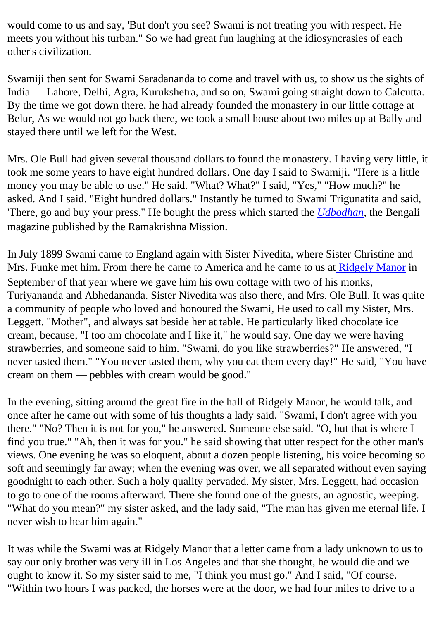would come to us and say, 'But don't you see? Swami is not treating you with respect. He meets you without his turban." So we had great fun laughing at the idiosyncrasies of each other's civilization.

Swamiji then sent for Swami Saradananda to come and travel with us, to show us the sights of India — Lahore, Delhi, Agra, Kurukshetra, and so on, Swami going straight down to Calcutta. By the time we got down there, he had already founded the monastery in our little cottage at Belur, As we would not go back there, we took a small house about two miles up at Bally and stayed there until we left for the West.

Mrs. Ole Bull had given several thousand dollars to found the monastery. I having very little, it took me some years to have eight hundred dollars. One day I said to Swamiji. "Here is a little money you may be able to use." He said. "What? What?" I said, "Yes," "How much?" he asked. And I said. "Eight hundred dollars." Instantly he turned to Swami Trigunatita and said, 'There, go and buy your press." He bought the press which started the *[Udbodhan](http://www.udbodhan.org/)*, the Bengali magazine published by the Ramakrishna Mission.

In July 1899 Swami came to England again with Sister Nivedita, where Sister Christine and Mrs. Funke met him. From there he came to America and he came to us a[t Ridgely Manor](http://www.ridgely.org/) in September of that year where we gave him his own cottage with two of his monks, Turiyananda and Abhedananda. Sister Nivedita was also there, and Mrs. Ole Bull. It was quite a community of people who loved and honoured the Swami, He used to call my Sister, Mrs. Leggett. "Mother", and always sat beside her at table. He particularly liked chocolate ice cream, because, "I too am chocolate and I like it," he would say. One day we were having strawberries, and someone said to him. "Swami, do you like strawberries?" He answered, "I never tasted them." "You never tasted them, why you eat them every day!" He said, "You have cream on them — pebbles with cream would be good."

In the evening, sitting around the great fire in the hall of Ridgely Manor, he would talk, and once after he came out with some of his thoughts a lady said. "Swami, I don't agree with you there." "No? Then it is not for you," he answered. Someone else said. "O, but that is where I find you true." "Ah, then it was for you." he said showing that utter respect for the other man's views. One evening he was so eloquent, about a dozen people listening, his voice becoming so soft and seemingly far away; when the evening was over, we all separated without even saying goodnight to each other. Such a holy quality pervaded. My sister, Mrs. Leggett, had occasion to go to one of the rooms afterward. There she found one of the guests, an agnostic, weeping. "What do you mean?" my sister asked, and the lady said, "The man has given me eternal life. I never wish to hear him again."

It was while the Swami was at Ridgely Manor that a letter came from a lady unknown to us to say our only brother was very ill in Los Angeles and that she thought, he would die and we ought to know it. So my sister said to me, "I think you must go." And I said, "Of course. "Within two hours I was packed, the horses were at the door, we had four miles to drive to a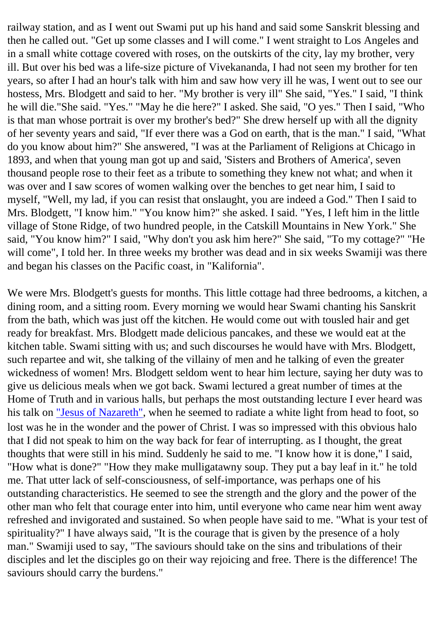railway station, and as I went out Swami put up his hand and said some Sanskrit blessing and then he called out. "Get up some classes and I will come." I went straight to Los Angeles and in a small white cottage covered with roses, on the outskirts of the city, lay my brother, very ill. But over his bed was a life-size picture of Vivekananda, I had not seen my brother for ten years, so after I had an hour's talk with him and saw how very ill he was, I went out to see our hostess, Mrs. Blodgett and said to her. "My brother is very ill" She said, "Yes." I said, "I think he will die."She said. "Yes." "May he die here?" I asked. She said, "O yes." Then I said, "Who is that man whose portrait is over my brother's bed?" She drew herself up with all the dignity of her seventy years and said, "If ever there was a God on earth, that is the man." I said, "What do you know about him?" She answered, "I was at the Parliament of Religions at Chicago in 1893, and when that young man got up and said, 'Sisters and Brothers of America', seven thousand people rose to their feet as a tribute to something they knew not what; and when it was over and I saw scores of women walking over the benches to get near him, I said to myself, "Well, my lad, if you can resist that onslaught, you are indeed a God." Then I said to Mrs. Blodgett, "I know him." "You know him?" she asked. I said. "Yes, I left him in the little village of Stone Ridge, of two hundred people, in the Catskill Mountains in New York." She said, "You know him?" I said, "Why don't you ask him here?" She said, "To my cottage?" "He will come", I told her. In three weeks my brother was dead and in six weeks Swamiji was there and began his classes on the Pacific coast, in "Kalifornia".

We were Mrs. Blodgett's guests for months. This little cottage had three bedrooms, a kitchen, a dining room, and a sitting room. Every morning we would hear Swami chanting his Sanskrit from the bath, which was just off the kitchen. He would come out with tousled hair and get ready for breakfast. Mrs. Blodgett made delicious pancakes, and these we would eat at the kitchen table. Swami sitting with us; and such discourses he would have with Mrs. Blodgett, such repartee and wit, she talking of the villainy of men and he talking of even the greater wickedness of women! Mrs. Blodgett seldom went to hear him lecture, saying her duty was to give us delicious meals when we got back. Swami lectured a great number of times at the Home of Truth and in various halls, but perhaps the most outstanding lecture I ever heard was his talk on ["Jesus of Nazareth"](http://www.ramakrishnavivekananda.info/vivekananda/volume_4/lectures_and_discourses/christ_the_messenger.htm), when he seemed to radiate a white light from head to foot, so lost was he in the wonder and the power of Christ. I was so impressed with this obvious halo that I did not speak to him on the way back for fear of interrupting. as I thought, the great thoughts that were still in his mind. Suddenly he said to me. "I know how it is done," I said, "How what is done?" "How they make mulligatawny soup. They put a bay leaf in it." he told me. That utter lack of self-consciousness, of self-importance, was perhaps one of his outstanding characteristics. He seemed to see the strength and the glory and the power of the other man who felt that courage enter into him, until everyone who came near him went away refreshed and invigorated and sustained. So when people have said to me. "What is your test of spirituality?" I have always said, "It is the courage that is given by the presence of a holy man." Swamiji used to say, "The saviours should take on the sins and tribulations of their disciples and let the disciples go on their way rejoicing and free. There is the difference! The saviours should carry the burdens."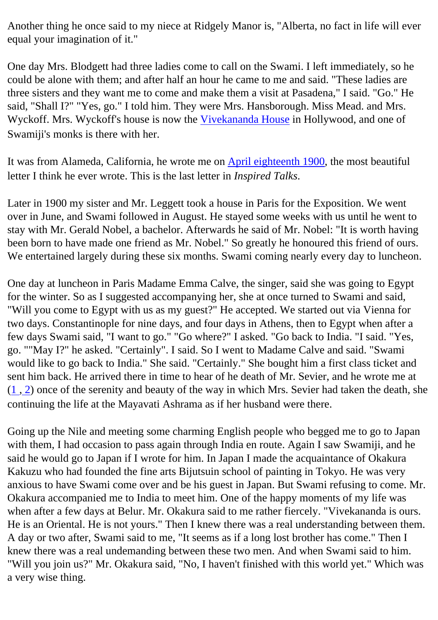Another thing he once said to my niece at Ridgely Manor is, "Alberta, no fact in life will ever equal your imagination of it."

One day Mrs. Blodgett had three ladies come to call on the Swami. I left immediately, so he could be alone with them; and after half an hour he came to me and said. "These ladies are three sisters and they want me to come and make them a visit at Pasadena," I said. "Go." He said, "Shall I?" "Yes, go." I told him. They were Mrs. Hansborough. Miss Mead. and Mrs. Wyckoff. Mrs. Wyckoff's house is now the [Vivekananda House](http://www.vedanta.org/vssc/centers/pasadena.html) in Hollywood, and one of Swamij's monks is there with her.

It was from Alameda, California, he wrote me on [April eighteenth 1900](http://www.ramakrishnavivekananda.info/vivekananda/volume_6/epistles_second_series/158_joe.htm), the most beautiful letter I think he ever wrote. This is the last letter in *Inspired Talks*.

Later in 1900 my sister and Mr. Leggett took a house in Paris for the Exposition. We went over in June, and Swami followed in August. He stayed some weeks with us until he went to stay with Mr. Gerald Nobel, a bachelor. Afterwards he said of Mr. Nobel: "It is worth having been born to have made one friend as Mr. Nobel." So greatly he honoured this friend of ours. We entertained largely during these six months. Swami coming nearly every day to luncheon.

One day at luncheon in Paris Madame Emma Calve, the singer, said she was going to Egypt for the winter. So as I suggested accompanying her, she at once turned to Swami and said, "Will you come to Egypt with us as my guest?" He accepted. We started out via Vienna for two days. Constantinople for nine days, and four days in Athens, then to Egypt when after a few days Swami said, "I want to go." "Go where?" I asked. "Go back to India. "I said. "Yes, go. ""May I?" he asked. "Certainly". I said. So I went to Madame Calve and said. "Swami would like to go back to India." She said. "Certainly." She bought him a first class ticket and sent him back. He arrived there in time to hear of he death of Mr. Sevier, and he wrote me at ([1](http://www.ramakrishnavivekananda.info/vivekananda/volume_6/epistles_second_series/165_joe.htm) , [2](http://www.ramakrishnavivekananda.info/vivekananda/volume_6/epistles_second_series/167_joe.htm)) once of the serenity and beauty of the way in which Mrs. Sevier had taken the death, she continuing the life at the Mayavati Ashrama as if her husband were there.

Going up the Nile and meeting some charming English people who begged me to go to Japan with them, I had occasion to pass again through India en route. Again I saw Swamiji, and he said he would go to Japan if I wrote for him. In Japan I made the acquaintance of Okakura Kakuzu who had founded the fine arts Bijutsuin school of painting in Tokyo. He was very anxious to have Swami come over and be his guest in Japan. But Swami refusing to come. Mr. Okakura accompanied me to India to meet him. One of the happy moments of my life was when after a few days at Belur. Mr. Okakura said to me rather fiercely. "Vivekananda is ours. He is an Oriental. He is not yours." Then I knew there was a real understanding between them. A day or two after, Swami said to me, "It seems as if a long lost brother has come." Then I knew there was a real undemanding between these two men. And when Swami said to him. "Will you join us?" Mr. Okakura said, "No, I haven't finished with this world yet." Which was a very wise thing.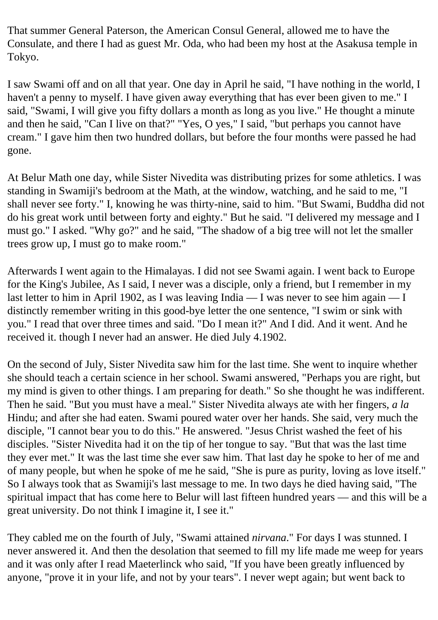That summer General Paterson, the American Consul General, allowed me to have the Consulate, and there I had as guest Mr. Oda, who had been my host at the Asakusa temple in Tokyo.

I saw Swami off and on all that year. One day in April he said, "I have nothing in the world, I haven't a penny to myself. I have given away everything that has ever been given to me." I said, "Swami, I will give you fifty dollars a month as long as you live." He thought a minute and then he said, "Can I live on that?" "Yes, O yes," I said, "but perhaps you cannot have cream." I gave him then two hundred dollars, but before the four months were passed he had gone.

At Belur Math one day, while Sister Nivedita was distributing prizes for some athletics. I was standing in Swamiji's bedroom at the Math, at the window, watching, and he said to me, "I shall never see forty." I, knowing he was thirty-nine, said to him. "But Swami, Buddha did not do his great work until between forty and eighty." But he said. "I delivered my message and I must go." I asked. "Why go?" and he said, "The shadow of a big tree will not let the smaller trees grow up, I must go to make room."

Afterwards I went again to the Himalayas. I did not see Swami again. I went back to Europe for the King's Jubilee, As I said, I never was a disciple, only a friend, but I remember in my last letter to him in April 1902, as I was leaving India — I was never to see him again — I distinctly remember writing in this good-bye letter the one sentence, "I swim or sink with you." I read that over three times and said. "Do I mean it?" And I did. And it went. And he received it. though I never had an answer. He died July 4.1902.

On the second of July, Sister Nivedita saw him for the last time. She went to inquire whether she should teach a certain science in her school. Swami answered, "Perhaps you are right, but my mind is given to other things. I am preparing for death." So she thought he was indifferent. Then he said. "But you must have a meal." Sister Nivedita always ate with her fingers, *a la* Hindu; and after she had eaten. Swami poured water over her hands. She said, very much the disciple, "I cannot bear you to do this." He answered. "Jesus Christ washed the feet of his disciples. "Sister Nivedita had it on the tip of her tongue to say. "But that was the last time they ever met." It was the last time she ever saw him. That last day he spoke to her of me and of many people, but when he spoke of me he said, "She is pure as purity, loving as love itself." So I always took that as Swamiji's last message to me. In two days he died having said, "The spiritual impact that has come here to Belur will last fifteen hundred years — and this will be a great university. Do not think I imagine it, I see it."

They cabled me on the fourth of July, "Swami attained *nirvana*." For days I was stunned. I never answered it. And then the desolation that seemed to fill my life made me weep for years and it was only after I read Maeterlinck who said, "If you have been greatly influenced by anyone, "prove it in your life, and not by your tears". I never wept again; but went back to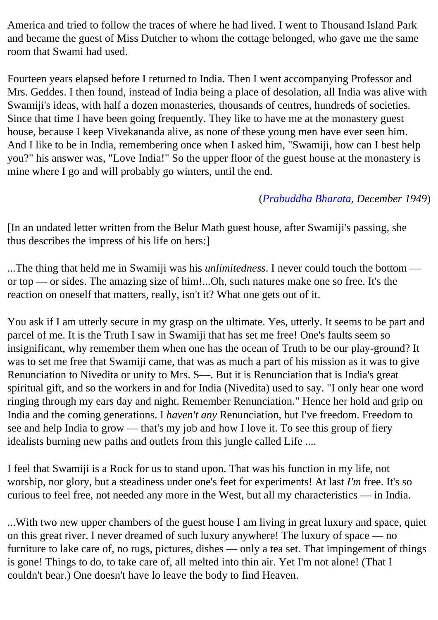America and tried to follow the traces of where he had lived. I went to Thousand Island Park and became the guest of Miss Dutcher to whom the cottage belonged, who gave me the same room that Swami had used.

Fourteen years elapsed before I returned to India. Then I went accompanying Professor and Mrs. Geddes. I then found, instead of India being a place of desolation, all India was alive with Swamiji's ideas, with half a dozen monasteries, thousands of centres, hundreds of societies. Since that time I have been going frequently. They like to have me at the monastery guest house, because I keep Vivekananda alive, as none of these young men have ever seen him. And I like to be in India, remembering once when I asked him, "Swamiji, how can I best help you?" his answer was, "Love India!" So the upper floor of the guest house at the monastery is mine where I go and will probably go winters, until the end.

### (*[Prabuddha Bharata](http://www.advaitaashrama.org/prabuddha_bharata.html), December 1949*)

[In an undated letter written from the Belur Math guest house, after Swamiji's passing, she thus describes the impress of his life on hers:]

...The thing that held me in Swamiji was his *unlimitedness*. I never could touch the bottom or top — or sides. The amazing size of him!...Oh, such natures make one so free. It's the reaction on oneself that matters, really, isn't it? What one gets out of it.

You ask if I am utterly secure in my grasp on the ultimate. Yes, utterly. It seems to be part and parcel of me. It is the Truth I saw in Swamiji that has set me free! One's faults seem so insignificant, why remember them when one has the ocean of Truth to be our play-ground? It was to set me free that Swamiji came, that was as much a part of his mission as it was to give Renunciation to Nivedita or unity to Mrs. S—. But it is Renunciation that is India's great spiritual gift, and so the workers in and for India (Nivedita) used to say. "I only hear one word ringing through my ears day and night. Remember Renunciation." Hence her hold and grip on India and the coming generations. I *haven't any* Renunciation, but I've freedom. Freedom to see and help India to grow — that's my job and how I love it. To see this group of fiery idealists burning new paths and outlets from this jungle called Life ....

I feel that Swamiji is a Rock for us to stand upon. That was his function in my life, not worship, nor glory, but a steadiness under one's feet for experiments! At last *I'm* free. It's so curious to feel free, not needed any more in the West, but all my characteristics — in India.

...With two new upper chambers of the guest house I am living in great luxury and space, quiet on this great river. I never dreamed of such luxury anywhere! The luxury of space — no furniture to lake care of, no rugs, pictures, dishes — only a tea set. That impingement of things is gone! Things to do, to take care of, all melted into thin air. Yet I'm not alone! (That I couldn't bear.) One doesn't have lo leave the body to find Heaven.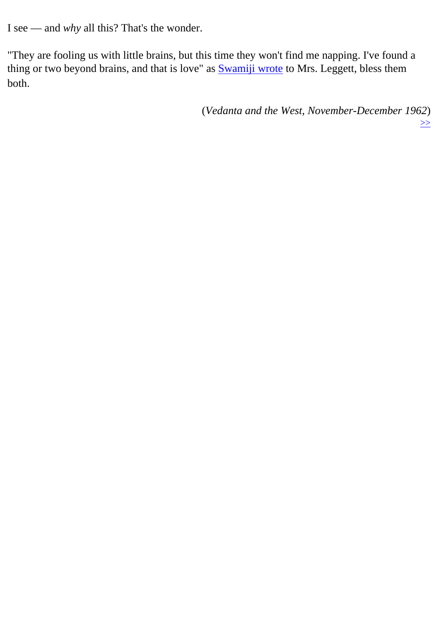I see — and *why* all this? That's the wonder.

"They are fooling us with little brains, but this time they won't find me napping. I've found a thing or two beyond brains, and that is love" as **[Swamiji wrote](http://www.ramakrishnavivekananda.info/vivekananda/volume_6/epistles_second_series/102_frankincense.htm)** to Mrs. Leggett, bless them both.

(*Vedanta and the West, November-December 1962*)

 $\geq$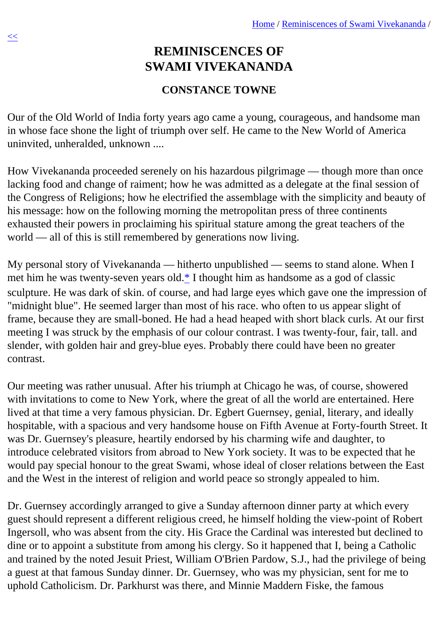# **REMINISCENCES OF SWAMI VIVEKANANDA**

#### **CONSTANCE TOWNE**

Our of the Old World of India forty years ago came a young, courageous, and handsome man in whose face shone the light of triumph over self. He came to the New World of America uninvited, unheralded, unknown ....

How Vivekananda proceeded serenely on his hazardous pilgrimage — though more than once lacking food and change of raiment; how he was admitted as a delegate at the final session of the Congress of Religions; how he electrified the assemblage with the simplicity and beauty of his message: how on the following morning the metropolitan press of three continents exhausted their powers in proclaiming his spiritual stature among the great teachers of the world — all of this is still remembered by generations now living.

My personal story of Vivekananda — hitherto unpublished — seems to stand alone. When I met him he was twenty-seven years old[.\\*](#page-165-0) I thought him as handsome as a god of classic sculpture. He was dark of skin. of course, and had large eyes which gave one the impression of "midnight blue". He seemed larger than most of his race. who often to us appear slight of frame, because they are small-boned. He had a head heaped with short black curls. At our first meeting I was struck by the emphasis of our colour contrast. I was twenty-four, fair, tall. and slender, with golden hair and grey-blue eyes. Probably there could have been no greater contrast.

Our meeting was rather unusual. After his triumph at Chicago he was, of course, showered with invitations to come to New York, where the great of all the world are entertained. Here lived at that time a very famous physician. Dr. Egbert Guernsey, genial, literary, and ideally hospitable, with a spacious and very handsome house on Fifth Avenue at Forty-fourth Street. It was Dr. Guernsey's pleasure, heartily endorsed by his charming wife and daughter, to introduce celebrated visitors from abroad to New York society. It was to be expected that he would pay special honour to the great Swami, whose ideal of closer relations between the East and the West in the interest of religion and world peace so strongly appealed to him.

Dr. Guernsey accordingly arranged to give a Sunday afternoon dinner party at which every guest should represent a different religious creed, he himself holding the view-point of Robert Ingersoll, who was absent from the city. His Grace the Cardinal was interested but declined to dine or to appoint a substitute from among his clergy. So it happened that I, being a Catholic and trained by the noted Jesuit Priest, William O'Brien Pardow, S.J., had the privilege of being a guest at that famous Sunday dinner. Dr. Guernsey, who was my physician, sent for me to uphold Catholicism. Dr. Parkhurst was there, and Minnie Maddern Fiske, the famous

<span id="page-165-0"></span> $<<$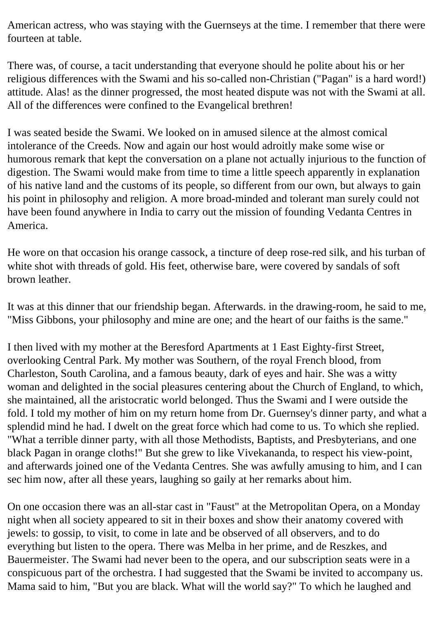American actress, who was staying with the Guernseys at the time. I remember that there were fourteen at table.

There was, of course, a tacit understanding that everyone should he polite about his or her religious differences with the Swami and his so-called non-Christian ("Pagan" is a hard word!) attitude. Alas! as the dinner progressed, the most heated dispute was not with the Swami at all. All of the differences were confined to the Evangelical brethren!

I was seated beside the Swami. We looked on in amused silence at the almost comical intolerance of the Creeds. Now and again our host would adroitly make some wise or humorous remark that kept the conversation on a plane not actually injurious to the function of digestion. The Swami would make from time to time a little speech apparently in explanation of his native land and the customs of its people, so different from our own, but always to gain his point in philosophy and religion. A more broad-minded and tolerant man surely could not have been found anywhere in India to carry out the mission of founding Vedanta Centres in America.

He wore on that occasion his orange cassock, a tincture of deep rose-red silk, and his turban of white shot with threads of gold. His feet, otherwise bare, were covered by sandals of soft brown leather.

It was at this dinner that our friendship began. Afterwards. in the drawing-room, he said to me, "Miss Gibbons, your philosophy and mine are one; and the heart of our faiths is the same."

I then lived with my mother at the Beresford Apartments at 1 East Eighty-first Street, overlooking Central Park. My mother was Southern, of the royal French blood, from Charleston, South Carolina, and a famous beauty, dark of eyes and hair. She was a witty woman and delighted in the social pleasures centering about the Church of England, to which, she maintained, all the aristocratic world belonged. Thus the Swami and I were outside the fold. I told my mother of him on my return home from Dr. Guernsey's dinner party, and what a splendid mind he had. I dwelt on the great force which had come to us. To which she replied. "What a terrible dinner party, with all those Methodists, Baptists, and Presbyterians, and one black Pagan in orange cloths!" But she grew to like Vivekananda, to respect his view-point, and afterwards joined one of the Vedanta Centres. She was awfully amusing to him, and I can sec him now, after all these years, laughing so gaily at her remarks about him.

On one occasion there was an all-star cast in "Faust" at the Metropolitan Opera, on a Monday night when all society appeared to sit in their boxes and show their anatomy covered with jewels: to gossip, to visit, to come in late and be observed of all observers, and to do everything but listen to the opera. There was Melba in her prime, and de Reszkes, and Bauermeister. The Swami had never been to the opera, and our subscription seats were in a conspicuous part of the orchestra. I had suggested that the Swami be invited to accompany us. Mama said to him, "But you are black. What will the world say?" To which he laughed and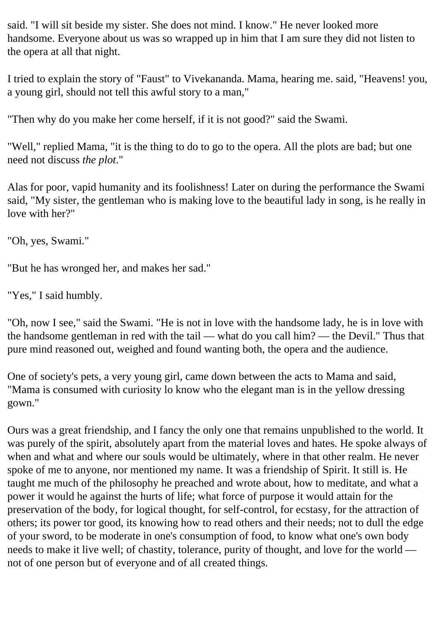said. "I will sit beside my sister. She does not mind. I know." He never looked more handsome. Everyone about us was so wrapped up in him that I am sure they did not listen to the opera at all that night.

I tried to explain the story of "Faust" to Vivekananda. Mama, hearing me. said, "Heavens! you, a young girl, should not tell this awful story to a man,"

"Then why do you make her come herself, if it is not good?" said the Swami.

"Well," replied Mama, "it is the thing to do to go to the opera. All the plots are bad; but one need not discuss *the plot*."

Alas for poor, vapid humanity and its foolishness! Later on during the performance the Swami said, "My sister, the gentleman who is making love to the beautiful lady in song, is he really in love with her?"

"Oh, yes, Swami."

"But he has wronged her, and makes her sad."

"Yes," I said humbly.

"Oh, now I see," said the Swami. "He is not in love with the handsome lady, he is in love with the handsome gentleman in red with the tail — what do you call him? — the Devil." Thus that pure mind reasoned out, weighed and found wanting both, the opera and the audience.

One of society's pets, a very young girl, came down between the acts to Mama and said, "Mama is consumed with curiosity lo know who the elegant man is in the yellow dressing gown."

Ours was a great friendship, and I fancy the only one that remains unpublished to the world. It was purely of the spirit, absolutely apart from the material loves and hates. He spoke always of when and what and where our souls would be ultimately, where in that other realm. He never spoke of me to anyone, nor mentioned my name. It was a friendship of Spirit. It still is. He taught me much of the philosophy he preached and wrote about, how to meditate, and what a power it would he against the hurts of life; what force of purpose it would attain for the preservation of the body, for logical thought, for self-control, for ecstasy, for the attraction of others; its power tor good, its knowing how to read others and their needs; not to dull the edge of your sword, to be moderate in one's consumption of food, to know what one's own body needs to make it live well; of chastity, tolerance, purity of thought, and love for the world not of one person but of everyone and of all created things.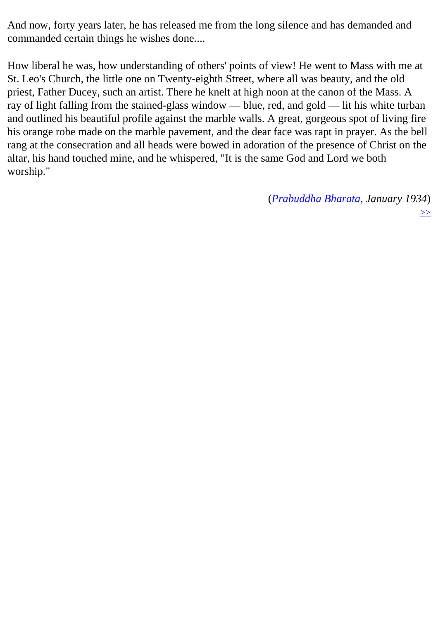And now, forty years later, he has released me from the long silence and has demanded and commanded certain things he wishes done....

How liberal he was, how understanding of others' points of view! He went to Mass with me at St. Leo's Church, the little one on Twenty-eighth Street, where all was beauty, and the old priest, Father Ducey, such an artist. There he knelt at high noon at the canon of the Mass. A ray of light falling from the stained-glass window — blue, red, and gold — lit his white turban and outlined his beautiful profile against the marble walls. A great, gorgeous spot of living fire his orange robe made on the marble pavement, and the dear face was rapt in prayer. As the bell rang at the consecration and all heads were bowed in adoration of the presence of Christ on the altar, his hand touched mine, and he whispered, "It is the same God and Lord we both worship."

(*[Prabuddha Bharata,](http://www.advaitaashrama.org/prabuddha_bharata.html) January 1934*)

 $\geq$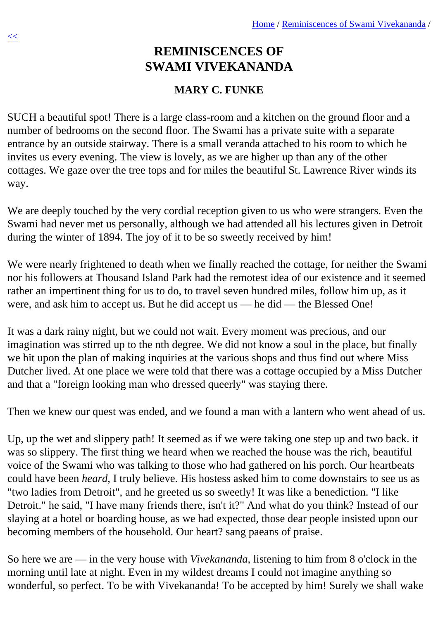# **REMINISCENCES OF SWAMI VIVEKANANDA**

#### **MARY C. FUNKE**

SUCH a beautiful spot! There is a large class-room and a kitchen on the ground floor and a number of bedrooms on the second floor. The Swami has a private suite with a separate entrance by an outside stairway. There is a small veranda attached to his room to which he invites us every evening. The view is lovely, as we are higher up than any of the other cottages. We gaze over the tree tops and for miles the beautiful St. Lawrence River winds its way.

We are deeply touched by the very cordial reception given to us who were strangers. Even the Swami had never met us personally, although we had attended all his lectures given in Detroit during the winter of 1894. The joy of it to be so sweetly received by him!

We were nearly frightened to death when we finally reached the cottage, for neither the Swami nor his followers at Thousand Island Park had the remotest idea of our existence and it seemed rather an impertinent thing for us to do, to travel seven hundred miles, follow him up, as it were, and ask him to accept us. But he did accept us — he did — the Blessed One!

It was a dark rainy night, but we could not wait. Every moment was precious, and our imagination was stirred up to the nth degree. We did not know a soul in the place, but finally we hit upon the plan of making inquiries at the various shops and thus find out where Miss Dutcher lived. At one place we were told that there was a cottage occupied by a Miss Dutcher and that a "foreign looking man who dressed queerly" was staying there.

Then we knew our quest was ended, and we found a man with a lantern who went ahead of us.

Up, up the wet and slippery path! It seemed as if we were taking one step up and two back. it was so slippery. The first thing we heard when we reached the house was the rich, beautiful voice of the Swami who was talking to those who had gathered on his porch. Our heartbeats could have been *heard*, I truly believe. His hostess asked him to come downstairs to see us as "two ladies from Detroit", and he greeted us so sweetly! It was like a benediction. "I like Detroit." he said, "I have many friends there, isn't it?" And what do you think? Instead of our slaying at a hotel or boarding house, as we had expected, those dear people insisted upon our becoming members of the household. Our heart? sang paeans of praise.

So here we are — in the very house with *Vivekananda*, listening to him from 8 o'clock in the morning until late at night. Even in my wildest dreams I could not imagine anything so wonderful, so perfect. To be with Vivekananda! To be accepted by him! Surely we shall wake

<span id="page-169-0"></span> $<<$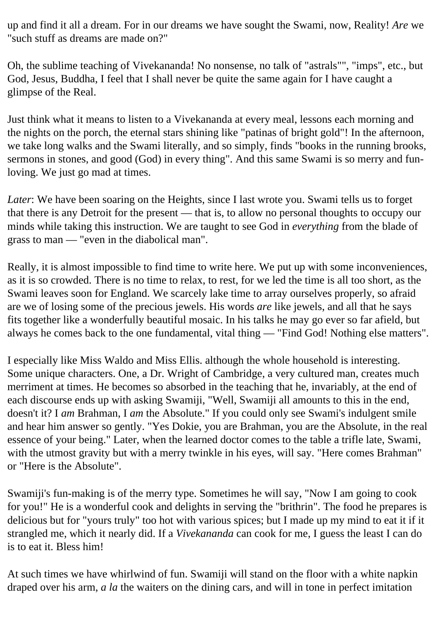up and find it all a dream. For in our dreams we have sought the Swami, now, Reality! *Are* we "such stuff as dreams are made on?"

Oh, the sublime teaching of Vivekananda! No nonsense, no talk of "astrals"", "imps", etc., but God, Jesus, Buddha, I feel that I shall never be quite the same again for I have caught a glimpse of the Real.

Just think what it means to listen to a Vivekananda at every meal, lessons each morning and the nights on the porch, the eternal stars shining like "patinas of bright gold"! In the afternoon, we take long walks and the Swami literally, and so simply, finds "books in the running brooks, sermons in stones, and good (God) in every thing". And this same Swami is so merry and funloving. We just go mad at times.

*Later*: We have been soaring on the Heights, since I last wrote you. Swami tells us to forget that there is any Detroit for the present — that is, to allow no personal thoughts to occupy our minds while taking this instruction. We are taught to see God in *everything* from the blade of grass to man — "even in the diabolical man".

Really, it is almost impossible to find time to write here. We put up with some inconveniences, as it is so crowded. There is no time to relax, to rest, for we led the time is all too short, as the Swami leaves soon for England. We scarcely lake time to array ourselves properly, so afraid are we of losing some of the precious jewels. His words *are* like jewels, and all that he says fits together like a wonderfully beautiful mosaic. In his talks he may go ever so far afield, but always he comes back to the one fundamental, vital thing — "Find God! Nothing else matters".

I especially like Miss Waldo and Miss Ellis. although the whole household is interesting. Some unique characters. One, a Dr. Wright of Cambridge, a very cultured man, creates much merriment at times. He becomes so absorbed in the teaching that he, invariably, at the end of each discourse ends up with asking Swamiji, "Well, Swamiji all amounts to this in the end, doesn't it? I *am* Brahman, I *am* the Absolute." If you could only see Swami's indulgent smile and hear him answer so gently. "Yes Dokie, you are Brahman, you are the Absolute, in the real essence of your being." Later, when the learned doctor comes to the table a trifle late, Swami, with the utmost gravity but with a merry twinkle in his eyes, will say. "Here comes Brahman" or "Here is the Absolute".

Swamiji's fun-making is of the merry type. Sometimes he will say, "Now I am going to cook for you!" He is a wonderful cook and delights in serving the "brithrin". The food he prepares is delicious but for "yours truly" too hot with various spices; but I made up my mind to eat it if it strangled me, which it nearly did. If a *Vivekananda* can cook for me, I guess the least I can do is to eat it. Bless him!

At such times we have whirlwind of fun. Swamiji will stand on the floor with a white napkin draped over his arm, *a la* the waiters on the dining cars, and will in tone in perfect imitation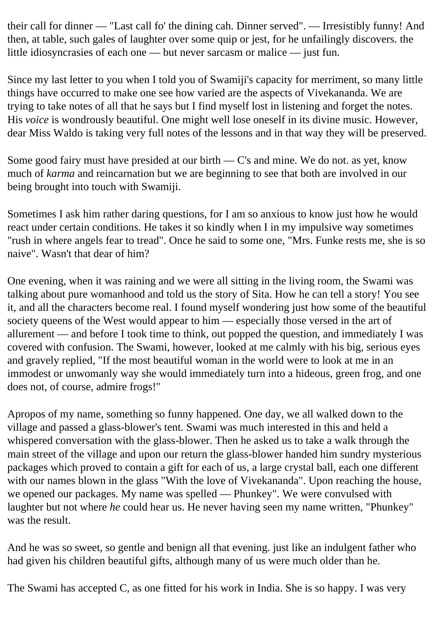their call for dinner — "Last call fo' the dining cah. Dinner served". — Irresistibly funny! And then, at table, such gales of laughter over some quip or jest, for he unfailingly discovers. the little idiosyncrasies of each one — but never sarcasm or malice — just fun.

Since my last letter to you when I told you of Swamiji's capacity for merriment, so many little things have occurred to make one see how varied are the aspects of Vivekananda. We are trying to take notes of all that he says but I find myself lost in listening and forget the notes. His *voice* is wondrously beautiful. One might well lose oneself in its divine music. However, dear Miss Waldo is taking very full notes of the lessons and in that way they will be preserved.

Some good fairy must have presided at our birth — C's and mine. We do not. as yet, know much of *karma* and reincarnation but we are beginning to see that both are involved in our being brought into touch with Swamiji.

Sometimes I ask him rather daring questions, for I am so anxious to know just how he would react under certain conditions. He takes it so kindly when I in my impulsive way sometimes "rush in where angels fear to tread". Once he said to some one, "Mrs. Funke rests me, she is so naive". Wasn't that dear of him?

One evening, when it was raining and we were all sitting in the living room, the Swami was talking about pure womanhood and told us the story of Sita. How he can tell a story! You see it, and all the characters become real. I found myself wondering just how some of the beautiful society queens of the West would appear to him — especially those versed in the art of allurement — and before I took time to think, out popped the question, and immediately I was covered with confusion. The Swami, however, looked at me calmly with his big, serious eyes and gravely replied, "If the most beautiful woman in the world were to look at me in an immodest or unwomanly way she would immediately turn into a hideous, green frog, and one does not, of course, admire frogs!"

Apropos of my name, something so funny happened. One day, we all walked down to the village and passed a glass-blower's tent. Swami was much interested in this and held a whispered conversation with the glass-blower. Then he asked us to take a walk through the main street of the village and upon our return the glass-blower handed him sundry mysterious packages which proved to contain a gift for each of us, a large crystal ball, each one different with our names blown in the glass "With the love of Vivekananda". Upon reaching the house, we opened our packages. My name was spelled — Phunkey". We were convulsed with laughter but not where *he* could hear us. He never having seen my name written, "Phunkey" was the result.

And he was so sweet, so gentle and benign all that evening. just like an indulgent father who had given his children beautiful gifts, although many of us were much older than he.

The Swami has accepted C, as one fitted for his work in India. She is so happy. I was very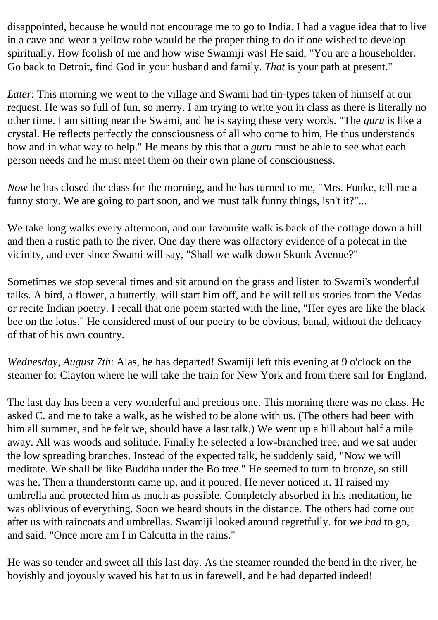disappointed, because he would not encourage me to go to India. I had a vague idea that to live in a cave and wear a yellow robe would be the proper thing to do if one wished to develop spiritually. How foolish of me and how wise Swamiji was! He said, "You are a householder. Go back to Detroit, find God in your husband and family. *That* is your path at present."

*Later*: This morning we went to the village and Swami had tin-types taken of himself at our request. He was so full of fun, so merry. I am trying to write you in class as there is literally no other time. I am sitting near the Swami, and he is saying these very words. "The *guru* is like a crystal. He reflects perfectly the consciousness of all who come to him, He thus understands how and in what way to help." He means by this that a *guru* must be able to see what each person needs and he must meet them on their own plane of consciousness.

*Now* he has closed the class for the morning, and he has turned to me, "Mrs. Funke, tell me a funny story. We are going to part soon, and we must talk funny things, isn't it?"...

We take long walks every afternoon, and our favourite walk is back of the cottage down a hill and then a rustic path to the river. One day there was olfactory evidence of a polecat in the vicinity, and ever since Swami will say, "Shall we walk down Skunk Avenue?"

Sometimes we stop several times and sit around on the grass and listen to Swami's wonderful talks. A bird, a flower, a butterfly, will start him off, and he will tell us stories from the Vedas or recite Indian poetry. I recall that one poem started with the line, "Her eyes are like the black bee on the lotus." He considered must of our poetry to be obvious, banal, without the delicacy of that of his own country.

*Wednesday, August 7th*: Alas, he has departed! Swamiji left this evening at 9 o'clock on the steamer for Clayton where he will take the train for New York and from there sail for England.

The last day has been a very wonderful and precious one. This morning there was no class. He asked C. and me to take a walk, as he wished to be alone with us. (The others had been with him all summer, and he felt we, should have a last talk.) We went up a hill about half a mile away. All was woods and solitude. Finally he selected a low-branched tree, and we sat under the low spreading branches. Instead of the expected talk, he suddenly said, "Now we will meditate. We shall be like Buddha under the Bo tree." He seemed to turn to bronze, so still was he. Then a thunderstorm came up, and it poured. He never noticed it. 1I raised my umbrella and protected him as much as possible. Completely absorbed in his meditation, he was oblivious of everything. Soon we heard shouts in the distance. The others had come out after us with raincoats and umbrellas. Swamiji looked around regretfully. for we *had* to go, and said, "Once more am I in Calcutta in the rains."

He was so tender and sweet all this last day. As the steamer rounded the bend in the river, he boyishly and joyously waved his hat to us in farewell, and he had departed indeed!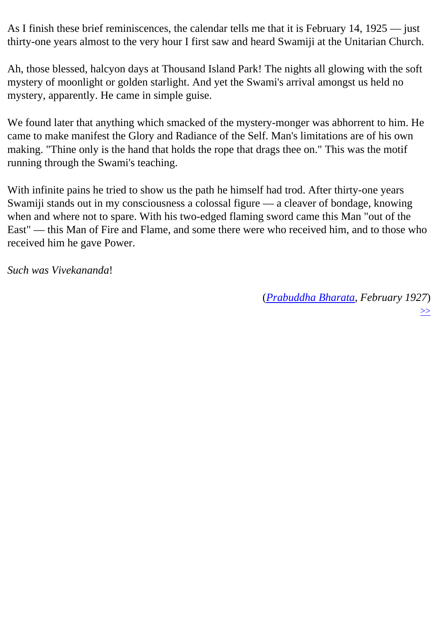As I finish these brief reminiscences, the calendar tells me that it is February 14, 1925 — just thirty-one years almost to the very hour I first saw and heard Swamiji at the Unitarian Church.

Ah, those blessed, halcyon days at Thousand Island Park! The nights all glowing with the soft mystery of moonlight or golden starlight. And yet the Swami's arrival amongst us held no mystery, apparently. He came in simple guise.

We found later that anything which smacked of the mystery-monger was abhorrent to him. He came to make manifest the Glory and Radiance of the Self. Man's limitations are of his own making. "Thine only is the hand that holds the rope that drags thee on." This was the motif running through the Swami's teaching.

With infinite pains he tried to show us the path he himself had trod. After thirty-one years Swamiji stands out in my consciousness a colossal figure — a cleaver of bondage, knowing when and where not to spare. With his two-edged flaming sword came this Man "out of the East" — this Man of Fire and Flame, and some there were who received him, and to those who received him he gave Power.

*Such was Vivekananda*!

(*[Prabuddha Bharata](http://www.advaitaashrama.org/prabuddha_bharata.html), February 1927*)  $\geq$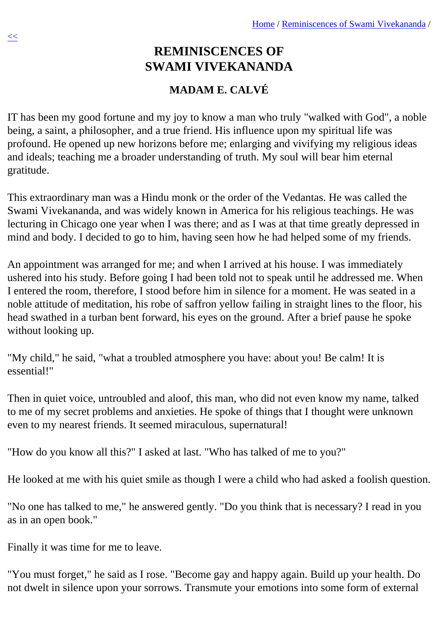# **REMINISCENCES OF SWAMI VIVEKANANDA**

### **MADAM E. CALVÉ**

<span id="page-174-0"></span>IT has been my good fortune and my joy to know a man who truly "walked with God", a noble being, a saint, a philosopher, and a true friend. His influence upon my spiritual life was profound. He opened up new horizons before me; enlarging and vivifying my religious ideas and ideals; teaching me a broader understanding of truth. My soul will bear him eternal gratitude.

This extraordinary man was a Hindu monk or the order of the Vedantas. He was called the Swami Vivekananda, and was widely known in America for his religious teachings. He was lecturing in Chicago one year when I was there; and as I was at that time greatly depressed in mind and body. I decided to go to him, having seen how he had helped some of my friends.

An appointment was arranged for me; and when I arrived at his house. I was immediately ushered into his study. Before going I had been told not to speak until he addressed me. When I entered the room, therefore, I stood before him in silence for a moment. He was seated in a noble attitude of meditation, his robe of saffron yellow failing in straight lines to the floor, his head swathed in a turban bent forward, his eyes on the ground. After a brief pause he spoke without looking up.

"My child," he said, "what a troubled atmosphere you have: about you! Be calm! It is essential!"

Then in quiet voice, untroubled and aloof, this man, who did not even know my name, talked to me of my secret problems and anxieties. He spoke of things that I thought were unknown even to my nearest friends. It seemed miraculous, supernatural!

"How do you know all this?" I asked at last. "Who has talked of me to you?"

He looked at me with his quiet smile as though I were a child who had asked a foolish question.

"No one has talked to me," he answered gently. "Do you think that is necessary? I read in you as in an open book."

Finally it was time for me to leave.

"You must forget," he said as I rose. "Become gay and happy again. Build up your health. Do not dwelt in silence upon your sorrows. Transmute your emotions into some form of external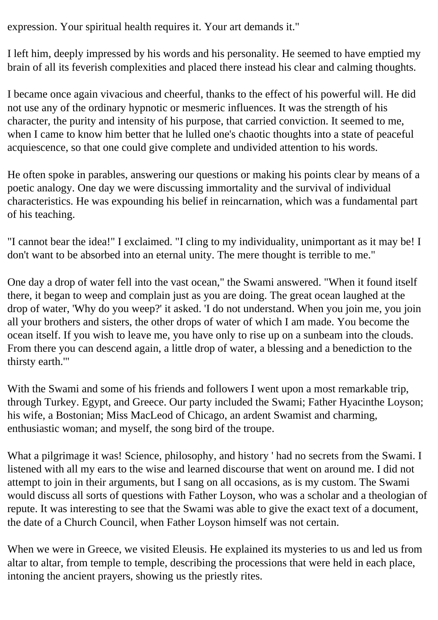expression. Your spiritual health requires it. Your art demands it."

I left him, deeply impressed by his words and his personality. He seemed to have emptied my brain of all its feverish complexities and placed there instead his clear and calming thoughts.

I became once again vivacious and cheerful, thanks to the effect of his powerful will. He did not use any of the ordinary hypnotic or mesmeric influences. It was the strength of his character, the purity and intensity of his purpose, that carried conviction. It seemed to me, when I came to know him better that he lulled one's chaotic thoughts into a state of peaceful acquiescence, so that one could give complete and undivided attention to his words.

He often spoke in parables, answering our questions or making his points clear by means of a poetic analogy. One day we were discussing immortality and the survival of individual characteristics. He was expounding his belief in reincarnation, which was a fundamental part of his teaching.

"I cannot bear the idea!" I exclaimed. "I cling to my individuality, unimportant as it may be! I don't want to be absorbed into an eternal unity. The mere thought is terrible to me."

One day a drop of water fell into the vast ocean," the Swami answered. "When it found itself there, it began to weep and complain just as you are doing. The great ocean laughed at the drop of water, 'Why do you weep?' it asked. 'I do not understand. When you join me, you join all your brothers and sisters, the other drops of water of which I am made. You become the ocean itself. If you wish to leave me, you have only to rise up on a sunbeam into the clouds. From there you can descend again, a little drop of water, a blessing and a benediction to the thirsty earth.'"

With the Swami and some of his friends and followers I went upon a most remarkable trip, through Turkey. Egypt, and Greece. Our party included the Swami; Father Hyacinthe Loyson; his wife, a Bostonian; Miss MacLeod of Chicago, an ardent Swamist and charming, enthusiastic woman; and myself, the song bird of the troupe.

What a pilgrimage it was! Science, philosophy, and history ' had no secrets from the Swami. I listened with all my ears to the wise and learned discourse that went on around me. I did not attempt to join in their arguments, but I sang on all occasions, as is my custom. The Swami would discuss all sorts of questions with Father Loyson, who was a scholar and a theologian of repute. It was interesting to see that the Swami was able to give the exact text of a document, the date of a Church Council, when Father Loyson himself was not certain.

When we were in Greece, we visited Eleusis. He explained its mysteries to us and led us from altar to altar, from temple to temple, describing the processions that were held in each place, intoning the ancient prayers, showing us the priestly rites.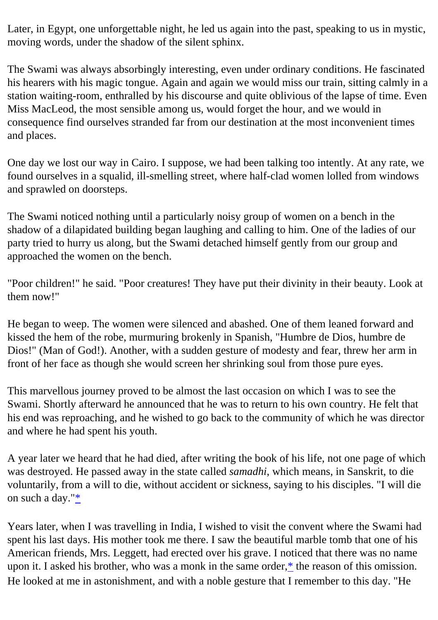Later, in Egypt, one unforgettable night, he led us again into the past, speaking to us in mystic, moving words, under the shadow of the silent sphinx.

The Swami was always absorbingly interesting, even under ordinary conditions. He fascinated his hearers with his magic tongue. Again and again we would miss our train, sitting calmly in a station waiting-room, enthralled by his discourse and quite oblivious of the lapse of time. Even Miss MacLeod, the most sensible among us, would forget the hour, and we would in consequence find ourselves stranded far from our destination at the most inconvenient times and places.

One day we lost our way in Cairo. I suppose, we had been talking too intently. At any rate, we found ourselves in a squalid, ill-smelling street, where half-clad women lolled from windows and sprawled on doorsteps.

The Swami noticed nothing until a particularly noisy group of women on a bench in the shadow of a dilapidated building began laughing and calling to him. One of the ladies of our party tried to hurry us along, but the Swami detached himself gently from our group and approached the women on the bench.

"Poor children!" he said. "Poor creatures! They have put their divinity in their beauty. Look at them now!"

He began to weep. The women were silenced and abashed. One of them leaned forward and kissed the hem of the robe, murmuring brokenly in Spanish, "Humbre de Dios, humbre de Dios!" (Man of God!). Another, with a sudden gesture of modesty and fear, threw her arm in front of her face as though she would screen her shrinking soul from those pure eyes.

This marvellous journey proved to be almost the last occasion on which I was to see the Swami. Shortly afterward he announced that he was to return to his own country. He felt that his end was reproaching, and he wished to go back to the community of which he was director and where he had spent his youth.

A year later we heard that he had died, after writing the book of his life, not one page of which was destroyed. He passed away in the state called *samadhi*, which means, in Sanskrit, to die voluntarily, from a will to die, without accident or sickness, saying to his disciples. "I will die on such a day."[\\*](#page-174-0)

Years later, when I was travelling in India, I wished to visit the convent where the Swami had spent his last days. His mother took me there. I saw the beautiful marble tomb that one of his American friends, Mrs. Leggett, had erected over his grave. I noticed that there was no name upon it. I asked his brother, who was a monk in the same order, $*$  the reason of this omission. He looked at me in astonishment, and with a noble gesture that I remember to this day. "He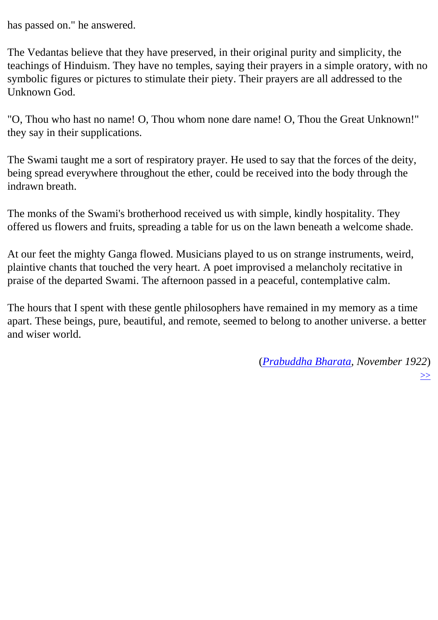has passed on." he answered.

The Vedantas believe that they have preserved, in their original purity and simplicity, the teachings of Hinduism. They have no temples, saying their prayers in a simple oratory, with no symbolic figures or pictures to stimulate their piety. Their prayers are all addressed to the Unknown God.

"O, Thou who hast no name! O, Thou whom none dare name! O, Thou the Great Unknown!" they say in their supplications.

The Swami taught me a sort of respiratory prayer. He used to say that the forces of the deity, being spread everywhere throughout the ether, could be received into the body through the indrawn breath.

The monks of the Swami's brotherhood received us with simple, kindly hospitality. They offered us flowers and fruits, spreading a table for us on the lawn beneath a welcome shade.

At our feet the mighty Ganga flowed. Musicians played to us on strange instruments, weird, plaintive chants that touched the very heart. A poet improvised a melancholy recitative in praise of the departed Swami. The afternoon passed in a peaceful, contemplative calm.

The hours that I spent with these gentle philosophers have remained in my memory as a time apart. These beings, pure, beautiful, and remote, seemed to belong to another universe. a better and wiser world.

> (*[Prabuddha Bharata](http://www.advaitaashrama.org/prabuddha_bharata.html), November 1922*)  $\geq$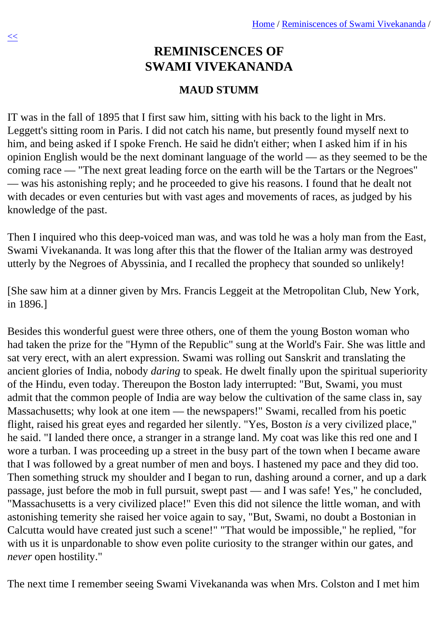## **REMINISCENCES OF SWAMI VIVEKANANDA**

#### **MAUD STUMM**

<span id="page-178-0"></span>IT was in the fall of 1895 that I first saw him, sitting with his back to the light in Mrs. Leggett's sitting room in Paris. I did not catch his name, but presently found myself next to him, and being asked if I spoke French. He said he didn't either; when I asked him if in his opinion English would be the next dominant language of the world — as they seemed to be the coming race — "The next great leading force on the earth will be the Tartars or the Negroes" — was his astonishing reply; and he proceeded to give his reasons. I found that he dealt not with decades or even centuries but with vast ages and movements of races, as judged by his knowledge of the past.

Then I inquired who this deep-voiced man was, and was told he was a holy man from the East, Swami Vivekananda. It was long after this that the flower of the Italian army was destroyed utterly by the Negroes of Abyssinia, and I recalled the prophecy that sounded so unlikely!

[She saw him at a dinner given by Mrs. Francis Leggeit at the Metropolitan Club, New York, in 1896.]

Besides this wonderful guest were three others, one of them the young Boston woman who had taken the prize for the "Hymn of the Republic" sung at the World's Fair. She was little and sat very erect, with an alert expression. Swami was rolling out Sanskrit and translating the ancient glories of India, nobody *daring* to speak. He dwelt finally upon the spiritual superiority of the Hindu, even today. Thereupon the Boston lady interrupted: "But, Swami, you must admit that the common people of India are way below the cultivation of the same class in, say Massachusetts; why look at one item — the newspapers!" Swami, recalled from his poetic flight, raised his great eyes and regarded her silently. "Yes, Boston *is* a very civilized place," he said. "I landed there once, a stranger in a strange land. My coat was like this red one and I wore a turban. I was proceeding up a street in the busy part of the town when I became aware that I was followed by a great number of men and boys. I hastened my pace and they did too. Then something struck my shoulder and I began to run, dashing around a corner, and up a dark passage, just before the mob in full pursuit, swept past — and I was safe! Yes," he concluded, "Massachusetts is a very civilized place!" Even this did not silence the little woman, and with astonishing temerity she raised her voice again to say, "But, Swami, no doubt a Bostonian in Calcutta would have created just such a scene!" "That would be impossible," he replied, "for with us it is unpardonable to show even polite curiosity to the stranger within our gates, and *never* open hostility."

The next time I remember seeing Swami Vivekananda was when Mrs. Colston and I met him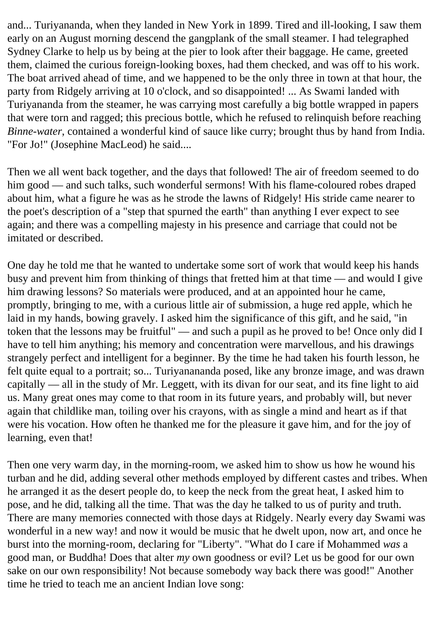and... Turiyananda, when they landed in New York in 1899. Tired and ill-looking, I saw them early on an August morning descend the gangplank of the small steamer. I had telegraphed Sydney Clarke to help us by being at the pier to look after their baggage. He came, greeted them, claimed the curious foreign-looking boxes, had them checked, and was off to his work. The boat arrived ahead of time, and we happened to be the only three in town at that hour, the party from Ridgely arriving at 10 o'clock, and so disappointed! ... As Swami landed with Turiyananda from the steamer, he was carrying most carefully a big bottle wrapped in papers that were torn and ragged; this precious bottle, which he refused to relinquish before reaching *Binne-water*, contained a wonderful kind of sauce like curry; brought thus by hand from India. "For Jo!" (Josephine MacLeod) he said....

Then we all went back together, and the days that followed! The air of freedom seemed to do him good — and such talks, such wonderful sermons! With his flame-coloured robes draped about him, what a figure he was as he strode the lawns of Ridgely! His stride came nearer to the poet's description of a "step that spurned the earth" than anything I ever expect to see again; and there was a compelling majesty in his presence and carriage that could not be imitated or described.

One day he told me that he wanted to undertake some sort of work that would keep his hands busy and prevent him from thinking of things that fretted him at that time — and would I give him drawing lessons? So materials were produced, and at an appointed hour he came, promptly, bringing to me, with a curious little air of submission, a huge red apple, which he laid in my hands, bowing gravely. I asked him the significance of this gift, and he said, "in token that the lessons may be fruitful" — and such a pupil as he proved to be! Once only did I have to tell him anything; his memory and concentration were marvellous, and his drawings strangely perfect and intelligent for a beginner. By the time he had taken his fourth lesson, he felt quite equal to a portrait; so... Turiyanananda posed, like any bronze image, and was drawn capitally — all in the study of Mr. Leggett, with its divan for our seat, and its fine light to aid us. Many great ones may come to that room in its future years, and probably will, but never again that childlike man, toiling over his crayons, with as single a mind and heart as if that were his vocation. How often he thanked me for the pleasure it gave him, and for the joy of learning, even that!

Then one very warm day, in the morning-room, we asked him to show us how he wound his turban and he did, adding several other methods employed by different castes and tribes. When he arranged it as the desert people do, to keep the neck from the great heat, I asked him to pose, and he did, talking all the time. That was the day he talked to us of purity and truth. There are many memories connected with those days at Ridgely. Nearly every day Swami was wonderful in a new way! and now it would be music that he dwelt upon, now art, and once he burst into the morning-room, declaring for "Liberty". "What do I care if Mohammed *was* a good man, or Buddha! Does that alter *my* own goodness or evil? Let us be good for our own sake on our own responsibility! Not because somebody way back there was good!" Another time he tried to teach me an ancient Indian love song: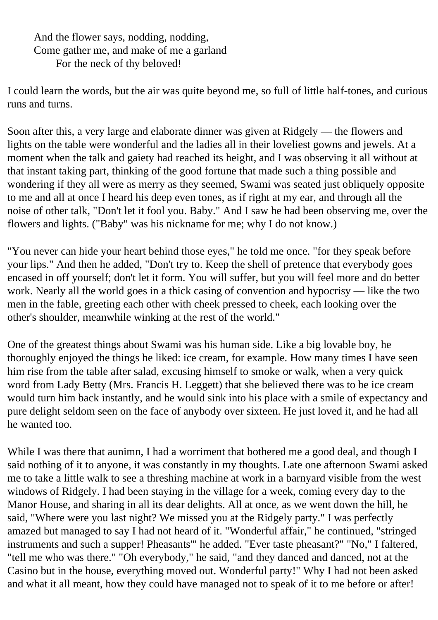And the flower says, nodding, nodding, Come gather me, and make of me a garland For the neck of thy beloved!

I could learn the words, but the air was quite beyond me, so full of little half-tones, and curious runs and turns.

Soon after this, a very large and elaborate dinner was given at Ridgely — the flowers and lights on the table were wonderful and the ladies all in their loveliest gowns and jewels. At a moment when the talk and gaiety had reached its height, and I was observing it all without at that instant taking part, thinking of the good fortune that made such a thing possible and wondering if they all were as merry as they seemed, Swami was seated just obliquely opposite to me and all at once I heard his deep even tones, as if right at my ear, and through all the noise of other talk, "Don't let it fool you. Baby." And I saw he had been observing me, over the flowers and lights. ("Baby" was his nickname for me; why I do not know.)

"You never can hide your heart behind those eyes," he told me once. "for they speak before your lips." And then he added, "Don't try to. Keep the shell of pretence that everybody goes encased in off yourself; don't let it form. You will suffer, but you will feel more and do better work. Nearly all the world goes in a thick casing of convention and hypocrisy — like the two men in the fable, greeting each other with cheek pressed to cheek, each looking over the other's shoulder, meanwhile winking at the rest of the world."

One of the greatest things about Swami was his human side. Like a big lovable boy, he thoroughly enjoyed the things he liked: ice cream, for example. How many times I have seen him rise from the table after salad, excusing himself to smoke or walk, when a very quick word from Lady Betty (Mrs. Francis H. Leggett) that she believed there was to be ice cream would turn him back instantly, and he would sink into his place with a smile of expectancy and pure delight seldom seen on the face of anybody over sixteen. He just loved it, and he had all he wanted too.

While I was there that aunimn, I had a worriment that bothered me a good deal, and though I said nothing of it to anyone, it was constantly in my thoughts. Late one afternoon Swami asked me to take a little walk to see a threshing machine at work in a barnyard visible from the west windows of Ridgely. I had been staying in the village for a week, coming every day to the Manor House, and sharing in all its dear delights. All at once, as we went down the hill, he said, "Where were you last night? We missed you at the Ridgely party." I was perfectly amazed but managed to say I had not heard of it. "Wonderful affair," he continued, "stringed instruments and such a supper! Pheasants'" he added. "Ever taste pheasant?" "No," I faltered, "tell me who was there." "Oh everybody," he said, "and they danced and danced, not at the Casino but in the house, everything moved out. Wonderful party!" Why I had not been asked and what it all meant, how they could have managed not to speak of it to me before or after!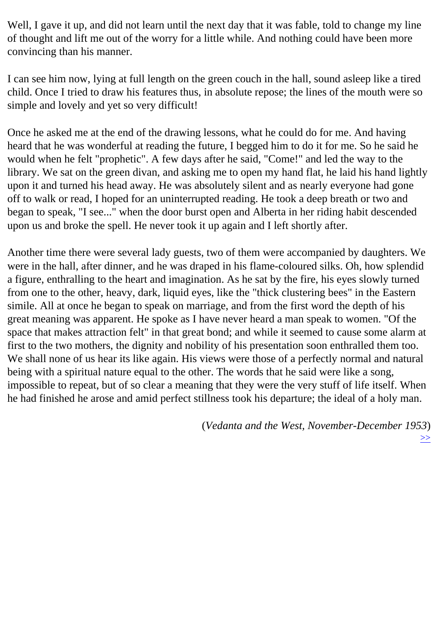Well, I gave it up, and did not learn until the next day that it was fable, told to change my line of thought and lift me out of the worry for a little while. And nothing could have been more convincing than his manner.

I can see him now, lying at full length on the green couch in the hall, sound asleep like a tired child. Once I tried to draw his features thus, in absolute repose; the lines of the mouth were so simple and lovely and yet so very difficult!

Once he asked me at the end of the drawing lessons, what he could do for me. And having heard that he was wonderful at reading the future, I begged him to do it for me. So he said he would when he felt "prophetic". A few days after he said, "Come!" and led the way to the library. We sat on the green divan, and asking me to open my hand flat, he laid his hand lightly upon it and turned his head away. He was absolutely silent and as nearly everyone had gone off to walk or read, I hoped for an uninterrupted reading. He took a deep breath or two and began to speak, "I see..." when the door burst open and Alberta in her riding habit descended upon us and broke the spell. He never took it up again and I left shortly after.

Another time there were several lady guests, two of them were accompanied by daughters. We were in the hall, after dinner, and he was draped in his flame-coloured silks. Oh, how splendid a figure, enthralling to the heart and imagination. As he sat by the fire, his eyes slowly turned from one to the other, heavy, dark, liquid eyes, like the "thick clustering bees" in the Eastern simile. All at once he began to speak on marriage, and from the first word the depth of his great meaning was apparent. He spoke as I have never heard a man speak to women. "Of the space that makes attraction felt" in that great bond; and while it seemed to cause some alarm at first to the two mothers, the dignity and nobility of his presentation soon enthralled them too. We shall none of us hear its like again. His views were those of a perfectly normal and natural being with a spiritual nature equal to the other. The words that he said were like a song, impossible to repeat, but of so clear a meaning that they were the very stuff of life itself. When he had finished he arose and amid perfect stillness took his departure; the ideal of a holy man.

> (*Vedanta and the West, November-December 1953*)  $\geq$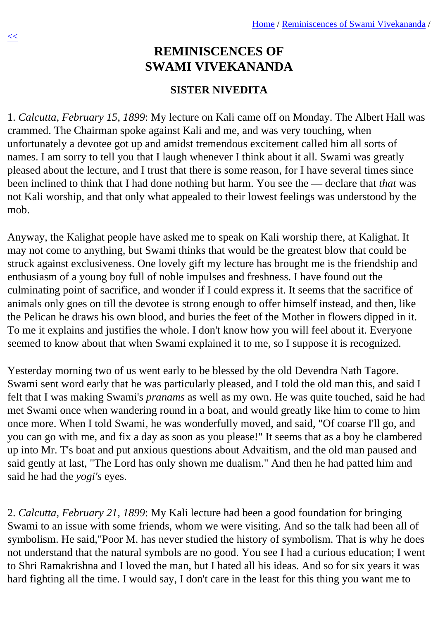## **REMINISCENCES OF SWAMI VIVEKANANDA**

### **SISTER NIVEDITA**

<span id="page-182-0"></span>1. *Calcutta, February 15, 1899*: My lecture on Kali came off on Monday. The Albert Hall was crammed. The Chairman spoke against Kali and me, and was very touching, when unfortunately a devotee got up and amidst tremendous excitement called him all sorts of names. I am sorry to tell you that I laugh whenever I think about it all. Swami was greatly pleased about the lecture, and I trust that there is some reason, for I have several times since been inclined to think that I had done nothing but harm. You see the — declare that *that* was not Kali worship, and that only what appealed to their lowest feelings was understood by the mob.

Anyway, the Kalighat people have asked me to speak on Kali worship there, at Kalighat. It may not come to anything, but Swami thinks that would be the greatest blow that could be struck against exclusiveness. One lovely gift my lecture has brought me is the friendship and enthusiasm of a young boy full of noble impulses and freshness. I have found out the culminating point of sacrifice, and wonder if I could express it. It seems that the sacrifice of animals only goes on till the devotee is strong enough to offer himself instead, and then, like the Pelican he draws his own blood, and buries the feet of the Mother in flowers dipped in it. To me it explains and justifies the whole. I don't know how you will feel about it. Everyone seemed to know about that when Swami explained it to me, so I suppose it is recognized.

Yesterday morning two of us went early to be blessed by the old Devendra Nath Tagore. Swami sent word early that he was particularly pleased, and I told the old man this, and said I felt that I was making Swami's *pranams* as well as my own. He was quite touched, said he had met Swami once when wandering round in a boat, and would greatly like him to come to him once more. When I told Swami, he was wonderfully moved, and said, "Of coarse I'll go, and you can go with me, and fix a day as soon as you please!" It seems that as a boy he clambered up into Mr. T's boat and put anxious questions about Advaitism, and the old man paused and said gently at last, "The Lord has only shown me dualism." And then he had patted him and said he had the *yogi's* eyes.

2. *Calcutta, February 21, 1899*: My Kali lecture had been a good foundation for bringing Swami to an issue with some friends, whom we were visiting. And so the talk had been all of symbolism. He said,"Poor M. has never studied the history of symbolism. That is why he does not understand that the natural symbols are no good. You see I had a curious education; I went to Shri Ramakrishna and I loved the man, but I hated all his ideas. And so for six years it was hard fighting all the time. I would say, I don't care in the least for this thing you want me to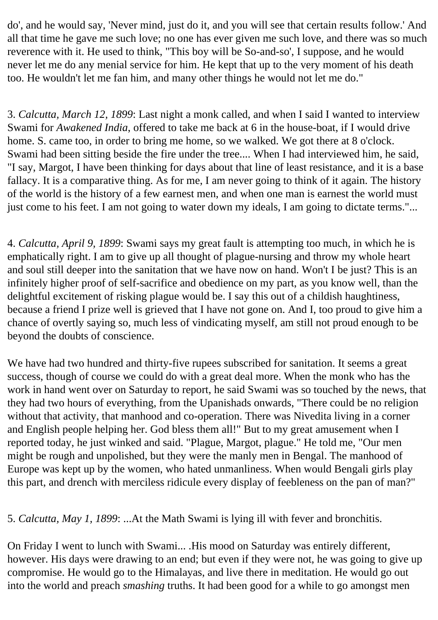do', and he would say, 'Never mind, just do it, and you will see that certain results follow.' And all that time he gave me such love; no one has ever given me such love, and there was so much reverence with it. He used to think, "This boy will be So-and-so', I suppose, and he would never let me do any menial service for him. He kept that up to the very moment of his death too. He wouldn't let me fan him, and many other things he would not let me do."

3. *Calcutta, March 12, 1899*: Last night a monk called, and when I said I wanted to interview Swami for *Awakened India*, offered to take me back at 6 in the house-boat, if I would drive home. S. came too, in order to bring me home, so we walked. We got there at 8 o'clock. Swami had been sitting beside the fire under the tree.... When I had interviewed him, he said, "I say, Margot, I have been thinking for days about that line of least resistance, and it is a base fallacy. It is a comparative thing. As for me, I am never going to think of it again. The history of the world is the history of a few earnest men, and when one man is earnest the world must just come to his feet. I am not going to water down my ideals, I am going to dictate terms."...

4. *Calcutta, April 9, 1899*: Swami says my great fault is attempting too much, in which he is emphatically right. I am to give up all thought of plague-nursing and throw my whole heart and soul still deeper into the sanitation that we have now on hand. Won't I be just? This is an infinitely higher proof of self-sacrifice and obedience on my part, as you know well, than the delightful excitement of risking plague would be. I say this out of a childish haughtiness, because a friend I prize well is grieved that I have not gone on. And I, too proud to give him a chance of overtly saying so, much less of vindicating myself, am still not proud enough to be beyond the doubts of conscience.

We have had two hundred and thirty-five rupees subscribed for sanitation. It seems a great success, though of course we could do with a great deal more. When the monk who has the work in hand went over on Saturday to report, he said Swami was so touched by the news, that they had two hours of everything, from the Upanishads onwards, "There could be no religion without that activity, that manhood and co-operation. There was Nivedita living in a corner and English people helping her. God bless them all!" But to my great amusement when I reported today, he just winked and said. "Plague, Margot, plague." He told me, "Our men might be rough and unpolished, but they were the manly men in Bengal. The manhood of Europe was kept up by the women, who hated unmanliness. When would Bengali girls play this part, and drench with merciless ridicule every display of feebleness on the pan of man?"

5. *Calcutta, May 1, 1899*: ...At the Math Swami is lying ill with fever and bronchitis.

On Friday I went to lunch with Swami... .His mood on Saturday was entirely different, however. His days were drawing to an end; but even if they were not, he was going to give up compromise. He would go to the Himalayas, and live there in meditation. He would go out into the world and preach *smashing* truths. It had been good for a while to go amongst men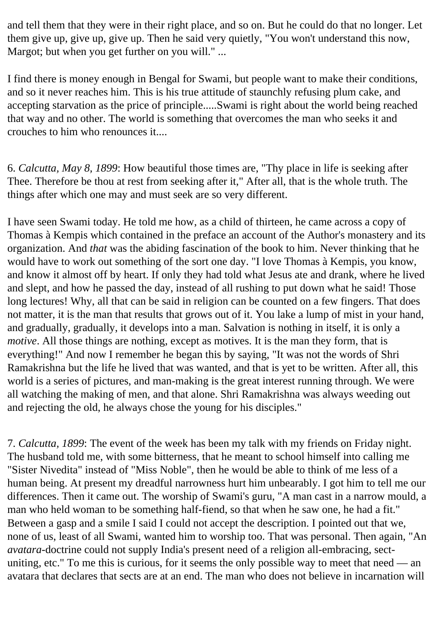and tell them that they were in their right place, and so on. But he could do that no longer. Let them give up, give up, give up. Then he said very quietly, "You won't understand this now, Margot; but when you get further on you will." ...

I find there is money enough in Bengal for Swami, but people want to make their conditions, and so it never reaches him. This is his true attitude of staunchly refusing plum cake, and accepting starvation as the price of principle.....Swami is right about the world being reached that way and no other. The world is something that overcomes the man who seeks it and crouches to him who renounces it....

6. *Calcutta, May 8, 1899*: How beautiful those times are, "Thy place in life is seeking after Thee. Therefore be thou at rest from seeking after it," After all, that is the whole truth. The things after which one may and must seek are so very different.

I have seen Swami today. He told me how, as a child of thirteen, he came across a copy of Thomas à Kempis which contained in the preface an account of the Author's monastery and its organization. And *that* was the abiding fascination of the book to him. Never thinking that he would have to work out something of the sort one day. "I love Thomas à Kempis, you know, and know it almost off by heart. If only they had told what Jesus ate and drank, where he lived and slept, and how he passed the day, instead of all rushing to put down what he said! Those long lectures! Why, all that can be said in religion can be counted on a few fingers. That does not matter, it is the man that results that grows out of it. You lake a lump of mist in your hand, and gradually, gradually, it develops into a man. Salvation is nothing in itself, it is only a *motive*. All those things are nothing, except as motives. It is the man they form, that is everything!" And now I remember he began this by saying, "It was not the words of Shri Ramakrishna but the life he lived that was wanted, and that is yet to be written. After all, this world is a series of pictures, and man-making is the great interest running through. We were all watching the making of men, and that alone. Shri Ramakrishna was always weeding out and rejecting the old, he always chose the young for his disciples."

7. *Calcutta, 1899*: The event of the week has been my talk with my friends on Friday night. The husband told me, with some bitterness, that he meant to school himself into calling me "Sister Nivedita" instead of "Miss Noble", then he would be able to think of me less of a human being. At present my dreadful narrowness hurt him unbearably. I got him to tell me our differences. Then it came out. The worship of Swami's guru, "A man cast in a narrow mould, a man who held woman to be something half-fiend, so that when he saw one, he had a fit." Between a gasp and a smile I said I could not accept the description. I pointed out that we, none of us, least of all Swami, wanted him to worship too. That was personal. Then again, "An *avatara*-doctrine could not supply India's present need of a religion all-embracing, sectuniting, etc." To me this is curious, for it seems the only possible way to meet that need — an avatara that declares that sects are at an end. The man who does not believe in incarnation will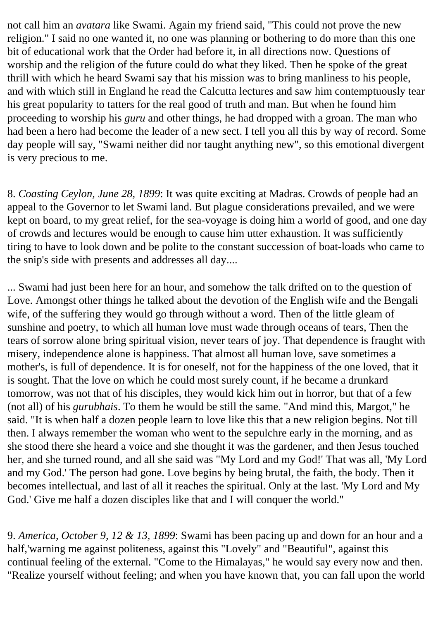not call him an *avatara* like Swami. Again my friend said, "This could not prove the new religion." I said no one wanted it, no one was planning or bothering to do more than this one bit of educational work that the Order had before it, in all directions now. Questions of worship and the religion of the future could do what they liked. Then he spoke of the great thrill with which he heard Swami say that his mission was to bring manliness to his people, and with which still in England he read the Calcutta lectures and saw him contemptuously tear his great popularity to tatters for the real good of truth and man. But when he found him proceeding to worship his *guru* and other things, he had dropped with a groan. The man who had been a hero had become the leader of a new sect. I tell you all this by way of record. Some day people will say, "Swami neither did nor taught anything new", so this emotional divergent is very precious to me.

8. *Coasting Ceylon, June 28, 1899*: It was quite exciting at Madras. Crowds of people had an appeal to the Governor to let Swami land. But plague considerations prevailed, and we were kept on board, to my great relief, for the sea-voyage is doing him a world of good, and one day of crowds and lectures would be enough to cause him utter exhaustion. It was sufficiently tiring to have to look down and be polite to the constant succession of boat-loads who came to the snip's side with presents and addresses all day....

... Swami had just been here for an hour, and somehow the talk drifted on to the question of Love. Amongst other things he talked about the devotion of the English wife and the Bengali wife, of the suffering they would go through without a word. Then of the little gleam of sunshine and poetry, to which all human love must wade through oceans of tears, Then the tears of sorrow alone bring spiritual vision, never tears of joy. That dependence is fraught with misery, independence alone is happiness. That almost all human love, save sometimes a mother's, is full of dependence. It is for oneself, not for the happiness of the one loved, that it is sought. That the love on which he could most surely count, if he became a drunkard tomorrow, was not that of his disciples, they would kick him out in horror, but that of a few (not all) of his *gurubhais*. To them he would be still the same. "And mind this, Margot," he said. "It is when half a dozen people learn to love like this that a new religion begins. Not till then. I always remember the woman who went to the sepulchre early in the morning, and as she stood there she heard a voice and she thought it was the gardener, and then Jesus touched her, and she turned round, and all she said was "My Lord and my God!' That was all, 'My Lord and my God.' The person had gone. Love begins by being brutal, the faith, the body. Then it becomes intellectual, and last of all it reaches the spiritual. Only at the last. 'My Lord and My God.' Give me half a dozen disciples like that and I will conquer the world."

9. *America, October 9, 12 & 13, 1899*: Swami has been pacing up and down for an hour and a half,'warning me against politeness, against this "Lovely" and "Beautiful", against this continual feeling of the external. "Come to the Himalayas," he would say every now and then. "Realize yourself without feeling; and when you have known that, you can fall upon the world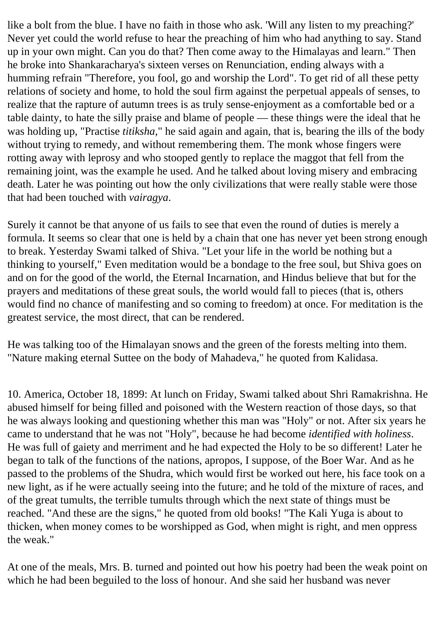like a bolt from the blue. I have no faith in those who ask. 'Will any listen to my preaching?' Never yet could the world refuse to hear the preaching of him who had anything to say. Stand up in your own might. Can you do that? Then come away to the Himalayas and learn." Then he broke into Shankaracharya's sixteen verses on Renunciation, ending always with a humming refrain "Therefore, you fool, go and worship the Lord". To get rid of all these petty relations of society and home, to hold the soul firm against the perpetual appeals of senses, to realize that the rapture of autumn trees is as truly sense-enjoyment as a comfortable bed or a table dainty, to hate the silly praise and blame of people — these things were the ideal that he was holding up, "Practise *titiksha*," he said again and again, that is, bearing the ills of the body without trying to remedy, and without remembering them. The monk whose fingers were rotting away with leprosy and who stooped gently to replace the maggot that fell from the remaining joint, was the example he used. And he talked about loving misery and embracing death. Later he was pointing out how the only civilizations that were really stable were those that had been touched with *vairagya*.

Surely it cannot be that anyone of us fails to see that even the round of duties is merely a formula. It seems so clear that one is held by a chain that one has never yet been strong enough to break. Yesterday Swami talked of Shiva. "Let your life in the world be nothing but a thinking to yourself," Even meditation would be a bondage to the free soul, but Shiva goes on and on for the good of the world, the Eternal Incarnation, and Hindus believe that but for the prayers and meditations of these great souls, the world would fall to pieces (that is, others would find no chance of manifesting and so coming to freedom) at once. For meditation is the greatest service, the most direct, that can be rendered.

He was talking too of the Himalayan snows and the green of the forests melting into them. "Nature making eternal Suttee on the body of Mahadeva," he quoted from Kalidasa.

10. America, October 18, 1899: At lunch on Friday, Swami talked about Shri Ramakrishna. He abused himself for being filled and poisoned with the Western reaction of those days, so that he was always looking and questioning whether this man was "Holy" or not. After six years he came to understand that he was not "Holy", because he had become *identified with holiness*. He was full of gaiety and merriment and he had expected the Holy to be so different! Later he began to talk of the functions of the nations, apropos, I suppose, of the Boer War. And as he passed to the problems of the Shudra, which would first be worked out here, his face took on a new light, as if he were actually seeing into the future; and he told of the mixture of races, and of the great tumults, the terrible tumults through which the next state of things must be reached. "And these are the signs," he quoted from old books! "The Kali Yuga is about to thicken, when money comes to be worshipped as God, when might is right, and men oppress the weak."

At one of the meals, Mrs. B. turned and pointed out how his poetry had been the weak point on which he had been beguiled to the loss of honour. And she said her husband was never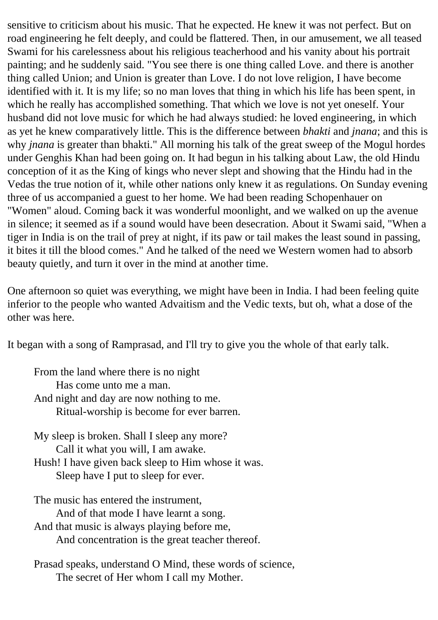sensitive to criticism about his music. That he expected. He knew it was not perfect. But on road engineering he felt deeply, and could be flattered. Then, in our amusement, we all teased Swami for his carelessness about his religious teacherhood and his vanity about his portrait painting; and he suddenly said. "You see there is one thing called Love. and there is another thing called Union; and Union is greater than Love. I do not love religion, I have become identified with it. It is my life; so no man loves that thing in which his life has been spent, in which he really has accomplished something. That which we love is not yet oneself. Your husband did not love music for which he had always studied: he loved engineering, in which as yet he knew comparatively little. This is the difference between *bhakti* and *jnana*; and this is why *jnana* is greater than bhakti." All morning his talk of the great sweep of the Mogul hordes under Genghis Khan had been going on. It had begun in his talking about Law, the old Hindu conception of it as the King of kings who never slept and showing that the Hindu had in the Vedas the true notion of it, while other nations only knew it as regulations. On Sunday evening three of us accompanied a guest to her home. We had been reading Schopenhauer on "Women" aloud. Coming back it was wonderful moonlight, and we walked on up the avenue in silence; it seemed as if a sound would have been desecration. About it Swami said, "When a tiger in India is on the trail of prey at night, if its paw or tail makes the least sound in passing, it bites it till the blood comes." And he talked of the need we Western women had to absorb beauty quietly, and turn it over in the mind at another time.

One afternoon so quiet was everything, we might have been in India. I had been feeling quite inferior to the people who wanted Advaitism and the Vedic texts, but oh, what a dose of the other was here.

It began with a song of Ramprasad, and I'll try to give you the whole of that early talk.

From the land where there is no night Has come unto me a man. And night and day are now nothing to me. Ritual-worship is become for ever barren.

My sleep is broken. Shall I sleep any more? Call it what you will, I am awake. Hush! I have given back sleep to Him whose it was. Sleep have I put to sleep for ever.

The music has entered the instrument, And of that mode I have learnt a song. And that music is always playing before me, And concentration is the great teacher thereof.

Prasad speaks, understand O Mind, these words of science, The secret of Her whom I call my Mother.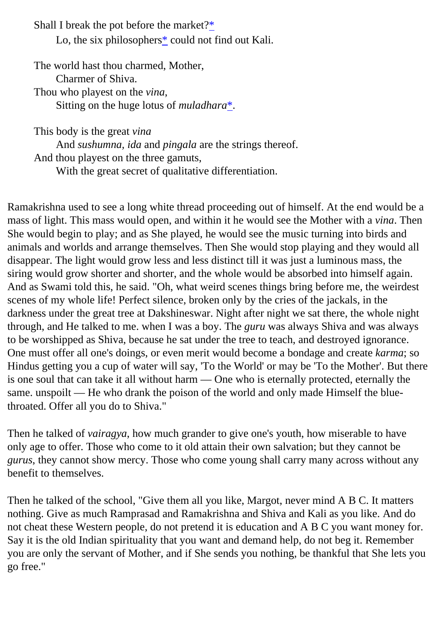Shall I break the pot before the market? $*$ 

Lo, the six philosophers<sup>\*</sup> could not find out Kali.

The world hast thou charmed, Mother, Charmer of Shiva. Thou who playest on the *vina*, Sitting on the huge lotus of *muladhara*[\\*](#page-182-0).

This body is the great *vina* And *sushumna, ida* and *pingala* are the strings thereof. And thou playest on the three gamuts,

With the great secret of qualitative differentiation.

Ramakrishna used to see a long white thread proceeding out of himself. At the end would be a mass of light. This mass would open, and within it he would see the Mother with a *vina*. Then She would begin to play; and as She played, he would see the music turning into birds and animals and worlds and arrange themselves. Then She would stop playing and they would all disappear. The light would grow less and less distinct till it was just a luminous mass, the siring would grow shorter and shorter, and the whole would be absorbed into himself again. And as Swami told this, he said. "Oh, what weird scenes things bring before me, the weirdest scenes of my whole life! Perfect silence, broken only by the cries of the jackals, in the darkness under the great tree at Dakshineswar. Night after night we sat there, the whole night through, and He talked to me. when I was a boy. The *guru* was always Shiva and was always to be worshipped as Shiva, because he sat under the tree to teach, and destroyed ignorance. One must offer all one's doings, or even merit would become a bondage and create *karma*; so Hindus getting you a cup of water will say, 'To the World' or may be 'To the Mother'. But there is one soul that can take it all without harm — One who is eternally protected, eternally the same. unspoilt — He who drank the poison of the world and only made Himself the bluethroated. Offer all you do to Shiva."

Then he talked of *vairagya*, how much grander to give one's youth, how miserable to have only age to offer. Those who come to it old attain their own salvation; but they cannot be *gurus*, they cannot show mercy. Those who come young shall carry many across without any benefit to themselves.

Then he talked of the school, "Give them all you like, Margot, never mind A B C. It matters nothing. Give as much Ramprasad and Ramakrishna and Shiva and Kali as you like. And do not cheat these Western people, do not pretend it is education and A B C you want money for. Say it is the old Indian spirituality that you want and demand help, do not beg it. Remember you are only the servant of Mother, and if She sends you nothing, be thankful that She lets you go free."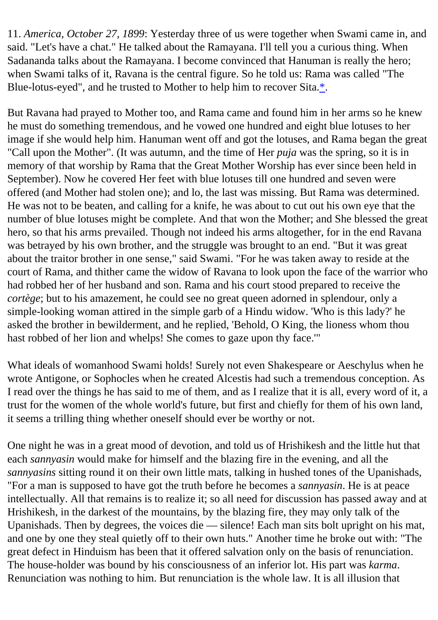11. *America, October 27, 1899*: Yesterday three of us were together when Swami came in, and said. "Let's have a chat." He talked about the Ramayana. I'll tell you a curious thing. When Sadananda talks about the Ramayana. I become convinced that Hanuman is really the hero; when Swami talks of it, Ravana is the central figure. So he told us: Rama was called "The Blue-lotus-eyed", and he trusted to Mother to help him to recover Sita.[\\*](#page-182-0).

But Ravana had prayed to Mother too, and Rama came and found him in her arms so he knew he must do something tremendous, and he vowed one hundred and eight blue lotuses to her image if she would help him. Hanuman went off and got the lotuses, and Rama began the great "Call upon the Mother". (It was autumn, and the time of Her *puja* was the spring, so it is in memory of that worship by Rama that the Great Mother Worship has ever since been held in September). Now he covered Her feet with blue lotuses till one hundred and seven were offered (and Mother had stolen one); and lo, the last was missing. But Rama was determined. He was not to be beaten, and calling for a knife, he was about to cut out his own eye that the number of blue lotuses might be complete. And that won the Mother; and She blessed the great hero, so that his arms prevailed. Though not indeed his arms altogether, for in the end Ravana was betrayed by his own brother, and the struggle was brought to an end. "But it was great about the traitor brother in one sense," said Swami. "For he was taken away to reside at the court of Rama, and thither came the widow of Ravana to look upon the face of the warrior who had robbed her of her husband and son. Rama and his court stood prepared to receive the *cortège*; but to his amazement, he could see no great queen adorned in splendour, only a simple-looking woman attired in the simple garb of a Hindu widow. 'Who is this lady?' he asked the brother in bewilderment, and he replied, 'Behold, O King, the lioness whom thou hast robbed of her lion and whelps! She comes to gaze upon thy face.'"

What ideals of womanhood Swami holds! Surely not even Shakespeare or Aeschylus when he wrote Antigone, or Sophocles when he created Alcestis had such a tremendous conception. As I read over the things he has said to me of them, and as I realize that it is all, every word of it, a trust for the women of the whole world's future, but first and chiefly for them of his own land, it seems a trilling thing whether oneself should ever be worthy or not.

One night he was in a great mood of devotion, and told us of Hrishikesh and the little hut that each *sannyasin* would make for himself and the blazing fire in the evening, and all the *sannyasins* sitting round it on their own little mats, talking in hushed tones of the Upanishads, "For a man is supposed to have got the truth before he becomes a *sannyasin*. He is at peace intellectually. All that remains is to realize it; so all need for discussion has passed away and at Hrishikesh, in the darkest of the mountains, by the blazing fire, they may only talk of the Upanishads. Then by degrees, the voices die — silence! Each man sits bolt upright on his mat, and one by one they steal quietly off to their own huts." Another time he broke out with: "The great defect in Hinduism has been that it offered salvation only on the basis of renunciation. The house-holder was bound by his consciousness of an inferior lot. His part was *karma*. Renunciation was nothing to him. But renunciation is the whole law. It is all illusion that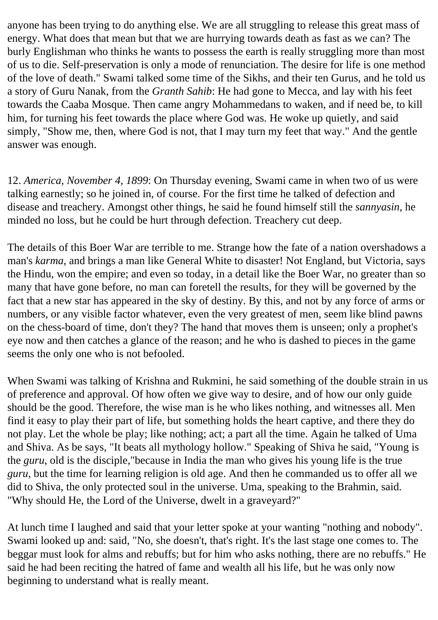anyone has been trying to do anything else. We are all struggling to release this great mass of energy. What does that mean but that we are hurrying towards death as fast as we can? The burly Englishman who thinks he wants to possess the earth is really struggling more than most of us to die. Self-preservation is only a mode of renunciation. The desire for life is one method of the love of death." Swami talked some time of the Sikhs, and their ten Gurus, and he told us a story of Guru Nanak, from the *Granth Sahib*: He had gone to Mecca, and lay with his feet towards the Caaba Mosque. Then came angry Mohammedans to waken, and if need be, to kill him, for turning his feet towards the place where God was. He woke up quietly, and said simply, "Show me, then, where God is not, that I may turn my feet that way." And the gentle answer was enough.

12. *America, November 4, 1899*: On Thursday evening, Swami came in when two of us were talking earnestly; so he joined in, of course. For the first time he talked of defection and disease and treachery. Amongst other things, he said he found himself still the *sannyasin*, he minded no loss, but he could be hurt through defection. Treachery cut deep.

The details of this Boer War are terrible to me. Strange how the fate of a nation overshadows a man's *karma*, and brings a man like General White to disaster! Not England, but Victoria, says the Hindu, won the empire; and even so today, in a detail like the Boer War, no greater than so many that have gone before, no man can foretell the results, for they will be governed by the fact that a new star has appeared in the sky of destiny. By this, and not by any force of arms or numbers, or any visible factor whatever, even the very greatest of men, seem like blind pawns on the chess-board of time, don't they? The hand that moves them is unseen; only a prophet's eye now and then catches a glance of the reason; and he who is dashed to pieces in the game seems the only one who is not befooled.

When Swami was talking of Krishna and Rukmini, he said something of the double strain in us of preference and approval. Of how often we give way to desire, and of how our only guide should be the good. Therefore, the wise man is he who likes nothing, and witnesses all. Men find it easy to play their part of life, but something holds the heart captive, and there they do not play. Let the whole be play; like nothing; act; a part all the time. Again he talked of Uma and Shiva. As be says, "It beats all mythology hollow." Speaking of Shiva he said, "Young is the *guru*, old is the disciple,"because in India the man who gives his young life is the true *guru*, but the time for learning religion is old age. And then he commanded us to offer all we did to Shiva, the only protected soul in the universe. Uma, speaking to the Brahmin, said. "Why should He, the Lord of the Universe, dwelt in a graveyard?"

At lunch time I laughed and said that your letter spoke at your wanting "nothing and nobody". Swami looked up and: said, "No, she doesn't, that's right. It's the last stage one comes to. The beggar must look for alms and rebuffs; but for him who asks nothing, there are no rebuffs." He said he had been reciting the hatred of fame and wealth all his life, but he was only now beginning to understand what is really meant.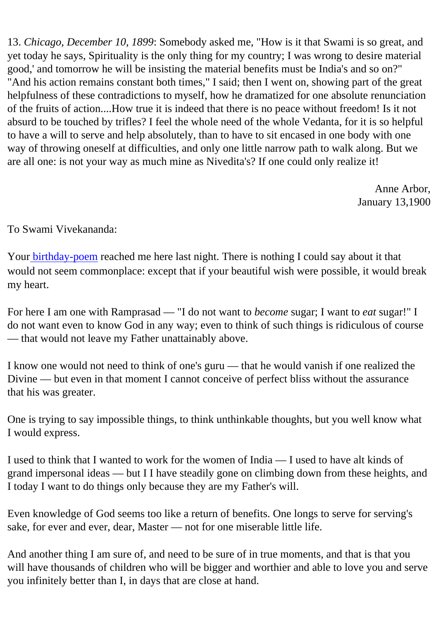13. *Chicago, December 10, 1899*: Somebody asked me, "How is it that Swami is so great, and yet today he says, Spirituality is the only thing for my country; I was wrong to desire material good,' and tomorrow he will be insisting the material benefits must be India's and so on?" "And his action remains constant both times," I said; then I went on, showing part of the great helpfulness of these contradictions to myself, how he dramatized for one absolute renunciation of the fruits of action....How true it is indeed that there is no peace without freedom! Is it not absurd to be touched by trifles? I feel the whole need of the whole Vedanta, for it is so helpful to have a will to serve and help absolutely, than to have to sit encased in one body with one way of throwing oneself at difficulties, and only one little narrow path to walk along. But we are all one: is not your way as much mine as Nivedita's? If one could only realize it!

> Anne Arbor, January 13,1900

To Swami Vivekananda:

Your [birthday-poem](http://www.ramakrishnavivekananda.info/vivekananda/volume_6/writings_prose_and_poems/a_benediction.htm) reached me here last night. There is nothing I could say about it that would not seem commonplace: except that if your beautiful wish were possible, it would break my heart.

For here I am one with Ramprasad — "I do not want to *become* sugar; I want to *eat* sugar!" I do not want even to know God in any way; even to think of such things is ridiculous of course — that would not leave my Father unattainably above.

I know one would not need to think of one's guru — that he would vanish if one realized the Divine — but even in that moment I cannot conceive of perfect bliss without the assurance that his was greater.

One is trying to say impossible things, to think unthinkable thoughts, but you well know what I would express.

I used to think that I wanted to work for the women of India — I used to have alt kinds of grand impersonal ideas — but I I have steadily gone on climbing down from these heights, and I today I want to do things only because they are my Father's will.

Even knowledge of God seems too like a return of benefits. One longs to serve for serving's sake, for ever and ever, dear, Master — not for one miserable little life.

And another thing I am sure of, and need to be sure of in true moments, and that is that you will have thousands of children who will be bigger and worthier and able to love you and serve you infinitely better than I, in days that are close at hand.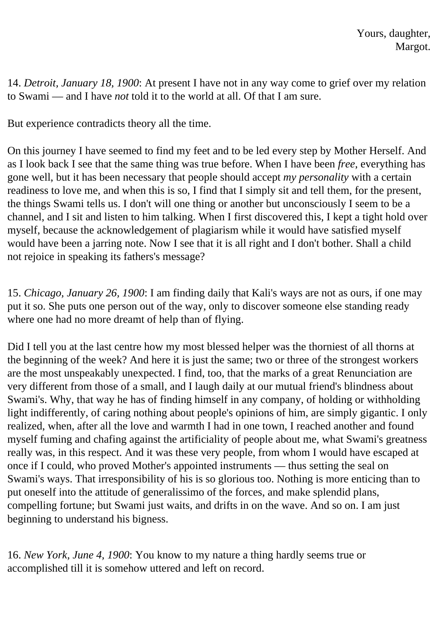14. *Detroit, January 18, 1900*: At present I have not in any way come to grief over my relation to Swami — and I have *not* told it to the world at all. Of that I am sure.

But experience contradicts theory all the time.

On this journey I have seemed to find my feet and to be led every step by Mother Herself. And as I look back I see that the same thing was true before. When I have been *free*, everything has gone well, but it has been necessary that people should accept *my personality* with a certain readiness to love me, and when this is so, I find that I simply sit and tell them, for the present, the things Swami tells us. I don't will one thing or another but unconsciously I seem to be a channel, and I sit and listen to him talking. When I first discovered this, I kept a tight hold over myself, because the acknowledgement of plagiarism while it would have satisfied myself would have been a jarring note. Now I see that it is all right and I don't bother. Shall a child not rejoice in speaking its fathers's message?

15. *Chicago, January 26, 1900*: I am finding daily that Kali's ways are not as ours, if one may put it so. She puts one person out of the way, only to discover someone else standing ready where one had no more dreamt of help than of flying.

Did I tell you at the last centre how my most blessed helper was the thorniest of all thorns at the beginning of the week? And here it is just the same; two or three of the strongest workers are the most unspeakably unexpected. I find, too, that the marks of a great Renunciation are very different from those of a small, and I laugh daily at our mutual friend's blindness about Swami's. Why, that way he has of finding himself in any company, of holding or withholding light indifferently, of caring nothing about people's opinions of him, are simply gigantic. I only realized, when, after all the love and warmth I had in one town, I reached another and found myself fuming and chafing against the artificiality of people about me, what Swami's greatness really was, in this respect. And it was these very people, from whom I would have escaped at once if I could, who proved Mother's appointed instruments — thus setting the seal on Swami's ways. That irresponsibility of his is so glorious too. Nothing is more enticing than to put oneself into the attitude of generalissimo of the forces, and make splendid plans, compelling fortune; but Swami just waits, and drifts in on the wave. And so on. I am just beginning to understand his bigness.

16. *New York, June 4, 1900*: You know to my nature a thing hardly seems true or accomplished till it is somehow uttered and left on record.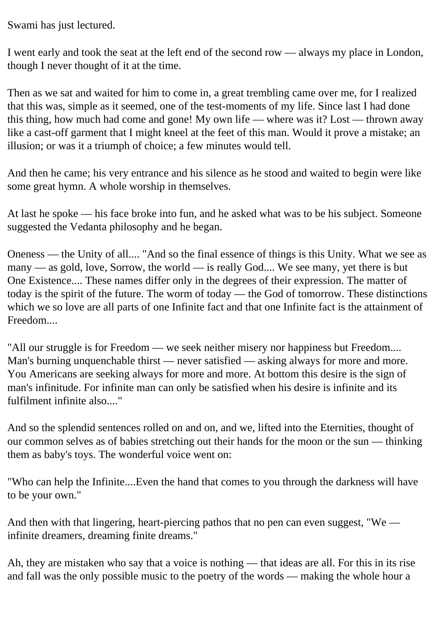Swami has just lectured.

I went early and took the seat at the left end of the second row — always my place in London, though I never thought of it at the time.

Then as we sat and waited for him to come in, a great trembling came over me, for I realized that this was, simple as it seemed, one of the test-moments of my life. Since last I had done this thing, how much had come and gone! My own life — where was it? Lost — thrown away like a cast-off garment that I might kneel at the feet of this man. Would it prove a mistake; an illusion; or was it a triumph of choice; a few minutes would tell.

And then he came; his very entrance and his silence as he stood and waited to begin were like some great hymn. A whole worship in themselves.

At last he spoke — his face broke into fun, and he asked what was to be his subject. Someone suggested the Vedanta philosophy and he began.

Oneness — the Unity of all.... "And so the final essence of things is this Unity. What we see as many — as gold, love, Sorrow, the world — is really God.... We see many, yet there is but One Existence.... These names differ only in the degrees of their expression. The matter of today is the spirit of the future. The worm of today — the God of tomorrow. These distinctions which we so love are all parts of one Infinite fact and that one Infinite fact is the attainment of Freedom....

"All our struggle is for Freedom — we seek neither misery nor happiness but Freedom.... Man's burning unquenchable thirst — never satisfied — asking always for more and more. You Americans are seeking always for more and more. At bottom this desire is the sign of man's infinitude. For infinite man can only be satisfied when his desire is infinite and its fulfilment infinite also..."

And so the splendid sentences rolled on and on, and we, lifted into the Eternities, thought of our common selves as of babies stretching out their hands for the moon or the sun — thinking them as baby's toys. The wonderful voice went on:

"Who can help the Infinite....Even the hand that comes to you through the darkness will have to be your own."

And then with that lingering, heart-piercing pathos that no pen can even suggest, "We infinite dreamers, dreaming finite dreams."

Ah, they are mistaken who say that a voice is nothing — that ideas are all. For this in its rise and fall was the only possible music to the poetry of the words — making the whole hour a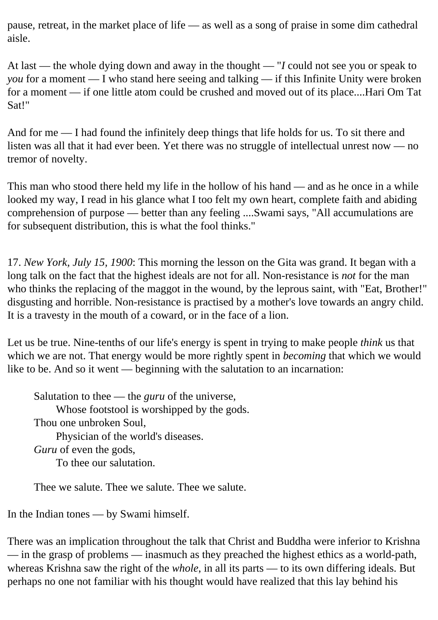pause, retreat, in the market place of life — as well as a song of praise in some dim cathedral aisle.

At last — the whole dying down and away in the thought — "*I* could not see you or speak to *you* for a moment — I who stand here seeing and talking — if this Infinite Unity were broken for a moment — if one little atom could be crushed and moved out of its place....Hari Om Tat Sat!"

And for me — I had found the infinitely deep things that life holds for us. To sit there and listen was all that it had ever been. Yet there was no struggle of intellectual unrest now — no tremor of novelty.

This man who stood there held my life in the hollow of his hand — and as he once in a while looked my way, I read in his glance what I too felt my own heart, complete faith and abiding comprehension of purpose — better than any feeling ....Swami says, "All accumulations are for subsequent distribution, this is what the fool thinks."

17. *New York, July 15, 1900*: This morning the lesson on the Gita was grand. It began with a long talk on the fact that the highest ideals are not for all. Non-resistance is *not* for the man who thinks the replacing of the maggot in the wound, by the leprous saint, with "Eat, Brother!" disgusting and horrible. Non-resistance is practised by a mother's love towards an angry child. It is a travesty in the mouth of a coward, or in the face of a lion.

Let us be true. Nine-tenths of our life's energy is spent in trying to make people *think* us that which we are not. That energy would be more rightly spent in *becoming* that which we would like to be. And so it went — beginning with the salutation to an incarnation:

Salutation to thee — the *guru* of the universe, Whose footstool is worshipped by the gods. Thou one unbroken Soul, Physician of the world's diseases. *Guru* of even the gods, To thee our salutation.

Thee we salute. Thee we salute. Thee we salute.

In the Indian tones — by Swami himself.

There was an implication throughout the talk that Christ and Buddha were inferior to Krishna — in the grasp of problems — inasmuch as they preached the highest ethics as a world-path, whereas Krishna saw the right of the *whole*, in all its parts — to its own differing ideals. But perhaps no one not familiar with his thought would have realized that this lay behind his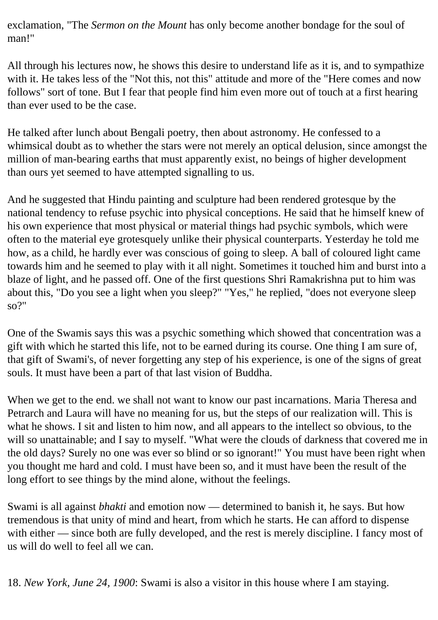exclamation, "The *Sermon on the Mount* has only become another bondage for the soul of man!"

All through his lectures now, he shows this desire to understand life as it is, and to sympathize with it. He takes less of the "Not this, not this" attitude and more of the "Here comes and now follows" sort of tone. But I fear that people find him even more out of touch at a first hearing than ever used to be the case.

He talked after lunch about Bengali poetry, then about astronomy. He confessed to a whimsical doubt as to whether the stars were not merely an optical delusion, since amongst the million of man-bearing earths that must apparently exist, no beings of higher development than ours yet seemed to have attempted signalling to us.

And he suggested that Hindu painting and sculpture had been rendered grotesque by the national tendency to refuse psychic into physical conceptions. He said that he himself knew of his own experience that most physical or material things had psychic symbols, which were often to the material eye grotesquely unlike their physical counterparts. Yesterday he told me how, as a child, he hardly ever was conscious of going to sleep. A ball of coloured light came towards him and he seemed to play with it all night. Sometimes it touched him and burst into a blaze of light, and he passed off. One of the first questions Shri Ramakrishna put to him was about this, "Do you see a light when you sleep?" "Yes," he replied, "does not everyone sleep so?"

One of the Swamis says this was a psychic something which showed that concentration was a gift with which he started this life, not to be earned during its course. One thing I am sure of, that gift of Swami's, of never forgetting any step of his experience, is one of the signs of great souls. It must have been a part of that last vision of Buddha.

When we get to the end. we shall not want to know our past incarnations. Maria Theresa and Petrarch and Laura will have no meaning for us, but the steps of our realization will. This is what he shows. I sit and listen to him now, and all appears to the intellect so obvious, to the will so unattainable; and I say to myself. "What were the clouds of darkness that covered me in the old days? Surely no one was ever so blind or so ignorant!" You must have been right when you thought me hard and cold. I must have been so, and it must have been the result of the long effort to see things by the mind alone, without the feelings.

Swami is all against *bhakti* and emotion now — determined to banish it, he says. But how tremendous is that unity of mind and heart, from which he starts. He can afford to dispense with either — since both are fully developed, and the rest is merely discipline. I fancy most of us will do well to feel all we can.

18. *New York, June 24, 1900*: Swami is also a visitor in this house where I am staying.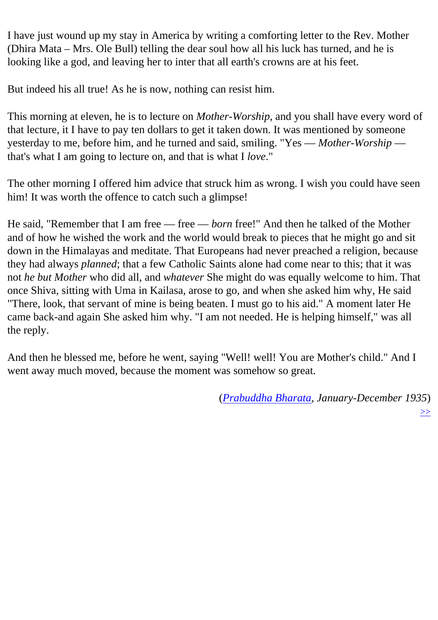I have just wound up my stay in America by writing a comforting letter to the Rev. Mother (Dhira Mata – Mrs. Ole Bull) telling the dear soul how all his luck has turned, and he is looking like a god, and leaving her to inter that all earth's crowns are at his feet.

But indeed his all true! As he is now, nothing can resist him.

This morning at eleven, he is to lecture on *Mother-Worship*, and you shall have every word of that lecture, it I have to pay ten dollars to get it taken down. It was mentioned by someone yesterday to me, before him, and he turned and said, smiling. "Yes — *Mother-Worship* that's what I am going to lecture on, and that is what I *love*."

The other morning I offered him advice that struck him as wrong. I wish you could have seen him! It was worth the offence to catch such a glimpse!

He said, "Remember that I am free — free — *born* free!" And then he talked of the Mother and of how he wished the work and the world would break to pieces that he might go and sit down in the Himalayas and meditate. That Europeans had never preached a religion, because they had always *planned*; that a few Catholic Saints alone had come near to this; that it was not *he but Mother* who did all, and *whatever* She might do was equally welcome to him. That once Shiva, sitting with Uma in Kailasa, arose to go, and when she asked him why, He said "There, look, that servant of mine is being beaten. I must go to his aid." A moment later He came back-and again She asked him why. "I am not needed. He is helping himself," was all the reply.

And then he blessed me, before he went, saying "Well! well! You are Mother's child." And I went away much moved, because the moment was somehow so great.

> (*[Prabuddha Bharata,](http://www.advaitaashrama.org/prabuddha_bharata.html) January-December 1935*)  $\geq$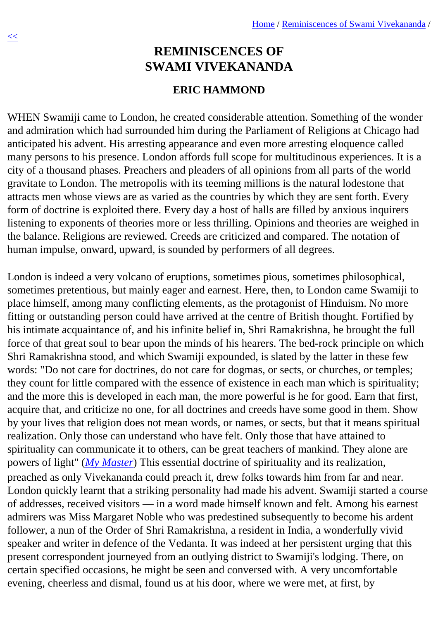## **REMINISCENCES OF SWAMI VIVEKANANDA**

### **ERIC HAMMOND**

<span id="page-197-0"></span>WHEN Swamiji came to London, he created considerable attention. Something of the wonder and admiration which had surrounded him during the Parliament of Religions at Chicago had anticipated his advent. His arresting appearance and even more arresting eloquence called many persons to his presence. London affords full scope for multitudinous experiences. It is a city of a thousand phases. Preachers and pleaders of all opinions from all parts of the world gravitate to London. The metropolis with its teeming millions is the natural lodestone that attracts men whose views are as varied as the countries by which they are sent forth. Every form of doctrine is exploited there. Every day a host of halls are filled by anxious inquirers listening to exponents of theories more or less thrilling. Opinions and theories are weighed in the balance. Religions are reviewed. Creeds are criticized and compared. The notation of human impulse, onward, upward, is sounded by performers of all degrees.

London is indeed a very volcano of eruptions, sometimes pious, sometimes philosophical, sometimes pretentious, but mainly eager and earnest. Here, then, to London came Swamiji to place himself, among many conflicting elements, as the protagonist of Hinduism. No more fitting or outstanding person could have arrived at the centre of British thought. Fortified by his intimate acquaintance of, and his infinite belief in, Shri Ramakrishna, he brought the full force of that great soul to bear upon the minds of his hearers. The bed-rock principle on which Shri Ramakrishna stood, and which Swamiji expounded, is slated by the latter in these few words: "Do not care for doctrines, do not care for dogmas, or sects, or churches, or temples; they count for little compared with the essence of existence in each man which is spirituality; and the more this is developed in each man, the more powerful is he for good. Earn that first, acquire that, and criticize no one, for all doctrines and creeds have some good in them. Show by your lives that religion does not mean words, or names, or sects, but that it means spiritual realization. Only those can understand who have felt. Only those that have attained to spirituality can communicate it to others, can be great teachers of mankind. They alone are powers of light" (*[My Master](http://www.ramakrishnavivekananda.info/vivekananda/volume_4/lectures_and_discourses/my_master.htm)*) This essential doctrine of spirituality and its realization, preached as only Vivekananda could preach it, drew folks towards him from far and near. London quickly learnt that a striking personality had made his advent. Swamiji started a course of addresses, received visitors — in a word made himself known and felt. Among his earnest admirers was Miss Margaret Noble who was predestined subsequently to become his ardent follower, a nun of the Order of Shri Ramakrishna, a resident in India, a wonderfully vivid speaker and writer in defence of the Vedanta. It was indeed at her persistent urging that this present correspondent journeyed from an outlying district to Swamiji's lodging. There, on certain specified occasions, he might be seen and conversed with. A very uncomfortable evening, cheerless and dismal, found us at his door, where we were met, at first, by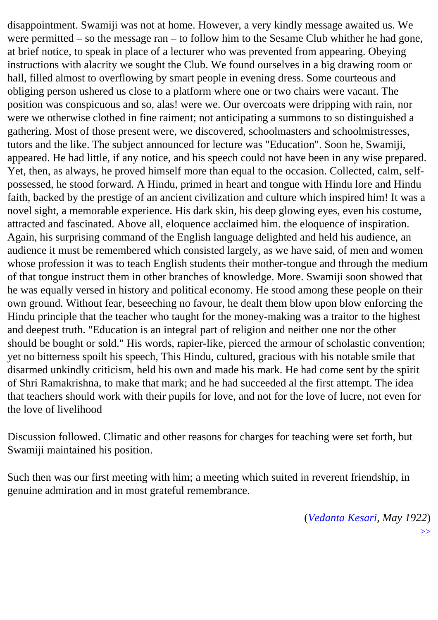disappointment. Swamiji was not at home. However, a very kindly message awaited us. We were permitted – so the message ran – to follow him to the Sesame Club whither he had gone, at brief notice, to speak in place of a lecturer who was prevented from appearing. Obeying instructions with alacrity we sought the Club. We found ourselves in a big drawing room or hall, filled almost to overflowing by smart people in evening dress. Some courteous and obliging person ushered us close to a platform where one or two chairs were vacant. The position was conspicuous and so, alas! were we. Our overcoats were dripping with rain, nor were we otherwise clothed in fine raiment; not anticipating a summons to so distinguished a gathering. Most of those present were, we discovered, schoolmasters and schoolmistresses, tutors and the like. The subject announced for lecture was "Education". Soon he, Swamiji, appeared. He had little, if any notice, and his speech could not have been in any wise prepared. Yet, then, as always, he proved himself more than equal to the occasion. Collected, calm, selfpossessed, he stood forward. A Hindu, primed in heart and tongue with Hindu lore and Hindu faith, backed by the prestige of an ancient civilization and culture which inspired him! It was a novel sight, a memorable experience. His dark skin, his deep glowing eyes, even his costume, attracted and fascinated. Above all, eloquence acclaimed him. the eloquence of inspiration. Again, his surprising command of the English language delighted and held his audience, an audience it must be remembered which consisted largely, as we have said, of men and women whose profession it was to teach English students their mother-tongue and through the medium of that tongue instruct them in other branches of knowledge. More. Swamiji soon showed that he was equally versed in history and political economy. He stood among these people on their own ground. Without fear, beseeching no favour, he dealt them blow upon blow enforcing the Hindu principle that the teacher who taught for the money-making was a traitor to the highest and deepest truth. "Education is an integral part of religion and neither one nor the other should be bought or sold." His words, rapier-like, pierced the armour of scholastic convention; yet no bitterness spoilt his speech, This Hindu, cultured, gracious with his notable smile that disarmed unkindly criticism, held his own and made his mark. He had come sent by the spirit of Shri Ramakrishna, to make that mark; and he had succeeded al the first attempt. The idea that teachers should work with their pupils for love, and not for the love of lucre, not even for the love of livelihood

Discussion followed. Climatic and other reasons for charges for teaching were set forth, but Swamiji maintained his position.

Such then was our first meeting with him; a meeting which suited in reverent friendship, in genuine admiration and in most grateful remembrance.

> (*[Vedanta Kesari](http://www.sriramakrishnamath.org/Magazine/magazineenglish.aspx?id=Eng), May 1922*)  $\geq$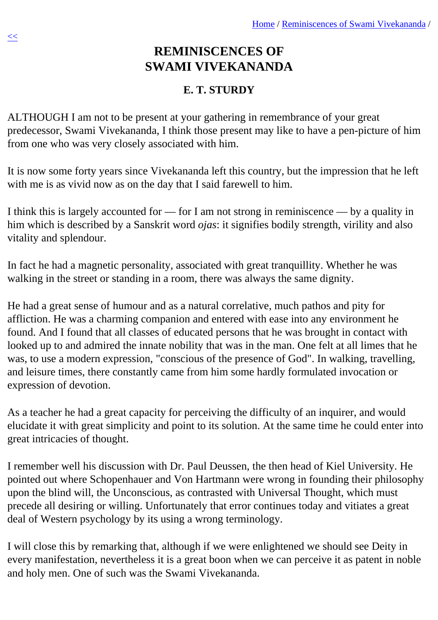# **REMINISCENCES OF SWAMI VIVEKANANDA**

### **E. T. STURDY**

<span id="page-199-0"></span>ALTHOUGH I am not to be present at your gathering in remembrance of your great predecessor, Swami Vivekananda, I think those present may like to have a pen-picture of him from one who was very closely associated with him.

It is now some forty years since Vivekananda left this country, but the impression that he left with me is as vivid now as on the day that I said farewell to him.

I think this is largely accounted for — for I am not strong in reminiscence — by a quality in him which is described by a Sanskrit word *ojas*: it signifies bodily strength, virility and also vitality and splendour.

In fact he had a magnetic personality, associated with great tranquillity. Whether he was walking in the street or standing in a room, there was always the same dignity.

He had a great sense of humour and as a natural correlative, much pathos and pity for affliction. He was a charming companion and entered with ease into any environment he found. And I found that all classes of educated persons that he was brought in contact with looked up to and admired the innate nobility that was in the man. One felt at all limes that he was, to use a modern expression, "conscious of the presence of God". In walking, travelling, and leisure times, there constantly came from him some hardly formulated invocation or expression of devotion.

As a teacher he had a great capacity for perceiving the difficulty of an inquirer, and would elucidate it with great simplicity and point to its solution. At the same time he could enter into great intricacies of thought.

I remember well his discussion with Dr. Paul Deussen, the then head of Kiel University. He pointed out where Schopenhauer and Von Hartmann were wrong in founding their philosophy upon the blind will, the Unconscious, as contrasted with Universal Thought, which must precede all desiring or willing. Unfortunately that error continues today and vitiates a great deal of Western psychology by its using a wrong terminology.

I will close this by remarking that, although if we were enlightened we should see Deity in every manifestation, nevertheless it is a great boon when we can perceive it as patent in noble and holy men. One of such was the Swami Vivekananda.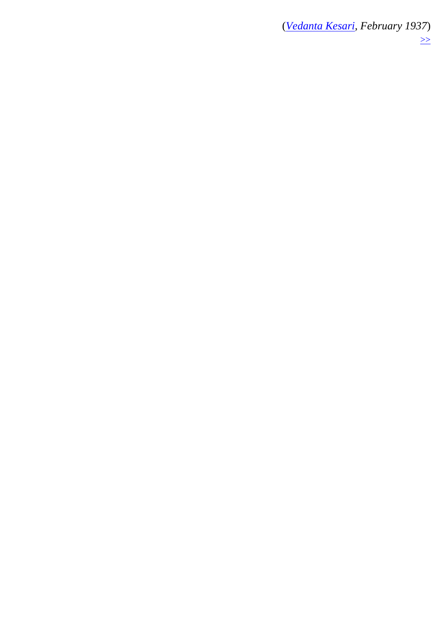(*[Vedanta Kesari](http://www.sriramakrishnamath.org/Magazine/magazineenglish.aspx?id=Eng), February 1937*)  $\geq$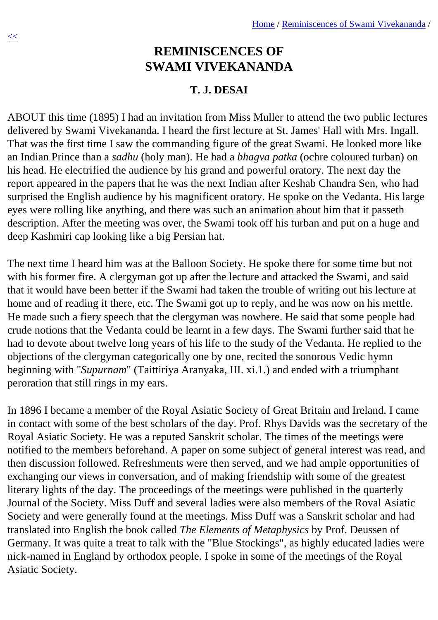### **REMINISCENCES OF SWAMI VIVEKANANDA**

### **T. J. DESAI**

<span id="page-201-0"></span>ABOUT this time (1895) I had an invitation from Miss Muller to attend the two public lectures delivered by Swami Vivekananda. I heard the first lecture at St. James' Hall with Mrs. Ingall. That was the first time I saw the commanding figure of the great Swami. He looked more like an Indian Prince than a *sadhu* (holy man). He had a *bhagva patka* (ochre coloured turban) on his head. He electrified the audience by his grand and powerful oratory. The next day the report appeared in the papers that he was the next Indian after Keshab Chandra Sen, who had surprised the English audience by his magnificent oratory. He spoke on the Vedanta. His large eyes were rolling like anything, and there was such an animation about him that it passeth description. After the meeting was over, the Swami took off his turban and put on a huge and deep Kashmiri cap looking like a big Persian hat.

The next time I heard him was at the Balloon Society. He spoke there for some time but not with his former fire. A clergyman got up after the lecture and attacked the Swami, and said that it would have been better if the Swami had taken the trouble of writing out his lecture at home and of reading it there, etc. The Swami got up to reply, and he was now on his mettle. He made such a fiery speech that the clergyman was nowhere. He said that some people had crude notions that the Vedanta could be learnt in a few days. The Swami further said that he had to devote about twelve long years of his life to the study of the Vedanta. He replied to the objections of the clergyman categorically one by one, recited the sonorous Vedic hymn beginning with "*Supurnam*" (Taittiriya Aranyaka, III. xi.1.) and ended with a triumphant peroration that still rings in my ears.

In 1896 I became a member of the Royal Asiatic Society of Great Britain and Ireland. I came in contact with some of the best scholars of the day. Prof. Rhys Davids was the secretary of the Royal Asiatic Society. He was a reputed Sanskrit scholar. The times of the meetings were notified to the members beforehand. A paper on some subject of general interest was read, and then discussion followed. Refreshments were then served, and we had ample opportunities of exchanging our views in conversation, and of making friendship with some of the greatest literary lights of the day. The proceedings of the meetings were published in the quarterly Journal of the Society. Miss Duff and several ladies were also members of the Roval Asiatic Society and were generally found at the meetings. Miss Duff was a Sanskrit scholar and had translated into English the book called *The Elements of Metaphysics* by Prof. Deussen of Germany. It was quite a treat to talk with the "Blue Stockings", as highly educated ladies were nick-named in England by orthodox people. I spoke in some of the meetings of the Royal Asiatic Society.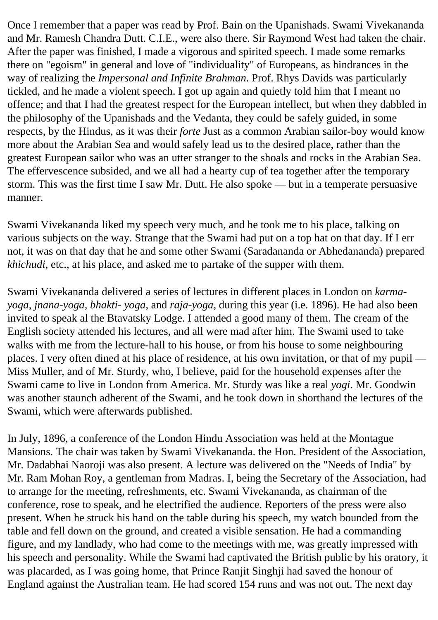Once I remember that a paper was read by Prof. Bain on the Upanishads. Swami Vivekananda and Mr. Ramesh Chandra Dutt. C.I.E., were also there. Sir Raymond West had taken the chair. After the paper was finished, I made a vigorous and spirited speech. I made some remarks there on "egoism" in general and love of "individuality" of Europeans, as hindrances in the way of realizing the *Impersonal and Infinite Brahman*. Prof. Rhys Davids was particularly tickled, and he made a violent speech. I got up again and quietly told him that I meant no offence; and that I had the greatest respect for the European intellect, but when they dabbled in the philosophy of the Upanishads and the Vedanta, they could be safely guided, in some respects, by the Hindus, as it was their *forte* Just as a common Arabian sailor-boy would know more about the Arabian Sea and would safely lead us to the desired place, rather than the greatest European sailor who was an utter stranger to the shoals and rocks in the Arabian Sea. The effervescence subsided, and we all had a hearty cup of tea together after the temporary storm. This was the first time I saw Mr. Dutt. He also spoke — but in a temperate persuasive manner.

Swami Vivekananda liked my speech very much, and he took me to his place, talking on various subjects on the way. Strange that the Swami had put on a top hat on that day. If I err not, it was on that day that he and some other Swami (Saradananda or Abhedananda) prepared *khichudi*, etc., at his place, and asked me to partake of the supper with them.

Swami Vivekananda delivered a series of lectures in different places in London on *karmayoga*, *jnana-yoga*, *bhakti- yoga*, and *raja-yoga*, during this year (i.e. 1896). He had also been invited to speak al the Btavatsky Lodge. I attended a good many of them. The cream of the English society attended his lectures, and all were mad after him. The Swami used to take walks with me from the lecture-hall to his house, or from his house to some neighbouring places. I very often dined at his place of residence, at his own invitation, or that of my pupil — Miss Muller, and of Mr. Sturdy, who, I believe, paid for the household expenses after the Swami came to live in London from America. Mr. Sturdy was like a real *yogi*. Mr. Goodwin was another staunch adherent of the Swami, and he took down in shorthand the lectures of the Swami, which were afterwards published.

In July, 1896, a conference of the London Hindu Association was held at the Montague Mansions. The chair was taken by Swami Vivekananda. the Hon. President of the Association, Mr. Dadabhai Naoroji was also present. A lecture was delivered on the "Needs of India" by Mr. Ram Mohan Roy, a gentleman from Madras. I, being the Secretary of the Association, had to arrange for the meeting, refreshments, etc. Swami Vivekananda, as chairman of the conference, rose to speak, and he electrified the audience. Reporters of the press were also present. When he struck his hand on the table during his speech, my watch bounded from the table and fell down on the ground, and created a visible sensation. He had a commanding figure, and my landlady, who had come to the meetings with me, was greatly impressed with his speech and personality. While the Swami had captivated the British public by his oratory, it was placarded, as I was going home, that Prince Ranjit Singhji had saved the honour of England against the Australian team. He had scored 154 runs and was not out. The next day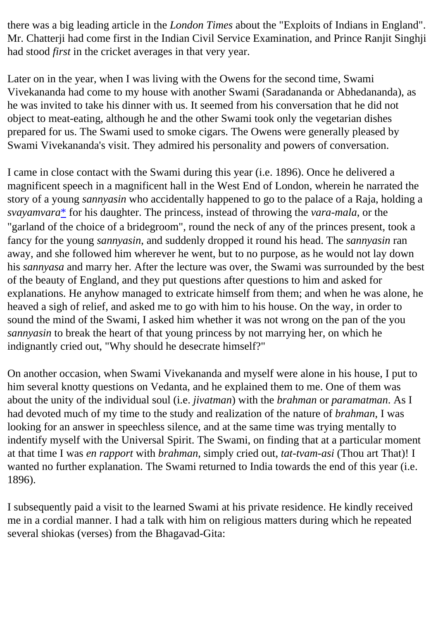there was a big leading article in the *London Times* about the "Exploits of Indians in England". Mr. Chatterji had come first in the Indian Civil Service Examination, and Prince Ranjit Singhji had stood *first* in the cricket averages in that very year.

Later on in the year, when I was living with the Owens for the second time, Swami Vivekananda had come to my house with another Swami (Saradananda or Abhedananda), as he was invited to take his dinner with us. It seemed from his conversation that he did not object to meat-eating, although he and the other Swami took only the vegetarian dishes prepared for us. The Swami used to smoke cigars. The Owens were generally pleased by Swami Vivekananda's visit. They admired his personality and powers of conversation.

I came in close contact with the Swami during this year (i.e. 1896). Once he delivered a magnificent speech in a magnificent hall in the West End of London, wherein he narrated the story of a young *sannyasin* who accidentally happened to go to the palace of a Raja, holding a *svayamvara*[\\*](#page-201-0) for his daughter. The princess, instead of throwing the *vara-mala*, or the "garland of the choice of a bridegroom", round the neck of any of the princes present, took a fancy for the young *sannyasin*, and suddenly dropped it round his head. The *sannyasin* ran away, and she followed him wherever he went, but to no purpose, as he would not lay down his *sannyasa* and marry her. After the lecture was over, the Swami was surrounded by the best of the beauty of England, and they put questions after questions to him and asked for explanations. He anyhow managed to extricate himself from them; and when he was alone, he heaved a sigh of relief, and asked me to go with him to his house. On the way, in order to sound the mind of the Swami, I asked him whether it was not wrong on the pan of the you *sannyasin* to break the heart of that young princess by not marrying her, on which he indignantly cried out, "Why should he desecrate himself?"

On another occasion, when Swami Vivekananda and myself were alone in his house, I put to him several knotty questions on Vedanta, and he explained them to me. One of them was about the unity of the individual soul (i.e. *jivatman*) with the *brahman* or *paramatman*. As I had devoted much of my time to the study and realization of the nature of *brahman*, I was looking for an answer in speechless silence, and at the same time was trying mentally to indentify myself with the Universal Spirit. The Swami, on finding that at a particular moment at that time I was *en rapport* with *brahman*, simply cried out, *tat-tvam-asi* (Thou art That)! I wanted no further explanation. The Swami returned to India towards the end of this year (i.e. 1896).

I subsequently paid a visit to the learned Swami at his private residence. He kindly received me in a cordial manner. I had a talk with him on religious matters during which he repeated several shiokas (verses) from the Bhagavad-Gita: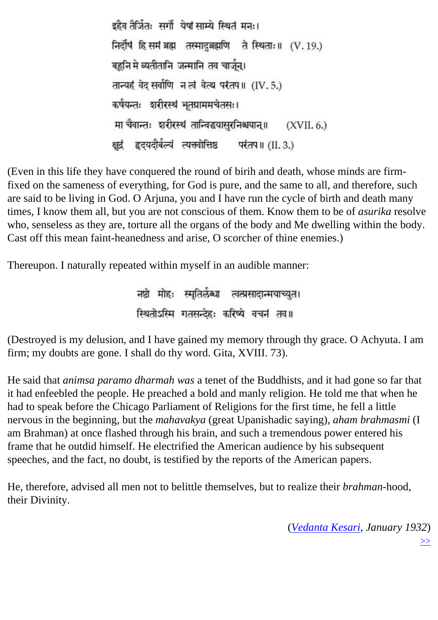इहैव तैर्जितः सर्गो येषां साम्ये स्थितं मनः। निर्दोषे हि समं ब्रह्म तस्मादब्रह्मणि ते स्थिताः ॥ (V. 19.) बहूनि मे व्यतीतानि जन्मानि तब चार्जुन्। तान्यहं वेद सर्वाणि न त्वं वेत्थ परंतप॥ (IV. 5.) कर्षयन्तः शरीरस्थं भूतग्राममचेतसः। मा चैवान्तः शरीरस्थं तान्विद्धयासुरनिश्चयान्॥  $(XVII, 6.)$ क्षुद्रं हृदयदौर्बल्यं त्यक्त्वोत्तिष्ठ परंतप॥ (II.3.)

(Even in this life they have conquered the round of birih and death, whose minds are firmfixed on the sameness of everything, for God is pure, and the same to all, and therefore, such are said to be living in God. O Arjuna, you and I have run the cycle of birth and death many times, I know them all, but you are not conscious of them. Know them to be of *asurika* resolve who, senseless as they are, torture all the organs of the body and Me dwelling within the body. Cast off this mean faint-heanedness and arise, O scorcher of thine enemies.)

Thereupon. I naturally repeated within myself in an audible manner:

नष्टो मोहः स्मृतिरुक्ष्या त्वत्प्रसादान्मयाच्युत। स्थितोऽस्मि गतसन्देहः करिष्ये वचनं तव॥

(Destroyed is my delusion, and I have gained my memory through thy grace. O Achyuta. I am firm; my doubts are gone. I shall do thy word. Gita, XVIII. 73).

He said that *animsa paramo dharmah was* a tenet of the Buddhists, and it had gone so far that it had enfeebled the people. He preached a bold and manly religion. He told me that when he had to speak before the Chicago Parliament of Religions for the first time, he fell a little nervous in the beginning, but the *mahavakya* (great Upanishadic saying), *aham brahmasmi* (I am Brahman) at once flashed through his brain, and such a tremendous power entered his frame that he outdid himself. He electrified the American audience by his subsequent speeches, and the fact, no doubt, is testified by the reports of the American papers.

He, therefore, advised all men not to belittle themselves, but to realize their *brahman*-hood, their Divinity.

> (*[Vedanta Kesari,](http://www.sriramakrishnamath.org/Magazine/magazineenglish.aspx?id=Eng) January 1932*)  $\geq$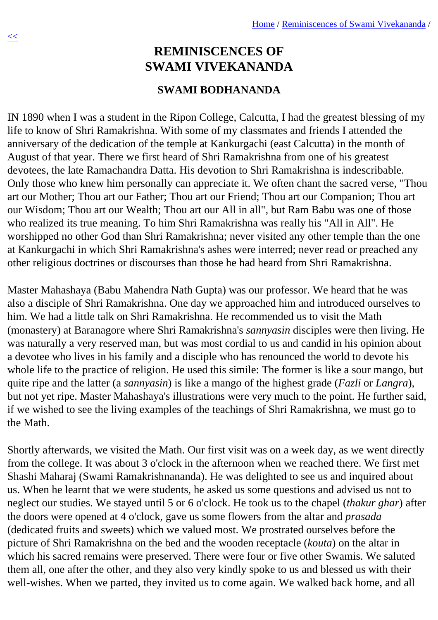## **REMINISCENCES OF SWAMI VIVEKANANDA**

### **SWAMI BODHANANDA**

<span id="page-205-0"></span>IN 1890 when I was a student in the Ripon College, Calcutta, I had the greatest blessing of my life to know of Shri Ramakrishna. With some of my classmates and friends I attended the anniversary of the dedication of the temple at Kankurgachi (east Calcutta) in the month of August of that year. There we first heard of Shri Ramakrishna from one of his greatest devotees, the late Ramachandra Datta. His devotion to Shri Ramakrishna is indescribable. Only those who knew him personally can appreciate it. We often chant the sacred verse, "Thou art our Mother; Thou art our Father; Thou art our Friend; Thou art our Companion; Thou art our Wisdom; Thou art our Wealth; Thou art our All in all", but Ram Babu was one of those who realized its true meaning. To him Shri Ramakrishna was really his "All in All". He worshipped no other God than Shri Ramakrishna; never visited any other temple than the one at Kankurgachi in which Shri Ramakrishna's ashes were interred; never read or preached any other religious doctrines or discourses than those he had heard from Shri Ramakrishna.

Master Mahashaya (Babu Mahendra Nath Gupta) was our professor. We heard that he was also a disciple of Shri Ramakrishna. One day we approached him and introduced ourselves to him. We had a little talk on Shri Ramakrishna. He recommended us to visit the Math (monastery) at Baranagore where Shri Ramakrishna's *sannyasin* disciples were then living. He was naturally a very reserved man, but was most cordial to us and candid in his opinion about a devotee who lives in his family and a disciple who has renounced the world to devote his whole life to the practice of religion. He used this simile: The former is like a sour mango, but quite ripe and the latter (a *sannyasin*) is like a mango of the highest grade (*Fazli* or *Langra*), but not yet ripe. Master Mahashaya's illustrations were very much to the point. He further said, if we wished to see the living examples of the teachings of Shri Ramakrishna, we must go to the Math.

Shortly afterwards, we visited the Math. Our first visit was on a week day, as we went directly from the college. It was about 3 o'clock in the afternoon when we reached there. We first met Shashi Maharaj (Swami Ramakrishnananda). He was delighted to see us and inquired about us. When he learnt that we were students, he asked us some questions and advised us not to neglect our studies. We stayed until 5 or 6 o'clock. He took us to the chapel (*thakur ghar*) after the doors were opened at 4 o'clock, gave us some flowers from the altar and *prasada* (dedicated fruits and sweets) which we valued most. We prostrated ourselves before the picture of Shri Ramakrishna on the bed and the wooden receptacle (*kouta*) on the altar in which his sacred remains were preserved. There were four or five other Swamis. We saluted them all, one after the other, and they also very kindly spoke to us and blessed us with their well-wishes. When we parted, they invited us to come again. We walked back home, and all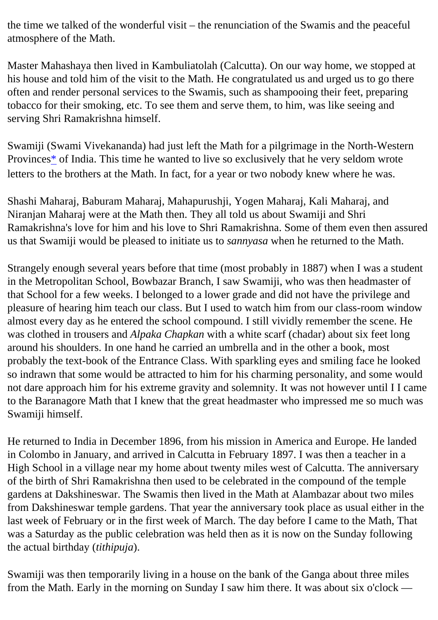the time we talked of the wonderful visit – the renunciation of the Swamis and the peaceful atmosphere of the Math.

Master Mahashaya then lived in Kambuliatolah (Calcutta). On our way home, we stopped at his house and told him of the visit to the Math. He congratulated us and urged us to go there often and render personal services to the Swamis, such as shampooing their feet, preparing tobacco for their smoking, etc. To see them and serve them, to him, was like seeing and serving Shri Ramakrishna himself.

Swamiji (Swami Vivekananda) had just left the Math for a pilgrimage in the North-Western Province[s\\*](#page-205-0) of India. This time he wanted to live so exclusively that he very seldom wrote letters to the brothers at the Math. In fact, for a year or two nobody knew where he was.

Shashi Maharaj, Baburam Maharaj, Mahapurushji, Yogen Maharaj, Kali Maharaj, and Niranjan Maharaj were at the Math then. They all told us about Swamiji and Shri Ramakrishna's love for him and his love to Shri Ramakrishna. Some of them even then assured us that Swamiji would be pleased to initiate us to *sannyasa* when he returned to the Math.

Strangely enough several years before that time (most probably in 1887) when I was a student in the Metropolitan School, Bowbazar Branch, I saw Swamiji, who was then headmaster of that School for a few weeks. I belonged to a lower grade and did not have the privilege and pleasure of hearing him teach our class. But I used to watch him from our class-room window almost every day as he entered the school compound. I still vividly remember the scene. He was clothed in trousers and *Alpaka Chapkan* with a white scarf (chadar) about six feet long around his shoulders. In one hand he carried an umbrella and in the other a book, most probably the text-book of the Entrance Class. With sparkling eyes and smiling face he looked so indrawn that some would be attracted to him for his charming personality, and some would not dare approach him for his extreme gravity and solemnity. It was not however until I I came to the Baranagore Math that I knew that the great headmaster who impressed me so much was Swamiji himself.

He returned to India in December 1896, from his mission in America and Europe. He landed in Colombo in January, and arrived in Calcutta in February 1897. I was then a teacher in a High School in a village near my home about twenty miles west of Calcutta. The anniversary of the birth of Shri Ramakrishna then used to be celebrated in the compound of the temple gardens at Dakshineswar. The Swamis then lived in the Math at Alambazar about two miles from Dakshineswar temple gardens. That year the anniversary took place as usual either in the last week of February or in the first week of March. The day before I came to the Math, That was a Saturday as the public celebration was held then as it is now on the Sunday following the actual birthday (*tithipuja*).

Swamiji was then temporarily living in a house on the bank of the Ganga about three miles from the Math. Early in the morning on Sunday I saw him there. It was about six o'clock —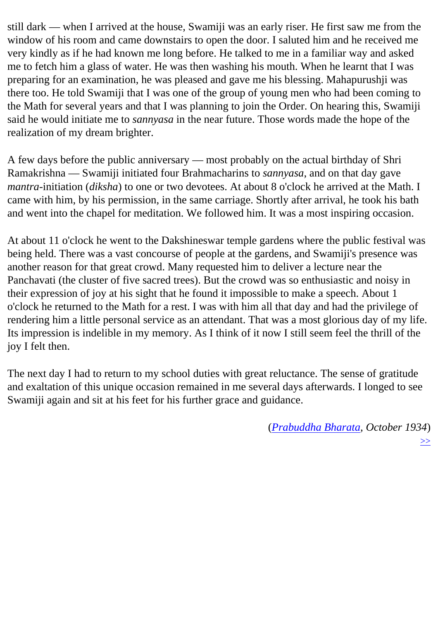still dark — when I arrived at the house, Swamiji was an early riser. He first saw me from the window of his room and came downstairs to open the door. I saluted him and he received me very kindly as if he had known me long before. He talked to me in a familiar way and asked me to fetch him a glass of water. He was then washing his mouth. When he learnt that I was preparing for an examination, he was pleased and gave me his blessing. Mahapurushji was there too. He told Swamiji that I was one of the group of young men who had been coming to the Math for several years and that I was planning to join the Order. On hearing this, Swamiji said he would initiate me to *sannyasa* in the near future. Those words made the hope of the realization of my dream brighter.

A few days before the public anniversary — most probably on the actual birthday of Shri Ramakrishna — Swamiji initiated four Brahmacharins to *sannyasa*, and on that day gave *mantra*-initiation (*diksha*) to one or two devotees. At about 8 o'clock he arrived at the Math. I came with him, by his permission, in the same carriage. Shortly after arrival, he took his bath and went into the chapel for meditation. We followed him. It was a most inspiring occasion.

At about 11 o'clock he went to the Dakshineswar temple gardens where the public festival was being held. There was a vast concourse of people at the gardens, and Swamiji's presence was another reason for that great crowd. Many requested him to deliver a lecture near the Panchavati (the cluster of five sacred trees). But the crowd was so enthusiastic and noisy in their expression of joy at his sight that he found it impossible to make a speech. About 1 o'clock he returned to the Math for a rest. I was with him all that day and had the privilege of rendering him a little personal service as an attendant. That was a most glorious day of my life. Its impression is indelible in my memory. As I think of it now I still seem feel the thrill of the joy I felt then.

The next day I had to return to my school duties with great reluctance. The sense of gratitude and exaltation of this unique occasion remained in me several days afterwards. I longed to see Swamiji again and sit at his feet for his further grace and guidance.

> (*[Prabuddha Bharata,](http://www.advaitaashrama.org/prabuddha_bharata.html) October 1934*)  $\geq$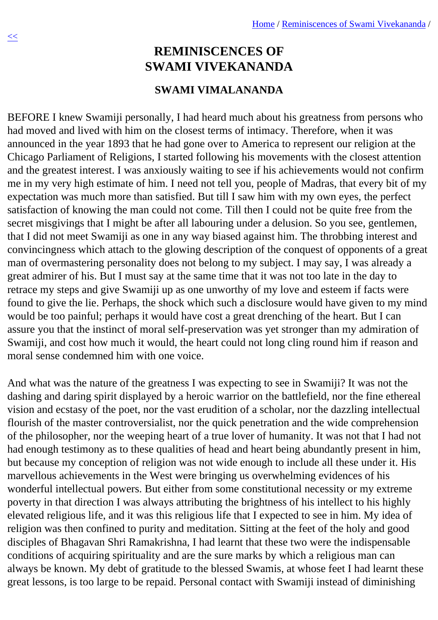## **REMINISCENCES OF SWAMI VIVEKANANDA**

### **SWAMI VIMALANANDA**

<span id="page-208-0"></span>BEFORE I knew Swamiji personally, I had heard much about his greatness from persons who had moved and lived with him on the closest terms of intimacy. Therefore, when it was announced in the year 1893 that he had gone over to America to represent our religion at the Chicago Parliament of Religions, I started following his movements with the closest attention and the greatest interest. I was anxiously waiting to see if his achievements would not confirm me in my very high estimate of him. I need not tell you, people of Madras, that every bit of my expectation was much more than satisfied. But till I saw him with my own eyes, the perfect satisfaction of knowing the man could not come. Till then I could not be quite free from the secret misgivings that I might be after all labouring under a delusion. So you see, gentlemen, that I did not meet Swamiji as one in any way biased against him. The throbbing interest and convincingness which attach to the glowing description of the conquest of opponents of a great man of overmastering personality does not belong to my subject. I may say, I was already a great admirer of his. But I must say at the same time that it was not too late in the day to retrace my steps and give Swamiji up as one unworthy of my love and esteem if facts were found to give the lie. Perhaps, the shock which such a disclosure would have given to my mind would be too painful; perhaps it would have cost a great drenching of the heart. But I can assure you that the instinct of moral self-preservation was yet stronger than my admiration of Swamiji, and cost how much it would, the heart could not long cling round him if reason and moral sense condemned him with one voice.

And what was the nature of the greatness I was expecting to see in Swamiji? It was not the dashing and daring spirit displayed by a heroic warrior on the battlefield, nor the fine ethereal vision and ecstasy of the poet, nor the vast erudition of a scholar, nor the dazzling intellectual flourish of the master controversialist, nor the quick penetration and the wide comprehension of the philosopher, nor the weeping heart of a true lover of humanity. It was not that I had not had enough testimony as to these qualities of head and heart being abundantly present in him, but because my conception of religion was not wide enough to include all these under it. His marvellous achievements in the West were bringing us overwhelming evidences of his wonderful intellectual powers. But either from some constitutional necessity or my extreme poverty in that direction I was always attributing the brightness of his intellect to his highly elevated religious life, and it was this religious life that I expected to see in him. My idea of religion was then confined to purity and meditation. Sitting at the feet of the holy and good disciples of Bhagavan Shri Ramakrishna, I had learnt that these two were the indispensable conditions of acquiring spirituality and are the sure marks by which a religious man can always be known. My debt of gratitude to the blessed Swamis, at whose feet I had learnt these great lessons, is too large to be repaid. Personal contact with Swamiji instead of diminishing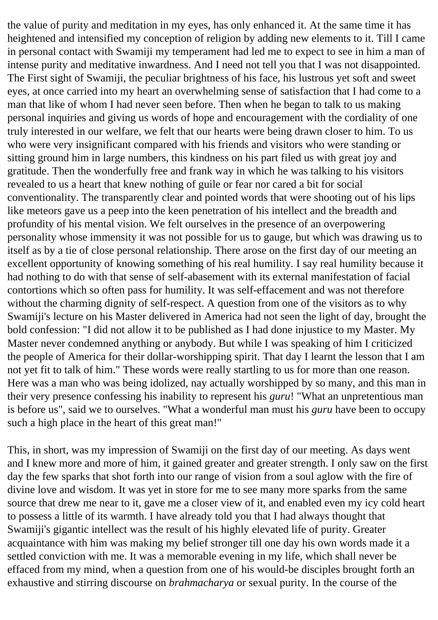the value of purity and meditation in my eyes, has only enhanced it. At the same time it has heightened and intensified my conception of religion by adding new elements to it. Till I came in personal contact with Swamiji my temperament had led me to expect to see in him a man of intense purity and meditative inwardness. And I need not tell you that I was not disappointed. The First sight of Swamiji, the peculiar brightness of his face, his lustrous yet soft and sweet eyes, at once carried into my heart an overwhelming sense of satisfaction that I had come to a man that like of whom I had never seen before. Then when he began to talk to us making personal inquiries and giving us words of hope and encouragement with the cordiality of one truly interested in our welfare, we felt that our hearts were being drawn closer to him. To us who were very insignificant compared with his friends and visitors who were standing or sitting ground him in large numbers, this kindness on his part filed us with great joy and gratitude. Then the wonderfully free and frank way in which he was talking to his visitors revealed to us a heart that knew nothing of guile or fear nor cared a bit for social conventionality. The transparently clear and pointed words that were shooting out of his lips like meteors gave us a peep into the keen penetration of his intellect and the breadth and profundity of his mental vision. We felt ourselves in the presence of an overpowering personality whose immensity it was not possible for us to gauge, but which was drawing us to itself as by a tie of close personal relationship. There arose on the first day of our meeting an excellent opportunity of knowing something of his real humility. I say real humility because it had nothing to do with that sense of self-abasement with its external manifestation of facial contortions which so often pass for humility. It was self-effacement and was not therefore without the charming dignity of self-respect. A question from one of the visitors as to why Swamiji's lecture on his Master delivered in America had not seen the light of day, brought the bold confession: "I did not allow it to be published as I had done injustice to my Master. My Master never condemned anything or anybody. But while I was speaking of him I criticized the people of America for their dollar-worshipping spirit. That day I learnt the lesson that I am not yet fit to talk of him." These words were really startling to us for more than one reason. Here was a man who was being idolized, nay actually worshipped by so many, and this man in their very presence confessing his inability to represent his *guru*! "What an unpretentious man is before us", said we to ourselves. "What a wonderful man must his *guru* have been to occupy such a high place in the heart of this great man!"

This, in short, was my impression of Swamiji on the first day of our meeting. As days went and I knew more and more of him, it gained greater and greater strength. I only saw on the first day the few sparks that shot forth into our range of vision from a soul aglow with the fire of divine love and wisdom. It was yet in store for me to see many more sparks from the same source that drew me near to it, gave me a closer view of it, and enabled even my icy cold heart to possess a little of its warmth. I have already told you that I had always thought that Swamiji's gigantic intellect was the result of his highly elevated life of purity. Greater acquaintance with him was making my belief stronger till one day his own words made it a settled conviction with me. It was a memorable evening in my life, which shall never be effaced from my mind, when a question from one of his would-be disciples brought forth an exhaustive and stirring discourse on *brahmacharya* or sexual purity. In the course of the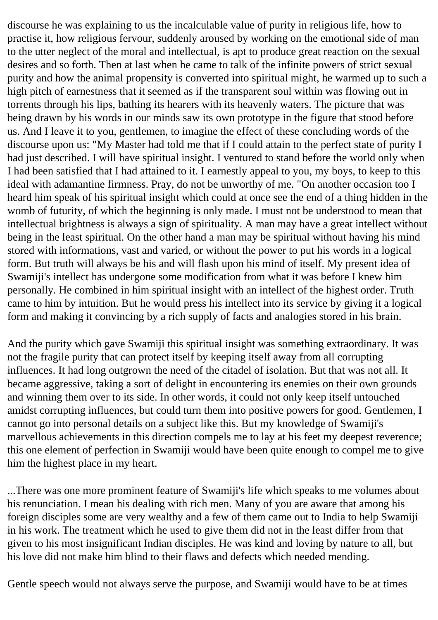discourse he was explaining to us the incalculable value of purity in religious life, how to practise it, how religious fervour, suddenly aroused by working on the emotional side of man to the utter neglect of the moral and intellectual, is apt to produce great reaction on the sexual desires and so forth. Then at last when he came to talk of the infinite powers of strict sexual purity and how the animal propensity is converted into spiritual might, he warmed up to such a high pitch of earnestness that it seemed as if the transparent soul within was flowing out in torrents through his lips, bathing its hearers with its heavenly waters. The picture that was being drawn by his words in our minds saw its own prototype in the figure that stood before us. And I leave it to you, gentlemen, to imagine the effect of these concluding words of the discourse upon us: "My Master had told me that if I could attain to the perfect state of purity I had just described. I will have spiritual insight. I ventured to stand before the world only when I had been satisfied that I had attained to it. I earnestly appeal to you, my boys, to keep to this ideal with adamantine firmness. Pray, do not be unworthy of me. "On another occasion too I heard him speak of his spiritual insight which could at once see the end of a thing hidden in the womb of futurity, of which the beginning is only made. I must not be understood to mean that intellectual brightness is always a sign of spirituality. A man may have a great intellect without being in the least spiritual. On the other hand a man may be spiritual without having his mind stored with informations, vast and varied, or without the power to put his words in a logical form. But truth will always be his and will flash upon his mind of itself. My present idea of Swamiji's intellect has undergone some modification from what it was before I knew him personally. He combined in him spiritual insight with an intellect of the highest order. Truth came to him by intuition. But he would press his intellect into its service by giving it a logical form and making it convincing by a rich supply of facts and analogies stored in his brain.

And the purity which gave Swamiji this spiritual insight was something extraordinary. It was not the fragile purity that can protect itself by keeping itself away from all corrupting influences. It had long outgrown the need of the citadel of isolation. But that was not all. It became aggressive, taking a sort of delight in encountering its enemies on their own grounds and winning them over to its side. In other words, it could not only keep itself untouched amidst corrupting influences, but could turn them into positive powers for good. Gentlemen, I cannot go into personal details on a subject like this. But my knowledge of Swamiji's marvellous achievements in this direction compels me to lay at his feet my deepest reverence; this one element of perfection in Swamiji would have been quite enough to compel me to give him the highest place in my heart.

...There was one more prominent feature of Swamiji's life which speaks to me volumes about his renunciation. I mean his dealing with rich men. Many of you are aware that among his foreign disciples some are very wealthy and a few of them came out to India to help Swamiji in his work. The treatment which he used to give them did not in the least differ from that given to his most insignificant Indian disciples. He was kind and loving by nature to all, but his love did not make him blind to their flaws and defects which needed mending.

Gentle speech would not always serve the purpose, and Swamiji would have to be at times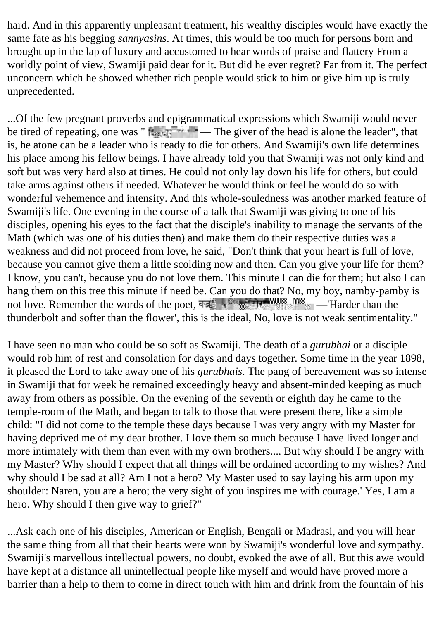hard. And in this apparently unpleasant treatment, his wealthy disciples would have exactly the same fate as his begging *sannyasins*. At times, this would be too much for persons born and brought up in the lap of luxury and accustomed to hear words of praise and flattery From a worldly point of view, Swamiji paid dear for it. But did he ever regret? Far from it. The perfect unconcern which he showed whether rich people would stick to him or give him up is truly unprecedented.

...Of the few pregnant proverbs and epigrammatical expressions which Swamiji would never be tired of repeating, one was "  $\frac{1}{k_{\text{||}}\left(\frac{1}{k_{\text{||}}}\right)^{k_{\text{||}}}}$  — The giver of the head is alone the leader", that is, he atone can be a leader who is ready to die for others. And Swamiji's own life determines his place among his fellow beings. I have already told you that Swamiji was not only kind and soft but was very hard also at times. He could not only lay down his life for others, but could take arms against others if needed. Whatever he would think or feel he would do so with wonderful vehemence and intensity. And this whole-souledness was another marked feature of Swamiji's life. One evening in the course of a talk that Swamiji was giving to one of his disciples, opening his eyes to the fact that the disciple's inability to manage the servants of the Math (which was one of his duties then) and make them do their respective duties was a weakness and did not proceed from love, he said, "Don't think that your heart is full of love, because you cannot give them a little scolding now and then. Can you give your life for them? I know, you can't, because you do not love them. This minute I can die for them; but also I can hang them on this tree this minute if need be. Can you do that? No, my boy, namby-pamby is not love. Remember the words of the poet,  $\frac{1}{4}$ , we have not will be a Harder than the thunderbolt and softer than the flower', this is the ideal, No, love is not weak sentimentality."

I have seen no man who could be so soft as Swamiji. The death of a *gurubhai* or a disciple would rob him of rest and consolation for days and days together. Some time in the year 1898, it pleased the Lord to take away one of his *gurubhais*. The pang of bereavement was so intense in Swamiji that for week he remained exceedingly heavy and absent-minded keeping as much away from others as possible. On the evening of the seventh or eighth day he came to the temple-room of the Math, and began to talk to those that were present there, like a simple child: "I did not come to the temple these days because I was very angry with my Master for having deprived me of my dear brother. I love them so much because I have lived longer and more intimately with them than even with my own brothers.... But why should I be angry with my Master? Why should I expect that all things will be ordained according to my wishes? And why should I be sad at all? Am I not a hero? My Master used to say laying his arm upon my shoulder: Naren, you are a hero; the very sight of you inspires me with courage.' Yes, I am a hero. Why should I then give way to grief?"

...Ask each one of his disciples, American or English, Bengali or Madrasi, and you will hear the same thing from all that their hearts were won by Swamiji's wonderful love and sympathy. Swamiji's marvellous intellectual powers, no doubt, evoked the awe of all. But this awe would have kept at a distance all unintellectual people like myself and would have proved more a barrier than a help to them to come in direct touch with him and drink from the fountain of his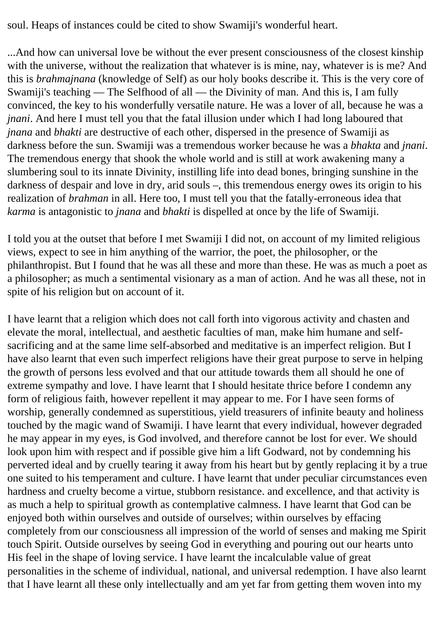soul. Heaps of instances could be cited to show Swamiji's wonderful heart.

...And how can universal love be without the ever present consciousness of the closest kinship with the universe, without the realization that whatever is is mine, nay, whatever is is me? And this is *brahmajnana* (knowledge of Self) as our holy books describe it. This is the very core of Swamiji's teaching — The Selfhood of all — the Divinity of man. And this is, I am fully convinced, the key to his wonderfully versatile nature. He was a lover of all, because he was a *jnani*. And here I must tell you that the fatal illusion under which I had long laboured that *jnana* and *bhakti* are destructive of each other, dispersed in the presence of Swamiji as darkness before the sun. Swamiji was a tremendous worker because he was a *bhakta* and *jnani*. The tremendous energy that shook the whole world and is still at work awakening many a slumbering soul to its innate Divinity, instilling life into dead bones, bringing sunshine in the darkness of despair and love in dry, arid souls –, this tremendous energy owes its origin to his realization of *brahman* in all. Here too, I must tell you that the fatally-erroneous idea that *karma* is antagonistic to *jnana* and *bhakti* is dispelled at once by the life of Swamiji.

I told you at the outset that before I met Swamiji I did not, on account of my limited religious views, expect to see in him anything of the warrior, the poet, the philosopher, or the philanthropist. But I found that he was all these and more than these. He was as much a poet as a philosopher; as much a sentimental visionary as a man of action. And he was all these, not in spite of his religion but on account of it.

I have learnt that a religion which does not call forth into vigorous activity and chasten and elevate the moral, intellectual, and aesthetic faculties of man, make him humane and selfsacrificing and at the same lime self-absorbed and meditative is an imperfect religion. But I have also learnt that even such imperfect religions have their great purpose to serve in helping the growth of persons less evolved and that our attitude towards them all should he one of extreme sympathy and love. I have learnt that I should hesitate thrice before I condemn any form of religious faith, however repellent it may appear to me. For I have seen forms of worship, generally condemned as superstitious, yield treasurers of infinite beauty and holiness touched by the magic wand of Swamiji. I have learnt that every individual, however degraded he may appear in my eyes, is God involved, and therefore cannot be lost for ever. We should look upon him with respect and if possible give him a lift Godward, not by condemning his perverted ideal and by cruelly tearing it away from his heart but by gently replacing it by a true one suited to his temperament and culture. I have learnt that under peculiar circumstances even hardness and cruelty become a virtue, stubborn resistance. and excellence, and that activity is as much a help to spiritual growth as contemplative calmness. I have learnt that God can be enjoyed both within ourselves and outside of ourselves; within ourselves by effacing completely from our consciousness all impression of the world of senses and making me Spirit touch Spirit. Outside ourselves by seeing God in everything and pouring out our hearts unto His feel in the shape of loving service. I have learnt the incalculable value of great personalities in the scheme of individual, national, and universal redemption. I have also learnt that I have learnt all these only intellectually and am yet far from getting them woven into my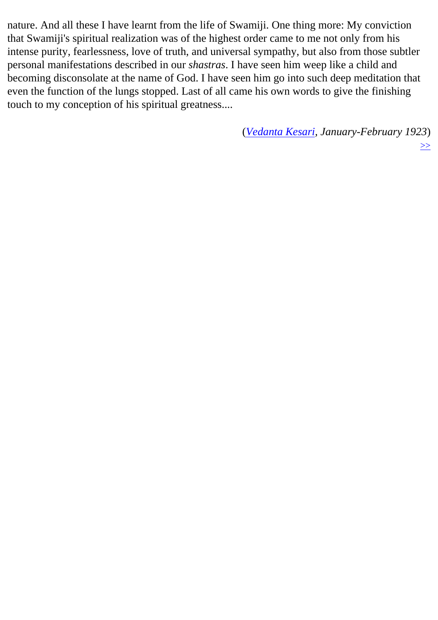nature. And all these I have learnt from the life of Swamiji. One thing more: My conviction that Swamiji's spiritual realization was of the highest order came to me not only from his intense purity, fearlessness, love of truth, and universal sympathy, but also from those subtler personal manifestations described in our *shastras*. I have seen him weep like a child and becoming disconsolate at the name of God. I have seen him go into such deep meditation that even the function of the lungs stopped. Last of all came his own words to give the finishing touch to my conception of his spiritual greatness....

> (*[Vedanta Kesari,](http://www.sriramakrishnamath.org/Magazine/magazineenglish.aspx?id=Eng) January-February 1923*)  $\geq$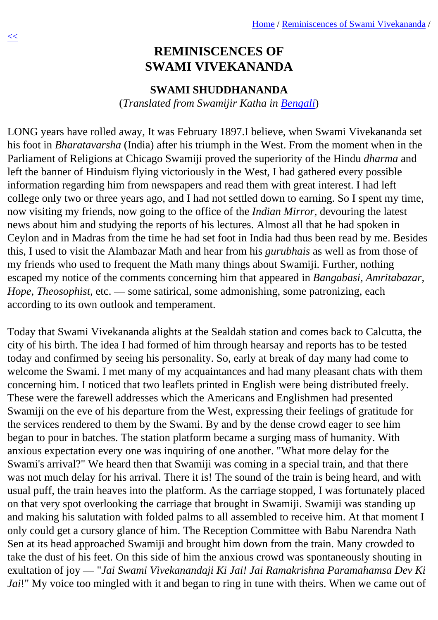## **REMINISCENCES OF SWAMI VIVEKANANDA**

#### **SWAMI SHUDDHANANDA**

(*Translated from Swamijir Katha in [Bengali](http://www.ramakrishnavivekananda.info/reminiscences/shudhhananda_b6_213.pdf)*)

LONG years have rolled away, It was February 1897.I believe, when Swami Vivekananda set his foot in *Bharatavarsha* (India) after his triumph in the West. From the moment when in the Parliament of Religions at Chicago Swamiji proved the superiority of the Hindu *dharma* and left the banner of Hinduism flying victoriously in the West, I had gathered every possible information regarding him from newspapers and read them with great interest. I had left college only two or three years ago, and I had not settled down to earning. So I spent my time, now visiting my friends, now going to the office of the *Indian Mirror*, devouring the latest news about him and studying the reports of his lectures. Almost all that he had spoken in Ceylon and in Madras from the time he had set foot in India had thus been read by me. Besides this, I used to visit the Alambazar Math and hear from his *gurubhais* as well as from those of my friends who used to frequent the Math many things about Swamiji. Further, nothing escaped my notice of the comments concerning him that appeared in *Bangabasi, Amritabazar, Hope, Theosophist,* etc. — some satirical, some admonishing, some patronizing, each according to its own outlook and temperament.

Today that Swami Vivekananda alights at the Sealdah station and comes back to Calcutta, the city of his birth. The idea I had formed of him through hearsay and reports has to be tested today and confirmed by seeing his personality. So, early at break of day many had come to welcome the Swami. I met many of my acquaintances and had many pleasant chats with them concerning him. I noticed that two leaflets printed in English were being distributed freely. These were the farewell addresses which the Americans and Englishmen had presented Swamiji on the eve of his departure from the West, expressing their feelings of gratitude for the services rendered to them by the Swami. By and by the dense crowd eager to see him began to pour in batches. The station platform became a surging mass of humanity. With anxious expectation every one was inquiring of one another. "What more delay for the Swami's arrival?" We heard then that Swamiji was coming in a special train, and that there was not much delay for his arrival. There it is! The sound of the train is being heard, and with usual puff, the train heaves into the platform. As the carriage stopped, I was fortunately placed on that very spot overlooking the carriage that brought in Swamiji. Swamiji was standing up and making his salutation with folded palms to all assembled to receive him. At that moment I only could get a cursory glance of him. The Reception Committee with Babu Narendra Nath Sen at its head approached Swamiji and brought him down from the train. Many crowded to take the dust of his feet. On this side of him the anxious crowd was spontaneously shouting in exultation of joy — "*Jai Swami Vivekanandaji Ki Jai! Jai Ramakrishna Paramahamsa Dev Ki Jai*!" My voice too mingled with it and began to ring in tune with theirs. When we came out of

<span id="page-214-0"></span> $<<$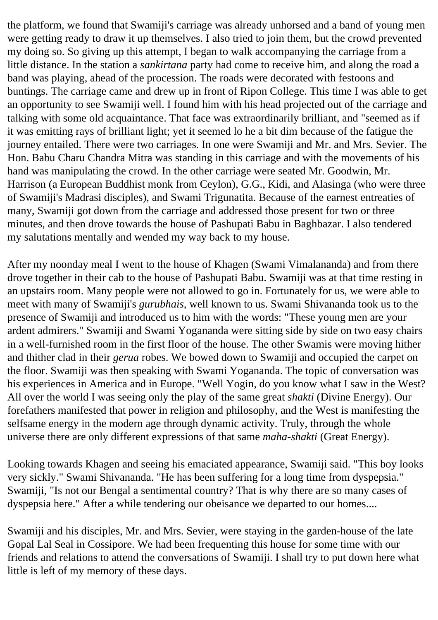the platform, we found that Swamiji's carriage was already unhorsed and a band of young men were getting ready to draw it up themselves. I also tried to join them, but the crowd prevented my doing so. So giving up this attempt, I began to walk accompanying the carriage from a little distance. In the station a *sankirtana* party had come to receive him, and along the road a band was playing, ahead of the procession. The roads were decorated with festoons and buntings. The carriage came and drew up in front of Ripon College. This time I was able to get an opportunity to see Swamiji well. I found him with his head projected out of the carriage and talking with some old acquaintance. That face was extraordinarily brilliant, and "seemed as if it was emitting rays of brilliant light; yet it seemed lo he a bit dim because of the fatigue the journey entailed. There were two carriages. In one were Swamiji and Mr. and Mrs. Sevier. The Hon. Babu Charu Chandra Mitra was standing in this carriage and with the movements of his hand was manipulating the crowd. In the other carriage were seated Mr. Goodwin, Mr. Harrison (a European Buddhist monk from Ceylon), G.G., Kidi, and Alasinga (who were three of Swamiji's Madrasi disciples), and Swami Trigunatita. Because of the earnest entreaties of many, Swamiji got down from the carriage and addressed those present for two or three minutes, and then drove towards the house of Pashupati Babu in Baghbazar. I also tendered my salutations mentally and wended my way back to my house.

After my noonday meal I went to the house of Khagen (Swami Vimalananda) and from there drove together in their cab to the house of Pashupati Babu. Swamiji was at that time resting in an upstairs room. Many people were not allowed to go in. Fortunately for us, we were able to meet with many of Swamiji's *gurubhais*, well known to us. Swami Shivananda took us to the presence of Swamiji and introduced us to him with the words: "These young men are your ardent admirers." Swamiji and Swami Yogananda were sitting side by side on two easy chairs in a well-furnished room in the first floor of the house. The other Swamis were moving hither and thither clad in their *gerua* robes. We bowed down to Swamiji and occupied the carpet on the floor. Swamiji was then speaking with Swami Yogananda. The topic of conversation was his experiences in America and in Europe. "Well Yogin, do you know what I saw in the West? All over the world I was seeing only the play of the same great *shakti* (Divine Energy). Our forefathers manifested that power in religion and philosophy, and the West is manifesting the selfsame energy in the modern age through dynamic activity. Truly, through the whole universe there are only different expressions of that same *maha-shakti* (Great Energy).

Looking towards Khagen and seeing his emaciated appearance, Swamiji said. "This boy looks very sickly." Swami Shivananda. "He has been suffering for a long time from dyspepsia." Swamiji, "Is not our Bengal a sentimental country? That is why there are so many cases of dyspepsia here." After a while tendering our obeisance we departed to our homes....

Swamiji and his disciples, Mr. and Mrs. Sevier, were staying in the garden-house of the late Gopal Lal Seal in Cossipore. We had been frequenting this house for some time with our friends and relations to attend the conversations of Swamiji. I shall try to put down here what little is left of my memory of these days.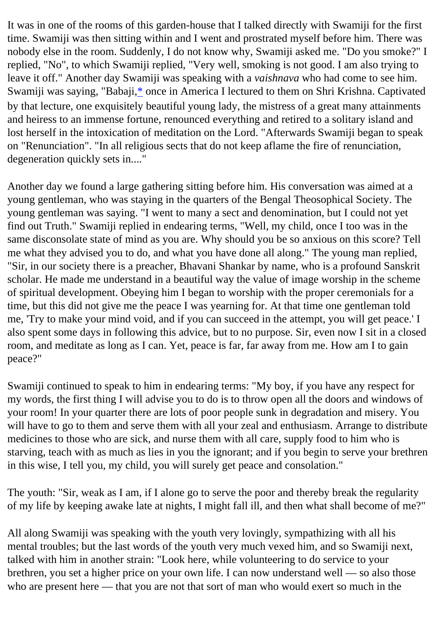It was in one of the rooms of this garden-house that I talked directly with Swamiji for the first time. Swamiji was then sitting within and I went and prostrated myself before him. There was nobody else in the room. Suddenly, I do not know why, Swamiji asked me. "Do you smoke?" I replied, "No", to which Swamiji replied, "Very well, smoking is not good. I am also trying to leave it off." Another day Swamiji was speaking with a *vaishnava* who had come to see him. Swamiji was saying, "Babaji,[\\*](#page-214-0) once in America I lectured to them on Shri Krishna. Captivated by that lecture, one exquisitely beautiful young lady, the mistress of a great many attainments and heiress to an immense fortune, renounced everything and retired to a solitary island and lost herself in the intoxication of meditation on the Lord. "Afterwards Swamiji began to speak on "Renunciation". "In all religious sects that do not keep aflame the fire of renunciation, degeneration quickly sets in...."

Another day we found a large gathering sitting before him. His conversation was aimed at a young gentleman, who was staying in the quarters of the Bengal Theosophical Society. The young gentleman was saying. "I went to many a sect and denomination, but I could not yet find out Truth." Swamiji replied in endearing terms, "Well, my child, once I too was in the same disconsolate state of mind as you are. Why should you be so anxious on this score? Tell me what they advised you to do, and what you have done all along." The young man replied, "Sir, in our society there is a preacher, Bhavani Shankar by name, who is a profound Sanskrit scholar. He made me understand in a beautiful way the value of image worship in the scheme of spiritual development. Obeying him I began to worship with the proper ceremonials for a time, but this did not give me the peace I was yearning for. At that time one gentleman told me, 'Try to make your mind void, and if you can succeed in the attempt, you will get peace.' I also spent some days in following this advice, but to no purpose. Sir, even now I sit in a closed room, and meditate as long as I can. Yet, peace is far, far away from me. How am I to gain peace?"

Swamiji continued to speak to him in endearing terms: "My boy, if you have any respect for my words, the first thing I will advise you to do is to throw open all the doors and windows of your room! In your quarter there are lots of poor people sunk in degradation and misery. You will have to go to them and serve them with all your zeal and enthusiasm. Arrange to distribute medicines to those who are sick, and nurse them with all care, supply food to him who is starving, teach with as much as lies in you the ignorant; and if you begin to serve your brethren in this wise, I tell you, my child, you will surely get peace and consolation."

The youth: "Sir, weak as I am, if I alone go to serve the poor and thereby break the regularity of my life by keeping awake late at nights, I might fall ill, and then what shall become of me?"

All along Swamiji was speaking with the youth very lovingly, sympathizing with all his mental troubles; but the last words of the youth very much vexed him, and so Swamiji next, talked with him in another strain: "Look here, while volunteering to do service to your brethren, you set a higher price on your own life. I can now understand well — so also those who are present here — that you are not that sort of man who would exert so much in the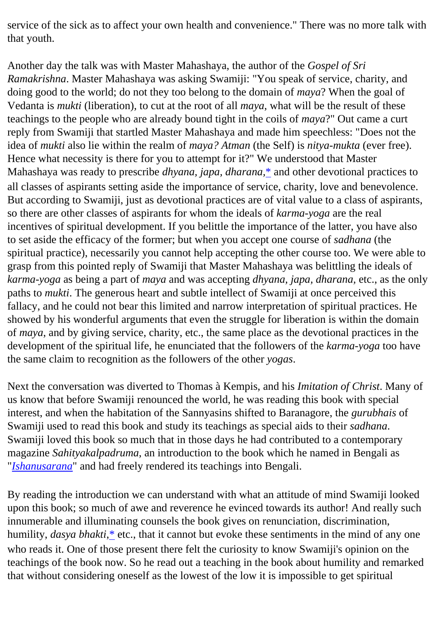service of the sick as to affect your own health and convenience." There was no more talk with that youth.

Another day the talk was with Master Mahashaya, the author of the *Gospel of Sri Ramakrishna*. Master Mahashaya was asking Swamiji: "You speak of service, charity, and doing good to the world; do not they too belong to the domain of *maya*? When the goal of Vedanta is *mukti* (liberation), to cut at the root of all *maya*, what will be the result of these teachings to the people who are already bound tight in the coils of *maya*?" Out came a curt reply from Swamiji that startled Master Mahashaya and made him speechless: "Does not the idea of *mukti* also lie within the realm of *maya? Atman* (the Self) is *nitya-mukta* (ever free). Hence what necessity is there for you to attempt for it?" We understood that Master Mahashaya was ready to prescribe *dhyana, japa, dharana,*[\\*](#page-214-0) and other devotional practices to all classes of aspirants setting aside the importance of service, charity, love and benevolence. But according to Swamiji, just as devotional practices are of vital value to a class of aspirants, so there are other classes of aspirants for whom the ideals of *karma-yoga* are the real incentives of spiritual development. If you belittle the importance of the latter, you have also to set aside the efficacy of the former; but when you accept one course of *sadhana* (the spiritual practice), necessarily you cannot help accepting the other course too. We were able to grasp from this pointed reply of Swamiji that Master Mahashaya was belittling the ideals of *karma-yoga* as being a part of *maya* and was accepting *dhyana, japa, dharana,* etc., as the only paths to *mukti*. The generous heart and subtle intellect of Swamiji at once perceived this fallacy, and he could not bear this limited and narrow interpretation of spiritual practices. He showed by his wonderful arguments that even the struggle for liberation is within the domain of *maya*, and by giving service, charity, etc., the same place as the devotional practices in the development of the spiritual life, he enunciated that the followers of the *karma-yoga* too have the same claim to recognition as the followers of the other *yogas*.

Next the conversation was diverted to Thomas à Kempis, and his *Imitation of Christ*. Many of us know that before Swamiji renounced the world, he was reading this book with special interest, and when the habitation of the Sannyasins shifted to Baranagore, the *gurubhais* of Swamiji used to read this book and study its teachings as special aids to their *sadhana*. Swamiji loved this book so much that in those days he had contributed to a contemporary magazine *Sahityakalpadruma*, an introduction to the book which he named in Bengali as "*[Ishanusarana](http://www.ramakrishnavivekananda.info/vivekananda/volume_8/writings_prose/a_preface.htm)*" and had freely rendered its teachings into Bengali.

By reading the introduction we can understand with what an attitude of mind Swamiji looked upon this book; so much of awe and reverence he evinced towards its author! And really such innumerable and illuminating counsels the book gives on renunciation, discrimination, humility, *dasya bhakti*[,\\*](#page-214-0) etc., that it cannot but evoke these sentiments in the mind of any one who reads it. One of those present there felt the curiosity to know Swamiji's opinion on the teachings of the book now. So he read out a teaching in the book about humility and remarked that without considering oneself as the lowest of the low it is impossible to get spiritual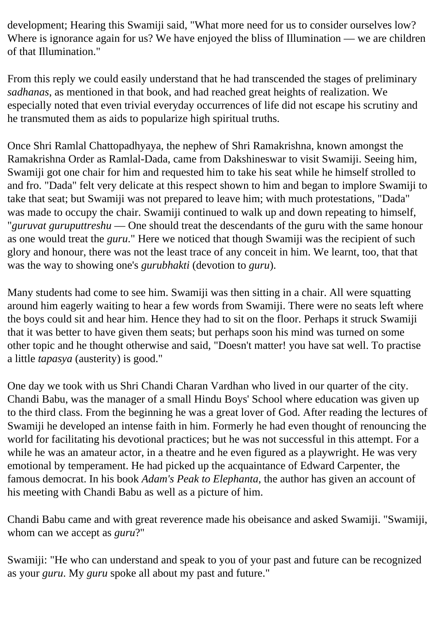development; Hearing this Swamiji said, "What more need for us to consider ourselves low? Where is ignorance again for us? We have enjoyed the bliss of Illumination — we are children of that Illumination."

From this reply we could easily understand that he had transcended the stages of preliminary *sadhanas*, as mentioned in that book, and had reached great heights of realization. We especially noted that even trivial everyday occurrences of life did not escape his scrutiny and he transmuted them as aids to popularize high spiritual truths.

Once Shri Ramlal Chattopadhyaya, the nephew of Shri Ramakrishna, known amongst the Ramakrishna Order as Ramlal-Dada, came from Dakshineswar to visit Swamiji. Seeing him, Swamiji got one chair for him and requested him to take his seat while he himself strolled to and fro. "Dada" felt very delicate at this respect shown to him and began to implore Swamiji to take that seat; but Swamiji was not prepared to leave him; with much protestations, "Dada" was made to occupy the chair. Swamiji continued to walk up and down repeating to himself, "*guruvat guruputtreshu* — One should treat the descendants of the guru with the same honour as one would treat the *guru*." Here we noticed that though Swamiji was the recipient of such glory and honour, there was not the least trace of any conceit in him. We learnt, too, that that was the way to showing one's *gurubhakti* (devotion to *guru*).

Many students had come to see him. Swamiji was then sitting in a chair. All were squatting around him eagerly waiting to hear a few words from Swamiji. There were no seats left where the boys could sit and hear him. Hence they had to sit on the floor. Perhaps it struck Swamiji that it was better to have given them seats; but perhaps soon his mind was turned on some other topic and he thought otherwise and said, "Doesn't matter! you have sat well. To practise a little *tapasya* (austerity) is good."

One day we took with us Shri Chandi Charan Vardhan who lived in our quarter of the city. Chandi Babu, was the manager of a small Hindu Boys' School where education was given up to the third class. From the beginning he was a great lover of God. After reading the lectures of Swamiji he developed an intense faith in him. Formerly he had even thought of renouncing the world for facilitating his devotional practices; but he was not successful in this attempt. For a while he was an amateur actor, in a theatre and he even figured as a playwright. He was very emotional by temperament. He had picked up the acquaintance of Edward Carpenter, the famous democrat. In his book *Adam's Peak to Elephanta*, the author has given an account of his meeting with Chandi Babu as well as a picture of him.

Chandi Babu came and with great reverence made his obeisance and asked Swamiji. "Swamiji, whom can we accept as *guru*?"

Swamiji: "He who can understand and speak to you of your past and future can be recognized as your *guru*. My *guru* spoke all about my past and future."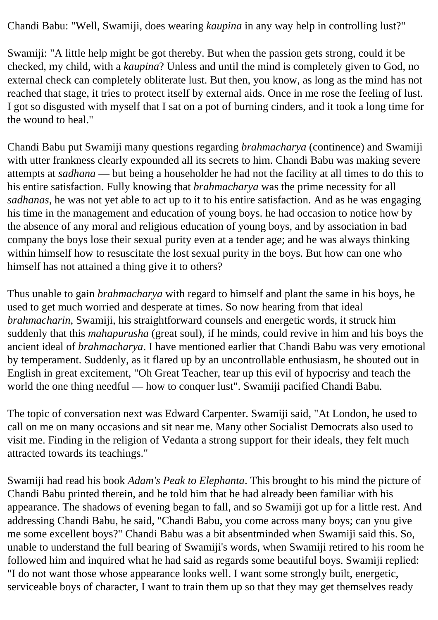Chandi Babu: "Well, Swamiji, does wearing *kaupina* in any way help in controlling lust?"

Swamiji: "A little help might be got thereby. But when the passion gets strong, could it be checked, my child, with a *kaupina*? Unless and until the mind is completely given to God, no external check can completely obliterate lust. But then, you know, as long as the mind has not reached that stage, it tries to protect itself by external aids. Once in me rose the feeling of lust. I got so disgusted with myself that I sat on a pot of burning cinders, and it took a long time for the wound to heal."

Chandi Babu put Swamiji many questions regarding *brahmacharya* (continence) and Swamiji with utter frankness clearly expounded all its secrets to him. Chandi Babu was making severe attempts at *sadhana* — but being a householder he had not the facility at all times to do this to his entire satisfaction. Fully knowing that *brahmacharya* was the prime necessity for all *sadhanas*, he was not yet able to act up to it to his entire satisfaction. And as he was engaging his time in the management and education of young boys. he had occasion to notice how by the absence of any moral and religious education of young boys, and by association in bad company the boys lose their sexual purity even at a tender age; and he was always thinking within himself how to resuscitate the lost sexual purity in the boys. But how can one who himself has not attained a thing give it to others?

Thus unable to gain *brahmacharya* with regard to himself and plant the same in his boys, he used to get much worried and desperate at times. So now hearing from that ideal *brahmacharin*, Swamiji, his straightforward counsels and energetic words, it struck him suddenly that this *mahapurusha* (great soul), if he minds, could revive in him and his boys the ancient ideal of *brahmacharya*. I have mentioned earlier that Chandi Babu was very emotional by temperament. Suddenly, as it flared up by an uncontrollable enthusiasm, he shouted out in English in great excitement, "Oh Great Teacher, tear up this evil of hypocrisy and teach the world the one thing needful — how to conquer lust". Swamiji pacified Chandi Babu.

The topic of conversation next was Edward Carpenter. Swamiji said, "At London, he used to call on me on many occasions and sit near me. Many other Socialist Democrats also used to visit me. Finding in the religion of Vedanta a strong support for their ideals, they felt much attracted towards its teachings."

Swamiji had read his book *Adam's Peak to Elephanta*. This brought to his mind the picture of Chandi Babu printed therein, and he told him that he had already been familiar with his appearance. The shadows of evening began to fall, and so Swamiji got up for a little rest. And addressing Chandi Babu, he said, "Chandi Babu, you come across many boys; can you give me some excellent boys?" Chandi Babu was a bit absentminded when Swamiji said this. So, unable to understand the full bearing of Swamiji's words, when Swamiji retired to his room he followed him and inquired what he had said as regards some beautiful boys. Swamiji replied: "I do not want those whose appearance looks well. I want some strongly built, energetic, serviceable boys of character, I want to train them up so that they may get themselves ready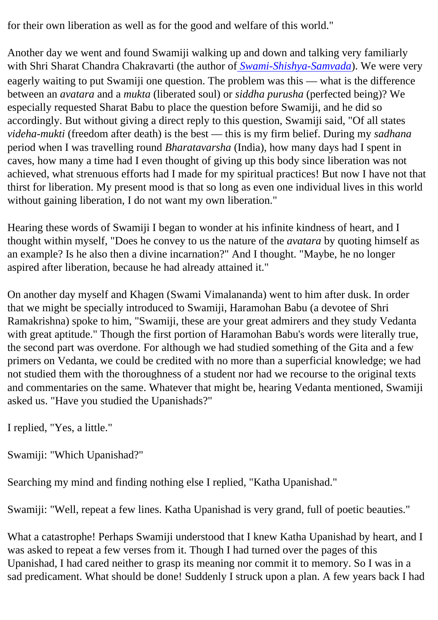for their own liberation as well as for the good and welfare of this world."

Another day we went and found Swamiji walking up and down and talking very familiarly with Shri Sharat Chandra Chakravarti (the author of *[Swami-Shishya-Samvada](http://www.ramakrishnavivekananda.info/vivekananda/volume_6/conversations_and_dialogues/i_sharat_chakravarty_frame.htm)*). We were very eagerly waiting to put Swamiji one question. The problem was this — what is the difference between an *avatara* and a *mukta* (liberated soul) or *siddha purusha* (perfected being)? We especially requested Sharat Babu to place the question before Swamiji, and he did so accordingly. But without giving a direct reply to this question, Swamiji said, "Of all states *videha-mukti* (freedom after death) is the best — this is my firm belief. During my *sadhana* period when I was travelling round *Bharatavarsha* (India), how many days had I spent in caves, how many a time had I even thought of giving up this body since liberation was not achieved, what strenuous efforts had I made for my spiritual practices! But now I have not that thirst for liberation. My present mood is that so long as even one individual lives in this world without gaining liberation, I do not want my own liberation."

Hearing these words of Swamiji I began to wonder at his infinite kindness of heart, and I thought within myself, "Does he convey to us the nature of the *avatara* by quoting himself as an example? Is he also then a divine incarnation?" And I thought. "Maybe, he no longer aspired after liberation, because he had already attained it."

On another day myself and Khagen (Swami Vimalananda) went to him after dusk. In order that we might be specially introduced to Swamiji, Haramohan Babu (a devotee of Shri Ramakrishna) spoke to him, "Swamiji, these are your great admirers and they study Vedanta with great aptitude." Though the first portion of Haramohan Babu's words were literally true, the second part was overdone. For although we had studied something of the Gita and a few primers on Vedanta, we could be credited with no more than a superficial knowledge; we had not studied them with the thoroughness of a student nor had we recourse to the original texts and commentaries on the same. Whatever that might be, hearing Vedanta mentioned, Swamiji asked us. "Have you studied the Upanishads?"

I replied, "Yes, a little."

Swamiji: "Which Upanishad?"

Searching my mind and finding nothing else I replied, "Katha Upanishad."

Swamiji: "Well, repeat a few lines. Katha Upanishad is very grand, full of poetic beauties."

What a catastrophe! Perhaps Swamiji understood that I knew Katha Upanishad by heart, and I was asked to repeat a few verses from it. Though I had turned over the pages of this Upanishad, I had cared neither to grasp its meaning nor commit it to memory. So I was in a sad predicament. What should be done! Suddenly I struck upon a plan. A few years back I had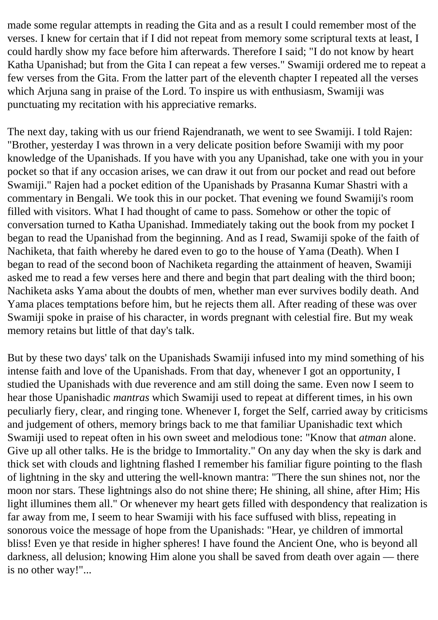made some regular attempts in reading the Gita and as a result I could remember most of the verses. I knew for certain that if I did not repeat from memory some scriptural texts at least, I could hardly show my face before him afterwards. Therefore I said; "I do not know by heart Katha Upanishad; but from the Gita I can repeat a few verses." Swamiji ordered me to repeat a few verses from the Gita. From the latter part of the eleventh chapter I repeated all the verses which Arjuna sang in praise of the Lord. To inspire us with enthusiasm, Swamiji was punctuating my recitation with his appreciative remarks.

The next day, taking with us our friend Rajendranath, we went to see Swamiji. I told Rajen: "Brother, yesterday I was thrown in a very delicate position before Swamiji with my poor knowledge of the Upanishads. If you have with you any Upanishad, take one with you in your pocket so that if any occasion arises, we can draw it out from our pocket and read out before Swamiji." Rajen had a pocket edition of the Upanishads by Prasanna Kumar Shastri with a commentary in Bengali. We took this in our pocket. That evening we found Swamiji's room filled with visitors. What I had thought of came to pass. Somehow or other the topic of conversation turned to Katha Upanishad. Immediately taking out the book from my pocket I began to read the Upanishad from the beginning. And as I read, Swamiji spoke of the faith of Nachiketa, that faith whereby he dared even to go to the house of Yama (Death). When I began to read of the second boon of Nachiketa regarding the attainment of heaven, Swamiji asked me to read a few verses here and there and begin that part dealing with the third boon; Nachiketa asks Yama about the doubts of men, whether man ever survives bodily death. And Yama places temptations before him, but he rejects them all. After reading of these was over Swamiji spoke in praise of his character, in words pregnant with celestial fire. But my weak memory retains but little of that day's talk.

But by these two days' talk on the Upanishads Swamiji infused into my mind something of his intense faith and love of the Upanishads. From that day, whenever I got an opportunity, I studied the Upanishads with due reverence and am still doing the same. Even now I seem to hear those Upanishadic *mantras* which Swamiji used to repeat at different times, in his own peculiarly fiery, clear, and ringing tone. Whenever I, forget the Self, carried away by criticisms and judgement of others, memory brings back to me that familiar Upanishadic text which Swamiji used to repeat often in his own sweet and melodious tone: "Know that *atman* alone. Give up all other talks. He is the bridge to Immortality." On any day when the sky is dark and thick set with clouds and lightning flashed I remember his familiar figure pointing to the flash of lightning in the sky and uttering the well-known mantra: "There the sun shines not, nor the moon nor stars. These lightnings also do not shine there; He shining, all shine, after Him; His light illumines them all." Or whenever my heart gets filled with despondency that realization is far away from me, I seem to hear Swamiji with his face suffused with bliss, repeating in sonorous voice the message of hope from the Upanishads: "Hear, ye children of immortal bliss! Even ye that reside in higher spheres! I have found the Ancient One, who is beyond all darkness, all delusion; knowing Him alone you shall be saved from death over again — there is no other way!"...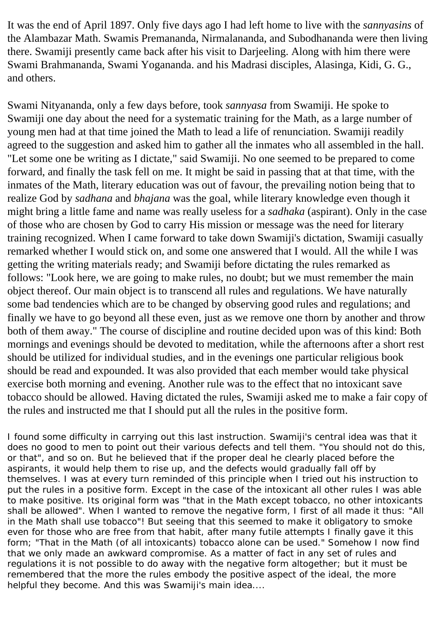It was the end of April 1897. Only five days ago I had left home to live with the *sannyasins* of the Alambazar Math. Swamis Premananda, Nirmalananda, and Subodhananda were then living there. Swamiji presently came back after his visit to Darjeeling. Along with him there were Swami Brahmananda, Swami Yogananda. and his Madrasi disciples, Alasinga, Kidi, G. G., and others.

Swami Nityananda, only a few days before, took *sannyasa* from Swamiji. He spoke to Swamiji one day about the need for a systematic training for the Math, as a large number of young men had at that time joined the Math to lead a life of renunciation. Swamiji readily agreed to the suggestion and asked him to gather all the inmates who all assembled in the hall. "Let some one be writing as I dictate," said Swamiji. No one seemed to be prepared to come forward, and finally the task fell on me. It might be said in passing that at that time, with the inmates of the Math, literary education was out of favour, the prevailing notion being that to realize God by *sadhana* and *bhajana* was the goal, while literary knowledge even though it might bring a little fame and name was really useless for a *sadhaka* (aspirant). Only in the case of those who are chosen by God to carry His mission or message was the need for literary training recognized. When I came forward to take down Swamiji's dictation, Swamiji casually remarked whether I would stick on, and some one answered that I would. All the while I was getting the writing materials ready; and Swamiji before dictating the rules remarked as follows: "Look here, we are going to make rules, no doubt; but we must remember the main object thereof. Our main object is to transcend all rules and regulations. We have naturally some bad tendencies which are to be changed by observing good rules and regulations; and finally we have to go beyond all these even, just as we remove one thorn by another and throw both of them away." The course of discipline and routine decided upon was of this kind: Both mornings and evenings should be devoted to meditation, while the afternoons after a short rest should be utilized for individual studies, and in the evenings one particular religious book should be read and expounded. It was also provided that each member would take physical exercise both morning and evening. Another rule was to the effect that no intoxicant save tobacco should be allowed. Having dictated the rules, Swamiji asked me to make a fair copy of the rules and instructed me that I should put all the rules in the positive form.

I found some difficulty in carrying out this last instruction. Swamiji's central idea was that it does no good to men to point out their various defects and tell them. "You should not do this, or that", and so on. But he believed that if the proper deal he clearly placed before the aspirants, it would help them to rise up, and the defects would gradually fall off by themselves. I was at every turn reminded of this principle when I tried out his instruction to put the rules in a positive form. Except in the case of the intoxicant all other rules I was able to make positive. Its original form was "that in the Math except tobacco, no other intoxicants shall be allowed". When I wanted to remove the negative form, I first of all made it thus: "All in the Math shall use tobacco"! But seeing that this seemed to make it obligatory to smoke even for those who are free from that habit, after many futile attempts I finally gave it this form; "That in the Math (of all intoxicants) tobacco alone can be used." Somehow I now find that we only made an awkward compromise. As a matter of fact in any set of rules and regulations it is not possible to do away with the negative form altogether; but it must be remembered that the more the rules embody the positive aspect of the ideal, the more helpful they become. And this was Swamiji's main idea....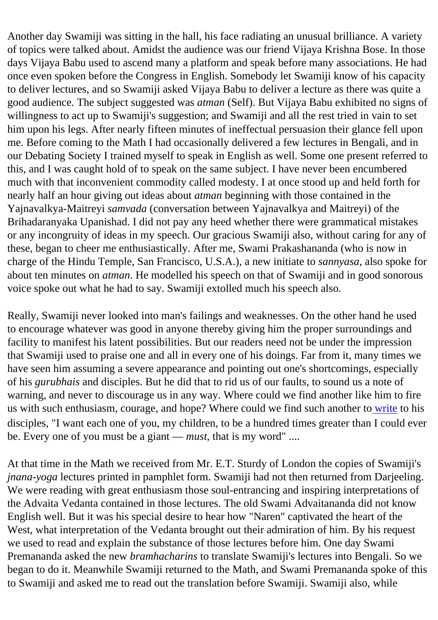Another day Swamiji was sitting in the hall, his face radiating an unusual brilliance. A variety of topics were talked about. Amidst the audience was our friend Vijaya Krishna Bose. In those days Vijaya Babu used to ascend many a platform and speak before many associations. He had once even spoken before the Congress in English. Somebody let Swamiji know of his capacity to deliver lectures, and so Swamiji asked Vijaya Babu to deliver a lecture as there was quite a good audience. The subject suggested was *atman* (Self). But Vijaya Babu exhibited no signs of willingness to act up to Swamiji's suggestion; and Swamiji and all the rest tried in vain to set him upon his legs. After nearly fifteen minutes of ineffectual persuasion their glance fell upon me. Before coming to the Math I had occasionally delivered a few lectures in Bengali, and in our Debating Society I trained myself to speak in English as well. Some one present referred to this, and I was caught hold of to speak on the same subject. I have never been encumbered much with that inconvenient commodity called modesty. I at once stood up and held forth for nearly half an hour giving out ideas about *atman* beginning with those contained in the Yajnavalkya-Maitreyi *samvada* (conversation between Yajnavalkya and Maitreyi) of the Brihadaranyaka Upanishad. I did not pay any heed whether there were grammatical mistakes or any incongruity of ideas in my speech. Our gracious Swamiji also, without caring for any of these, began to cheer me enthusiastically. After me, Swami Prakashananda (who is now in charge of the Hindu Temple, San Francisco, U.S.A.), a new initiate to *sannyasa*, also spoke for about ten minutes on *atman*. He modelled his speech on that of Swamiji and in good sonorous voice spoke out what he had to say. Swamiji extolled much his speech also.

Really, Swamiji never looked into man's failings and weaknesses. On the other hand he used to encourage whatever was good in anyone thereby giving him the proper surroundings and facility to manifest his latent possibilities. But our readers need not be under the impression that Swamiji used to praise one and all in every one of his doings. Far from it, many times we have seen him assuming a severe appearance and pointing out one's shortcomings, especially of his *gurubhais* and disciples. But he did that to rid us of our faults, to sound us a note of warning, and never to discourage us in any way. Where could we find another like him to fire us with such enthusiasm, courage, and hope? Where could we find such another t[o write](http://www.ramakrishnavivekananda.info/vivekananda/volume_7/epistles_thid_sereis/40_shuddhananda.htm) to his disciples, "I want each one of you, my children, to be a hundred times greater than I could ever be. Every one of you must be a giant — *must*, that is my word" ....

At that time in the Math we received from Mr. E.T. Sturdy of London the copies of Swamiji's *jnana-yoga* lectures printed in pamphlet form. Swamiji had not then returned from Darjeeling. We were reading with great enthusiasm those soul-entrancing and inspiring interpretations of the Advaita Vedanta contained in those lectures. The old Swami Advaitananda did not know English well. But it was his special desire to hear how "Naren" captivated the heart of the West, what interpretation of the Vedanta brought out their admiration of him. By his request we used to read and explain the substance of those lectures before him. One day Swami Premananda asked the new *bramhacharins* to translate Swamiji's lectures into Bengali. So we began to do it. Meanwhile Swamiji returned to the Math, and Swami Premananda spoke of this to Swamiji and asked me to read out the translation before Swamiji. Swamiji also, while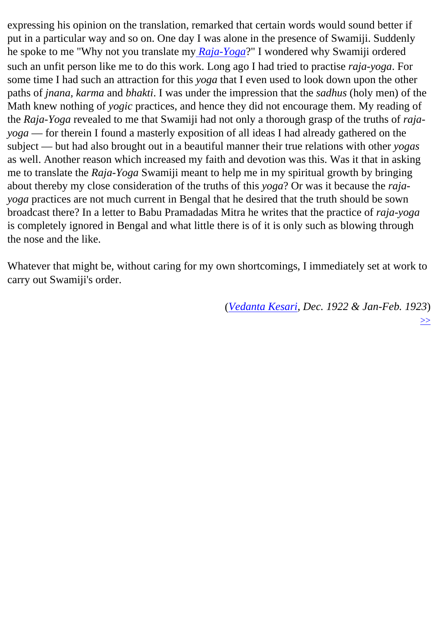expressing his opinion on the translation, remarked that certain words would sound better if put in a particular way and so on. One day I was alone in the presence of Swamiji. Suddenly he spoke to me "Why not you translate my *[Raja-Yoga](http://www.ramakrishnavivekananda.info/vivekananda/volume_1/raja-yoga/preface_frame.htm)*?" I wondered why Swamiji ordered such an unfit person like me to do this work. Long ago I had tried to practise *raja-yoga*. For some time I had such an attraction for this *yoga* that I even used to look down upon the other paths of *jnana, karma* and *bhakti*. I was under the impression that the *sadhus* (holy men) of the Math knew nothing of *yogic* practices, and hence they did not encourage them. My reading of the *Raja-Yoga* revealed to me that Swamiji had not only a thorough grasp of the truths of *rajayoga* — for therein I found a masterly exposition of all ideas I had already gathered on the subject — but had also brought out in a beautiful manner their true relations with other *yogas* as well. Another reason which increased my faith and devotion was this. Was it that in asking me to translate the *Raja-Yoga* Swamiji meant to help me in my spiritual growth by bringing about thereby my close consideration of the truths of this *yoga*? Or was it because the *rajayoga* practices are not much current in Bengal that he desired that the truth should be sown broadcast there? In a letter to Babu Pramadadas Mitra he writes that the practice of *raja-yoga* is completely ignored in Bengal and what little there is of it is only such as blowing through the nose and the like.

Whatever that might be, without caring for my own shortcomings, I immediately set at work to carry out Swamiji's order.

> (*[Vedanta Kesari](http://www.sriramakrishnamath.org/Magazine/magazineenglish.aspx?id=Eng), Dec. 1922 & Jan-Feb. 1923*)  $\geq$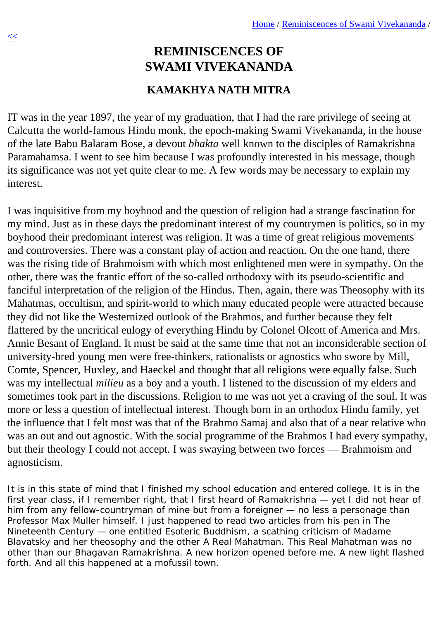## **REMINISCENCES OF SWAMI VIVEKANANDA**

#### **KAMAKHYA NATH MITRA**

<span id="page-225-0"></span>IT was in the year 1897, the year of my graduation, that I had the rare privilege of seeing at Calcutta the world-famous Hindu monk, the epoch-making Swami Vivekananda, in the house of the late Babu Balaram Bose, a devout *bhakta* well known to the disciples of Ramakrishna Paramahamsa. I went to see him because I was profoundly interested in his message, though its significance was not yet quite clear to me. A few words may be necessary to explain my interest.

I was inquisitive from my boyhood and the question of religion had a strange fascination for my mind. Just as in these days the predominant interest of my countrymen is politics, so in my boyhood their predominant interest was religion. It was a time of great religious movements and controversies. There was a constant play of action and reaction. On the one hand, there was the rising tide of Brahmoism with which most enlightened men were in sympathy. On the other, there was the frantic effort of the so-called orthodoxy with its pseudo-scientific and fanciful interpretation of the religion of the Hindus. Then, again, there was Theosophy with its Mahatmas, occultism, and spirit-world to which many educated people were attracted because they did not like the Westernized outlook of the Brahmos, and further because they felt flattered by the uncritical eulogy of everything Hindu by Colonel Olcott of America and Mrs. Annie Besant of England. It must be said at the same time that not an inconsiderable section of university-bred young men were free-thinkers, rationalists or agnostics who swore by Mill, Comte, Spencer, Huxley, and Haeckel and thought that all religions were equally false. Such was my intellectual *milieu* as a boy and a youth. I listened to the discussion of my elders and sometimes took part in the discussions. Religion to me was not yet a craving of the soul. It was more or less a question of intellectual interest. Though born in an orthodox Hindu family, yet the influence that I felt most was that of the Brahmo Samaj and also that of a near relative who was an out and out agnostic. With the social programme of the Brahmos I had every sympathy, but their theology I could not accept. I was swaying between two forces — Brahmoism and agnosticism.

It is in this state of mind that I finished my school education and entered college. It is in the first year class, if I remember right, that I first heard of Ramakrishna — yet I did not hear of him from any fellow-countryman of mine but from a foreigner — no less a personage than Professor Max Muller himself. I just happened to read two articles from his pen in The *Nineteenth Century* — one entitled *Esoteric Buddhism*, a scathing criticism of Madame Blavatsky and her theosophy and the other *A Real Mahatman*. This Real Mahatman was no other than our Bhagavan Ramakrishna. A new horizon opened before me. A new light flashed forth. And all this happened at a *mofussil* town.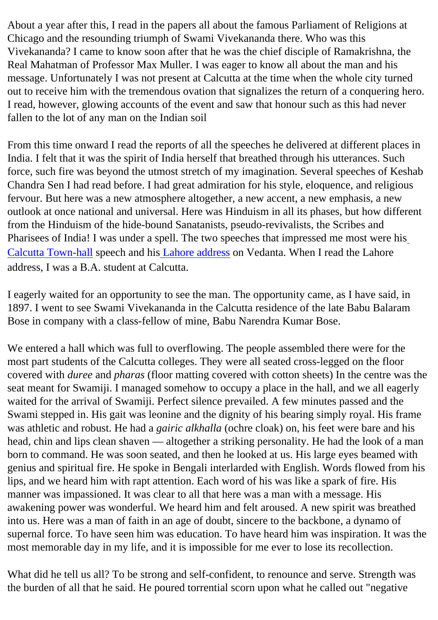About a year after this, I read in the papers all about the famous Parliament of Religions at Chicago and the resounding triumph of Swami Vivekananda there. Who was this Vivekananda? I came to know soon after that he was the chief disciple of Ramakrishna, the Real Mahatman of Professor Max Muller. I was eager to know all about the man and his message. Unfortunately I was not present at Calcutta at the time when the whole city turned out to receive him with the tremendous ovation that signalizes the return of a conquering hero. I read, however, glowing accounts of the event and saw that honour such as this had never fallen to the lot of any man on the Indian soil

From this time onward I read the reports of all the speeches he delivered at different places in India. I felt that it was the spirit of India herself that breathed through his utterances. Such force, such fire was beyond the utmost stretch of my imagination. Several speeches of Keshab Chandra Sen I had read before. I had great admiration for his style, eloquence, and religious fervour. But here was a new atmosphere altogether, a new accent, a new emphasis, a new outlook at once national and universal. Here was Hinduism in all its phases, but how different from the Hinduism of the hide-bound Sanatanists, pseudo-revivalists, the Scribes and Pharisees of India! I was under a spell. The two speeches that impressed me most were his [Calcutta Town-hall](http://www.ramakrishnavivekananda.info/vivekananda/volume_3/lectures_from_colombo_to_almora/address_of_welcome_presented_at_calcutta_and_reply.htm) speech and hi[s Lahore address](http://www.ramakrishnavivekananda.info/vivekananda/volume_3/lectures_from_colombo_to_almora/the_vedanta.htm) on Vedanta. When I read the Lahore address, I was a B.A. student at Calcutta.

I eagerly waited for an opportunity to see the man. The opportunity came, as I have said, in 1897. I went to see Swami Vivekananda in the Calcutta residence of the late Babu Balaram Bose in company with a class-fellow of mine, Babu Narendra Kumar Bose.

We entered a hall which was full to overflowing. The people assembled there were for the most part students of the Calcutta colleges. They were all seated cross-legged on the floor covered with *duree* and *pharas* (floor matting covered with cotton sheets) In the centre was the seat meant for Swamiji. I managed somehow to occupy a place in the hall, and we all eagerly waited for the arrival of Swamiji. Perfect silence prevailed. A few minutes passed and the Swami stepped in. His gait was leonine and the dignity of his bearing simply royal. His frame was athletic and robust. He had a *gairic alkhalla* (ochre cloak) on, his feet were bare and his head, chin and lips clean shaven — altogether a striking personality. He had the look of a man born to command. He was soon seated, and then he looked at us. His large eyes beamed with genius and spiritual fire. He spoke in Bengali interlarded with English. Words flowed from his lips, and we heard him with rapt attention. Each word of his was like a spark of fire. His manner was impassioned. It was clear to all that here was a man with a message. His awakening power was wonderful. We heard him and felt aroused. A new spirit was breathed into us. Here was a man of faith in an age of doubt, sincere to the backbone, a dynamo of supernal force. To have seen him was education. To have heard him was inspiration. It was the most memorable day in my life, and it is impossible for me ever to lose its recollection.

What did he tell us all? To be strong and self-confident, to renounce and serve. Strength was the burden of all that he said. He poured torrential scorn upon what he called out "negative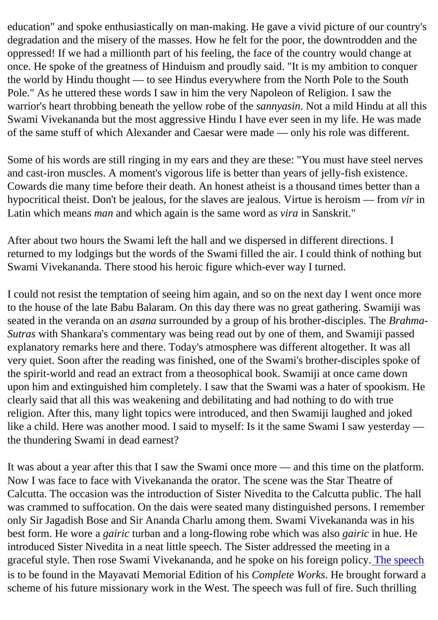education" and spoke enthusiastically on man-making. He gave a vivid picture of our country's degradation and the misery of the masses. How he felt for the poor, the downtrodden and the oppressed! If we had a millionth part of his feeling, the face of the country would change at once. He spoke of the greatness of Hinduism and proudly said. "It is my ambition to conquer the world by Hindu thought — to see Hindus everywhere from the North Pole to the South Pole." As he uttered these words I saw in him the very Napoleon of Religion. I saw the warrior's heart throbbing beneath the yellow robe of the *sannyasin*. Not a mild Hindu at all this Swami Vivekananda but the most aggressive Hindu I have ever seen in my life. He was made of the same stuff of which Alexander and Caesar were made — only his role was different.

Some of his words are still ringing in my ears and they are these: "You must have steel nerves and cast-iron muscles. A moment's vigorous life is better than years of jelly-fish existence. Cowards die many time before their death. An honest atheist is a thousand times better than a hypocritical theist. Don't be jealous, for the slaves are jealous. Virtue is heroism — from *vir* in Latin which means *man* and which again is the same word as *vira* in Sanskrit."

After about two hours the Swami left the hall and we dispersed in different directions. I returned to my lodgings but the words of the Swami filled the air. I could think of nothing but Swami Vivekananda. There stood his heroic figure which-ever way I turned.

I could not resist the temptation of seeing him again, and so on the next day I went once more to the house of the late Babu Balaram. On this day there was no great gathering. Swamiji was seated in the veranda on an *asana* surrounded by a group of his brother-disciples. The *Brahma-Sutras* with Shankara's commentary was being read out by one of them, and Swamiji passed explanatory remarks here and there. Today's atmosphere was different altogether. It was all very quiet. Soon after the reading was finished, one of the Swami's brother-disciples spoke of the spirit-world and read an extract from a theosophical book. Swamiji at once came down upon him and extinguished him completely. I saw that the Swami was a hater of spookism. He clearly said that all this was weakening and debilitating and had nothing to do with true religion. After this, many light topics were introduced, and then Swamiji laughed and joked like a child. Here was another mood. I said to myself: Is it the same Swami I saw yesterday the thundering Swami in dead earnest?

It was about a year after this that I saw the Swami once more — and this time on the platform. Now I was face to face with Vivekananda the orator. The scene was the Star Theatre of Calcutta. The occasion was the introduction of Sister Nivedita to the Calcutta public. The hall was crammed to suffocation. On the dais were seated many distinguished persons. I remember only Sir Jagadish Bose and Sir Ananda Charlu among them. Swami Vivekananda was in his best form. He wore a *gairic* turban and a long-flowing robe which was also *gairic* in hue. He introduced Sister Nivedita in a neat little speech. The Sister addressed the meeting in a graceful style. Then rose Swami Vivekananda, and he spoke on his foreign policy[. The speech](http://www.ramakrishnavivekananda.info/vivekananda/volume_3/lectures_from_colombo_to_almora/address_of_welcome_presented_at_calcutta_and_reply.htm) is to be found in the Mayavati Memorial Edition of his *Complete Works*. He brought forward a scheme of his future missionary work in the West. The speech was full of fire. Such thrilling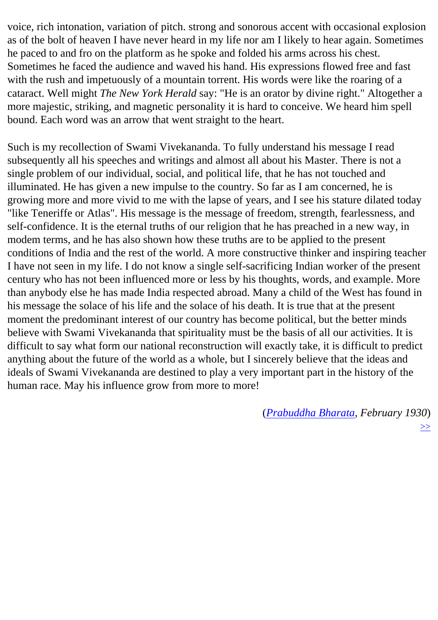voice, rich intonation, variation of pitch. strong and sonorous accent with occasional explosion as of the bolt of heaven I have never heard in my life nor am I likely to hear again. Sometimes he paced to and fro on the platform as he spoke and folded his arms across his chest. Sometimes he faced the audience and waved his hand. His expressions flowed free and fast with the rush and impetuously of a mountain torrent. His words were like the roaring of a cataract. Well might *The New York Herald* say: "He is an orator by divine right." Altogether a more majestic, striking, and magnetic personality it is hard to conceive. We heard him spell bound. Each word was an arrow that went straight to the heart.

Such is my recollection of Swami Vivekananda. To fully understand his message I read subsequently all his speeches and writings and almost all about his Master. There is not a single problem of our individual, social, and political life, that he has not touched and illuminated. He has given a new impulse to the country. So far as I am concerned, he is growing more and more vivid to me with the lapse of years, and I see his stature dilated today "like Teneriffe or Atlas". His message is the message of freedom, strength, fearlessness, and self-confidence. It is the eternal truths of our religion that he has preached in a new way, in modem terms, and he has also shown how these truths are to be applied to the present conditions of India and the rest of the world. A more constructive thinker and inspiring teacher I have not seen in my life. I do not know a single self-sacrificing Indian worker of the present century who has not been influenced more or less by his thoughts, words, and example. More than anybody else he has made India respected abroad. Many a child of the West has found in his message the solace of his life and the solace of his death. It is true that at the present moment the predominant interest of our country has become political, but the better minds believe with Swami Vivekananda that spirituality must be the basis of all our activities. It is difficult to say what form our national reconstruction will exactly take, it is difficult to predict anything about the future of the world as a whole, but I sincerely believe that the ideas and ideals of Swami Vivekananda are destined to play a very important part in the history of the human race. May his influence grow from more to more!

> (*[Prabuddha Bharata](http://www.advaitaashrama.org/prabuddha_bharata.html), February 1930*)  $\geq$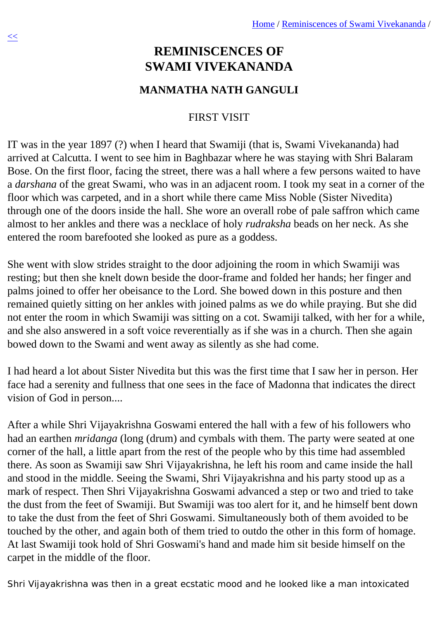# **REMINISCENCES OF SWAMI VIVEKANANDA**

### **MANMATHA NATH GANGULI**

### FIRST VISIT

<span id="page-229-0"></span>IT was in the year 1897 (?) when I heard that Swamiji (that is, Swami Vivekananda) had arrived at Calcutta. I went to see him in Baghbazar where he was staying with Shri Balaram Bose. On the first floor, facing the street, there was a hall where a few persons waited to have a *darshana* of the great Swami, who was in an adjacent room. I took my seat in a corner of the floor which was carpeted, and in a short while there came Miss Noble (Sister Nivedita) through one of the doors inside the hall. She wore an overall robe of pale saffron which came almost to her ankles and there was a necklace of holy *rudraksha* beads on her neck. As she entered the room barefooted she looked as pure as a goddess.

She went with slow strides straight to the door adjoining the room in which Swamiji was resting; but then she knelt down beside the door-frame and folded her hands; her finger and palms joined to offer her obeisance to the Lord. She bowed down in this posture and then remained quietly sitting on her ankles with joined palms as we do while praying. But she did not enter the room in which Swamiji was sitting on a cot. Swamiji talked, with her for a while, and she also answered in a soft voice reverentially as if she was in a church. Then she again bowed down to the Swami and went away as silently as she had come.

I had heard a lot about Sister Nivedita but this was the first time that I saw her in person. Her face had a serenity and fullness that one sees in the face of Madonna that indicates the direct vision of God in person....

After a while Shri Vijayakrishna Goswami entered the hall with a few of his followers who had an earthen *mridanga* (long (drum) and cymbals with them. The party were seated at one corner of the hall, a little apart from the rest of the people who by this time had assembled there. As soon as Swamiji saw Shri Vijayakrishna, he left his room and came inside the hall and stood in the middle. Seeing the Swami, Shri Vijayakrishna and his party stood up as a mark of respect. Then Shri Vijayakrishna Goswami advanced a step or two and tried to take the dust from the feet of Swamiji. But Swamiji was too alert for it, and he himself bent down to take the dust from the feet of Shri Goswami. Simultaneously both of them avoided to be touched by the other, and again both of them tried to outdo the other in this form of homage. At last Swamiji took hold of Shri Goswami's hand and made him sit beside himself on the carpet in the middle of the floor.

Shri Vijayakrishna was then in a great ecstatic mood and he looked like a man intoxicated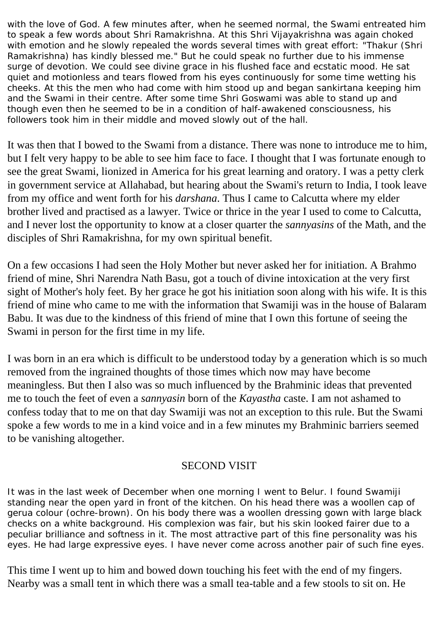with the love of God. A few minutes after, when he seemed normal, the Swami entreated him to speak a few words about Shri Ramakrishna. At this Shri Vijayakrishna was again choked with emotion and he slowly repealed the words several times with great effort: "Thakur (Shri Ramakrishna) has kindly blessed me." But he could speak no further due to his immense surge of devotion. We could see divine grace in his flushed face and ecstatic mood. He sat quiet and motionless and tears flowed from his eyes continuously for some time wetting his cheeks. At this the men who had come with him stood up and began *sankirtana* keeping him and the Swami in their centre. After some time Shri Goswami was able to stand up and though even then he seemed to be in a condition of half-awakened consciousness, his followers took him in their middle and moved slowly out of the hall.

It was then that I bowed to the Swami from a distance. There was none to introduce me to him, but I felt very happy to be able to see him face to face. I thought that I was fortunate enough to see the great Swami, lionized in America for his great learning and oratory. I was a petty clerk in government service at Allahabad, but hearing about the Swami's return to India, I took leave from my office and went forth for his *darshana*. Thus I came to Calcutta where my elder brother lived and practised as a lawyer. Twice or thrice in the year I used to come to Calcutta, and I never lost the opportunity to know at a closer quarter the *sannyasins* of the Math, and the disciples of Shri Ramakrishna, for my own spiritual benefit.

On a few occasions I had seen the Holy Mother but never asked her for initiation. A Brahmo friend of mine, Shri Narendra Nath Basu, got a touch of divine intoxication at the very first sight of Mother's holy feet. By her grace he got his initiation soon along with his wife. It is this friend of mine who came to me with the information that Swamiji was in the house of Balaram Babu. It was due to the kindness of this friend of mine that I own this fortune of seeing the Swami in person for the first time in my life.

I was born in an era which is difficult to be understood today by a generation which is so much removed from the ingrained thoughts of those times which now may have become meaningless. But then I also was so much influenced by the Brahminic ideas that prevented me to touch the feet of even a *sannyasin* born of the *Kayastha* caste. I am not ashamed to confess today that to me on that day Swamiji was not an exception to this rule. But the Swami spoke a few words to me in a kind voice and in a few minutes my Brahminic barriers seemed to be vanishing altogether.

#### SECOND VISIT

It was in the last week of December when one morning I went to Belur. I found Swamiji standing near the open yard in front of the kitchen. On his head there was a woollen cap of *gerua* colour (ochre-brown). On his body there was a woollen dressing gown with large black checks on a white background. His complexion was fair, but his skin looked fairer due to a peculiar brilliance and softness in it. The most attractive part of this fine personality was his eyes. He had large expressive eyes. I have never come across another pair of such fine eyes.

This time I went up to him and bowed down touching his feet with the end of my fingers. Nearby was a small tent in which there was a small tea-table and a few stools to sit on. He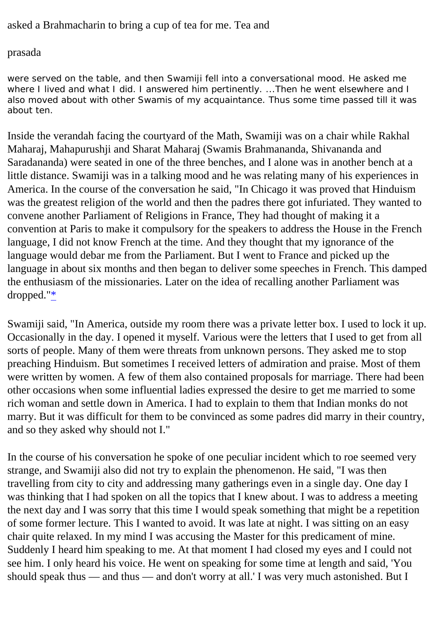## asked a Brahmacharin to bring a cup of tea for me. Tea and

#### prasada

were served on the table, and then Swamiji fell into a conversational mood. He asked me where I lived and what I did. I answered him pertinently. ...Then he went elsewhere and I also moved about with other Swamis of my acquaintance. Thus some time passed till it was about ten.

Inside the verandah facing the courtyard of the Math, Swamiji was on a chair while Rakhal Maharaj, Mahapurushji and Sharat Maharaj (Swamis Brahmananda, Shivananda and Saradananda) were seated in one of the three benches, and I alone was in another bench at a little distance. Swamiji was in a talking mood and he was relating many of his experiences in America. In the course of the conversation he said, "In Chicago it was proved that Hinduism was the greatest religion of the world and then the padres there got infuriated. They wanted to convene another Parliament of Religions in France, They had thought of making it a convention at Paris to make it compulsory for the speakers to address the House in the French language, I did not know French at the time. And they thought that my ignorance of the language would debar me from the Parliament. But I went to France and picked up the language in about six months and then began to deliver some speeches in French. This damped the enthusiasm of the missionaries. Later on the idea of recalling another Parliament was dropped.["\\*](#page-229-0)

Swamiji said, "In America, outside my room there was a private letter box. I used to lock it up. Occasionally in the day. I opened it myself. Various were the letters that I used to get from all sorts of people. Many of them were threats from unknown persons. They asked me to stop preaching Hinduism. But sometimes I received letters of admiration and praise. Most of them were written by women. A few of them also contained proposals for marriage. There had been other occasions when some influential ladies expressed the desire to get me married to some rich woman and settle down in America. I had to explain to them that Indian monks do not marry. But it was difficult for them to be convinced as some padres did marry in their country, and so they asked why should not I."

In the course of his conversation he spoke of one peculiar incident which to roe seemed very strange, and Swamiji also did not try to explain the phenomenon. He said, "I was then travelling from city to city and addressing many gatherings even in a single day. One day I was thinking that I had spoken on all the topics that I knew about. I was to address a meeting the next day and I was sorry that this time I would speak something that might be a repetition of some former lecture. This I wanted to avoid. It was late at night. I was sitting on an easy chair quite relaxed. In my mind I was accusing the Master for this predicament of mine. Suddenly I heard him speaking to me. At that moment I had closed my eyes and I could not see him. I only heard his voice. He went on speaking for some time at length and said, 'You should speak thus — and thus — and don't worry at all.' I was very much astonished. But I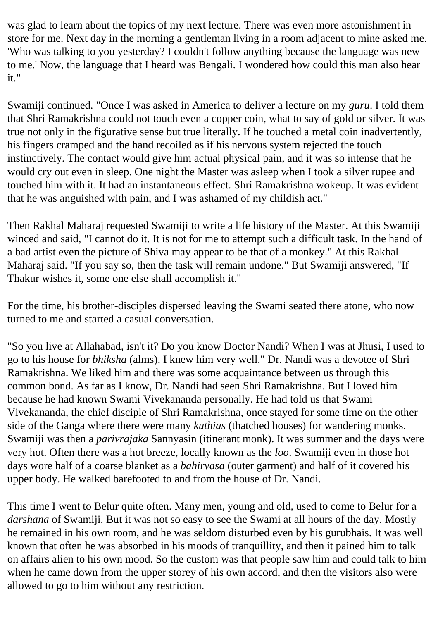was glad to learn about the topics of my next lecture. There was even more astonishment in store for me. Next day in the morning a gentleman living in a room adjacent to mine asked me. 'Who was talking to you yesterday? I couldn't follow anything because the language was new to me.' Now, the language that I heard was Bengali. I wondered how could this man also hear it."

Swamiji continued. "Once I was asked in America to deliver a lecture on my *guru*. I told them that Shri Ramakrishna could not touch even a copper coin, what to say of gold or silver. It was true not only in the figurative sense but true literally. If he touched a metal coin inadvertently, his fingers cramped and the hand recoiled as if his nervous system rejected the touch instinctively. The contact would give him actual physical pain, and it was so intense that he would cry out even in sleep. One night the Master was asleep when I took a silver rupee and touched him with it. It had an instantaneous effect. Shri Ramakrishna wokeup. It was evident that he was anguished with pain, and I was ashamed of my childish act."

Then Rakhal Maharaj requested Swamiji to write a life history of the Master. At this Swamiji winced and said, "I cannot do it. It is not for me to attempt such a difficult task. In the hand of a bad artist even the picture of Shiva may appear to be that of a monkey." At this Rakhal Maharaj said. "If you say so, then the task will remain undone." But Swamiji answered, "If Thakur wishes it, some one else shall accomplish it."

For the time, his brother-disciples dispersed leaving the Swami seated there atone, who now turned to me and started a casual conversation.

"So you live at Allahabad, isn't it? Do you know Doctor Nandi? When I was at Jhusi, I used to go to his house for *bhiksha* (alms). I knew him very well." Dr. Nandi was a devotee of Shri Ramakrishna. We liked him and there was some acquaintance between us through this common bond. As far as I know, Dr. Nandi had seen Shri Ramakrishna. But I loved him because he had known Swami Vivekananda personally. He had told us that Swami Vivekananda, the chief disciple of Shri Ramakrishna, once stayed for some time on the other side of the Ganga where there were many *kuthias* (thatched houses) for wandering monks. Swamiji was then a *parivrajaka* Sannyasin (itinerant monk). It was summer and the days were very hot. Often there was a hot breeze, locally known as the *loo*. Swamiji even in those hot days wore half of a coarse blanket as a *bahirvasa* (outer garment) and half of it covered his upper body. He walked barefooted to and from the house of Dr. Nandi.

This time I went to Belur quite often. Many men, young and old, used to come to Belur for a *darshana* of Swamiji. But it was not so easy to see the Swami at all hours of the day. Mostly he remained in his own room, and he was seldom disturbed even by his gurubhais. It was well known that often he was absorbed in his moods of tranquillity, and then it pained him to talk on affairs alien to his own mood. So the custom was that people saw him and could talk to him when he came down from the upper storey of his own accord, and then the visitors also were allowed to go to him without any restriction.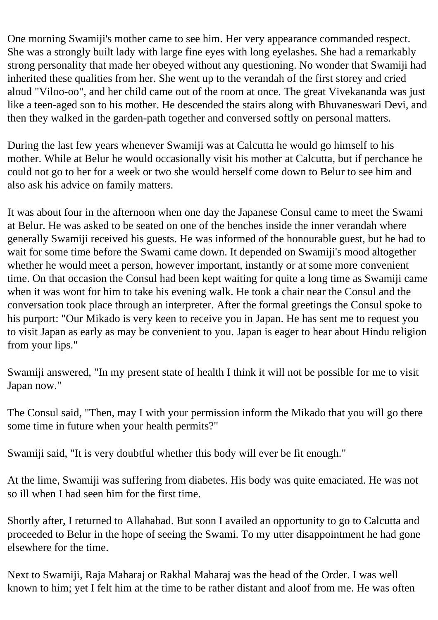One morning Swamiji's mother came to see him. Her very appearance commanded respect. She was a strongly built lady with large fine eyes with long eyelashes. She had a remarkably strong personality that made her obeyed without any questioning. No wonder that Swamiji had inherited these qualities from her. She went up to the verandah of the first storey and cried aloud "Viloo-oo", and her child came out of the room at once. The great Vivekananda was just like a teen-aged son to his mother. He descended the stairs along with Bhuvaneswari Devi, and then they walked in the garden-path together and conversed softly on personal matters.

During the last few years whenever Swamiji was at Calcutta he would go himself to his mother. While at Belur he would occasionally visit his mother at Calcutta, but if perchance he could not go to her for a week or two she would herself come down to Belur to see him and also ask his advice on family matters.

It was about four in the afternoon when one day the Japanese Consul came to meet the Swami at Belur. He was asked to be seated on one of the benches inside the inner verandah where generally Swamiji received his guests. He was informed of the honourable guest, but he had to wait for some time before the Swami came down. It depended on Swamiji's mood altogether whether he would meet a person, however important, instantly or at some more convenient time. On that occasion the Consul had been kept waiting for quite a long time as Swamiji came when it was wont for him to take his evening walk. He took a chair near the Consul and the conversation took place through an interpreter. After the formal greetings the Consul spoke to his purport: "Our Mikado is very keen to receive you in Japan. He has sent me to request you to visit Japan as early as may be convenient to you. Japan is eager to hear about Hindu religion from your lips."

Swamiji answered, "In my present state of health I think it will not be possible for me to visit Japan now."

The Consul said, "Then, may I with your permission inform the Mikado that you will go there some time in future when your health permits?"

Swamiji said, "It is very doubtful whether this body will ever be fit enough."

At the lime, Swamiji was suffering from diabetes. His body was quite emaciated. He was not so ill when I had seen him for the first time.

Shortly after, I returned to Allahabad. But soon I availed an opportunity to go to Calcutta and proceeded to Belur in the hope of seeing the Swami. To my utter disappointment he had gone elsewhere for the time.

Next to Swamiji, Raja Maharaj or Rakhal Maharaj was the head of the Order. I was well known to him; yet I felt him at the time to be rather distant and aloof from me. He was often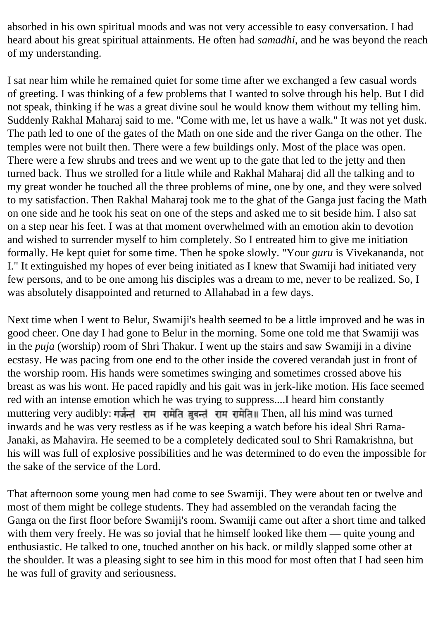absorbed in his own spiritual moods and was not very accessible to easy conversation. I had heard about his great spiritual attainments. He often had *samadhi*, and he was beyond the reach of my understanding.

I sat near him while he remained quiet for some time after we exchanged a few casual words of greeting. I was thinking of a few problems that I wanted to solve through his help. But I did not speak, thinking if he was a great divine soul he would know them without my telling him. Suddenly Rakhal Maharaj said to me. "Come with me, let us have a walk." It was not yet dusk. The path led to one of the gates of the Math on one side and the river Ganga on the other. The temples were not built then. There were a few buildings only. Most of the place was open. There were a few shrubs and trees and we went up to the gate that led to the jetty and then turned back. Thus we strolled for a little while and Rakhal Maharaj did all the talking and to my great wonder he touched all the three problems of mine, one by one, and they were solved to my satisfaction. Then Rakhal Maharaj took me to the ghat of the Ganga just facing the Math on one side and he took his seat on one of the steps and asked me to sit beside him. I also sat on a step near his feet. I was at that moment overwhelmed with an emotion akin to devotion and wished to surrender myself to him completely. So I entreated him to give me initiation formally. He kept quiet for some time. Then he spoke slowly. "Your *guru* is Vivekananda, not I." It extinguished my hopes of ever being initiated as I knew that Swamiji had initiated very few persons, and to be one among his disciples was a dream to me, never to be realized. So, I was absolutely disappointed and returned to Allahabad in a few days.

Next time when I went to Belur, Swamiji's health seemed to be a little improved and he was in good cheer. One day I had gone to Belur in the morning. Some one told me that Swamiji was in the *puja* (worship) room of Shri Thakur. I went up the stairs and saw Swamiji in a divine ecstasy. He was pacing from one end to the other inside the covered verandah just in front of the worship room. His hands were sometimes swinging and sometimes crossed above his breast as was his wont. He paced rapidly and his gait was in jerk-like motion. His face seemed red with an intense emotion which he was trying to suppress....I heard him constantly muttering very audibly: गर्जन्त राम रामेति बुबन्त राम रामेति॥ Then, all his mind was turned inwards and he was very restless as if he was keeping a watch before his ideal Shri Rama-Janaki, as Mahavira. He seemed to be a completely dedicated soul to Shri Ramakrishna, but his will was full of explosive possibilities and he was determined to do even the impossible for the sake of the service of the Lord.

That afternoon some young men had come to see Swamiji. They were about ten or twelve and most of them might be college students. They had assembled on the verandah facing the Ganga on the first floor before Swamiji's room. Swamiji came out after a short time and talked with them very freely. He was so jovial that he himself looked like them — quite young and enthusiastic. He talked to one, touched another on his back. or mildly slapped some other at the shoulder. It was a pleasing sight to see him in this mood for most often that I had seen him he was full of gravity and seriousness.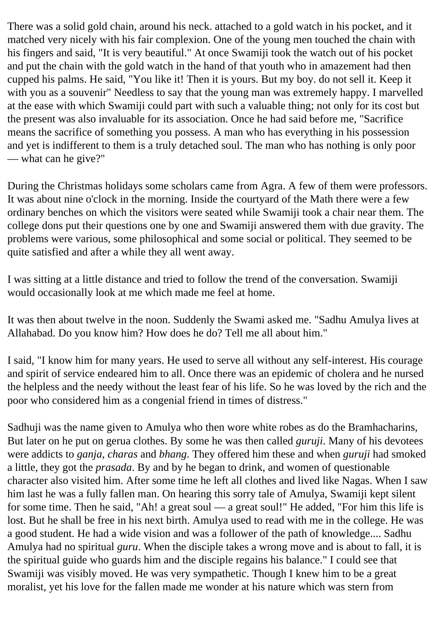There was a solid gold chain, around his neck. attached to a gold watch in his pocket, and it matched very nicely with his fair complexion. One of the young men touched the chain with his fingers and said, "It is very beautiful." At once Swamiji took the watch out of his pocket and put the chain with the gold watch in the hand of that youth who in amazement had then cupped his palms. He said, "You like it! Then it is yours. But my boy. do not sell it. Keep it with you as a souvenir" Needless to say that the young man was extremely happy. I marvelled at the ease with which Swamiji could part with such a valuable thing; not only for its cost but the present was also invaluable for its association. Once he had said before me, "Sacrifice means the sacrifice of something you possess. A man who has everything in his possession and yet is indifferent to them is a truly detached soul. The man who has nothing is only poor — what can he give?"

During the Christmas holidays some scholars came from Agra. A few of them were professors. It was about nine o'clock in the morning. Inside the courtyard of the Math there were a few ordinary benches on which the visitors were seated while Swamiji took a chair near them. The college dons put their questions one by one and Swamiji answered them with due gravity. The problems were various, some philosophical and some social or political. They seemed to be quite satisfied and after a while they all went away.

I was sitting at a little distance and tried to follow the trend of the conversation. Swamiji would occasionally look at me which made me feel at home.

It was then about twelve in the noon. Suddenly the Swami asked me. "Sadhu Amulya lives at Allahabad. Do you know him? How does he do? Tell me all about him."

I said, "I know him for many years. He used to serve all without any self-interest. His courage and spirit of service endeared him to all. Once there was an epidemic of cholera and he nursed the helpless and the needy without the least fear of his life. So he was loved by the rich and the poor who considered him as a congenial friend in times of distress."

Sadhuji was the name given to Amulya who then wore white robes as do the Bramhacharins, But later on he put on gerua clothes. By some he was then called *guruji*. Many of his devotees were addicts to *ganja, charas* and *bhang*. They offered him these and when *guruji* had smoked a little, they got the *prasada*. By and by he began to drink, and women of questionable character also visited him. After some time he left all clothes and lived like Nagas. When I saw him last he was a fully fallen man. On hearing this sorry tale of Amulya, Swamiji kept silent for some time. Then he said, "Ah! a great soul — a great soul!" He added, "For him this life is lost. But he shall be free in his next birth. Amulya used to read with me in the college. He was a good student. He had a wide vision and was a follower of the path of knowledge.... Sadhu Amulya had no spiritual *guru*. When the disciple takes a wrong move and is about to fall, it is the spiritual guide who guards him and the disciple regains his balance." I could see that Swamiji was visibly moved. He was very sympathetic. Though I knew him to be a great moralist, yet his love for the fallen made me wonder at his nature which was stern from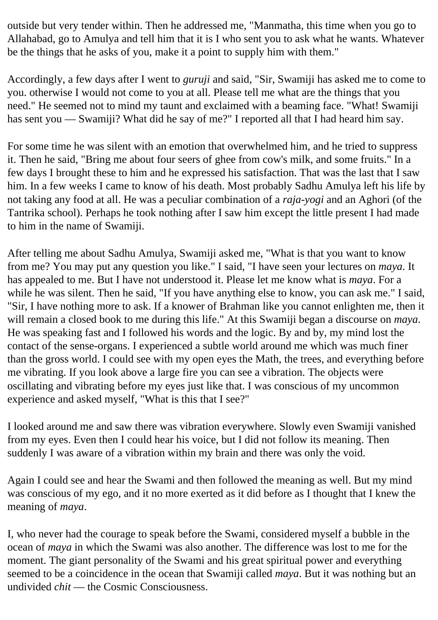outside but very tender within. Then he addressed me, "Manmatha, this time when you go to Allahabad, go to Amulya and tell him that it is I who sent you to ask what he wants. Whatever be the things that he asks of you, make it a point to supply him with them."

Accordingly, a few days after I went to *guruji* and said, "Sir, Swamiji has asked me to come to you. otherwise I would not come to you at all. Please tell me what are the things that you need." He seemed not to mind my taunt and exclaimed with a beaming face. "What! Swamiji has sent you — Swamiji? What did he say of me?" I reported all that I had heard him say.

For some time he was silent with an emotion that overwhelmed him, and he tried to suppress it. Then he said, "Bring me about four seers of ghee from cow's milk, and some fruits." In a few days I brought these to him and he expressed his satisfaction. That was the last that I saw him. In a few weeks I came to know of his death. Most probably Sadhu Amulya left his life by not taking any food at all. He was a peculiar combination of a *raja-yogi* and an Aghori (of the Tantrika school). Perhaps he took nothing after I saw him except the little present I had made to him in the name of Swamiji.

After telling me about Sadhu Amulya, Swamiji asked me, "What is that you want to know from me? You may put any question you like." I said, "I have seen your lectures on *maya*. It has appealed to me. But I have not understood it. Please let me know what is *maya*. For a while he was silent. Then he said, "If you have anything else to know, you can ask me." I said, "Sir, I have nothing more to ask. If a knower of Brahman like you cannot enlighten me, then it will remain a closed book to me during this life." At this Swamiji began a discourse on *maya*. He was speaking fast and I followed his words and the logic. By and by, my mind lost the contact of the sense-organs. I experienced a subtle world around me which was much finer than the gross world. I could see with my open eyes the Math, the trees, and everything before me vibrating. If you look above a large fire you can see a vibration. The objects were oscillating and vibrating before my eyes just like that. I was conscious of my uncommon experience and asked myself, "What is this that I see?"

I looked around me and saw there was vibration everywhere. Slowly even Swamiji vanished from my eyes. Even then I could hear his voice, but I did not follow its meaning. Then suddenly I was aware of a vibration within my brain and there was only the void.

Again I could see and hear the Swami and then followed the meaning as well. But my mind was conscious of my ego, and it no more exerted as it did before as I thought that I knew the meaning of *maya*.

I, who never had the courage to speak before the Swami, considered myself a bubble in the ocean of *maya* in which the Swami was also another. The difference was lost to me for the moment. The giant personality of the Swami and his great spiritual power and everything seemed to be a coincidence in the ocean that Swamiji called *maya*. But it was nothing but an undivided *chit* — the Cosmic Consciousness.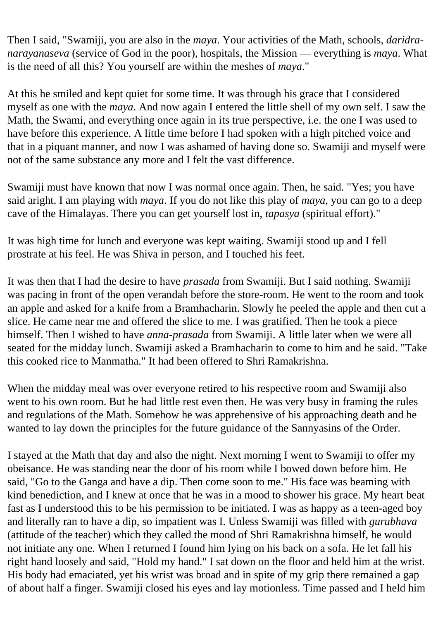Then I said, "Swamiji, you are also in the *maya*. Your activities of the Math, schools, *daridranarayanaseva* (service of God in the poor), hospitals, the Mission — everything is *maya*. What is the need of all this? You yourself are within the meshes of *maya*."

At this he smiled and kept quiet for some time. It was through his grace that I considered myself as one with the *maya*. And now again I entered the little shell of my own self. I saw the Math, the Swami, and everything once again in its true perspective, i.e. the one I was used to have before this experience. A little time before I had spoken with a high pitched voice and that in a piquant manner, and now I was ashamed of having done so. Swamiji and myself were not of the same substance any more and I felt the vast difference.

Swamiji must have known that now I was normal once again. Then, he said. "Yes; you have said aright. I am playing with *maya*. If you do not like this play of *maya*, you can go to a deep cave of the Himalayas. There you can get yourself lost in, *tapasya* (spiritual effort)."

It was high time for lunch and everyone was kept waiting. Swamiji stood up and I fell prostrate at his feel. He was Shiva in person, and I touched his feet.

It was then that I had the desire to have *prasada* from Swamiji. But I said nothing. Swamiji was pacing in front of the open verandah before the store-room. He went to the room and took an apple and asked for a knife from a Bramhacharin. Slowly he peeled the apple and then cut a slice. He came near me and offered the slice to me. I was gratified. Then he took a piece himself. Then I wished to have *anna-prasada* from Swamiji. A little later when we were all seated for the midday lunch. Swamiji asked a Bramhacharin to come to him and he said. "Take this cooked rice to Manmatha." It had been offered to Shri Ramakrishna.

When the midday meal was over everyone retired to his respective room and Swamiji also went to his own room. But he had little rest even then. He was very busy in framing the rules and regulations of the Math. Somehow he was apprehensive of his approaching death and he wanted to lay down the principles for the future guidance of the Sannyasins of the Order.

I stayed at the Math that day and also the night. Next morning I went to Swamiji to offer my obeisance. He was standing near the door of his room while I bowed down before him. He said, "Go to the Ganga and have a dip. Then come soon to me." His face was beaming with kind benediction, and I knew at once that he was in a mood to shower his grace. My heart beat fast as I understood this to be his permission to be initiated. I was as happy as a teen-aged boy and literally ran to have a dip, so impatient was I. Unless Swamiji was filled with *gurubhava* (attitude of the teacher) which they called the mood of Shri Ramakrishna himself, he would not initiate any one. When I returned I found him lying on his back on a sofa. He let fall his right hand loosely and said, "Hold my hand." I sat down on the floor and held him at the wrist. His body had emaciated, yet his wrist was broad and in spite of my grip there remained a gap of about half a finger. Swamiji closed his eyes and lay motionless. Time passed and I held him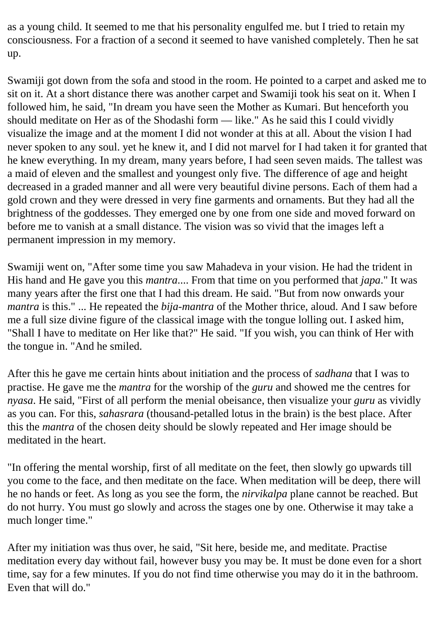as a young child. It seemed to me that his personality engulfed me. but I tried to retain my consciousness. For a fraction of a second it seemed to have vanished completely. Then he sat up.

Swamiji got down from the sofa and stood in the room. He pointed to a carpet and asked me to sit on it. At a short distance there was another carpet and Swamiji took his seat on it. When I followed him, he said, "In dream you have seen the Mother as Kumari. But henceforth you should meditate on Her as of the Shodashi form — like." As he said this I could vividly visualize the image and at the moment I did not wonder at this at all. About the vision I had never spoken to any soul. yet he knew it, and I did not marvel for I had taken it for granted that he knew everything. In my dream, many years before, I had seen seven maids. The tallest was a maid of eleven and the smallest and youngest only five. The difference of age and height decreased in a graded manner and all were very beautiful divine persons. Each of them had a gold crown and they were dressed in very fine garments and ornaments. But they had all the brightness of the goddesses. They emerged one by one from one side and moved forward on before me to vanish at a small distance. The vision was so vivid that the images left a permanent impression in my memory.

Swamiji went on, "After some time you saw Mahadeva in your vision. He had the trident in His hand and He gave you this *mantra*.... From that time on you performed that *japa*." It was many years after the first one that I had this dream. He said. "But from now onwards your *mantra* is this." ... He repeated the *bija-mantra* of the Mother thrice, aloud. And I saw before me a full size divine figure of the classical image with the tongue lolling out. I asked him, "Shall I have to meditate on Her like that?" He said. "If you wish, you can think of Her with the tongue in. "And he smiled.

After this he gave me certain hints about initiation and the process of *sadhana* that I was to practise. He gave me the *mantra* for the worship of the *guru* and showed me the centres for *nyasa*. He said, "First of all perform the menial obeisance, then visualize your *guru* as vividly as you can. For this, *sahasrara* (thousand-petalled lotus in the brain) is the best place. After this the *mantra* of the chosen deity should be slowly repeated and Her image should be meditated in the heart.

"In offering the mental worship, first of all meditate on the feet, then slowly go upwards till you come to the face, and then meditate on the face. When meditation will be deep, there will he no hands or feet. As long as you see the form, the *nirvikalpa* plane cannot be reached. But do not hurry. You must go slowly and across the stages one by one. Otherwise it may take a much longer time."

After my initiation was thus over, he said, "Sit here, beside me, and meditate. Practise meditation every day without fail, however busy you may be. It must be done even for a short time, say for a few minutes. If you do not find time otherwise you may do it in the bathroom. Even that will do."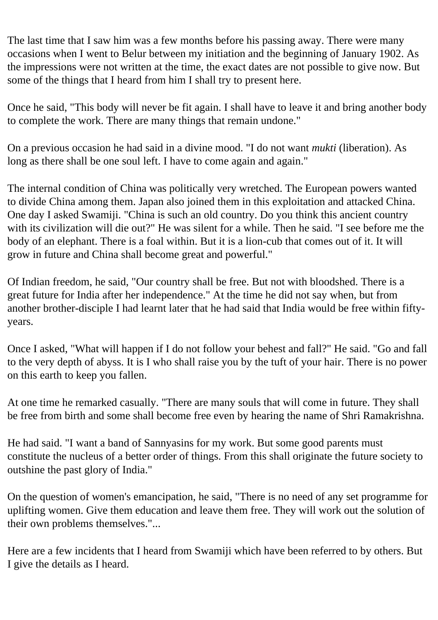The last time that I saw him was a few months before his passing away. There were many occasions when I went to Belur between my initiation and the beginning of January 1902. As the impressions were not written at the time, the exact dates are not possible to give now. But some of the things that I heard from him I shall try to present here.

Once he said, "This body will never be fit again. I shall have to leave it and bring another body to complete the work. There are many things that remain undone."

On a previous occasion he had said in a divine mood. "I do not want *mukti* (liberation). As long as there shall be one soul left. I have to come again and again."

The internal condition of China was politically very wretched. The European powers wanted to divide China among them. Japan also joined them in this exploitation and attacked China. One day I asked Swamiji. "China is such an old country. Do you think this ancient country with its civilization will die out?" He was silent for a while. Then he said. "I see before me the body of an elephant. There is a foal within. But it is a lion-cub that comes out of it. It will grow in future and China shall become great and powerful."

Of Indian freedom, he said, "Our country shall be free. But not with bloodshed. There is a great future for India after her independence." At the time he did not say when, but from another brother-disciple I had learnt later that he had said that India would be free within fiftyyears.

Once I asked, "What will happen if I do not follow your behest and fall?" He said. "Go and fall to the very depth of abyss. It is I who shall raise you by the tuft of your hair. There is no power on this earth to keep you fallen.

At one time he remarked casually. "There are many souls that will come in future. They shall be free from birth and some shall become free even by hearing the name of Shri Ramakrishna.

He had said. "I want a band of Sannyasins for my work. But some good parents must constitute the nucleus of a better order of things. From this shall originate the future society to outshine the past glory of India."

On the question of women's emancipation, he said, "There is no need of any set programme for uplifting women. Give them education and leave them free. They will work out the solution of their own problems themselves."...

Here are a few incidents that I heard from Swamiji which have been referred to by others. But I give the details as I heard.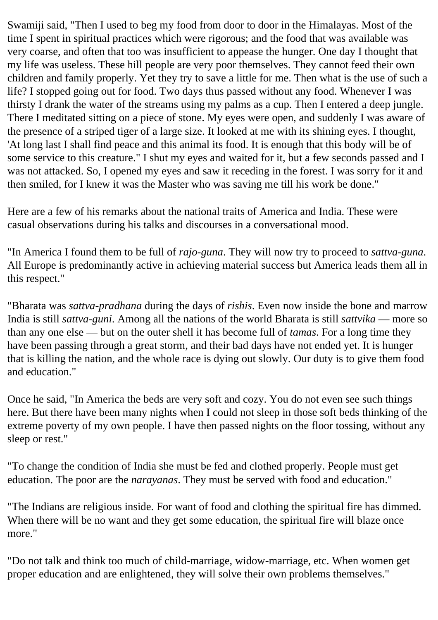Swamiji said, "Then I used to beg my food from door to door in the Himalayas. Most of the time I spent in spiritual practices which were rigorous; and the food that was available was very coarse, and often that too was insufficient to appease the hunger. One day I thought that my life was useless. These hill people are very poor themselves. They cannot feed their own children and family properly. Yet they try to save a little for me. Then what is the use of such a life? I stopped going out for food. Two days thus passed without any food. Whenever I was thirsty I drank the water of the streams using my palms as a cup. Then I entered a deep jungle. There I meditated sitting on a piece of stone. My eyes were open, and suddenly I was aware of the presence of a striped tiger of a large size. It looked at me with its shining eyes. I thought, 'At long last I shall find peace and this animal its food. It is enough that this body will be of some service to this creature." I shut my eyes and waited for it, but a few seconds passed and I was not attacked. So, I opened my eyes and saw it receding in the forest. I was sorry for it and then smiled, for I knew it was the Master who was saving me till his work be done."

Here are a few of his remarks about the national traits of America and India. These were casual observations during his talks and discourses in a conversational mood.

"In America I found them to be full of *rajo-guna*. They will now try to proceed to *sattva-guna*. All Europe is predominantly active in achieving material success but America leads them all in this respect."

"Bharata was *sattva-pradhana* during the days of *rishis*. Even now inside the bone and marrow India is still *sattva-guni*. Among all the nations of the world Bharata is still *sattvika* — more so than any one else — but on the outer shell it has become full of *tamas*. For a long time they have been passing through a great storm, and their bad days have not ended yet. It is hunger that is killing the nation, and the whole race is dying out slowly. Our duty is to give them food and education."

Once he said, "In America the beds are very soft and cozy. You do not even see such things here. But there have been many nights when I could not sleep in those soft beds thinking of the extreme poverty of my own people. I have then passed nights on the floor tossing, without any sleep or rest."

"To change the condition of India she must be fed and clothed properly. People must get education. The poor are the *narayanas*. They must be served with food and education."

"The Indians are religious inside. For want of food and clothing the spiritual fire has dimmed. When there will be no want and they get some education, the spiritual fire will blaze once more."

"Do not talk and think too much of child-marriage, widow-marriage, etc. When women get proper education and are enlightened, they will solve their own problems themselves."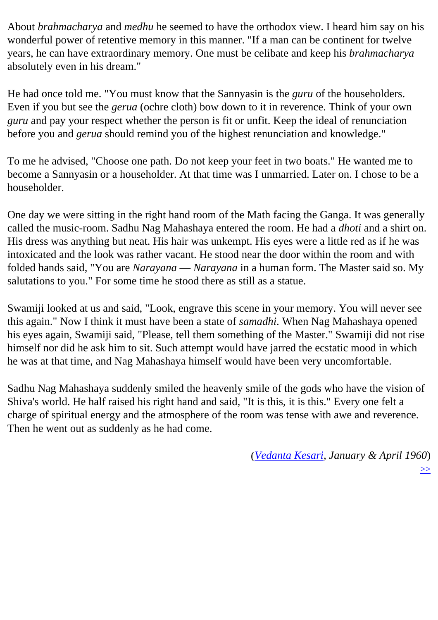About *brahmacharya* and *medhu* he seemed to have the orthodox view. I heard him say on his wonderful power of retentive memory in this manner. "If a man can be continent for twelve years, he can have extraordinary memory. One must be celibate and keep his *brahmacharya* absolutely even in his dream."

He had once told me. "You must know that the Sannyasin is the *guru* of the householders. Even if you but see the *gerua* (ochre cloth) bow down to it in reverence. Think of your own *guru* and pay your respect whether the person is fit or unfit. Keep the ideal of renunciation before you and *gerua* should remind you of the highest renunciation and knowledge."

To me he advised, "Choose one path. Do not keep your feet in two boats." He wanted me to become a Sannyasin or a householder. At that time was I unmarried. Later on. I chose to be a householder.

One day we were sitting in the right hand room of the Math facing the Ganga. It was generally called the music-room. Sadhu Nag Mahashaya entered the room. He had a *dhoti* and a shirt on. His dress was anything but neat. His hair was unkempt. His eyes were a little red as if he was intoxicated and the look was rather vacant. He stood near the door within the room and with folded hands said, "You are *Narayana — Narayana* in a human form. The Master said so. My salutations to you." For some time he stood there as still as a statue.

Swamiji looked at us and said, "Look, engrave this scene in your memory. You will never see this again." Now I think it must have been a state of *samadhi*. When Nag Mahashaya opened his eyes again, Swamiji said, "Please, tell them something of the Master." Swamiji did not rise himself nor did he ask him to sit. Such attempt would have jarred the ecstatic mood in which he was at that time, and Nag Mahashaya himself would have been very uncomfortable.

Sadhu Nag Mahashaya suddenly smiled the heavenly smile of the gods who have the vision of Shiva's world. He half raised his right hand and said, "It is this, it is this." Every one felt a charge of spiritual energy and the atmosphere of the room was tense with awe and reverence. Then he went out as suddenly as he had come.

> (*[Vedanta Kesari,](http://www.sriramakrishnamath.org/Magazine/magazineenglish.aspx?id=Eng) January & April 1960*)  $\geq$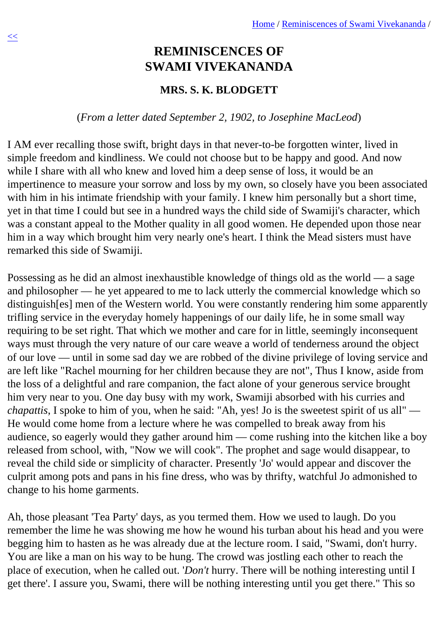## **REMINISCENCES OF SWAMI VIVEKANANDA**

#### **MRS. S. K. BLODGETT**

#### <span id="page-242-0"></span>(*From a letter dated September 2, 1902, to Josephine MacLeod*)

I AM ever recalling those swift, bright days in that never-to-be forgotten winter, lived in simple freedom and kindliness. We could not choose but to be happy and good. And now while I share with all who knew and loved him a deep sense of loss, it would be an impertinence to measure your sorrow and loss by my own, so closely have you been associated with him in his intimate friendship with your family. I knew him personally but a short time, yet in that time I could but see in a hundred ways the child side of Swamiji's character, which was a constant appeal to the Mother quality in all good women. He depended upon those near him in a way which brought him very nearly one's heart. I think the Mead sisters must have remarked this side of Swamiji.

Possessing as he did an almost inexhaustible knowledge of things old as the world — a sage and philosopher — he yet appeared to me to lack utterly the commercial knowledge which so distinguish[es] men of the Western world. You were constantly rendering him some apparently trifling service in the everyday homely happenings of our daily life, he in some small way requiring to be set right. That which we mother and care for in little, seemingly inconsequent ways must through the very nature of our care weave a world of tenderness around the object of our love — until in some sad day we are robbed of the divine privilege of loving service and are left like "Rachel mourning for her children because they are not", Thus I know, aside from the loss of a delightful and rare companion, the fact alone of your generous service brought him very near to you. One day busy with my work, Swamiji absorbed with his curries and *chapattis*, I spoke to him of you, when he said: "Ah, yes! Jo is the sweetest spirit of us all" — He would come home from a lecture where he was compelled to break away from his audience, so eagerly would they gather around him — come rushing into the kitchen like a boy released from school, with, "Now we will cook". The prophet and sage would disappear, to reveal the child side or simplicity of character. Presently 'Jo' would appear and discover the culprit among pots and pans in his fine dress, who was by thrifty, watchful Jo admonished to change to his home garments.

Ah, those pleasant 'Tea Party' days, as you termed them. How we used to laugh. Do you remember the lime he was showing me how he wound his turban about his head and you were begging him to hasten as he was already due at the lecture room. I said, "Swami, don't hurry. You are like a man on his way to be hung. The crowd was jostling each other to reach the place of execution, when he called out. '*Don't* hurry. There will be nothing interesting until I get there'. I assure you, Swami, there will be nothing interesting until you get there." This so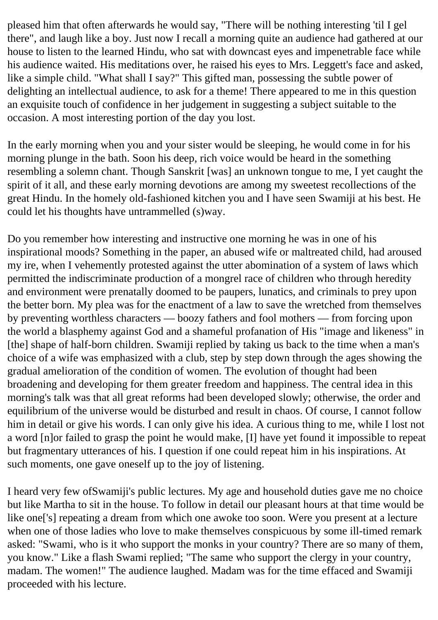pleased him that often afterwards he would say, "There will be nothing interesting 'til I gel there", and laugh like a boy. Just now I recall a morning quite an audience had gathered at our house to listen to the learned Hindu, who sat with downcast eyes and impenetrable face while his audience waited. His meditations over, he raised his eyes to Mrs. Leggett's face and asked, like a simple child. "What shall I say?" This gifted man, possessing the subtle power of delighting an intellectual audience, to ask for a theme! There appeared to me in this question an exquisite touch of confidence in her judgement in suggesting a subject suitable to the occasion. A most interesting portion of the day you lost.

In the early morning when you and your sister would be sleeping, he would come in for his morning plunge in the bath. Soon his deep, rich voice would be heard in the something resembling a solemn chant. Though Sanskrit [was] an unknown tongue to me, I yet caught the spirit of it all, and these early morning devotions are among my sweetest recollections of the great Hindu. In the homely old-fashioned kitchen you and I have seen Swamiji at his best. He could let his thoughts have untrammelled (s)way.

Do you remember how interesting and instructive one morning he was in one of his inspirational moods? Something in the paper, an abused wife or maltreated child, had aroused my ire, when I vehemently protested against the utter abomination of a system of laws which permitted the indiscriminate production of a mongrel race of children who through heredity and environment were prenatally doomed to be paupers, lunatics, and criminals to prey upon the better born. My plea was for the enactment of a law to save the wretched from themselves by preventing worthless characters — boozy fathers and fool mothers — from forcing upon the world a blasphemy against God and a shameful profanation of His "image and likeness" in [the] shape of half-born children. Swamiji replied by taking us back to the time when a man's choice of a wife was emphasized with a club, step by step down through the ages showing the gradual amelioration of the condition of women. The evolution of thought had been broadening and developing for them greater freedom and happiness. The central idea in this morning's talk was that all great reforms had been developed slowly; otherwise, the order and equilibrium of the universe would be disturbed and result in chaos. Of course, I cannot follow him in detail or give his words. I can only give his idea. A curious thing to me, while I lost not a word [n]or failed to grasp the point he would make, [I] have yet found it impossible to repeat but fragmentary utterances of his. I question if one could repeat him in his inspirations. At such moments, one gave oneself up to the joy of listening.

I heard very few ofSwamiji's public lectures. My age and household duties gave me no choice but like Martha to sit in the house. To follow in detail our pleasant hours at that time would be like one['s] repeating a dream from which one awoke too soon. Were you present at a lecture when one of those ladies who love to make themselves conspicuous by some ill-timed remark asked: "Swami, who is it who support the monks in your country? There are so many of them, you know." Like a flash Swami replied; "The same who support the clergy in your country, madam. The women!" The audience laughed. Madam was for the time effaced and Swamiji proceeded with his lecture.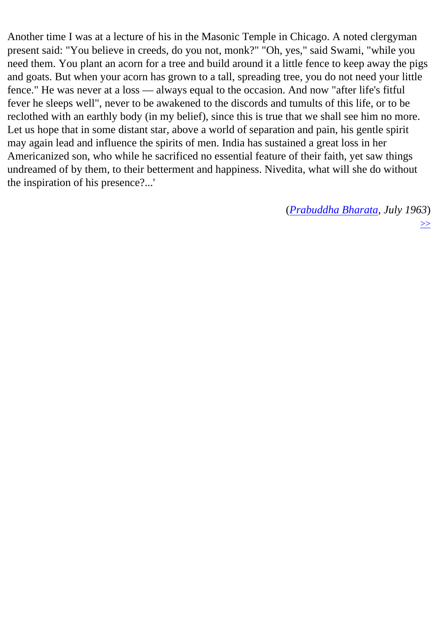Another time I was at a lecture of his in the Masonic Temple in Chicago. A noted clergyman present said: "You believe in creeds, do you not, monk?" "Oh, yes," said Swami, "while you need them. You plant an acorn for a tree and build around it a little fence to keep away the pigs and goats. But when your acorn has grown to a tall, spreading tree, you do not need your little fence." He was never at a loss — always equal to the occasion. And now "after life's fitful fever he sleeps well", never to be awakened to the discords and tumults of this life, or to be reclothed with an earthly body (in my belief), since this is true that we shall see him no more. Let us hope that in some distant star, above a world of separation and pain, his gentle spirit may again lead and influence the spirits of men. India has sustained a great loss in her Americanized son, who while he sacrificed no essential feature of their faith, yet saw things undreamed of by them, to their betterment and happiness. Nivedita, what will she do without the inspiration of his presence?...'

> (*[Prabuddha Bharata,](http://www.advaitaashrama.org/prabuddha_bharata.html) July 1963*)  $\geq$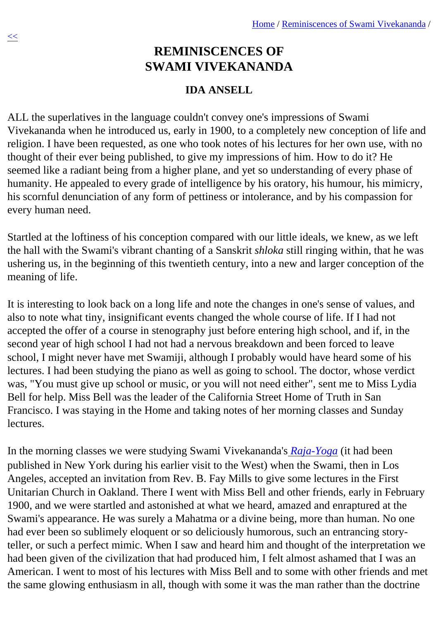## **REMINISCENCES OF SWAMI VIVEKANANDA**

### **IDA ANSELL**

ALL the superlatives in the language couldn't convey one's impressions of Swami Vivekananda when he introduced us, early in 1900, to a completely new conception of life and religion. I have been requested, as one who took notes of his lectures for her own use, with no thought of their ever being published, to give my impressions of him. How to do it? He seemed like a radiant being from a higher plane, and yet so understanding of every phase of humanity. He appealed to every grade of intelligence by his oratory, his humour, his mimicry, his scornful denunciation of any form of pettiness or intolerance, and by his compassion for every human need.

Startled at the loftiness of his conception compared with our little ideals, we knew, as we left the hall with the Swami's vibrant chanting of a Sanskrit *shloka* still ringing within, that he was ushering us, in the beginning of this twentieth century, into a new and larger conception of the meaning of life.

It is interesting to look back on a long life and note the changes in one's sense of values, and also to note what tiny, insignificant events changed the whole course of life. If I had not accepted the offer of a course in stenography just before entering high school, and if, in the second year of high school I had not had a nervous breakdown and been forced to leave school, I might never have met Swamiji, although I probably would have heard some of his lectures. I had been studying the piano as well as going to school. The doctor, whose verdict was, "You must give up school or music, or you will not need either", sent me to Miss Lydia Bell for help. Miss Bell was the leader of the California Street Home of Truth in San Francisco. I was staying in the Home and taking notes of her morning classes and Sunday lectures.

In the morning classes we were studying Swami Vivekananda's *[Raja-Yoga](http://www.ramakrishnavivekananda.info/vivekananda/volume_1/raja-yoga/preface_frame.htm)* (it had been published in New York during his earlier visit to the West) when the Swami, then in Los Angeles, accepted an invitation from Rev. B. Fay Mills to give some lectures in the First Unitarian Church in Oakland. There I went with Miss Bell and other friends, early in February 1900, and we were startled and astonished at what we heard, amazed and enraptured at the Swami's appearance. He was surely a Mahatma or a divine being, more than human. No one had ever been so sublimely eloquent or so deliciously humorous, such an entrancing storyteller, or such a perfect mimic. When I saw and heard him and thought of the interpretation we had been given of the civilization that had produced him, I felt almost ashamed that I was an American. I went to most of his lectures with Miss Bell and to some with other friends and met the same glowing enthusiasm in all, though with some it was the man rather than the doctrine

<span id="page-245-0"></span> $<<$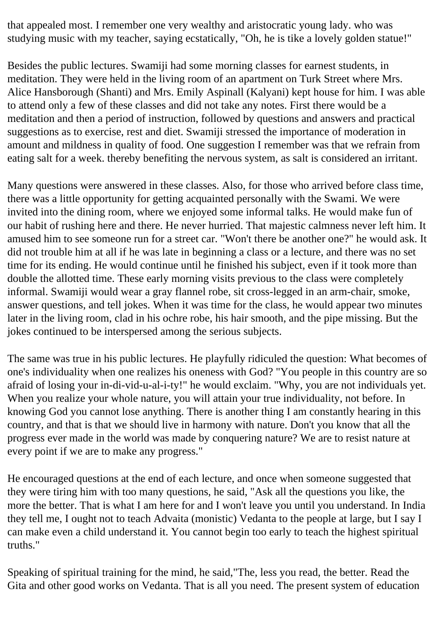that appealed most. I remember one very wealthy and aristocratic young lady. who was studying music with my teacher, saying ecstatically, "Oh, he is tike a lovely golden statue!"

Besides the public lectures. Swamiji had some morning classes for earnest students, in meditation. They were held in the living room of an apartment on Turk Street where Mrs. Alice Hansborough (Shanti) and Mrs. Emily Aspinall (Kalyani) kept house for him. I was able to attend only a few of these classes and did not take any notes. First there would be a meditation and then a period of instruction, followed by questions and answers and practical suggestions as to exercise, rest and diet. Swamiji stressed the importance of moderation in amount and mildness in quality of food. One suggestion I remember was that we refrain from eating salt for a week. thereby benefiting the nervous system, as salt is considered an irritant.

Many questions were answered in these classes. Also, for those who arrived before class time, there was a little opportunity for getting acquainted personally with the Swami. We were invited into the dining room, where we enjoyed some informal talks. He would make fun of our habit of rushing here and there. He never hurried. That majestic calmness never left him. It amused him to see someone run for a street car. "Won't there be another one?" he would ask. It did not trouble him at all if he was late in beginning a class or a lecture, and there was no set time for its ending. He would continue until he finished his subject, even if it took more than double the allotted time. These early morning visits previous to the class were completely informal. Swamiji would wear a gray flannel robe, sit cross-legged in an arm-chair, smoke, answer questions, and tell jokes. When it was time for the class, he would appear two minutes later in the living room, clad in his ochre robe, his hair smooth, and the pipe missing. But the jokes continued to be interspersed among the serious subjects.

The same was true in his public lectures. He playfully ridiculed the question: What becomes of one's individuality when one realizes his oneness with God? "You people in this country are so afraid of losing your in-di-vid-u-al-i-ty!" he would exclaim. "Why, you are not individuals yet. When you realize your whole nature, you will attain your true individuality, not before. In knowing God you cannot lose anything. There is another thing I am constantly hearing in this country, and that is that we should live in harmony with nature. Don't you know that all the progress ever made in the world was made by conquering nature? We are to resist nature at every point if we are to make any progress."

He encouraged questions at the end of each lecture, and once when someone suggested that they were tiring him with too many questions, he said, "Ask all the questions you like, the more the better. That is what I am here for and I won't leave you until you understand. In India they tell me, I ought not to teach Advaita (monistic) Vedanta to the people at large, but I say I can make even a child understand it. You cannot begin too early to teach the highest spiritual truths."

Speaking of spiritual training for the mind, he said,"The, less you read, the better. Read the Gita and other good works on Vedanta. That is all you need. The present system of education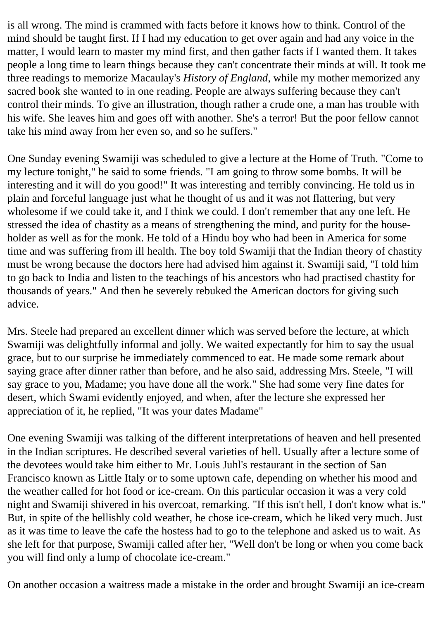is all wrong. The mind is crammed with facts before it knows how to think. Control of the mind should be taught first. If I had my education to get over again and had any voice in the matter, I would learn to master my mind first, and then gather facts if I wanted them. It takes people a long time to learn things because they can't concentrate their minds at will. It took me three readings to memorize Macaulay's *History of England*, while my mother memorized any sacred book she wanted to in one reading. People are always suffering because they can't control their minds. To give an illustration, though rather a crude one, a man has trouble with his wife. She leaves him and goes off with another. She's a terror! But the poor fellow cannot take his mind away from her even so, and so he suffers."

One Sunday evening Swamiji was scheduled to give a lecture at the Home of Truth. "Come to my lecture tonight," he said to some friends. "I am going to throw some bombs. It will be interesting and it will do you good!" It was interesting and terribly convincing. He told us in plain and forceful language just what he thought of us and it was not flattering, but very wholesome if we could take it, and I think we could. I don't remember that any one left. He stressed the idea of chastity as a means of strengthening the mind, and purity for the householder as well as for the monk. He told of a Hindu boy who had been in America for some time and was suffering from ill health. The boy told Swamiji that the Indian theory of chastity must be wrong because the doctors here had advised him against it. Swamiji said, "I told him to go back to India and listen to the teachings of his ancestors who had practised chastity for thousands of years." And then he severely rebuked the American doctors for giving such advice.

Mrs. Steele had prepared an excellent dinner which was served before the lecture, at which Swamiji was delightfully informal and jolly. We waited expectantly for him to say the usual grace, but to our surprise he immediately commenced to eat. He made some remark about saying grace after dinner rather than before, and he also said, addressing Mrs. Steele, "I will say grace to you, Madame; you have done all the work." She had some very fine dates for desert, which Swami evidently enjoyed, and when, after the lecture she expressed her appreciation of it, he replied, "It was your dates Madame"

One evening Swamiji was talking of the different interpretations of heaven and hell presented in the Indian scriptures. He described several varieties of hell. Usually after a lecture some of the devotees would take him either to Mr. Louis Juhl's restaurant in the section of San Francisco known as Little Italy or to some uptown cafe, depending on whether his mood and the weather called for hot food or ice-cream. On this particular occasion it was a very cold night and Swamiji shivered in his overcoat, remarking. "If this isn't hell, I don't know what is." But, in spite of the hellishly cold weather, he chose ice-cream, which he liked very much. Just as it was time to leave the cafe the hostess had to go to the telephone and asked us to wait. As she left for that purpose, Swamiji called after her, "Well don't be long or when you come back you will find only a lump of chocolate ice-cream."

On another occasion a waitress made a mistake in the order and brought Swamiji an ice-cream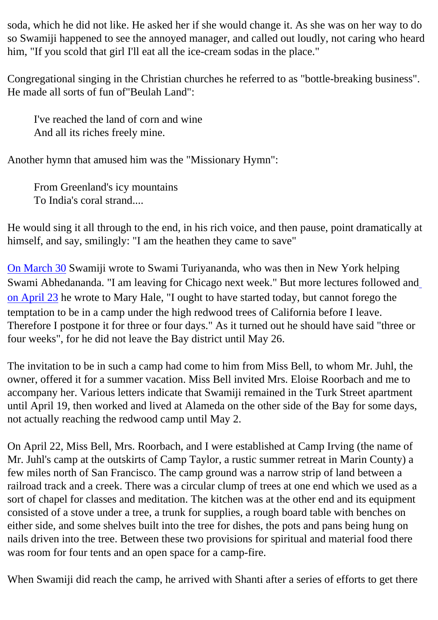soda, which he did not like. He asked her if she would change it. As she was on her way to do so Swamiji happened to see the annoyed manager, and called out loudly, not caring who heard him, "If you scold that girl I'll eat all the ice-cream sodas in the place."

Congregational singing in the Christian churches he referred to as "bottle-breaking business". He made all sorts of fun of"Beulah Land":

I've reached the land of corn and wine And all its riches freely mine.

Another hymn that amused him was the "Missionary Hymn":

From Greenland's icy mountains To India's coral strand....

He would sing it all through to the end, in his rich voice, and then pause, point dramatically at himself, and say, smilingly: "I am the heathen they came to save"

[On March 30](http://www.ramakrishnavivekananda.info/vivekananda/volume_8/epistles_fourth_series/166_haribhai.htm) Swamiji wrote to Swami Turiyananda, who was then in New York helping Swami Abhedananda. "I am leaving for Chicago next week." But more lectures followed and [on April 23](http://www.ramakrishnavivekananda.info/vivekananda/volume_8/epistles_fourth_series/177_mary.htm) he wrote to Mary Hale, "I ought to have started today, but cannot forego the temptation to be in a camp under the high redwood trees of California before I leave. Therefore I postpone it for three or four days." As it turned out he should have said "three or four weeks", for he did not leave the Bay district until May 26.

The invitation to be in such a camp had come to him from Miss Bell, to whom Mr. Juhl, the owner, offered it for a summer vacation. Miss Bell invited Mrs. Eloise Roorbach and me to accompany her. Various letters indicate that Swamiji remained in the Turk Street apartment until April 19, then worked and lived at Alameda on the other side of the Bay for some days, not actually reaching the redwood camp until May 2.

On April 22, Miss Bell, Mrs. Roorbach, and I were established at Camp Irving (the name of Mr. Juhl's camp at the outskirts of Camp Taylor, a rustic summer retreat in Marin County) a few miles north of San Francisco. The camp ground was a narrow strip of land between a railroad track and a creek. There was a circular clump of trees at one end which we used as a sort of chapel for classes and meditation. The kitchen was at the other end and its equipment consisted of a stove under a tree, a trunk for supplies, a rough board table with benches on either side, and some shelves built into the tree for dishes, the pots and pans being hung on nails driven into the tree. Between these two provisions for spiritual and material food there was room for four tents and an open space for a camp-fire.

When Swamiji did reach the camp, he arrived with Shanti after a series of efforts to get there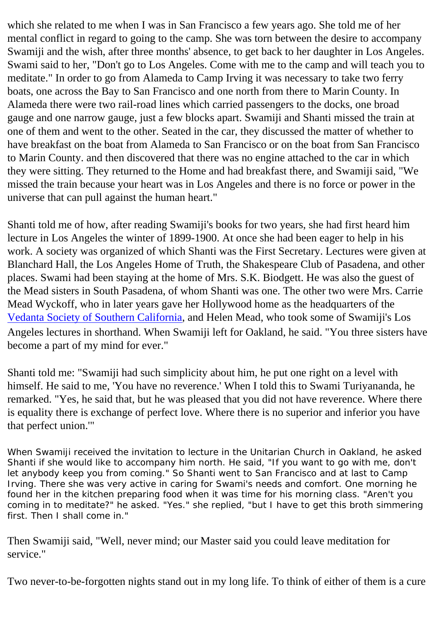which she related to me when I was in San Francisco a few years ago. She told me of her mental conflict in regard to going to the camp. She was torn between the desire to accompany Swamiji and the wish, after three months' absence, to get back to her daughter in Los Angeles. Swami said to her, "Don't go to Los Angeles. Come with me to the camp and will teach you to meditate." In order to go from Alameda to Camp Irving it was necessary to take two ferry boats, one across the Bay to San Francisco and one north from there to Marin County. In Alameda there were two rail-road lines which carried passengers to the docks, one broad gauge and one narrow gauge, just a few blocks apart. Swamiji and Shanti missed the train at one of them and went to the other. Seated in the car, they discussed the matter of whether to have breakfast on the boat from Alameda to San Francisco or on the boat from San Francisco to Marin County. and then discovered that there was no engine attached to the car in which they were sitting. They returned to the Home and had breakfast there, and Swamiji said, "We missed the train because your heart was in Los Angeles and there is no force or power in the universe that can pull against the human heart."

Shanti told me of how, after reading Swamiji's books for two years, she had first heard him lecture in Los Angeles the winter of 1899-1900. At once she had been eager to help in his work. A society was organized of which Shanti was the First Secretary. Lectures were given at Blanchard Hall, the Los Angeles Home of Truth, the Shakespeare Club of Pasadena, and other places. Swami had been staying at the home of Mrs. S.K. Biodgett. He was also the guest of the Mead sisters in South Pasadena, of whom Shanti was one. The other two were Mrs. Carrie Mead Wyckoff, who in later years gave her Hollywood home as the headquarters of the [Vedanta Society of Southern California](http://www.vedanta.org/vssc/about.html), and Helen Mead, who took some of Swamiji's Los Angeles lectures in shorthand. When Swamiji left for Oakland, he said. "You three sisters have become a part of my mind for ever."

Shanti told me: "Swamiji had such simplicity about him, he put one right on a level with himself. He said to me, 'You have no reverence.' When I told this to Swami Turiyananda, he remarked. "Yes, he said that, but he was pleased that you did not have reverence. Where there is equality there is exchange of perfect love. Where there is no superior and inferior you have that perfect union.'"

When Swamiji received the invitation to lecture in the Unitarian Church in Oakland, he asked Shanti if she would like to accompany him north. He said, "If you want to go with me, don't let anybody keep you from coming." So Shanti went to San Francisco and at last to Camp Irving. There she was very active in caring for Swami's needs and comfort. One morning he found her in the kitchen preparing food when it was time for his morning class. "Aren't you coming in to meditate?" he asked. "Yes." she replied, "but I have to get this broth simmering first. Then I shall come in."

Then Swamiji said, "Well, never mind; our Master said you could leave meditation for service."

Two never-to-be-forgotten nights stand out in my long life. To think of either of them is a cure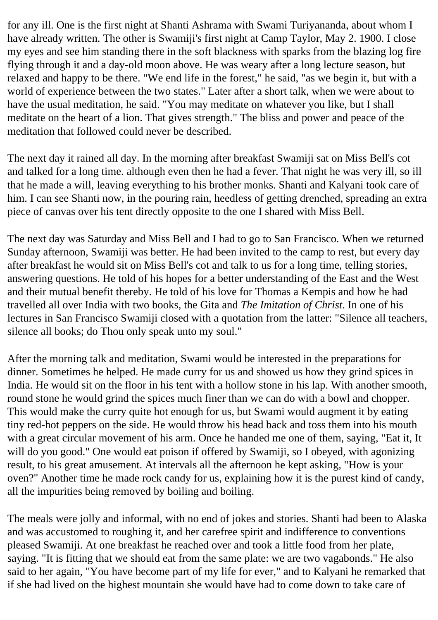for any ill. One is the first night at Shanti Ashrama with Swami Turiyananda, about whom I have already written. The other is Swamiji's first night at Camp Taylor, May 2. 1900. I close my eyes and see him standing there in the soft blackness with sparks from the blazing log fire flying through it and a day-old moon above. He was weary after a long lecture season, but relaxed and happy to be there. "We end life in the forest," he said, "as we begin it, but with a world of experience between the two states." Later after a short talk, when we were about to have the usual meditation, he said. "You may meditate on whatever you like, but I shall meditate on the heart of a lion. That gives strength." The bliss and power and peace of the meditation that followed could never be described.

The next day it rained all day. In the morning after breakfast Swamiji sat on Miss Bell's cot and talked for a long time. although even then he had a fever. That night he was very ill, so ill that he made a will, leaving everything to his brother monks. Shanti and Kalyani took care of him. I can see Shanti now, in the pouring rain, heedless of getting drenched, spreading an extra piece of canvas over his tent directly opposite to the one I shared with Miss Bell.

The next day was Saturday and Miss Bell and I had to go to San Francisco. When we returned Sunday afternoon, Swamiji was better. He had been invited to the camp to rest, but every day after breakfast he would sit on Miss Bell's cot and talk to us for a long time, telling stories, answering questions. He told of his hopes for a better understanding of the East and the West and their mutual benefit thereby. He told of his love for Thomas a Kempis and how he had travelled all over India with two books, the Gita and *The Imitation of Christ*. In one of his lectures in San Francisco Swamiji closed with a quotation from the latter: "Silence all teachers, silence all books; do Thou only speak unto my soul."

After the morning talk and meditation, Swami would be interested in the preparations for dinner. Sometimes he helped. He made curry for us and showed us how they grind spices in India. He would sit on the floor in his tent with a hollow stone in his lap. With another smooth, round stone he would grind the spices much finer than we can do with a bowl and chopper. This would make the curry quite hot enough for us, but Swami would augment it by eating tiny red-hot peppers on the side. He would throw his head back and toss them into his mouth with a great circular movement of his arm. Once he handed me one of them, saying, "Eat it, It will do you good." One would eat poison if offered by Swamiji, so I obeyed, with agonizing result, to his great amusement. At intervals all the afternoon he kept asking, "How is your oven?" Another time he made rock candy for us, explaining how it is the purest kind of candy, all the impurities being removed by boiling and boiling.

The meals were jolly and informal, with no end of jokes and stories. Shanti had been to Alaska and was accustomed to roughing it, and her carefree spirit and indifference to conventions pleased Swamiji. At one breakfast he reached over and took a little food from her plate, saying. "It is fitting that we should eat from the same plate: we are two vagabonds." He also said to her again, "You have become part of my life for ever," and to Kalyani he remarked that if she had lived on the highest mountain she would have had to come down to take care of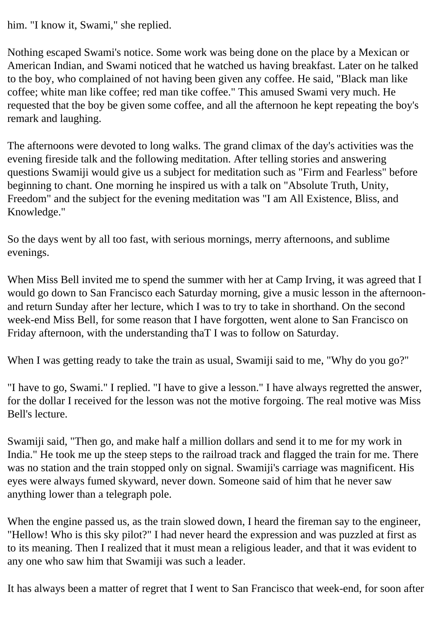him. "I know it, Swami," she replied.

Nothing escaped Swami's notice. Some work was being done on the place by a Mexican or American Indian, and Swami noticed that he watched us having breakfast. Later on he talked to the boy, who complained of not having been given any coffee. He said, "Black man like coffee; white man like coffee; red man tike coffee." This amused Swami very much. He requested that the boy be given some coffee, and all the afternoon he kept repeating the boy's remark and laughing.

The afternoons were devoted to long walks. The grand climax of the day's activities was the evening fireside talk and the following meditation. After telling stories and answering questions Swamiji would give us a subject for meditation such as "Firm and Fearless" before beginning to chant. One morning he inspired us with a talk on "Absolute Truth, Unity, Freedom" and the subject for the evening meditation was "I am All Existence, Bliss, and Knowledge."

So the days went by all too fast, with serious mornings, merry afternoons, and sublime evenings.

When Miss Bell invited me to spend the summer with her at Camp Irving, it was agreed that I would go down to San Francisco each Saturday morning, give a music lesson in the afternoonand return Sunday after her lecture, which I was to try to take in shorthand. On the second week-end Miss Bell, for some reason that I have forgotten, went alone to San Francisco on Friday afternoon, with the understanding thaT I was to follow on Saturday.

When I was getting ready to take the train as usual, Swamiji said to me, "Why do you go?"

"I have to go, Swami." I replied. "I have to give a lesson." I have always regretted the answer, for the dollar I received for the lesson was not the motive forgoing. The real motive was Miss Bell's lecture.

Swamiji said, "Then go, and make half a million dollars and send it to me for my work in India." He took me up the steep steps to the railroad track and flagged the train for me. There was no station and the train stopped only on signal. Swamiji's carriage was magnificent. His eyes were always fumed skyward, never down. Someone said of him that he never saw anything lower than a telegraph pole.

When the engine passed us, as the train slowed down, I heard the fireman say to the engineer, "Hellow! Who is this sky pilot?" I had never heard the expression and was puzzled at first as to its meaning. Then I realized that it must mean a religious leader, and that it was evident to any one who saw him that Swamiji was such a leader.

It has always been a matter of regret that I went to San Francisco that week-end, for soon after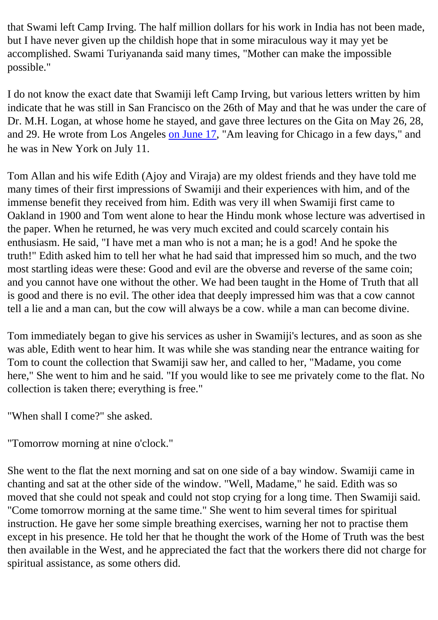that Swami left Camp Irving. The half million dollars for his work in India has not been made, but I have never given up the childish hope that in some miraculous way it may yet be accomplished. Swami Turiyananda said many times, "Mother can make the impossible possible."

I do not know the exact date that Swamiji left Camp Irving, but various letters written by him indicate that he was still in San Francisco on the 26th of May and that he was under the care of Dr. M.H. Logan, at whose home he stayed, and gave three lectures on the Gita on May 26, 28, and 29. He wrote from Los Angeles [on June 17](http://www.ramakrishnavivekananda.info/vivekananda/volume_8/epistles_fourth_series/181_mary.htm), "Am leaving for Chicago in a few days," and he was in New York on July 11.

Tom Allan and his wife Edith (Ajoy and Viraja) are my oldest friends and they have told me many times of their first impressions of Swamiji and their experiences with him, and of the immense benefit they received from him. Edith was very ill when Swamiji first came to Oakland in 1900 and Tom went alone to hear the Hindu monk whose lecture was advertised in the paper. When he returned, he was very much excited and could scarcely contain his enthusiasm. He said, "I have met a man who is not a man; he is a god! And he spoke the truth!" Edith asked him to tell her what he had said that impressed him so much, and the two most startling ideas were these: Good and evil are the obverse and reverse of the same coin; and you cannot have one without the other. We had been taught in the Home of Truth that all is good and there is no evil. The other idea that deeply impressed him was that a cow cannot tell a lie and a man can, but the cow will always be a cow. while a man can become divine.

Tom immediately began to give his services as usher in Swamiji's lectures, and as soon as she was able, Edith went to hear him. It was while she was standing near the entrance waiting for Tom to count the collection that Swamiji saw her, and called to her, "Madame, you come here," She went to him and he said. "If you would like to see me privately come to the flat. No collection is taken there; everything is free."

"When shall I come?" she asked.

"Tomorrow morning at nine o'clock."

She went to the flat the next morning and sat on one side of a bay window. Swamiji came in chanting and sat at the other side of the window. "Well, Madame," he said. Edith was so moved that she could not speak and could not stop crying for a long time. Then Swamiji said. "Come tomorrow morning at the same time." She went to him several times for spiritual instruction. He gave her some simple breathing exercises, warning her not to practise them except in his presence. He told her that he thought the work of the Home of Truth was the best then available in the West, and he appreciated the fact that the workers there did not charge for spiritual assistance, as some others did.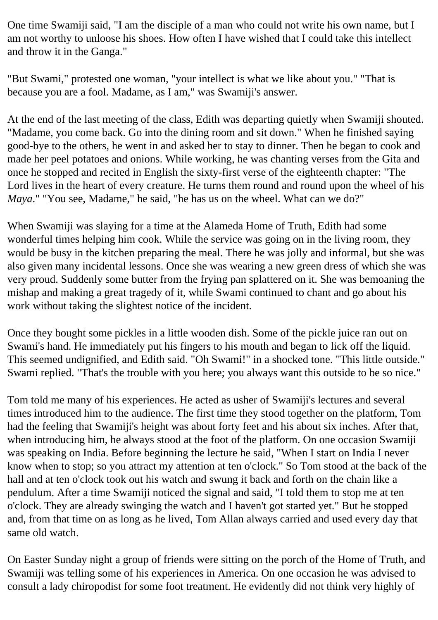One time Swamiji said, "I am the disciple of a man who could not write his own name, but I am not worthy to unloose his shoes. How often I have wished that I could take this intellect and throw it in the Ganga."

"But Swami," protested one woman, "your intellect is what we like about you." "That is because you are a fool. Madame, as I am," was Swamiji's answer.

At the end of the last meeting of the class, Edith was departing quietly when Swamiji shouted. "Madame, you come back. Go into the dining room and sit down." When he finished saying good-bye to the others, he went in and asked her to stay to dinner. Then he began to cook and made her peel potatoes and onions. While working, he was chanting verses from the Gita and once he stopped and recited in English the sixty-first verse of the eighteenth chapter: "The Lord lives in the heart of every creature. He turns them round and round upon the wheel of his *Maya*." "You see, Madame," he said, "he has us on the wheel. What can we do?"

When Swamiji was slaying for a time at the Alameda Home of Truth, Edith had some wonderful times helping him cook. While the service was going on in the living room, they would be busy in the kitchen preparing the meal. There he was jolly and informal, but she was also given many incidental lessons. Once she was wearing a new green dress of which she was very proud. Suddenly some butter from the frying pan splattered on it. She was bemoaning the mishap and making a great tragedy of it, while Swami continued to chant and go about his work without taking the slightest notice of the incident.

Once they bought some pickles in a little wooden dish. Some of the pickle juice ran out on Swami's hand. He immediately put his fingers to his mouth and began to lick off the liquid. This seemed undignified, and Edith said. "Oh Swami!" in a shocked tone. "This little outside." Swami replied. "That's the trouble with you here; you always want this outside to be so nice."

Tom told me many of his experiences. He acted as usher of Swamiji's lectures and several times introduced him to the audience. The first time they stood together on the platform, Tom had the feeling that Swamiji's height was about forty feet and his about six inches. After that, when introducing him, he always stood at the foot of the platform. On one occasion Swamiji was speaking on India. Before beginning the lecture he said, "When I start on India I never know when to stop; so you attract my attention at ten o'clock." So Tom stood at the back of the hall and at ten o'clock took out his watch and swung it back and forth on the chain like a pendulum. After a time Swamiji noticed the signal and said, "I told them to stop me at ten o'clock. They are already swinging the watch and I haven't got started yet." But he stopped and, from that time on as long as he lived, Tom Allan always carried and used every day that same old watch.

On Easter Sunday night a group of friends were sitting on the porch of the Home of Truth, and Swamiji was telling some of his experiences in America. On one occasion he was advised to consult a lady chiropodist for some foot treatment. He evidently did not think very highly of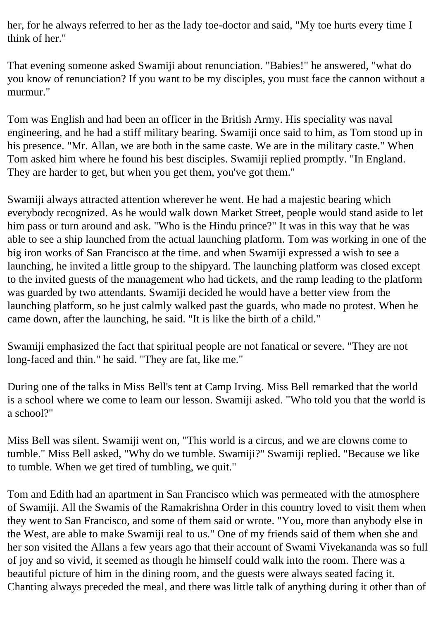her, for he always referred to her as the lady toe-doctor and said, "My toe hurts every time I think of her."

That evening someone asked Swamiji about renunciation. "Babies!" he answered, "what do you know of renunciation? If you want to be my disciples, you must face the cannon without a murmur."

Tom was English and had been an officer in the British Army. His speciality was naval engineering, and he had a stiff military bearing. Swamiji once said to him, as Tom stood up in his presence. "Mr. Allan, we are both in the same caste. We are in the military caste." When Tom asked him where he found his best disciples. Swamiji replied promptly. "In England. They are harder to get, but when you get them, you've got them."

Swamiji always attracted attention wherever he went. He had a majestic bearing which everybody recognized. As he would walk down Market Street, people would stand aside to let him pass or turn around and ask. "Who is the Hindu prince?" It was in this way that he was able to see a ship launched from the actual launching platform. Tom was working in one of the big iron works of San Francisco at the time. and when Swamiji expressed a wish to see a launching, he invited a little group to the shipyard. The launching platform was closed except to the invited guests of the management who had tickets, and the ramp leading to the platform was guarded by two attendants. Swamiji decided he would have a better view from the launching platform, so he just calmly walked past the guards, who made no protest. When he came down, after the launching, he said. "It is like the birth of a child."

Swamiji emphasized the fact that spiritual people are not fanatical or severe. "They are not long-faced and thin." he said. "They are fat, like me."

During one of the talks in Miss Bell's tent at Camp Irving. Miss Bell remarked that the world is a school where we come to learn our lesson. Swamiji asked. "Who told you that the world is a school?"

Miss Bell was silent. Swamiji went on, "This world is a circus, and we are clowns come to tumble." Miss Bell asked, "Why do we tumble. Swamiji?" Swamiji replied. "Because we like to tumble. When we get tired of tumbling, we quit."

Tom and Edith had an apartment in San Francisco which was permeated with the atmosphere of Swamiji. All the Swamis of the Ramakrishna Order in this country loved to visit them when they went to San Francisco, and some of them said or wrote. "You, more than anybody else in the West, are able to make Swamiji real to us." One of my friends said of them when she and her son visited the Allans a few years ago that their account of Swami Vivekananda was so full of joy and so vivid, it seemed as though he himself could walk into the room. There was a beautiful picture of him in the dining room, and the guests were always seated facing it. Chanting always preceded the meal, and there was little talk of anything during it other than of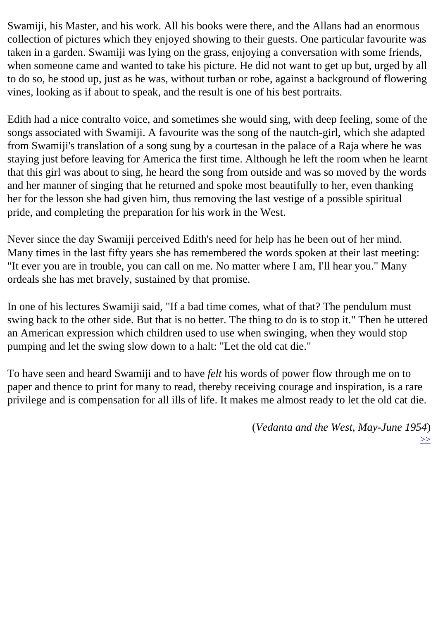Swamiji, his Master, and his work. All his books were there, and the Allans had an enormous collection of pictures which they enjoyed showing to their guests. One particular favourite was taken in a garden. Swamiji was lying on the grass, enjoying a conversation with some friends, when someone came and wanted to take his picture. He did not want to get up but, urged by all to do so, he stood up, just as he was, without turban or robe, against a background of flowering vines, looking as if about to speak, and the result is one of his best portraits.

Edith had a nice contralto voice, and sometimes she would sing, with deep feeling, some of the songs associated with Swamiji. A favourite was the song of the nautch-girl, which she adapted from Swamiji's translation of a song sung by a courtesan in the palace of a Raja where he was staying just before leaving for America the first time. Although he left the room when he learnt that this girl was about to sing, he heard the song from outside and was so moved by the words and her manner of singing that he returned and spoke most beautifully to her, even thanking her for the lesson she had given him, thus removing the last vestige of a possible spiritual pride, and completing the preparation for his work in the West.

Never since the day Swamiji perceived Edith's need for help has he been out of her mind. Many times in the last fifty years she has remembered the words spoken at their last meeting: "It ever you are in trouble, you can call on me. No matter where I am, I'll hear you." Many ordeals she has met bravely, sustained by that promise.

In one of his lectures Swamiji said, "If a bad time comes, what of that? The pendulum must swing back to the other side. But that is no better. The thing to do is to stop it." Then he uttered an American expression which children used to use when swinging, when they would stop pumping and let the swing slow down to a halt: "Let the old cat die."

To have seen and heard Swamiji and to have *felt* his words of power flow through me on to paper and thence to print for many to read, thereby receiving courage and inspiration, is a rare privilege and is compensation for all ills of life. It makes me almost ready to let the old cat die.

> (*Vedanta and the West, May-June 1954*)  $\geq$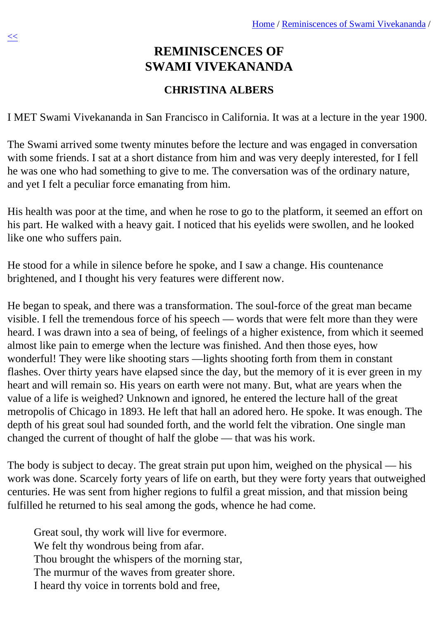# **REMINISCENCES OF SWAMI VIVEKANANDA**

### **CHRISTINA ALBERS**

<span id="page-256-0"></span>I MET Swami Vivekananda in San Francisco in California. It was at a lecture in the year 1900.

The Swami arrived some twenty minutes before the lecture and was engaged in conversation with some friends. I sat at a short distance from him and was very deeply interested, for I fell he was one who had something to give to me. The conversation was of the ordinary nature, and yet I felt a peculiar force emanating from him.

His health was poor at the time, and when he rose to go to the platform, it seemed an effort on his part. He walked with a heavy gait. I noticed that his eyelids were swollen, and he looked like one who suffers pain.

He stood for a while in silence before he spoke, and I saw a change. His countenance brightened, and I thought his very features were different now.

He began to speak, and there was a transformation. The soul-force of the great man became visible. I fell the tremendous force of his speech — words that were felt more than they were heard. I was drawn into a sea of being, of feelings of a higher existence, from which it seemed almost like pain to emerge when the lecture was finished. And then those eyes, how wonderful! They were like shooting stars —lights shooting forth from them in constant flashes. Over thirty years have elapsed since the day, but the memory of it is ever green in my heart and will remain so. His years on earth were not many. But, what are years when the value of a life is weighed? Unknown and ignored, he entered the lecture hall of the great metropolis of Chicago in 1893. He left that hall an adored hero. He spoke. It was enough. The depth of his great soul had sounded forth, and the world felt the vibration. One single man changed the current of thought of half the globe — that was his work.

The body is subject to decay. The great strain put upon him, weighed on the physical — his work was done. Scarcely forty years of life on earth, but they were forty years that outweighed centuries. He was sent from higher regions to fulfil a great mission, and that mission being fulfilled he returned to his seal among the gods, whence he had come.

Great soul, thy work will live for evermore. We felt thy wondrous being from afar. Thou brought the whispers of the morning star, The murmur of the waves from greater shore. I heard thy voice in torrents bold and free,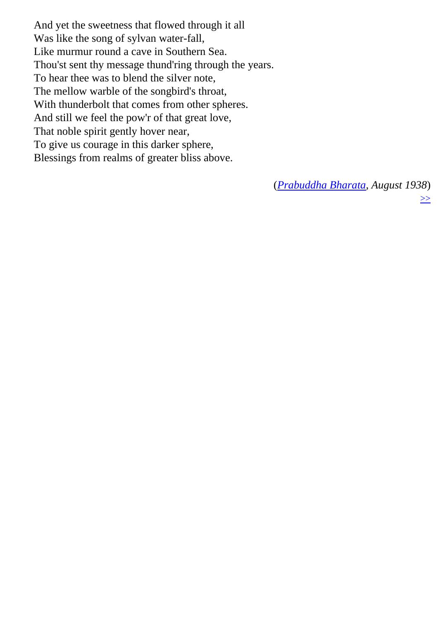And yet the sweetness that flowed through it all Was like the song of sylvan water-fall, Like murmur round a cave in Southern Sea. Thou'st sent thy message thund'ring through the years. To hear thee was to blend the silver note, The mellow warble of the songbird's throat, With thunderbolt that comes from other spheres. And still we feel the pow'r of that great love, That noble spirit gently hover near, To give us courage in this darker sphere, Blessings from realms of greater bliss above.

(*[Prabuddha Bharata](http://www.advaitaashrama.org/prabuddha_bharata.html), August 1938*)

 $\geq$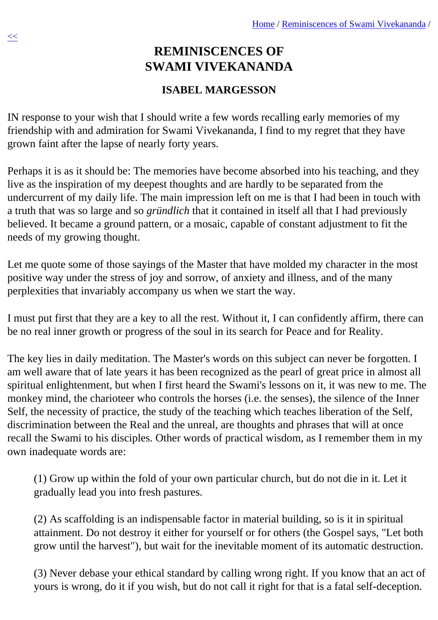# **REMINISCENCES OF SWAMI VIVEKANANDA**

### **ISABEL MARGESSON**

<span id="page-258-0"></span>IN response to your wish that I should write a few words recalling early memories of my friendship with and admiration for Swami Vivekananda, I find to my regret that they have grown faint after the lapse of nearly forty years.

Perhaps it is as it should be: The memories have become absorbed into his teaching, and they live as the inspiration of my deepest thoughts and are hardly to be separated from the undercurrent of my daily life. The main impression left on me is that I had been in touch with a truth that was so large and so *gründlich* that it contained in itself all that I had previously believed. It became a ground pattern, or a mosaic, capable of constant adjustment to fit the needs of my growing thought.

Let me quote some of those sayings of the Master that have molded my character in the most positive way under the stress of joy and sorrow, of anxiety and illness, and of the many perplexities that invariably accompany us when we start the way.

I must put first that they are a key to all the rest. Without it, I can confidently affirm, there can be no real inner growth or progress of the soul in its search for Peace and for Reality.

The key lies in daily meditation. The Master's words on this subject can never be forgotten. I am well aware that of late years it has been recognized as the pearl of great price in almost all spiritual enlightenment, but when I first heard the Swami's lessons on it, it was new to me. The monkey mind, the charioteer who controls the horses (i.e. the senses), the silence of the Inner Self, the necessity of practice, the study of the teaching which teaches liberation of the Self, discrimination between the Real and the unreal, are thoughts and phrases that will at once recall the Swami to his disciples. Other words of practical wisdom, as I remember them in my own inadequate words are:

(1) Grow up within the fold of your own particular church, but do not die in it. Let it gradually lead you into fresh pastures.

(2) As scaffolding is an indispensable factor in material building, so is it in spiritual attainment. Do not destroy it either for yourself or for others (the Gospel says, "Let both grow until the harvest"), but wait for the inevitable moment of its automatic destruction.

(3) Never debase your ethical standard by calling wrong right. If you know that an act of yours is wrong, do it if you wish, but do not call it right for that is a fatal self-deception.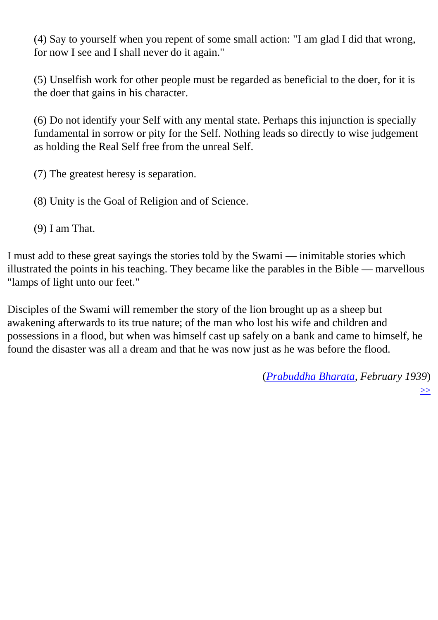(4) Say to yourself when you repent of some small action: "I am glad I did that wrong, for now I see and I shall never do it again."

(5) Unselfish work for other people must be regarded as beneficial to the doer, for it is the doer that gains in his character.

(6) Do not identify your Self with any mental state. Perhaps this injunction is specially fundamental in sorrow or pity for the Self. Nothing leads so directly to wise judgement as holding the Real Self free from the unreal Self.

(7) The greatest heresy is separation.

(8) Unity is the Goal of Religion and of Science.

(9) I am That.

I must add to these great sayings the stories told by the Swami — inimitable stories which illustrated the points in his teaching. They became like the parables in the Bible — marvellous "lamps of light unto our feet."

Disciples of the Swami will remember the story of the lion brought up as a sheep but awakening afterwards to its true nature; of the man who lost his wife and children and possessions in a flood, but when was himself cast up safely on a bank and came to himself, he found the disaster was all a dream and that he was now just as he was before the flood.

> (*[Prabuddha Bharata](http://www.advaitaashrama.org/prabuddha_bharata.html), February 1939*)  $\geq$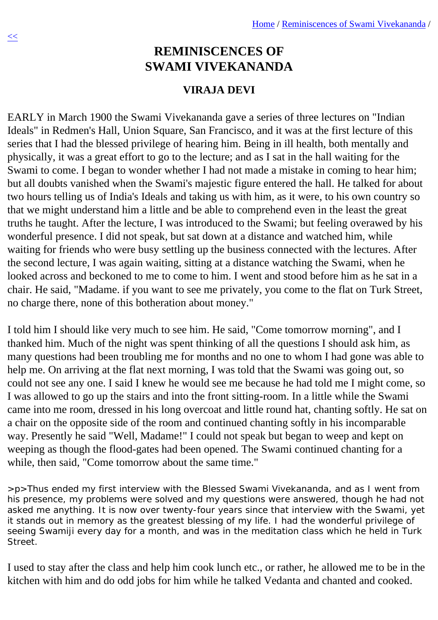### **REMINISCENCES OF SWAMI VIVEKANANDA**

#### **VIRAJA DEVI**

<span id="page-260-0"></span>EARLY in March 1900 the Swami Vivekananda gave a series of three lectures on "Indian Ideals" in Redmen's Hall, Union Square, San Francisco, and it was at the first lecture of this series that I had the blessed privilege of hearing him. Being in ill health, both mentally and physically, it was a great effort to go to the lecture; and as I sat in the hall waiting for the Swami to come. I began to wonder whether I had not made a mistake in coming to hear him; but all doubts vanished when the Swami's majestic figure entered the hall. He talked for about two hours telling us of India's Ideals and taking us with him, as it were, to his own country so that we might understand him a little and be able to comprehend even in the least the great truths he taught. After the lecture, I was introduced to the Swami; but feeling overawed by his wonderful presence. I did not speak, but sat down at a distance and watched him, while waiting for friends who were busy settling up the business connected with the lectures. After the second lecture, I was again waiting, sitting at a distance watching the Swami, when he looked across and beckoned to me to come to him. I went and stood before him as he sat in a chair. He said, "Madame. if you want to see me privately, you come to the flat on Turk Street, no charge there, none of this botheration about money."

I told him I should like very much to see him. He said, "Come tomorrow morning", and I thanked him. Much of the night was spent thinking of all the questions I should ask him, as many questions had been troubling me for months and no one to whom I had gone was able to help me. On arriving at the flat next morning, I was told that the Swami was going out, so could not see any one. I said I knew he would see me because he had told me I might come, so I was allowed to go up the stairs and into the front sitting-room. In a little while the Swami came into me room, dressed in his long overcoat and little round hat, chanting softly. He sat on a chair on the opposite side of the room and continued chanting softly in his incomparable way. Presently he said "Well, Madame!" I could not speak but began to weep and kept on weeping as though the flood-gates had been opened. The Swami continued chanting for a while, then said, "Come tomorrow about the same time."

>p>Thus ended my first interview with the Blessed Swami Vivekananda, and as I went from his presence, my problems were solved and my questions were answered, though he had not asked me anything. It is now over twenty-four years since that interview with the Swami, yet it stands out in memory as the greatest blessing of my life. I had the wonderful privilege of seeing Swamiji every day for a month, and was in the meditation class which he held in Turk Street.

I used to stay after the class and help him cook lunch etc., or rather, he allowed me to be in the kitchen with him and do odd jobs for him while he talked Vedanta and chanted and cooked.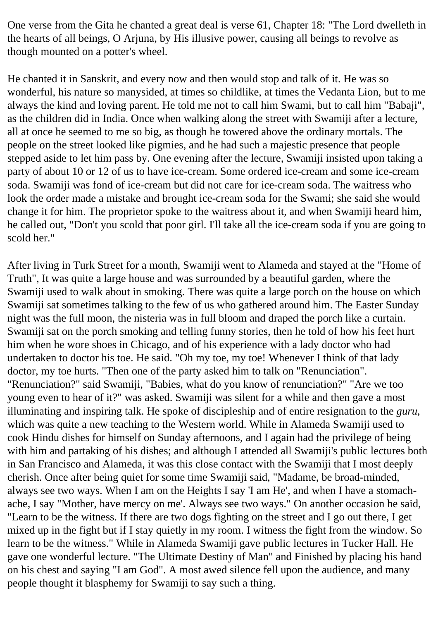One verse from the Gita he chanted a great deal is verse 61, Chapter 18: "The Lord dwelleth in the hearts of all beings, O Arjuna, by His illusive power, causing all beings to revolve as though mounted on a potter's wheel.

He chanted it in Sanskrit, and every now and then would stop and talk of it. He was so wonderful, his nature so manysided, at times so childlike, at times the Vedanta Lion, but to me always the kind and loving parent. He told me not to call him Swami, but to call him "Babaji", as the children did in India. Once when walking along the street with Swamiji after a lecture, all at once he seemed to me so big, as though he towered above the ordinary mortals. The people on the street looked like pigmies, and he had such a majestic presence that people stepped aside to let him pass by. One evening after the lecture, Swamiji insisted upon taking a party of about 10 or 12 of us to have ice-cream. Some ordered ice-cream and some ice-cream soda. Swamiji was fond of ice-cream but did not care for ice-cream soda. The waitress who look the order made a mistake and brought ice-cream soda for the Swami; she said she would change it for him. The proprietor spoke to the waitress about it, and when Swamiji heard him, he called out, "Don't you scold that poor girl. I'll take all the ice-cream soda if you are going to scold her."

After living in Turk Street for a month, Swamiji went to Alameda and stayed at the "Home of Truth", It was quite a large house and was surrounded by a beautiful garden, where the Swamiji used to walk about in smoking. There was quite a large porch on the house on which Swamiji sat sometimes talking to the few of us who gathered around him. The Easter Sunday night was the full moon, the nisteria was in full bloom and draped the porch like a curtain. Swamiji sat on the porch smoking and telling funny stories, then he told of how his feet hurt him when he wore shoes in Chicago, and of his experience with a lady doctor who had undertaken to doctor his toe. He said. "Oh my toe, my toe! Whenever I think of that lady doctor, my toe hurts. "Then one of the party asked him to talk on "Renunciation". "Renunciation?" said Swamiji, "Babies, what do you know of renunciation?" "Are we too young even to hear of it?" was asked. Swamiji was silent for a while and then gave a most illuminating and inspiring talk. He spoke of discipleship and of entire resignation to the *guru*, which was quite a new teaching to the Western world. While in Alameda Swamiji used to cook Hindu dishes for himself on Sunday afternoons, and I again had the privilege of being with him and partaking of his dishes; and although I attended all Swamiji's public lectures both in San Francisco and Alameda, it was this close contact with the Swamiji that I most deeply cherish. Once after being quiet for some time Swamiji said, "Madame, be broad-minded, always see two ways. When I am on the Heights I say 'I am He', and when I have a stomachache, I say "Mother, have mercy on me'. Always see two ways." On another occasion he said, "Learn to be the witness. If there are two dogs fighting on the street and I go out there, I get mixed up in the fight but if I stay quietly in my room. I witness the fight from the window. So learn to be the witness." While in Alameda Swamiji gave public lectures in Tucker Hall. He gave one wonderful lecture. "The Ultimate Destiny of Man" and Finished by placing his hand on his chest and saying "I am God". A most awed silence fell upon the audience, and many people thought it blasphemy for Swamiji to say such a thing.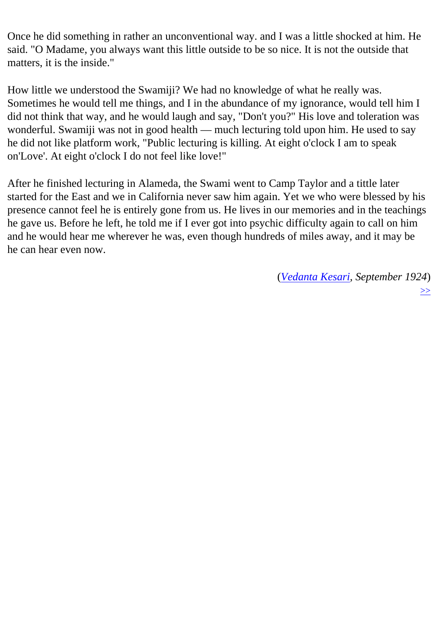Once he did something in rather an unconventional way. and I was a little shocked at him. He said. "O Madame, you always want this little outside to be so nice. It is not the outside that matters, it is the inside."

How little we understood the Swamiji? We had no knowledge of what he really was. Sometimes he would tell me things, and I in the abundance of my ignorance, would tell him I did not think that way, and he would laugh and say, "Don't you?" His love and toleration was wonderful. Swamiji was not in good health — much lecturing told upon him. He used to say he did not like platform work, "Public lecturing is killing. At eight o'clock I am to speak on'Love'. At eight o'clock I do not feel like love!"

After he finished lecturing in Alameda, the Swami went to Camp Taylor and a tittle later started for the East and we in California never saw him again. Yet we who were blessed by his presence cannot feel he is entirely gone from us. He lives in our memories and in the teachings he gave us. Before he left, he told me if I ever got into psychic difficulty again to call on him and he would hear me wherever he was, even though hundreds of miles away, and it may be he can hear even now.

> (*[Vedanta Kesari](http://www.sriramakrishnamath.org/Magazine/magazineenglish.aspx?id=Eng), September 1924*)  $\geq$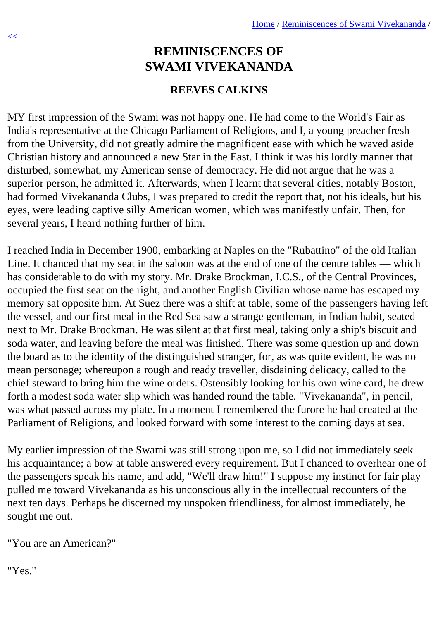# **REMINISCENCES OF SWAMI VIVEKANANDA**

### **REEVES CALKINS**

<span id="page-263-0"></span>MY first impression of the Swami was not happy one. He had come to the World's Fair as India's representative at the Chicago Parliament of Religions, and I, a young preacher fresh from the University, did not greatly admire the magnificent ease with which he waved aside Christian history and announced a new Star in the East. I think it was his lordly manner that disturbed, somewhat, my American sense of democracy. He did not argue that he was a superior person, he admitted it. Afterwards, when I learnt that several cities, notably Boston, had formed Vivekananda Clubs, I was prepared to credit the report that, not his ideals, but his eyes, were leading captive silly American women, which was manifestly unfair. Then, for several years, I heard nothing further of him.

I reached India in December 1900, embarking at Naples on the "Rubattino" of the old Italian Line. It chanced that my seat in the saloon was at the end of one of the centre tables — which has considerable to do with my story. Mr. Drake Brockman, I.C.S., of the Central Provinces, occupied the first seat on the right, and another English Civilian whose name has escaped my memory sat opposite him. At Suez there was a shift at table, some of the passengers having left the vessel, and our first meal in the Red Sea saw a strange gentleman, in Indian habit, seated next to Mr. Drake Brockman. He was silent at that first meal, taking only a ship's biscuit and soda water, and leaving before the meal was finished. There was some question up and down the board as to the identity of the distinguished stranger, for, as was quite evident, he was no mean personage; whereupon a rough and ready traveller, disdaining delicacy, called to the chief steward to bring him the wine orders. Ostensibly looking for his own wine card, he drew forth a modest soda water slip which was handed round the table. "Vivekananda", in pencil, was what passed across my plate. In a moment I remembered the furore he had created at the Parliament of Religions, and looked forward with some interest to the coming days at sea.

My earlier impression of the Swami was still strong upon me, so I did not immediately seek his acquaintance; a bow at table answered every requirement. But I chanced to overhear one of the passengers speak his name, and add, "We'll draw him!" I suppose my instinct for fair play pulled me toward Vivekananda as his unconscious ally in the intellectual recounters of the next ten days. Perhaps he discerned my unspoken friendliness, for almost immediately, he sought me out.

```
"You are an American?"
```
"Yes."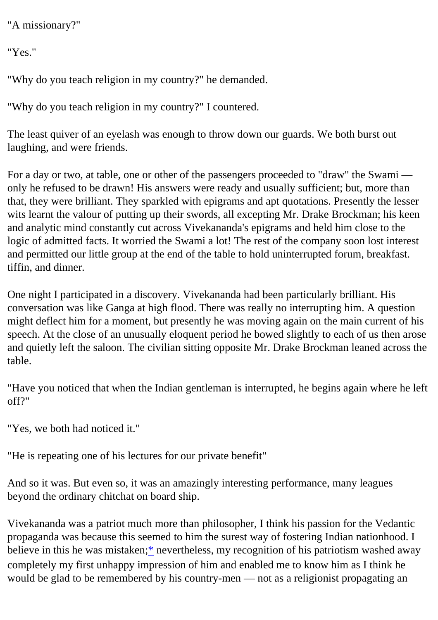"A missionary?"

"Yes."

"Why do you teach religion in my country?" he demanded.

"Why do you teach religion in my country?" I countered.

The least quiver of an eyelash was enough to throw down our guards. We both burst out laughing, and were friends.

For a day or two, at table, one or other of the passengers proceeded to "draw" the Swami only he refused to be drawn! His answers were ready and usually sufficient; but, more than that, they were brilliant. They sparkled with epigrams and apt quotations. Presently the lesser wits learnt the valour of putting up their swords, all excepting Mr. Drake Brockman; his keen and analytic mind constantly cut across Vivekananda's epigrams and held him close to the logic of admitted facts. It worried the Swami a lot! The rest of the company soon lost interest and permitted our little group at the end of the table to hold uninterrupted forum, breakfast. tiffin, and dinner.

One night I participated in a discovery. Vivekananda had been particularly brilliant. His conversation was like Ganga at high flood. There was really no interrupting him. A question might deflect him for a moment, but presently he was moving again on the main current of his speech. At the close of an unusually eloquent period he bowed slightly to each of us then arose and quietly left the saloon. The civilian sitting opposite Mr. Drake Brockman leaned across the table.

"Have you noticed that when the Indian gentleman is interrupted, he begins again where he left off?"

"Yes, we both had noticed it."

"He is repeating one of his lectures for our private benefit"

And so it was. But even so, it was an amazingly interesting performance, many leagues beyond the ordinary chitchat on board ship.

Vivekananda was a patriot much more than philosopher, I think his passion for the Vedantic propaganda was because this seemed to him the surest way of fostering Indian nationhood. I believe in this he was mistaken[;\\*](#page-263-0) nevertheless, my recognition of his patriotism washed away completely my first unhappy impression of him and enabled me to know him as I think he would be glad to be remembered by his country-men — not as a religionist propagating an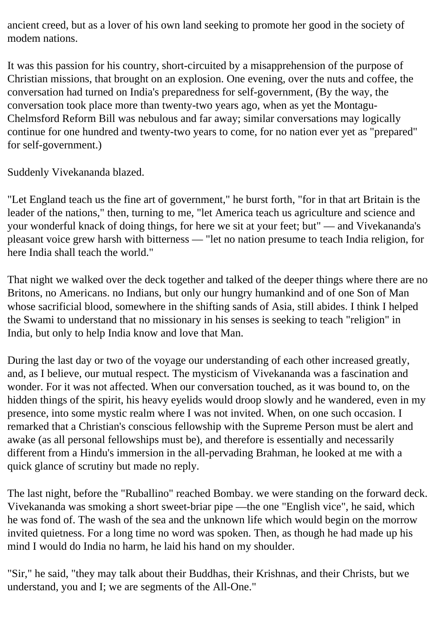ancient creed, but as a lover of his own land seeking to promote her good in the society of modem nations.

It was this passion for his country, short-circuited by a misapprehension of the purpose of Christian missions, that brought on an explosion. One evening, over the nuts and coffee, the conversation had turned on India's preparedness for self-government, (By the way, the conversation took place more than twenty-two years ago, when as yet the Montagu-Chelmsford Reform Bill was nebulous and far away; similar conversations may logically continue for one hundred and twenty-two years to come, for no nation ever yet as "prepared" for self-government.)

Suddenly Vivekananda blazed.

"Let England teach us the fine art of government," he burst forth, "for in that art Britain is the leader of the nations," then, turning to me, "let America teach us agriculture and science and your wonderful knack of doing things, for here we sit at your feet; but" — and Vivekananda's pleasant voice grew harsh with bitterness — "let no nation presume to teach India religion, for here India shall teach the world."

That night we walked over the deck together and talked of the deeper things where there are no Britons, no Americans. no Indians, but only our hungry humankind and of one Son of Man whose sacrificial blood, somewhere in the shifting sands of Asia, still abides. I think I helped the Swami to understand that no missionary in his senses is seeking to teach "religion" in India, but only to help India know and love that Man.

During the last day or two of the voyage our understanding of each other increased greatly, and, as I believe, our mutual respect. The mysticism of Vivekananda was a fascination and wonder. For it was not affected. When our conversation touched, as it was bound to, on the hidden things of the spirit, his heavy eyelids would droop slowly and he wandered, even in my presence, into some mystic realm where I was not invited. When, on one such occasion. I remarked that a Christian's conscious fellowship with the Supreme Person must be alert and awake (as all personal fellowships must be), and therefore is essentially and necessarily different from a Hindu's immersion in the all-pervading Brahman, he looked at me with a quick glance of scrutiny but made no reply.

The last night, before the "Ruballino" reached Bombay. we were standing on the forward deck. Vivekananda was smoking a short sweet-briar pipe —the one "English vice", he said, which he was fond of. The wash of the sea and the unknown life which would begin on the morrow invited quietness. For a long time no word was spoken. Then, as though he had made up his mind I would do India no harm, he laid his hand on my shoulder.

"Sir," he said, "they may talk about their Buddhas, their Krishnas, and their Christs, but we understand, you and I; we are segments of the All-One."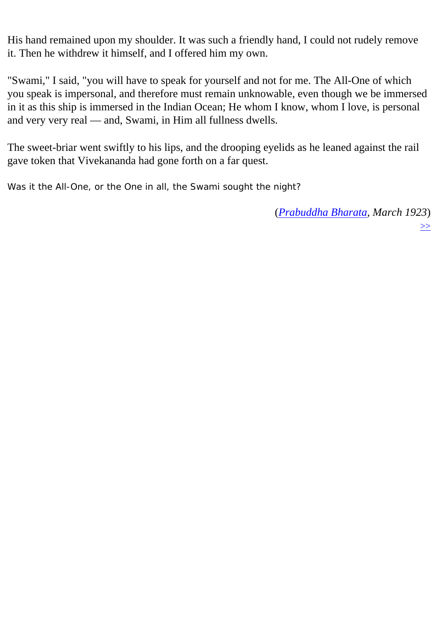His hand remained upon my shoulder. It was such a friendly hand, I could not rudely remove it. Then he withdrew it himself, and I offered him my own.

"Swami," I said, "you will have to speak for yourself and not for me. The All-One of which you speak is impersonal, and therefore must remain unknowable, even though we be immersed in it as this ship is immersed in the Indian Ocean; He whom I know, whom I love, is personal and very very real — and, Swami, in Him all fullness dwells.

The sweet-briar went swiftly to his lips, and the drooping eyelids as he leaned against the rail gave token that Vivekananda had gone forth on a far quest.

Was it the All-One, or the One in all, the Swami sought the night?

(*[Prabuddha Bharata,](http://www.advaitaashrama.org/prabuddha_bharata.html) March 1923*)

 $\geq$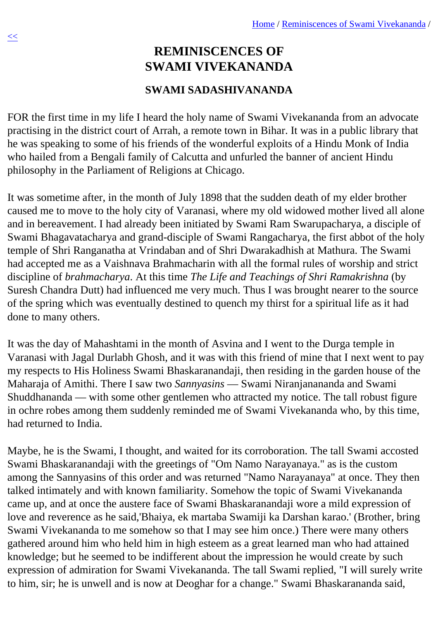# **REMINISCENCES OF SWAMI VIVEKANANDA**

#### **SWAMI SADASHIVANANDA**

FOR the first time in my life I heard the holy name of Swami Vivekananda from an advocate practising in the district court of Arrah, a remote town in Bihar. It was in a public library that he was speaking to some of his friends of the wonderful exploits of a Hindu Monk of India who hailed from a Bengali family of Calcutta and unfurled the banner of ancient Hindu philosophy in the Parliament of Religions at Chicago.

It was sometime after, in the month of July 1898 that the sudden death of my elder brother caused me to move to the holy city of Varanasi, where my old widowed mother lived all alone and in bereavement. I had already been initiated by Swami Ram Swarupacharya, a disciple of Swami Bhagavatacharya and grand-disciple of Swami Rangacharya, the first abbot of the holy temple of Shri Ranganatha at Vrindaban and of Shri Dwarakadhish at Mathura. The Swami had accepted me as a Vaishnava Brahmacharin with all the formal rules of worship and strict discipline of *brahmacharya*. At this time *The Life and Teachings of Shri Ramakrishna* (by Suresh Chandra Dutt) had influenced me very much. Thus I was brought nearer to the source of the spring which was eventually destined to quench my thirst for a spiritual life as it had done to many others.

It was the day of Mahashtami in the month of Asvina and I went to the Durga temple in Varanasi with Jagal Durlabh Ghosh, and it was with this friend of mine that I next went to pay my respects to His Holiness Swami Bhaskaranandaji, then residing in the garden house of the Maharaja of Amithi. There I saw two *Sannyasins* — Swami Niranjanananda and Swami Shuddhananda — with some other gentlemen who attracted my notice. The tall robust figure in ochre robes among them suddenly reminded me of Swami Vivekananda who, by this time, had returned to India.

Maybe, he is the Swami, I thought, and waited for its corroboration. The tall Swami accosted Swami Bhaskaranandaji with the greetings of "Om Namo Narayanaya." as is the custom among the Sannyasins of this order and was returned "Namo Narayanaya" at once. They then talked intimately and with known familiarity. Somehow the topic of Swami Vivekananda came up, and at once the austere face of Swami Bhaskaranandaji wore a mild expression of love and reverence as he said,'Bhaiya, ek martaba Swamiji ka Darshan karao.' (Brother, bring Swami Vivekananda to me somehow so that I may see him once.) There were many others gathered around him who held him in high esteem as a great learned man who had attained knowledge; but he seemed to be indifferent about the impression he would create by such expression of admiration for Swami Vivekananda. The tall Swami replied, "I will surely write to him, sir; he is unwell and is now at Deoghar for a change." Swami Bhaskarananda said,

<span id="page-267-0"></span> $<<$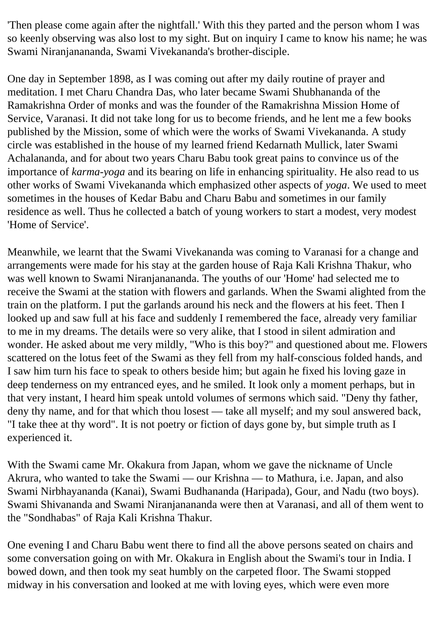'Then please come again after the nightfall.' With this they parted and the person whom I was so keenly observing was also lost to my sight. But on inquiry I came to know his name; he was Swami Niranjanananda, Swami Vivekananda's brother-disciple.

One day in September 1898, as I was coming out after my daily routine of prayer and meditation. I met Charu Chandra Das, who later became Swami Shubhananda of the Ramakrishna Order of monks and was the founder of the Ramakrishna Mission Home of Service, Varanasi. It did not take long for us to become friends, and he lent me a few books published by the Mission, some of which were the works of Swami Vivekananda. A study circle was established in the house of my learned friend Kedarnath Mullick, later Swami Achalananda, and for about two years Charu Babu took great pains to convince us of the importance of *karma-yoga* and its bearing on life in enhancing spirituality. He also read to us other works of Swami Vivekananda which emphasized other aspects of *yoga*. We used to meet sometimes in the houses of Kedar Babu and Charu Babu and sometimes in our family residence as well. Thus he collected a batch of young workers to start a modest, very modest 'Home of Service'.

Meanwhile, we learnt that the Swami Vivekananda was coming to Varanasi for a change and arrangements were made for his stay at the garden house of Raja Kali Krishna Thakur, who was well known to Swami Niranjanananda. The youths of our 'Home' had selected me to receive the Swami at the station with flowers and garlands. When the Swami alighted from the train on the platform. I put the garlands around his neck and the flowers at his feet. Then I looked up and saw full at his face and suddenly I remembered the face, already very familiar to me in my dreams. The details were so very alike, that I stood in silent admiration and wonder. He asked about me very mildly, "Who is this boy?" and questioned about me. Flowers scattered on the lotus feet of the Swami as they fell from my half-conscious folded hands, and I saw him turn his face to speak to others beside him; but again he fixed his loving gaze in deep tenderness on my entranced eyes, and he smiled. It look only a moment perhaps, but in that very instant, I heard him speak untold volumes of sermons which said. "Deny thy father, deny thy name, and for that which thou losest — take all myself; and my soul answered back, "I take thee at thy word". It is not poetry or fiction of days gone by, but simple truth as I experienced it.

With the Swami came Mr. Okakura from Japan, whom we gave the nickname of Uncle Akrura, who wanted to take the Swami — our Krishna — to Mathura, i.e. Japan, and also Swami Nirbhayananda (Kanai), Swami Budhananda (Haripada), Gour, and Nadu (two boys). Swami Shivananda and Swami Niranjanananda were then at Varanasi, and all of them went to the "Sondhabas" of Raja Kali Krishna Thakur.

One evening I and Charu Babu went there to find all the above persons seated on chairs and some conversation going on with Mr. Okakura in English about the Swami's tour in India. I bowed down, and then took my seat humbly on the carpeted floor. The Swami stopped midway in his conversation and looked at me with loving eyes, which were even more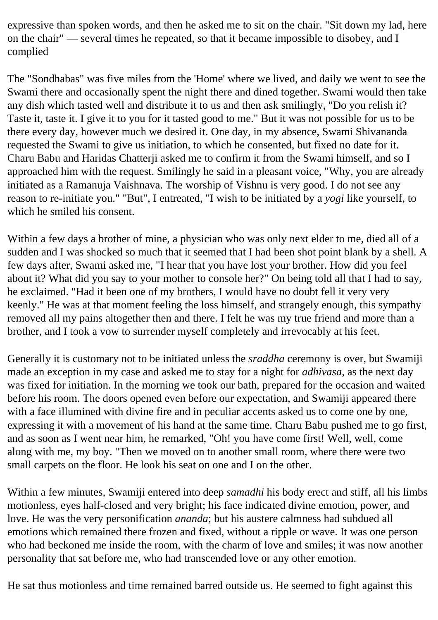expressive than spoken words, and then he asked me to sit on the chair. "Sit down my lad, here on the chair" — several times he repeated, so that it became impossible to disobey, and I complied

The "Sondhabas" was five miles from the 'Home' where we lived, and daily we went to see the Swami there and occasionally spent the night there and dined together. Swami would then take any dish which tasted well and distribute it to us and then ask smilingly, "Do you relish it? Taste it, taste it. I give it to you for it tasted good to me." But it was not possible for us to be there every day, however much we desired it. One day, in my absence, Swami Shivananda requested the Swami to give us initiation, to which he consented, but fixed no date for it. Charu Babu and Haridas Chatterji asked me to confirm it from the Swami himself, and so I approached him with the request. Smilingly he said in a pleasant voice, "Why, you are already initiated as a Ramanuja Vaishnava. The worship of Vishnu is very good. I do not see any reason to re-initiate you." "But", I entreated, "I wish to be initiated by a *yogi* like yourself, to which he smiled his consent.

Within a few days a brother of mine, a physician who was only next elder to me, died all of a sudden and I was shocked so much that it seemed that I had been shot point blank by a shell. A few days after, Swami asked me, "I hear that you have lost your brother. How did you feel about it? What did you say to your mother to console her?" On being told all that I had to say, he exclaimed. "Had it been one of my brothers, I would have no doubt fell it very very keenly." He was at that moment feeling the loss himself, and strangely enough, this sympathy removed all my pains altogether then and there. I felt he was my true friend and more than a brother, and I took a vow to surrender myself completely and irrevocably at his feet.

Generally it is customary not to be initiated unless the *sraddha* ceremony is over, but Swamiji made an exception in my case and asked me to stay for a night for *adhivasa*, as the next day was fixed for initiation. In the morning we took our bath, prepared for the occasion and waited before his room. The doors opened even before our expectation, and Swamiji appeared there with a face illumined with divine fire and in peculiar accents asked us to come one by one, expressing it with a movement of his hand at the same time. Charu Babu pushed me to go first, and as soon as I went near him, he remarked, "Oh! you have come first! Well, well, come along with me, my boy. "Then we moved on to another small room, where there were two small carpets on the floor. He look his seat on one and I on the other.

Within a few minutes, Swamiji entered into deep *samadhi* his body erect and stiff, all his limbs motionless, eyes half-closed and very bright; his face indicated divine emotion, power, and love. He was the very personification *ananda*; but his austere calmness had subdued all emotions which remained there frozen and fixed, without a ripple or wave. It was one person who had beckoned me inside the room, with the charm of love and smiles; it was now another personality that sat before me, who had transcended love or any other emotion.

He sat thus motionless and time remained barred outside us. He seemed to fight against this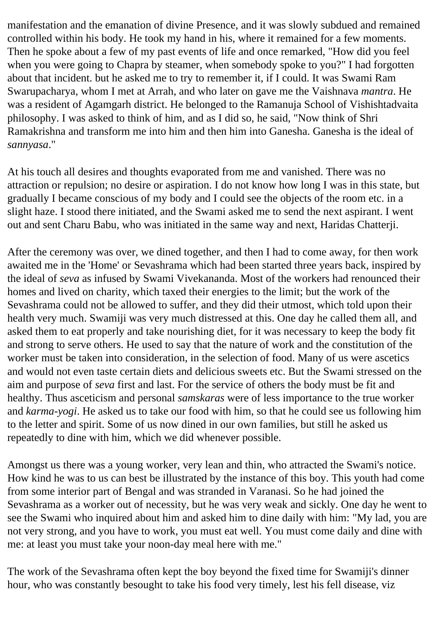manifestation and the emanation of divine Presence, and it was slowly subdued and remained controlled within his body. He took my hand in his, where it remained for a few moments. Then he spoke about a few of my past events of life and once remarked, "How did you feel when you were going to Chapra by steamer, when somebody spoke to you?" I had forgotten about that incident. but he asked me to try to remember it, if I could. It was Swami Ram Swarupacharya, whom I met at Arrah, and who later on gave me the Vaishnava *mantra*. He was a resident of Agamgarh district. He belonged to the Ramanuja School of Vishishtadvaita philosophy. I was asked to think of him, and as I did so, he said, "Now think of Shri Ramakrishna and transform me into him and then him into Ganesha. Ganesha is the ideal of *sannyasa*."

At his touch all desires and thoughts evaporated from me and vanished. There was no attraction or repulsion; no desire or aspiration. I do not know how long I was in this state, but gradually I became conscious of my body and I could see the objects of the room etc. in a slight haze. I stood there initiated, and the Swami asked me to send the next aspirant. I went out and sent Charu Babu, who was initiated in the same way and next, Haridas Chatterji.

After the ceremony was over, we dined together, and then I had to come away, for then work awaited me in the 'Home' or Sevashrama which had been started three years back, inspired by the ideal of *seva* as infused by Swami Vivekananda. Most of the workers had renounced their homes and lived on charity, which taxed their energies to the limit; but the work of the Sevashrama could not be allowed to suffer, and they did their utmost, which told upon their health very much. Swamiji was very much distressed at this. One day he called them all, and asked them to eat properly and take nourishing diet, for it was necessary to keep the body fit and strong to serve others. He used to say that the nature of work and the constitution of the worker must be taken into consideration, in the selection of food. Many of us were ascetics and would not even taste certain diets and delicious sweets etc. But the Swami stressed on the aim and purpose of *seva* first and last. For the service of others the body must be fit and healthy. Thus asceticism and personal *samskaras* were of less importance to the true worker and *karma-yogi*. He asked us to take our food with him, so that he could see us following him to the letter and spirit. Some of us now dined in our own families, but still he asked us repeatedly to dine with him, which we did whenever possible.

Amongst us there was a young worker, very lean and thin, who attracted the Swami's notice. How kind he was to us can best be illustrated by the instance of this boy. This youth had come from some interior part of Bengal and was stranded in Varanasi. So he had joined the Sevashrama as a worker out of necessity, but he was very weak and sickly. One day he went to see the Swami who inquired about him and asked him to dine daily with him: "My lad, you are not very strong, and you have to work, you must eat well. You must come daily and dine with me: at least you must take your noon-day meal here with me."

The work of the Sevashrama often kept the boy beyond the fixed time for Swamiji's dinner hour, who was constantly besought to take his food very timely, lest his fell disease, viz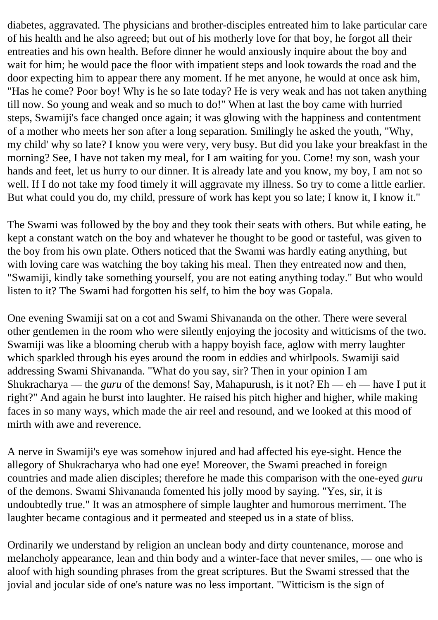diabetes, aggravated. The physicians and brother-disciples entreated him to lake particular care of his health and he also agreed; but out of his motherly love for that boy, he forgot all their entreaties and his own health. Before dinner he would anxiously inquire about the boy and wait for him; he would pace the floor with impatient steps and look towards the road and the door expecting him to appear there any moment. If he met anyone, he would at once ask him, "Has he come? Poor boy! Why is he so late today? He is very weak and has not taken anything till now. So young and weak and so much to do!" When at last the boy came with hurried steps, Swamiji's face changed once again; it was glowing with the happiness and contentment of a mother who meets her son after a long separation. Smilingly he asked the youth, "Why, my child' why so late? I know you were very, very busy. But did you lake your breakfast in the morning? See, I have not taken my meal, for I am waiting for you. Come! my son, wash your hands and feet, let us hurry to our dinner. It is already late and you know, my boy, I am not so well. If I do not take my food timely it will aggravate my illness. So try to come a little earlier. But what could you do, my child, pressure of work has kept you so late; I know it, I know it."

The Swami was followed by the boy and they took their seats with others. But while eating, he kept a constant watch on the boy and whatever he thought to be good or tasteful, was given to the boy from his own plate. Others noticed that the Swami was hardly eating anything, but with loving care was watching the boy taking his meal. Then they entreated now and then, "Swamiji, kindly take something yourself, you are not eating anything today." But who would listen to it? The Swami had forgotten his self, to him the boy was Gopala.

One evening Swamiji sat on a cot and Swami Shivananda on the other. There were several other gentlemen in the room who were silently enjoying the jocosity and witticisms of the two. Swamiji was like a blooming cherub with a happy boyish face, aglow with merry laughter which sparkled through his eyes around the room in eddies and whirlpools. Swamiji said addressing Swami Shivananda. "What do you say, sir? Then in your opinion I am Shukracharya — the *guru* of the demons! Say, Mahapurush, is it not? Eh — eh — have I put it right?" And again he burst into laughter. He raised his pitch higher and higher, while making faces in so many ways, which made the air reel and resound, and we looked at this mood of mirth with awe and reverence.

A nerve in Swamiji's eye was somehow injured and had affected his eye-sight. Hence the allegory of Shukracharya who had one eye! Moreover, the Swami preached in foreign countries and made alien disciples; therefore he made this comparison with the one-eyed *guru* of the demons. Swami Shivananda fomented his jolly mood by saying. "Yes, sir, it is undoubtedly true." It was an atmosphere of simple laughter and humorous merriment. The laughter became contagious and it permeated and steeped us in a state of bliss.

Ordinarily we understand by religion an unclean body and dirty countenance, morose and melancholy appearance, lean and thin body and a winter-face that never smiles, — one who is aloof with high sounding phrases from the great scriptures. But the Swami stressed that the jovial and jocular side of one's nature was no less important. "Witticism is the sign of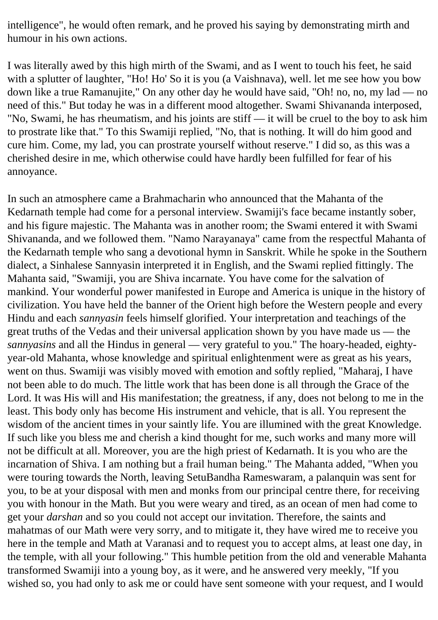intelligence", he would often remark, and he proved his saying by demonstrating mirth and humour in his own actions.

I was literally awed by this high mirth of the Swami, and as I went to touch his feet, he said with a splutter of laughter, "Ho! Ho' So it is you (a Vaishnava), well. let me see how you bow down like a true Ramanujite," On any other day he would have said, "Oh! no, no, my lad — no need of this." But today he was in a different mood altogether. Swami Shivananda interposed, "No, Swami, he has rheumatism, and his joints are stiff — it will be cruel to the boy to ask him to prostrate like that." To this Swamiji replied, "No, that is nothing. It will do him good and cure him. Come, my lad, you can prostrate yourself without reserve." I did so, as this was a cherished desire in me, which otherwise could have hardly been fulfilled for fear of his annoyance.

In such an atmosphere came a Brahmacharin who announced that the Mahanta of the Kedarnath temple had come for a personal interview. Swamiji's face became instantly sober, and his figure majestic. The Mahanta was in another room; the Swami entered it with Swami Shivananda, and we followed them. "Namo Narayanaya" came from the respectful Mahanta of the Kedarnath temple who sang a devotional hymn in Sanskrit. While he spoke in the Southern dialect, a Sinhalese Sannyasin interpreted it in English, and the Swami replied fittingly. The Mahanta said, "Swamiji, you are Shiva incarnate. You have come for the salvation of mankind. Your wonderful power manifested in Europe and America is unique in the history of civilization. You have held the banner of the Orient high before the Western people and every Hindu and each *sannyasin* feels himself glorified. Your interpretation and teachings of the great truths of the Vedas and their universal application shown by you have made us — the *sannyasins* and all the Hindus in general — very grateful to you." The hoary-headed, eightyyear-old Mahanta, whose knowledge and spiritual enlightenment were as great as his years, went on thus. Swamiji was visibly moved with emotion and softly replied, "Maharaj, I have not been able to do much. The little work that has been done is all through the Grace of the Lord. It was His will and His manifestation; the greatness, if any, does not belong to me in the least. This body only has become His instrument and vehicle, that is all. You represent the wisdom of the ancient times in your saintly life. You are illumined with the great Knowledge. If such like you bless me and cherish a kind thought for me, such works and many more will not be difficult at all. Moreover, you are the high priest of Kedarnath. It is you who are the incarnation of Shiva. I am nothing but a frail human being." The Mahanta added, "When you were touring towards the North, leaving SetuBandha Rameswaram, a palanquin was sent for you, to be at your disposal with men and monks from our principal centre there, for receiving you with honour in the Math. But you were weary and tired, as an ocean of men had come to get your *darshan* and so you could not accept our invitation. Therefore, the saints and mahatmas of our Math were very sorry, and to mitigate it, they have wired me to receive you here in the temple and Math at Varanasi and to request you to accept alms, at least one day, in the temple, with all your following." This humble petition from the old and venerable Mahanta transformed Swamiji into a young boy, as it were, and he answered very meekly, "If you wished so, you had only to ask me or could have sent someone with your request, and I would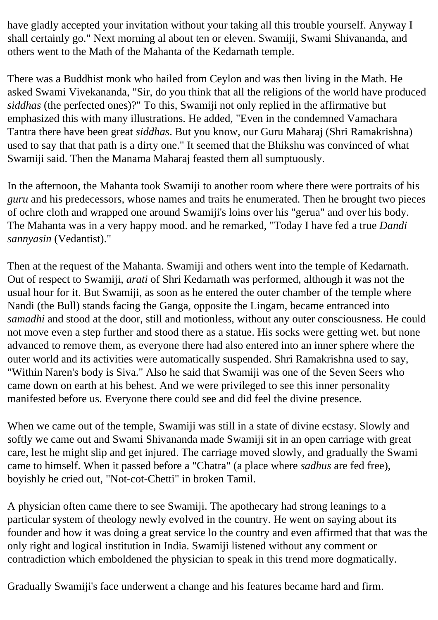have gladly accepted your invitation without your taking all this trouble yourself. Anyway I shall certainly go." Next morning al about ten or eleven. Swamiji, Swami Shivananda, and others went to the Math of the Mahanta of the Kedarnath temple.

There was a Buddhist monk who hailed from Ceylon and was then living in the Math. He asked Swami Vivekananda, "Sir, do you think that all the religions of the world have produced *siddhas* (the perfected ones)?" To this, Swamiji not only replied in the affirmative but emphasized this with many illustrations. He added, "Even in the condemned Vamachara Tantra there have been great *siddhas*. But you know, our Guru Maharaj (Shri Ramakrishna) used to say that that path is a dirty one." It seemed that the Bhikshu was convinced of what Swamiji said. Then the Manama Maharaj feasted them all sumptuously.

In the afternoon, the Mahanta took Swamiji to another room where there were portraits of his *guru* and his predecessors, whose names and traits he enumerated. Then he brought two pieces of ochre cloth and wrapped one around Swamiji's loins over his "gerua" and over his body. The Mahanta was in a very happy mood. and he remarked, "Today I have fed a true *Dandi sannyasin* (Vedantist)."

Then at the request of the Mahanta. Swamiji and others went into the temple of Kedarnath. Out of respect to Swamiji, *arati* of Shri Kedarnath was performed, although it was not the usual hour for it. But Swamiji, as soon as he entered the outer chamber of the temple where Nandi (the Bull) stands facing the Ganga, opposite the Lingam, became entranced into *samadhi* and stood at the door, still and motionless, without any outer consciousness. He could not move even a step further and stood there as a statue. His socks were getting wet. but none advanced to remove them, as everyone there had also entered into an inner sphere where the outer world and its activities were automatically suspended. Shri Ramakrishna used to say, "Within Naren's body is Siva." Also he said that Swamiji was one of the Seven Seers who came down on earth at his behest. And we were privileged to see this inner personality manifested before us. Everyone there could see and did feel the divine presence.

When we came out of the temple, Swamiji was still in a state of divine ecstasy. Slowly and softly we came out and Swami Shivananda made Swamiji sit in an open carriage with great care, lest he might slip and get injured. The carriage moved slowly, and gradually the Swami came to himself. When it passed before a "Chatra" (a place where *sadhus* are fed free), boyishly he cried out, "Not-cot-Chetti" in broken Tamil.

A physician often came there to see Swamiji. The apothecary had strong leanings to a particular system of theology newly evolved in the country. He went on saying about its founder and how it was doing a great service lo the country and even affirmed that that was the only right and logical institution in India. Swamiji listened without any comment or contradiction which emboldened the physician to speak in this trend more dogmatically.

Gradually Swamiji's face underwent a change and his features became hard and firm.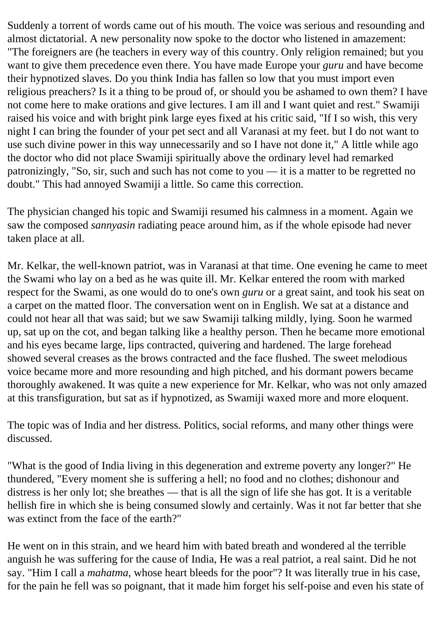Suddenly a torrent of words came out of his mouth. The voice was serious and resounding and almost dictatorial. A new personality now spoke to the doctor who listened in amazement: "The foreigners are (he teachers in every way of this country. Only religion remained; but you want to give them precedence even there. You have made Europe your *guru* and have become their hypnotized slaves. Do you think India has fallen so low that you must import even religious preachers? Is it a thing to be proud of, or should you be ashamed to own them? I have not come here to make orations and give lectures. I am ill and I want quiet and rest." Swamiji raised his voice and with bright pink large eyes fixed at his critic said, "If I so wish, this very night I can bring the founder of your pet sect and all Varanasi at my feet. but I do not want to use such divine power in this way unnecessarily and so I have not done it," A little while ago the doctor who did not place Swamiji spiritually above the ordinary level had remarked patronizingly, "So, sir, such and such has not come to you — it is a matter to be regretted no doubt." This had annoyed Swamiji a little. So came this correction.

The physician changed his topic and Swamiji resumed his calmness in a moment. Again we saw the composed *sannyasin* radiating peace around him, as if the whole episode had never taken place at all.

Mr. Kelkar, the well-known patriot, was in Varanasi at that time. One evening he came to meet the Swami who lay on a bed as he was quite ill. Mr. Kelkar entered the room with marked respect for the Swami, as one would do to one's own *guru* or a great saint, and took his seat on a carpet on the matted floor. The conversation went on in English. We sat at a distance and could not hear all that was said; but we saw Swamiji talking mildly, lying. Soon he warmed up, sat up on the cot, and began talking like a healthy person. Then he became more emotional and his eyes became large, lips contracted, quivering and hardened. The large forehead showed several creases as the brows contracted and the face flushed. The sweet melodious voice became more and more resounding and high pitched, and his dormant powers became thoroughly awakened. It was quite a new experience for Mr. Kelkar, who was not only amazed at this transfiguration, but sat as if hypnotized, as Swamiji waxed more and more eloquent.

The topic was of India and her distress. Politics, social reforms, and many other things were discussed.

"What is the good of India living in this degeneration and extreme poverty any longer?" He thundered, "Every moment she is suffering a hell; no food and no clothes; dishonour and distress is her only lot; she breathes — that is all the sign of life she has got. It is a veritable hellish fire in which she is being consumed slowly and certainly. Was it not far better that she was extinct from the face of the earth?"

He went on in this strain, and we heard him with bated breath and wondered al the terrible anguish he was suffering for the cause of India, He was a real patriot, a real saint. Did he not say. "Him I call a *mahatma*, whose heart bleeds for the poor"? It was literally true in his case, for the pain he fell was so poignant, that it made him forget his self-poise and even his state of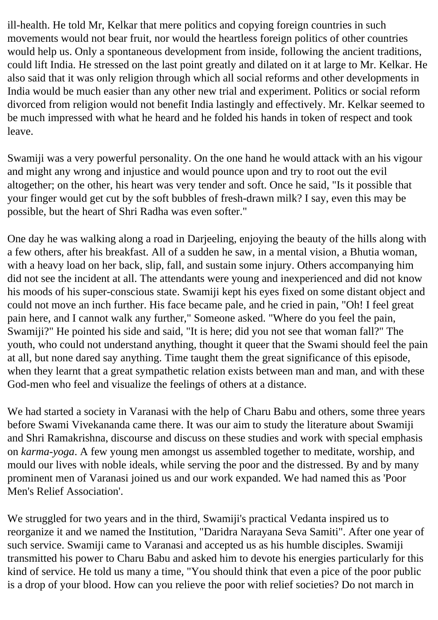ill-health. He told Mr, Kelkar that mere politics and copying foreign countries in such movements would not bear fruit, nor would the heartless foreign politics of other countries would help us. Only a spontaneous development from inside, following the ancient traditions, could lift India. He stressed on the last point greatly and dilated on it at large to Mr. Kelkar. He also said that it was only religion through which all social reforms and other developments in India would be much easier than any other new trial and experiment. Politics or social reform divorced from religion would not benefit India lastingly and effectively. Mr. Kelkar seemed to be much impressed with what he heard and he folded his hands in token of respect and took leave.

Swamiji was a very powerful personality. On the one hand he would attack with an his vigour and might any wrong and injustice and would pounce upon and try to root out the evil altogether; on the other, his heart was very tender and soft. Once he said, "Is it possible that your finger would get cut by the soft bubbles of fresh-drawn milk? I say, even this may be possible, but the heart of Shri Radha was even softer."

One day he was walking along a road in Darjeeling, enjoying the beauty of the hills along with a few others, after his breakfast. All of a sudden he saw, in a mental vision, a Bhutia woman, with a heavy load on her back, slip, fall, and sustain some injury. Others accompanying him did not see the incident at all. The attendants were young and inexperienced and did not know his moods of his super-conscious state. Swamiji kept his eyes fixed on some distant object and could not move an inch further. His face became pale, and he cried in pain, "Oh! I feel great pain here, and I cannot walk any further," Someone asked. "Where do you feel the pain, Swamiji?" He pointed his side and said, "It is here; did you not see that woman fall?" The youth, who could not understand anything, thought it queer that the Swami should feel the pain at all, but none dared say anything. Time taught them the great significance of this episode, when they learnt that a great sympathetic relation exists between man and man, and with these God-men who feel and visualize the feelings of others at a distance.

We had started a society in Varanasi with the help of Charu Babu and others, some three years before Swami Vivekananda came there. It was our aim to study the literature about Swamiji and Shri Ramakrishna, discourse and discuss on these studies and work with special emphasis on *karma-yoga*. A few young men amongst us assembled together to meditate, worship, and mould our lives with noble ideals, while serving the poor and the distressed. By and by many prominent men of Varanasi joined us and our work expanded. We had named this as 'Poor Men's Relief Association'.

We struggled for two years and in the third, Swamiji's practical Vedanta inspired us to reorganize it and we named the Institution, "Daridra Narayana Seva Samiti". After one year of such service. Swamiji came to Varanasi and accepted us as his humble disciples. Swamiji transmitted his power to Charu Babu and asked him to devote his energies particularly for this kind of service. He told us many a time, "You should think that even a pice of the poor public is a drop of your blood. How can you relieve the poor with relief societies? Do not march in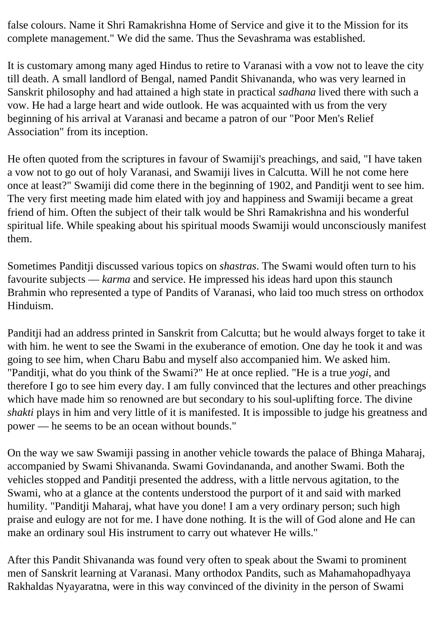false colours. Name it Shri Ramakrishna Home of Service and give it to the Mission for its complete management." We did the same. Thus the Sevashrama was established.

It is customary among many aged Hindus to retire to Varanasi with a vow not to leave the city till death. A small landlord of Bengal, named Pandit Shivananda, who was very learned in Sanskrit philosophy and had attained a high state in practical *sadhana* lived there with such a vow. He had a large heart and wide outlook. He was acquainted with us from the very beginning of his arrival at Varanasi and became a patron of our "Poor Men's Relief Association" from its inception.

He often quoted from the scriptures in favour of Swamiji's preachings, and said, "I have taken a vow not to go out of holy Varanasi, and Swamiji lives in Calcutta. Will he not come here once at least?" Swamiji did come there in the beginning of 1902, and Panditji went to see him. The very first meeting made him elated with joy and happiness and Swamiji became a great friend of him. Often the subject of their talk would be Shri Ramakrishna and his wonderful spiritual life. While speaking about his spiritual moods Swamiji would unconsciously manifest them.

Sometimes Panditji discussed various topics on *shastras*. The Swami would often turn to his favourite subjects — *karma* and service. He impressed his ideas hard upon this staunch Brahmin who represented a type of Pandits of Varanasi, who laid too much stress on orthodox Hinduism.

Panditji had an address printed in Sanskrit from Calcutta; but he would always forget to take it with him. he went to see the Swami in the exuberance of emotion. One day he took it and was going to see him, when Charu Babu and myself also accompanied him. We asked him. "Panditji, what do you think of the Swami?" He at once replied. "He is a true *yogi*, and therefore I go to see him every day. I am fully convinced that the lectures and other preachings which have made him so renowned are but secondary to his soul-uplifting force. The divine *shakti* plays in him and very little of it is manifested. It is impossible to judge his greatness and power — he seems to be an ocean without bounds."

On the way we saw Swamiji passing in another vehicle towards the palace of Bhinga Maharaj, accompanied by Swami Shivananda. Swami Govindananda, and another Swami. Both the vehicles stopped and Panditji presented the address, with a little nervous agitation, to the Swami, who at a glance at the contents understood the purport of it and said with marked humility. "Panditji Maharaj, what have you done! I am a very ordinary person; such high praise and eulogy are not for me. I have done nothing. It is the will of God alone and He can make an ordinary soul His instrument to carry out whatever He wills."

After this Pandit Shivananda was found very often to speak about the Swami to prominent men of Sanskrit learning at Varanasi. Many orthodox Pandits, such as Mahamahopadhyaya Rakhaldas Nyayaratna, were in this way convinced of the divinity in the person of Swami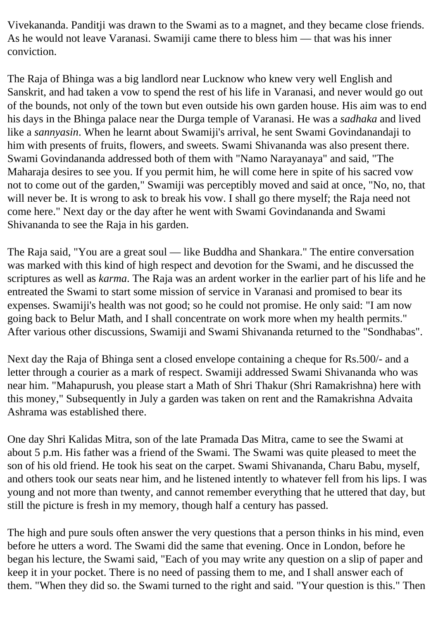Vivekananda. Panditji was drawn to the Swami as to a magnet, and they became close friends. As he would not leave Varanasi. Swamiji came there to bless him — that was his inner conviction.

The Raja of Bhinga was a big landlord near Lucknow who knew very well English and Sanskrit, and had taken a vow to spend the rest of his life in Varanasi, and never would go out of the bounds, not only of the town but even outside his own garden house. His aim was to end his days in the Bhinga palace near the Durga temple of Varanasi. He was a *sadhaka* and lived like a *sannyasin*. When he learnt about Swamiji's arrival, he sent Swami Govindanandaji to him with presents of fruits, flowers, and sweets. Swami Shivananda was also present there. Swami Govindananda addressed both of them with "Namo Narayanaya" and said, "The Maharaja desires to see you. If you permit him, he will come here in spite of his sacred vow not to come out of the garden," Swamiji was perceptibly moved and said at once, "No, no, that will never be. It is wrong to ask to break his vow. I shall go there myself; the Raja need not come here." Next day or the day after he went with Swami Govindananda and Swami Shivananda to see the Raja in his garden.

The Raja said, "You are a great soul — like Buddha and Shankara." The entire conversation was marked with this kind of high respect and devotion for the Swami, and he discussed the scriptures as well as *karma*. The Raja was an ardent worker in the earlier part of his life and he entreated the Swami to start some mission of service in Varanasi and promised to bear its expenses. Swamiji's health was not good; so he could not promise. He only said: "I am now going back to Belur Math, and I shall concentrate on work more when my health permits." After various other discussions, Swamiji and Swami Shivananda returned to the "Sondhabas".

Next day the Raja of Bhinga sent a closed envelope containing a cheque for Rs.500/- and a letter through a courier as a mark of respect. Swamiji addressed Swami Shivananda who was near him. "Mahapurush, you please start a Math of Shri Thakur (Shri Ramakrishna) here with this money," Subsequently in July a garden was taken on rent and the Ramakrishna Advaita Ashrama was established there.

One day Shri Kalidas Mitra, son of the late Pramada Das Mitra, came to see the Swami at about 5 p.m. His father was a friend of the Swami. The Swami was quite pleased to meet the son of his old friend. He took his seat on the carpet. Swami Shivananda, Charu Babu, myself, and others took our seats near him, and he listened intently to whatever fell from his lips. I was young and not more than twenty, and cannot remember everything that he uttered that day, but still the picture is fresh in my memory, though half a century has passed.

The high and pure souls often answer the very questions that a person thinks in his mind, even before he utters a word. The Swami did the same that evening. Once in London, before he began his lecture, the Swami said, "Each of you may write any question on a slip of paper and keep it in your pocket. There is no need of passing them to me, and I shall answer each of them. "When they did so. the Swami turned to the right and said. "Your question is this." Then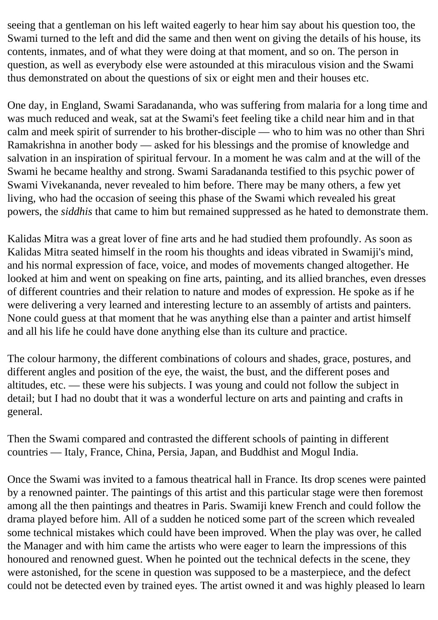seeing that a gentleman on his left waited eagerly to hear him say about his question too, the Swami turned to the left and did the same and then went on giving the details of his house, its contents, inmates, and of what they were doing at that moment, and so on. The person in question, as well as everybody else were astounded at this miraculous vision and the Swami thus demonstrated on about the questions of six or eight men and their houses etc.

One day, in England, Swami Saradananda, who was suffering from malaria for a long time and was much reduced and weak, sat at the Swami's feet feeling tike a child near him and in that calm and meek spirit of surrender to his brother-disciple — who to him was no other than Shri Ramakrishna in another body — asked for his blessings and the promise of knowledge and salvation in an inspiration of spiritual fervour. In a moment he was calm and at the will of the Swami he became healthy and strong. Swami Saradananda testified to this psychic power of Swami Vivekananda, never revealed to him before. There may be many others, a few yet living, who had the occasion of seeing this phase of the Swami which revealed his great powers, the *siddhis* that came to him but remained suppressed as he hated to demonstrate them.

Kalidas Mitra was a great lover of fine arts and he had studied them profoundly. As soon as Kalidas Mitra seated himself in the room his thoughts and ideas vibrated in Swamiji's mind, and his normal expression of face, voice, and modes of movements changed altogether. He looked at him and went on speaking on fine arts, painting, and its allied branches, even dresses of different countries and their relation to nature and modes of expression. He spoke as if he were delivering a very learned and interesting lecture to an assembly of artists and painters. None could guess at that moment that he was anything else than a painter and artist himself and all his life he could have done anything else than its culture and practice.

The colour harmony, the different combinations of colours and shades, grace, postures, and different angles and position of the eye, the waist, the bust, and the different poses and altitudes, etc. — these were his subjects. I was young and could not follow the subject in detail; but I had no doubt that it was a wonderful lecture on arts and painting and crafts in general.

Then the Swami compared and contrasted the different schools of painting in different countries — Italy, France, China, Persia, Japan, and Buddhist and Mogul India.

Once the Swami was invited to a famous theatrical hall in France. Its drop scenes were painted by a renowned painter. The paintings of this artist and this particular stage were then foremost among all the then paintings and theatres in Paris. Swamiji knew French and could follow the drama played before him. All of a sudden he noticed some part of the screen which revealed some technical mistakes which could have been improved. When the play was over, he called the Manager and with him came the artists who were eager to learn the impressions of this honoured and renowned guest. When he pointed out the technical defects in the scene, they were astonished, for the scene in question was supposed to be a masterpiece, and the defect could not be detected even by trained eyes. The artist owned it and was highly pleased lo learn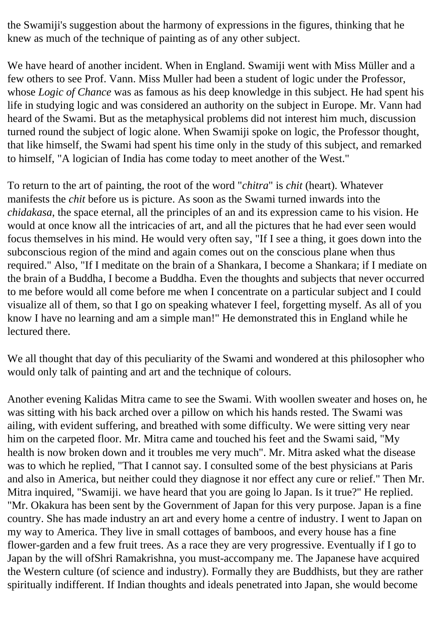the Swamiji's suggestion about the harmony of expressions in the figures, thinking that he knew as much of the technique of painting as of any other subject.

We have heard of another incident. When in England. Swamiji went with Miss Müller and a few others to see Prof. Vann. Miss Muller had been a student of logic under the Professor, whose *Logic of Chance* was as famous as his deep knowledge in this subject. He had spent his life in studying logic and was considered an authority on the subject in Europe. Mr. Vann had heard of the Swami. But as the metaphysical problems did not interest him much, discussion turned round the subject of logic alone. When Swamiji spoke on logic, the Professor thought, that like himself, the Swami had spent his time only in the study of this subject, and remarked to himself, "A logician of India has come today to meet another of the West."

To return to the art of painting, the root of the word "*chitra*" is *chit* (heart). Whatever manifests the *chit* before us is picture. As soon as the Swami turned inwards into the *chidakasa*, the space eternal, all the principles of an and its expression came to his vision. He would at once know all the intricacies of art, and all the pictures that he had ever seen would focus themselves in his mind. He would very often say, "If I see a thing, it goes down into the subconscious region of the mind and again comes out on the conscious plane when thus required." Also, "If I meditate on the brain of a Shankara, I become a Shankara; if I mediate on the brain of a Buddha, I become a Buddha. Even the thoughts and subjects that never occurred to me before would all come before me when I concentrate on a particular subject and I could visualize all of them, so that I go on speaking whatever I feel, forgetting myself. As all of you know I have no learning and am a simple man!" He demonstrated this in England while he lectured there.

We all thought that day of this peculiarity of the Swami and wondered at this philosopher who would only talk of painting and art and the technique of colours.

Another evening Kalidas Mitra came to see the Swami. With woollen sweater and hoses on, he was sitting with his back arched over a pillow on which his hands rested. The Swami was ailing, with evident suffering, and breathed with some difficulty. We were sitting very near him on the carpeted floor. Mr. Mitra came and touched his feet and the Swami said, "My health is now broken down and it troubles me very much". Mr. Mitra asked what the disease was to which he replied, "That I cannot say. I consulted some of the best physicians at Paris and also in America, but neither could they diagnose it nor effect any cure or relief." Then Mr. Mitra inquired, "Swamiji. we have heard that you are going lo Japan. Is it true?" He replied. "Mr. Okakura has been sent by the Government of Japan for this very purpose. Japan is a fine country. She has made industry an art and every home a centre of industry. I went to Japan on my way to America. They live in small cottages of bamboos, and every house has a fine flower-garden and a few fruit trees. As a race they are very progressive. Eventually if I go to Japan by the will ofShri Ramakrishna, you must-accompany me. The Japanese have acquired the Western culture (of science and industry). Formally they are Buddhists, but they are rather spiritually indifferent. If Indian thoughts and ideals penetrated into Japan, she would become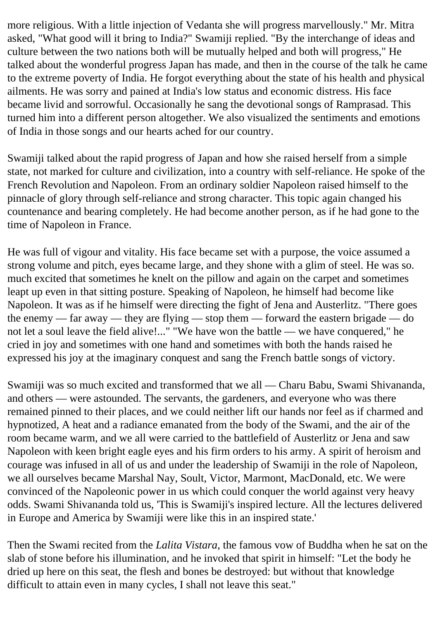more religious. With a little injection of Vedanta she will progress marvellously." Mr. Mitra asked, "What good will it bring to India?" Swamiji replied. "By the interchange of ideas and culture between the two nations both will be mutually helped and both will progress," He talked about the wonderful progress Japan has made, and then in the course of the talk he came to the extreme poverty of India. He forgot everything about the state of his health and physical ailments. He was sorry and pained at India's low status and economic distress. His face became livid and sorrowful. Occasionally he sang the devotional songs of Ramprasad. This turned him into a different person altogether. We also visualized the sentiments and emotions of India in those songs and our hearts ached for our country.

Swamiji talked about the rapid progress of Japan and how she raised herself from a simple state, not marked for culture and civilization, into a country with self-reliance. He spoke of the French Revolution and Napoleon. From an ordinary soldier Napoleon raised himself to the pinnacle of glory through self-reliance and strong character. This topic again changed his countenance and bearing completely. He had become another person, as if he had gone to the time of Napoleon in France.

He was full of vigour and vitality. His face became set with a purpose, the voice assumed a strong volume and pitch, eyes became large, and they shone with a glim of steel. He was so. much excited that sometimes he knelt on the pillow and again on the carpet and sometimes leapt up even in that sitting posture. Speaking of Napoleon, he himself had become like Napoleon. It was as if he himself were directing the fight of Jena and Austerlitz. "There goes the enemy — far away — they are flying — stop them — forward the eastern brigade — do not let a soul leave the field alive!..." "We have won the battle — we have conquered," he cried in joy and sometimes with one hand and sometimes with both the hands raised he expressed his joy at the imaginary conquest and sang the French battle songs of victory.

Swamiji was so much excited and transformed that we all — Charu Babu, Swami Shivananda, and others — were astounded. The servants, the gardeners, and everyone who was there remained pinned to their places, and we could neither lift our hands nor feel as if charmed and hypnotized, A heat and a radiance emanated from the body of the Swami, and the air of the room became warm, and we all were carried to the battlefield of Austerlitz or Jena and saw Napoleon with keen bright eagle eyes and his firm orders to his army. A spirit of heroism and courage was infused in all of us and under the leadership of Swamiji in the role of Napoleon, we all ourselves became Marshal Nay, Soult, Victor, Marmont, MacDonald, etc. We were convinced of the Napoleonic power in us which could conquer the world against very heavy odds. Swami Shivananda told us, 'This is Swamiji's inspired lecture. All the lectures delivered in Europe and America by Swamiji were like this in an inspired state.'

Then the Swami recited from the *Lalita Vistara*, the famous vow of Buddha when he sat on the slab of stone before his illumination, and he invoked that spirit in himself: "Let the body he dried up here on this seat, the flesh and bones be destroyed: but without that knowledge difficult to attain even in many cycles, I shall not leave this seat."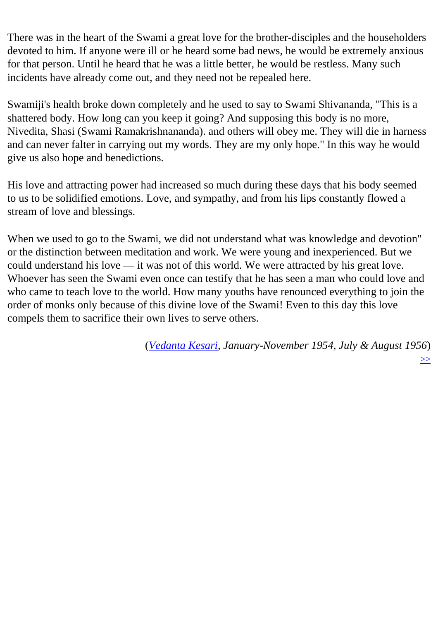There was in the heart of the Swami a great love for the brother-disciples and the householders devoted to him. If anyone were ill or he heard some bad news, he would be extremely anxious for that person. Until he heard that he was a little better, he would be restless. Many such incidents have already come out, and they need not be repealed here.

Swamiji's health broke down completely and he used to say to Swami Shivananda, "This is a shattered body. How long can you keep it going? And supposing this body is no more, Nivedita, Shasi (Swami Ramakrishnananda). and others will obey me. They will die in harness and can never falter in carrying out my words. They are my only hope." In this way he would give us also hope and benedictions.

His love and attracting power had increased so much during these days that his body seemed to us to be solidified emotions. Love, and sympathy, and from his lips constantly flowed a stream of love and blessings.

When we used to go to the Swami, we did not understand what was knowledge and devotion" or the distinction between meditation and work. We were young and inexperienced. But we could understand his love — it was not of this world. We were attracted by his great love. Whoever has seen the Swami even once can testify that he has seen a man who could love and who came to teach love to the world. How many youths have renounced everything to join the order of monks only because of this divine love of the Swami! Even to this day this love compels them to sacrifice their own lives to serve others.

(*[Vedanta Kesari,](http://www.sriramakrishnamath.org/Magazine/magazineenglish.aspx?id=Eng) January-November 1954, July & August 1956*)

 $\geq$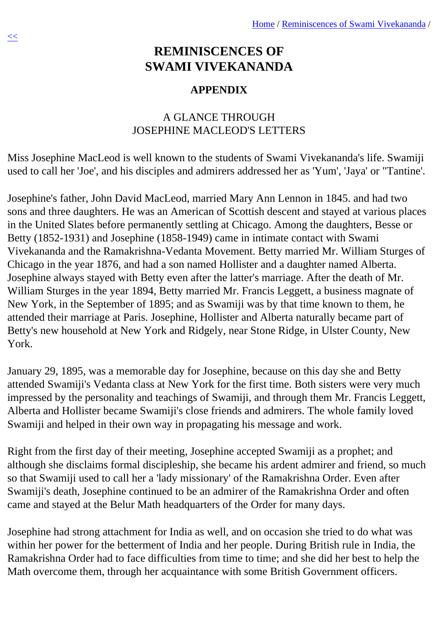# **REMINISCENCES OF SWAMI VIVEKANANDA**

#### **APPENDIX**

### A GLANCE THROUGH JOSEPHINE MACLEOD'S LETTERS

Miss Josephine MacLeod is well known to the students of Swami Vivekananda's life. Swamiji used to call her 'Joe', and his disciples and admirers addressed her as 'Yum', 'Jaya' or "Tantine'.

Josephine's father, John David MacLeod, married Mary Ann Lennon in 1845. and had two sons and three daughters. He was an American of Scottish descent and stayed at various places in the United Slates before permanently settling at Chicago. Among the daughters, Besse or Betty (1852-1931) and Josephine (1858-1949) came in intimate contact with Swami Vivekananda and the Ramakrishna-Vedanta Movement. Betty married Mr. William Sturges of Chicago in the year 1876, and had a son named Hollister and a daughter named Alberta. Josephine always stayed with Betty even after the latter's marriage. After the death of Mr. William Sturges in the year 1894, Betty married Mr. Francis Leggett, a business magnate of New York, in the September of 1895; and as Swamiji was by that time known to them, he attended their marriage at Paris. Josephine, Hollister and Alberta naturally became part of Betty's new household at New York and Ridgely, near Stone Ridge, in Ulster County, New York.

January 29, 1895, was a memorable day for Josephine, because on this day she and Betty attended Swamiji's Vedanta class at New York for the first time. Both sisters were very much impressed by the personality and teachings of Swamiji, and through them Mr. Francis Leggett, Alberta and Hollister became Swamiji's close friends and admirers. The whole family loved Swamiji and helped in their own way in propagating his message and work.

Right from the first day of their meeting, Josephine accepted Swamiji as a prophet; and although she disclaims formal discipleship, she became his ardent admirer and friend, so much so that Swamiji used to call her a 'lady missionary' of the Ramakrishna Order. Even after Swamiji's death, Josephine continued to be an admirer of the Ramakrishna Order and often came and stayed at the Belur Math headquarters of the Order for many days.

Josephine had strong attachment for India as well, and on occasion she tried to do what was within her power for the betterment of India and her people. During British rule in India, the Ramakrishna Order had to face difficulties from time to time; and she did her best to help the Math overcome them, through her acquaintance with some British Government officers.

<span id="page-282-0"></span> $<<$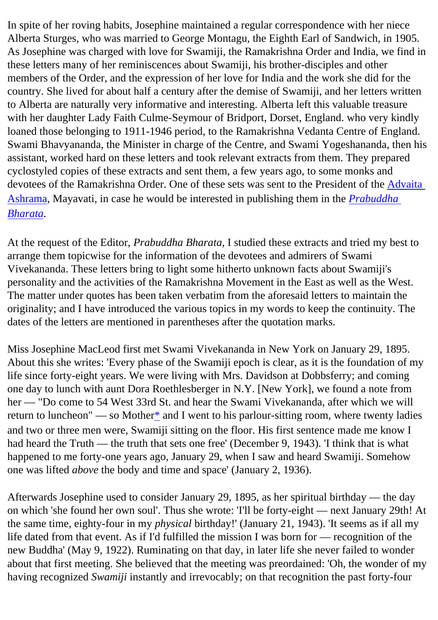In spite of her roving habits, Josephine maintained a regular correspondence with her niece Alberta Sturges, who was married to George Montagu, the Eighth Earl of Sandwich, in 1905. As Josephine was charged with love for Swamiji, the Ramakrishna Order and India, we find in these letters many of her reminiscences about Swamiji, his brother-disciples and other members of the Order, and the expression of her love for India and the work she did for the country. She lived for about half a century after the demise of Swamiji, and her letters written to Alberta are naturally very informative and interesting. Alberta left this valuable treasure with her daughter Lady Faith Culme-Seymour of Bridport, Dorset, England. who very kindly loaned those belonging to 1911-1946 period, to the Ramakrishna Vedanta Centre of England. Swami Bhavyananda, the Minister in charge of the Centre, and Swami Yogeshananda, then his assistant, worked hard on these letters and took relevant extracts from them. They prepared cyclostyled copies of these extracts and sent them, a few years ago, to some monks and devotees of the Ramakrishna Order. One of these sets was sent to the President of the [Advaita](http://www.advaitaashrama.org/)  [Ashrama](http://www.advaitaashrama.org/), Mayavati, in case he would be interested in publishing them in the *[Prabuddha](http://www.advaitaashrama.org/prabuddha_bharata.html) [Bharata](http://www.advaitaashrama.org/prabuddha_bharata.html)*.

At the request of the Editor, *Prabuddha Bharata*, I studied these extracts and tried my best to arrange them topicwise for the information of the devotees and admirers of Swami Vivekananda. These letters bring to light some hitherto unknown facts about Swamiji's personality and the activities of the Ramakrishna Movement in the East as well as the West. The matter under quotes has been taken verbatim from the aforesaid letters to maintain the originality; and I have introduced the various topics in my words to keep the continuity. The dates of the letters are mentioned in parentheses after the quotation marks.

Miss Josephine MacLeod first met Swami Vivekananda in New York on January 29, 1895. About this she writes: 'Every phase of the Swamiji epoch is clear, as it is the foundation of my life since forty-eight years. We were living with Mrs. Davidson at Dobbsferry; and coming one day to lunch with aunt Dora Roethlesberger in N.Y. [New York], we found a note from her — "Do come to 54 West 33rd St. and hear the Swami Vivekananda, after which we will return to luncheon" — so Mother[\\*](#page-282-0) and I went to his parlour-sitting room, where twenty ladies and two or three men were, Swamiji sitting on the floor. His first sentence made me know I had heard the Truth — the truth that sets one free' (December 9, 1943). 'I think that is what happened to me forty-one years ago, January 29, when I saw and heard Swamiji. Somehow one was lifted *above* the body and time and space' (January 2, 1936).

Afterwards Josephine used to consider January 29, 1895, as her spiritual birthday — the day on which 'she found her own soul'. Thus she wrote: 'I'll be forty-eight — next January 29th! At the same time, eighty-four in my *physical* birthday!' (January 21, 1943). 'It seems as if all my life dated from that event. As if I'd fulfilled the mission I was born for — recognition of the new Buddha' (May 9, 1922). Ruminating on that day, in later life she never failed to wonder about that first meeting. She believed that the meeting was preordained: 'Oh, the wonder of my having recognized *Swamiji* instantly and irrevocably; on that recognition the past forty-four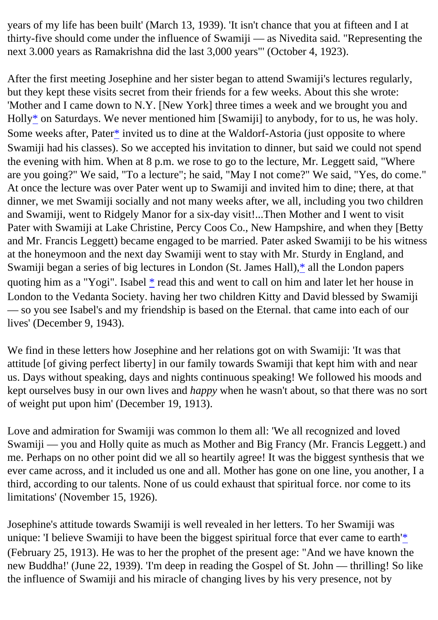years of my life has been built' (March 13, 1939). 'It isn't chance that you at fifteen and I at thirty-five should come under the influence of Swamiji — as Nivedita said. "Representing the next 3.000 years as Ramakrishna did the last 3,000 years"' (October 4, 1923).

After the first meeting Josephine and her sister began to attend Swamiji's lectures regularly, but they kept these visits secret from their friends for a few weeks. About this she wrote: 'Mother and I came down to N.Y. [New York] three times a week and we brought you and Holl[y\\*](#page-282-0) on Saturdays. We never mentioned him [Swamiji] to anybody, for to us, he was holy. Some weeks after, Pater[\\*](#page-282-0) invited us to dine at the Waldorf-Astoria (just opposite to where Swamiji had his classes). So we accepted his invitation to dinner, but said we could not spend the evening with him. When at 8 p.m. we rose to go to the lecture, Mr. Leggett said, "Where are you going?" We said, "To a lecture"; he said, "May I not come?" We said, "Yes, do come." At once the lecture was over Pater went up to Swamiji and invited him to dine; there, at that dinner, we met Swamiji socially and not many weeks after, we all, including you two children and Swamiji, went to Ridgely Manor for a six-day visit!...Then Mother and I went to visit Pater with Swamiji at Lake Christine, Percy Coos Co., New Hampshire, and when they [Betty and Mr. Francis Leggett) became engaged to be married. Pater asked Swamiji to be his witness at the honeymoon and the next day Swamiji went to stay with Mr. Sturdy in England, and Swamiji began a series of big lectures in London (St. James Hall), in all the London papers quoting him as a "Yogi". Isabel [\\*](#page-282-0) read this and went to call on him and later let her house in London to the Vedanta Society. having her two children Kitty and David blessed by Swamiji — so you see Isabel's and my friendship is based on the Eternal. that came into each of our lives' (December 9, 1943).

We find in these letters how Josephine and her relations got on with Swamiji: 'It was that attitude [of giving perfect liberty] in our family towards Swamiji that kept him with and near us. Days without speaking, days and nights continuous speaking! We followed his moods and kept ourselves busy in our own lives and *happy* when he wasn't about, so that there was no sort of weight put upon him' (December 19, 1913).

Love and admiration for Swamiji was common lo them all: 'We all recognized and loved Swamiji — you and Holly quite as much as Mother and Big Francy (Mr. Francis Leggett.) and me. Perhaps on no other point did we all so heartily agree! It was the biggest synthesis that we ever came across, and it included us one and all. Mother has gone on one line, you another, I a third, according to our talents. None of us could exhaust that spiritual force. nor come to its limitations' (November 15, 1926).

Josephine's attitude towards Swamiji is well revealed in her letters. To her Swamiji was unique: 'I believe Swamiji to have been the biggest spiritual force that ever came to earth'[\\*](#page-282-0) (February 25, 1913). He was to her the prophet of the present age: "And we have known the new Buddha!' (June 22, 1939). 'I'm deep in reading the Gospel of St. John — thrilling! So like the influence of Swamiji and his miracle of changing lives by his very presence, not by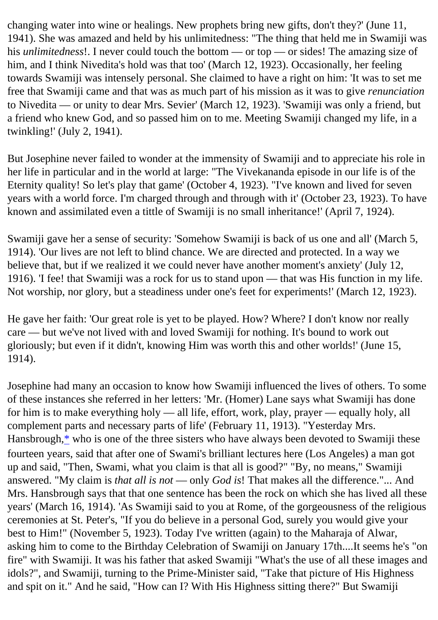changing water into wine or healings. New prophets bring new gifts, don't they?' (June 11, 1941). She was amazed and held by his unlimitedness: "The thing that held me in Swamiji was his *unlimitedness*!. I never could touch the bottom — or top — or sides! The amazing size of him, and I think Nivedita's hold was that too' (March 12, 1923). Occasionally, her feeling towards Swamiji was intensely personal. She claimed to have a right on him: 'It was to set me free that Swamiji came and that was as much part of his mission as it was to give *renunciation* to Nivedita — or unity to dear Mrs. Sevier' (March 12, 1923). 'Swamiji was only a friend, but a friend who knew God, and so passed him on to me. Meeting Swamiji changed my life, in a twinkling!' (July 2, 1941).

But Josephine never failed to wonder at the immensity of Swamiji and to appreciate his role in her life in particular and in the world at large: "The Vivekananda episode in our life is of the Eternity quality! So let's play that game' (October 4, 1923). "I've known and lived for seven years with a world force. I'm charged through and through with it' (October 23, 1923). To have known and assimilated even a tittle of Swamiji is no small inheritance!' (April 7, 1924).

Swamiji gave her a sense of security: 'Somehow Swamiji is back of us one and all' (March 5, 1914). 'Our lives are not left to blind chance. We are directed and protected. In a way we believe that, but if we realized it we could never have another moment's anxiety' (July 12, 1916). 'I fee! that Swamiji was a rock for us to stand upon — that was His function in my life. Not worship, nor glory, but a steadiness under one's feet for experiments!' (March 12, 1923).

He gave her faith: 'Our great role is yet to be played. How? Where? I don't know nor really care — but we've not lived with and loved Swamiji for nothing. It's bound to work out gloriously; but even if it didn't, knowing Him was worth this and other worlds!' (June 15, 1914).

Josephine had many an occasion to know how Swamiji influenced the lives of others. To some of these instances she referred in her letters: 'Mr. (Homer) Lane says what Swamiji has done for him is to make everything holy — all life, effort, work, play, prayer — equally holy, all complement parts and necessary parts of life' (February 11, 1913). "Yesterday Mrs. Hansbrough, $*$  who is one of the three sisters who have always been devoted to Swamiji these fourteen years, said that after one of Swami's brilliant lectures here (Los Angeles) a man got up and said, "Then, Swami, what you claim is that all is good?" "By, no means," Swamiji answered. "My claim is *that all is not* — only *God is*! That makes all the difference."... And Mrs. Hansbrough says that that one sentence has been the rock on which she has lived all these years' (March 16, 1914). 'As Swamiji said to you at Rome, of the gorgeousness of the religious ceremonies at St. Peter's, "If you do believe in a personal God, surely you would give your best to Him!" (November 5, 1923). Today I've written (again) to the Maharaja of Alwar, asking him to come to the Birthday Celebration of Swamiji on January 17th....It seems he's "on fire" with Swamiji. It was his father that asked Swamiji "What's the use of all these images and idols?", and Swamiji, turning to the Prime-Minister said, "Take that picture of His Highness and spit on it." And he said, "How can I? With His Highness sitting there?" But Swamiji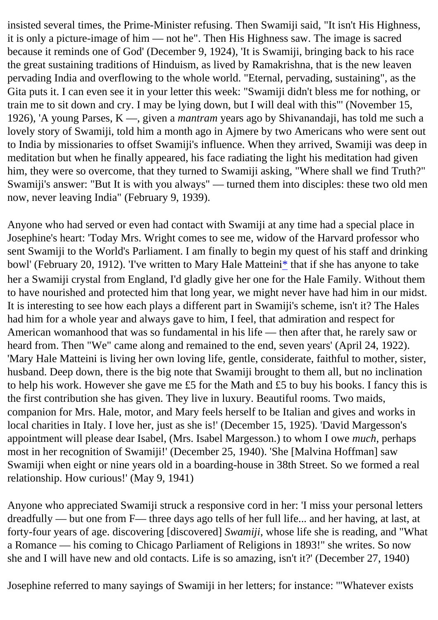insisted several times, the Prime-Minister refusing. Then Swamiji said, "It isn't His Highness, it is only a picture-image of him — not he". Then His Highness saw. The image is sacred because it reminds one of God' (December 9, 1924), 'It is Swamiji, bringing back to his race the great sustaining traditions of Hinduism, as lived by Ramakrishna, that is the new leaven pervading India and overflowing to the whole world. "Eternal, pervading, sustaining", as the Gita puts it. I can even see it in your letter this week: "Swamiji didn't bless me for nothing, or train me to sit down and cry. I may be lying down, but I will deal with this"' (November 15, 1926), 'A young Parses, K —, given a *mantram* years ago by Shivanandaji, has told me such a lovely story of Swamiji, told him a month ago in Ajmere by two Americans who were sent out to India by missionaries to offset Swamiji's influence. When they arrived, Swamiji was deep in meditation but when he finally appeared, his face radiating the light his meditation had given him, they were so overcome, that they turned to Swamiji asking, "Where shall we find Truth?" Swamiji's answer: "But It is with you always" — turned them into disciples: these two old men now, never leaving India" (February 9, 1939).

Anyone who had served or even had contact with Swamiji at any time had a special place in Josephine's heart: 'Today Mrs. Wright comes to see me, widow of the Harvard professor who sent Swamiji to the World's Parliament. I am finally to begin my quest of his staff and drinking bowl' (February 20, 1912). Tve written to Mary Hale Mattein[i\\*](#page-282-0) that if she has anyone to take her a Swamiji crystal from England, I'd gladly give her one for the Hale Family. Without them to have nourished and protected him that long year, we might never have had him in our midst. It is interesting to see how each plays a different part in Swamiji's scheme, isn't it? The Hales had him for a whole year and always gave to him, I feel, that admiration and respect for American womanhood that was so fundamental in his life — then after that, he rarely saw or heard from. Then "We" came along and remained to the end, seven years' (April 24, 1922). 'Mary Hale Matteini is living her own loving life, gentle, considerate, faithful to mother, sister, husband. Deep down, there is the big note that Swamiji brought to them all, but no inclination to help his work. However she gave me £5 for the Math and £5 to buy his books. I fancy this is the first contribution she has given. They live in luxury. Beautiful rooms. Two maids, companion for Mrs. Hale, motor, and Mary feels herself to be Italian and gives and works in local charities in Italy. I love her, just as she is!' (December 15, 1925). 'David Margesson's appointment will please dear Isabel, (Mrs. Isabel Margesson.) to whom I owe *much*, perhaps most in her recognition of Swamiji!' (December 25, 1940). 'She [Malvina Hoffman] saw Swamiji when eight or nine years old in a boarding-house in 38th Street. So we formed a real relationship. How curious!' (May 9, 1941)

Anyone who appreciated Swamiji struck a responsive cord in her: 'I miss your personal letters dreadfully — but one from F— three days ago tells of her full life... and her having, at last, at forty-four years of age. discovering [discovered] *Swamiji*, whose life she is reading, and "What a Romance — his coming to Chicago Parliament of Religions in 1893!" she writes. So now she and I will have new and old contacts. Life is so amazing, isn't it?' (December 27, 1940)

Josephine referred to many sayings of Swamiji in her letters; for instance: '"Whatever exists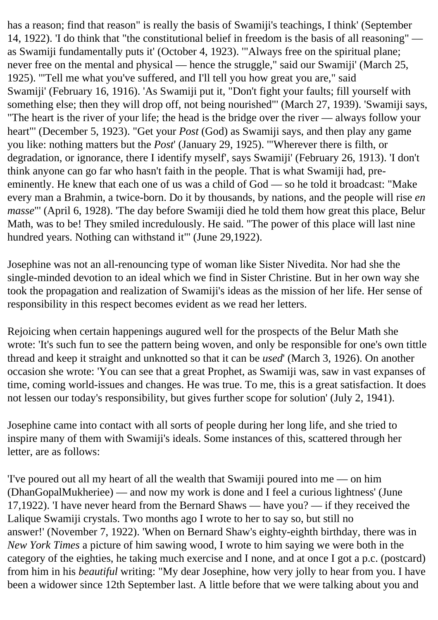has a reason; find that reason" is really the basis of Swamiji's teachings, I think' (September 14, 1922). 'I do think that "the constitutional belief in freedom is the basis of all reasoning" as Swamiji fundamentally puts it' (October 4, 1923). '"Always free on the spiritual plane; never free on the mental and physical — hence the struggle," said our Swamiji' (March 25, 1925). '"Tell me what you've suffered, and I'll tell you how great you are," said Swamiji' (February 16, 1916). 'As Swamiji put it, "Don't fight your faults; fill yourself with something else; then they will drop off, not being nourished"' (March 27, 1939). 'Swamiji says, "The heart is the river of your life; the head is the bridge over the river — always follow your heart"' (December 5, 1923). "Get your *Post* (God) as Swamiji says, and then play any game you like: nothing matters but the *Post*' (January 29, 1925). '"Wherever there is filth, or degradation, or ignorance, there I identify myself', says Swamiji' (February 26, 1913). 'I don't think anyone can go far who hasn't faith in the people. That is what Swamiji had, preeminently. He knew that each one of us was a child of God — so he told it broadcast: "Make every man a Brahmin, a twice-born. Do it by thousands, by nations, and the people will rise *en masse*"' (April 6, 1928). 'The day before Swamiji died he told them how great this place, Belur Math, was to be! They smiled incredulously. He said. "The power of this place will last nine hundred years. Nothing can withstand it"' (June 29,1922).

Josephine was not an all-renouncing type of woman like Sister Nivedita. Nor had she the single-minded devotion to an ideal which we find in Sister Christine. But in her own way she took the propagation and realization of Swamiji's ideas as the mission of her life. Her sense of responsibility in this respect becomes evident as we read her letters.

Rejoicing when certain happenings augured well for the prospects of the Belur Math she wrote: 'It's such fun to see the pattern being woven, and only be responsible for one's own tittle thread and keep it straight and unknotted so that it can be *used*' (March 3, 1926). On another occasion she wrote: 'You can see that a great Prophet, as Swamiji was, saw in vast expanses of time, coming world-issues and changes. He was true. To me, this is a great satisfaction. It does not lessen our today's responsibility, but gives further scope for solution' (July 2, 1941).

Josephine came into contact with all sorts of people during her long life, and she tried to inspire many of them with Swamiji's ideals. Some instances of this, scattered through her letter, are as follows:

'I've poured out all my heart of all the wealth that Swamiji poured into me — on him (DhanGopalMukheriee) — and now my work is done and I feel a curious lightness' (June 17,1922). 'I have never heard from the Bernard Shaws — have you? — if they received the Lalique Swamiji crystals. Two months ago I wrote to her to say so, but still no answer!' (November 7, 1922). 'When on Bernard Shaw's eighty-eighth birthday, there was in *New York Times* a picture of him sawing wood, I wrote to him saying we were both in the category of the eighties, he taking much exercise and I none, and at once I got a p.c. (postcard) from him in his *beautiful* writing: "My dear Josephine, how very jolly to hear from you. I have been a widower since 12th September last. A little before that we were talking about you and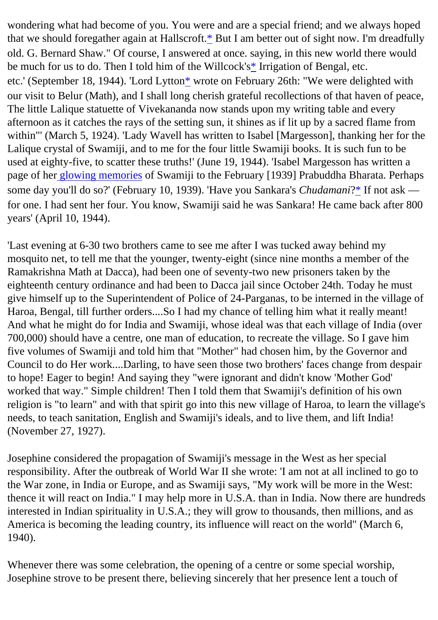wondering what had become of you. You were and are a special friend; and we always hoped that we should foregather again at Hallscroft[.\\*](#page-282-0) But I am better out of sight now. I'm dreadfully old. G. Bernard Shaw." Of course, I answered at once. saying, in this new world there would be much for us to do. Then I told him of the Willcock's[\\*](#page-282-0) Irrigation of Bengal, etc. etc.' (September 18, 1944). 'Lord Lytto[n\\*](#page-282-0) wrote on February 26th: "We were delighted with our visit to Belur (Math), and I shall long cherish grateful recollections of that haven of peace, The little Lalique statuette of Vivekananda now stands upon my writing table and every afternoon as it catches the rays of the setting sun, it shines as if lit up by a sacred flame from within"' (March 5, 1924). 'Lady Wavell has written to Isabel [Margesson], thanking her for the Lalique crystal of Swamiji, and to me for the four little Swamiji books. It is such fun to be used at eighty-five, to scatter these truths!' (June 19, 1944). 'Isabel Margesson has written a page of he[r glowing memories](#page-258-0) of Swamiji to the February [1939] Prabuddha Bharata. Perhaps some day you'll do so?' (February 10, 1939). 'Have you Sankara's *Chudamani*?[\\*](#page-282-0) If not ask for one. I had sent her four. You know, Swamiji said he was Sankara! He came back after 800 years' (April 10, 1944).

'Last evening at 6-30 two brothers came to see me after I was tucked away behind my mosquito net, to tell me that the younger, twenty-eight (since nine months a member of the Ramakrishna Math at Dacca), had been one of seventy-two new prisoners taken by the eighteenth century ordinance and had been to Dacca jail since October 24th. Today he must give himself up to the Superintendent of Police of 24-Parganas, to be interned in the village of Haroa, Bengal, till further orders....So I had my chance of telling him what it really meant! And what he might do for India and Swamiji, whose ideal was that each village of India (over 700,000) should have a centre, one man of education, to recreate the village. So I gave him five volumes of Swamiji and told him that "Mother" had chosen him, by the Governor and Council to do Her work....Darling, to have seen those two brothers' faces change from despair to hope! Eager to begin! And saying they "were ignorant and didn't know 'Mother God' worked that way." Simple children! Then I told them that Swamiji's definition of his own religion is "to learn" and with that spirit go into this new village of Haroa, to learn the village's needs, to teach sanitation, English and Swamiji's ideals, and to live them, and lift India! (November 27, 1927).

Josephine considered the propagation of Swamiji's message in the West as her special responsibility. After the outbreak of World War II she wrote: 'I am not at all inclined to go to the War zone, in India or Europe, and as Swamiji says, "My work will be more in the West: thence it will react on India." I may help more in U.S.A. than in India. Now there are hundreds interested in Indian spirituality in U.S.A.; they will grow to thousands, then millions, and as America is becoming the leading country, its influence will react on the world" (March 6, 1940).

Whenever there was some celebration, the opening of a centre or some special worship, Josephine strove to be present there, believing sincerely that her presence lent a touch of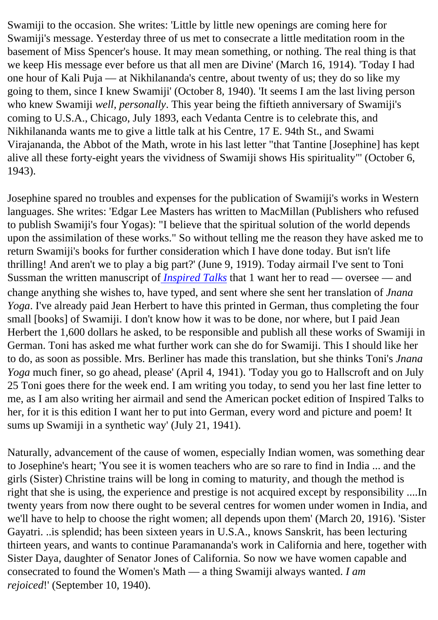Swamiji to the occasion. She writes: 'Little by little new openings are coming here for Swamiji's message. Yesterday three of us met to consecrate a little meditation room in the basement of Miss Spencer's house. It may mean something, or nothing. The real thing is that we keep His message ever before us that all men are Divine' (March 16, 1914). 'Today I had one hour of Kali Puja — at Nikhilananda's centre, about twenty of us; they do so like my going to them, since I knew Swamiji' (October 8, 1940). 'It seems I am the last living person who knew Swamiji *well, personally*. This year being the fiftieth anniversary of Swamiji's coming to U.S.A., Chicago, July 1893, each Vedanta Centre is to celebrate this, and Nikhilananda wants me to give a little talk at his Centre, 17 E. 94th St., and Swami Virajananda, the Abbot of the Math, wrote in his last letter "that Tantine [Josephine] has kept alive all these forty-eight years the vividness of Swamiji shows His spirituality"' (October 6, 1943).

Josephine spared no troubles and expenses for the publication of Swamiji's works in Western languages. She writes: 'Edgar Lee Masters has written to MacMillan (Publishers who refused to publish Swamiji's four Yogas): "I believe that the spiritual solution of the world depends upon the assimilation of these works." So without telling me the reason they have asked me to return Swamiji's books for further consideration which I have done today. But isn't life thrilling! And aren't we to play a big part?' (June 9, 1919). Today airmail I've sent to Toni Sussman the written manuscript of *[Inspired Talks](http://www.ramakrishnavivekananda.info/vivekananda/volume_7/vol_7_frame.htm)* that 1 want her to read — oversee — and change anything she wishes to, have typed, and sent where she sent her translation of *Jnana Yoga*. I've already paid Jean Herbert to have this printed in German, thus completing the four small [books] of Swamiji. I don't know how it was to be done, nor where, but I paid Jean Herbert the 1,600 dollars he asked, to be responsible and publish all these works of Swamiji in German. Toni has asked me what further work can she do for Swamiji. This I should like her to do, as soon as possible. Mrs. Berliner has made this translation, but she thinks Toni's *Jnana Yoga* much finer, so go ahead, please' (April 4, 1941). 'Today you go to Hallscroft and on July 25 Toni goes there for the week end. I am writing you today, to send you her last fine letter to me, as I am also writing her airmail and send the American pocket edition of Inspired Talks to her, for it is this edition I want her to put into German, every word and picture and poem! It sums up Swamiji in a synthetic way' (July 21, 1941).

Naturally, advancement of the cause of women, especially Indian women, was something dear to Josephine's heart; 'You see it is women teachers who are so rare to find in India ... and the girls (Sister) Christine trains will be long in coming to maturity, and though the method is right that she is using, the experience and prestige is not acquired except by responsibility ....In twenty years from now there ought to be several centres for women under women in India, and we'll have to help to choose the right women; all depends upon them' (March 20, 1916). 'Sister Gayatri. ..is splendid; has been sixteen years in U.S.A., knows Sanskrit, has been lecturing thirteen years, and wants to continue Paramananda's work in California and here, together with Sister Daya, daughter of Senator Jones of California. So now we have women capable and consecrated to found the Women's Math — a thing Swamiji always wanted. *I am rejoiced*!' (September 10, 1940).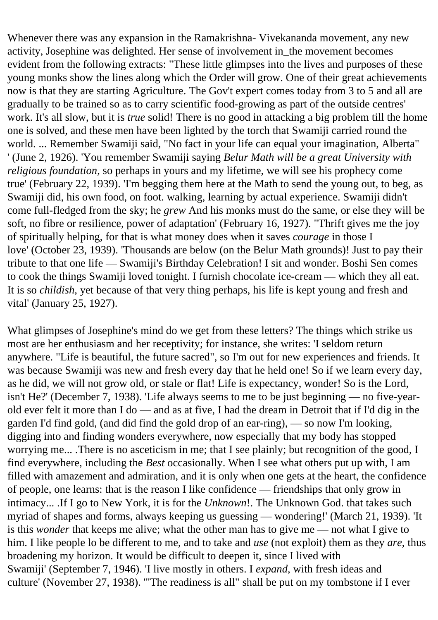Whenever there was any expansion in the Ramakrishna- Vivekananda movement, any new activity, Josephine was delighted. Her sense of involvement in\_the movement becomes evident from the following extracts: "These little glimpses into the lives and purposes of these young monks show the lines along which the Order will grow. One of their great achievements now is that they are starting Agriculture. The Gov't expert comes today from 3 to 5 and all are gradually to be trained so as to carry scientific food-growing as part of the outside centres' work. It's all slow, but it is *true* solid! There is no good in attacking a big problem till the home one is solved, and these men have been lighted by the torch that Swamiji carried round the world. ... Remember Swamiji said, "No fact in your life can equal your imagination, Alberta" ' (June 2, 1926). 'You remember Swamiji saying *Belur Math will be a great University with religious foundation*, so perhaps in yours and my lifetime, we will see his prophecy come true' (February 22, 1939). 'I'm begging them here at the Math to send the young out, to beg, as Swamiji did, his own food, on foot. walking, learning by actual experience. Swamiji didn't come full-fledged from the sky; he *grew* And his monks must do the same, or else they will be soft, no fibre or resilience, power of adaptation' (February 16, 1927). "Thrift gives me the joy of spiritually helping, for that is what money does when it saves *courage* in those I love' (October 23, 1939). 'Thousands are below (on the Belur Math grounds)! Just to pay their tribute to that one life — Swamiji's Birthday Celebration! I sit and wonder. Boshi Sen comes to cook the things Swamiji loved tonight. I furnish chocolate ice-cream — which they all eat. It is so *childish*, yet because of that very thing perhaps, his life is kept young and fresh and vital' (January 25, 1927).

What glimpses of Josephine's mind do we get from these letters? The things which strike us most are her enthusiasm and her receptivity; for instance, she writes: 'I seldom return anywhere. "Life is beautiful, the future sacred", so I'm out for new experiences and friends. It was because Swamiji was new and fresh every day that he held one! So if we learn every day, as he did, we will not grow old, or stale or flat! Life is expectancy, wonder! So is the Lord, isn't He?' (December 7, 1938). 'Life always seems to me to be just beginning — no five-yearold ever felt it more than I do — and as at five, I had the dream in Detroit that if I'd dig in the garden I'd find gold, (and did find the gold drop of an ear-ring), — so now I'm looking, digging into and finding wonders everywhere, now especially that my body has stopped worrying me... .There is no asceticism in me; that I see plainly; but recognition of the good, I find everywhere, including the *Best* occasionally. When I see what others put up with, I am filled with amazement and admiration, and it is only when one gets at the heart, the confidence of people, one learns: that is the reason I like confidence — friendships that only grow in intimacy... .If I go to New York, it is for the *Unknown*!. The Unknown God. that takes such myriad of shapes and forms, always keeping us guessing — wondering!' (March 21, 1939). 'It is this *wonder* that keeps me alive; what the other man has to give me — not what I give to him. I like people lo be different to me, and to take and *use* (not exploit) them as they *are*, thus broadening my horizon. It would be difficult to deepen it, since I lived with Swamiji' (September 7, 1946). 'I live mostly in others. I *expand*, with fresh ideas and culture' (November 27, 1938). '"The readiness is all" shall be put on my tombstone if I ever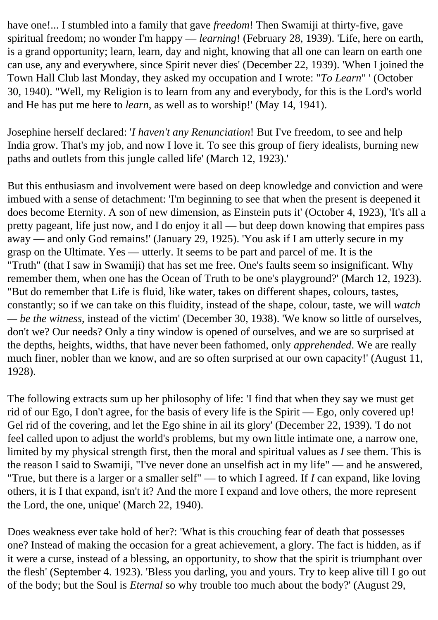have one!... I stumbled into a family that gave *freedom*! Then Swamiji at thirty-five, gave spiritual freedom; no wonder I'm happy — *learning*! (February 28, 1939). 'Life, here on earth, is a grand opportunity; learn, learn, day and night, knowing that all one can learn on earth one can use, any and everywhere, since Spirit never dies' (December 22, 1939). 'When I joined the Town Hall Club last Monday, they asked my occupation and I wrote: "*To Learn*" ' (October 30, 1940). "Well, my Religion is to learn from any and everybody, for this is the Lord's world and He has put me here to *learn*, as well as to worship!' (May 14, 1941).

Josephine herself declared: '*I haven't any Renunciation*! But I've freedom, to see and help India grow. That's my job, and now I love it. To see this group of fiery idealists, burning new paths and outlets from this jungle called life' (March 12, 1923).'

But this enthusiasm and involvement were based on deep knowledge and conviction and were imbued with a sense of detachment: 'I'm beginning to see that when the present is deepened it does become Eternity. A son of new dimension, as Einstein puts it' (October 4, 1923), 'It's all a pretty pageant, life just now, and I do enjoy it all — but deep down knowing that empires pass away — and only God remains!' (January 29, 1925). 'You ask if I am utterly secure in my grasp on the Ultimate. Yes — utterly. It seems to be part and parcel of me. It is the "Truth" (that I saw in Swamiji) that has set me free. One's faults seem so insignificant. Why remember them, when one has the Ocean of Truth to be one's playground?' (March 12, 1923). "But do remember that Life is fluid, like water, takes on different shapes, colours, tastes, constantly; so if we can take on this fluidity, instead of the shape, colour, taste, we will *watch — be the witness*, instead of the victim' (December 30, 1938). 'We know so little of ourselves, don't we? Our needs? Only a tiny window is opened of ourselves, and we are so surprised at the depths, heights, widths, that have never been fathomed, only *apprehended*. We are really much finer, nobler than we know, and are so often surprised at our own capacity!' (August 11, 1928).

The following extracts sum up her philosophy of life: 'I find that when they say we must get rid of our Ego, I don't agree, for the basis of every life is the Spirit — Ego, only covered up! Gel rid of the covering, and let the Ego shine in ail its glory' (December 22, 1939). 'I do not feel called upon to adjust the world's problems, but my own little intimate one, a narrow one, limited by my physical strength first, then the moral and spiritual values as *I* see them. This is the reason I said to Swamiji, "I've never done an unselfish act in my life" — and he answered, "True, but there is a larger or a smaller self" — to which I agreed. If *I* can expand, like loving others, it is I that expand, isn't it? And the more I expand and love others, the more represent the Lord, the one, unique' (March 22, 1940).

Does weakness ever take hold of her?: 'What is this crouching fear of death that possesses one? Instead of making the occasion for a great achievement, a glory. The fact is hidden, as if it were a curse, instead of a blessing, an opportunity, to show that the spirit is triumphant over the flesh' (September 4. 1923). 'Bless you darling, you and yours. Try to keep alive till I go out of the body; but the Soul is *Eternal* so why trouble too much about the body?' (August 29,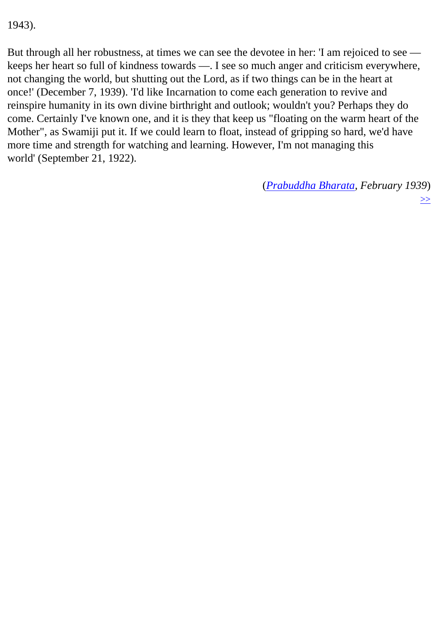#### 1943).

But through all her robustness, at times we can see the devotee in her: 'I am rejoiced to see keeps her heart so full of kindness towards —. I see so much anger and criticism everywhere, not changing the world, but shutting out the Lord, as if two things can be in the heart at once!' (December 7, 1939). 'I'd like Incarnation to come each generation to revive and reinspire humanity in its own divine birthright and outlook; wouldn't you? Perhaps they do come. Certainly I've known one, and it is they that keep us "floating on the warm heart of the Mother", as Swamiji put it. If we could learn to float, instead of gripping so hard, we'd have more time and strength for watching and learning. However, I'm not managing this world' (September 21, 1922).

(*[Prabuddha Bharata](http://www.advaitaashrama.org/prabuddha_bharata.html), February 1939*)

 $\geq$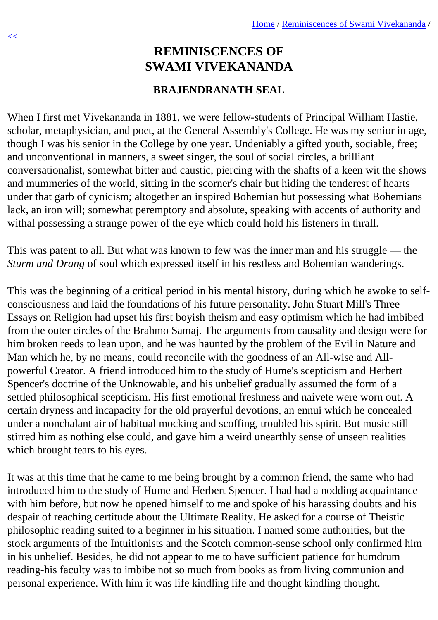# **REMINISCENCES OF SWAMI VIVEKANANDA**

### **BRAJENDRANATH SEAL**

When I first met Vivekananda in 1881, we were fellow-students of Principal William Hastie, scholar, metaphysician, and poet, at the General Assembly's College. He was my senior in age, though I was his senior in the College by one year. Undeniably a gifted youth, sociable, free; and unconventional in manners, a sweet singer, the soul of social circles, a brilliant conversationalist, somewhat bitter and caustic, piercing with the shafts of a keen wit the shows and mummeries of the world, sitting in the scorner's chair but hiding the tenderest of hearts under that garb of cynicism; altogether an inspired Bohemian but possessing what Bohemians lack, an iron will; somewhat peremptory and absolute, speaking with accents of authority and withal possessing a strange power of the eye which could hold his listeners in thrall.

This was patent to all. But what was known to few was the inner man and his struggle — the *Sturm und Drang* of soul which expressed itself in his restless and Bohemian wanderings.

This was the beginning of a critical period in his mental history, during which he awoke to selfconsciousness and laid the foundations of his future personality. John Stuart Mill's Three Essays on Religion had upset his first boyish theism and easy optimism which he had imbibed from the outer circles of the Brahmo Samaj. The arguments from causality and design were for him broken reeds to lean upon, and he was haunted by the problem of the Evil in Nature and Man which he, by no means, could reconcile with the goodness of an All-wise and Allpowerful Creator. A friend introduced him to the study of Hume's scepticism and Herbert Spencer's doctrine of the Unknowable, and his unbelief gradually assumed the form of a settled philosophical scepticism. His first emotional freshness and naivete were worn out. A certain dryness and incapacity for the old prayerful devotions, an ennui which he concealed under a nonchalant air of habitual mocking and scoffing, troubled his spirit. But music still stirred him as nothing else could, and gave him a weird unearthly sense of unseen realities which brought tears to his eyes.

It was at this time that he came to me being brought by a common friend, the same who had introduced him to the study of Hume and Herbert Spencer. I had had a nodding acquaintance with him before, but now he opened himself to me and spoke of his harassing doubts and his despair of reaching certitude about the Ultimate Reality. He asked for a course of Theistic philosophic reading suited to a beginner in his situation. I named some authorities, but the stock arguments of the Intuitionists and the Scotch common-sense school only confirmed him in his unbelief. Besides, he did not appear to me to have sufficient patience for humdrum reading-his faculty was to imbibe not so much from books as from living communion and personal experience. With him it was life kindling life and thought kindling thought.

<span id="page-293-0"></span> $<<$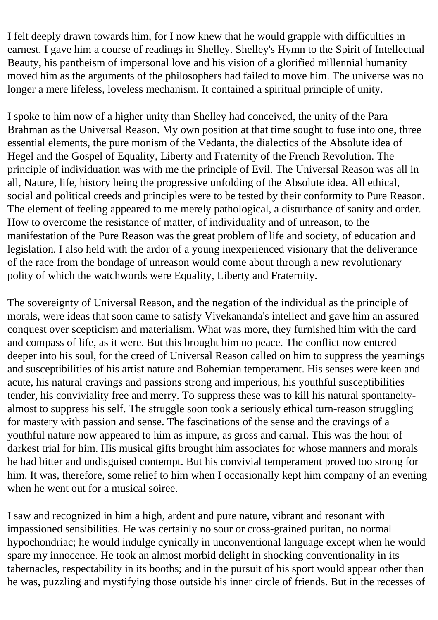I felt deeply drawn towards him, for I now knew that he would grapple with difficulties in earnest. I gave him a course of readings in Shelley. Shelley's Hymn to the Spirit of Intellectual Beauty, his pantheism of impersonal love and his vision of a glorified millennial humanity moved him as the arguments of the philosophers had failed to move him. The universe was no longer a mere lifeless, loveless mechanism. It contained a spiritual principle of unity.

I spoke to him now of a higher unity than Shelley had conceived, the unity of the Para Brahman as the Universal Reason. My own position at that time sought to fuse into one, three essential elements, the pure monism of the Vedanta, the dialectics of the Absolute idea of Hegel and the Gospel of Equality, Liberty and Fraternity of the French Revolution. The principle of individuation was with me the principle of Evil. The Universal Reason was all in all, Nature, life, history being the progressive unfolding of the Absolute idea. All ethical, social and political creeds and principles were to be tested by their conformity to Pure Reason. The element of feeling appeared to me merely pathological, a disturbance of sanity and order. How to overcome the resistance of matter, of individuality and of unreason, to the manifestation of the Pure Reason was the great problem of life and society, of education and legislation. I also held with the ardor of a young inexperienced visionary that the deliverance of the race from the bondage of unreason would come about through a new revolutionary polity of which the watchwords were Equality, Liberty and Fraternity.

The sovereignty of Universal Reason, and the negation of the individual as the principle of morals, were ideas that soon came to satisfy Vivekananda's intellect and gave him an assured conquest over scepticism and materialism. What was more, they furnished him with the card and compass of life, as it were. But this brought him no peace. The conflict now entered deeper into his soul, for the creed of Universal Reason called on him to suppress the yearnings and susceptibilities of his artist nature and Bohemian temperament. His senses were keen and acute, his natural cravings and passions strong and imperious, his youthful susceptibilities tender, his conviviality free and merry. To suppress these was to kill his natural spontaneityalmost to suppress his self. The struggle soon took a seriously ethical turn-reason struggling for mastery with passion and sense. The fascinations of the sense and the cravings of a youthful nature now appeared to him as impure, as gross and carnal. This was the hour of darkest trial for him. His musical gifts brought him associates for whose manners and morals he had bitter and undisguised contempt. But his convivial temperament proved too strong for him. It was, therefore, some relief to him when I occasionally kept him company of an evening when he went out for a musical soiree.

I saw and recognized in him a high, ardent and pure nature, vibrant and resonant with impassioned sensibilities. He was certainly no sour or cross-grained puritan, no normal hypochondriac; he would indulge cynically in unconventional language except when he would spare my innocence. He took an almost morbid delight in shocking conventionality in its tabernacles, respectability in its booths; and in the pursuit of his sport would appear other than he was, puzzling and mystifying those outside his inner circle of friends. But in the recesses of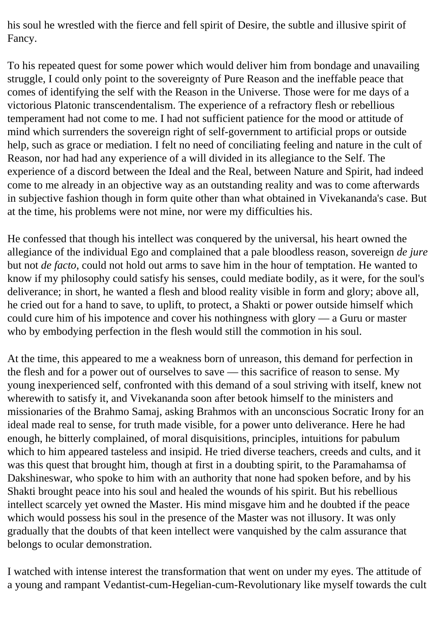his soul he wrestled with the fierce and fell spirit of Desire, the subtle and illusive spirit of Fancy.

To his repeated quest for some power which would deliver him from bondage and unavailing struggle, I could only point to the sovereignty of Pure Reason and the ineffable peace that comes of identifying the self with the Reason in the Universe. Those were for me days of a victorious Platonic transcendentalism. The experience of a refractory flesh or rebellious temperament had not come to me. I had not sufficient patience for the mood or attitude of mind which surrenders the sovereign right of self-government to artificial props or outside help, such as grace or mediation. I felt no need of conciliating feeling and nature in the cult of Reason, nor had had any experience of a will divided in its allegiance to the Self. The experience of a discord between the Ideal and the Real, between Nature and Spirit, had indeed come to me already in an objective way as an outstanding reality and was to come afterwards in subjective fashion though in form quite other than what obtained in Vivekananda's case. But at the time, his problems were not mine, nor were my difficulties his.

He confessed that though his intellect was conquered by the universal, his heart owned the allegiance of the individual Ego and complained that a pale bloodless reason, sovereign *de jure* but not *de facto*, could not hold out arms to save him in the hour of temptation. He wanted to know if my philosophy could satisfy his senses, could mediate bodily, as it were, for the soul's deliverance; in short, he wanted a flesh and blood reality visible in form and glory; above all, he cried out for a hand to save, to uplift, to protect, a Shakti or power outside himself which could cure him of his impotence and cover his nothingness with glory — a Guru or master who by embodying perfection in the flesh would still the commotion in his soul.

At the time, this appeared to me a weakness born of unreason, this demand for perfection in the flesh and for a power out of ourselves to save — this sacrifice of reason to sense. My young inexperienced self, confronted with this demand of a soul striving with itself, knew not wherewith to satisfy it, and Vivekananda soon after betook himself to the ministers and missionaries of the Brahmo Samaj, asking Brahmos with an unconscious Socratic Irony for an ideal made real to sense, for truth made visible, for a power unto deliverance. Here he had enough, he bitterly complained, of moral disquisitions, principles, intuitions for pabulum which to him appeared tasteless and insipid. He tried diverse teachers, creeds and cults, and it was this quest that brought him, though at first in a doubting spirit, to the Paramahamsa of Dakshineswar, who spoke to him with an authority that none had spoken before, and by his Shakti brought peace into his soul and healed the wounds of his spirit. But his rebellious intellect scarcely yet owned the Master. His mind misgave him and he doubted if the peace which would possess his soul in the presence of the Master was not illusory. It was only gradually that the doubts of that keen intellect were vanquished by the calm assurance that belongs to ocular demonstration.

I watched with intense interest the transformation that went on under my eyes. The attitude of a young and rampant Vedantist-cum-Hegelian-cum-Revolutionary like myself towards the cult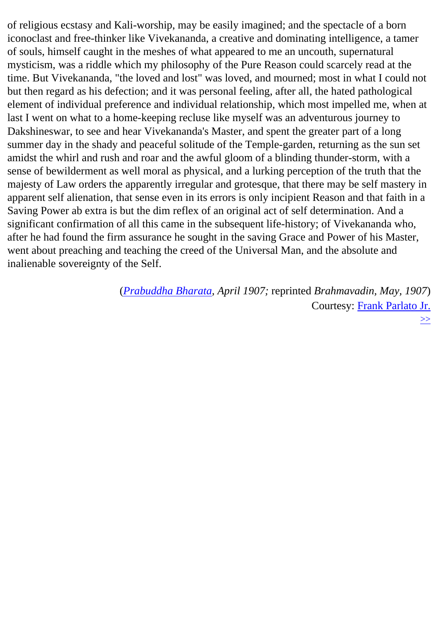of religious ecstasy and Kali-worship, may be easily imagined; and the spectacle of a born iconoclast and free-thinker like Vivekananda, a creative and dominating intelligence, a tamer of souls, himself caught in the meshes of what appeared to me an uncouth, supernatural mysticism, was a riddle which my philosophy of the Pure Reason could scarcely read at the time. But Vivekananda, "the loved and lost" was loved, and mourned; most in what I could not but then regard as his defection; and it was personal feeling, after all, the hated pathological element of individual preference and individual relationship, which most impelled me, when at last I went on what to a home-keeping recluse like myself was an adventurous journey to Dakshineswar, to see and hear Vivekananda's Master, and spent the greater part of a long summer day in the shady and peaceful solitude of the Temple-garden, returning as the sun set amidst the whirl and rush and roar and the awful gloom of a blinding thunder-storm, with a sense of bewilderment as well moral as physical, and a lurking perception of the truth that the majesty of Law orders the apparently irregular and grotesque, that there may be self mastery in apparent self alienation, that sense even in its errors is only incipient Reason and that faith in a Saving Power ab extra is but the dim reflex of an original act of self determination. And a significant confirmation of all this came in the subsequent life-history; of Vivekananda who, after he had found the firm assurance he sought in the saving Grace and Power of his Master, went about preaching and teaching the creed of the Universal Man, and the absolute and inalienable sovereignty of the Self.

> (*[Prabuddha Bharata,](http://www.advaitaashrama.org/prabuddha_bharata.html) April 1907;* reprinted *Brahmavadin, May, 1907*) Courtesy: [Frank Parlato Jr.](http://www.vivekananda.net/)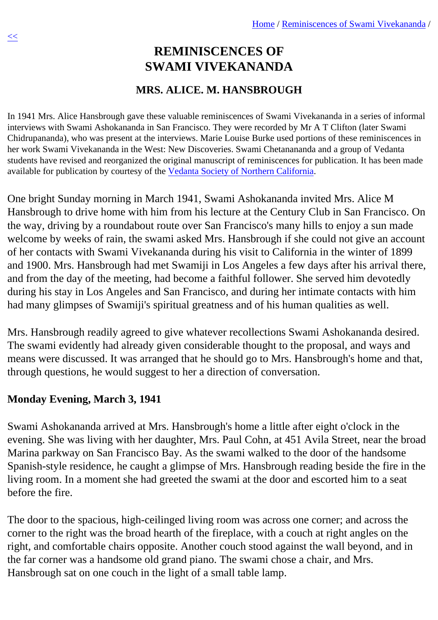# **REMINISCENCES OF SWAMI VIVEKANANDA**

### **MRS. ALICE. M. HANSBROUGH**

In 1941 Mrs. Alice Hansbrough gave these valuable reminiscences of Swami Vivekananda in a series of informal interviews with Swami Ashokananda in San Francisco. They were recorded by Mr A T Clifton (later Swami Chidrupananda), who was present at the interviews. Marie Louise Burke used portions of these reminiscences in her work Swami Vivekananda in the West: New Discoveries. Swami Chetanananda and a group of Vedanta students have revised and reorganized the original manuscript of reminiscences for publication. It has been made available for publication by courtesy of the [Vedanta Society of Northern California](http://www.sfvedanta.org/).

One bright Sunday morning in March 1941, Swami Ashokananda invited Mrs. Alice M Hansbrough to drive home with him from his lecture at the Century Club in San Francisco. On the way, driving by a roundabout route over San Francisco's many hills to enjoy a sun made welcome by weeks of rain, the swami asked Mrs. Hansbrough if she could not give an account of her contacts with Swami Vivekananda during his visit to California in the winter of 1899 and 1900. Mrs. Hansbrough had met Swamiji in Los Angeles a few days after his arrival there, and from the day of the meeting, had become a faithful follower. She served him devotedly during his stay in Los Angeles and San Francisco, and during her intimate contacts with him had many glimpses of Swamiji's spiritual greatness and of his human qualities as well.

Mrs. Hansbrough readily agreed to give whatever recollections Swami Ashokananda desired. The swami evidently had already given considerable thought to the proposal, and ways and means were discussed. It was arranged that he should go to Mrs. Hansbrough's home and that, through questions, he would suggest to her a direction of conversation.

#### **Monday Evening, March 3, 1941**

Swami Ashokananda arrived at Mrs. Hansbrough's home a little after eight o'clock in the evening. She was living with her daughter, Mrs. Paul Cohn, at 451 Avila Street, near the broad Marina parkway on San Francisco Bay. As the swami walked to the door of the handsome Spanish-style residence, he caught a glimpse of Mrs. Hansbrough reading beside the fire in the living room. In a moment she had greeted the swami at the door and escorted him to a seat before the fire.

The door to the spacious, high-ceilinged living room was across one corner; and across the corner to the right was the broad hearth of the fireplace, with a couch at right angles on the right, and comfortable chairs opposite. Another couch stood against the wall beyond, and in the far corner was a handsome old grand piano. The swami chose a chair, and Mrs. Hansbrough sat on one couch in the light of a small table lamp.

<span id="page-297-0"></span> $<<$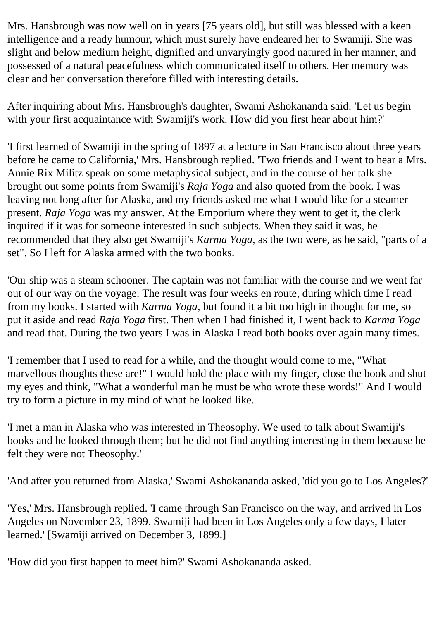Mrs. Hansbrough was now well on in years [75 years old], but still was blessed with a keen intelligence and a ready humour, which must surely have endeared her to Swamiji. She was slight and below medium height, dignified and unvaryingly good natured in her manner, and possessed of a natural peacefulness which communicated itself to others. Her memory was clear and her conversation therefore filled with interesting details.

After inquiring about Mrs. Hansbrough's daughter, Swami Ashokananda said: 'Let us begin with your first acquaintance with Swamiji's work. How did you first hear about him?'

'I first learned of Swamiji in the spring of 1897 at a lecture in San Francisco about three years before he came to California,' Mrs. Hansbrough replied. 'Two friends and I went to hear a Mrs. Annie Rix Militz speak on some metaphysical subject, and in the course of her talk she brought out some points from Swamiji's *Raja Yoga* and also quoted from the book. I was leaving not long after for Alaska, and my friends asked me what I would like for a steamer present. *Raja Yoga* was my answer. At the Emporium where they went to get it, the clerk inquired if it was for someone interested in such subjects. When they said it was, he recommended that they also get Swamiji's *Karma Yoga*, as the two were, as he said, "parts of a set". So I left for Alaska armed with the two books.

'Our ship was a steam schooner. The captain was not familiar with the course and we went far out of our way on the voyage. The result was four weeks en route, during which time I read from my books. I started with *Karma Yoga*, but found it a bit too high in thought for me, so put it aside and read *Raja Yoga* first. Then when I had finished it, I went back to *Karma Yoga* and read that. During the two years I was in Alaska I read both books over again many times.

'I remember that I used to read for a while, and the thought would come to me, "What marvellous thoughts these are!" I would hold the place with my finger, close the book and shut my eyes and think, "What a wonderful man he must be who wrote these words!" And I would try to form a picture in my mind of what he looked like.

'I met a man in Alaska who was interested in Theosophy. We used to talk about Swamiji's books and he looked through them; but he did not find anything interesting in them because he felt they were not Theosophy.'

'And after you returned from Alaska,' Swami Ashokananda asked, 'did you go to Los Angeles?'

'Yes,' Mrs. Hansbrough replied. 'I came through San Francisco on the way, and arrived in Los Angeles on November 23, 1899. Swamiji had been in Los Angeles only a few days, I later learned.' [Swamiji arrived on December 3, 1899.]

'How did you first happen to meet him?' Swami Ashokananda asked.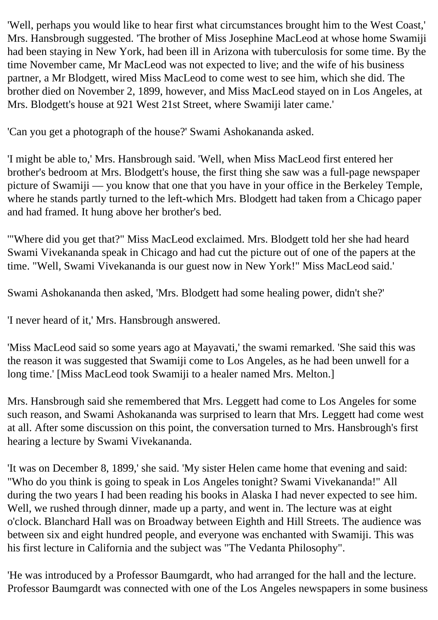'Well, perhaps you would like to hear first what circumstances brought him to the West Coast,' Mrs. Hansbrough suggested. 'The brother of Miss Josephine MacLeod at whose home Swamiji had been staying in New York, had been ill in Arizona with tuberculosis for some time. By the time November came, Mr MacLeod was not expected to live; and the wife of his business partner, a Mr Blodgett, wired Miss MacLeod to come west to see him, which she did. The brother died on November 2, 1899, however, and Miss MacLeod stayed on in Los Angeles, at Mrs. Blodgett's house at 921 West 21st Street, where Swamiji later came.'

'Can you get a photograph of the house?' Swami Ashokananda asked.

'I might be able to,' Mrs. Hansbrough said. 'Well, when Miss MacLeod first entered her brother's bedroom at Mrs. Blodgett's house, the first thing she saw was a full-page newspaper picture of Swamiji — you know that one that you have in your office in the Berkeley Temple, where he stands partly turned to the left-which Mrs. Blodgett had taken from a Chicago paper and had framed. It hung above her brother's bed.

'"Where did you get that?" Miss MacLeod exclaimed. Mrs. Blodgett told her she had heard Swami Vivekananda speak in Chicago and had cut the picture out of one of the papers at the time. "Well, Swami Vivekananda is our guest now in New York!" Miss MacLeod said.'

Swami Ashokananda then asked, 'Mrs. Blodgett had some healing power, didn't she?'

'I never heard of it,' Mrs. Hansbrough answered.

'Miss MacLeod said so some years ago at Mayavati,' the swami remarked. 'She said this was the reason it was suggested that Swamiji come to Los Angeles, as he had been unwell for a long time.' [Miss MacLeod took Swamiji to a healer named Mrs. Melton.]

Mrs. Hansbrough said she remembered that Mrs. Leggett had come to Los Angeles for some such reason, and Swami Ashokananda was surprised to learn that Mrs. Leggett had come west at all. After some discussion on this point, the conversation turned to Mrs. Hansbrough's first hearing a lecture by Swami Vivekananda.

'It was on December 8, 1899,' she said. 'My sister Helen came home that evening and said: "Who do you think is going to speak in Los Angeles tonight? Swami Vivekananda!" All during the two years I had been reading his books in Alaska I had never expected to see him. Well, we rushed through dinner, made up a party, and went in. The lecture was at eight o'clock. Blanchard Hall was on Broadway between Eighth and Hill Streets. The audience was between six and eight hundred people, and everyone was enchanted with Swamiji. This was his first lecture in California and the subject was "The Vedanta Philosophy".

'He was introduced by a Professor Baumgardt, who had arranged for the hall and the lecture. Professor Baumgardt was connected with one of the Los Angeles newspapers in some business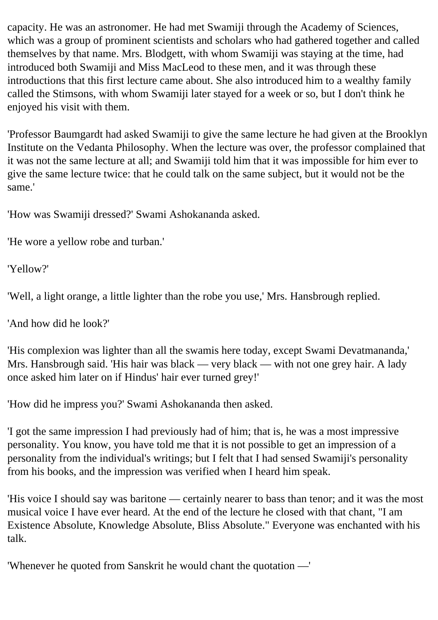capacity. He was an astronomer. He had met Swamiji through the Academy of Sciences, which was a group of prominent scientists and scholars who had gathered together and called themselves by that name. Mrs. Blodgett, with whom Swamiji was staying at the time, had introduced both Swamiji and Miss MacLeod to these men, and it was through these introductions that this first lecture came about. She also introduced him to a wealthy family called the Stimsons, with whom Swamiji later stayed for a week or so, but I don't think he enjoyed his visit with them.

'Professor Baumgardt had asked Swamiji to give the same lecture he had given at the Brooklyn Institute on the Vedanta Philosophy. When the lecture was over, the professor complained that it was not the same lecture at all; and Swamiji told him that it was impossible for him ever to give the same lecture twice: that he could talk on the same subject, but it would not be the same.'

'How was Swamiji dressed?' Swami Ashokananda asked.

'He wore a yellow robe and turban.'

'Yellow?'

'Well, a light orange, a little lighter than the robe you use,' Mrs. Hansbrough replied.

'And how did he look?'

'His complexion was lighter than all the swamis here today, except Swami Devatmananda,' Mrs. Hansbrough said. 'His hair was black — very black — with not one grey hair. A lady once asked him later on if Hindus' hair ever turned grey!'

'How did he impress you?' Swami Ashokananda then asked.

'I got the same impression I had previously had of him; that is, he was a most impressive personality. You know, you have told me that it is not possible to get an impression of a personality from the individual's writings; but I felt that I had sensed Swamiji's personality from his books, and the impression was verified when I heard him speak.

'His voice I should say was baritone — certainly nearer to bass than tenor; and it was the most musical voice I have ever heard. At the end of the lecture he closed with that chant, "I am Existence Absolute, Knowledge Absolute, Bliss Absolute." Everyone was enchanted with his talk.

'Whenever he quoted from Sanskrit he would chant the quotation —'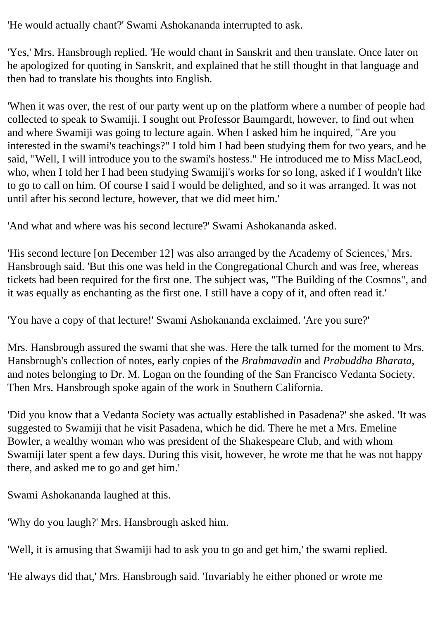'He would actually chant?' Swami Ashokananda interrupted to ask.

'Yes,' Mrs. Hansbrough replied. 'He would chant in Sanskrit and then translate. Once later on he apologized for quoting in Sanskrit, and explained that he still thought in that language and then had to translate his thoughts into English.

'When it was over, the rest of our party went up on the platform where a number of people had collected to speak to Swamiji. I sought out Professor Baumgardt, however, to find out when and where Swamiji was going to lecture again. When I asked him he inquired, "Are you interested in the swami's teachings?" I told him I had been studying them for two years, and he said, "Well, I will introduce you to the swami's hostess." He introduced me to Miss MacLeod, who, when I told her I had been studying Swamiji's works for so long, asked if I wouldn't like to go to call on him. Of course I said I would be delighted, and so it was arranged. It was not until after his second lecture, however, that we did meet him.'

'And what and where was his second lecture?' Swami Ashokananda asked.

'His second lecture [on December 12] was also arranged by the Academy of Sciences,' Mrs. Hansbrough said. 'But this one was held in the Congregational Church and was free, whereas tickets had been required for the first one. The subject was, "The Building of the Cosmos", and it was equally as enchanting as the first one. I still have a copy of it, and often read it.'

'You have a copy of that lecture!' Swami Ashokananda exclaimed. 'Are you sure?'

Mrs. Hansbrough assured the swami that she was. Here the talk turned for the moment to Mrs. Hansbrough's collection of notes, early copies of the *Brahmavadin* and *Prabuddha Bharata*, and notes belonging to Dr. M. Logan on the founding of the San Francisco Vedanta Society. Then Mrs. Hansbrough spoke again of the work in Southern California.

'Did you know that a Vedanta Society was actually established in Pasadena?' she asked. 'It was suggested to Swamiji that he visit Pasadena, which he did. There he met a Mrs. Emeline Bowler, a wealthy woman who was president of the Shakespeare Club, and with whom Swamiji later spent a few days. During this visit, however, he wrote me that he was not happy there, and asked me to go and get him.'

Swami Ashokananda laughed at this.

'Why do you laugh?' Mrs. Hansbrough asked him.

'Well, it is amusing that Swamiji had to ask you to go and get him,' the swami replied.

'He always did that,' Mrs. Hansbrough said. 'Invariably he either phoned or wrote me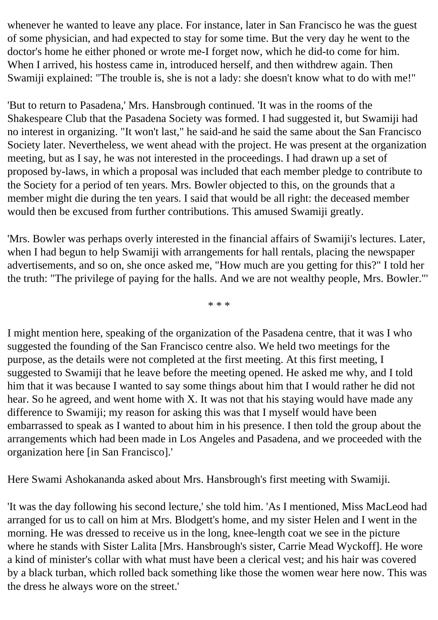whenever he wanted to leave any place. For instance, later in San Francisco he was the guest of some physician, and had expected to stay for some time. But the very day he went to the doctor's home he either phoned or wrote me-I forget now, which he did-to come for him. When I arrived, his hostess came in, introduced herself, and then withdrew again. Then Swamiji explained: "The trouble is, she is not a lady: she doesn't know what to do with me!"

'But to return to Pasadena,' Mrs. Hansbrough continued. 'It was in the rooms of the Shakespeare Club that the Pasadena Society was formed. I had suggested it, but Swamiji had no interest in organizing. "It won't last," he said-and he said the same about the San Francisco Society later. Nevertheless, we went ahead with the project. He was present at the organization meeting, but as I say, he was not interested in the proceedings. I had drawn up a set of proposed by-laws, in which a proposal was included that each member pledge to contribute to the Society for a period of ten years. Mrs. Bowler objected to this, on the grounds that a member might die during the ten years. I said that would be all right: the deceased member would then be excused from further contributions. This amused Swamiji greatly.

'Mrs. Bowler was perhaps overly interested in the financial affairs of Swamiji's lectures. Later, when I had begun to help Swamiji with arrangements for hall rentals, placing the newspaper advertisements, and so on, she once asked me, "How much are you getting for this?" I told her the truth: "The privilege of paying for the halls. And we are not wealthy people, Mrs. Bowler."'

\* \* \*

I might mention here, speaking of the organization of the Pasadena centre, that it was I who suggested the founding of the San Francisco centre also. We held two meetings for the purpose, as the details were not completed at the first meeting. At this first meeting, I suggested to Swamiji that he leave before the meeting opened. He asked me why, and I told him that it was because I wanted to say some things about him that I would rather he did not hear. So he agreed, and went home with X. It was not that his staying would have made any difference to Swamiji; my reason for asking this was that I myself would have been embarrassed to speak as I wanted to about him in his presence. I then told the group about the arrangements which had been made in Los Angeles and Pasadena, and we proceeded with the organization here [in San Francisco].'

Here Swami Ashokananda asked about Mrs. Hansbrough's first meeting with Swamiji.

'It was the day following his second lecture,' she told him. 'As I mentioned, Miss MacLeod had arranged for us to call on him at Mrs. Blodgett's home, and my sister Helen and I went in the morning. He was dressed to receive us in the long, knee-length coat we see in the picture where he stands with Sister Lalita [Mrs. Hansbrough's sister, Carrie Mead Wyckoff]. He wore a kind of minister's collar with what must have been a clerical vest; and his hair was covered by a black turban, which rolled back something like those the women wear here now. This was the dress he always wore on the street.'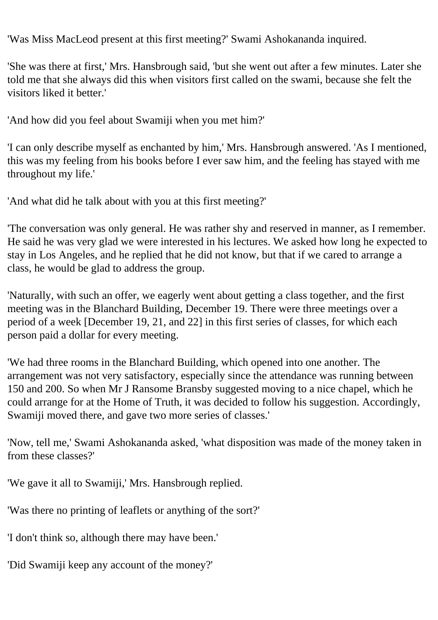'Was Miss MacLeod present at this first meeting?' Swami Ashokananda inquired.

'She was there at first,' Mrs. Hansbrough said, 'but she went out after a few minutes. Later she told me that she always did this when visitors first called on the swami, because she felt the visitors liked it better.'

'And how did you feel about Swamiji when you met him?'

'I can only describe myself as enchanted by him,' Mrs. Hansbrough answered. 'As I mentioned, this was my feeling from his books before I ever saw him, and the feeling has stayed with me throughout my life.'

'And what did he talk about with you at this first meeting?'

'The conversation was only general. He was rather shy and reserved in manner, as I remember. He said he was very glad we were interested in his lectures. We asked how long he expected to stay in Los Angeles, and he replied that he did not know, but that if we cared to arrange a class, he would be glad to address the group.

'Naturally, with such an offer, we eagerly went about getting a class together, and the first meeting was in the Blanchard Building, December 19. There were three meetings over a period of a week [December 19, 21, and 22] in this first series of classes, for which each person paid a dollar for every meeting.

'We had three rooms in the Blanchard Building, which opened into one another. The arrangement was not very satisfactory, especially since the attendance was running between 150 and 200. So when Mr J Ransome Bransby suggested moving to a nice chapel, which he could arrange for at the Home of Truth, it was decided to follow his suggestion. Accordingly, Swamiji moved there, and gave two more series of classes.'

'Now, tell me,' Swami Ashokananda asked, 'what disposition was made of the money taken in from these classes?'

'We gave it all to Swamiji,' Mrs. Hansbrough replied.

'Was there no printing of leaflets or anything of the sort?'

'I don't think so, although there may have been.'

'Did Swamiji keep any account of the money?'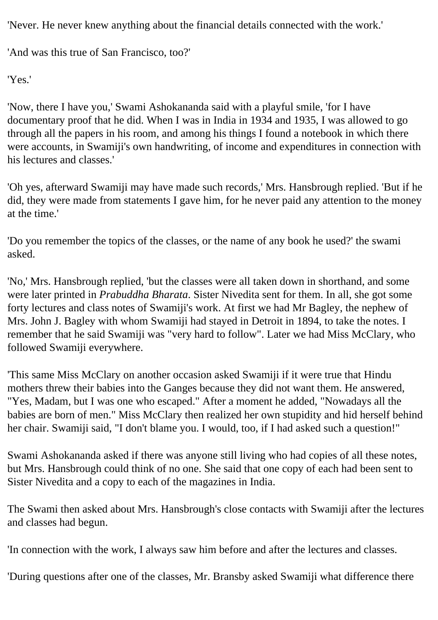'Never. He never knew anything about the financial details connected with the work.'

'And was this true of San Francisco, too?'

'Yes.'

'Now, there I have you,' Swami Ashokananda said with a playful smile, 'for I have documentary proof that he did. When I was in India in 1934 and 1935, I was allowed to go through all the papers in his room, and among his things I found a notebook in which there were accounts, in Swamiji's own handwriting, of income and expenditures in connection with his lectures and classes.'

'Oh yes, afterward Swamiji may have made such records,' Mrs. Hansbrough replied. 'But if he did, they were made from statements I gave him, for he never paid any attention to the money at the time.'

'Do you remember the topics of the classes, or the name of any book he used?' the swami asked.

'No,' Mrs. Hansbrough replied, 'but the classes were all taken down in shorthand, and some were later printed in *Prabuddha Bharata*. Sister Nivedita sent for them. In all, she got some forty lectures and class notes of Swamiji's work. At first we had Mr Bagley, the nephew of Mrs. John J. Bagley with whom Swamiji had stayed in Detroit in 1894, to take the notes. I remember that he said Swamiji was "very hard to follow". Later we had Miss McClary, who followed Swamiji everywhere.

'This same Miss McClary on another occasion asked Swamiji if it were true that Hindu mothers threw their babies into the Ganges because they did not want them. He answered, "Yes, Madam, but I was one who escaped." After a moment he added, "Nowadays all the babies are born of men." Miss McClary then realized her own stupidity and hid herself behind her chair. Swamiji said, "I don't blame you. I would, too, if I had asked such a question!"

Swami Ashokananda asked if there was anyone still living who had copies of all these notes, but Mrs. Hansbrough could think of no one. She said that one copy of each had been sent to Sister Nivedita and a copy to each of the magazines in India.

The Swami then asked about Mrs. Hansbrough's close contacts with Swamiji after the lectures and classes had begun.

'In connection with the work, I always saw him before and after the lectures and classes.

'During questions after one of the classes, Mr. Bransby asked Swamiji what difference there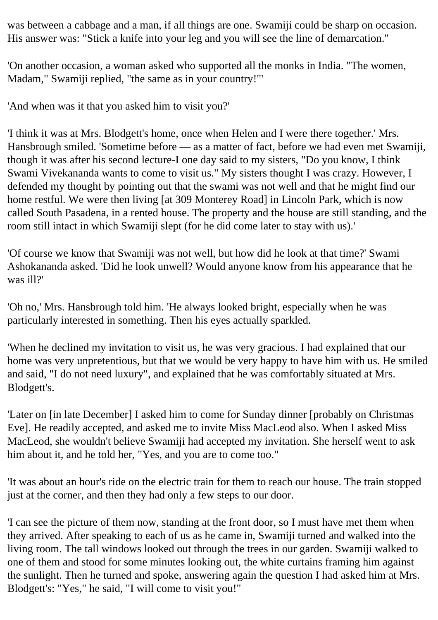was between a cabbage and a man, if all things are one. Swamiji could be sharp on occasion. His answer was: "Stick a knife into your leg and you will see the line of demarcation."

'On another occasion, a woman asked who supported all the monks in India. "The women, Madam," Swamiji replied, "the same as in your country!"'

'And when was it that you asked him to visit you?'

'I think it was at Mrs. Blodgett's home, once when Helen and I were there together.' Mrs. Hansbrough smiled. 'Sometime before — as a matter of fact, before we had even met Swamiji, though it was after his second lecture-I one day said to my sisters, "Do you know, I think Swami Vivekananda wants to come to visit us." My sisters thought I was crazy. However, I defended my thought by pointing out that the swami was not well and that he might find our home restful. We were then living [at 309 Monterey Road] in Lincoln Park, which is now called South Pasadena, in a rented house. The property and the house are still standing, and the room still intact in which Swamiji slept (for he did come later to stay with us).'

'Of course we know that Swamiji was not well, but how did he look at that time?' Swami Ashokananda asked. 'Did he look unwell? Would anyone know from his appearance that he was ill?'

'Oh no,' Mrs. Hansbrough told him. 'He always looked bright, especially when he was particularly interested in something. Then his eyes actually sparkled.

'When he declined my invitation to visit us, he was very gracious. I had explained that our home was very unpretentious, but that we would be very happy to have him with us. He smiled and said, "I do not need luxury", and explained that he was comfortably situated at Mrs. Blodgett's.

'Later on [in late December] I asked him to come for Sunday dinner [probably on Christmas Eve]. He readily accepted, and asked me to invite Miss MacLeod also. When I asked Miss MacLeod, she wouldn't believe Swamiji had accepted my invitation. She herself went to ask him about it, and he told her, "Yes, and you are to come too."

'It was about an hour's ride on the electric train for them to reach our house. The train stopped just at the corner, and then they had only a few steps to our door.

'I can see the picture of them now, standing at the front door, so I must have met them when they arrived. After speaking to each of us as he came in, Swamiji turned and walked into the living room. The tall windows looked out through the trees in our garden. Swamiji walked to one of them and stood for some minutes looking out, the white curtains framing him against the sunlight. Then he turned and spoke, answering again the question I had asked him at Mrs. Blodgett's: "Yes," he said, "I will come to visit you!"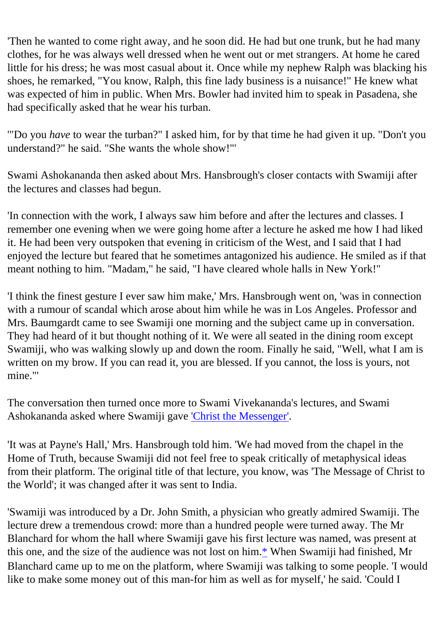'Then he wanted to come right away, and he soon did. He had but one trunk, but he had many clothes, for he was always well dressed when he went out or met strangers. At home he cared little for his dress; he was most casual about it. Once while my nephew Ralph was blacking his shoes, he remarked, "You know, Ralph, this fine lady business is a nuisance!" He knew what was expected of him in public. When Mrs. Bowler had invited him to speak in Pasadena, she had specifically asked that he wear his turban.

'"Do you *have* to wear the turban?" I asked him, for by that time he had given it up. "Don't you understand?" he said. "She wants the whole show!"'

Swami Ashokananda then asked about Mrs. Hansbrough's closer contacts with Swamiji after the lectures and classes had begun.

'In connection with the work, I always saw him before and after the lectures and classes. I remember one evening when we were going home after a lecture he asked me how I had liked it. He had been very outspoken that evening in criticism of the West, and I said that I had enjoyed the lecture but feared that he sometimes antagonized his audience. He smiled as if that meant nothing to him. "Madam," he said, "I have cleared whole halls in New York!"

'I think the finest gesture I ever saw him make,' Mrs. Hansbrough went on, 'was in connection with a rumour of scandal which arose about him while he was in Los Angeles. Professor and Mrs. Baumgardt came to see Swamiji one morning and the subject came up in conversation. They had heard of it but thought nothing of it. We were all seated in the dining room except Swamiji, who was walking slowly up and down the room. Finally he said, "Well, what I am is written on my brow. If you can read it, you are blessed. If you cannot, the loss is yours, not mine."'

The conversation then turned once more to Swami Vivekananda's lectures, and Swami Ashokananda asked where Swamiji gave ['Christ the Messenger'](http://www.ramakrishnavivekananda.info/vivekananda/volume_4/lectures_and_discourses/christ_the_messenger.htm).

'It was at Payne's Hall,' Mrs. Hansbrough told him. 'We had moved from the chapel in the Home of Truth, because Swamiji did not feel free to speak critically of metaphysical ideas from their platform. The original title of that lecture, you know, was 'The Message of Christ to the World'; it was changed after it was sent to India.

'Swamiji was introduced by a Dr. John Smith, a physician who greatly admired Swamiji. The lecture drew a tremendous crowd: more than a hundred people were turned away. The Mr Blanchard for whom the hall where Swamiji gave his first lecture was named, was present at this one, and the size of the audience was not lost on him.[\\*](#page-297-0) When Swamiji had finished, Mr Blanchard came up to me on the platform, where Swamiji was talking to some people. 'I would like to make some money out of this man-for him as well as for myself,' he said. 'Could I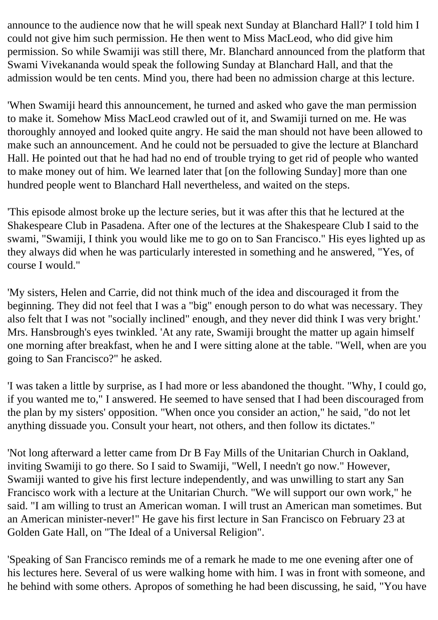announce to the audience now that he will speak next Sunday at Blanchard Hall?' I told him I could not give him such permission. He then went to Miss MacLeod, who did give him permission. So while Swamiji was still there, Mr. Blanchard announced from the platform that Swami Vivekananda would speak the following Sunday at Blanchard Hall, and that the admission would be ten cents. Mind you, there had been no admission charge at this lecture.

'When Swamiji heard this announcement, he turned and asked who gave the man permission to make it. Somehow Miss MacLeod crawled out of it, and Swamiji turned on me. He was thoroughly annoyed and looked quite angry. He said the man should not have been allowed to make such an announcement. And he could not be persuaded to give the lecture at Blanchard Hall. He pointed out that he had had no end of trouble trying to get rid of people who wanted to make money out of him. We learned later that [on the following Sunday] more than one hundred people went to Blanchard Hall nevertheless, and waited on the steps.

'This episode almost broke up the lecture series, but it was after this that he lectured at the Shakespeare Club in Pasadena. After one of the lectures at the Shakespeare Club I said to the swami, "Swamiji, I think you would like me to go on to San Francisco." His eyes lighted up as they always did when he was particularly interested in something and he answered, "Yes, of course I would."

'My sisters, Helen and Carrie, did not think much of the idea and discouraged it from the beginning. They did not feel that I was a "big" enough person to do what was necessary. They also felt that I was not "socially inclined" enough, and they never did think I was very bright.' Mrs. Hansbrough's eyes twinkled. 'At any rate, Swamiji brought the matter up again himself one morning after breakfast, when he and I were sitting alone at the table. "Well, when are you going to San Francisco?" he asked.

'I was taken a little by surprise, as I had more or less abandoned the thought. "Why, I could go, if you wanted me to," I answered. He seemed to have sensed that I had been discouraged from the plan by my sisters' opposition. "When once you consider an action," he said, "do not let anything dissuade you. Consult your heart, not others, and then follow its dictates."

'Not long afterward a letter came from Dr B Fay Mills of the Unitarian Church in Oakland, inviting Swamiji to go there. So I said to Swamiji, "Well, I needn't go now." However, Swamiji wanted to give his first lecture independently, and was unwilling to start any San Francisco work with a lecture at the Unitarian Church. "We will support our own work," he said. "I am willing to trust an American woman. I will trust an American man sometimes. But an American minister-never!" He gave his first lecture in San Francisco on February 23 at Golden Gate Hall, on "The Ideal of a Universal Religion".

'Speaking of San Francisco reminds me of a remark he made to me one evening after one of his lectures here. Several of us were walking home with him. I was in front with someone, and he behind with some others. Apropos of something he had been discussing, he said, "You have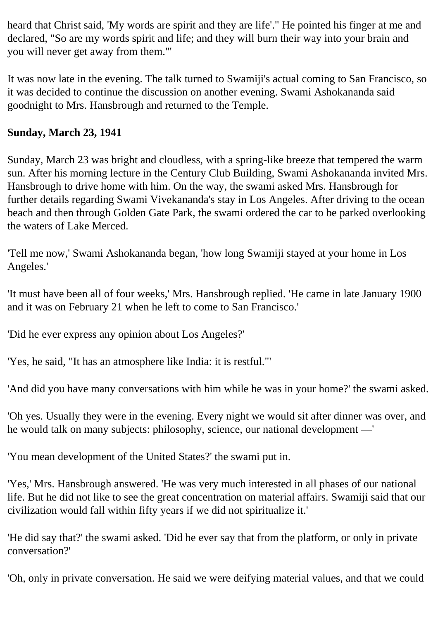heard that Christ said, 'My words are spirit and they are life'." He pointed his finger at me and declared, "So are my words spirit and life; and they will burn their way into your brain and you will never get away from them."'

It was now late in the evening. The talk turned to Swamiji's actual coming to San Francisco, so it was decided to continue the discussion on another evening. Swami Ashokananda said goodnight to Mrs. Hansbrough and returned to the Temple.

# **Sunday, March 23, 1941**

Sunday, March 23 was bright and cloudless, with a spring-like breeze that tempered the warm sun. After his morning lecture in the Century Club Building, Swami Ashokananda invited Mrs. Hansbrough to drive home with him. On the way, the swami asked Mrs. Hansbrough for further details regarding Swami Vivekananda's stay in Los Angeles. After driving to the ocean beach and then through Golden Gate Park, the swami ordered the car to be parked overlooking the waters of Lake Merced.

'Tell me now,' Swami Ashokananda began, 'how long Swamiji stayed at your home in Los Angeles.'

'It must have been all of four weeks,' Mrs. Hansbrough replied. 'He came in late January 1900 and it was on February 21 when he left to come to San Francisco.'

'Did he ever express any opinion about Los Angeles?'

'Yes, he said, "It has an atmosphere like India: it is restful."'

'And did you have many conversations with him while he was in your home?' the swami asked.

'Oh yes. Usually they were in the evening. Every night we would sit after dinner was over, and he would talk on many subjects: philosophy, science, our national development —'

'You mean development of the United States?' the swami put in.

'Yes,' Mrs. Hansbrough answered. 'He was very much interested in all phases of our national life. But he did not like to see the great concentration on material affairs. Swamiji said that our civilization would fall within fifty years if we did not spiritualize it.'

'He did say that?' the swami asked. 'Did he ever say that from the platform, or only in private conversation?'

'Oh, only in private conversation. He said we were deifying material values, and that we could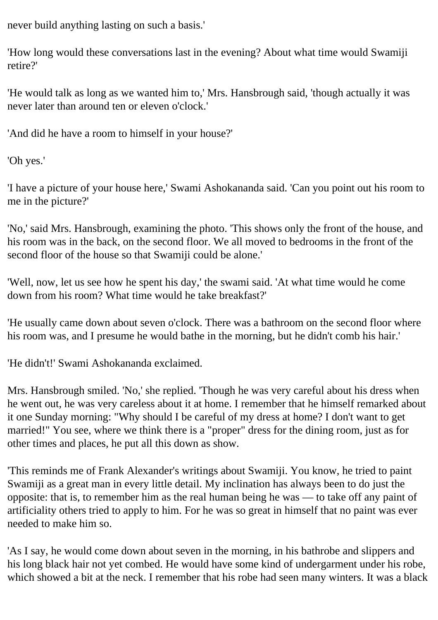never build anything lasting on such a basis.'

'How long would these conversations last in the evening? About what time would Swamiji retire?'

'He would talk as long as we wanted him to,' Mrs. Hansbrough said, 'though actually it was never later than around ten or eleven o'clock.'

'And did he have a room to himself in your house?'

'Oh yes.'

'I have a picture of your house here,' Swami Ashokananda said. 'Can you point out his room to me in the picture?'

'No,' said Mrs. Hansbrough, examining the photo. 'This shows only the front of the house, and his room was in the back, on the second floor. We all moved to bedrooms in the front of the second floor of the house so that Swamiji could be alone.'

'Well, now, let us see how he spent his day,' the swami said. 'At what time would he come down from his room? What time would he take breakfast?'

'He usually came down about seven o'clock. There was a bathroom on the second floor where his room was, and I presume he would bathe in the morning, but he didn't comb his hair.'

'He didn't!' Swami Ashokananda exclaimed.

Mrs. Hansbrough smiled. 'No,' she replied. 'Though he was very careful about his dress when he went out, he was very careless about it at home. I remember that he himself remarked about it one Sunday morning: "Why should I be careful of my dress at home? I don't want to get married!" You see, where we think there is a "proper" dress for the dining room, just as for other times and places, he put all this down as show.

'This reminds me of Frank Alexander's writings about Swamiji. You know, he tried to paint Swamiji as a great man in every little detail. My inclination has always been to do just the opposite: that is, to remember him as the real human being he was — to take off any paint of artificiality others tried to apply to him. For he was so great in himself that no paint was ever needed to make him so.

'As I say, he would come down about seven in the morning, in his bathrobe and slippers and his long black hair not yet combed. He would have some kind of undergarment under his robe, which showed a bit at the neck. I remember that his robe had seen many winters. It was a black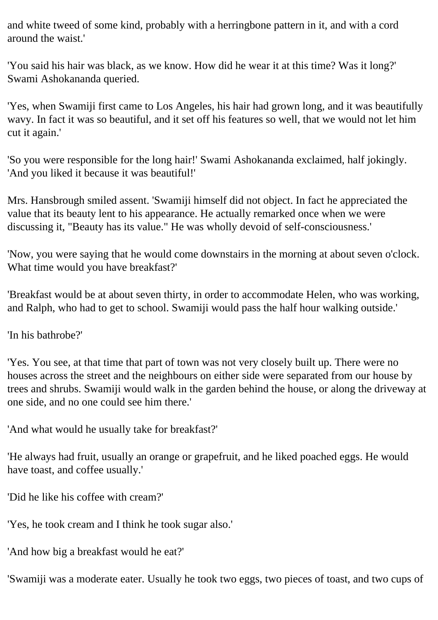and white tweed of some kind, probably with a herringbone pattern in it, and with a cord around the waist.'

'You said his hair was black, as we know. How did he wear it at this time? Was it long?' Swami Ashokananda queried.

'Yes, when Swamiji first came to Los Angeles, his hair had grown long, and it was beautifully wavy. In fact it was so beautiful, and it set off his features so well, that we would not let him cut it again.'

'So you were responsible for the long hair!' Swami Ashokananda exclaimed, half jokingly. 'And you liked it because it was beautiful!'

Mrs. Hansbrough smiled assent. 'Swamiji himself did not object. In fact he appreciated the value that its beauty lent to his appearance. He actually remarked once when we were discussing it, "Beauty has its value." He was wholly devoid of self-consciousness.'

'Now, you were saying that he would come downstairs in the morning at about seven o'clock. What time would you have breakfast?'

'Breakfast would be at about seven thirty, in order to accommodate Helen, who was working, and Ralph, who had to get to school. Swamiji would pass the half hour walking outside.'

'In his bathrobe?'

'Yes. You see, at that time that part of town was not very closely built up. There were no houses across the street and the neighbours on either side were separated from our house by trees and shrubs. Swamiji would walk in the garden behind the house, or along the driveway at one side, and no one could see him there.'

'And what would he usually take for breakfast?'

'He always had fruit, usually an orange or grapefruit, and he liked poached eggs. He would have toast, and coffee usually.'

'Did he like his coffee with cream?'

'Yes, he took cream and I think he took sugar also.'

'And how big a breakfast would he eat?'

'Swamiji was a moderate eater. Usually he took two eggs, two pieces of toast, and two cups of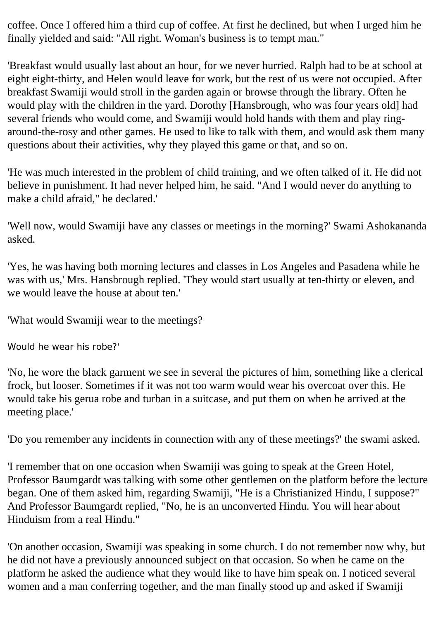coffee. Once I offered him a third cup of coffee. At first he declined, but when I urged him he finally yielded and said: "All right. Woman's business is to tempt man."

'Breakfast would usually last about an hour, for we never hurried. Ralph had to be at school at eight eight-thirty, and Helen would leave for work, but the rest of us were not occupied. After breakfast Swamiji would stroll in the garden again or browse through the library. Often he would play with the children in the yard. Dorothy [Hansbrough, who was four years old] had several friends who would come, and Swamiji would hold hands with them and play ringaround-the-rosy and other games. He used to like to talk with them, and would ask them many questions about their activities, why they played this game or that, and so on.

'He was much interested in the problem of child training, and we often talked of it. He did not believe in punishment. It had never helped him, he said. "And I would never do anything to make a child afraid," he declared.'

'Well now, would Swamiji have any classes or meetings in the morning?' Swami Ashokananda asked.

'Yes, he was having both morning lectures and classes in Los Angeles and Pasadena while he was with us,' Mrs. Hansbrough replied. 'They would start usually at ten-thirty or eleven, and we would leave the house at about ten.'

'What would Swamiji wear to the meetings?

```
Would he wear his robe?'
```
'No, he wore the black garment we see in several the pictures of him, something like a clerical frock, but looser. Sometimes if it was not too warm would wear his overcoat over this. He would take his gerua robe and turban in a suitcase, and put them on when he arrived at the meeting place.'

'Do you remember any incidents in connection with any of these meetings?' the swami asked.

'I remember that on one occasion when Swamiji was going to speak at the Green Hotel, Professor Baumgardt was talking with some other gentlemen on the platform before the lecture began. One of them asked him, regarding Swamiji, "He is a Christianized Hindu, I suppose?" And Professor Baumgardt replied, "No, he is an unconverted Hindu. You will hear about Hinduism from a real Hindu."

'On another occasion, Swamiji was speaking in some church. I do not remember now why, but he did not have a previously announced subject on that occasion. So when he came on the platform he asked the audience what they would like to have him speak on. I noticed several women and a man conferring together, and the man finally stood up and asked if Swamiji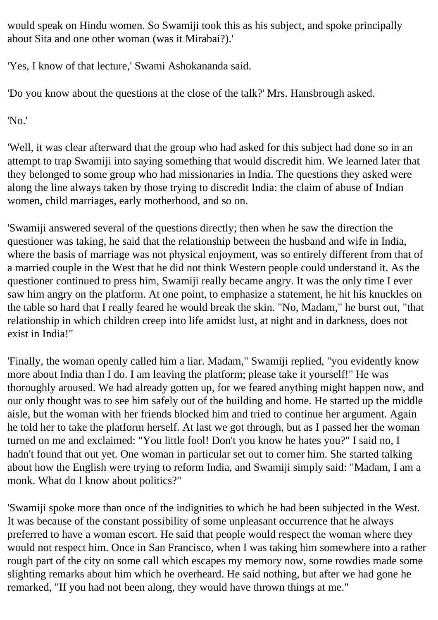would speak on Hindu women. So Swamiji took this as his subject, and spoke principally about Sita and one other woman (was it Mirabai?).'

'Yes, I know of that lecture,' Swami Ashokananda said.

'Do you know about the questions at the close of the talk?' Mrs. Hansbrough asked.

'No.'

'Well, it was clear afterward that the group who had asked for this subject had done so in an attempt to trap Swamiji into saying something that would discredit him. We learned later that they belonged to some group who had missionaries in India. The questions they asked were along the line always taken by those trying to discredit India: the claim of abuse of Indian women, child marriages, early motherhood, and so on.

'Swamiji answered several of the questions directly; then when he saw the direction the questioner was taking, he said that the relationship between the husband and wife in India, where the basis of marriage was not physical enjoyment, was so entirely different from that of a married couple in the West that he did not think Western people could understand it. As the questioner continued to press him, Swamiji really became angry. It was the only time I ever saw him angry on the platform. At one point, to emphasize a statement, he hit his knuckles on the table so hard that I really feared he would break the skin. "No, Madam," he burst out, "that relationship in which children creep into life amidst lust, at night and in darkness, does not exist in India!"

'Finally, the woman openly called him a liar. Madam," Swamiji replied, "you evidently know more about India than I do. I am leaving the platform; please take it yourself!" He was thoroughly aroused. We had already gotten up, for we feared anything might happen now, and our only thought was to see him safely out of the building and home. He started up the middle aisle, but the woman with her friends blocked him and tried to continue her argument. Again he told her to take the platform herself. At last we got through, but as I passed her the woman turned on me and exclaimed: "You little fool! Don't you know he hates you?" I said no, I hadn't found that out yet. One woman in particular set out to corner him. She started talking about how the English were trying to reform India, and Swamiji simply said: "Madam, I am a monk. What do I know about politics?"

'Swamiji spoke more than once of the indignities to which he had been subjected in the West. It was because of the constant possibility of some unpleasant occurrence that he always preferred to have a woman escort. He said that people would respect the woman where they would not respect him. Once in San Francisco, when I was taking him somewhere into a rather rough part of the city on some call which escapes my memory now, some rowdies made some slighting remarks about him which he overheard. He said nothing, but after we had gone he remarked, "If you had not been along, they would have thrown things at me."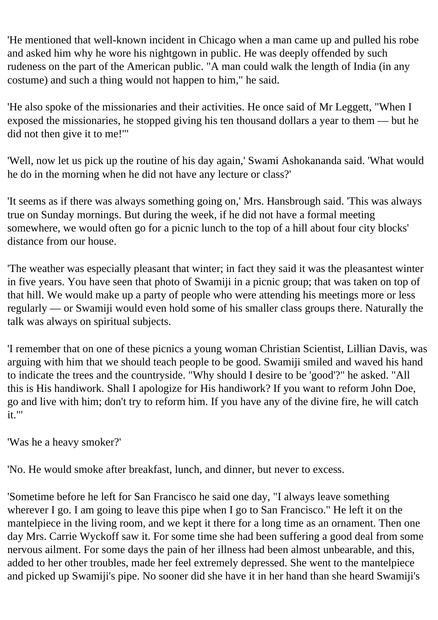'He mentioned that well-known incident in Chicago when a man came up and pulled his robe and asked him why he wore his nightgown in public. He was deeply offended by such rudeness on the part of the American public. "A man could walk the length of India (in any costume) and such a thing would not happen to him," he said.

'He also spoke of the missionaries and their activities. He once said of Mr Leggett, "When I exposed the missionaries, he stopped giving his ten thousand dollars a year to them — but he did not then give it to me!"'

'Well, now let us pick up the routine of his day again,' Swami Ashokananda said. 'What would he do in the morning when he did not have any lecture or class?'

'It seems as if there was always something going on,' Mrs. Hansbrough said. 'This was always true on Sunday mornings. But during the week, if he did not have a formal meeting somewhere, we would often go for a picnic lunch to the top of a hill about four city blocks' distance from our house.

'The weather was especially pleasant that winter; in fact they said it was the pleasantest winter in five years. You have seen that photo of Swamiji in a picnic group; that was taken on top of that hill. We would make up a party of people who were attending his meetings more or less regularly — or Swamiji would even hold some of his smaller class groups there. Naturally the talk was always on spiritual subjects.

'I remember that on one of these picnics a young woman Christian Scientist, Lillian Davis, was arguing with him that we should teach people to be good. Swamiji smiled and waved his hand to indicate the trees and the countryside. "Why should I desire to be 'good'?" he asked. "All this is His handiwork. Shall I apologize for His handiwork? If you want to reform John Doe, go and live with him; don't try to reform him. If you have any of the divine fire, he will catch it."'

'Was he a heavy smoker?'

'No. He would smoke after breakfast, lunch, and dinner, but never to excess.

'Sometime before he left for San Francisco he said one day, "I always leave something wherever I go. I am going to leave this pipe when I go to San Francisco." He left it on the mantelpiece in the living room, and we kept it there for a long time as an ornament. Then one day Mrs. Carrie Wyckoff saw it. For some time she had been suffering a good deal from some nervous ailment. For some days the pain of her illness had been almost unbearable, and this, added to her other troubles, made her feel extremely depressed. She went to the mantelpiece and picked up Swamiji's pipe. No sooner did she have it in her hand than she heard Swamiji's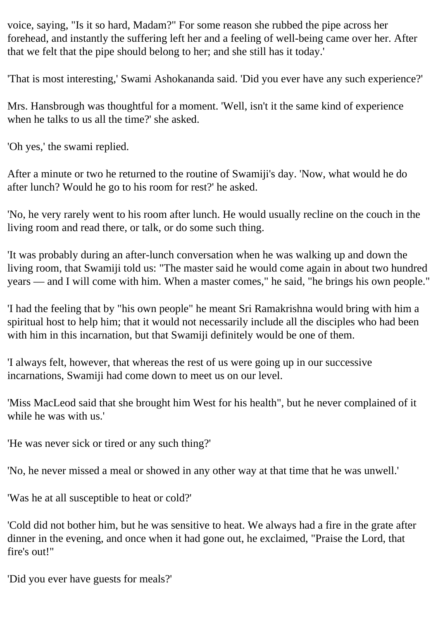voice, saying, "Is it so hard, Madam?" For some reason she rubbed the pipe across her forehead, and instantly the suffering left her and a feeling of well-being came over her. After that we felt that the pipe should belong to her; and she still has it today.'

'That is most interesting,' Swami Ashokananda said. 'Did you ever have any such experience?'

Mrs. Hansbrough was thoughtful for a moment. 'Well, isn't it the same kind of experience when he talks to us all the time?' she asked.

'Oh yes,' the swami replied.

After a minute or two he returned to the routine of Swamiji's day. 'Now, what would he do after lunch? Would he go to his room for rest?' he asked.

'No, he very rarely went to his room after lunch. He would usually recline on the couch in the living room and read there, or talk, or do some such thing.

'It was probably during an after-lunch conversation when he was walking up and down the living room, that Swamiji told us: "The master said he would come again in about two hundred years — and I will come with him. When a master comes," he said, "he brings his own people."

'I had the feeling that by "his own people" he meant Sri Ramakrishna would bring with him a spiritual host to help him; that it would not necessarily include all the disciples who had been with him in this incarnation, but that Swamiji definitely would be one of them.

'I always felt, however, that whereas the rest of us were going up in our successive incarnations, Swamiji had come down to meet us on our level.

'Miss MacLeod said that she brought him West for his health", but he never complained of it while he was with us.'

'He was never sick or tired or any such thing?'

'No, he never missed a meal or showed in any other way at that time that he was unwell.'

'Was he at all susceptible to heat or cold?'

'Cold did not bother him, but he was sensitive to heat. We always had a fire in the grate after dinner in the evening, and once when it had gone out, he exclaimed, "Praise the Lord, that fire's out!"

'Did you ever have guests for meals?'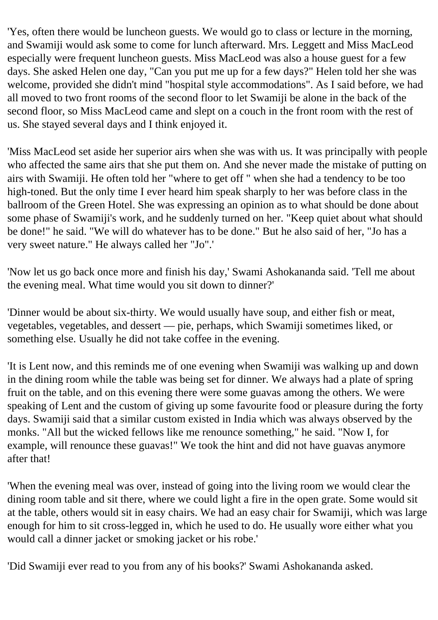'Yes, often there would be luncheon guests. We would go to class or lecture in the morning, and Swamiji would ask some to come for lunch afterward. Mrs. Leggett and Miss MacLeod especially were frequent luncheon guests. Miss MacLeod was also a house guest for a few days. She asked Helen one day, "Can you put me up for a few days?" Helen told her she was welcome, provided she didn't mind "hospital style accommodations". As I said before, we had all moved to two front rooms of the second floor to let Swamiji be alone in the back of the second floor, so Miss MacLeod came and slept on a couch in the front room with the rest of us. She stayed several days and I think enjoyed it.

'Miss MacLeod set aside her superior airs when she was with us. It was principally with people who affected the same airs that she put them on. And she never made the mistake of putting on airs with Swamiji. He often told her "where to get off " when she had a tendency to be too high-toned. But the only time I ever heard him speak sharply to her was before class in the ballroom of the Green Hotel. She was expressing an opinion as to what should be done about some phase of Swamiji's work, and he suddenly turned on her. "Keep quiet about what should be done!" he said. "We will do whatever has to be done." But he also said of her, "Jo has a very sweet nature." He always called her "Jo".'

'Now let us go back once more and finish his day,' Swami Ashokananda said. 'Tell me about the evening meal. What time would you sit down to dinner?'

'Dinner would be about six-thirty. We would usually have soup, and either fish or meat, vegetables, vegetables, and dessert — pie, perhaps, which Swamiji sometimes liked, or something else. Usually he did not take coffee in the evening.

'It is Lent now, and this reminds me of one evening when Swamiji was walking up and down in the dining room while the table was being set for dinner. We always had a plate of spring fruit on the table, and on this evening there were some guavas among the others. We were speaking of Lent and the custom of giving up some favourite food or pleasure during the forty days. Swamiji said that a similar custom existed in India which was always observed by the monks. "All but the wicked fellows like me renounce something," he said. "Now I, for example, will renounce these guavas!" We took the hint and did not have guavas anymore after that!

'When the evening meal was over, instead of going into the living room we would clear the dining room table and sit there, where we could light a fire in the open grate. Some would sit at the table, others would sit in easy chairs. We had an easy chair for Swamiji, which was large enough for him to sit cross-legged in, which he used to do. He usually wore either what you would call a dinner jacket or smoking jacket or his robe.'

'Did Swamiji ever read to you from any of his books?' Swami Ashokananda asked.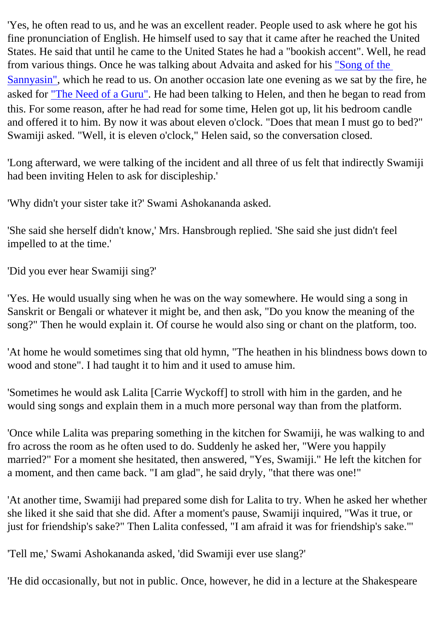'Yes, he often read to us, and he was an excellent reader. People used to ask where he got his fine pronunciation of English. He himself used to say that it came after he reached the United States. He said that until he came to the United States he had a "bookish accent". Well, he read from various things. Once he was talking about Advaita and asked for his ["Song of the](http://www.ramakrishnavivekananda.info/vivekananda/volume_4/writings_poems/the_song_of_the_sannyasin.htm) [Sannyasin",](http://www.ramakrishnavivekananda.info/vivekananda/volume_4/writings_poems/the_song_of_the_sannyasin.htm) which he read to us. On another occasion late one evening as we sat by the fire, he asked for ["The Need of a Guru"](http://www.ramakrishnavivekananda.info/vivekananda/volume_3/bhakti-yoga/the_need_of_guru.htm). He had been talking to Helen, and then he began to read from this. For some reason, after he had read for some time, Helen got up, lit his bedroom candle and offered it to him. By now it was about eleven o'clock. "Does that mean I must go to bed?" Swamiji asked. "Well, it is eleven o'clock," Helen said, so the conversation closed.

'Long afterward, we were talking of the incident and all three of us felt that indirectly Swamiji had been inviting Helen to ask for discipleship.'

'Why didn't your sister take it?' Swami Ashokananda asked.

'She said she herself didn't know,' Mrs. Hansbrough replied. 'She said she just didn't feel impelled to at the time.'

'Did you ever hear Swamiji sing?'

'Yes. He would usually sing when he was on the way somewhere. He would sing a song in Sanskrit or Bengali or whatever it might be, and then ask, "Do you know the meaning of the song?" Then he would explain it. Of course he would also sing or chant on the platform, too.

'At home he would sometimes sing that old hymn, "The heathen in his blindness bows down to wood and stone". I had taught it to him and it used to amuse him.

'Sometimes he would ask Lalita [Carrie Wyckoff] to stroll with him in the garden, and he would sing songs and explain them in a much more personal way than from the platform.

'Once while Lalita was preparing something in the kitchen for Swamiji, he was walking to and fro across the room as he often used to do. Suddenly he asked her, "Were you happily married?" For a moment she hesitated, then answered, "Yes, Swamiji." He left the kitchen for a moment, and then came back. "I am glad", he said dryly, "that there was one!"

'At another time, Swamiji had prepared some dish for Lalita to try. When he asked her whether she liked it she said that she did. After a moment's pause, Swamiji inquired, "Was it true, or just for friendship's sake?" Then Lalita confessed, "I am afraid it was for friendship's sake."'

'Tell me,' Swami Ashokananda asked, 'did Swamiji ever use slang?'

'He did occasionally, but not in public. Once, however, he did in a lecture at the Shakespeare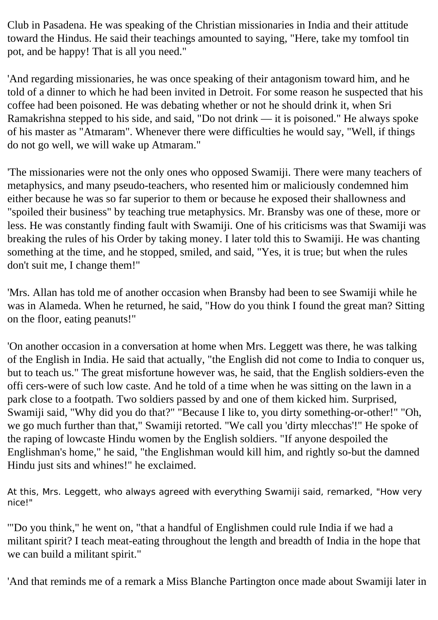Club in Pasadena. He was speaking of the Christian missionaries in India and their attitude toward the Hindus. He said their teachings amounted to saying, "Here, take my tomfool tin pot, and be happy! That is all you need."

'And regarding missionaries, he was once speaking of their antagonism toward him, and he told of a dinner to which he had been invited in Detroit. For some reason he suspected that his coffee had been poisoned. He was debating whether or not he should drink it, when Sri Ramakrishna stepped to his side, and said, "Do not drink — it is poisoned." He always spoke of his master as "Atmaram". Whenever there were difficulties he would say, "Well, if things do not go well, we will wake up Atmaram."

'The missionaries were not the only ones who opposed Swamiji. There were many teachers of metaphysics, and many pseudo-teachers, who resented him or maliciously condemned him either because he was so far superior to them or because he exposed their shallowness and "spoiled their business" by teaching true metaphysics. Mr. Bransby was one of these, more or less. He was constantly finding fault with Swamiji. One of his criticisms was that Swamiji was breaking the rules of his Order by taking money. I later told this to Swamiji. He was chanting something at the time, and he stopped, smiled, and said, "Yes, it is true; but when the rules don't suit me, I change them!"

'Mrs. Allan has told me of another occasion when Bransby had been to see Swamiji while he was in Alameda. When he returned, he said, "How do you think I found the great man? Sitting on the floor, eating peanuts!"

'On another occasion in a conversation at home when Mrs. Leggett was there, he was talking of the English in India. He said that actually, "the English did not come to India to conquer us, but to teach us." The great misfortune however was, he said, that the English soldiers-even the offi cers-were of such low caste. And he told of a time when he was sitting on the lawn in a park close to a footpath. Two soldiers passed by and one of them kicked him. Surprised, Swamiji said, "Why did you do that?" "Because I like to, you dirty something-or-other!" "Oh, we go much further than that," Swamiji retorted. "We call you 'dirty mlecchas'!" He spoke of the raping of lowcaste Hindu women by the English soldiers. "If anyone despoiled the Englishman's home," he said, "the Englishman would kill him, and rightly so-but the damned Hindu just sits and whines!" he exclaimed.

At this, Mrs. Leggett, who always agreed with everything Swamiji said, remarked, "How very nice!"

'"Do you think," he went on, "that a handful of Englishmen could rule India if we had a militant spirit? I teach meat-eating throughout the length and breadth of India in the hope that we can build a militant spirit."

'And that reminds me of a remark a Miss Blanche Partington once made about Swamiji later in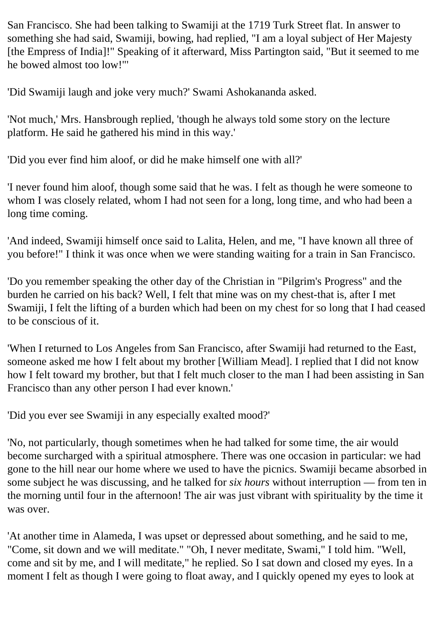San Francisco. She had been talking to Swamiji at the 1719 Turk Street flat. In answer to something she had said, Swamiji, bowing, had replied, "I am a loyal subject of Her Majesty [the Empress of India]!" Speaking of it afterward, Miss Partington said, "But it seemed to me he bowed almost too low!"'

'Did Swamiji laugh and joke very much?' Swami Ashokananda asked.

'Not much,' Mrs. Hansbrough replied, 'though he always told some story on the lecture platform. He said he gathered his mind in this way.'

'Did you ever find him aloof, or did he make himself one with all?'

'I never found him aloof, though some said that he was. I felt as though he were someone to whom I was closely related, whom I had not seen for a long, long time, and who had been a long time coming.

'And indeed, Swamiji himself once said to Lalita, Helen, and me, "I have known all three of you before!" I think it was once when we were standing waiting for a train in San Francisco.

'Do you remember speaking the other day of the Christian in "Pilgrim's Progress" and the burden he carried on his back? Well, I felt that mine was on my chest-that is, after I met Swamiji, I felt the lifting of a burden which had been on my chest for so long that I had ceased to be conscious of it.

'When I returned to Los Angeles from San Francisco, after Swamiji had returned to the East, someone asked me how I felt about my brother [William Mead]. I replied that I did not know how I felt toward my brother, but that I felt much closer to the man I had been assisting in San Francisco than any other person I had ever known.'

'Did you ever see Swamiji in any especially exalted mood?'

'No, not particularly, though sometimes when he had talked for some time, the air would become surcharged with a spiritual atmosphere. There was one occasion in particular: we had gone to the hill near our home where we used to have the picnics. Swamiji became absorbed in some subject he was discussing, and he talked for *six hours* without interruption — from ten in the morning until four in the afternoon! The air was just vibrant with spirituality by the time it was over.

'At another time in Alameda, I was upset or depressed about something, and he said to me, "Come, sit down and we will meditate." "Oh, I never meditate, Swami," I told him. "Well, come and sit by me, and I will meditate," he replied. So I sat down and closed my eyes. In a moment I felt as though I were going to float away, and I quickly opened my eyes to look at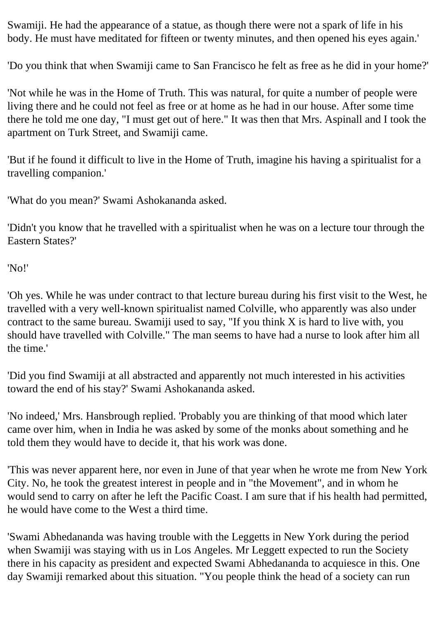Swamiji. He had the appearance of a statue, as though there were not a spark of life in his body. He must have meditated for fifteen or twenty minutes, and then opened his eyes again.'

'Do you think that when Swamiji came to San Francisco he felt as free as he did in your home?'

'Not while he was in the Home of Truth. This was natural, for quite a number of people were living there and he could not feel as free or at home as he had in our house. After some time there he told me one day, "I must get out of here." It was then that Mrs. Aspinall and I took the apartment on Turk Street, and Swamiji came.

'But if he found it difficult to live in the Home of Truth, imagine his having a spiritualist for a travelling companion.'

'What do you mean?' Swami Ashokananda asked.

'Didn't you know that he travelled with a spiritualist when he was on a lecture tour through the Eastern States?'

'No!'

'Oh yes. While he was under contract to that lecture bureau during his first visit to the West, he travelled with a very well-known spiritualist named Colville, who apparently was also under contract to the same bureau. Swamiji used to say, "If you think X is hard to live with, you should have travelled with Colville." The man seems to have had a nurse to look after him all the time.'

'Did you find Swamiji at all abstracted and apparently not much interested in his activities toward the end of his stay?' Swami Ashokananda asked.

'No indeed,' Mrs. Hansbrough replied. 'Probably you are thinking of that mood which later came over him, when in India he was asked by some of the monks about something and he told them they would have to decide it, that his work was done.

'This was never apparent here, nor even in June of that year when he wrote me from New York City. No, he took the greatest interest in people and in "the Movement", and in whom he would send to carry on after he left the Pacific Coast. I am sure that if his health had permitted, he would have come to the West a third time.

'Swami Abhedananda was having trouble with the Leggetts in New York during the period when Swamiji was staying with us in Los Angeles. Mr Leggett expected to run the Society there in his capacity as president and expected Swami Abhedananda to acquiesce in this. One day Swamiji remarked about this situation. "You people think the head of a society can run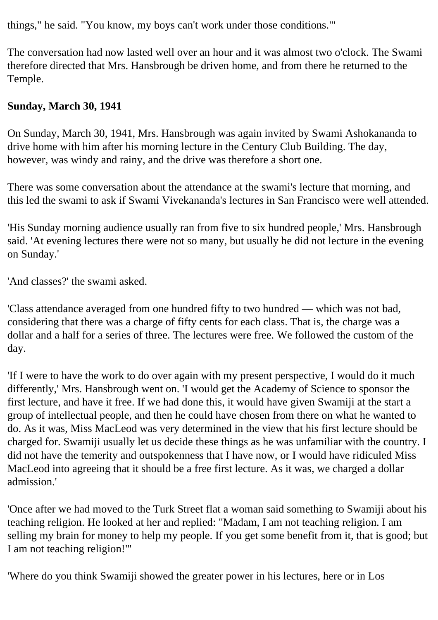things," he said. "You know, my boys can't work under those conditions."'

The conversation had now lasted well over an hour and it was almost two o'clock. The Swami therefore directed that Mrs. Hansbrough be driven home, and from there he returned to the Temple.

## **Sunday, March 30, 1941**

On Sunday, March 30, 1941, Mrs. Hansbrough was again invited by Swami Ashokananda to drive home with him after his morning lecture in the Century Club Building. The day, however, was windy and rainy, and the drive was therefore a short one.

There was some conversation about the attendance at the swami's lecture that morning, and this led the swami to ask if Swami Vivekananda's lectures in San Francisco were well attended.

'His Sunday morning audience usually ran from five to six hundred people,' Mrs. Hansbrough said. 'At evening lectures there were not so many, but usually he did not lecture in the evening on Sunday.'

'And classes?' the swami asked.

'Class attendance averaged from one hundred fifty to two hundred — which was not bad, considering that there was a charge of fifty cents for each class. That is, the charge was a dollar and a half for a series of three. The lectures were free. We followed the custom of the day.

'If I were to have the work to do over again with my present perspective, I would do it much differently,' Mrs. Hansbrough went on. 'I would get the Academy of Science to sponsor the first lecture, and have it free. If we had done this, it would have given Swamiji at the start a group of intellectual people, and then he could have chosen from there on what he wanted to do. As it was, Miss MacLeod was very determined in the view that his first lecture should be charged for. Swamiji usually let us decide these things as he was unfamiliar with the country. I did not have the temerity and outspokenness that I have now, or I would have ridiculed Miss MacLeod into agreeing that it should be a free first lecture. As it was, we charged a dollar admission.'

'Once after we had moved to the Turk Street flat a woman said something to Swamiji about his teaching religion. He looked at her and replied: "Madam, I am not teaching religion. I am selling my brain for money to help my people. If you get some benefit from it, that is good; but I am not teaching religion!"'

'Where do you think Swamiji showed the greater power in his lectures, here or in Los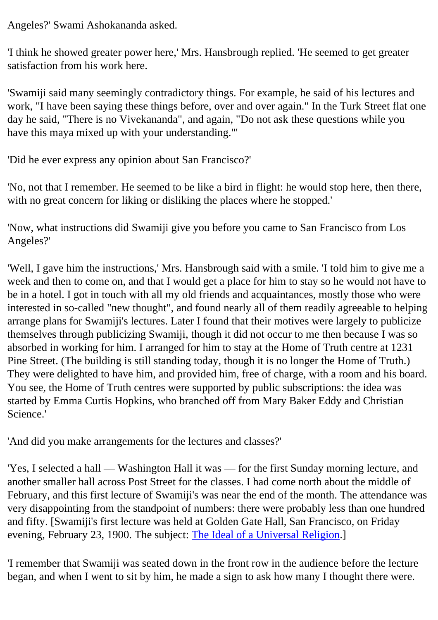Angeles?' Swami Ashokananda asked.

'I think he showed greater power here,' Mrs. Hansbrough replied. 'He seemed to get greater satisfaction from his work here.

'Swamiji said many seemingly contradictory things. For example, he said of his lectures and work, "I have been saying these things before, over and over again." In the Turk Street flat one day he said, "There is no Vivekananda", and again, "Do not ask these questions while you have this maya mixed up with your understanding."'

'Did he ever express any opinion about San Francisco?'

'No, not that I remember. He seemed to be like a bird in flight: he would stop here, then there, with no great concern for liking or disliking the places where he stopped.'

'Now, what instructions did Swamiji give you before you came to San Francisco from Los Angeles?'

'Well, I gave him the instructions,' Mrs. Hansbrough said with a smile. 'I told him to give me a week and then to come on, and that I would get a place for him to stay so he would not have to be in a hotel. I got in touch with all my old friends and acquaintances, mostly those who were interested in so-called "new thought", and found nearly all of them readily agreeable to helping arrange plans for Swamiji's lectures. Later I found that their motives were largely to publicize themselves through publicizing Swamiji, though it did not occur to me then because I was so absorbed in working for him. I arranged for him to stay at the Home of Truth centre at 1231 Pine Street. (The building is still standing today, though it is no longer the Home of Truth.) They were delighted to have him, and provided him, free of charge, with a room and his board. You see, the Home of Truth centres were supported by public subscriptions: the idea was started by Emma Curtis Hopkins, who branched off from Mary Baker Eddy and Christian Science.'

'And did you make arrangements for the lectures and classes?'

'Yes, I selected a hall — Washington Hall it was — for the first Sunday morning lecture, and another smaller hall across Post Street for the classes. I had come north about the middle of February, and this first lecture of Swamiji's was near the end of the month. The attendance was very disappointing from the standpoint of numbers: there were probably less than one hundred and fifty. [Swamiji's first lecture was held at Golden Gate Hall, San Francisco, on Friday evening, February 23, 1900. The subject: [The Ideal of a Universal Religion.](http://www.ramakrishnavivekananda.info/vivekananda/volume_2/practical_vedanta_and_other_lectures/the_ideal_of_a_universal_religion.htm)]

'I remember that Swamiji was seated down in the front row in the audience before the lecture began, and when I went to sit by him, he made a sign to ask how many I thought there were.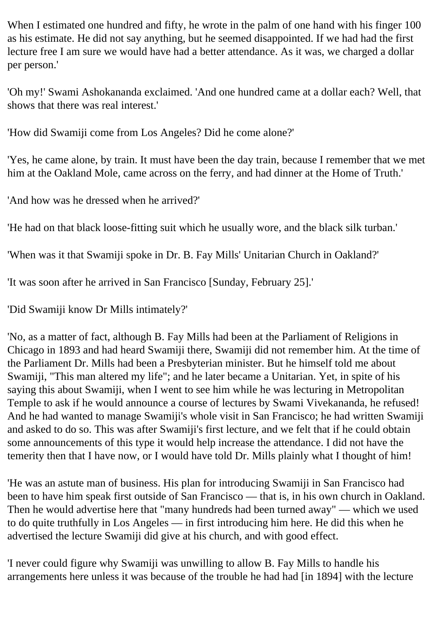When I estimated one hundred and fifty, he wrote in the palm of one hand with his finger 100 as his estimate. He did not say anything, but he seemed disappointed. If we had had the first lecture free I am sure we would have had a better attendance. As it was, we charged a dollar per person.'

'Oh my!' Swami Ashokananda exclaimed. 'And one hundred came at a dollar each? Well, that shows that there was real interest.'

'How did Swamiji come from Los Angeles? Did he come alone?'

'Yes, he came alone, by train. It must have been the day train, because I remember that we met him at the Oakland Mole, came across on the ferry, and had dinner at the Home of Truth.'

'And how was he dressed when he arrived?'

'He had on that black loose-fitting suit which he usually wore, and the black silk turban.'

'When was it that Swamiji spoke in Dr. B. Fay Mills' Unitarian Church in Oakland?'

'It was soon after he arrived in San Francisco [Sunday, February 25].'

'Did Swamiji know Dr Mills intimately?'

'No, as a matter of fact, although B. Fay Mills had been at the Parliament of Religions in Chicago in 1893 and had heard Swamiji there, Swamiji did not remember him. At the time of the Parliament Dr. Mills had been a Presbyterian minister. But he himself told me about Swamiji, "This man altered my life"; and he later became a Unitarian. Yet, in spite of his saying this about Swamiji, when I went to see him while he was lecturing in Metropolitan Temple to ask if he would announce a course of lectures by Swami Vivekananda, he refused! And he had wanted to manage Swamiji's whole visit in San Francisco; he had written Swamiji and asked to do so. This was after Swamiji's first lecture, and we felt that if he could obtain some announcements of this type it would help increase the attendance. I did not have the temerity then that I have now, or I would have told Dr. Mills plainly what I thought of him!

'He was an astute man of business. His plan for introducing Swamiji in San Francisco had been to have him speak first outside of San Francisco — that is, in his own church in Oakland. Then he would advertise here that "many hundreds had been turned away" — which we used to do quite truthfully in Los Angeles — in first introducing him here. He did this when he advertised the lecture Swamiji did give at his church, and with good effect.

'I never could figure why Swamiji was unwilling to allow B. Fay Mills to handle his arrangements here unless it was because of the trouble he had had [in 1894] with the lecture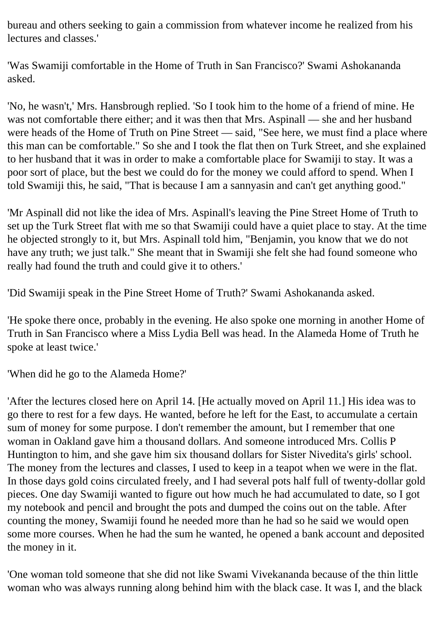bureau and others seeking to gain a commission from whatever income he realized from his lectures and classes.'

'Was Swamiji comfortable in the Home of Truth in San Francisco?' Swami Ashokananda asked.

'No, he wasn't,' Mrs. Hansbrough replied. 'So I took him to the home of a friend of mine. He was not comfortable there either; and it was then that Mrs. Aspinall — she and her husband were heads of the Home of Truth on Pine Street — said, "See here, we must find a place where this man can be comfortable." So she and I took the flat then on Turk Street, and she explained to her husband that it was in order to make a comfortable place for Swamiji to stay. It was a poor sort of place, but the best we could do for the money we could afford to spend. When I told Swamiji this, he said, "That is because I am a sannyasin and can't get anything good."

'Mr Aspinall did not like the idea of Mrs. Aspinall's leaving the Pine Street Home of Truth to set up the Turk Street flat with me so that Swamiji could have a quiet place to stay. At the time he objected strongly to it, but Mrs. Aspinall told him, "Benjamin, you know that we do not have any truth; we just talk." She meant that in Swamiji she felt she had found someone who really had found the truth and could give it to others.'

'Did Swamiji speak in the Pine Street Home of Truth?' Swami Ashokananda asked.

'He spoke there once, probably in the evening. He also spoke one morning in another Home of Truth in San Francisco where a Miss Lydia Bell was head. In the Alameda Home of Truth he spoke at least twice.'

'When did he go to the Alameda Home?'

'After the lectures closed here on April 14. [He actually moved on April 11.] His idea was to go there to rest for a few days. He wanted, before he left for the East, to accumulate a certain sum of money for some purpose. I don't remember the amount, but I remember that one woman in Oakland gave him a thousand dollars. And someone introduced Mrs. Collis P Huntington to him, and she gave him six thousand dollars for Sister Nivedita's girls' school. The money from the lectures and classes, I used to keep in a teapot when we were in the flat. In those days gold coins circulated freely, and I had several pots half full of twenty-dollar gold pieces. One day Swamiji wanted to figure out how much he had accumulated to date, so I got my notebook and pencil and brought the pots and dumped the coins out on the table. After counting the money, Swamiji found he needed more than he had so he said we would open some more courses. When he had the sum he wanted, he opened a bank account and deposited the money in it.

'One woman told someone that she did not like Swami Vivekananda because of the thin little woman who was always running along behind him with the black case. It was I, and the black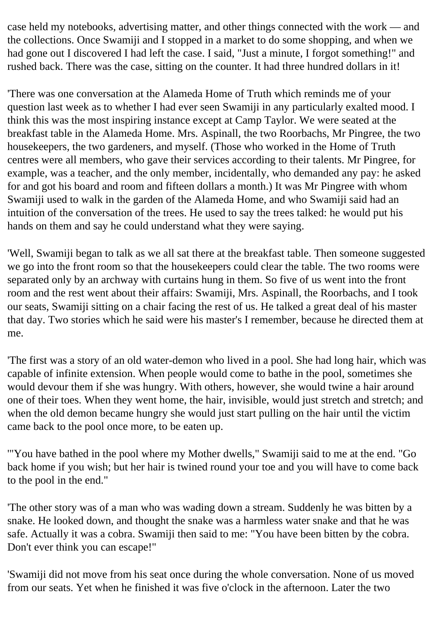case held my notebooks, advertising matter, and other things connected with the work — and the collections. Once Swamiji and I stopped in a market to do some shopping, and when we had gone out I discovered I had left the case. I said, "Just a minute, I forgot something!" and rushed back. There was the case, sitting on the counter. It had three hundred dollars in it!

'There was one conversation at the Alameda Home of Truth which reminds me of your question last week as to whether I had ever seen Swamiji in any particularly exalted mood. I think this was the most inspiring instance except at Camp Taylor. We were seated at the breakfast table in the Alameda Home. Mrs. Aspinall, the two Roorbachs, Mr Pingree, the two housekeepers, the two gardeners, and myself. (Those who worked in the Home of Truth centres were all members, who gave their services according to their talents. Mr Pingree, for example, was a teacher, and the only member, incidentally, who demanded any pay: he asked for and got his board and room and fifteen dollars a month.) It was Mr Pingree with whom Swamiji used to walk in the garden of the Alameda Home, and who Swamiji said had an intuition of the conversation of the trees. He used to say the trees talked: he would put his hands on them and say he could understand what they were saying.

'Well, Swamiji began to talk as we all sat there at the breakfast table. Then someone suggested we go into the front room so that the housekeepers could clear the table. The two rooms were separated only by an archway with curtains hung in them. So five of us went into the front room and the rest went about their affairs: Swamiji, Mrs. Aspinall, the Roorbachs, and I took our seats, Swamiji sitting on a chair facing the rest of us. He talked a great deal of his master that day. Two stories which he said were his master's I remember, because he directed them at me.

'The first was a story of an old water-demon who lived in a pool. She had long hair, which was capable of infinite extension. When people would come to bathe in the pool, sometimes she would devour them if she was hungry. With others, however, she would twine a hair around one of their toes. When they went home, the hair, invisible, would just stretch and stretch; and when the old demon became hungry she would just start pulling on the hair until the victim came back to the pool once more, to be eaten up.

'"You have bathed in the pool where my Mother dwells," Swamiji said to me at the end. "Go back home if you wish; but her hair is twined round your toe and you will have to come back to the pool in the end."

'The other story was of a man who was wading down a stream. Suddenly he was bitten by a snake. He looked down, and thought the snake was a harmless water snake and that he was safe. Actually it was a cobra. Swamiji then said to me: "You have been bitten by the cobra. Don't ever think you can escape!"

'Swamiji did not move from his seat once during the whole conversation. None of us moved from our seats. Yet when he finished it was five o'clock in the afternoon. Later the two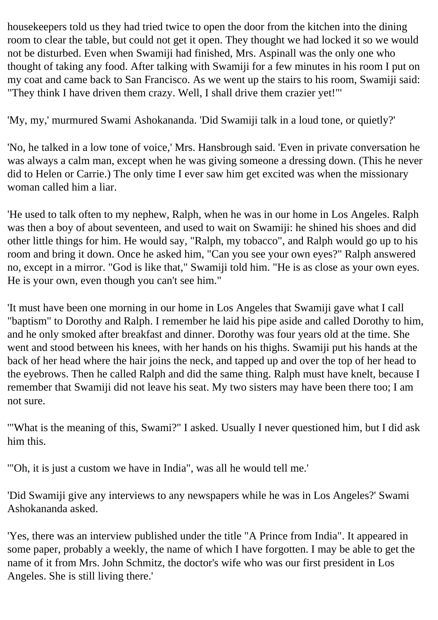housekeepers told us they had tried twice to open the door from the kitchen into the dining room to clear the table, but could not get it open. They thought we had locked it so we would not be disturbed. Even when Swamiji had finished, Mrs. Aspinall was the only one who thought of taking any food. After talking with Swamiji for a few minutes in his room I put on my coat and came back to San Francisco. As we went up the stairs to his room, Swamiji said: "They think I have driven them crazy. Well, I shall drive them crazier yet!"'

'My, my,' murmured Swami Ashokananda. 'Did Swamiji talk in a loud tone, or quietly?'

'No, he talked in a low tone of voice,' Mrs. Hansbrough said. 'Even in private conversation he was always a calm man, except when he was giving someone a dressing down. (This he never did to Helen or Carrie.) The only time I ever saw him get excited was when the missionary woman called him a liar.

'He used to talk often to my nephew, Ralph, when he was in our home in Los Angeles. Ralph was then a boy of about seventeen, and used to wait on Swamiji: he shined his shoes and did other little things for him. He would say, "Ralph, my tobacco", and Ralph would go up to his room and bring it down. Once he asked him, "Can you see your own eyes?" Ralph answered no, except in a mirror. "God is like that," Swamiji told him. "He is as close as your own eyes. He is your own, even though you can't see him."

'It must have been one morning in our home in Los Angeles that Swamiji gave what I call "baptism" to Dorothy and Ralph. I remember he laid his pipe aside and called Dorothy to him, and he only smoked after breakfast and dinner. Dorothy was four years old at the time. She went and stood between his knees, with her hands on his thighs. Swamiji put his hands at the back of her head where the hair joins the neck, and tapped up and over the top of her head to the eyebrows. Then he called Ralph and did the same thing. Ralph must have knelt, because I remember that Swamiji did not leave his seat. My two sisters may have been there too; I am not sure.

'"What is the meaning of this, Swami?" I asked. Usually I never questioned him, but I did ask him this.

'"Oh, it is just a custom we have in India", was all he would tell me.'

'Did Swamiji give any interviews to any newspapers while he was in Los Angeles?' Swami Ashokananda asked.

'Yes, there was an interview published under the title "A Prince from India". It appeared in some paper, probably a weekly, the name of which I have forgotten. I may be able to get the name of it from Mrs. John Schmitz, the doctor's wife who was our first president in Los Angeles. She is still living there.'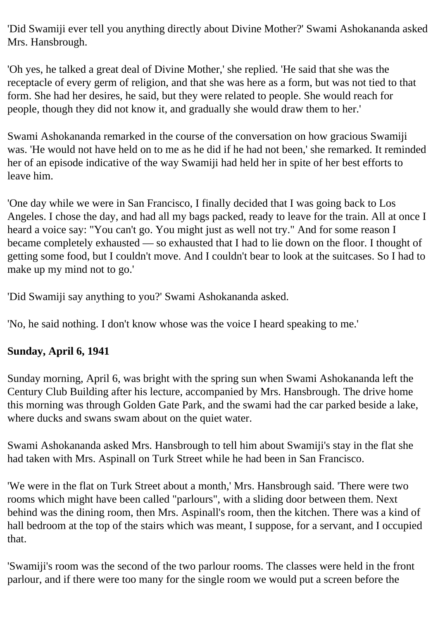'Did Swamiji ever tell you anything directly about Divine Mother?' Swami Ashokananda asked Mrs. Hansbrough.

'Oh yes, he talked a great deal of Divine Mother,' she replied. 'He said that she was the receptacle of every germ of religion, and that she was here as a form, but was not tied to that form. She had her desires, he said, but they were related to people. She would reach for people, though they did not know it, and gradually she would draw them to her.'

Swami Ashokananda remarked in the course of the conversation on how gracious Swamiji was. 'He would not have held on to me as he did if he had not been,' she remarked. It reminded her of an episode indicative of the way Swamiji had held her in spite of her best efforts to leave him.

'One day while we were in San Francisco, I finally decided that I was going back to Los Angeles. I chose the day, and had all my bags packed, ready to leave for the train. All at once I heard a voice say: "You can't go. You might just as well not try." And for some reason I became completely exhausted — so exhausted that I had to lie down on the floor. I thought of getting some food, but I couldn't move. And I couldn't bear to look at the suitcases. So I had to make up my mind not to go.'

'Did Swamiji say anything to you?' Swami Ashokananda asked.

'No, he said nothing. I don't know whose was the voice I heard speaking to me.'

### **Sunday, April 6, 1941**

Sunday morning, April 6, was bright with the spring sun when Swami Ashokananda left the Century Club Building after his lecture, accompanied by Mrs. Hansbrough. The drive home this morning was through Golden Gate Park, and the swami had the car parked beside a lake, where ducks and swans swam about on the quiet water.

Swami Ashokananda asked Mrs. Hansbrough to tell him about Swamiji's stay in the flat she had taken with Mrs. Aspinall on Turk Street while he had been in San Francisco.

'We were in the flat on Turk Street about a month,' Mrs. Hansbrough said. 'There were two rooms which might have been called "parlours", with a sliding door between them. Next behind was the dining room, then Mrs. Aspinall's room, then the kitchen. There was a kind of hall bedroom at the top of the stairs which was meant, I suppose, for a servant, and I occupied that.

'Swamiji's room was the second of the two parlour rooms. The classes were held in the front parlour, and if there were too many for the single room we would put a screen before the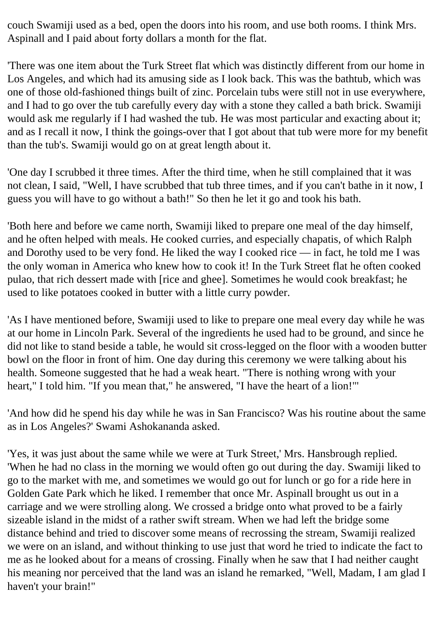couch Swamiji used as a bed, open the doors into his room, and use both rooms. I think Mrs. Aspinall and I paid about forty dollars a month for the flat.

'There was one item about the Turk Street flat which was distinctly different from our home in Los Angeles, and which had its amusing side as I look back. This was the bathtub, which was one of those old-fashioned things built of zinc. Porcelain tubs were still not in use everywhere, and I had to go over the tub carefully every day with a stone they called a bath brick. Swamiji would ask me regularly if I had washed the tub. He was most particular and exacting about it; and as I recall it now, I think the goings-over that I got about that tub were more for my benefit than the tub's. Swamiji would go on at great length about it.

'One day I scrubbed it three times. After the third time, when he still complained that it was not clean, I said, "Well, I have scrubbed that tub three times, and if you can't bathe in it now, I guess you will have to go without a bath!" So then he let it go and took his bath.

'Both here and before we came north, Swamiji liked to prepare one meal of the day himself, and he often helped with meals. He cooked curries, and especially chapatis, of which Ralph and Dorothy used to be very fond. He liked the way I cooked rice — in fact, he told me I was the only woman in America who knew how to cook it! In the Turk Street flat he often cooked pulao, that rich dessert made with [rice and ghee]. Sometimes he would cook breakfast; he used to like potatoes cooked in butter with a little curry powder.

'As I have mentioned before, Swamiji used to like to prepare one meal every day while he was at our home in Lincoln Park. Several of the ingredients he used had to be ground, and since he did not like to stand beside a table, he would sit cross-legged on the floor with a wooden butter bowl on the floor in front of him. One day during this ceremony we were talking about his health. Someone suggested that he had a weak heart. "There is nothing wrong with your heart," I told him. "If you mean that," he answered, "I have the heart of a lion!"'

'And how did he spend his day while he was in San Francisco? Was his routine about the same as in Los Angeles?' Swami Ashokananda asked.

'Yes, it was just about the same while we were at Turk Street,' Mrs. Hansbrough replied. 'When he had no class in the morning we would often go out during the day. Swamiji liked to go to the market with me, and sometimes we would go out for lunch or go for a ride here in Golden Gate Park which he liked. I remember that once Mr. Aspinall brought us out in a carriage and we were strolling along. We crossed a bridge onto what proved to be a fairly sizeable island in the midst of a rather swift stream. When we had left the bridge some distance behind and tried to discover some means of recrossing the stream, Swamiji realized we were on an island, and without thinking to use just that word he tried to indicate the fact to me as he looked about for a means of crossing. Finally when he saw that I had neither caught his meaning nor perceived that the land was an island he remarked, "Well, Madam, I am glad I haven't your brain!"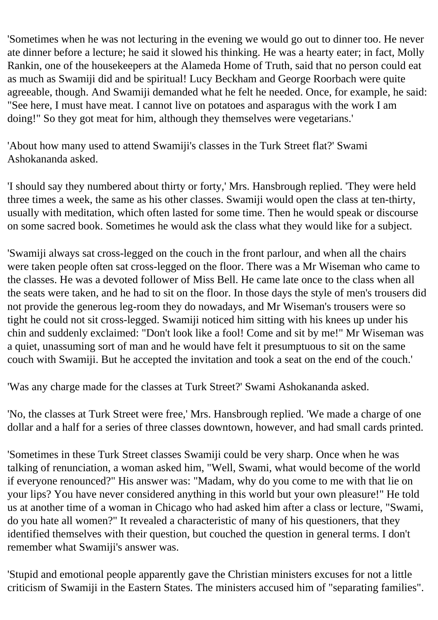'Sometimes when he was not lecturing in the evening we would go out to dinner too. He never ate dinner before a lecture; he said it slowed his thinking. He was a hearty eater; in fact, Molly Rankin, one of the housekeepers at the Alameda Home of Truth, said that no person could eat as much as Swamiji did and be spiritual! Lucy Beckham and George Roorbach were quite agreeable, though. And Swamiji demanded what he felt he needed. Once, for example, he said: "See here, I must have meat. I cannot live on potatoes and asparagus with the work I am doing!" So they got meat for him, although they themselves were vegetarians.'

'About how many used to attend Swamiji's classes in the Turk Street flat?' Swami Ashokananda asked.

'I should say they numbered about thirty or forty,' Mrs. Hansbrough replied. 'They were held three times a week, the same as his other classes. Swamiji would open the class at ten-thirty, usually with meditation, which often lasted for some time. Then he would speak or discourse on some sacred book. Sometimes he would ask the class what they would like for a subject.

'Swamiji always sat cross-legged on the couch in the front parlour, and when all the chairs were taken people often sat cross-legged on the floor. There was a Mr Wiseman who came to the classes. He was a devoted follower of Miss Bell. He came late once to the class when all the seats were taken, and he had to sit on the floor. In those days the style of men's trousers did not provide the generous leg-room they do nowadays, and Mr Wiseman's trousers were so tight he could not sit cross-legged. Swamiji noticed him sitting with his knees up under his chin and suddenly exclaimed: "Don't look like a fool! Come and sit by me!" Mr Wiseman was a quiet, unassuming sort of man and he would have felt it presumptuous to sit on the same couch with Swamiji. But he accepted the invitation and took a seat on the end of the couch.'

'Was any charge made for the classes at Turk Street?' Swami Ashokananda asked.

'No, the classes at Turk Street were free,' Mrs. Hansbrough replied. 'We made a charge of one dollar and a half for a series of three classes downtown, however, and had small cards printed.

'Sometimes in these Turk Street classes Swamiji could be very sharp. Once when he was talking of renunciation, a woman asked him, "Well, Swami, what would become of the world if everyone renounced?" His answer was: "Madam, why do you come to me with that lie on your lips? You have never considered anything in this world but your own pleasure!" He told us at another time of a woman in Chicago who had asked him after a class or lecture, "Swami, do you hate all women?" It revealed a characteristic of many of his questioners, that they identified themselves with their question, but couched the question in general terms. I don't remember what Swamiji's answer was.

'Stupid and emotional people apparently gave the Christian ministers excuses for not a little criticism of Swamiji in the Eastern States. The ministers accused him of "separating families".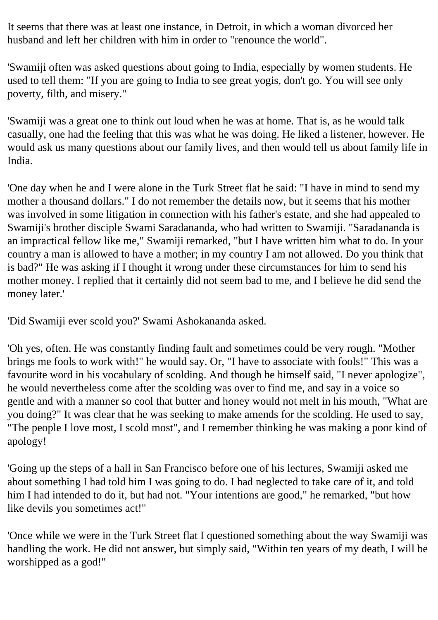It seems that there was at least one instance, in Detroit, in which a woman divorced her husband and left her children with him in order to "renounce the world".

'Swamiji often was asked questions about going to India, especially by women students. He used to tell them: "If you are going to India to see great yogis, don't go. You will see only poverty, filth, and misery."

'Swamiji was a great one to think out loud when he was at home. That is, as he would talk casually, one had the feeling that this was what he was doing. He liked a listener, however. He would ask us many questions about our family lives, and then would tell us about family life in India.

'One day when he and I were alone in the Turk Street flat he said: "I have in mind to send my mother a thousand dollars." I do not remember the details now, but it seems that his mother was involved in some litigation in connection with his father's estate, and she had appealed to Swamiji's brother disciple Swami Saradananda, who had written to Swamiji. "Saradananda is an impractical fellow like me," Swamiji remarked, "but I have written him what to do. In your country a man is allowed to have a mother; in my country I am not allowed. Do you think that is bad?" He was asking if I thought it wrong under these circumstances for him to send his mother money. I replied that it certainly did not seem bad to me, and I believe he did send the money later.'

'Did Swamiji ever scold you?' Swami Ashokananda asked.

'Oh yes, often. He was constantly finding fault and sometimes could be very rough. "Mother brings me fools to work with!" he would say. Or, "I have to associate with fools!" This was a favourite word in his vocabulary of scolding. And though he himself said, "I never apologize", he would nevertheless come after the scolding was over to find me, and say in a voice so gentle and with a manner so cool that butter and honey would not melt in his mouth, "What are you doing?" It was clear that he was seeking to make amends for the scolding. He used to say, "The people I love most, I scold most", and I remember thinking he was making a poor kind of apology!

'Going up the steps of a hall in San Francisco before one of his lectures, Swamiji asked me about something I had told him I was going to do. I had neglected to take care of it, and told him I had intended to do it, but had not. "Your intentions are good," he remarked, "but how like devils you sometimes act!"

'Once while we were in the Turk Street flat I questioned something about the way Swamiji was handling the work. He did not answer, but simply said, "Within ten years of my death, I will be worshipped as a god!"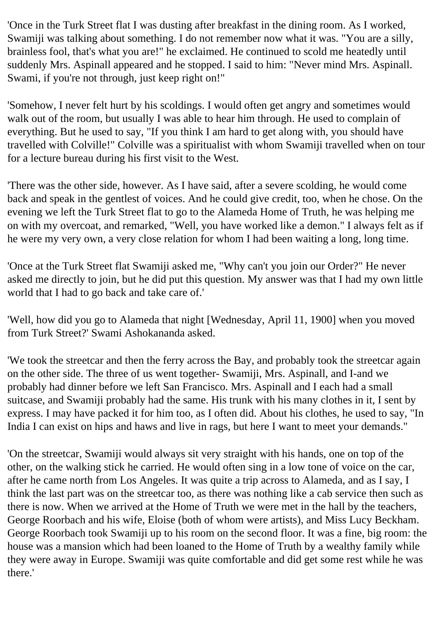'Once in the Turk Street flat I was dusting after breakfast in the dining room. As I worked, Swamiji was talking about something. I do not remember now what it was. "You are a silly, brainless fool, that's what you are!" he exclaimed. He continued to scold me heatedly until suddenly Mrs. Aspinall appeared and he stopped. I said to him: "Never mind Mrs. Aspinall. Swami, if you're not through, just keep right on!"

'Somehow, I never felt hurt by his scoldings. I would often get angry and sometimes would walk out of the room, but usually I was able to hear him through. He used to complain of everything. But he used to say, "If you think I am hard to get along with, you should have travelled with Colville!" Colville was a spiritualist with whom Swamiji travelled when on tour for a lecture bureau during his first visit to the West.

'There was the other side, however. As I have said, after a severe scolding, he would come back and speak in the gentlest of voices. And he could give credit, too, when he chose. On the evening we left the Turk Street flat to go to the Alameda Home of Truth, he was helping me on with my overcoat, and remarked, "Well, you have worked like a demon." I always felt as if he were my very own, a very close relation for whom I had been waiting a long, long time.

'Once at the Turk Street flat Swamiji asked me, "Why can't you join our Order?" He never asked me directly to join, but he did put this question. My answer was that I had my own little world that I had to go back and take care of.'

'Well, how did you go to Alameda that night [Wednesday, April 11, 1900] when you moved from Turk Street?' Swami Ashokananda asked.

'We took the streetcar and then the ferry across the Bay, and probably took the streetcar again on the other side. The three of us went together- Swamiji, Mrs. Aspinall, and I-and we probably had dinner before we left San Francisco. Mrs. Aspinall and I each had a small suitcase, and Swamiji probably had the same. His trunk with his many clothes in it, I sent by express. I may have packed it for him too, as I often did. About his clothes, he used to say, "In India I can exist on hips and haws and live in rags, but here I want to meet your demands."

'On the streetcar, Swamiji would always sit very straight with his hands, one on top of the other, on the walking stick he carried. He would often sing in a low tone of voice on the car, after he came north from Los Angeles. It was quite a trip across to Alameda, and as I say, I think the last part was on the streetcar too, as there was nothing like a cab service then such as there is now. When we arrived at the Home of Truth we were met in the hall by the teachers, George Roorbach and his wife, Eloise (both of whom were artists), and Miss Lucy Beckham. George Roorbach took Swamiji up to his room on the second floor. It was a fine, big room: the house was a mansion which had been loaned to the Home of Truth by a wealthy family while they were away in Europe. Swamiji was quite comfortable and did get some rest while he was there.'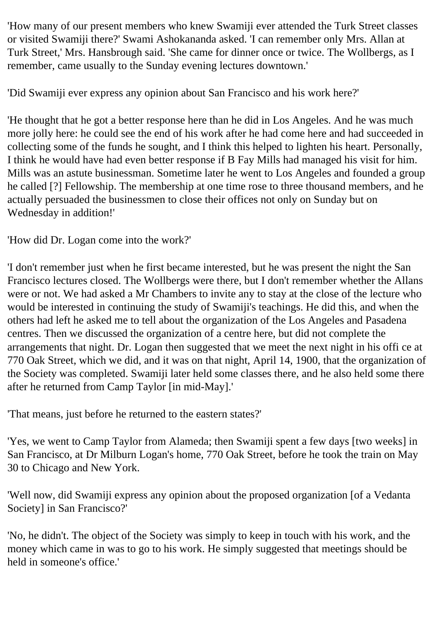'How many of our present members who knew Swamiji ever attended the Turk Street classes or visited Swamiji there?' Swami Ashokananda asked. 'I can remember only Mrs. Allan at Turk Street,' Mrs. Hansbrough said. 'She came for dinner once or twice. The Wollbergs, as I remember, came usually to the Sunday evening lectures downtown.'

'Did Swamiji ever express any opinion about San Francisco and his work here?'

'He thought that he got a better response here than he did in Los Angeles. And he was much more jolly here: he could see the end of his work after he had come here and had succeeded in collecting some of the funds he sought, and I think this helped to lighten his heart. Personally, I think he would have had even better response if B Fay Mills had managed his visit for him. Mills was an astute businessman. Sometime later he went to Los Angeles and founded a group he called [?] Fellowship. The membership at one time rose to three thousand members, and he actually persuaded the businessmen to close their offices not only on Sunday but on Wednesday in addition!'

'How did Dr. Logan come into the work?'

'I don't remember just when he first became interested, but he was present the night the San Francisco lectures closed. The Wollbergs were there, but I don't remember whether the Allans were or not. We had asked a Mr Chambers to invite any to stay at the close of the lecture who would be interested in continuing the study of Swamiji's teachings. He did this, and when the others had left he asked me to tell about the organization of the Los Angeles and Pasadena centres. Then we discussed the organization of a centre here, but did not complete the arrangements that night. Dr. Logan then suggested that we meet the next night in his offi ce at 770 Oak Street, which we did, and it was on that night, April 14, 1900, that the organization of the Society was completed. Swamiji later held some classes there, and he also held some there after he returned from Camp Taylor [in mid-May].'

'That means, just before he returned to the eastern states?'

'Yes, we went to Camp Taylor from Alameda; then Swamiji spent a few days [two weeks] in San Francisco, at Dr Milburn Logan's home, 770 Oak Street, before he took the train on May 30 to Chicago and New York.

'Well now, did Swamiji express any opinion about the proposed organization [of a Vedanta Society] in San Francisco?'

'No, he didn't. The object of the Society was simply to keep in touch with his work, and the money which came in was to go to his work. He simply suggested that meetings should be held in someone's office.'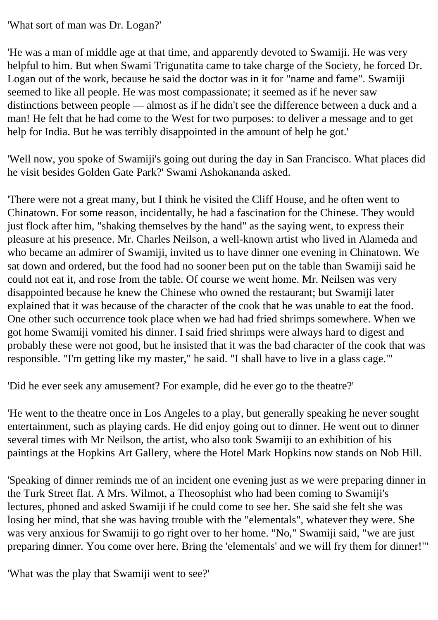'What sort of man was Dr. Logan?'

'He was a man of middle age at that time, and apparently devoted to Swamiji. He was very helpful to him. But when Swami Trigunatita came to take charge of the Society, he forced Dr. Logan out of the work, because he said the doctor was in it for "name and fame". Swamiji seemed to like all people. He was most compassionate; it seemed as if he never saw distinctions between people — almost as if he didn't see the difference between a duck and a man! He felt that he had come to the West for two purposes: to deliver a message and to get help for India. But he was terribly disappointed in the amount of help he got.'

'Well now, you spoke of Swamiji's going out during the day in San Francisco. What places did he visit besides Golden Gate Park?' Swami Ashokananda asked.

'There were not a great many, but I think he visited the Cliff House, and he often went to Chinatown. For some reason, incidentally, he had a fascination for the Chinese. They would just flock after him, "shaking themselves by the hand" as the saying went, to express their pleasure at his presence. Mr. Charles Neilson, a well-known artist who lived in Alameda and who became an admirer of Swamiji, invited us to have dinner one evening in Chinatown. We sat down and ordered, but the food had no sooner been put on the table than Swamiji said he could not eat it, and rose from the table. Of course we went home. Mr. Neilsen was very disappointed because he knew the Chinese who owned the restaurant; but Swamiji later explained that it was because of the character of the cook that he was unable to eat the food. One other such occurrence took place when we had had fried shrimps somewhere. When we got home Swamiji vomited his dinner. I said fried shrimps were always hard to digest and probably these were not good, but he insisted that it was the bad character of the cook that was responsible. "I'm getting like my master," he said. "I shall have to live in a glass cage."'

'Did he ever seek any amusement? For example, did he ever go to the theatre?'

'He went to the theatre once in Los Angeles to a play, but generally speaking he never sought entertainment, such as playing cards. He did enjoy going out to dinner. He went out to dinner several times with Mr Neilson, the artist, who also took Swamiji to an exhibition of his paintings at the Hopkins Art Gallery, where the Hotel Mark Hopkins now stands on Nob Hill.

'Speaking of dinner reminds me of an incident one evening just as we were preparing dinner in the Turk Street flat. A Mrs. Wilmot, a Theosophist who had been coming to Swamiji's lectures, phoned and asked Swamiji if he could come to see her. She said she felt she was losing her mind, that she was having trouble with the "elementals", whatever they were. She was very anxious for Swamiji to go right over to her home. "No," Swamiji said, "we are just preparing dinner. You come over here. Bring the 'elementals' and we will fry them for dinner!"'

'What was the play that Swamiji went to see?'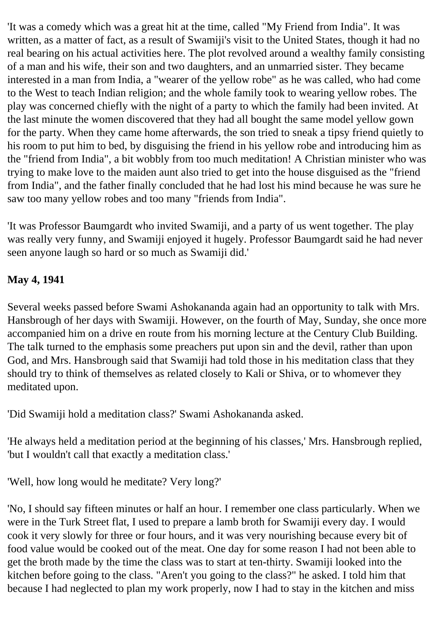'It was a comedy which was a great hit at the time, called "My Friend from India". It was written, as a matter of fact, as a result of Swamiji's visit to the United States, though it had no real bearing on his actual activities here. The plot revolved around a wealthy family consisting of a man and his wife, their son and two daughters, and an unmarried sister. They became interested in a man from India, a "wearer of the yellow robe" as he was called, who had come to the West to teach Indian religion; and the whole family took to wearing yellow robes. The play was concerned chiefly with the night of a party to which the family had been invited. At the last minute the women discovered that they had all bought the same model yellow gown for the party. When they came home afterwards, the son tried to sneak a tipsy friend quietly to his room to put him to bed, by disguising the friend in his yellow robe and introducing him as the "friend from India", a bit wobbly from too much meditation! A Christian minister who was trying to make love to the maiden aunt also tried to get into the house disguised as the "friend from India", and the father finally concluded that he had lost his mind because he was sure he saw too many yellow robes and too many "friends from India".

'It was Professor Baumgardt who invited Swamiji, and a party of us went together. The play was really very funny, and Swamiji enjoyed it hugely. Professor Baumgardt said he had never seen anyone laugh so hard or so much as Swamiji did.'

### **May 4, 1941**

Several weeks passed before Swami Ashokananda again had an opportunity to talk with Mrs. Hansbrough of her days with Swamiji. However, on the fourth of May, Sunday, she once more accompanied him on a drive en route from his morning lecture at the Century Club Building. The talk turned to the emphasis some preachers put upon sin and the devil, rather than upon God, and Mrs. Hansbrough said that Swamiji had told those in his meditation class that they should try to think of themselves as related closely to Kali or Shiva, or to whomever they meditated upon.

'Did Swamiji hold a meditation class?' Swami Ashokananda asked.

'He always held a meditation period at the beginning of his classes,' Mrs. Hansbrough replied, 'but I wouldn't call that exactly a meditation class.'

'Well, how long would he meditate? Very long?'

'No, I should say fifteen minutes or half an hour. I remember one class particularly. When we were in the Turk Street flat, I used to prepare a lamb broth for Swamiji every day. I would cook it very slowly for three or four hours, and it was very nourishing because every bit of food value would be cooked out of the meat. One day for some reason I had not been able to get the broth made by the time the class was to start at ten-thirty. Swamiji looked into the kitchen before going to the class. "Aren't you going to the class?" he asked. I told him that because I had neglected to plan my work properly, now I had to stay in the kitchen and miss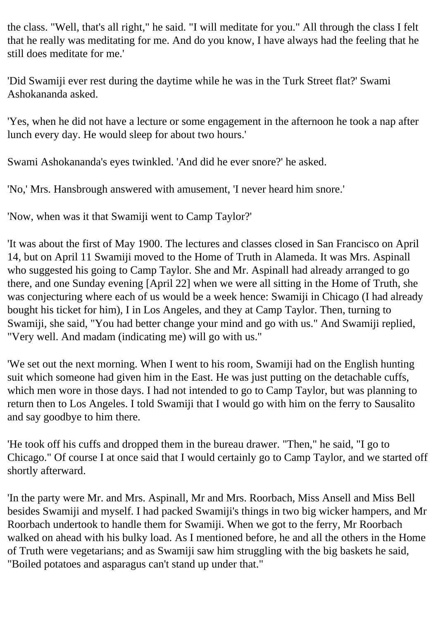the class. "Well, that's all right," he said. "I will meditate for you." All through the class I felt that he really was meditating for me. And do you know, I have always had the feeling that he still does meditate for me.'

'Did Swamiji ever rest during the daytime while he was in the Turk Street flat?' Swami Ashokananda asked.

'Yes, when he did not have a lecture or some engagement in the afternoon he took a nap after lunch every day. He would sleep for about two hours.'

Swami Ashokananda's eyes twinkled. 'And did he ever snore?' he asked.

'No,' Mrs. Hansbrough answered with amusement, 'I never heard him snore.'

'Now, when was it that Swamiji went to Camp Taylor?'

'It was about the first of May 1900. The lectures and classes closed in San Francisco on April 14, but on April 11 Swamiji moved to the Home of Truth in Alameda. It was Mrs. Aspinall who suggested his going to Camp Taylor. She and Mr. Aspinall had already arranged to go there, and one Sunday evening [April 22] when we were all sitting in the Home of Truth, she was conjecturing where each of us would be a week hence: Swamiji in Chicago (I had already bought his ticket for him), I in Los Angeles, and they at Camp Taylor. Then, turning to Swamiji, she said, "You had better change your mind and go with us." And Swamiji replied, "Very well. And madam (indicating me) will go with us."

'We set out the next morning. When I went to his room, Swamiji had on the English hunting suit which someone had given him in the East. He was just putting on the detachable cuffs, which men wore in those days. I had not intended to go to Camp Taylor, but was planning to return then to Los Angeles. I told Swamiji that I would go with him on the ferry to Sausalito and say goodbye to him there.

'He took off his cuffs and dropped them in the bureau drawer. "Then," he said, "I go to Chicago." Of course I at once said that I would certainly go to Camp Taylor, and we started off shortly afterward.

'In the party were Mr. and Mrs. Aspinall, Mr and Mrs. Roorbach, Miss Ansell and Miss Bell besides Swamiji and myself. I had packed Swamiji's things in two big wicker hampers, and Mr Roorbach undertook to handle them for Swamiji. When we got to the ferry, Mr Roorbach walked on ahead with his bulky load. As I mentioned before, he and all the others in the Home of Truth were vegetarians; and as Swamiji saw him struggling with the big baskets he said, "Boiled potatoes and asparagus can't stand up under that."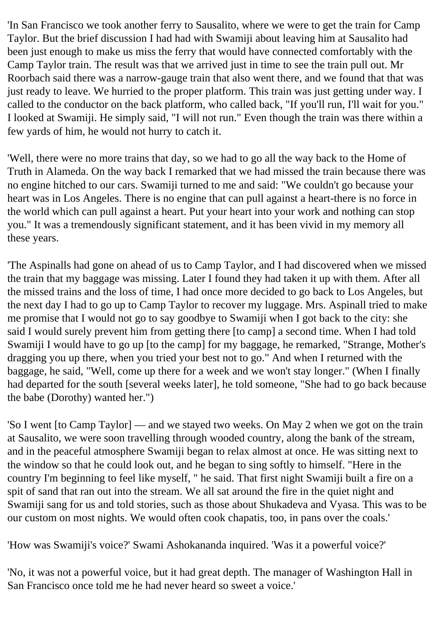'In San Francisco we took another ferry to Sausalito, where we were to get the train for Camp Taylor. But the brief discussion I had had with Swamiji about leaving him at Sausalito had been just enough to make us miss the ferry that would have connected comfortably with the Camp Taylor train. The result was that we arrived just in time to see the train pull out. Mr Roorbach said there was a narrow-gauge train that also went there, and we found that that was just ready to leave. We hurried to the proper platform. This train was just getting under way. I called to the conductor on the back platform, who called back, "If you'll run, I'll wait for you." I looked at Swamiji. He simply said, "I will not run." Even though the train was there within a few yards of him, he would not hurry to catch it.

'Well, there were no more trains that day, so we had to go all the way back to the Home of Truth in Alameda. On the way back I remarked that we had missed the train because there was no engine hitched to our cars. Swamiji turned to me and said: "We couldn't go because your heart was in Los Angeles. There is no engine that can pull against a heart-there is no force in the world which can pull against a heart. Put your heart into your work and nothing can stop you." It was a tremendously significant statement, and it has been vivid in my memory all these years.

'The Aspinalls had gone on ahead of us to Camp Taylor, and I had discovered when we missed the train that my baggage was missing. Later I found they had taken it up with them. After all the missed trains and the loss of time, I had once more decided to go back to Los Angeles, but the next day I had to go up to Camp Taylor to recover my luggage. Mrs. Aspinall tried to make me promise that I would not go to say goodbye to Swamiji when I got back to the city: she said I would surely prevent him from getting there [to camp] a second time. When I had told Swamiji I would have to go up [to the camp] for my baggage, he remarked, "Strange, Mother's dragging you up there, when you tried your best not to go." And when I returned with the baggage, he said, "Well, come up there for a week and we won't stay longer." (When I finally had departed for the south [several weeks later], he told someone, "She had to go back because the babe (Dorothy) wanted her.")

'So I went [to Camp Taylor] — and we stayed two weeks. On May 2 when we got on the train at Sausalito, we were soon travelling through wooded country, along the bank of the stream, and in the peaceful atmosphere Swamiji began to relax almost at once. He was sitting next to the window so that he could look out, and he began to sing softly to himself. "Here in the country I'm beginning to feel like myself, " he said. That first night Swamiji built a fire on a spit of sand that ran out into the stream. We all sat around the fire in the quiet night and Swamiji sang for us and told stories, such as those about Shukadeva and Vyasa. This was to be our custom on most nights. We would often cook chapatis, too, in pans over the coals.'

'How was Swamiji's voice?' Swami Ashokananda inquired. 'Was it a powerful voice?'

'No, it was not a powerful voice, but it had great depth. The manager of Washington Hall in San Francisco once told me he had never heard so sweet a voice.'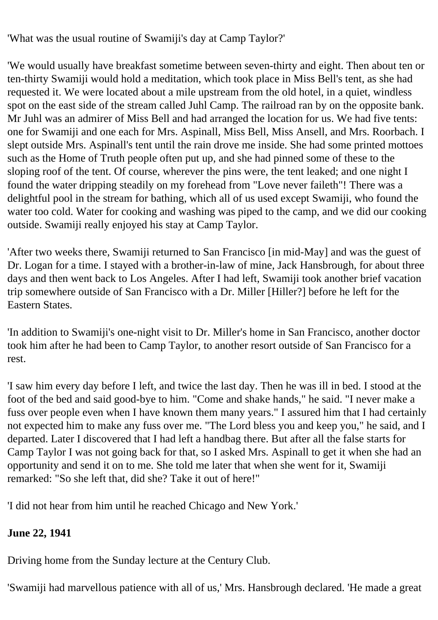'What was the usual routine of Swamiji's day at Camp Taylor?'

'We would usually have breakfast sometime between seven-thirty and eight. Then about ten or ten-thirty Swamiji would hold a meditation, which took place in Miss Bell's tent, as she had requested it. We were located about a mile upstream from the old hotel, in a quiet, windless spot on the east side of the stream called Juhl Camp. The railroad ran by on the opposite bank. Mr Juhl was an admirer of Miss Bell and had arranged the location for us. We had five tents: one for Swamiji and one each for Mrs. Aspinall, Miss Bell, Miss Ansell, and Mrs. Roorbach. I slept outside Mrs. Aspinall's tent until the rain drove me inside. She had some printed mottoes such as the Home of Truth people often put up, and she had pinned some of these to the sloping roof of the tent. Of course, wherever the pins were, the tent leaked; and one night I found the water dripping steadily on my forehead from "Love never faileth"! There was a delightful pool in the stream for bathing, which all of us used except Swamiji, who found the water too cold. Water for cooking and washing was piped to the camp, and we did our cooking outside. Swamiji really enjoyed his stay at Camp Taylor.

'After two weeks there, Swamiji returned to San Francisco [in mid-May] and was the guest of Dr. Logan for a time. I stayed with a brother-in-law of mine, Jack Hansbrough, for about three days and then went back to Los Angeles. After I had left, Swamiji took another brief vacation trip somewhere outside of San Francisco with a Dr. Miller [Hiller?] before he left for the Eastern States.

'In addition to Swamiji's one-night visit to Dr. Miller's home in San Francisco, another doctor took him after he had been to Camp Taylor, to another resort outside of San Francisco for a rest.

'I saw him every day before I left, and twice the last day. Then he was ill in bed. I stood at the foot of the bed and said good-bye to him. "Come and shake hands," he said. "I never make a fuss over people even when I have known them many years." I assured him that I had certainly not expected him to make any fuss over me. "The Lord bless you and keep you," he said, and I departed. Later I discovered that I had left a handbag there. But after all the false starts for Camp Taylor I was not going back for that, so I asked Mrs. Aspinall to get it when she had an opportunity and send it on to me. She told me later that when she went for it, Swamiji remarked: "So she left that, did she? Take it out of here!"

'I did not hear from him until he reached Chicago and New York.'

### **June 22, 1941**

Driving home from the Sunday lecture at the Century Club.

'Swamiji had marvellous patience with all of us,' Mrs. Hansbrough declared. 'He made a great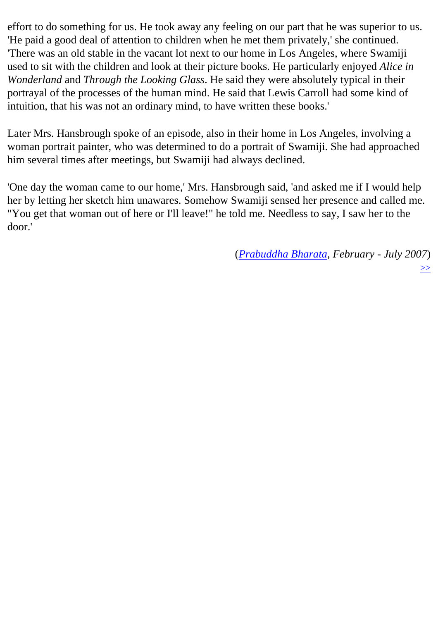effort to do something for us. He took away any feeling on our part that he was superior to us. 'He paid a good deal of attention to children when he met them privately,' she continued. 'There was an old stable in the vacant lot next to our home in Los Angeles, where Swamiji used to sit with the children and look at their picture books. He particularly enjoyed *Alice in Wonderland* and *Through the Looking Glass*. He said they were absolutely typical in their portrayal of the processes of the human mind. He said that Lewis Carroll had some kind of intuition, that his was not an ordinary mind, to have written these books.'

Later Mrs. Hansbrough spoke of an episode, also in their home in Los Angeles, involving a woman portrait painter, who was determined to do a portrait of Swamiji. She had approached him several times after meetings, but Swamiji had always declined.

'One day the woman came to our home,' Mrs. Hansbrough said, 'and asked me if I would help her by letting her sketch him unawares. Somehow Swamiji sensed her presence and called me. "You get that woman out of here or I'll leave!" he told me. Needless to say, I saw her to the door.'

> (*[Prabuddha Bharata,](http://www.advaitaashrama.org/prabuddha_bharata.html) February - July 2007*)  $\geq$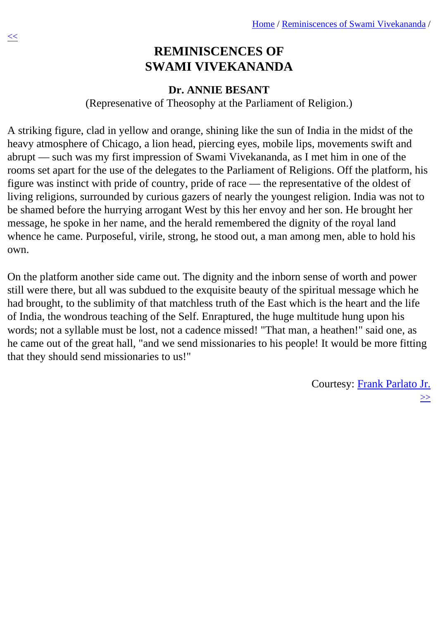#### **Dr. ANNIE BESANT**

#### (Represenative of Theosophy at the Parliament of Religion.)

A striking figure, clad in yellow and orange, shining like the sun of India in the midst of the heavy atmosphere of Chicago, a lion head, piercing eyes, mobile lips, movements swift and abrupt — such was my first impression of Swami Vivekananda, as I met him in one of the rooms set apart for the use of the delegates to the Parliament of Religions. Off the platform, his figure was instinct with pride of country, pride of race — the representative of the oldest of living religions, surrounded by curious gazers of nearly the youngest religion. India was not to be shamed before the hurrying arrogant West by this her envoy and her son. He brought her message, he spoke in her name, and the herald remembered the dignity of the royal land whence he came. Purposeful, virile, strong, he stood out, a man among men, able to hold his own.

On the platform another side came out. The dignity and the inborn sense of worth and power still were there, but all was subdued to the exquisite beauty of the spiritual message which he had brought, to the sublimity of that matchless truth of the East which is the heart and the life of India, the wondrous teaching of the Self. Enraptured, the huge multitude hung upon his words; not a syllable must be lost, not a cadence missed! "That man, a heathen!" said one, as he came out of the great hall, "and we send missionaries to his people! It would be more fitting that they should send missionaries to us!"

> Courtesy: [Frank Parlato Jr.](http://www.vivekananda.net/)  $\geq$

<span id="page-338-0"></span> $<<$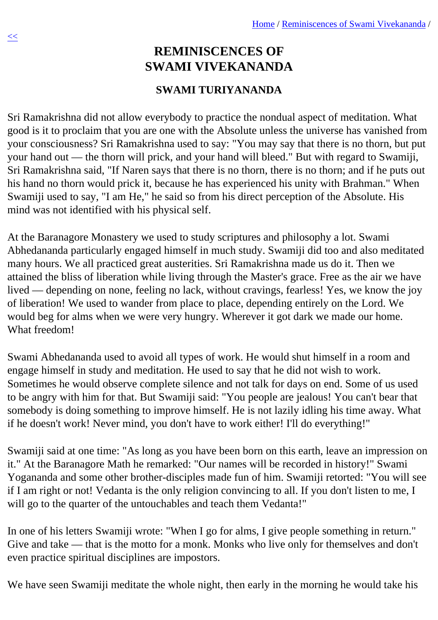#### **SWAMI TURIYANANDA**

<span id="page-339-0"></span>Sri Ramakrishna did not allow everybody to practice the nondual aspect of meditation. What good is it to proclaim that you are one with the Absolute unless the universe has vanished from your consciousness? Sri Ramakrishna used to say: "You may say that there is no thorn, but put your hand out — the thorn will prick, and your hand will bleed." But with regard to Swamiji, Sri Ramakrishna said, "If Naren says that there is no thorn, there is no thorn; and if he puts out his hand no thorn would prick it, because he has experienced his unity with Brahman." When Swamiji used to say, "I am He," he said so from his direct perception of the Absolute. His mind was not identified with his physical self.

At the Baranagore Monastery we used to study scriptures and philosophy a lot. Swami Abhedananda particularly engaged himself in much study. Swamiji did too and also meditated many hours. We all practiced great austerities. Sri Ramakrishna made us do it. Then we attained the bliss of liberation while living through the Master's grace. Free as the air we have lived — depending on none, feeling no lack, without cravings, fearless! Yes, we know the joy of liberation! We used to wander from place to place, depending entirely on the Lord. We would beg for alms when we were very hungry. Wherever it got dark we made our home. What freedom!

Swami Abhedananda used to avoid all types of work. He would shut himself in a room and engage himself in study and meditation. He used to say that he did not wish to work. Sometimes he would observe complete silence and not talk for days on end. Some of us used to be angry with him for that. But Swamiji said: "You people are jealous! You can't bear that somebody is doing something to improve himself. He is not lazily idling his time away. What if he doesn't work! Never mind, you don't have to work either! I'll do everything!"

Swamiji said at one time: "As long as you have been born on this earth, leave an impression on it." At the Baranagore Math he remarked: "Our names will be recorded in history!" Swami Yogananda and some other brother-disciples made fun of him. Swamiji retorted: "You will see if I am right or not! Vedanta is the only religion convincing to all. If you don't listen to me, I will go to the quarter of the untouchables and teach them Vedanta!"

In one of his letters Swamiji wrote: "When I go for alms, I give people something in return." Give and take — that is the motto for a monk. Monks who live only for themselves and don't even practice spiritual disciplines are impostors.

We have seen Swamiji meditate the whole night, then early in the morning he would take his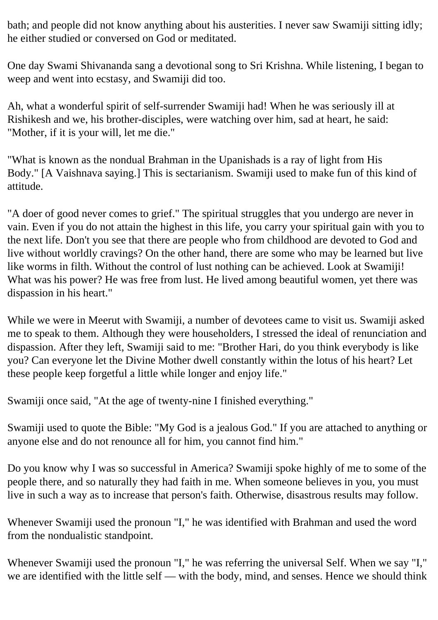bath; and people did not know anything about his austerities. I never saw Swamiji sitting idly; he either studied or conversed on God or meditated.

One day Swami Shivananda sang a devotional song to Sri Krishna. While listening, I began to weep and went into ecstasy, and Swamiji did too.

Ah, what a wonderful spirit of self-surrender Swamiji had! When he was seriously ill at Rishikesh and we, his brother-disciples, were watching over him, sad at heart, he said: "Mother, if it is your will, let me die."

"What is known as the nondual Brahman in the Upanishads is a ray of light from His Body." [A Vaishnava saying.] This is sectarianism. Swamiji used to make fun of this kind of attitude.

"A doer of good never comes to grief." The spiritual struggles that you undergo are never in vain. Even if you do not attain the highest in this life, you carry your spiritual gain with you to the next life. Don't you see that there are people who from childhood are devoted to God and live without worldly cravings? On the other hand, there are some who may be learned but live like worms in filth. Without the control of lust nothing can be achieved. Look at Swamiji! What was his power? He was free from lust. He lived among beautiful women, yet there was dispassion in his heart."

While we were in Meerut with Swamiji, a number of devotees came to visit us. Swamiji asked me to speak to them. Although they were householders, I stressed the ideal of renunciation and dispassion. After they left, Swamiji said to me: "Brother Hari, do you think everybody is like you? Can everyone let the Divine Mother dwell constantly within the lotus of his heart? Let these people keep forgetful a little while longer and enjoy life."

Swamiji once said, "At the age of twenty-nine I finished everything."

Swamiji used to quote the Bible: "My God is a jealous God." If you are attached to anything or anyone else and do not renounce all for him, you cannot find him."

Do you know why I was so successful in America? Swamiji spoke highly of me to some of the people there, and so naturally they had faith in me. When someone believes in you, you must live in such a way as to increase that person's faith. Otherwise, disastrous results may follow.

Whenever Swamiji used the pronoun "I," he was identified with Brahman and used the word from the nondualistic standpoint.

Whenever Swamiji used the pronoun "I," he was referring the universal Self. When we say "I," we are identified with the little self — with the body, mind, and senses. Hence we should think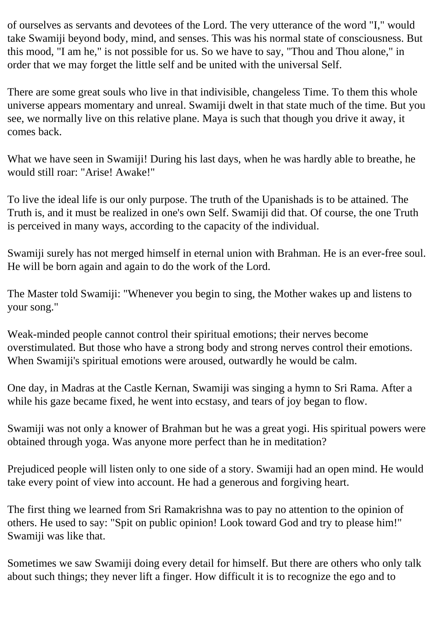of ourselves as servants and devotees of the Lord. The very utterance of the word "I," would take Swamiji beyond body, mind, and senses. This was his normal state of consciousness. But this mood, "I am he," is not possible for us. So we have to say, "Thou and Thou alone," in order that we may forget the little self and be united with the universal Self.

There are some great souls who live in that indivisible, changeless Time. To them this whole universe appears momentary and unreal. Swamiji dwelt in that state much of the time. But you see, we normally live on this relative plane. Maya is such that though you drive it away, it comes back.

What we have seen in Swamiji! During his last days, when he was hardly able to breathe, he would still roar: "Arise! Awake!"

To live the ideal life is our only purpose. The truth of the Upanishads is to be attained. The Truth is, and it must be realized in one's own Self. Swamiji did that. Of course, the one Truth is perceived in many ways, according to the capacity of the individual.

Swamiji surely has not merged himself in eternal union with Brahman. He is an ever-free soul. He will be born again and again to do the work of the Lord.

The Master told Swamiji: "Whenever you begin to sing, the Mother wakes up and listens to your song."

Weak-minded people cannot control their spiritual emotions; their nerves become overstimulated. But those who have a strong body and strong nerves control their emotions. When Swamiji's spiritual emotions were aroused, outwardly he would be calm.

One day, in Madras at the Castle Kernan, Swamiji was singing a hymn to Sri Rama. After a while his gaze became fixed, he went into ecstasy, and tears of joy began to flow.

Swamiji was not only a knower of Brahman but he was a great yogi. His spiritual powers were obtained through yoga. Was anyone more perfect than he in meditation?

Prejudiced people will listen only to one side of a story. Swamiji had an open mind. He would take every point of view into account. He had a generous and forgiving heart.

The first thing we learned from Sri Ramakrishna was to pay no attention to the opinion of others. He used to say: "Spit on public opinion! Look toward God and try to please him!" Swamiji was like that.

Sometimes we saw Swamiji doing every detail for himself. But there are others who only talk about such things; they never lift a finger. How difficult it is to recognize the ego and to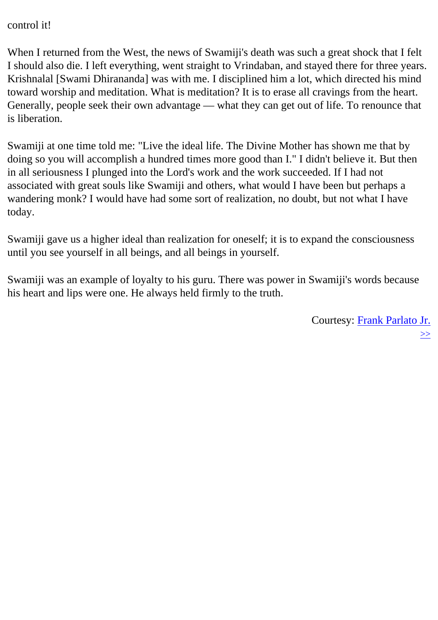#### control it!

When I returned from the West, the news of Swamiji's death was such a great shock that I felt I should also die. I left everything, went straight to Vrindaban, and stayed there for three years. Krishnalal [Swami Dhirananda] was with me. I disciplined him a lot, which directed his mind toward worship and meditation. What is meditation? It is to erase all cravings from the heart. Generally, people seek their own advantage — what they can get out of life. To renounce that is liberation.

Swamiji at one time told me: "Live the ideal life. The Divine Mother has shown me that by doing so you will accomplish a hundred times more good than I." I didn't believe it. But then in all seriousness I plunged into the Lord's work and the work succeeded. If I had not associated with great souls like Swamiji and others, what would I have been but perhaps a wandering monk? I would have had some sort of realization, no doubt, but not what I have today.

Swamiji gave us a higher ideal than realization for oneself; it is to expand the consciousness until you see yourself in all beings, and all beings in yourself.

Swamiji was an example of loyalty to his guru. There was power in Swamiji's words because his heart and lips were one. He always held firmly to the truth.

> Courtesy: [Frank Parlato Jr.](http://www.vivekananda.net/) [>>](#page-343-0)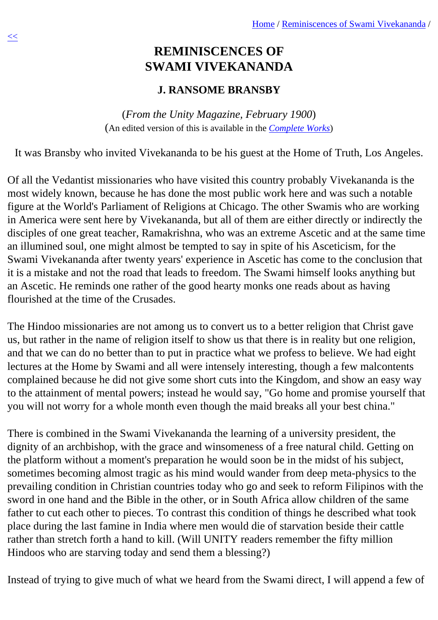### **J. RANSOME BRANSBY**

(*From the Unity Magazine, February 1900*) (An edited version of this is available in the *[Complete Works](http://www.ramakrishnavivekananda.info/vivekananda/volume_9/newspaper_reports/part_i_american_newspaper_reports/55_unity_feb_1900.htm)*)

<span id="page-343-0"></span>It was Bransby who invited Vivekananda to be his guest at the Home of Truth, Los Angeles.

Of all the Vedantist missionaries who have visited this country probably Vivekananda is the most widely known, because he has done the most public work here and was such a notable figure at the World's Parliament of Religions at Chicago. The other Swamis who are working in America were sent here by Vivekananda, but all of them are either directly or indirectly the disciples of one great teacher, Ramakrishna, who was an extreme Ascetic and at the same time an illumined soul, one might almost be tempted to say in spite of his Asceticism, for the Swami Vivekananda after twenty years' experience in Ascetic has come to the conclusion that it is a mistake and not the road that leads to freedom. The Swami himself looks anything but an Ascetic. He reminds one rather of the good hearty monks one reads about as having flourished at the time of the Crusades.

The Hindoo missionaries are not among us to convert us to a better religion that Christ gave us, but rather in the name of religion itself to show us that there is in reality but one religion, and that we can do no better than to put in practice what we profess to believe. We had eight lectures at the Home by Swami and all were intensely interesting, though a few malcontents complained because he did not give some short cuts into the Kingdom, and show an easy way to the attainment of mental powers; instead he would say, "Go home and promise yourself that you will not worry for a whole month even though the maid breaks all your best china."

There is combined in the Swami Vivekananda the learning of a university president, the dignity of an archbishop, with the grace and winsomeness of a free natural child. Getting on the platform without a moment's preparation he would soon be in the midst of his subject, sometimes becoming almost tragic as his mind would wander from deep meta-physics to the prevailing condition in Christian countries today who go and seek to reform Filipinos with the sword in one hand and the Bible in the other, or in South Africa allow children of the same father to cut each other to pieces. To contrast this condition of things he described what took place during the last famine in India where men would die of starvation beside their cattle rather than stretch forth a hand to kill. (Will UNITY readers remember the fifty million Hindoos who are starving today and send them a blessing?)

Instead of trying to give much of what we heard from the Swami direct, I will append a few of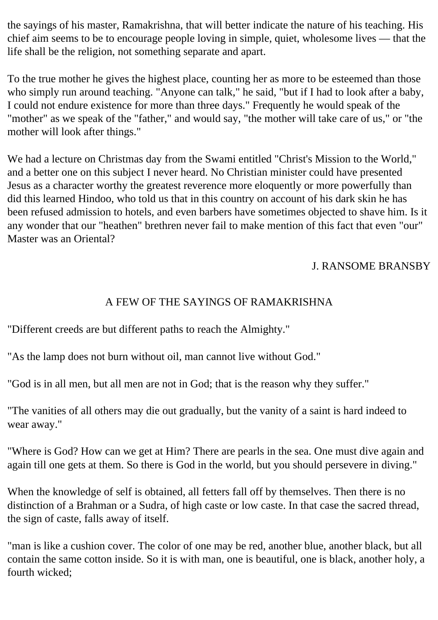the sayings of his master, Ramakrishna, that will better indicate the nature of his teaching. His chief aim seems to be to encourage people loving in simple, quiet, wholesome lives — that the life shall be the religion, not something separate and apart.

To the true mother he gives the highest place, counting her as more to be esteemed than those who simply run around teaching. "Anyone can talk," he said, "but if I had to look after a baby, I could not endure existence for more than three days." Frequently he would speak of the "mother" as we speak of the "father," and would say, "the mother will take care of us," or "the mother will look after things."

We had a lecture on Christmas day from the Swami entitled "Christ's Mission to the World," and a better one on this subject I never heard. No Christian minister could have presented Jesus as a character worthy the greatest reverence more eloquently or more powerfully than did this learned Hindoo, who told us that in this country on account of his dark skin he has been refused admission to hotels, and even barbers have sometimes objected to shave him. Is it any wonder that our "heathen" brethren never fail to make mention of this fact that even "our" Master was an Oriental?

### J. RANSOME BRANSBY

### A FEW OF THE SAYINGS OF RAMAKRISHNA

"Different creeds are but different paths to reach the Almighty."

"As the lamp does not burn without oil, man cannot live without God."

"God is in all men, but all men are not in God; that is the reason why they suffer."

"The vanities of all others may die out gradually, but the vanity of a saint is hard indeed to wear away."

"Where is God? How can we get at Him? There are pearls in the sea. One must dive again and again till one gets at them. So there is God in the world, but you should persevere in diving."

When the knowledge of self is obtained, all fetters fall off by themselves. Then there is no distinction of a Brahman or a Sudra, of high caste or low caste. In that case the sacred thread, the sign of caste, falls away of itself.

"man is like a cushion cover. The color of one may be red, another blue, another black, but all contain the same cotton inside. So it is with man, one is beautiful, one is black, another holy, a fourth wicked;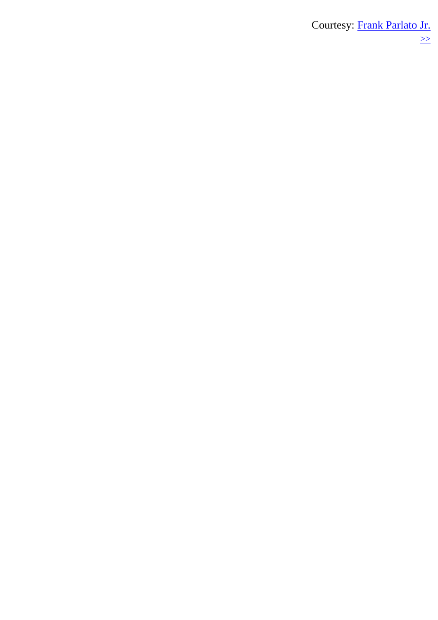# Courtesy: [Frank Parlato Jr.](http://www.vivekananda.net/)  $\geq$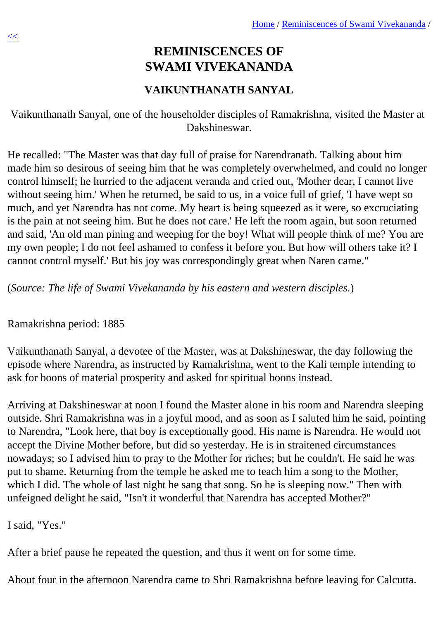### **VAIKUNTHANATH SANYAL**

Vaikunthanath Sanyal, one of the householder disciples of Ramakrishna, visited the Master at Dakshineswar.

He recalled: "The Master was that day full of praise for Narendranath. Talking about him made him so desirous of seeing him that he was completely overwhelmed, and could no longer control himself; he hurried to the adjacent veranda and cried out, 'Mother dear, I cannot live without seeing him.' When he returned, be said to us, in a voice full of grief, 'I have wept so much, and yet Narendra has not come. My heart is being squeezed as it were, so excruciating is the pain at not seeing him. But he does not care.' He left the room again, but soon returned and said, 'An old man pining and weeping for the boy! What will people think of me? You are my own people; I do not feel ashamed to confess it before you. But how will others take it? I cannot control myself.' But his joy was correspondingly great when Naren came."

(*Source: The life of Swami Vivekananda by his eastern and western disciples*.)

Ramakrishna period: 1885

Vaikunthanath Sanyal, a devotee of the Master, was at Dakshineswar, the day following the episode where Narendra, as instructed by Ramakrishna, went to the Kali temple intending to ask for boons of material prosperity and asked for spiritual boons instead.

Arriving at Dakshineswar at noon I found the Master alone in his room and Narendra sleeping outside. Shri Ramakrishna was in a joyful mood, and as soon as I saluted him he said, pointing to Narendra, "Look here, that boy is exceptionally good. His name is Narendra. He would not accept the Divine Mother before, but did so yesterday. He is in straitened circumstances nowadays; so I advised him to pray to the Mother for riches; but he couldn't. He said he was put to shame. Returning from the temple he asked me to teach him a song to the Mother, which I did. The whole of last night he sang that song. So he is sleeping now." Then with unfeigned delight he said, "Isn't it wonderful that Narendra has accepted Mother?"

I said, "Yes."

After a brief pause he repeated the question, and thus it went on for some time.

About four in the afternoon Narendra came to Shri Ramakrishna before leaving for Calcutta.

<span id="page-346-0"></span> $<<$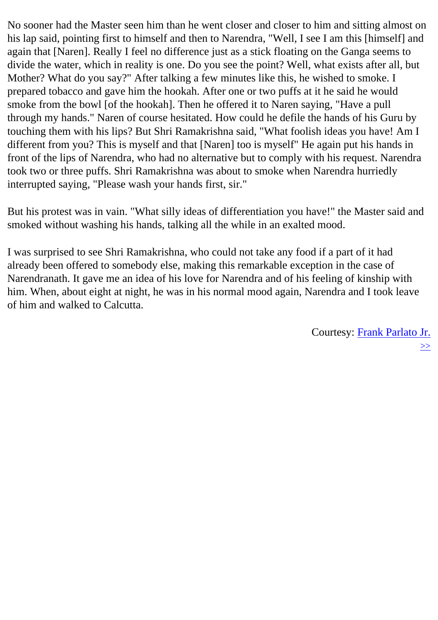No sooner had the Master seen him than he went closer and closer to him and sitting almost on his lap said, pointing first to himself and then to Narendra, "Well, I see I am this [himself] and again that [Naren]. Really I feel no difference just as a stick floating on the Ganga seems to divide the water, which in reality is one. Do you see the point? Well, what exists after all, but Mother? What do you say?" After talking a few minutes like this, he wished to smoke. I prepared tobacco and gave him the hookah. After one or two puffs at it he said he would smoke from the bowl [of the hookah]. Then he offered it to Naren saying, "Have a pull through my hands." Naren of course hesitated. How could he defile the hands of his Guru by touching them with his lips? But Shri Ramakrishna said, "What foolish ideas you have! Am I different from you? This is myself and that [Naren] too is myself" He again put his hands in front of the lips of Narendra, who had no alternative but to comply with his request. Narendra took two or three puffs. Shri Ramakrishna was about to smoke when Narendra hurriedly interrupted saying, "Please wash your hands first, sir."

But his protest was in vain. "What silly ideas of differentiation you have!" the Master said and smoked without washing his hands, talking all the while in an exalted mood.

I was surprised to see Shri Ramakrishna, who could not take any food if a part of it had already been offered to somebody else, making this remarkable exception in the case of Narendranath. It gave me an idea of his love for Narendra and of his feeling of kinship with him. When, about eight at night, he was in his normal mood again, Narendra and I took leave of him and walked to Calcutta.

> Courtesy: [Frank Parlato Jr.](http://www.vivekananda.net/)  $\geq$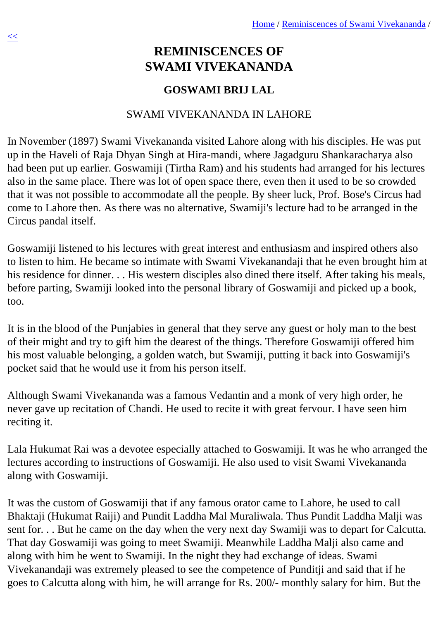### **GOSWAMI BRIJ LAL**

### SWAMI VIVEKANANDA IN LAHORE

In November (1897) Swami Vivekananda visited Lahore along with his disciples. He was put up in the Haveli of Raja Dhyan Singh at Hira-mandi, where Jagadguru Shankaracharya also had been put up earlier. Goswamiji (Tirtha Ram) and his students had arranged for his lectures also in the same place. There was lot of open space there, even then it used to be so crowded that it was not possible to accommodate all the people. By sheer luck, Prof. Bose's Circus had come to Lahore then. As there was no alternative, Swamiji's lecture had to be arranged in the Circus pandal itself.

Goswamiji listened to his lectures with great interest and enthusiasm and inspired others also to listen to him. He became so intimate with Swami Vivekanandaji that he even brought him at his residence for dinner. . . His western disciples also dined there itself. After taking his meals, before parting, Swamiji looked into the personal library of Goswamiji and picked up a book, too.

It is in the blood of the Punjabies in general that they serve any guest or holy man to the best of their might and try to gift him the dearest of the things. Therefore Goswamiji offered him his most valuable belonging, a golden watch, but Swamiji, putting it back into Goswamiji's pocket said that he would use it from his person itself.

Although Swami Vivekananda was a famous Vedantin and a monk of very high order, he never gave up recitation of Chandi. He used to recite it with great fervour. I have seen him reciting it.

Lala Hukumat Rai was a devotee especially attached to Goswamiji. It was he who arranged the lectures according to instructions of Goswamiji. He also used to visit Swami Vivekananda along with Goswamiji.

It was the custom of Goswamiji that if any famous orator came to Lahore, he used to call Bhaktaji (Hukumat Raiji) and Pundit Laddha Mal Muraliwala. Thus Pundit Laddha Malji was sent for. . . But he came on the day when the very next day Swamiji was to depart for Calcutta. That day Goswamiji was going to meet Swamiji. Meanwhile Laddha Malji also came and along with him he went to Swamiji. In the night they had exchange of ideas. Swami Vivekanandaji was extremely pleased to see the competence of Punditji and said that if he goes to Calcutta along with him, he will arrange for Rs. 200/- monthly salary for him. But the

<span id="page-348-0"></span> $<<$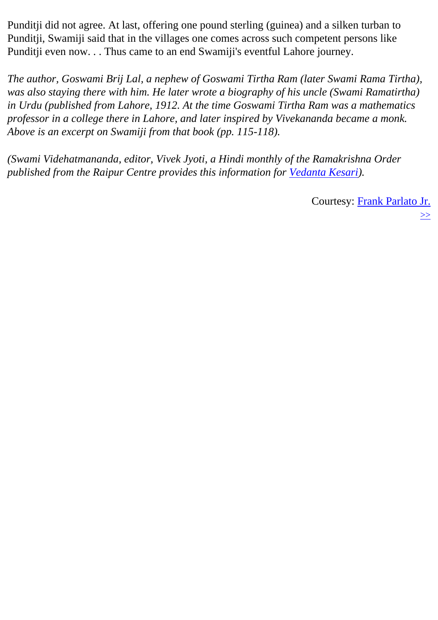Punditji did not agree. At last, offering one pound sterling (guinea) and a silken turban to Punditji, Swamiji said that in the villages one comes across such competent persons like Punditji even now. . . Thus came to an end Swamiji's eventful Lahore journey.

*The author, Goswami Brij Lal, a nephew of Goswami Tirtha Ram (later Swami Rama Tirtha), was also staying there with him. He later wrote a biography of his uncle (Swami Ramatirtha) in Urdu (published from Lahore, 1912. At the time Goswami Tirtha Ram was a mathematics professor in a college there in Lahore, and later inspired by Vivekananda became a monk. Above is an excerpt on Swamiji from that book (pp. 115-118).*

*(Swami Videhatmananda, editor, Vivek Jyoti, a Hindi monthly of the Ramakrishna Order published from the Raipur Centre provides this information for [Vedanta Kesari\)](http://www.sriramakrishnamath.org/Magazine/magazineenglish.aspx?id=Eng).*

Courtesy: [Frank Parlato Jr.](http://www.vivekananda.net/)

 $\geq$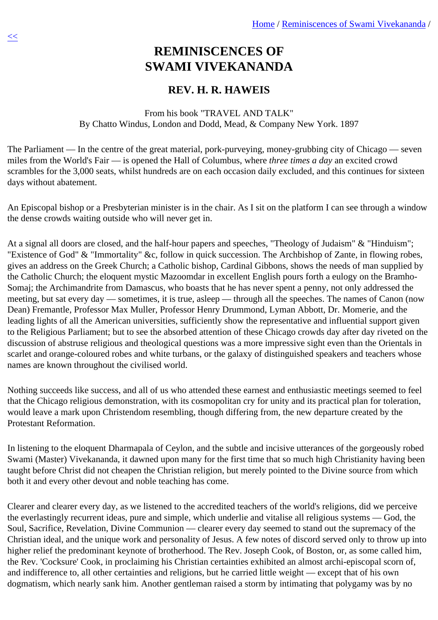### **REV. H. R. HAWEIS**

From his book "TRAVEL AND TALK" By Chatto Windus, London and Dodd, Mead, & Company New York. 1897

The Parliament — In the centre of the great material, pork-purveying, money-grubbing city of Chicago — seven miles from the World's Fair — is opened the Hall of Columbus, where *three times a day* an excited crowd scrambles for the 3,000 seats, whilst hundreds are on each occasion daily excluded, and this continues for sixteen days without abatement.

An Episcopal bishop or a Presbyterian minister is in the chair. As I sit on the platform I can see through a window the dense crowds waiting outside who will never get in.

At a signal all doors are closed, and the half-hour papers and speeches, "Theology of Judaism" & "Hinduism"; "Existence of God" & "Immortality" &c, follow in quick succession. The Archbishop of Zante, in flowing robes, gives an address on the Greek Church; a Catholic bishop, Cardinal Gibbons, shows the needs of man supplied by the Catholic Church; the eloquent mystic Mazoomdar in excellent English pours forth a eulogy on the Bramho-Somaj; the Archimandrite from Damascus, who boasts that he has never spent a penny, not only addressed the meeting, but sat every day — sometimes, it is true, asleep — through all the speeches. The names of Canon (now Dean) Fremantle, Professor Max Muller, Professor Henry Drummond, Lyman Abbott, Dr. Momerie, and the leading lights of all the American universities, sufficiently show the representative and influential support given to the Religious Parliament; but to see the absorbed attention of these Chicago crowds day after day riveted on the discussion of abstruse religious and theological questions was a more impressive sight even than the Orientals in scarlet and orange-coloured robes and white turbans, or the galaxy of distinguished speakers and teachers whose names are known throughout the civilised world.

Nothing succeeds like success, and all of us who attended these earnest and enthusiastic meetings seemed to feel that the Chicago religious demonstration, with its cosmopolitan cry for unity and its practical plan for toleration, would leave a mark upon Christendom resembling, though differing from, the new departure created by the Protestant Reformation.

In listening to the eloquent Dharmapala of Ceylon, and the subtle and incisive utterances of the gorgeously robed Swami (Master) Vivekananda, it dawned upon many for the first time that so much high Christianity having been taught before Christ did not cheapen the Christian religion, but merely pointed to the Divine source from which both it and every other devout and noble teaching has come.

Clearer and clearer every day, as we listened to the accredited teachers of the world's religions, did we perceive the everlastingly recurrent ideas, pure and simple, which underlie and vitalise all religious systems — God, the Soul, Sacrifice, Revelation, Divine Communion — clearer every day seemed to stand out the supremacy of the Christian ideal, and the unique work and personality of Jesus. A few notes of discord served only to throw up into higher relief the predominant keynote of brotherhood. The Rev. Joseph Cook, of Boston, or, as some called him, the Rev. 'Cocksure' Cook, in proclaiming his Christian certainties exhibited an almost archi-episcopal scorn of, and indifference to, all other certainties and religions, but he carried little weight — except that of his own dogmatism, which nearly sank him. Another gentleman raised a storm by intimating that polygamy was by no

<span id="page-350-0"></span> $<<$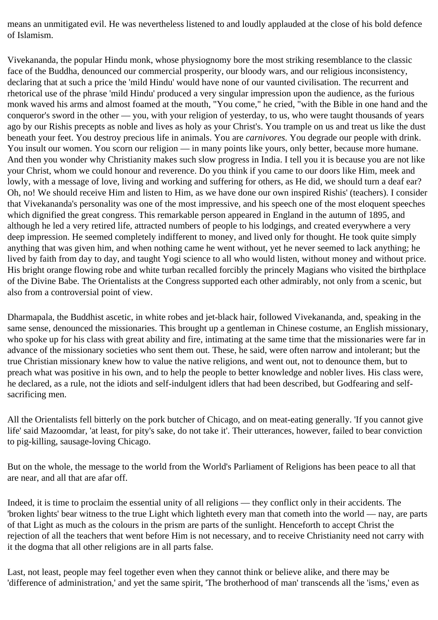means an unmitigated evil. He was nevertheless listened to and loudly applauded at the close of his bold defence of Islamism.

Vivekananda, the popular Hindu monk, whose physiognomy bore the most striking resemblance to the classic face of the Buddha, denounced our commercial prosperity, our bloody wars, and our religious inconsistency, declaring that at such a price the 'mild Hindu' would have none of our vaunted civilisation. The recurrent and rhetorical use of the phrase 'mild Hindu' produced a very singular impression upon the audience, as the furious monk waved his arms and almost foamed at the mouth, "You come," he cried, "with the Bible in one hand and the conqueror's sword in the other — you, with your religion of yesterday, to us, who were taught thousands of years ago by our Rishis precepts as noble and lives as holy as your Christ's. You trample on us and treat us like the dust beneath your feet. You destroy precious life in animals. You are *carnivores.* You degrade our people with drink. You insult our women. You scorn our religion — in many points like yours, only better, because more humane. And then you wonder why Christianity makes such slow progress in India. I tell you it is because you are not like your Christ, whom we could honour and reverence. Do you think if you came to our doors like Him, meek and lowly, with a message of love, living and working and suffering for others, as He did, we should turn a deaf ear? Oh, no! We should receive Him and listen to Him, as we have done our own inspired Rishis' (teachers). I consider that Vivekananda's personality was one of the most impressive, and his speech one of the most eloquent speeches which dignified the great congress. This remarkable person appeared in England in the autumn of 1895, and although he led a very retired life, attracted numbers of people to his lodgings, and created everywhere a very deep impression. He seemed completely indifferent to money, and lived only for thought. He took quite simply anything that was given him, and when nothing came he went without, yet he never seemed to lack anything; he lived by faith from day to day, and taught Yogi science to all who would listen, without money and without price. His bright orange flowing robe and white turban recalled forcibly the princely Magians who visited the birthplace of the Divine Babe. The Orientalists at the Congress supported each other admirably, not only from a scenic, but also from a controversial point of view.

Dharmapala, the Buddhist ascetic, in white robes and jet-black hair, followed Vivekananda, and, speaking in the same sense, denounced the missionaries. This brought up a gentleman in Chinese costume, an English missionary, who spoke up for his class with great ability and fire, intimating at the same time that the missionaries were far in advance of the missionary societies who sent them out. These, he said, were often narrow and intolerant; but the true Christian missionary knew how to value the native religions, and went out, not to denounce them, but to preach what was positive in his own, and to help the people to better knowledge and nobler lives. His class were, he declared, as a rule, not the idiots and self-indulgent idlers that had been described, but Godfearing and selfsacrificing men.

All the Orientalists fell bitterly on the pork butcher of Chicago, and on meat-eating generally. 'If you cannot give life' said Mazoomdar, 'at least, for pity's sake, do not take it'. Their utterances, however, failed to bear conviction to pig-killing, sausage-loving Chicago.

But on the whole, the message to the world from the World's Parliament of Religions has been peace to all that are near, and all that are afar off.

Indeed, it is time to proclaim the essential unity of all religions — they conflict only in their accidents. The 'broken lights' bear witness to the true Light which lighteth every man that cometh into the world — nay, are parts of that Light as much as the colours in the prism are parts of the sunlight. Henceforth to accept Christ the rejection of all the teachers that went before Him is not necessary, and to receive Christianity need not carry with it the dogma that all other religions are in all parts false.

Last, not least, people may feel together even when they cannot think or believe alike, and there may be 'difference of administration,' and yet the same spirit, 'The brotherhood of man' transcends all the 'isms,' even as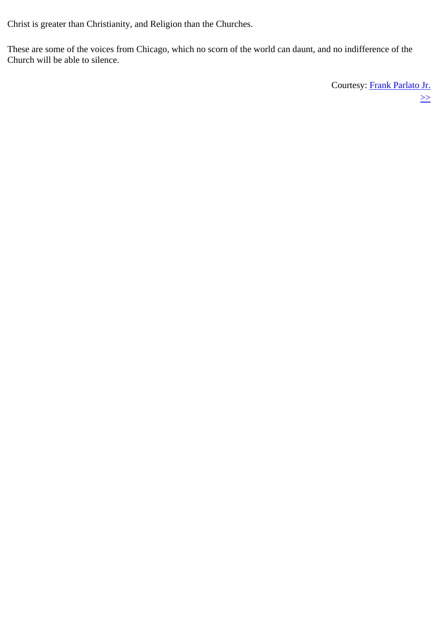Christ is greater than Christianity, and Religion than the Churches.

These are some of the voices from Chicago, which no scorn of the world can daunt, and no indifference of the Church will be able to silence.

> Courtesy: [Frank Parlato Jr.](http://www.vivekananda.net/)  $\geq$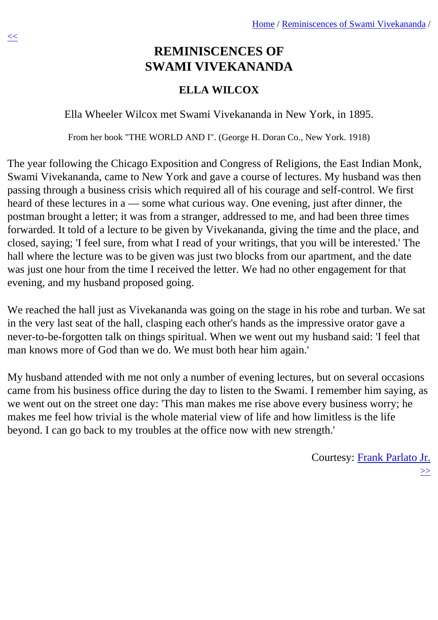## **ELLA WILCOX**

### Ella Wheeler Wilcox met Swami Vivekananda in New York, in 1895.

From her book "THE WORLD AND I". (George H. Doran Co., New York. 1918)

The year following the Chicago Exposition and Congress of Religions, the East Indian Monk, Swami Vivekananda, came to New York and gave a course of lectures. My husband was then passing through a business crisis which required all of his courage and self-control. We first heard of these lectures in a — some what curious way. One evening, just after dinner, the postman brought a letter; it was from a stranger, addressed to me, and had been three times forwarded. It told of a lecture to be given by Vivekananda, giving the time and the place, and closed, saying; 'I feel sure, from what I read of your writings, that you will be interested.' The hall where the lecture was to be given was just two blocks from our apartment, and the date was just one hour from the time I received the letter. We had no other engagement for that evening, and my husband proposed going.

We reached the hall just as Vivekananda was going on the stage in his robe and turban. We sat in the very last seat of the hall, clasping each other's hands as the impressive orator gave a never-to-be-forgotten talk on things spiritual. When we went out my husband said: 'I feel that man knows more of God than we do. We must both hear him again.'

My husband attended with me not only a number of evening lectures, but on several occasions came from his business office during the day to listen to the Swami. I remember him saying, as we went out on the street one day: 'This man makes me rise above every business worry; he makes me feel how trivial is the whole material view of life and how limitless is the life beyond. I can go back to my troubles at the office now with new strength.'

Courtesy: [Frank Parlato Jr.](http://www.vivekananda.net/)

 $>\gt$ 

<span id="page-353-0"></span> $<<$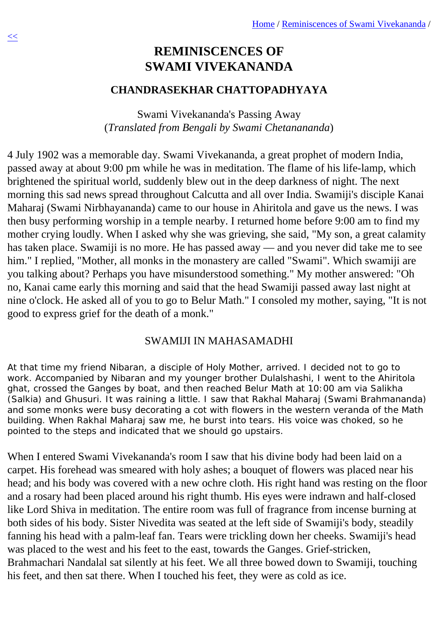#### **CHANDRASEKHAR CHATTOPADHYAYA**

Swami Vivekananda's Passing Away (*Translated from Bengali by Swami Chetanananda*)

4 July 1902 was a memorable day. Swami Vivekananda, a great prophet of modern India, passed away at about 9:00 pm while he was in meditation. The flame of his life-lamp, which brightened the spiritual world, suddenly blew out in the deep darkness of night. The next morning this sad news spread throughout Calcutta and all over India. Swamiji's disciple Kanai Maharaj (Swami Nirbhayananda) came to our house in Ahiritola and gave us the news. I was then busy performing worship in a temple nearby. I returned home before 9:00 am to find my mother crying loudly. When I asked why she was grieving, she said, "My son, a great calamity has taken place. Swamiji is no more. He has passed away — and you never did take me to see him." I replied, "Mother, all monks in the monastery are called "Swami". Which swamiji are you talking about? Perhaps you have misunderstood something." My mother answered: "Oh no, Kanai came early this morning and said that the head Swamiji passed away last night at nine o'clock. He asked all of you to go to Belur Math." I consoled my mother, saying, "It is not good to express grief for the death of a monk."

#### SWAMIJI IN MAHASAMADHI

At that time my friend Nibaran, a disciple of Holy Mother, arrived. I decided not to go to work. Accompanied by Nibaran and my younger brother Dulalshashi, I went to the Ahiritola ghat, crossed the Ganges by boat, and then reached Belur Math at 10:00 am via Salikha (Salkia) and Ghusuri. It was raining a little. I saw that Rakhal Maharaj (Swami Brahmananda) and some monks were busy decorating a cot with flowers in the western veranda of the Math building. When Rakhal Maharaj saw me, he burst into tears. His voice was choked, so he pointed to the steps and indicated that we should go upstairs.

When I entered Swami Vivekananda's room I saw that his divine body had been laid on a carpet. His forehead was smeared with holy ashes; a bouquet of flowers was placed near his head; and his body was covered with a new ochre cloth. His right hand was resting on the floor and a rosary had been placed around his right thumb. His eyes were indrawn and half-closed like Lord Shiva in meditation. The entire room was full of fragrance from incense burning at both sides of his body. Sister Nivedita was seated at the left side of Swamiji's body, steadily fanning his head with a palm-leaf fan. Tears were trickling down her cheeks. Swamiji's head was placed to the west and his feet to the east, towards the Ganges. Grief-stricken, Brahmachari Nandalal sat silently at his feet. We all three bowed down to Swamiji, touching his feet, and then sat there. When I touched his feet, they were as cold as ice.

<span id="page-354-0"></span> $<<$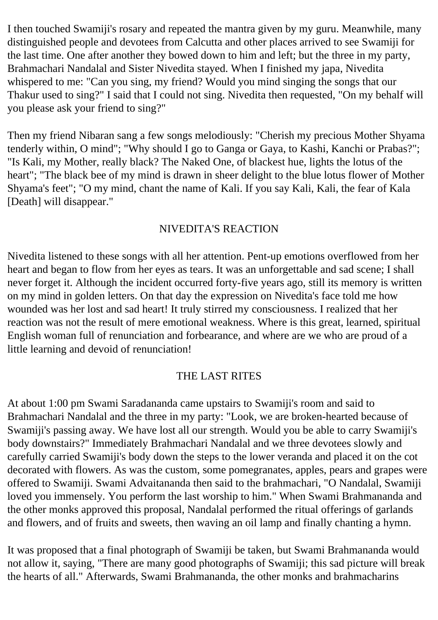I then touched Swamiji's rosary and repeated the mantra given by my guru. Meanwhile, many distinguished people and devotees from Calcutta and other places arrived to see Swamiji for the last time. One after another they bowed down to him and left; but the three in my party, Brahmachari Nandalal and Sister Nivedita stayed. When I finished my japa, Nivedita whispered to me: "Can you sing, my friend? Would you mind singing the songs that our Thakur used to sing?" I said that I could not sing. Nivedita then requested, "On my behalf will you please ask your friend to sing?"

Then my friend Nibaran sang a few songs melodiously: "Cherish my precious Mother Shyama tenderly within, O mind"; "Why should I go to Ganga or Gaya, to Kashi, Kanchi or Prabas?"; "Is Kali, my Mother, really black? The Naked One, of blackest hue, lights the lotus of the heart"; "The black bee of my mind is drawn in sheer delight to the blue lotus flower of Mother Shyama's feet"; "O my mind, chant the name of Kali. If you say Kali, Kali, the fear of Kala [Death] will disappear."

### NIVEDITA'S REACTION

Nivedita listened to these songs with all her attention. Pent-up emotions overflowed from her heart and began to flow from her eyes as tears. It was an unforgettable and sad scene; I shall never forget it. Although the incident occurred forty-five years ago, still its memory is written on my mind in golden letters. On that day the expression on Nivedita's face told me how wounded was her lost and sad heart! It truly stirred my consciousness. I realized that her reaction was not the result of mere emotional weakness. Where is this great, learned, spiritual English woman full of renunciation and forbearance, and where are we who are proud of a little learning and devoid of renunciation!

### THE LAST RITES

At about 1:00 pm Swami Saradananda came upstairs to Swamiji's room and said to Brahmachari Nandalal and the three in my party: "Look, we are broken-hearted because of Swamiji's passing away. We have lost all our strength. Would you be able to carry Swamiji's body downstairs?" Immediately Brahmachari Nandalal and we three devotees slowly and carefully carried Swamiji's body down the steps to the lower veranda and placed it on the cot decorated with flowers. As was the custom, some pomegranates, apples, pears and grapes were offered to Swamiji. Swami Advaitananda then said to the brahmachari, "O Nandalal, Swamiji loved you immensely. You perform the last worship to him." When Swami Brahmananda and the other monks approved this proposal, Nandalal performed the ritual offerings of garlands and flowers, and of fruits and sweets, then waving an oil lamp and finally chanting a hymn.

It was proposed that a final photograph of Swamiji be taken, but Swami Brahmananda would not allow it, saying, "There are many good photographs of Swamiji; this sad picture will break the hearts of all." Afterwards, Swami Brahmananda, the other monks and brahmacharins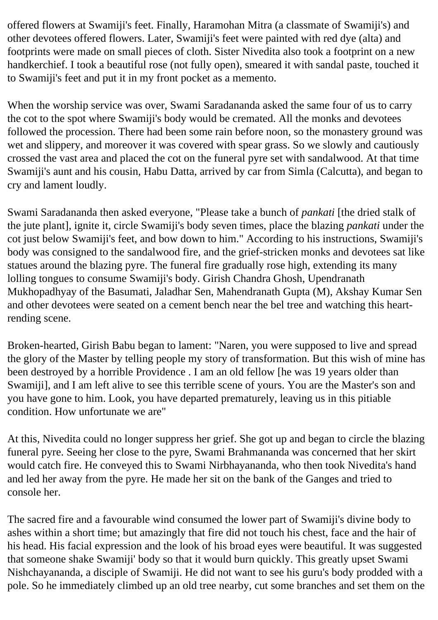offered flowers at Swamiji's feet. Finally, Haramohan Mitra (a classmate of Swamiji's) and other devotees offered flowers. Later, Swamiji's feet were painted with red dye (alta) and footprints were made on small pieces of cloth. Sister Nivedita also took a footprint on a new handkerchief. I took a beautiful rose (not fully open), smeared it with sandal paste, touched it to Swamiji's feet and put it in my front pocket as a memento.

When the worship service was over, Swami Saradananda asked the same four of us to carry the cot to the spot where Swamiji's body would be cremated. All the monks and devotees followed the procession. There had been some rain before noon, so the monastery ground was wet and slippery, and moreover it was covered with spear grass. So we slowly and cautiously crossed the vast area and placed the cot on the funeral pyre set with sandalwood. At that time Swamiji's aunt and his cousin, Habu Datta, arrived by car from Simla (Calcutta), and began to cry and lament loudly.

Swami Saradananda then asked everyone, "Please take a bunch of *pankati* [the dried stalk of the jute plant], ignite it, circle Swamiji's body seven times, place the blazing *pankati* under the cot just below Swamiji's feet, and bow down to him." According to his instructions, Swamiji's body was consigned to the sandalwood fire, and the grief-stricken monks and devotees sat like statues around the blazing pyre. The funeral fire gradually rose high, extending its many lolling tongues to consume Swamiji's body. Girish Chandra Ghosh, Upendranath Mukhopadhyay of the Basumati, Jaladhar Sen, Mahendranath Gupta (M), Akshay Kumar Sen and other devotees were seated on a cement bench near the bel tree and watching this heartrending scene.

Broken-hearted, Girish Babu began to lament: "Naren, you were supposed to live and spread the glory of the Master by telling people my story of transformation. But this wish of mine has been destroyed by a horrible Providence . I am an old fellow [he was 19 years older than Swamiji], and I am left alive to see this terrible scene of yours. You are the Master's son and you have gone to him. Look, you have departed prematurely, leaving us in this pitiable condition. How unfortunate we are"

At this, Nivedita could no longer suppress her grief. She got up and began to circle the blazing funeral pyre. Seeing her close to the pyre, Swami Brahmananda was concerned that her skirt would catch fire. He conveyed this to Swami Nirbhayananda, who then took Nivedita's hand and led her away from the pyre. He made her sit on the bank of the Ganges and tried to console her.

The sacred fire and a favourable wind consumed the lower part of Swamiji's divine body to ashes within a short time; but amazingly that fire did not touch his chest, face and the hair of his head. His facial expression and the look of his broad eyes were beautiful. It was suggested that someone shake Swamiji' body so that it would burn quickly. This greatly upset Swami Nishchayananda, a disciple of Swamiji. He did not want to see his guru's body prodded with a pole. So he immediately climbed up an old tree nearby, cut some branches and set them on the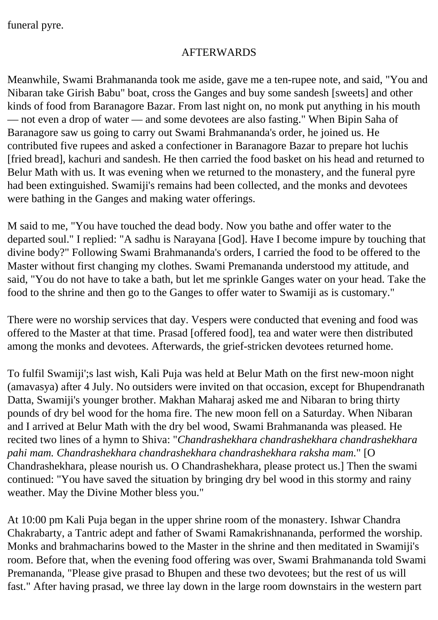funeral pyre.

#### AFTERWARDS

Meanwhile, Swami Brahmananda took me aside, gave me a ten-rupee note, and said, "You and Nibaran take Girish Babu" boat, cross the Ganges and buy some sandesh [sweets] and other kinds of food from Baranagore Bazar. From last night on, no monk put anything in his mouth — not even a drop of water — and some devotees are also fasting." When Bipin Saha of Baranagore saw us going to carry out Swami Brahmananda's order, he joined us. He contributed five rupees and asked a confectioner in Baranagore Bazar to prepare hot luchis [fried bread], kachuri and sandesh. He then carried the food basket on his head and returned to Belur Math with us. It was evening when we returned to the monastery, and the funeral pyre had been extinguished. Swamiji's remains had been collected, and the monks and devotees were bathing in the Ganges and making water offerings.

M said to me, "You have touched the dead body. Now you bathe and offer water to the departed soul." I replied: "A sadhu is Narayana [God]. Have I become impure by touching that divine body?" Following Swami Brahmananda's orders, I carried the food to be offered to the Master without first changing my clothes. Swami Premananda understood my attitude, and said, "You do not have to take a bath, but let me sprinkle Ganges water on your head. Take the food to the shrine and then go to the Ganges to offer water to Swamiji as is customary."

There were no worship services that day. Vespers were conducted that evening and food was offered to the Master at that time. Prasad [offered food], tea and water were then distributed among the monks and devotees. Afterwards, the grief-stricken devotees returned home.

To fulfil Swamiji';s last wish, Kali Puja was held at Belur Math on the first new-moon night (amavasya) after 4 July. No outsiders were invited on that occasion, except for Bhupendranath Datta, Swamiji's younger brother. Makhan Maharaj asked me and Nibaran to bring thirty pounds of dry bel wood for the homa fire. The new moon fell on a Saturday. When Nibaran and I arrived at Belur Math with the dry bel wood, Swami Brahmananda was pleased. He recited two lines of a hymn to Shiva: "*Chandrashekhara chandrashekhara chandrashekhara pahi mam. Chandrashekhara chandrashekhara chandrashekhara raksha mam.*" [O Chandrashekhara, please nourish us. O Chandrashekhara, please protect us.] Then the swami continued: "You have saved the situation by bringing dry bel wood in this stormy and rainy weather. May the Divine Mother bless you."

At 10:00 pm Kali Puja began in the upper shrine room of the monastery. Ishwar Chandra Chakrabarty, a Tantric adept and father of Swami Ramakrishnananda, performed the worship. Monks and brahmacharins bowed to the Master in the shrine and then meditated in Swamiji's room. Before that, when the evening food offering was over, Swami Brahmananda told Swami Premananda, "Please give prasad to Bhupen and these two devotees; but the rest of us will fast." After having prasad, we three lay down in the large room downstairs in the western part